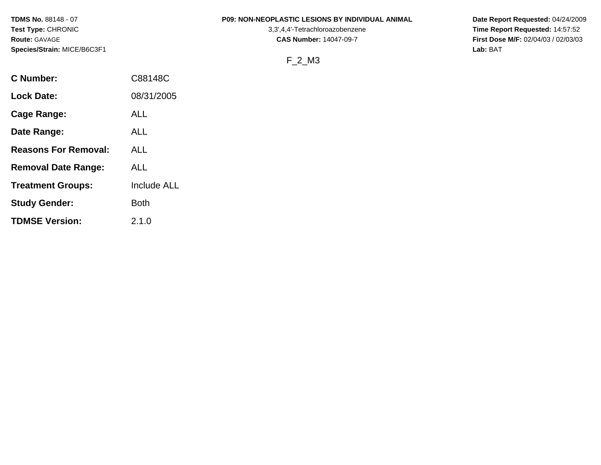## **TDMS No.** 88148 - 07 **P09: NON-NEOPLASTIC LESIONS BY INDIVIDUAL ANIMAL Date Report Requested:** 04/24/2009

**Test Type:** CHRONIC 3,3',4,4'-Tetrachloroazobenzene **Time Report Requested:** 14:57:52 **Route:** GAVAGE **CAS Number:** 14047-09-7 **First Dose M/F:** 02/04/03 / 02/03/03

# F\_2\_M3

| C88148C            |
|--------------------|
| 08/31/2005         |
| ALL                |
| ALL                |
| ALL                |
| ALL                |
| <b>Include ALL</b> |
| <b>Both</b>        |
| 2.1.0              |
|                    |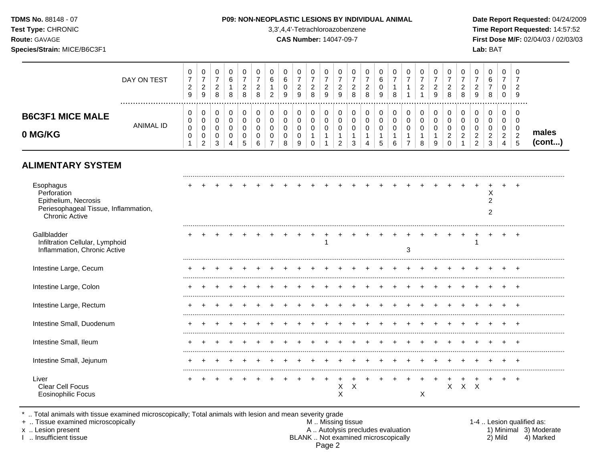**Test Type:** CHRONIC 3,3',4,4'-Tetrachloroazobenzene **Time Report Requested:** 14:57:52 **Route:** GAVAGE **CAS Number:** 14047-09-7 **First Dose M/F:** 02/04/03 / 02/03/03 **Species/Strain:** MICE/B6C3F1 **Lab:** BAT

#### DAY ON TEST  $\overline{7}$   $\overline{7}$   $\overline{7}$   $\overline{7}$   $\overline{7}$   $\overline{7}$   $\overline{0}$   $\overline{7}$   $\overline{7}$   $\overline{7}$   $\overline{7}$   $\bar{7}$   $\overline{7}$  ................................................................................................................................................................. **B6C3F1 MICE MALE** ANIMAL ID **0 MG/KG males (cont...)**

# **ALIMENTARY SYSTEM**

| Esophagus<br>Perforation<br>Epithelium, Necrosis<br>Periesophageal Tissue, Inflammation,<br><b>Chronic Active</b> |  |  |  |  |  |   |   |  |   |   |   |   |   | х |  |
|-------------------------------------------------------------------------------------------------------------------|--|--|--|--|--|---|---|--|---|---|---|---|---|---|--|
| Gallbladder<br>Infiltration Cellular, Lymphoid<br>Inflammation, Chronic Active                                    |  |  |  |  |  |   |   |  | 3 |   |   |   |   |   |  |
| Intestine Large, Cecum                                                                                            |  |  |  |  |  |   |   |  |   |   |   |   |   |   |  |
| Intestine Large, Colon                                                                                            |  |  |  |  |  |   |   |  |   |   |   |   |   |   |  |
| Intestine Large, Rectum                                                                                           |  |  |  |  |  |   |   |  |   |   |   |   |   |   |  |
| Intestine Small, Duodenum                                                                                         |  |  |  |  |  |   |   |  |   |   |   |   |   |   |  |
| Intestine Small, Ileum                                                                                            |  |  |  |  |  |   |   |  |   |   |   |   |   |   |  |
| Intestine Small, Jejunum                                                                                          |  |  |  |  |  |   |   |  |   |   |   |   |   |   |  |
| Liver<br>Clear Cell Focus<br><b>Eosinophilic Focus</b>                                                            |  |  |  |  |  | X | X |  |   | х | х | X | X |   |  |

\* .. Total animals with tissue examined microscopically; Total animals with lesion and mean severity grade<br>+ .. Tissue examined microscopically

+ .. Tissue examined microscopically

x .. Lesion present <br>A .. Autolysis precludes evaluation <br>BLANK .. Not examined microscopically BLANK .. Not examined microscopically Page 2

| 1-4  Lesion qualified as: |                        |
|---------------------------|------------------------|
|                           | 1) Minimal 3) Moderate |
| 2) Mild                   | 4) Marked              |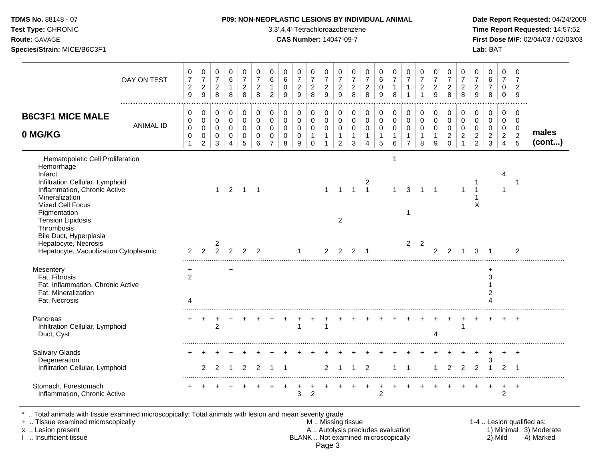| Test Type: CHRONIC<br>Route: GAVAGE<br>Species/Strain: MICE/B6C3F1                                                                                                                                                                                                                    |                  |                                                                        |                                                                            |                                                     |                                                 |                                                     |                                                     |                                                                                    |                                                               |                                                      | 3,3',4,4'-Tetrachloroazobenzene<br><b>CAS Number: 14047-09-7</b> |                                                                                |                                                                           |                                                                             |                                                                           |                                                         |                                                                         |                                                                             |                                                                        |                                                                |                                                                            |                                                                             |                                                                             | Lab: BAT                                                              |                                                                                       |                                                                  | Time Report Requested: 14:57:52<br>First Dose M/F: 02/04/03 / 02/03/03 |
|---------------------------------------------------------------------------------------------------------------------------------------------------------------------------------------------------------------------------------------------------------------------------------------|------------------|------------------------------------------------------------------------|----------------------------------------------------------------------------|-----------------------------------------------------|-------------------------------------------------|-----------------------------------------------------|-----------------------------------------------------|------------------------------------------------------------------------------------|---------------------------------------------------------------|------------------------------------------------------|------------------------------------------------------------------|--------------------------------------------------------------------------------|---------------------------------------------------------------------------|-----------------------------------------------------------------------------|---------------------------------------------------------------------------|---------------------------------------------------------|-------------------------------------------------------------------------|-----------------------------------------------------------------------------|------------------------------------------------------------------------|----------------------------------------------------------------|----------------------------------------------------------------------------|-----------------------------------------------------------------------------|-----------------------------------------------------------------------------|-----------------------------------------------------------------------|---------------------------------------------------------------------------------------|------------------------------------------------------------------|------------------------------------------------------------------------|
|                                                                                                                                                                                                                                                                                       | DAY ON TEST      | $\pmb{0}$<br>$\overline{7}$<br>$\boldsymbol{2}$<br>$\boldsymbol{9}$    | 0<br>$\overline{7}$<br>$\frac{2}{9}$                                       | 0<br>$\overline{7}$<br>$_{\rm 2}^2$                 | $\pmb{0}$<br>$\,6\,$<br>$\mathbf{1}$<br>8       | 0<br>$\overline{7}$<br>$\overline{c}$<br>8          | 0<br>$\overline{7}$<br>$\boldsymbol{2}$<br>$\,8\,$  | 0<br>$\,6\,$<br>$\mathbf{1}$<br>$\sqrt{2}$                                         | $\mathbf 0$<br>$\,6\,$<br>$\pmb{0}$<br>9                      | 0<br>$\overline{7}$<br>$\overline{a}$<br>$\mathsf g$ | 0<br>$\boldsymbol{7}$<br>$\begin{array}{c} 2 \\ 8 \end{array}$   | $\begin{array}{c} 0 \\ 7 \end{array}$<br>$\begin{array}{c} 2 \\ 9 \end{array}$ | $\pmb{0}$<br>$\overline{7}$<br>$\frac{2}{9}$                              | $\mathbf 0$<br>$\overline{7}$<br>$\frac{2}{8}$                              | 0<br>$\overline{7}$<br>$\overline{c}$<br>8                                | $\mathbf 0$<br>$\,6\,$<br>$\pmb{0}$<br>$\boldsymbol{9}$ | $\pmb{0}$<br>$\overline{7}$<br>$\mathbf{1}$<br>8                        | 0<br>$\overline{7}$<br>$\mathbf{1}$<br>$\mathbf{1}$                         | $\mathbf 0$<br>$\overline{7}$<br>$\begin{array}{c} 2 \\ 1 \end{array}$ | $\mathbf 0$<br>$\overline{7}$<br>$\frac{2}{9}$                 | 0<br>$\overline{7}$<br>$_{\rm 2}^2$                                        | 0<br>$\overline{7}$<br>$\begin{array}{c} 2 \\ 8 \end{array}$                | $\pmb{0}$<br>$\overline{7}$<br>$\begin{array}{c} 2 \\ 9 \end{array}$        | $\mathbf 0$<br>$\,6\,$<br>$\overline{7}$<br>$\bf 8$                   | $\mathbf 0$<br>$\overline{7}$<br>0<br>$\mathbf 0$                                     | $\mathbf 0$<br>$\overline{7}$<br>$\sqrt{2}$<br>$9\,$             |                                                                        |
| <b>B6C3F1 MICE MALE</b><br>0 MG/KG                                                                                                                                                                                                                                                    | <b>ANIMAL ID</b> | $\mathbf 0$<br>$\mathbf 0$<br>$\mathbf 0$<br>$\pmb{0}$<br>$\mathbf{1}$ | $\mathbf 0$<br>$\mathsf 0$<br>$\mathsf 0$<br>$\mathbf 0$<br>$\overline{2}$ | $\mathbf 0$<br>$\mathbf 0$<br>$\mathbf 0$<br>0<br>3 | $\pmb{0}$<br>$\pmb{0}$<br>$\mathbf 0$<br>0<br>4 | $\mathbf 0$<br>0<br>$\mathbf 0$<br>$\mathbf 0$<br>5 | $\mathbf 0$<br>$\mathbf 0$<br>$\mathbf 0$<br>0<br>6 | $\mathbf 0$<br>$\mathsf{O}\xspace$<br>$\mathbf 0$<br>$\mathbf 0$<br>$\overline{7}$ | $\mathbf 0$<br>$\mathbf 0$<br>$\mathbf 0$<br>$\mathbf 0$<br>8 | $\mathbf 0$<br>0<br>$\mathbf 0$<br>0<br>9            | 0<br>0<br>$\pmb{0}$<br>$\mathbf{1}$<br>$\mathbf 0$               | $\pmb{0}$<br>$\pmb{0}$<br>$\mathbf 0$<br>$\mathbf{1}$<br>$\mathbf{1}$          | 0<br>$\mathsf{O}\xspace$<br>$\mathbf 0$<br>$\mathbf{1}$<br>$\overline{2}$ | $\mathbf 0$<br>$\mathbf 0$<br>$\mathbf 0$<br>$\overline{1}$<br>$\mathbf{3}$ | $\mathbf 0$<br>$\pmb{0}$<br>$\mathbf 0$<br>$\mathbf{1}$<br>$\overline{4}$ | 0<br>$\mathbf 0$<br>$\mathbf 0$<br>$\mathbf{1}$<br>5    | $\mathbf 0$<br>$\pmb{0}$<br>$\pmb{0}$<br>$\mathbf{1}$<br>$6\phantom{a}$ | $\mathbf 0$<br>$\mathbf 0$<br>$\mathbf 0$<br>$\mathbf{1}$<br>$\overline{7}$ | $\Omega$<br>$\mathsf{O}\xspace$<br>$\mathbf 0$<br>$\mathbf{1}$<br>8    | $\mathbf 0$<br>$\mathbf 0$<br>$\mathbf 0$<br>$\mathbf{1}$<br>9 | $\mathbf 0$<br>$\mathbf 0$<br>$\mathbf 0$<br>$\overline{2}$<br>$\mathbf 0$ | $\mathbf 0$<br>$\mathbf 0$<br>$\mathbf 0$<br>$\overline{2}$<br>$\mathbf{1}$ | $\mathbf 0$<br>$\pmb{0}$<br>$\mathbf 0$<br>$\overline{2}$<br>$\overline{2}$ | $\pmb{0}$<br>$\mathbf 0$<br>$\mathbf 0$<br>$\sqrt{2}$<br>$\mathbf{3}$ | $\mathsf{O}\xspace$<br>$\mathbf 0$<br>$\mathbf 0$<br>$\overline{2}$<br>$\overline{4}$ | $\mathbf 0$<br>$\mathbf 0$<br>$\mathbf 0$<br>$\overline{2}$<br>5 | males<br>(cont)                                                        |
| Hematopoietic Cell Proliferation<br>Hemorrhage<br>Infarct<br>Infiltration Cellular, Lymphoid<br>Inflammation, Chronic Active<br>Mineralization<br><b>Mixed Cell Focus</b><br>Pigmentation<br><b>Tension Lipidosis</b><br>Thrombosis<br>Bile Duct, Hyperplasia<br>Hepatocyte, Necrosis |                  |                                                                        |                                                                            | 2                                                   | $1 \quad 2$                                     | $1 \quad 1$                                         |                                                     |                                                                                    |                                                               |                                                      |                                                                  | $\mathbf{1}$                                                                   | $\overline{1}$<br>$\overline{2}$                                          | $\overline{1}$                                                              | $\overline{c}$<br>$\overline{1}$                                          |                                                         | $\mathbf 1$<br>$\mathbf{1}$                                             | 3<br>-1<br>$\overline{2}$                                                   | $\overline{1}$<br>$\overline{2}$                                       | $\overline{1}$                                                 |                                                                            | $\mathbf{1}$                                                                | $\overline{1}$<br>X                                                         |                                                                       | 4<br>-1                                                                               | $\mathbf 1$                                                      |                                                                        |
| Hepatocyte, Vacuolization Cytoplasmic<br>Mesentery<br>Fat, Fibrosis<br>Fat, Inflammation, Chronic Active<br>Fat, Mineralization<br>Fat, Necrosis                                                                                                                                      |                  | $\overline{2}$<br>+<br>$\overline{c}$<br>4                             | 2                                                                          | $\overline{2}$                                      | $\overline{2}$<br>$\ddot{}$                     | $2^{\circ}$                                         | 2                                                   |                                                                                    |                                                               | $\mathbf{1}$                                         |                                                                  | $\overline{2}$                                                                 | $\overline{2}$                                                            | 2                                                                           | $\overline{1}$                                                            |                                                         |                                                                         |                                                                             |                                                                        | $\overline{2}$                                                 | 2                                                                          | $\overline{1}$                                                              | 3                                                                           | $\overline{1}$<br>$\ddot{}$<br>3<br>2<br>$\boldsymbol{\varDelta}$     |                                                                                       | $\overline{2}$                                                   |                                                                        |
| Pancreas<br>Infiltration Cellular, Lymphoid<br>Duct, Cyst                                                                                                                                                                                                                             |                  |                                                                        | $+$                                                                        | $\overline{c}$                                      |                                                 |                                                     |                                                     |                                                                                    |                                                               | $\mathbf{1}$                                         |                                                                  | $\overline{1}$                                                                 |                                                                           |                                                                             |                                                                           |                                                         |                                                                         |                                                                             |                                                                        | Δ                                                              |                                                                            | -1                                                                          |                                                                             |                                                                       |                                                                                       | $\ddot{}$                                                        |                                                                        |
| <b>Salivary Glands</b><br>Degeneration<br>Infiltration Cellular, Lymphoid                                                                                                                                                                                                             |                  |                                                                        | $\overline{2}$                                                             | $\overline{2}$                                      | $\mathbf{1}$                                    | $\overline{2}$                                      | 2                                                   | $\overline{1}$                                                                     | $\overline{1}$                                                |                                                      |                                                                  | $\overline{2}$                                                                 | $\overline{1}$                                                            | $\mathbf{1}$                                                                | 2                                                                         |                                                         | 1                                                                       | $\overline{1}$                                                              |                                                                        | 1                                                              | $\overline{2}$                                                             | $\overline{2}$                                                              | $\overline{2}$                                                              | 3<br>$\mathbf{1}$                                                     | 2                                                                                     | $\overline{1}$                                                   |                                                                        |
| Stomach, Forestomach<br>Inflammation, Chronic Active                                                                                                                                                                                                                                  |                  |                                                                        |                                                                            |                                                     |                                                 |                                                     |                                                     |                                                                                    |                                                               | 3                                                    | $\overline{2}$                                                   |                                                                                |                                                                           |                                                                             |                                                                           | $\overline{2}$                                          |                                                                         |                                                                             |                                                                        |                                                                |                                                                            |                                                                             |                                                                             |                                                                       | $+$<br>$\overline{2}$                                                                 | $+$                                                              |                                                                        |

\* .. Total animals with tissue examined microscopically; Total animals with lesion and mean severity grade

+ .. Tissue examined microscopically M .. Missing tissue 1-4 .. Lesion qualified as: x .. Lesion present **A .. Autolysis precludes evaluation** A .. Autolysis precludes evaluation 1) Minimal 3) Moderate I .. Insufficient tissue BLANK .. Not examined microscopically 2) Mild 4) Marked Page 3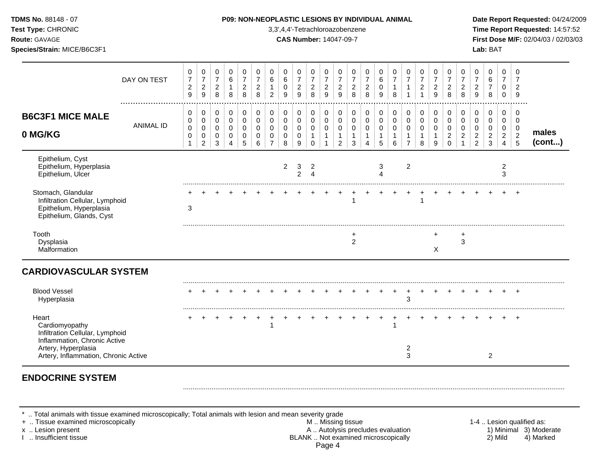| TDMS No. 88148 - 07<br>Test Type: CHRONIC<br>Route: GAVAGE<br>Species/Strain: MICE/B6C3F1                                                                 |                  |                                                               |                                                           |                                            |                                         |                                                   |                                                             |                                                                          |                                                             | P09: NON-NEOPLASTIC LESIONS BY INDIVIDUAL ANIMAL<br>3,3',4,4'-Tetrachloroazobenzene<br><b>CAS Number: 14047-09-7</b> |                                                                       |                                                         |                                                                 |                                                   |                                                                           |                                          |                                          |                                                         |                                                         |                                                    |                                                                              |                                                                             |                                                                     | Lab: BAT                                                            |                                                   |                                                               | Date Report Requested: 04/24/2009<br>Time Report Requested: 14:57:52<br>First Dose M/F: 02/04/03 / 02/03/03 |
|-----------------------------------------------------------------------------------------------------------------------------------------------------------|------------------|---------------------------------------------------------------|-----------------------------------------------------------|--------------------------------------------|-----------------------------------------|---------------------------------------------------|-------------------------------------------------------------|--------------------------------------------------------------------------|-------------------------------------------------------------|----------------------------------------------------------------------------------------------------------------------|-----------------------------------------------------------------------|---------------------------------------------------------|-----------------------------------------------------------------|---------------------------------------------------|---------------------------------------------------------------------------|------------------------------------------|------------------------------------------|---------------------------------------------------------|---------------------------------------------------------|----------------------------------------------------|------------------------------------------------------------------------------|-----------------------------------------------------------------------------|---------------------------------------------------------------------|---------------------------------------------------------------------|---------------------------------------------------|---------------------------------------------------------------|-------------------------------------------------------------------------------------------------------------|
|                                                                                                                                                           | DAY ON TEST      | 0<br>$\boldsymbol{7}$<br>$\boldsymbol{2}$<br>$\boldsymbol{9}$ | 0<br>$\overline{7}$<br>$\overline{2}$<br>$\boldsymbol{9}$ | 0<br>$\overline{7}$<br>$\overline{a}$<br>8 | 0<br>$\,6\,$<br>$\mathbf{1}$<br>8       | 0<br>$\overline{7}$<br>$\overline{c}$<br>8        | 0<br>$\overline{7}$<br>$\overline{c}$<br>8                  | 0<br>$\,6\,$<br>$\mathbf{1}$<br>$\overline{2}$                           | $\mathbf 0$<br>$\,6\,$<br>$\mathbf 0$<br>9                  | 0<br>$\boldsymbol{7}$<br>$\frac{2}{9}$                                                                               | 0<br>$\overline{7}$<br>$\overline{c}$<br>8                            | 0<br>$\overline{7}$<br>$\overline{2}$<br>$\overline{9}$ | 0<br>$\overline{7}$<br>$\overline{c}$<br>$\overline{9}$         | 0<br>$\overline{7}$<br>$\overline{c}$<br>8        | 0<br>$\overline{7}$<br>$\boldsymbol{2}$<br>8                              | 0<br>6<br>$\mathbf 0$<br>9               | 0<br>$\overline{7}$<br>$\mathbf{1}$<br>8 | 0<br>$\overline{7}$<br>$\mathbf{1}$<br>$\mathbf{1}$     | 0<br>$\boldsymbol{7}$<br>$\overline{c}$<br>$\mathbf{1}$ | 0<br>$\overline{7}$<br>$\boldsymbol{2}$<br>9       | 0<br>$\overline{7}$<br>$\sqrt{2}$<br>$\bf8$                                  | 0<br>$\overline{7}$<br>$\begin{array}{c} 2 \\ 8 \end{array}$                | 0<br>$\overline{7}$<br>$\sqrt{2}$<br>$\overline{9}$                 | $\mathbf 0$<br>$\,6\,$<br>$\overline{7}$<br>8                       | 0<br>$\overline{7}$<br>$\mathbf 0$<br>$\mathsf 0$ | $\Omega$<br>$\overline{7}$<br>$\overline{2}$<br>9             |                                                                                                             |
| <b>B6C3F1 MICE MALE</b><br>0 MG/KG                                                                                                                        | <b>ANIMAL ID</b> | 0<br>0<br>0<br>0<br>1                                         | 0<br>$\pmb{0}$<br>0<br>$\mathbf 0$<br>$\overline{2}$      | 0<br>$\pmb{0}$<br>$\mathbf 0$<br>0<br>3    | 0<br>$\pmb{0}$<br>0<br>$\mathbf 0$<br>4 | 0<br>$\pmb{0}$<br>$\mathbf 0$<br>$\mathbf 0$<br>5 | $\mathbf 0$<br>$\pmb{0}$<br>$\mathbf 0$<br>$\mathbf 0$<br>6 | $\mathbf 0$<br>$\mathsf{O}\xspace$<br>0<br>$\mathbf 0$<br>$\overline{7}$ | $\mathbf 0$<br>$\pmb{0}$<br>$\mathbf 0$<br>$\mathbf 0$<br>8 | $\mathbf 0$<br>$\mathbf 0$<br>0<br>0<br>9                                                                            | $\mathbf 0$<br>$\mathbf 0$<br>$\mathbf 0$<br>$\mathbf{1}$<br>$\Omega$ | 0<br>$\mathsf 0$<br>0<br>$\mathbf{1}$<br>$\mathbf{1}$   | 0<br>$\pmb{0}$<br>$\mathbf 0$<br>$\mathbf{1}$<br>$\overline{2}$ | $\mathbf 0$<br>$\pmb{0}$<br>$\mathbf 0$<br>1<br>3 | $\mathbf 0$<br>$\pmb{0}$<br>$\mathbf 0$<br>$\mathbf{1}$<br>$\overline{A}$ | 0<br>$\pmb{0}$<br>0<br>$\mathbf{1}$<br>5 | 0<br>$\pmb{0}$<br>0<br>$\mathbf{1}$<br>6 | $\mathbf 0$<br>0<br>0<br>$\mathbf{1}$<br>$\overline{7}$ | 0<br>$\pmb{0}$<br>0<br>$\mathbf{1}$<br>8                | $\mathbf 0$<br>$\pmb{0}$<br>0<br>$\mathbf{1}$<br>9 | $\mathbf 0$<br>$\mathsf 0$<br>$\mathbf 0$<br>$\boldsymbol{2}$<br>$\mathbf 0$ | $\mathbf 0$<br>$\pmb{0}$<br>$\mathbf 0$<br>$\boldsymbol{2}$<br>$\mathbf{1}$ | $\mathbf 0$<br>$\mathbf 0$<br>0<br>$\overline{2}$<br>$\overline{2}$ | $\mathbf 0$<br>$\mathbf 0$<br>0<br>$\boldsymbol{2}$<br>$\mathbf{3}$ | 0<br>0<br>0<br>$\overline{2}$<br>$\overline{4}$   | $\Omega$<br>$\mathbf 0$<br>$\mathbf 0$<br>$\overline{2}$<br>5 | males<br>(cont)                                                                                             |
| Epithelium, Cyst<br>Epithelium, Hyperplasia<br>Epithelium, Ulcer                                                                                          |                  |                                                               |                                                           |                                            |                                         |                                                   |                                                             |                                                                          | 2                                                           | 3<br>$\overline{2}$                                                                                                  | $\overline{2}$<br>$\overline{4}$                                      |                                                         |                                                                 |                                                   |                                                                           | 3<br>$\overline{\mathbf{4}}$             |                                          | $\overline{2}$                                          |                                                         |                                                    |                                                                              |                                                                             |                                                                     |                                                                     | $\boldsymbol{2}$<br>3                             |                                                               |                                                                                                             |
| Stomach, Glandular<br>Infiltration Cellular, Lymphoid<br>Epithelium, Hyperplasia<br>Epithelium, Glands, Cyst                                              |                  | 3                                                             |                                                           |                                            |                                         |                                                   |                                                             |                                                                          |                                                             |                                                                                                                      |                                                                       |                                                         |                                                                 | $\mathbf{1}$                                      |                                                                           |                                          |                                          |                                                         | 1                                                       |                                                    |                                                                              |                                                                             |                                                                     |                                                                     | $\ddot{}$                                         | $+$                                                           |                                                                                                             |
| Tooth<br>Dysplasia<br>Malformation                                                                                                                        |                  |                                                               |                                                           |                                            |                                         |                                                   |                                                             |                                                                          |                                                             |                                                                                                                      |                                                                       |                                                         |                                                                 | +<br>2                                            |                                                                           |                                          |                                          |                                                         |                                                         | +<br>$\times$                                      |                                                                              | 3                                                                           |                                                                     |                                                                     |                                                   |                                                               |                                                                                                             |
| <b>CARDIOVASCULAR SYSTEM</b>                                                                                                                              |                  |                                                               |                                                           |                                            |                                         |                                                   |                                                             |                                                                          |                                                             |                                                                                                                      |                                                                       |                                                         |                                                                 |                                                   |                                                                           |                                          |                                          |                                                         |                                                         |                                                    |                                                                              |                                                                             |                                                                     |                                                                     |                                                   |                                                               |                                                                                                             |
| <b>Blood Vessel</b><br>Hyperplasia                                                                                                                        |                  |                                                               |                                                           |                                            |                                         |                                                   |                                                             |                                                                          |                                                             |                                                                                                                      |                                                                       |                                                         |                                                                 |                                                   |                                                                           |                                          | $\ddot{}$                                | 3                                                       | $+$                                                     | $\pm$                                              |                                                                              |                                                                             |                                                                     |                                                                     |                                                   | $+$                                                           |                                                                                                             |
| Heart<br>Cardiomyopathy<br>Infiltration Cellular, Lymphoid<br>Inflammation, Chronic Active<br>Artery, Hyperplasia<br>Artery, Inflammation, Chronic Active |                  |                                                               |                                                           |                                            |                                         |                                                   | $\overline{+}$                                              |                                                                          |                                                             |                                                                                                                      |                                                                       |                                                         |                                                                 |                                                   |                                                                           | $\div$                                   |                                          | $\pm$<br>2<br>3                                         |                                                         |                                                    |                                                                              |                                                                             |                                                                     | $\overline{2}$                                                      |                                                   | $+$                                                           |                                                                                                             |

# **ENDOCRINE SYSTEM**

\* .. Total animals with tissue examined microscopically; Total animals with lesion and mean severity grade<br>+ .. Tissue examined microscopically

+ .. Tissue examined microscopically examined microscopically and the state of the state of the state of the state of the M .. Missing tissue M .. Missing tissue and the state of the state of the state of the state of the x .. Lesion present **A .. Autolysis precludes evaluation** A .. Autolysis precludes evaluation 1) Minimal 3) Moderate I .. Insufficient tissue BLANK .. Not examined microscopically 2) Mild 4) Marked Page 4

.........................................................................................................................................................................................................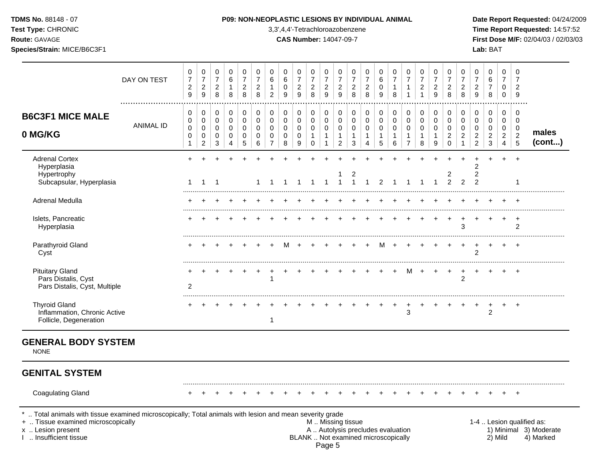## **TDMS No.** 88148 - 07 **P09: NON-NEOPLASTIC LESIONS BY INDIVIDUAL ANIMAL Date Report Requested:** 04/24/2009

**Test Type:** CHRONIC 3,3',4,4'-Tetrachloroazobenzene **Time Report Requested:** 14:57:52 **Route:** GAVAGE **CAS Number:** 14047-09-7 **First Dose M/F:** 02/04/03 / 02/03/03

|                                                                                                                                                                                            | DAY ON TEST      | 0<br>$\overline{7}$<br>$\overline{c}$<br>$\overline{9}$                  | $\pmb{0}$<br>$\overline{7}$<br>$\overline{c}$<br>9                 | 0<br>$\overline{7}$<br>$\overline{a}$<br>8 | 0<br>6<br>$\mathbf{1}$<br>8                                                       | 0<br>$\overline{7}$<br>$\overline{c}$<br>8                    | 0<br>$\overline{7}$<br>$\overline{c}$<br>8                  | 0<br>6<br>$\mathbf{1}$<br>$\overline{2}$                           | 0<br>$\,6$<br>$\mathbf 0$<br>9                              | 0<br>$\overline{7}$<br>$\overline{\mathbf{c}}$<br>$\overline{9}$ | 0<br>$\overline{7}$<br>$\overline{a}$<br>8                             | 0<br>$\overline{7}$<br>$\overline{\mathbf{c}}$<br>9 | 0<br>$\overline{7}$<br>$\overline{2}$<br>9                                                    | 0<br>$\overline{7}$<br>$\sqrt{2}$<br>8                         | 0<br>$\overline{7}$<br>$\boldsymbol{2}$<br>8                            | 0<br>$\,6$<br>$\pmb{0}$<br>$\boldsymbol{9}$         | 0<br>$\overline{7}$<br>$\mathbf{1}$<br>8 | 0<br>$\overline{7}$<br>$\mathbf{1}$<br>$\mathbf{1}$                       | 0<br>$\overline{7}$<br>$\overline{c}$<br>$\mathbf{1}$          | 0<br>$\overline{7}$<br>$\overline{c}$<br>$\overline{9}$ | 0<br>$\overline{7}$<br>$\sqrt{2}$<br>8                                  | 0<br>$\overline{7}$<br>$\sqrt{2}$<br>8                                      | 0<br>$\overline{7}$<br>$\overline{c}$<br>9              | $\mathbf 0$<br>6<br>$\overline{7}$<br>8               | 0<br>$\overline{7}$<br>$\mathbf 0$<br>$\mathbf 0$                   | 0<br>7<br>$\overline{2}$<br>9                                             |                                                                  |
|--------------------------------------------------------------------------------------------------------------------------------------------------------------------------------------------|------------------|--------------------------------------------------------------------------|--------------------------------------------------------------------|--------------------------------------------|-----------------------------------------------------------------------------------|---------------------------------------------------------------|-------------------------------------------------------------|--------------------------------------------------------------------|-------------------------------------------------------------|------------------------------------------------------------------|------------------------------------------------------------------------|-----------------------------------------------------|-----------------------------------------------------------------------------------------------|----------------------------------------------------------------|-------------------------------------------------------------------------|-----------------------------------------------------|------------------------------------------|---------------------------------------------------------------------------|----------------------------------------------------------------|---------------------------------------------------------|-------------------------------------------------------------------------|-----------------------------------------------------------------------------|---------------------------------------------------------|-------------------------------------------------------|---------------------------------------------------------------------|---------------------------------------------------------------------------|------------------------------------------------------------------|
| <b>B6C3F1 MICE MALE</b><br>0 MG/KG                                                                                                                                                         | <b>ANIMAL ID</b> | $\mathbf 0$<br>$\mathbf 0$<br>$\mathbf 0$<br>$\mathbf 0$<br>$\mathbf{1}$ | 0<br>$\mathbf 0$<br>$\mathbf 0$<br>$\mathbf 0$<br>$\boldsymbol{2}$ | $\pmb{0}$<br>0<br>0<br>0<br>3              | $\pmb{0}$<br>$\mathbf 0$<br>$\mathbf 0$<br>$\mathbf 0$<br>$\overline{\mathbf{4}}$ | $\mathbf 0$<br>$\mathbf 0$<br>$\mathbf 0$<br>$\mathbf 0$<br>5 | $\pmb{0}$<br>$\mathbf 0$<br>$\mathbf 0$<br>$\mathbf 0$<br>6 | $\pmb{0}$<br>$\mathbf 0$<br>$\Omega$<br>$\Omega$<br>$\overline{7}$ | $\mathsf 0$<br>$\pmb{0}$<br>$\mathbf 0$<br>$\mathbf 0$<br>8 | $\pmb{0}$<br>$\mathbf 0$<br>$\mathbf 0$<br>0<br>$\boldsymbol{9}$ | $\pmb{0}$<br>$\mathbf 0$<br>$\mathbf 0$<br>$\mathbf{1}$<br>$\mathbf 0$ | 0<br>0<br>0<br>$\mathbf{1}$<br>$\mathbf{1}$         | $\mathbf 0$<br>$\mathbf 0$<br>$\mathbf 0$<br>$\overline{1}$<br>$\overline{c}$                 | $\mathbf 0$<br>$\mathbf 0$<br>$\mathbf 0$<br>$\mathbf{1}$<br>3 | $\pmb{0}$<br>$\pmb{0}$<br>$\mathbf 0$<br>$\mathbf{1}$<br>$\overline{4}$ | 0<br>$\mathbf 0$<br>0<br>$\mathbf{1}$<br>$\sqrt{5}$ | $\pmb{0}$<br>0<br>0<br>$\mathbf{1}$<br>6 | $\pmb{0}$<br>$\mathsf 0$<br>$\mathbf 0$<br>$\mathbf{1}$<br>$\overline{7}$ | $\mathbf 0$<br>$\mathbf 0$<br>$\mathbf 0$<br>$\mathbf{1}$<br>8 | 0<br>0<br>0<br>$\mathbf{1}$<br>9                        | $\mathbf 0$<br>$\mathbf 0$<br>$\mathbf 0$<br>$\overline{2}$<br>$\Omega$ | $\mathbf 0$<br>$\mathbf 0$<br>$\mathbf 0$<br>$\overline{2}$<br>$\mathbf{1}$ | $\pmb{0}$<br>0<br>0<br>$\overline{c}$<br>$\overline{c}$ | 0<br>$\mathbf 0$<br>0<br>$\overline{2}$<br>$\sqrt{3}$ | 0<br>$\mathbf 0$<br>$\mathbf 0$<br>$\overline{2}$<br>$\overline{4}$ | $\mathbf 0$<br>$\mathbf 0$<br>$\mathbf 0$<br>$\overline{c}$<br>$\sqrt{5}$ | males<br>(cont)                                                  |
| <b>Adrenal Cortex</b><br>Hyperplasia<br>Hypertrophy<br>Subcapsular, Hyperplasia                                                                                                            |                  | $\mathbf 1$                                                              | $\mathbf{1}$                                                       | $\overline{1}$                             |                                                                                   |                                                               |                                                             |                                                                    |                                                             |                                                                  | -1                                                                     | 1                                                   | -1                                                                                            | 2<br>$\mathbf{1}$                                              | $\mathbf 1$                                                             | 2                                                   |                                          |                                                                           |                                                                |                                                         | 2<br>$\overline{2}$                                                     | $\overline{2}$                                                              | $\overline{2}$<br>$\overline{c}$<br>$\overline{2}$      |                                                       | $\ddot{}$                                                           | $\ddot{}$                                                                 |                                                                  |
| Adrenal Medulla                                                                                                                                                                            |                  |                                                                          |                                                                    |                                            |                                                                                   |                                                               |                                                             |                                                                    |                                                             |                                                                  |                                                                        |                                                     |                                                                                               |                                                                |                                                                         |                                                     |                                          |                                                                           |                                                                |                                                         |                                                                         |                                                                             |                                                         |                                                       |                                                                     |                                                                           |                                                                  |
| Islets, Pancreatic<br>Hyperplasia                                                                                                                                                          |                  |                                                                          |                                                                    |                                            |                                                                                   |                                                               |                                                             |                                                                    |                                                             |                                                                  |                                                                        |                                                     |                                                                                               |                                                                |                                                                         |                                                     |                                          |                                                                           |                                                                |                                                         |                                                                         | 3                                                                           |                                                         |                                                       |                                                                     | $\ddot{}$<br>$\mathcal{P}$                                                |                                                                  |
| Parathyroid Gland<br>Cyst                                                                                                                                                                  |                  |                                                                          |                                                                    |                                            |                                                                                   |                                                               |                                                             |                                                                    |                                                             |                                                                  |                                                                        |                                                     |                                                                                               |                                                                |                                                                         | м                                                   |                                          |                                                                           |                                                                |                                                         |                                                                         | $\div$                                                                      | $\ddot{}$<br>$\overline{2}$                             |                                                       |                                                                     |                                                                           |                                                                  |
| <b>Pituitary Gland</b><br>Pars Distalis, Cyst<br>Pars Distalis, Cyst, Multiple                                                                                                             |                  | $\overline{2}$                                                           |                                                                    |                                            |                                                                                   |                                                               |                                                             |                                                                    |                                                             |                                                                  |                                                                        |                                                     |                                                                                               |                                                                |                                                                         |                                                     |                                          | м                                                                         |                                                                |                                                         |                                                                         | $\ddot{}$<br>$\overline{2}$                                                 |                                                         |                                                       |                                                                     |                                                                           |                                                                  |
| <b>Thyroid Gland</b><br>Inflammation, Chronic Active<br>Follicle, Degeneration                                                                                                             |                  |                                                                          |                                                                    |                                            |                                                                                   |                                                               |                                                             | $\mathbf{1}$                                                       |                                                             |                                                                  |                                                                        |                                                     |                                                                                               |                                                                |                                                                         |                                                     | $\ddot{}$                                | 3                                                                         |                                                                |                                                         |                                                                         |                                                                             |                                                         | 2                                                     | $\ddot{}$                                                           | $\overline{ }$                                                            |                                                                  |
| <b>GENERAL BODY SYSTEM</b><br><b>NONE</b>                                                                                                                                                  |                  |                                                                          |                                                                    |                                            |                                                                                   |                                                               |                                                             |                                                                    |                                                             |                                                                  |                                                                        |                                                     |                                                                                               |                                                                |                                                                         |                                                     |                                          |                                                                           |                                                                |                                                         |                                                                         |                                                                             |                                                         |                                                       |                                                                     |                                                                           |                                                                  |
| <b>GENITAL SYSTEM</b>                                                                                                                                                                      |                  |                                                                          |                                                                    |                                            |                                                                                   |                                                               |                                                             |                                                                    |                                                             |                                                                  |                                                                        |                                                     |                                                                                               |                                                                |                                                                         |                                                     |                                          |                                                                           |                                                                |                                                         |                                                                         |                                                                             |                                                         |                                                       |                                                                     |                                                                           |                                                                  |
| <b>Coagulating Gland</b>                                                                                                                                                                   |                  |                                                                          |                                                                    |                                            |                                                                                   |                                                               |                                                             |                                                                    |                                                             |                                                                  |                                                                        |                                                     |                                                                                               |                                                                |                                                                         |                                                     |                                          |                                                                           |                                                                |                                                         |                                                                         |                                                                             |                                                         |                                                       |                                                                     |                                                                           |                                                                  |
| Total animals with tissue examined microscopically; Total animals with lesion and mean severity grade<br>+  Tissue examined microscopically<br>x  Lesion present<br>1  Insufficient tissue |                  |                                                                          |                                                                    |                                            |                                                                                   |                                                               |                                                             |                                                                    |                                                             |                                                                  |                                                                        | Page 5                                              | M  Missing tissue<br>A  Autolysis precludes evaluation<br>BLANK  Not examined microscopically |                                                                |                                                                         |                                                     |                                          |                                                                           |                                                                |                                                         |                                                                         |                                                                             |                                                         |                                                       | 2) Mild                                                             |                                                                           | 1-4  Lesion qualified as:<br>1) Minimal 3) Moderate<br>4) Marked |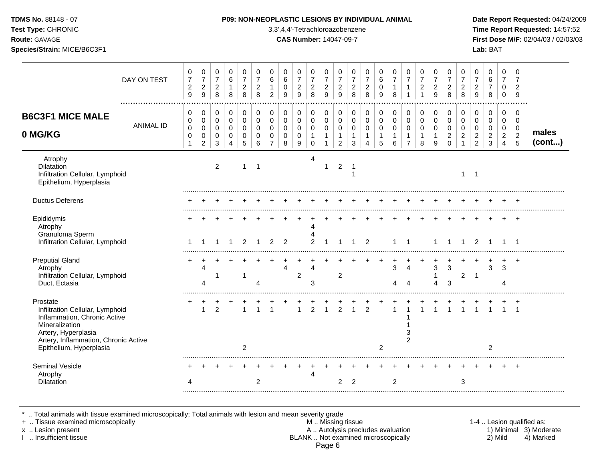| <b>TDMS No. 88148 - 07</b> |  |
|----------------------------|--|
| <b>Test Type: CHRONIC</b>  |  |

## **P09: NON-NEOPLASTIC LESIONS BY INDIVIDUAL ANIMAL Date Report Requested: 04/24/2009**

**Time Report Requested:** 14:57:52 **Route:** GAVAGE **CAS Number:** 14047-09-7 **First Dose M/F:** 02/04/03 / 02/03/03 **Species/Strain:** MICE/B6C3F1 **Lab:** BAT

|                                                                                                                                                                                         | DAY ON TEST      | 0<br>$\overline{7}$<br>$\overline{c}$<br>9 | 0<br>$\overline{7}$<br>$\overline{c}$<br>$\boldsymbol{9}$ | 0<br>$\overline{7}$<br>$\overline{c}$<br>8        | 0<br>6<br>$\mathbf{1}$<br>8                         | 0<br>$\overline{7}$<br>$\overline{2}$<br>$\,8\,$    | 0<br>$\overline{7}$<br>$\overline{2}$<br>8 | 0<br>6<br>$\mathbf{1}$<br>$\overline{2}$         | $\mathbf 0$<br>6<br>$\mathbf 0$<br>9                     | 0<br>$\overline{7}$<br>$\overline{c}$<br>9                  | 0<br>$\overline{7}$<br>$\boldsymbol{2}$<br>8                | 0<br>$\overline{7}$<br>$\boldsymbol{2}$<br>9                    | 0<br>$\overline{7}$<br>$\overline{c}$<br>$\boldsymbol{9}$ | 0<br>$\overline{7}$<br>$\overline{2}$<br>8 | 0<br>$\overline{7}$<br>$\overline{2}$<br>8 | 0<br>6<br>$\Omega$<br>9                    | 0<br>$\overline{7}$<br>$\mathbf{1}$<br>8 | 0<br>$\overline{7}$<br>$\mathbf{1}$<br>$\overline{1}$ | 0<br>$\overline{7}$<br>$\boldsymbol{2}$<br>$\mathbf{1}$ | 0<br>$\overline{7}$<br>$\boldsymbol{2}$<br>$\boldsymbol{9}$ | 0<br>$\overline{7}$<br>$\overline{2}$<br>8                    | 0<br>$\overline{7}$<br>$\overline{c}$<br>8          | $\mathbf 0$<br>$\overline{7}$<br>$\overline{c}$<br>9 | 0<br>6<br>$\overline{7}$<br>8                                 | 0<br>$\overline{7}$<br>$\mathbf 0$<br>$\mathbf 0$ | $\Omega$<br>$\overline{7}$<br>$\overline{2}$<br>9                |                 |
|-----------------------------------------------------------------------------------------------------------------------------------------------------------------------------------------|------------------|--------------------------------------------|-----------------------------------------------------------|---------------------------------------------------|-----------------------------------------------------|-----------------------------------------------------|--------------------------------------------|--------------------------------------------------|----------------------------------------------------------|-------------------------------------------------------------|-------------------------------------------------------------|-----------------------------------------------------------------|-----------------------------------------------------------|--------------------------------------------|--------------------------------------------|--------------------------------------------|------------------------------------------|-------------------------------------------------------|---------------------------------------------------------|-------------------------------------------------------------|---------------------------------------------------------------|-----------------------------------------------------|------------------------------------------------------|---------------------------------------------------------------|---------------------------------------------------|------------------------------------------------------------------|-----------------|
| <b>B6C3F1 MICE MALE</b><br>0 MG/KG                                                                                                                                                      | <b>ANIMAL ID</b> | 0<br>0<br>$\pmb{0}$<br>0<br>$\mathbf{1}$   | 0<br>$\pmb{0}$<br>$\mathsf 0$<br>$\pmb{0}$<br>2           | 0<br>$\mathbf 0$<br>$\mathsf{O}\xspace$<br>0<br>3 | 0<br>$\mathbf 0$<br>$\mathbf 0$<br>$\mathbf 0$<br>4 | $\mathbf 0$<br>$\mathbf 0$<br>$\mathbf 0$<br>0<br>5 | 0<br>$\mathbf 0$<br>$\Omega$<br>0<br>6     | 0<br>0<br>$\Omega$<br>$\Omega$<br>$\overline{7}$ | $\mathbf 0$<br>$\pmb{0}$<br>$\Omega$<br>$\mathbf 0$<br>8 | $\mathbf 0$<br>$\pmb{0}$<br>$\mathbf 0$<br>$\mathbf 0$<br>9 | 0<br>$\mathbf 0$<br>$\mathbf 0$<br>$\mathbf{1}$<br>$\Omega$ | 0<br>$\mathbf 0$<br>$\mathbf 0$<br>$\mathbf{1}$<br>$\mathbf{1}$ | 0<br>$\mathbf 0$<br>$\mathsf 0$<br>$\mathbf{1}$<br>2      | 0<br>$\mathbf 0$<br>$\mathbf 0$<br>1<br>3  | 0<br>0<br>$\mathbf 0$<br>$\mathbf{1}$<br>4 | 0<br>$\mathbf 0$<br>$\mathbf 0$<br>-1<br>5 | 0<br>$\pmb{0}$<br>$\mathbf 0$<br>1<br>6  | 0<br>$\pmb{0}$<br>$\mathbf 0$<br>-1<br>$\overline{7}$ | 0<br>$\mathbf 0$<br>$\mathbf 0$<br>$\mathbf{1}$<br>8    | 0<br>$\pmb{0}$<br>$\mathbf 0$<br>$\mathbf{1}$<br>9          | 0<br>$\mathbf 0$<br>$\mathbf 0$<br>$\overline{c}$<br>$\Omega$ | 0<br>0<br>$\Omega$<br>$\overline{2}$<br>$\mathbf 1$ | 0<br>$\mathbf 0$<br>$\Omega$<br>$\overline{c}$<br>2  | $\mathbf 0$<br>$\mathsf 0$<br>$\Omega$<br>$\overline{2}$<br>3 | 0<br>0<br>$\mathbf 0$<br>$\overline{2}$<br>4      | $\mathbf 0$<br>$\mathbf 0$<br>$\mathbf 0$<br>$\overline{2}$<br>5 | males<br>(cont) |
| Atrophy<br><b>Dilatation</b><br>Infiltration Cellular, Lymphoid<br>Epithelium, Hyperplasia                                                                                              |                  |                                            |                                                           | 2                                                 |                                                     |                                                     | 1                                          |                                                  |                                                          |                                                             | 4                                                           | 1                                                               | 2                                                         | -1<br>1                                    |                                            |                                            |                                          |                                                       |                                                         |                                                             |                                                               |                                                     | $1 \quad 1$                                          |                                                               |                                                   |                                                                  |                 |
| <b>Ductus Deferens</b>                                                                                                                                                                  |                  |                                            |                                                           |                                                   |                                                     |                                                     |                                            |                                                  |                                                          |                                                             |                                                             |                                                                 |                                                           |                                            |                                            |                                            |                                          |                                                       |                                                         |                                                             |                                                               |                                                     |                                                      |                                                               |                                                   |                                                                  |                 |
| Epididymis<br>Atrophy<br>Granuloma Sperm<br>Infiltration Cellular, Lymphoid                                                                                                             |                  | -1                                         |                                                           |                                                   |                                                     | 2                                                   |                                            | 2                                                | $\overline{2}$                                           |                                                             | 4<br>Δ<br>$\overline{2}$                                    |                                                                 |                                                           |                                            | 2                                          |                                            | 1                                        | -1                                                    |                                                         |                                                             |                                                               |                                                     | $\overline{2}$                                       |                                                               |                                                   |                                                                  |                 |
| <b>Preputial Gland</b><br>Atrophy<br>Infiltration Cellular, Lymphoid<br>Duct, Ectasia                                                                                                   |                  |                                            | 4<br>4                                                    |                                                   |                                                     | $\overline{1}$                                      | 4                                          |                                                  | 4                                                        | $\overline{2}$                                              | 4<br>3                                                      |                                                                 | 2                                                         |                                            |                                            |                                            | 3<br>Λ                                   | 4<br>4                                                |                                                         | $\ensuremath{\mathsf{3}}$<br>1<br>$\overline{4}$            | 3<br>3                                                        | $\overline{2}$                                      | $\overline{\mathbf{1}}$                              | 3                                                             | 3<br>Λ                                            | $\pm$                                                            |                 |
| Prostate<br>Infiltration Cellular, Lymphoid<br>Inflammation, Chronic Active<br>Mineralization<br>Artery, Hyperplasia<br>Artery, Inflammation, Chronic Active<br>Epithelium, Hyperplasia |                  | +                                          | $\div$<br>$\mathbf{1}$                                    | $\overline{2}$                                    |                                                     | $\overline{2}$                                      | $\mathbf{1}$                               |                                                  |                                                          | $\overline{1}$                                              | $\overline{2}$                                              | $\overline{1}$                                                  | $\frac{+}{2}$                                             | $\frac{+}{1}$                              | $\overline{2}$                             | $\overline{2}$                             | $\overline{1}$                           | 3<br>$\overline{c}$                                   |                                                         | $\overline{1}$                                              | $\mathbf{1}$                                                  | $\overline{1}$                                      | $\overline{1}$                                       | $\overline{1}$<br>$\overline{2}$                              |                                                   | $\overline{1}$                                                   |                 |
| <b>Seminal Vesicle</b><br>Atrophy<br><b>Dilatation</b>                                                                                                                                  |                  | Δ                                          |                                                           |                                                   |                                                     |                                                     | $\overline{2}$                             |                                                  |                                                          |                                                             | 4                                                           |                                                                 | 2                                                         | 2                                          |                                            |                                            | $\overline{2}$                           |                                                       |                                                         |                                                             |                                                               | 3                                                   |                                                      |                                                               |                                                   | $\overline{+}$                                                   |                 |

\* .. Total animals with tissue examined microscopically; Total animals with lesion and mean severity grade

+ .. Tissue examined microscopically M .. Missing tissue 1-4 .. Lesion qualified as: x .. Lesion present **A .. Autolysis precludes evaluation** A .. Autolysis precludes evaluation 1) Minimal 3) Moderate I .. Insufficient tissue BLANK .. Not examined microscopically 2) Mild 4) Marked Page 6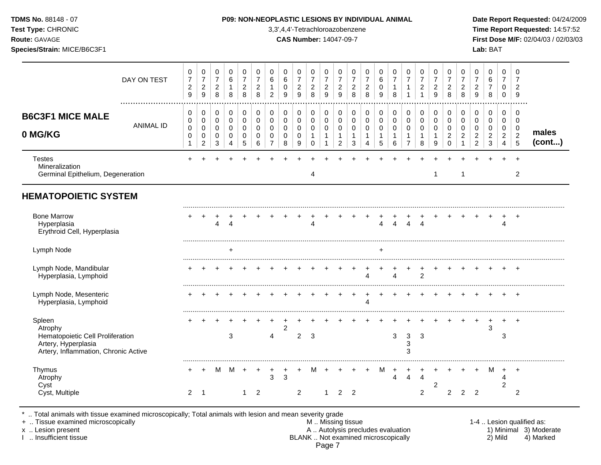**Test Type:** CHRONIC 3,3',4,4'-Tetrachloroazobenzene **Time Report Requested:** 14:57:52 **Route:** GAVAGE **CAS Number:** 14047-09-7 **First Dose M/F:** 02/04/03 / 02/03/03 **Species/Strain:** MICE/B6C3F1 **Lab:** BAT

|                                                                                                                      | DAY ON TEST      | 0<br>$\boldsymbol{7}$<br>$\overline{c}$<br>9      | $\pmb{0}$<br>$\overline{7}$<br>$\sqrt{2}$<br>$\boldsymbol{9}$ | 0<br>$\overline{7}$<br>$\overline{2}$<br>8         | $\pmb{0}$<br>$\,6$<br>$\mathbf{1}$<br>8                 | 0<br>$\overline{7}$<br>$\overline{c}$<br>8 | 0<br>$\overline{7}$<br>$\overline{c}$<br>8 | 0<br>$6\phantom{1}6$<br>$\mathbf 1$<br>$\overline{2}$                   | 0<br>6<br>$\pmb{0}$<br>9                                    | 0<br>$\overline{7}$<br>$\sqrt{2}$<br>$\overline{9}$ | 0<br>$\overline{7}$<br>$\boldsymbol{2}$<br>8 | 0<br>$\overline{7}$<br>$\sqrt{2}$<br>9                         | 0<br>$\overline{7}$<br>$\overline{c}$<br>9             | 0<br>$\overline{7}$<br>$\overline{c}$<br>8 | 0<br>$\overline{7}$<br>$\overline{c}$<br>8 | $\pmb{0}$<br>6<br>$\mathbf 0$<br>9           | 0<br>$\overline{7}$<br>1<br>8           | 0<br>$\overline{7}$<br>$\mathbf{1}$<br>$\overline{1}$ | 0<br>$\overline{7}$<br>$\sqrt{2}$<br>1             | 0<br>$\overline{7}$<br>$\overline{\mathbf{c}}$<br>9    | 0<br>$\overline{7}$<br>$\overline{c}$<br>8                              | 0<br>$\overline{7}$<br>$\overline{c}$<br>8    | 0<br>$\overline{7}$<br>$\boldsymbol{2}$<br>9                     | 0<br>6<br>$\overline{7}$<br>8                          | 0<br>$\overline{7}$<br>0<br>0                                       | 0<br>$\overline{7}$<br>$\overline{c}$<br>9                 |                 |
|----------------------------------------------------------------------------------------------------------------------|------------------|---------------------------------------------------|---------------------------------------------------------------|----------------------------------------------------|---------------------------------------------------------|--------------------------------------------|--------------------------------------------|-------------------------------------------------------------------------|-------------------------------------------------------------|-----------------------------------------------------|----------------------------------------------|----------------------------------------------------------------|--------------------------------------------------------|--------------------------------------------|--------------------------------------------|----------------------------------------------|-----------------------------------------|-------------------------------------------------------|----------------------------------------------------|--------------------------------------------------------|-------------------------------------------------------------------------|-----------------------------------------------|------------------------------------------------------------------|--------------------------------------------------------|---------------------------------------------------------------------|------------------------------------------------------------|-----------------|
| <b>B6C3F1 MICE MALE</b><br>0 MG/KG                                                                                   | <b>ANIMAL ID</b> | 0<br>$\pmb{0}$<br>$\mathbf 0$<br>$\mathbf 0$<br>1 | 0<br>$\pmb{0}$<br>0<br>$\pmb{0}$<br>$\overline{c}$            | 0<br>$\pmb{0}$<br>$\mathbf 0$<br>0<br>$\mathbf{3}$ | $\pmb{0}$<br>$\pmb{0}$<br>$\mathbf 0$<br>$\pmb{0}$<br>4 | 0<br>$\mathbf 0$<br>$\mathbf 0$<br>0<br>5  | 0<br>0<br>0<br>0<br>6                      | $\mathbf 0$<br>$\mathbf 0$<br>$\Omega$<br>$\mathbf 0$<br>$\overline{7}$ | $\mathbf 0$<br>$\pmb{0}$<br>$\mathbf 0$<br>$\mathbf 0$<br>8 | 0<br>$\pmb{0}$<br>$\mathbf 0$<br>$\mathbf 0$<br>9   | 0<br>0<br>0<br>$\mathbf{1}$<br>$\mathbf 0$   | 0<br>$\mathbf 0$<br>$\mathbf 0$<br>$\mathbf{1}$<br>$\mathbf 1$ | 0<br>$\mathbf 0$<br>$\mathbf 0$<br>1<br>$\overline{2}$ | 0<br>$\mathbf 0$<br>$\mathbf 0$<br>1<br>3  | 0<br>$\mathbf 0$<br>$\mathbf 0$<br>1<br>4  | $\pmb{0}$<br>$\mathbf 0$<br>$\mathbf 0$<br>5 | 0<br>$\mathsf{O}\xspace$<br>0<br>1<br>6 | 0<br>$\pmb{0}$<br>0<br>$\mathbf{1}$<br>$\overline{7}$ | 0<br>$\pmb{0}$<br>$\mathbf 0$<br>$\mathbf{1}$<br>8 | 0<br>$\pmb{0}$<br>$\mathbf 0$<br>1<br>$\boldsymbol{9}$ | $\mathbf 0$<br>$\mathbf 0$<br>$\mathbf 0$<br>$\overline{c}$<br>$\Omega$ | 0<br>$\mathbf 0$<br>0<br>$\overline{c}$<br>-1 | 0<br>$\mathbf 0$<br>$\Omega$<br>$\overline{2}$<br>$\overline{2}$ | 0<br>$\mathsf 0$<br>$\mathbf 0$<br>$\overline{c}$<br>3 | 0<br>$\pmb{0}$<br>$\mathbf 0$<br>$\boldsymbol{2}$<br>$\overline{4}$ | $\mathbf 0$<br>$\mathbf 0$<br>$\mathbf 0$<br>$\frac{2}{5}$ | males<br>(cont) |
| <b>Testes</b><br>Mineralization<br>Germinal Epithelium, Degeneration                                                 |                  |                                                   |                                                               |                                                    |                                                         |                                            |                                            |                                                                         |                                                             |                                                     | 4                                            |                                                                |                                                        |                                            |                                            |                                              |                                         |                                                       |                                                    | $\mathbf{1}$                                           |                                                                         | -1                                            |                                                                  |                                                        |                                                                     | $\overline{2}$                                             |                 |
| <b>HEMATOPOIETIC SYSTEM</b>                                                                                          |                  |                                                   |                                                               |                                                    |                                                         |                                            |                                            |                                                                         |                                                             |                                                     |                                              |                                                                |                                                        |                                            |                                            |                                              |                                         |                                                       |                                                    |                                                        |                                                                         |                                               |                                                                  |                                                        |                                                                     |                                                            |                 |
| <b>Bone Marrow</b><br>Hyperplasia<br>Erythroid Cell, Hyperplasia                                                     |                  |                                                   |                                                               | 4                                                  | $\overline{4}$                                          |                                            |                                            |                                                                         |                                                             |                                                     | Δ                                            |                                                                |                                                        |                                            |                                            | $\overline{4}$                               | 4                                       | $\overline{4}$                                        | $\overline{4}$                                     |                                                        |                                                                         |                                               |                                                                  |                                                        | 4                                                                   | $\overline{+}$                                             |                 |
| Lymph Node                                                                                                           |                  |                                                   |                                                               |                                                    | ÷.                                                      |                                            |                                            |                                                                         |                                                             |                                                     |                                              |                                                                |                                                        |                                            |                                            |                                              |                                         |                                                       |                                                    |                                                        |                                                                         |                                               |                                                                  |                                                        |                                                                     |                                                            |                 |
| Lymph Node, Mandibular<br>Hyperplasia, Lymphoid                                                                      |                  |                                                   |                                                               |                                                    |                                                         |                                            |                                            |                                                                         |                                                             |                                                     |                                              |                                                                |                                                        |                                            | Λ                                          |                                              | 4                                       |                                                       | $\overline{2}$                                     |                                                        |                                                                         |                                               |                                                                  |                                                        |                                                                     |                                                            |                 |
| Lymph Node, Mesenteric<br>Hyperplasia, Lymphoid                                                                      |                  |                                                   |                                                               |                                                    |                                                         |                                            |                                            |                                                                         |                                                             |                                                     |                                              |                                                                |                                                        |                                            | 4                                          |                                              |                                         |                                                       |                                                    |                                                        |                                                                         |                                               |                                                                  |                                                        | $\div$                                                              | $+$                                                        |                 |
| Spleen<br>Atrophy<br>Hematopoietic Cell Proliferation<br>Artery, Hyperplasia<br>Artery, Inflammation, Chronic Active |                  |                                                   |                                                               |                                                    | 3                                                       |                                            |                                            | 4                                                                       | $\overline{2}$                                              | $\overline{2}$                                      | -3                                           |                                                                |                                                        |                                            |                                            |                                              | 3                                       | 3<br>3<br>3                                           | 3                                                  |                                                        |                                                                         |                                               |                                                                  | 3                                                      | 3                                                                   |                                                            |                 |
| Thymus<br>Atrophy<br>Cyst<br>Cyst, Multiple                                                                          |                  | $\overline{2}$                                    | -1                                                            | M                                                  | M                                                       | $\div$<br>1                                | 2                                          | 3                                                                       | $\div$<br>3                                                 | $\overline{2}$                                      |                                              | $\mathbf{1}$                                                   | 2                                                      | 2                                          |                                            | M                                            | ÷<br>4                                  | $\div$<br>$\overline{4}$                              | $\overline{4}$<br>$\overline{c}$                   | 2                                                      | 2                                                                       | 2                                             | $\overline{2}$                                                   | м                                                      | $+$<br>4<br>$\overline{2}$                                          | $\overline{ }$<br>$\overline{c}$                           |                 |

\* .. Total animals with tissue examined microscopically; Total animals with lesion and mean severity grade

+ .. Tissue examined microscopically M .. Missing tissue 1-4 .. Lesion qualified as: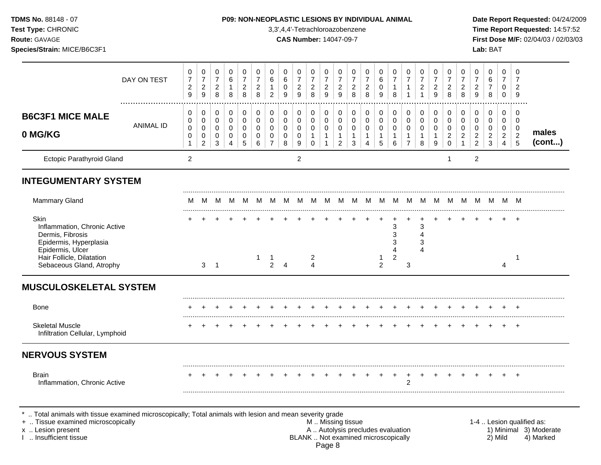| TDMS No. 88148 - 07<br>Test Type: CHRONIC<br>Route: GAVAGE<br>Species/Strain: MICE/B6C3F1                                                      |             |                                            |                                                  |                                          |                                            |                                                      |                                                         |                                                        |                              | 3,3',4,4'-Tetrachloroazobenzene<br><b>CAS Number: 14047-09-7</b> |                                                            |                                                               |                                                                        |                                                      | P09: NON-NEOPLASTIC LESIONS BY INDIVIDUAL ANIMAL                      |                                                        |                                                      |                                                       |                                                         |                                                                         |                                                                          |                                                                            |                                                             | Lab: BAT                            |                                                         |                                                           | Date Report Requested: 04/24/2009<br>Time Report Requested: 14:57:52<br>First Dose M/F: 02/04/03 / 02/03/03 |
|------------------------------------------------------------------------------------------------------------------------------------------------|-------------|--------------------------------------------|--------------------------------------------------|------------------------------------------|--------------------------------------------|------------------------------------------------------|---------------------------------------------------------|--------------------------------------------------------|------------------------------|------------------------------------------------------------------|------------------------------------------------------------|---------------------------------------------------------------|------------------------------------------------------------------------|------------------------------------------------------|-----------------------------------------------------------------------|--------------------------------------------------------|------------------------------------------------------|-------------------------------------------------------|---------------------------------------------------------|-------------------------------------------------------------------------|--------------------------------------------------------------------------|----------------------------------------------------------------------------|-------------------------------------------------------------|-------------------------------------|---------------------------------------------------------|-----------------------------------------------------------|-------------------------------------------------------------------------------------------------------------|
|                                                                                                                                                | DAY ON TEST | 0<br>$\overline{7}$<br>$\overline{c}$<br>9 | 0<br>$\boldsymbol{7}$<br>$\overline{a}$<br>$9\,$ | 0<br>$\boldsymbol{7}$<br>$_{\rm 2}^2$    | 0<br>$\,6\,$<br>$\mathbf{1}$<br>8          | 0<br>$\boldsymbol{7}$<br>$\boldsymbol{2}$<br>$\,8\,$ | 0<br>$\boldsymbol{7}$<br>$\sqrt{2}$<br>$\boldsymbol{8}$ | 0<br>6<br>$\mathbf{1}$<br>$\overline{2}$               | 0<br>$\,6$<br>$\pmb{0}$<br>9 | 0<br>$\boldsymbol{7}$<br>$\sqrt{2}$<br>9                         | 0<br>$\overline{7}$<br>$\overline{\mathbf{c}}$<br>8        | 0<br>$\boldsymbol{7}$<br>$\frac{2}{9}$                        | 0<br>$\boldsymbol{7}$<br>$\frac{2}{9}$                                 | 0<br>$\overline{7}$<br>$\overline{c}$<br>$\,8\,$     | 0<br>$\boldsymbol{7}$<br>$\sqrt{2}$<br>$\,8\,$                        | 0<br>$\,6$<br>$\pmb{0}$<br>$9\,$                       | 0<br>$\boldsymbol{7}$<br>$\mathbf{1}$<br>8           | 0<br>$\boldsymbol{7}$<br>$\mathbf{1}$<br>$\mathbf{1}$ | 0<br>$\boldsymbol{7}$<br>$\overline{c}$<br>$\mathbf{1}$ | 0<br>$\overline{7}$<br>$\overline{\mathbf{c}}$<br>$\overline{9}$        | 0<br>$\boldsymbol{7}$<br>$_{\rm 2}^2$                                    | 0<br>$\boldsymbol{7}$<br>$_{\rm 8}^2$                                      | 0<br>$\overline{7}$<br>$\boldsymbol{2}$<br>$\boldsymbol{9}$ | 0<br>6<br>$\overline{7}$<br>$\,8\,$ | 0<br>$\overline{7}$<br>0<br>0                           | $\Omega$<br>7<br>$\overline{2}$<br>$\boldsymbol{9}$       |                                                                                                             |
| <b>B6C3F1 MICE MALE</b><br>0 MG/KG                                                                                                             | ANIMAL ID   | 0<br>0<br>$\mathbf 0$<br>0<br>$\mathbf{1}$ | 0<br>0<br>0<br>$\pmb{0}$<br>$\overline{2}$       | 0<br>0<br>$\pmb{0}$<br>0<br>$\mathbf{3}$ | $\pmb{0}$<br>0<br>0<br>0<br>$\overline{4}$ | $\pmb{0}$<br>0<br>0<br>0<br>$\sqrt{5}$               | $\pmb{0}$<br>0<br>$\mathbf 0$<br>$\pmb{0}$<br>6         | 0<br>$\mathbf 0$<br>$\mathbf 0$<br>0<br>$\overline{7}$ | 0<br>0<br>0<br>0<br>8        | 0<br>0<br>0<br>0<br>9                                            | $\pmb{0}$<br>0<br>$\pmb{0}$<br>$\mathbf{1}$<br>$\mathbf 0$ | $\pmb{0}$<br>$\mathbf 0$<br>0<br>$\mathbf{1}$<br>$\mathbf{1}$ | $\pmb{0}$<br>$\pmb{0}$<br>$\mathbf 0$<br>$\mathbf 1$<br>$\overline{2}$ | 0<br>$\mathbf 0$<br>$\mathbf 0$<br>$\mathbf{1}$<br>3 | $\pmb{0}$<br>$\pmb{0}$<br>$\pmb{0}$<br>$\mathbf{1}$<br>$\overline{4}$ | 0<br>0<br>$\mathbf 0$<br>$\mathbf 1$<br>$\overline{5}$ | 0<br>$\mathbf 0$<br>$\mathbf 0$<br>$\mathbf{1}$<br>6 | 0<br>0<br>0<br>$\mathbf{1}$<br>$\overline{7}$         | 0<br>0<br>$\pmb{0}$<br>$\mathbf{1}$<br>8                | $\pmb{0}$<br>$\pmb{0}$<br>$\pmb{0}$<br>$\mathbf{1}$<br>$\boldsymbol{9}$ | $\pmb{0}$<br>$\mathbf 0$<br>$\mathbf 0$<br>$\overline{c}$<br>$\mathbf 0$ | 0<br>$\mathbf 0$<br>$\mathbf 0$<br>$\overline{\mathbf{c}}$<br>$\mathbf{1}$ | 0<br>0<br>0<br>$\overline{c}$<br>$\overline{2}$             | 0<br>0<br>0<br>$\overline{c}$<br>3  | $\pmb{0}$<br>0<br>0<br>$\overline{2}$<br>$\overline{4}$ | 0<br>$\mathbf 0$<br>0<br>$\overline{2}$<br>$\overline{5}$ | males<br>(cont)                                                                                             |
| Ectopic Parathyroid Gland                                                                                                                      |             | $\overline{2}$                             |                                                  |                                          |                                            |                                                      |                                                         |                                                        |                              | $\overline{2}$                                                   |                                                            |                                                               |                                                                        |                                                      |                                                                       |                                                        |                                                      |                                                       |                                                         |                                                                         |                                                                          |                                                                            | $\overline{2}$                                              |                                     |                                                         |                                                           |                                                                                                             |
| <b>INTEGUMENTARY SYSTEM</b>                                                                                                                    |             |                                            |                                                  |                                          |                                            |                                                      |                                                         |                                                        |                              |                                                                  |                                                            |                                                               |                                                                        |                                                      |                                                                       |                                                        |                                                      |                                                       |                                                         |                                                                         |                                                                          |                                                                            |                                                             |                                     |                                                         |                                                           |                                                                                                             |
| <b>Mammary Gland</b>                                                                                                                           |             |                                            |                                                  |                                          |                                            |                                                      |                                                         |                                                        |                              |                                                                  |                                                            |                                                               |                                                                        |                                                      |                                                                       |                                                        |                                                      |                                                       |                                                         |                                                                         |                                                                          |                                                                            |                                                             |                                     |                                                         |                                                           |                                                                                                             |
| Skin<br>Inflammation, Chronic Active<br>Dermis, Fibrosis<br>Epidermis, Hyperplasia<br>Epidermis, Ulcer                                         |             | +                                          |                                                  |                                          |                                            |                                                      |                                                         |                                                        |                              |                                                                  |                                                            |                                                               |                                                                        |                                                      |                                                                       |                                                        | 3<br>4                                               |                                                       | 3                                                       |                                                                         |                                                                          |                                                                            |                                                             |                                     |                                                         | $+$                                                       |                                                                                                             |
| Hair Follicle, Dilatation<br>Sebaceous Gland, Atrophy                                                                                          |             |                                            | 3 <sup>1</sup>                                   | $\overline{\phantom{1}}$                 |                                            |                                                      | 1                                                       | $\mathbf 1$<br>$\overline{2}$                          | $\overline{4}$               |                                                                  | 2<br>$\boldsymbol{\Lambda}$                                |                                                               |                                                                        |                                                      |                                                                       | $\overline{2}$                                         | 2                                                    | 3                                                     |                                                         |                                                                         |                                                                          |                                                                            |                                                             |                                     | 4                                                       | -1                                                        |                                                                                                             |
| <b>MUSCULOSKELETAL SYSTEM</b>                                                                                                                  |             |                                            |                                                  |                                          |                                            |                                                      |                                                         |                                                        |                              |                                                                  |                                                            |                                                               |                                                                        |                                                      |                                                                       |                                                        |                                                      |                                                       |                                                         |                                                                         |                                                                          |                                                                            |                                                             |                                     |                                                         |                                                           |                                                                                                             |
| Bone                                                                                                                                           |             | $\ddot{}$                                  | $\ddot{}$                                        |                                          |                                            |                                                      |                                                         |                                                        |                              |                                                                  |                                                            | $\pm$                                                         | $^{+}$                                                                 | $+$                                                  |                                                                       |                                                        |                                                      | $+$                                                   | $+$                                                     | $+$                                                                     | $+$                                                                      | $+$                                                                        |                                                             |                                     | $\ddot{}$                                               | $+$                                                       |                                                                                                             |
| <b>Skeletal Muscle</b><br>Infiltration Cellular, Lymphoid                                                                                      |             |                                            |                                                  |                                          |                                            |                                                      |                                                         |                                                        |                              |                                                                  |                                                            |                                                               |                                                                        |                                                      |                                                                       |                                                        |                                                      |                                                       |                                                         |                                                                         |                                                                          |                                                                            |                                                             |                                     |                                                         | $+$                                                       |                                                                                                             |
| <b>NERVOUS SYSTEM</b>                                                                                                                          |             |                                            |                                                  |                                          |                                            |                                                      |                                                         |                                                        |                              |                                                                  |                                                            |                                                               |                                                                        |                                                      |                                                                       |                                                        |                                                      |                                                       |                                                         |                                                                         |                                                                          |                                                                            |                                                             |                                     |                                                         |                                                           |                                                                                                             |
| <b>Brain</b><br>Inflammation, Chronic Active                                                                                                   |             |                                            |                                                  |                                          |                                            |                                                      |                                                         |                                                        |                              |                                                                  |                                                            |                                                               |                                                                        |                                                      |                                                                       |                                                        |                                                      | 2                                                     |                                                         |                                                                         |                                                                          |                                                                            |                                                             |                                     |                                                         |                                                           |                                                                                                             |
| *  Total animals with tissue examined microscopically; Total animals with lesion and mean severity grade<br>+  Tissue examined microscopically |             |                                            |                                                  |                                          |                                            |                                                      |                                                         |                                                        |                              |                                                                  | M  Missing tissue                                          |                                                               |                                                                        |                                                      |                                                                       |                                                        |                                                      |                                                       |                                                         |                                                                         |                                                                          |                                                                            |                                                             |                                     |                                                         |                                                           | 1-4  Lesion qualified as:                                                                                   |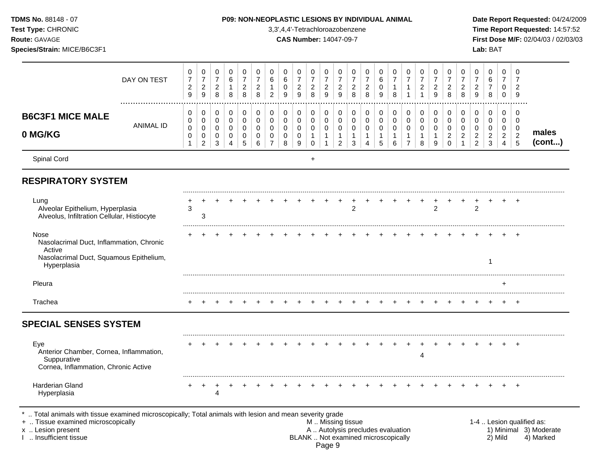| TDMS No. 88148 - 07<br>Test Type: CHRONIC<br>Route: GAVAGE<br>Species/Strain: MICE/B6C3F1                                                                                                     |                  |                                            |                                          |                                                      |                                |                                            |                                                   |                                    |                  | 3,3',4,4'-Tetrachloroazobenzene<br><b>CAS Number: 14047-09-7</b> |                                            |                                                  |                                                                    |                                            | P09: NON-NEOPLASTIC LESIONS BY INDIVIDUAL ANIMAL                         |                      |                                          |                          |                                                         |                                                     |                                              |                                                       |                               | Lab: BAT                 |                                         |                              | Date Report Requested: 04/24/2009<br>Time Report Requested: 14:57:52<br>First Dose M/F: 02/04/03 / 02/03/03 |
|-----------------------------------------------------------------------------------------------------------------------------------------------------------------------------------------------|------------------|--------------------------------------------|------------------------------------------|------------------------------------------------------|--------------------------------|--------------------------------------------|---------------------------------------------------|------------------------------------|------------------|------------------------------------------------------------------|--------------------------------------------|--------------------------------------------------|--------------------------------------------------------------------|--------------------------------------------|--------------------------------------------------------------------------|----------------------|------------------------------------------|--------------------------|---------------------------------------------------------|-----------------------------------------------------|----------------------------------------------|-------------------------------------------------------|-------------------------------|--------------------------|-----------------------------------------|------------------------------|-------------------------------------------------------------------------------------------------------------|
|                                                                                                                                                                                               | DAY ON TEST      | 0<br>$\overline{7}$<br>$\overline{c}$<br>9 | 0<br>$\boldsymbol{7}$<br>$\sqrt{2}$<br>9 | 0<br>$\boldsymbol{7}$<br>$\boldsymbol{2}$<br>$\,8\,$ | 0<br>$\,6$<br>$\mathbf 1$<br>8 | 0<br>$\overline{7}$<br>$\overline{c}$<br>8 | 0<br>$\boldsymbol{7}$<br>$\overline{c}$<br>$\bf8$ | 0<br>6<br>$\overline{c}$           | 0<br>6<br>0<br>9 | 0<br>$\overline{7}$<br>$\overline{c}$<br>9                       | 0<br>$\overline{7}$<br>$\overline{c}$<br>8 | 0<br>$\boldsymbol{7}$<br>$\overline{c}$<br>$9\,$ | 0<br>$\boldsymbol{7}$<br>$\overline{\mathbf{c}}$<br>$\overline{9}$ | 0<br>$\overline{7}$<br>$\overline{c}$<br>8 | 0<br>$\overline{7}$<br>$\overline{c}$<br>8                               | 0<br>$\,6$<br>0<br>9 | 0<br>$\overline{7}$<br>$\mathbf{1}$<br>8 | 0<br>$\overline{7}$<br>1 | 0<br>$\overline{7}$<br>$\overline{c}$<br>$\overline{1}$ | 0<br>$\overline{7}$<br>$\overline{\mathbf{c}}$<br>9 | 0<br>$\boldsymbol{7}$<br>$\overline{c}$<br>8 | 0<br>$\boldsymbol{7}$<br>$\overline{\mathbf{c}}$<br>8 | 0<br>7<br>$\overline{c}$<br>9 | 0<br>6<br>7<br>8         | 0<br>$\overline{7}$<br>0<br>$\mathbf 0$ | 0<br>2<br>9                  |                                                                                                             |
| <b>B6C3F1 MICE MALE</b>                                                                                                                                                                       |                  | 0<br>0                                     | 0<br>0                                   | 0<br>$\mathbf 0$                                     | 0<br>0                         | 0<br>0                                     | $\pmb{0}$<br>0                                    | 0<br>$\mathbf 0$                   | 0<br>0           | 0<br>0                                                           | $\pmb{0}$<br>$\pmb{0}$                     | 0<br>0                                           | 0<br>$\mathbf 0$                                                   | 0<br>0                                     | 0<br>0                                                                   | 0<br>0               | 0<br>$\mathbf 0$                         | 0<br>0                   | 0<br>0                                                  | 0<br>0                                              | 0<br>0                                       | 0<br>0                                                | 0<br>0                        | 0<br>0                   | 0<br>0                                  | 0<br>$\mathbf 0$             |                                                                                                             |
| 0 MG/KG                                                                                                                                                                                       | <b>ANIMAL ID</b> | 0<br>0                                     | 0<br>0<br>$\boldsymbol{2}$               | 0<br>0<br>3                                          | 0<br>0<br>$\overline{4}$       | 0<br>0<br>5                                | 0<br>0<br>6                                       | $\mathbf 0$<br>0<br>$\overline{7}$ | 0<br>0<br>8      | 0<br>0<br>9                                                      | 0<br>1<br>$\mathbf 0$                      | 0<br>$\mathbf 1$                                 | 0<br>-1<br>$\overline{2}$                                          | $\Omega$<br>-1<br>3                        | 0<br>$\mathbf{1}$<br>$\overline{4}$                                      | $\mathbf 0$<br>5     | 0<br>$\mathbf{1}$<br>6                   | 0<br>1<br>$\overline{7}$ | 0<br>$\mathbf 1$<br>8                                   | 0<br>9                                              | 0<br>$\overline{c}$<br>$\mathbf 0$           | $\mathbf 0$<br>$\overline{c}$                         | 0<br>2<br>$\overline{2}$      | 0<br>$\overline{c}$<br>3 | 0<br>$\overline{c}$<br>$\overline{4}$   | $\overline{2}$<br>$\sqrt{5}$ | males<br>(cont)                                                                                             |
| Spinal Cord                                                                                                                                                                                   |                  |                                            |                                          |                                                      |                                |                                            |                                                   |                                    |                  |                                                                  | $\ddot{}$                                  |                                                  |                                                                    |                                            |                                                                          |                      |                                          |                          |                                                         |                                                     |                                              |                                                       |                               |                          |                                         |                              |                                                                                                             |
| <b>RESPIRATORY SYSTEM</b>                                                                                                                                                                     |                  |                                            |                                          |                                                      |                                |                                            |                                                   |                                    |                  |                                                                  |                                            |                                                  |                                                                    |                                            |                                                                          |                      |                                          |                          |                                                         |                                                     |                                              |                                                       |                               |                          |                                         |                              |                                                                                                             |
| Lung<br>Alveolar Epithelium, Hyperplasia<br>Alveolus, Infiltration Cellular, Histiocyte                                                                                                       |                  | 3                                          | 3                                        |                                                      |                                |                                            |                                                   |                                    |                  |                                                                  |                                            |                                                  |                                                                    | $\boldsymbol{2}$                           |                                                                          |                      |                                          |                          |                                                         | 2                                                   |                                              |                                                       | $\overline{c}$                |                          |                                         | $\ddot{}$                    |                                                                                                             |
| Nose<br>Nasolacrimal Duct, Inflammation, Chronic<br>Active<br>Nasolacrimal Duct, Squamous Epithelium,<br>Hyperplasia                                                                          |                  |                                            |                                          |                                                      |                                |                                            |                                                   |                                    |                  |                                                                  |                                            |                                                  |                                                                    |                                            |                                                                          |                      |                                          |                          |                                                         |                                                     |                                              |                                                       |                               | 1                        |                                         |                              |                                                                                                             |
| Pleura                                                                                                                                                                                        |                  |                                            |                                          |                                                      |                                |                                            |                                                   |                                    |                  |                                                                  |                                            |                                                  |                                                                    |                                            |                                                                          |                      |                                          |                          |                                                         |                                                     |                                              |                                                       |                               |                          | $\div$                                  |                              |                                                                                                             |
| Trachea                                                                                                                                                                                       |                  |                                            |                                          |                                                      |                                |                                            |                                                   |                                    |                  |                                                                  |                                            |                                                  |                                                                    |                                            |                                                                          |                      |                                          |                          |                                                         |                                                     |                                              |                                                       |                               |                          |                                         | $+$                          |                                                                                                             |
| <b>SPECIAL SENSES SYSTEM</b>                                                                                                                                                                  |                  |                                            |                                          |                                                      |                                |                                            |                                                   |                                    |                  |                                                                  |                                            |                                                  |                                                                    |                                            |                                                                          |                      |                                          |                          |                                                         |                                                     |                                              |                                                       |                               |                          |                                         |                              |                                                                                                             |
| Eye<br>Anterior Chamber, Cornea, Inflammation,<br>Suppurative<br>Cornea, Inflammation, Chronic Active                                                                                         |                  |                                            |                                          |                                                      |                                |                                            |                                                   |                                    |                  |                                                                  |                                            |                                                  |                                                                    |                                            |                                                                          |                      |                                          |                          | 4                                                       |                                                     |                                              |                                                       |                               |                          |                                         | $\pm$                        |                                                                                                             |
| Harderian Gland<br>Hyperplasia                                                                                                                                                                |                  |                                            |                                          | 4                                                    |                                |                                            |                                                   |                                    |                  |                                                                  |                                            |                                                  |                                                                    |                                            |                                                                          |                      |                                          |                          |                                                         |                                                     |                                              |                                                       |                               |                          |                                         |                              |                                                                                                             |
| *  Total animals with tissue examined microscopically; Total animals with lesion and mean severity grade<br>+  Tissue examined microscopically<br>x  Lesion present<br>I  Insufficient tissue |                  |                                            |                                          |                                                      |                                |                                            |                                                   |                                    |                  |                                                                  |                                            | M  Missing tissue                                |                                                                    |                                            | A  Autolysis precludes evaluation<br>BLANK  Not examined microscopically |                      |                                          |                          |                                                         |                                                     |                                              |                                                       |                               | 2) Mild                  |                                         |                              | 1-4  Lesion qualified as:<br>1) Minimal 3) Moderate<br>4) Marked                                            |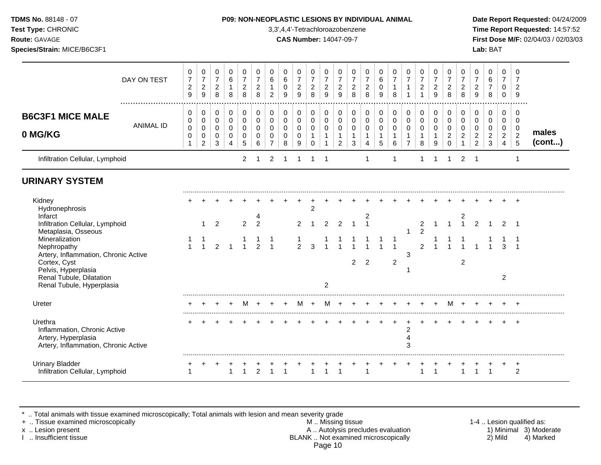**Test Type:** CHRONIC 3,3',4,4'-Tetrachloroazobenzene **Time Report Requested:** 14:57:52 **Route:** GAVAGE **CAS Number:** 14047-09-7 **First Dose M/F:** 02/04/03 / 02/03/03 **Species/Strain:** MICE/B6C3F1 **Lab:** BAT

|                                                                                                                                                                                                                                                                        | DAY ON TEST      | 0<br>$\overline{7}$<br>$\sqrt{2}$<br>$\overline{9}$ | 0<br>$\boldsymbol{7}$<br>$\overline{c}$<br>9 | $\mathbf 0$<br>$\overline{7}$<br>$\overline{\mathbf{c}}$<br>$\,8\,$ | $\mathbf 0$<br>6<br>$\mathbf{1}$<br>8               | 0<br>$\overline{7}$<br>$\overline{c}$<br>8 | 0<br>$\overline{7}$<br>$\boldsymbol{2}$<br>8             | 0<br>$\,6\,$<br>$\mathbf{1}$<br>$\overline{2}$         | 0<br>$\,6\,$<br>$\pmb{0}$<br>9                                | 0<br>$\overline{7}$<br>$\boldsymbol{2}$<br>9 | 0<br>$\overline{7}$<br>$\overline{a}$<br>8                     | 0<br>$\overline{7}$<br>$\overline{c}$<br>9      | 0<br>$\boldsymbol{7}$<br>$\boldsymbol{2}$<br>9     | 0<br>$\boldsymbol{7}$<br>$\overline{c}$<br>8       | 0<br>$\overline{7}$<br>$\overline{\mathbf{c}}$<br>8         | 0<br>$\,6\,$<br>$\mathbf 0$<br>9                    | 0<br>$\overline{7}$<br>$\mathbf{1}$<br>8             | $\mathbf 0$<br>$\overline{7}$<br>1                     | 0<br>$\overline{7}$<br>$\overline{c}$                | 0<br>$\boldsymbol{7}$<br>$\overline{c}$<br>9 | 0<br>$\overline{7}$<br>$\sqrt{2}$<br>8                     | 0<br>$\overline{7}$<br>$\overline{a}$<br>8              | $\mathbf 0$<br>$\overline{7}$<br>$\overline{c}$<br>9                | $\mathbf 0$<br>$\,6\,$<br>$\overline{7}$<br>8                    | $\Omega$<br>$\overline{7}$<br>0<br>0            | $\mathbf 0$<br>7<br>$\overline{2}$<br>9      |                 |
|------------------------------------------------------------------------------------------------------------------------------------------------------------------------------------------------------------------------------------------------------------------------|------------------|-----------------------------------------------------|----------------------------------------------|---------------------------------------------------------------------|-----------------------------------------------------|--------------------------------------------|----------------------------------------------------------|--------------------------------------------------------|---------------------------------------------------------------|----------------------------------------------|----------------------------------------------------------------|-------------------------------------------------|----------------------------------------------------|----------------------------------------------------|-------------------------------------------------------------|-----------------------------------------------------|------------------------------------------------------|--------------------------------------------------------|------------------------------------------------------|----------------------------------------------|------------------------------------------------------------|---------------------------------------------------------|---------------------------------------------------------------------|------------------------------------------------------------------|-------------------------------------------------|----------------------------------------------|-----------------|
| <b>B6C3F1 MICE MALE</b><br>0 MG/KG                                                                                                                                                                                                                                     | <b>ANIMAL ID</b> | 0<br>0<br>$\pmb{0}$<br>0<br>-1                      | 0<br>$\mathbf 0$<br>0<br>0<br>2              | 0<br>$\mathbf 0$<br>$\mathbf 0$<br>$\mathbf 0$<br>3                 | $\mathbf 0$<br>$\mathbf 0$<br>$\mathbf 0$<br>0<br>4 | 0<br>$\pmb{0}$<br>$\mathbf 0$<br>0<br>5    | $\pmb{0}$<br>$\mathbf 0$<br>$\Omega$<br>$\mathbf 0$<br>6 | 0<br>$\mathbf 0$<br>$\mathbf 0$<br>0<br>$\overline{7}$ | $\mathbf 0$<br>$\mathbf 0$<br>$\mathbf 0$<br>$\mathbf 0$<br>8 | 0<br>$\mathbf 0$<br>$\mathbf 0$<br>0<br>9    | 0<br>$\mathbf 0$<br>$\mathbf 0$<br>$\mathbf{1}$<br>$\mathbf 0$ | 0<br>$\mathbf 0$<br>$\mathbf 0$<br>$\mathbf{1}$ | 0<br>$\pmb{0}$<br>$\mathbf 0$<br>$\mathbf{1}$<br>2 | 0<br>$\pmb{0}$<br>$\mathbf 0$<br>$\mathbf{1}$<br>3 | 0<br>$\mathsf 0$<br>$\mathbf 0$<br>$\mathbf{1}$<br>4        | $\mathbf 0$<br>$\mathbf 0$<br>$\mathbf 0$<br>1<br>5 | 0<br>$\mathbf 0$<br>$\mathbf 0$<br>$\mathbf{1}$<br>6 | 0<br>$\mathbf 0$<br>$\mathbf 0$<br>1<br>$\overline{7}$ | 0<br>$\mathbf 0$<br>$\mathbf 0$<br>$\mathbf{1}$<br>8 | 0<br>0<br>$\mathbf 0$<br>$\mathbf{1}$<br>9   | 0<br>$\mathbf 0$<br>$\Omega$<br>$\overline{c}$<br>$\Omega$ | 0<br>0<br>$\mathbf 0$<br>$\overline{2}$<br>$\mathbf{1}$ | 0<br>$\mathbf 0$<br>$\mathbf 0$<br>$\overline{c}$<br>$\overline{2}$ | $\mathbf 0$<br>$\mathbf 0$<br>$\mathbf 0$<br>$\overline{c}$<br>3 | 0<br>0<br>0<br>$\overline{2}$<br>$\overline{4}$ | 0<br>$\mathbf 0$<br>0<br>$\overline{2}$<br>5 | males<br>(cont) |
| Infiltration Cellular, Lymphoid                                                                                                                                                                                                                                        |                  |                                                     |                                              |                                                                     |                                                     | $\overline{2}$                             | 1                                                        | 2                                                      | -1                                                            |                                              |                                                                |                                                 |                                                    |                                                    | $\mathbf{1}$                                                |                                                     | 1                                                    |                                                        | 1                                                    |                                              | 1                                                          | 2                                                       | -1                                                                  |                                                                  |                                                 | 1                                            |                 |
| <b>URINARY SYSTEM</b>                                                                                                                                                                                                                                                  |                  |                                                     |                                              |                                                                     |                                                     |                                            |                                                          |                                                        |                                                               |                                              |                                                                |                                                 |                                                    |                                                    |                                                             |                                                     |                                                      |                                                        |                                                      |                                              |                                                            |                                                         |                                                                     |                                                                  |                                                 |                                              |                 |
| Kidney<br>Hydronephrosis<br>Infarct<br>Infiltration Cellular, Lymphoid<br>Metaplasia, Osseous<br>Mineralization<br>Nephropathy<br>Artery, Inflammation, Chronic Active<br>Cortex, Cyst<br>Pelvis, Hyperplasia<br>Renal Tubule, Dilatation<br>Renal Tubule, Hyperplasia |                  |                                                     | 1<br>$\overline{1}$                          | $\overline{2}$<br>$\overline{2}$                                    |                                                     | $\overline{2}$<br>$\overline{4}$           | 4<br>$\mathcal{P}$<br>$\mathcal{P}$                      | $\overline{1}$                                         |                                                               | $\mathcal{P}$<br>$\mathcal{P}$               | $\overline{c}$<br>3                                            | $\mathfrak{p}$<br>$\overline{c}$                | $\overline{2}$                                     | $\mathbf{1}$<br>$\overline{c}$                     | $\overline{\mathbf{c}}$<br>$\overline{1}$<br>$\overline{2}$ | $\overline{ }$                                      | $\overline{1}$<br>$\overline{2}$                     | 3                                                      | $\boldsymbol{2}$<br>$\overline{2}$<br>$\mathfrak{p}$ |                                              |                                                            | 2<br>$\mathbf{1}$<br>$\overline{c}$                     | $\overline{2}$                                                      |                                                                  | $\mathfrak{D}$<br>3<br>$\overline{2}$           | $\overline{1}$                               |                 |
| Ureter                                                                                                                                                                                                                                                                 |                  |                                                     |                                              |                                                                     |                                                     | M                                          |                                                          |                                                        |                                                               | M                                            | $\div$                                                         | M                                               |                                                    |                                                    |                                                             |                                                     |                                                      |                                                        |                                                      |                                              | м                                                          | $\pm$                                                   |                                                                     |                                                                  |                                                 | $\pm$                                        |                 |
| Urethra<br>Inflammation, Chronic Active<br>Artery, Hyperplasia<br>Artery, Inflammation, Chronic Active                                                                                                                                                                 |                  |                                                     |                                              |                                                                     |                                                     |                                            |                                                          |                                                        |                                                               |                                              |                                                                |                                                 |                                                    |                                                    |                                                             |                                                     |                                                      | $\overline{c}$<br>$\overline{4}$<br>3                  |                                                      |                                              |                                                            |                                                         |                                                                     |                                                                  |                                                 | $\ddot{}$                                    |                 |
| <b>Urinary Bladder</b><br>Infiltration Cellular, Lymphoid                                                                                                                                                                                                              |                  | 1                                                   |                                              |                                                                     |                                                     |                                            | $\overline{2}$                                           |                                                        |                                                               |                                              |                                                                |                                                 |                                                    |                                                    |                                                             |                                                     |                                                      |                                                        | 1                                                    | $\overline{1}$                               |                                                            |                                                         |                                                                     |                                                                  |                                                 | $\ddot{}$<br>$\overline{2}$                  |                 |

\* .. Total animals with tissue examined microscopically; Total animals with lesion and mean severity grade

+ .. Tissue examined microscopically M .. Missing tissue 1-4 .. Lesion qualified as: x .. Lesion present **A .. Autolysis precludes evaluation** A .. Autolysis precludes evaluation 1) Minimal 3) Moderate I .. Insufficient tissue BLANK .. Not examined microscopically 2) Mild 4) Marked Page 10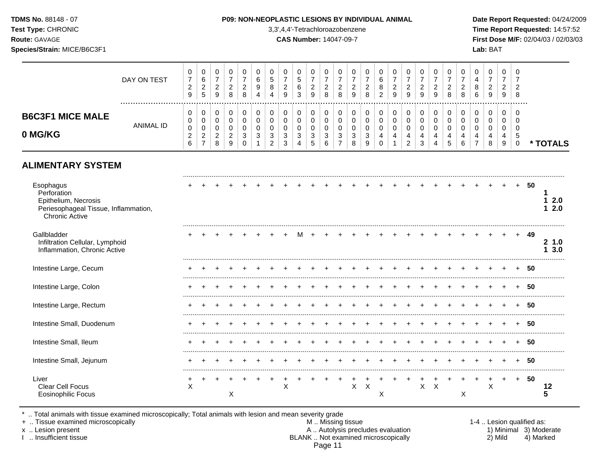**Test Type:** CHRONIC 3,3',4,4'-Tetrachloroazobenzene **Time Report Requested:** 14:57:52 **Route:** GAVAGE **CAS Number:** 14047-09-7 **First Dose M/F:** 02/04/03 / 02/03/03 **Species/Strain:** MICE/B6C3F1 **Lab:** BAT

|                         | DAY ON TEST | $\mathbf{0}$<br>$\sim$<br>9 | ◡<br>6<br>◠<br>$\epsilon$<br>5 | v<br>ົ<br>▵<br>9        | - 2<br><u>.</u><br>8 | U<br><u>.</u><br>8 | 0<br>b<br>9 | u<br>N<br>8        | U<br>-                              | J<br>6<br>◠<br>ۍ | U<br>◠<br>▵<br>9                    | ົ<br>∼<br>8 | 8                        | 0<br>◠<br>9 | ▵<br>8 | ν<br>ν<br>8<br>റ | ົ<br>9 | υ<br>ົ<br>▵<br>9 | ◠<br>.c | υ<br>9 | v<br>8   | ▵<br>8 | υ<br>8<br>$\sim$<br>6 | 0<br>ົ<br>∼<br>9 | 0<br>$\sim$<br>▵<br>9 | ີເ<br>- ୪ |      |
|-------------------------|-------------|-----------------------------|--------------------------------|-------------------------|----------------------|--------------------|-------------|--------------------|-------------------------------------|------------------|-------------------------------------|-------------|--------------------------|-------------|--------|------------------|--------|------------------|---------|--------|----------|--------|-----------------------|------------------|-----------------------|-----------|------|
| <b>B6C3F1 MICE MALE</b> | ANIMAL ID   | 0<br>0                      |                                | v                       |                      | 0                  | 0           | U                  | U                                   |                  | 0                                   |             |                          |             |        | υ                |        |                  |         |        | <b>U</b> |        | υ                     | 0                | 0<br>0                | - 6       |      |
| 0 MG/KG                 |             | 0<br><u>.</u><br>6          | u<br>◠<br>_<br>$\rightarrow$   | v<br>⌒<br><u>.</u><br>8 | c<br>_               | -2<br>J            | ົ           | u<br>◠<br><u>_</u> | ີ<br>J.<br>$\overline{\phantom{a}}$ | J                | υ<br>3<br>$\ddot{\phantom{1}}$<br>J | ີ           | $\overline{\phantom{a}}$ | ົ<br>ື<br>8 |        |                  |        | 4<br>ົ           | 4<br>ີ  | 4      | 4        |        |                       | 0<br>8           | 4<br>9                | ಾ         | TALS |

# **ALIMENTARY SYSTEM**

| Esophagus<br>Perforation<br>Epithelium, Necrosis<br>Periesophageal Tissue, Inflammation,<br><b>Chronic Active</b> |        |  |  |  |   |  |  |   |   |   |  |   |                           |   |   | $\pm$ | 50 | 2.0<br>2.0 |
|-------------------------------------------------------------------------------------------------------------------|--------|--|--|--|---|--|--|---|---|---|--|---|---------------------------|---|---|-------|----|------------|
| Gallbladder<br>Infiltration Cellular, Lymphoid<br>Inflammation, Chronic Active                                    |        |  |  |  |   |  |  |   |   |   |  |   |                           |   |   | $\pm$ | 49 | 1.0<br>3.0 |
| Intestine Large, Cecum                                                                                            |        |  |  |  |   |  |  |   |   |   |  |   |                           |   |   |       | 50 |            |
| Intestine Large, Colon                                                                                            |        |  |  |  |   |  |  |   |   |   |  |   |                           |   |   |       | 50 |            |
| Intestine Large, Rectum                                                                                           |        |  |  |  |   |  |  |   |   |   |  |   |                           |   |   |       | 50 |            |
| Intestine Small, Duodenum                                                                                         |        |  |  |  |   |  |  |   |   |   |  |   |                           |   |   |       | 50 |            |
| Intestine Small, Ileum                                                                                            |        |  |  |  |   |  |  |   |   |   |  |   |                           |   |   |       | 50 |            |
| Intestine Small, Jejunum                                                                                          |        |  |  |  |   |  |  |   |   |   |  |   |                           |   |   |       | 50 |            |
| Liver<br>Clear Cell Focus<br><b>Eosinophilic Focus</b>                                                            | +<br>X |  |  |  | X |  |  | X | X | X |  | X | $\boldsymbol{\mathsf{X}}$ | ⋏ | Χ | +     | 50 |            |

\* .. Total animals with tissue examined microscopically; Total animals with lesion and mean severity grade<br>+ .. Tissue examined microscopically

+ .. Tissue examined microscopically  $M$ .. Missing tissue 1-4 .. Lesion qualified as: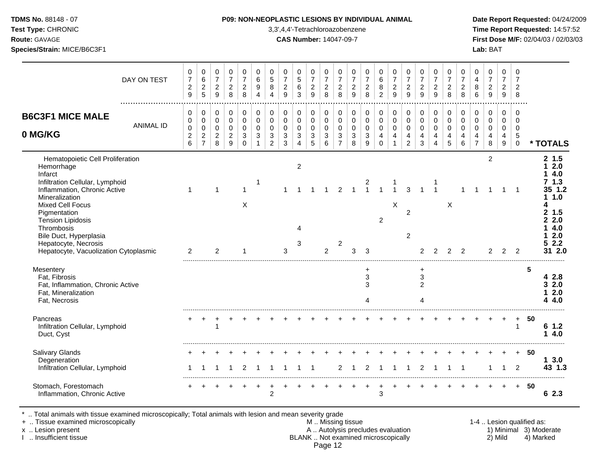| <b>TDMS No. 88148 - 07</b> |  |
|----------------------------|--|
| <b>Test Type: CHRONIC</b>  |  |

## **P09: NON-NEOPLASTIC LESIONS BY INDIVIDUAL ANIMAL Date Report Requested: 04/24/2009**

**Time Report Requested:** 14:57:52 **Route:** GAVAGE **CAS Number:** 14047-09-7 **First Dose M/F:** 02/04/03 / 02/03/03 **Species/Strain:** MICE/B6C3F1 **Lab:** BAT

|                                                                                                                                                                                                                                                                                                                                | DAY ON TEST      | 0<br>$\boldsymbol{7}$<br>$\overline{\mathbf{c}}$<br>9    | 0<br>$\,6\,$<br>$\boldsymbol{2}$<br>5                           | $\mathbf 0$<br>$\overline{7}$<br>$\overline{2}$<br>9   | 0<br>$\overline{7}$<br>$\overline{c}$<br>8                             | 0<br>$\overline{7}$<br>$\overline{2}$<br>8       | 0<br>$\,6\,$<br>$\boldsymbol{9}$<br>$\overline{4}$             | 0<br>$\sqrt{5}$<br>8<br>$\overline{4}$                    | 0<br>$\overline{7}$<br>$\overline{2}$<br>9                    | 0<br>$\overline{5}$<br>6<br>3                                       | 0<br>$\overline{7}$<br>$\overline{2}$<br>9 | $\pmb{0}$<br>$\overline{7}$<br>$\overline{c}$<br>8            | 0<br>$\overline{7}$<br>$\sqrt{2}$<br>8                       | 0<br>$\boldsymbol{7}$<br>$\overline{c}$<br>9                | 0<br>$\overline{7}$<br>$\boldsymbol{2}$<br>8   | 0<br>$\,6\,$<br>$\, 8$<br>2                                 | 0<br>$\overline{7}$<br>$\boldsymbol{2}$<br>9                  | 0<br>$\overline{7}$<br>$\overline{2}$<br>9             | 0<br>$\overline{7}$<br>$\overline{c}$<br>9 | $\pmb{0}$<br>$\overline{7}$<br>$\sqrt{2}$<br>9                              | 0<br>$\overline{7}$<br>$\overline{c}$<br>8 | 0<br>$\overline{7}$<br>$\boldsymbol{2}$<br>8 | 0<br>$\overline{4}$<br>8<br>6                                       | 0<br>$\overline{7}$<br>$\sqrt{2}$<br>9                       | $\mathbf 0$<br>$\overline{7}$<br>$\overline{2}$<br>9           | 0<br>$\overline{7}$<br>$\overline{c}$<br>8              |    |                                                                                                            |
|--------------------------------------------------------------------------------------------------------------------------------------------------------------------------------------------------------------------------------------------------------------------------------------------------------------------------------|------------------|----------------------------------------------------------|-----------------------------------------------------------------|--------------------------------------------------------|------------------------------------------------------------------------|--------------------------------------------------|----------------------------------------------------------------|-----------------------------------------------------------|---------------------------------------------------------------|---------------------------------------------------------------------|--------------------------------------------|---------------------------------------------------------------|--------------------------------------------------------------|-------------------------------------------------------------|------------------------------------------------|-------------------------------------------------------------|---------------------------------------------------------------|--------------------------------------------------------|--------------------------------------------|-----------------------------------------------------------------------------|--------------------------------------------|----------------------------------------------|---------------------------------------------------------------------|--------------------------------------------------------------|----------------------------------------------------------------|---------------------------------------------------------|----|------------------------------------------------------------------------------------------------------------|
| <b>B6C3F1 MICE MALE</b><br>0 MG/KG                                                                                                                                                                                                                                                                                             | <b>ANIMAL ID</b> | 0<br>$\mathbf 0$<br>$\mathbf 0$<br>$\boldsymbol{2}$<br>6 | 0<br>$\pmb{0}$<br>$\pmb{0}$<br>$\overline{c}$<br>$\overline{7}$ | 0<br>$\mathbf 0$<br>$\mathbf 0$<br>$\overline{c}$<br>8 | $\pmb{0}$<br>$\mathsf{O}\xspace$<br>$\pmb{0}$<br>$\boldsymbol{2}$<br>9 | 0<br>$\mathbf 0$<br>$\mathbf 0$<br>3<br>$\Omega$ | $\mathbf 0$<br>$\mathbf 0$<br>$\mathbf 0$<br>3<br>$\mathbf{1}$ | $\mathbf 0$<br>$\mathbf 0$<br>$\Omega$<br>$\sqrt{3}$<br>2 | 0<br>$\mathbf 0$<br>$\pmb{0}$<br>$\mathbf{3}$<br>$\mathbf{3}$ | 0<br>$\mathbf 0$<br>$\mathsf 0$<br>$\mathfrak{S}$<br>$\overline{4}$ | 0<br>$\mathbf 0$<br>$\mathsf 0$<br>3<br>5  | 0<br>$\pmb{0}$<br>$\pmb{0}$<br>$\mathbf{3}$<br>$6\phantom{a}$ | 0<br>$\mathsf{O}\xspace$<br>$\pmb{0}$<br>3<br>$\overline{7}$ | $\pmb{0}$<br>$\mathbf 0$<br>$\mathsf 0$<br>$\mathsf 3$<br>8 | 0<br>$\pmb{0}$<br>$\pmb{0}$<br>$\sqrt{3}$<br>9 | 0<br>$\mathbf 0$<br>$\pmb{0}$<br>$\overline{4}$<br>$\Omega$ | 0<br>$\pmb{0}$<br>$\pmb{0}$<br>$\overline{4}$<br>$\mathbf{1}$ | 0<br>$\mathsf 0$<br>$\mathbf 0$<br>4<br>$\overline{2}$ | 0<br>$\pmb{0}$<br>$\pmb{0}$<br>4<br>3      | $\mathbf 0$<br>$\pmb{0}$<br>$\mathbf 0$<br>$\overline{4}$<br>$\overline{4}$ | 0<br>$\mathbf 0$<br>$\mathbf 0$<br>4<br>5  | 0<br>$\mathbf 0$<br>$\mathbf 0$<br>4<br>6    | 0<br>$\mathbf 0$<br>$\mathbf 0$<br>$\overline{4}$<br>$\overline{7}$ | $\pmb{0}$<br>$\mathsf 0$<br>$\pmb{0}$<br>$\overline{4}$<br>8 | $\mathbf 0$<br>$\mathbf 0$<br>$\pmb{0}$<br>$\overline{4}$<br>9 | $\mathbf 0$<br>$\Omega$<br>$\mathbf 0$<br>5<br>$\Omega$ |    | * TOTALS                                                                                                   |
| Hematopoietic Cell Proliferation<br>Hemorrhage<br>Infarct<br>Infiltration Cellular, Lymphoid<br>Inflammation, Chronic Active<br>Mineralization<br><b>Mixed Cell Focus</b><br>Pigmentation<br><b>Tension Lipidosis</b><br>Thrombosis<br>Bile Duct, Hyperplasia<br>Hepatocyte, Necrosis<br>Hepatocyte, Vacuolization Cytoplasmic |                  | $\mathbf{1}$<br>$\overline{2}$                           |                                                                 | 1<br>2                                                 |                                                                        | 1<br>X                                           | -1                                                             |                                                           | 3                                                             | $\overline{c}$<br>Δ<br>3                                            |                                            | 2                                                             | $\mathfrak{p}$<br>$\overline{c}$                             | 3                                                           | 3                                              | 2                                                           | X                                                             | 3<br>$\overline{2}$<br>$\overline{2}$                  |                                            |                                                                             | X                                          | $\mathcal{P}$                                |                                                                     | 2<br>$\mathcal{P}$                                           | $\mathcal{P}$                                                  | $\overline{1}$<br>2                                     |    | 2, 1.5<br>2.0<br>4.0<br>71.3<br>35 1.2<br>1.0<br>Δ<br>2, 1.5<br>2.2.0<br>4.0<br>2.0<br>2.2<br>5.<br>31 2.0 |
| Mesentery<br>Fat, Fibrosis<br>Fat, Inflammation, Chronic Active<br>Fat, Mineralization<br>Fat, Necrosis                                                                                                                                                                                                                        |                  |                                                          |                                                                 |                                                        |                                                                        |                                                  |                                                                |                                                           |                                                               |                                                                     |                                            |                                                               |                                                              |                                                             | +<br>$\ensuremath{\mathsf{3}}$<br>3<br>4       |                                                             |                                                               |                                                        | +<br>3<br>$\overline{2}$<br>4              |                                                                             |                                            |                                              |                                                                     |                                                              |                                                                |                                                         | 5  | 4 2.8<br>32.0<br>2.0<br>4.0<br>4                                                                           |
| Pancreas<br>Infiltration Cellular, Lymphoid<br>Duct, Cyst                                                                                                                                                                                                                                                                      |                  |                                                          |                                                                 |                                                        |                                                                        |                                                  |                                                                |                                                           |                                                               |                                                                     |                                            |                                                               |                                                              |                                                             |                                                |                                                             |                                                               |                                                        |                                            |                                                                             |                                            |                                              |                                                                     |                                                              |                                                                | $\ddot{}$<br>$\mathbf{1}$                               | 50 | 61.2<br>4.0<br>1.                                                                                          |
| <b>Salivary Glands</b><br>Degeneration<br>Infiltration Cellular, Lymphoid                                                                                                                                                                                                                                                      |                  |                                                          |                                                                 |                                                        |                                                                        | 2                                                |                                                                |                                                           |                                                               |                                                                     |                                            |                                                               | $\overline{2}$                                               |                                                             | $\overline{2}$                                 |                                                             |                                                               |                                                        | 2                                          |                                                                             |                                            |                                              |                                                                     |                                                              | 1                                                              | $+$<br>$\overline{2}$                                   | 50 | 13.0<br>43 1.3                                                                                             |
| Stomach, Forestomach<br>Inflammation, Chronic Active                                                                                                                                                                                                                                                                           |                  |                                                          |                                                                 |                                                        |                                                                        |                                                  |                                                                | $\overline{2}$                                            |                                                               |                                                                     |                                            |                                                               |                                                              |                                                             |                                                | 3                                                           |                                                               |                                                        |                                            |                                                                             |                                            |                                              |                                                                     |                                                              | $+$                                                            | $+$                                                     | 50 | 62.3                                                                                                       |

\* .. Total animals with tissue examined microscopically; Total animals with lesion and mean severity grade

+ .. Tissue examined microscopically M .. Missing tissue 1-4 .. Lesion qualified as: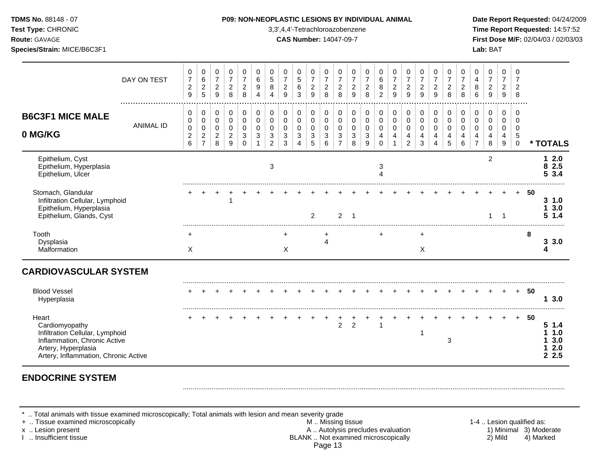| Test Type: CHRONIC<br>Route: GAVAGE<br>Species/Strain: MICE/B6C3F1                                                                                        |                  |                                                             |                                                                   |                                                  |                                                              |                                                |                                   |                                                               |                                                           | 3,3',4,4'-Tetrachloroazobenzene<br><b>CAS Number: 14047-09-7</b> |                                                                    |                                                                                       |                                                                           |                                                  |                                            |                                             |                                                           |                                                                  |                                                        |                                                                  |                                            |                                                     |                                                                          | Lab: BAT                                                             |                                                      |                                                                        |    | Time Report Requested: 14:57:52<br>First Dose M/F: 02/04/03 / 02/03/03 |
|-----------------------------------------------------------------------------------------------------------------------------------------------------------|------------------|-------------------------------------------------------------|-------------------------------------------------------------------|--------------------------------------------------|--------------------------------------------------------------|------------------------------------------------|-----------------------------------|---------------------------------------------------------------|-----------------------------------------------------------|------------------------------------------------------------------|--------------------------------------------------------------------|---------------------------------------------------------------------------------------|---------------------------------------------------------------------------|--------------------------------------------------|--------------------------------------------|---------------------------------------------|-----------------------------------------------------------|------------------------------------------------------------------|--------------------------------------------------------|------------------------------------------------------------------|--------------------------------------------|-----------------------------------------------------|--------------------------------------------------------------------------|----------------------------------------------------------------------|------------------------------------------------------|------------------------------------------------------------------------|----|------------------------------------------------------------------------|
|                                                                                                                                                           | DAY ON TEST      | 0<br>$\overline{7}$<br>$\boldsymbol{2}$<br>$\boldsymbol{9}$ | 0<br>$\,6$<br>$\overline{c}$<br>$\sqrt{5}$                        | 0<br>$\boldsymbol{7}$<br>$\overline{2}$<br>$9\,$ | 0<br>$\overline{7}$<br>$\overline{c}$<br>8                   | 0<br>$\overline{7}$<br>$\overline{c}$<br>8     | 0<br>6<br>9<br>4                  | 0<br>$\sqrt{5}$<br>$\bf 8$<br>$\overline{4}$                  | 0<br>$\overline{7}$<br>$\overline{c}$<br>$\boldsymbol{9}$ | 0<br>$5\phantom{.0}$<br>6<br>3                                   | 0<br>$\overline{7}$<br>$\overline{\mathbf{c}}$<br>$\boldsymbol{9}$ | $\pmb{0}$<br>$\overline{7}$<br>$\overline{c}$<br>$\,8\,$                              | 0<br>$\boldsymbol{7}$<br>$\overline{2}$<br>$\,8\,$                        | 0<br>$\overline{7}$<br>$\overline{c}$<br>9       | 0<br>$\overline{7}$<br>$\overline{c}$<br>8 | 0<br>6<br>8<br>$\overline{2}$               | 0<br>$\overline{7}$<br>$\overline{c}$<br>$\boldsymbol{9}$ | 0<br>$\overline{7}$<br>$\overline{c}$<br>$9\,$                   | 0<br>$\overline{7}$<br>$\overline{c}$<br>9             | 0<br>$\overline{7}$<br>$\overline{c}$<br>$\boldsymbol{9}$        | 0<br>$\overline{7}$<br>$\overline{c}$<br>8 | 0<br>$\overline{7}$<br>$\overline{\mathbf{c}}$<br>8 | 0<br>$\overline{4}$<br>8<br>6                                            | 0<br>$\overline{7}$<br>$\sqrt{2}$<br>$9\,$                           | $\mathbf 0$<br>$\overline{7}$<br>$\overline{2}$<br>9 | 0<br>$\overline{7}$<br>$\overline{2}$<br>8                             |    |                                                                        |
| <b>B6C3F1 MICE MALE</b><br>0 MG/KG                                                                                                                        | <b>ANIMAL ID</b> | 0<br>0<br>$\mathbf 0$<br>$\boldsymbol{2}$<br>$\,6$          | 0<br>$\mathsf 0$<br>$\pmb{0}$<br>$\overline{c}$<br>$\overline{7}$ | 0<br>0<br>0<br>$\overline{c}$<br>8               | $\pmb{0}$<br>$\pmb{0}$<br>$\mathbf 0$<br>$\overline{c}$<br>9 | $\pmb{0}$<br>0<br>$\mathbf 0$<br>3<br>$\Omega$ | 0<br>$\mathbf 0$<br>$\Omega$<br>3 | 0<br>$\pmb{0}$<br>$\mathbf 0$<br>$\sqrt{3}$<br>$\overline{c}$ | 0<br>$\pmb{0}$<br>$\mathbf 0$<br>$\sqrt{3}$<br>3          | 0<br>$\mathbf 0$<br>$\mathbf 0$<br>3<br>4                        | 0<br>0<br>0<br>3<br>5                                              | $\pmb{0}$<br>$\mathsf{O}\xspace$<br>$\pmb{0}$<br>$\ensuremath{\mathsf{3}}$<br>$\,6\,$ | $\pmb{0}$<br>$\mathbf 0$<br>$\mathbf 0$<br>$\mathbf{3}$<br>$\overline{7}$ | 0<br>$\pmb{0}$<br>$\mathbf 0$<br>$\sqrt{3}$<br>8 | 0<br>$\pmb{0}$<br>$\mathbf 0$<br>3<br>9    | 0<br>$\pmb{0}$<br>$\Omega$<br>4<br>$\Omega$ | $\pmb{0}$<br>$\pmb{0}$<br>$\mathbf 0$<br>4                | $\mathbf 0$<br>$\mathbf 0$<br>$\mathbf 0$<br>4<br>$\overline{2}$ | 0<br>$\mathbf 0$<br>$\mathbf 0$<br>$\overline{4}$<br>3 | $\mathbf 0$<br>$\mathbf 0$<br>$\mathbf 0$<br>4<br>$\overline{4}$ | 0<br>$\pmb{0}$<br>$\mathbf 0$<br>4<br>5    | 0<br>$\mathsf{O}\xspace$<br>$\mathbf 0$<br>4<br>6   | $\pmb{0}$<br>$\pmb{0}$<br>0<br>$\overline{\mathbf{4}}$<br>$\overline{7}$ | $\mathbf 0$<br>$\pmb{0}$<br>$\mathbf 0$<br>$\overline{4}$<br>$\,8\,$ | 0<br>0<br>0<br>4<br>9                                | $\mathbf 0$<br>$\mathbf 0$<br>$\mathbf 0$<br>$\sqrt{5}$<br>$\mathsf 0$ |    | * TOTALS                                                               |
| Epithelium, Cyst<br>Epithelium, Hyperplasia<br>Epithelium, Ulcer                                                                                          |                  |                                                             |                                                                   |                                                  |                                                              |                                                |                                   | 3                                                             |                                                           |                                                                  |                                                                    |                                                                                       |                                                                           |                                                  |                                            | 3<br>Δ                                      |                                                           |                                                                  |                                                        |                                                                  |                                            |                                                     |                                                                          | 2                                                                    |                                                      |                                                                        |    | 12.0<br>8 2.5<br>5 3.4                                                 |
| Stomach, Glandular<br>Infiltration Cellular, Lymphoid<br>Epithelium, Hyperplasia<br>Epithelium, Glands, Cyst                                              |                  |                                                             |                                                                   |                                                  | $\overline{1}$                                               |                                                |                                   |                                                               |                                                           |                                                                  | $\overline{2}$                                                     |                                                                                       | $\overline{2}$                                                            | $\overline{1}$                                   |                                            |                                             |                                                           |                                                                  |                                                        |                                                                  |                                            |                                                     |                                                                          |                                                                      | -1                                                   |                                                                        | 50 | 31.0<br>3.0<br>5, 1.4                                                  |
| Tooth<br>Dysplasia<br>Malformation                                                                                                                        |                  | ÷<br>Χ                                                      |                                                                   |                                                  |                                                              |                                                |                                   |                                                               | Χ                                                         |                                                                  |                                                                    | 4                                                                                     |                                                                           |                                                  |                                            | $\ddot{}$                                   |                                                           |                                                                  | ÷<br>$\times$                                          |                                                                  |                                            |                                                     |                                                                          |                                                                      |                                                      |                                                                        | 8  | 3.3.0<br>4                                                             |
| <b>CARDIOVASCULAR SYSTEM</b>                                                                                                                              |                  |                                                             |                                                                   |                                                  |                                                              |                                                |                                   |                                                               |                                                           |                                                                  |                                                                    |                                                                                       |                                                                           |                                                  |                                            |                                             |                                                           |                                                                  |                                                        |                                                                  |                                            |                                                     |                                                                          |                                                                      |                                                      |                                                                        |    |                                                                        |
| <b>Blood Vessel</b><br>Hyperplasia                                                                                                                        |                  |                                                             |                                                                   |                                                  |                                                              |                                                |                                   |                                                               |                                                           |                                                                  |                                                                    |                                                                                       |                                                                           |                                                  |                                            |                                             |                                                           |                                                                  |                                                        |                                                                  |                                            |                                                     |                                                                          |                                                                      |                                                      | $+$                                                                    | 50 | 13.0                                                                   |
| Heart<br>Cardiomyopathy<br>Infiltration Cellular, Lymphoid<br>Inflammation, Chronic Active<br>Artery, Hyperplasia<br>Artery, Inflammation, Chronic Active |                  |                                                             |                                                                   |                                                  |                                                              |                                                |                                   |                                                               |                                                           |                                                                  |                                                                    |                                                                                       | $\overline{2}$                                                            | $\overline{2}$                                   |                                            |                                             |                                                           |                                                                  | -1                                                     |                                                                  | 3                                          |                                                     |                                                                          |                                                                      |                                                      | $+$                                                                    | 50 | 51.4<br>1.0<br>3.0<br>2.0<br>2.5                                       |

# **ENDOCRINE SYSTEM**

\* .. Total animals with tissue examined microscopically; Total animals with lesion and mean severity grade

+ .. Tissue examined microscopically M .. Missing tissue 1-4 .. Lesion qualified as: x .. Lesion present **A .. Autolysis precludes evaluation** A .. Autolysis precludes evaluation 1) Minimal 3) Moderate I .. Insufficient tissue BLANK .. Not examined microscopically 2) Mild 4) Marked Page 13

.........................................................................................................................................................................................................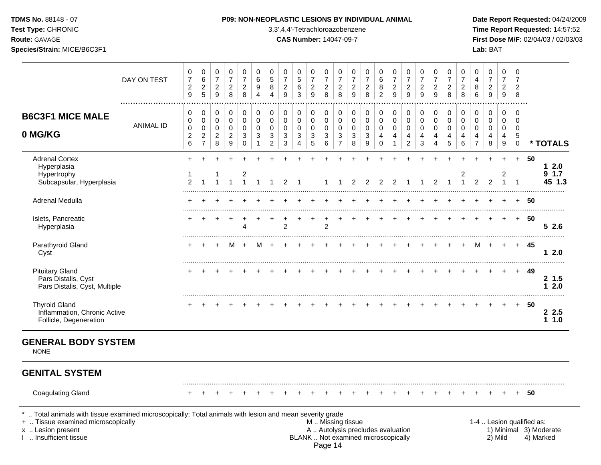## **TDMS No.** 88148 - 07 **P09: NON-NEOPLASTIC LESIONS BY INDIVIDUAL ANIMAL Date Report Requested:** 04/24/2009

**Test Type:** CHRONIC 3,3',4,4'-Tetrachloroazobenzene **Time Report Requested:** 14:57:52 **Route:** GAVAGE **CAS Number:** 14047-09-7 **First Dose M/F:** 02/04/03 / 02/03/03

|                                                                                 | DAY ON TEST      | $\pmb{0}$<br>$\overline{7}$<br>$\overline{c}$<br>$\boldsymbol{9}$ | 0<br>$\,6\,$<br>$\overline{c}$<br>$\overline{5}$              | $\pmb{0}$<br>$\boldsymbol{7}$<br>$\sqrt{2}$<br>9       | $\mathbf 0$<br>$\overline{7}$<br>$\overline{2}$<br>8                  | 0<br>$\overline{7}$<br>$\overline{2}$<br>8 | $\mathbf 0$<br>6<br>9<br>$\overline{4}$ | $\pmb{0}$<br>$\overline{5}$<br>8<br>4                                  | 0<br>$\overline{7}$<br>$\overline{c}$<br>$\boldsymbol{9}$ | 0<br>$\sqrt{5}$<br>6<br>3                               | 0<br>$\overline{7}$<br>$\overline{c}$<br>9       | 0<br>$\overline{7}$<br>$\overline{c}$<br>8         | 0<br>$\overline{7}$<br>$\overline{2}$<br>8              | 0<br>$\overline{7}$<br>$\overline{2}$<br>$\overline{9}$ | $\mathbf 0$<br>$\overline{7}$<br>$\overline{c}$<br>8 | 0<br>$\,6$<br>8<br>$\overline{2}$       | 0<br>$\boldsymbol{7}$<br>$\sqrt{2}$<br>9     | 0<br>$\boldsymbol{7}$<br>$\overline{2}$<br>9 | 0<br>$\overline{7}$<br>$\overline{c}$<br>9 | $\mathbf 0$<br>$\boldsymbol{7}$<br>$\overline{c}$<br>$\overline{9}$ | 0<br>$\overline{7}$<br>$\overline{c}$<br>8           | 0<br>$\overline{7}$<br>$\overline{c}$<br>8         | 0<br>4<br>8<br>6                                       | $\pmb{0}$<br>$\overline{7}$<br>$\overline{a}$<br>$\mathsf g$ | $\mathbf 0$<br>$\overline{7}$<br>$\overline{2}$<br>$9\,$              | 0<br>$\overline{7}$<br>$\overline{2}$<br>8                  |      |                        |
|---------------------------------------------------------------------------------|------------------|-------------------------------------------------------------------|---------------------------------------------------------------|--------------------------------------------------------|-----------------------------------------------------------------------|--------------------------------------------|-----------------------------------------|------------------------------------------------------------------------|-----------------------------------------------------------|---------------------------------------------------------|--------------------------------------------------|----------------------------------------------------|---------------------------------------------------------|---------------------------------------------------------|------------------------------------------------------|-----------------------------------------|----------------------------------------------|----------------------------------------------|--------------------------------------------|---------------------------------------------------------------------|------------------------------------------------------|----------------------------------------------------|--------------------------------------------------------|--------------------------------------------------------------|-----------------------------------------------------------------------|-------------------------------------------------------------|------|------------------------|
| <b>B6C3F1 MICE MALE</b><br>0 MG/KG                                              | <b>ANIMAL ID</b> | 0<br>$\,0\,$<br>$\mathbf 0$<br>$\overline{c}$<br>$\,6\,$          | 0<br>$\pmb{0}$<br>$\mathbf 0$<br>$\sqrt{2}$<br>$\overline{7}$ | $\mathbf 0$<br>$\pmb{0}$<br>0<br>$\boldsymbol{2}$<br>8 | $\mathbf 0$<br>$\mathbf 0$<br>0<br>$\overline{c}$<br>$\boldsymbol{9}$ | 0<br>$\mathbf 0$<br>0<br>3<br>0            | $\mathbf 0$<br>$\mathbf 0$<br>0<br>3    | $\pmb{0}$<br>$\mathbf 0$<br>$\Omega$<br>$\mathbf{3}$<br>$\overline{2}$ | 0<br>0<br>0<br>$\sqrt{3}$<br>3                            | 0<br>$\mathbf 0$<br>0<br>$\mathbf{3}$<br>$\overline{4}$ | 0<br>$\pmb{0}$<br>$\mathbf 0$<br>$\sqrt{3}$<br>5 | $\mathbf 0$<br>$\pmb{0}$<br>0<br>$\mathbf{3}$<br>6 | 0<br>$\mathbf 0$<br>0<br>$\mathbf{3}$<br>$\overline{7}$ | 0<br>0<br>0<br>3<br>8                                   | $\mathbf 0$<br>$\mathbf 0$<br>0<br>$\mathbf{3}$<br>9 | 0<br>$\pmb{0}$<br>0<br>4<br>$\mathbf 0$ | 0<br>$\mathsf 0$<br>0<br>4<br>$\overline{1}$ | 0<br>$\pmb{0}$<br>0<br>4<br>$\overline{c}$   | 0<br>0<br>0<br>4<br>3                      | $\pmb{0}$<br>$\pmb{0}$<br>$\mathbf 0$<br>$\overline{4}$<br>4        | $\pmb{0}$<br>$\mathbf 0$<br>0<br>$\overline{4}$<br>5 | $\mathbf 0$<br>$\mathbf 0$<br>$\Omega$<br>4<br>6   | 0<br>$\mathbf 0$<br>$\mathbf 0$<br>4<br>$\overline{7}$ | $\pmb{0}$<br>$\mathbf 0$<br>0<br>4<br>8                      | $\mathbf 0$<br>$\mathbf 0$<br>0<br>$\overline{a}$<br>$\boldsymbol{9}$ | $\mathbf 0$<br>$\mathbf 0$<br>$\mathbf 0$<br>5<br>$\pmb{0}$ |      | * TOTALS               |
| <b>Adrenal Cortex</b><br>Hyperplasia<br>Hypertrophy<br>Subcapsular, Hyperplasia |                  | $\mathbf 1$<br>$\overline{2}$                                     |                                                               |                                                        |                                                                       | $\overline{\mathbf{c}}$                    |                                         |                                                                        | $\mathcal{P}$                                             |                                                         |                                                  |                                                    |                                                         |                                                         | $\mathcal{P}$                                        | $\overline{2}$                          | 2                                            |                                              |                                            | $\overline{c}$                                                      |                                                      | $\overline{\mathbf{c}}$<br>$\overline{\mathbf{1}}$ | 2                                                      | $\overline{2}$                                               | $\overline{c}$                                                        | $+$                                                         | 50   | 12.0<br>91.7<br>45 1.3 |
| Adrenal Medulla                                                                 |                  |                                                                   |                                                               |                                                        |                                                                       |                                            |                                         |                                                                        |                                                           |                                                         |                                                  |                                                    |                                                         |                                                         |                                                      |                                         |                                              |                                              |                                            |                                                                     |                                                      |                                                    |                                                        |                                                              |                                                                       | $\pm$                                                       | 50   |                        |
| Islets, Pancreatic<br>Hyperplasia                                               |                  |                                                                   |                                                               |                                                        |                                                                       | $\boldsymbol{\Lambda}$                     |                                         |                                                                        | $\overline{2}$                                            |                                                         |                                                  | $\overline{2}$                                     |                                                         |                                                         |                                                      |                                         |                                              |                                              |                                            |                                                                     |                                                      |                                                    |                                                        |                                                              |                                                                       | $+$                                                         | 50   | 52.6                   |
| Parathyroid Gland<br>Cyst                                                       |                  | +                                                                 | ÷                                                             | $\pm$                                                  | M                                                                     | $\ddot{}$                                  | м                                       |                                                                        |                                                           |                                                         |                                                  |                                                    |                                                         |                                                         |                                                      |                                         |                                              |                                              |                                            |                                                                     |                                                      |                                                    | м                                                      | $\ddot{}$                                                    | $\overline{+}$                                                        | $+$                                                         | 45   | 12.0                   |
| <b>Pituitary Gland</b><br>Pars Distalis, Cyst<br>Pars Distalis, Cyst, Multiple  |                  |                                                                   |                                                               |                                                        |                                                                       |                                            |                                         |                                                                        |                                                           |                                                         |                                                  |                                                    |                                                         |                                                         |                                                      |                                         |                                              |                                              |                                            |                                                                     |                                                      |                                                    |                                                        |                                                              |                                                                       | $+$                                                         | 49   | 2, 1.5<br>12.0         |
| <b>Thyroid Gland</b><br>Inflammation, Chronic Active<br>Follicle, Degeneration  |                  |                                                                   |                                                               |                                                        |                                                                       |                                            |                                         |                                                                        |                                                           |                                                         |                                                  |                                                    |                                                         |                                                         |                                                      |                                         |                                              |                                              |                                            |                                                                     |                                                      |                                                    |                                                        |                                                              | $+$                                                                   | $+$                                                         | 50   | 2.5<br>11.0            |
| <b>GENERAL BODY SYSTEM</b><br><b>NONE</b>                                       |                  |                                                                   |                                                               |                                                        |                                                                       |                                            |                                         |                                                                        |                                                           |                                                         |                                                  |                                                    |                                                         |                                                         |                                                      |                                         |                                              |                                              |                                            |                                                                     |                                                      |                                                    |                                                        |                                                              |                                                                       |                                                             |      |                        |
| <b>GENITAL SYSTEM</b>                                                           |                  |                                                                   |                                                               |                                                        |                                                                       |                                            |                                         |                                                                        |                                                           |                                                         |                                                  |                                                    |                                                         |                                                         |                                                      |                                         |                                              |                                              |                                            |                                                                     |                                                      |                                                    |                                                        |                                                              |                                                                       |                                                             |      |                        |
| <b>Coagulating Gland</b>                                                        |                  |                                                                   |                                                               |                                                        |                                                                       |                                            |                                         |                                                                        |                                                           |                                                         |                                                  |                                                    |                                                         |                                                         |                                                      |                                         |                                              |                                              |                                            |                                                                     |                                                      |                                                    |                                                        |                                                              |                                                                       | $+$                                                         | - 50 |                        |

\* .. Total animals with tissue examined microscopically; Total animals with lesion and mean severity grade<br>+ .. Tissue examined microscopically

- + .. Tissue examined microscopically examined microscopically the state of the state of the state of the state M .. Missing tissue M .. Missing tissue M .. Missing tissue and the state of the state M .. Autolysis precludes x .. Lesion present **A .. Autolysis precludes evaluation** A .. Autolysis precludes evaluation 1) Minimal 3) Moderate I .. Insufficient tissue BLANK .. Not examined microscopically 2) Mild 4) Marked Page 14
	-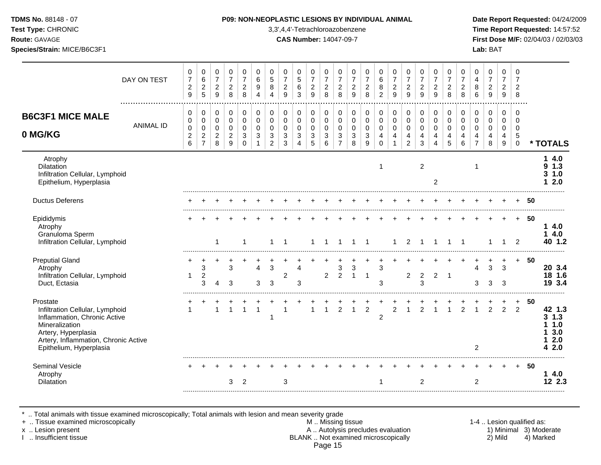**Test Type:** CHRONIC 3,3',4,4'-Tetrachloroazobenzene **Time Report Requested:** 14:57:52 **Route:** GAVAGE **CAS Number:** 14047-09-7 **First Dose M/F:** 02/04/03 / 02/03/03 **Species/Strain:** MICE/B6C3F1 **Lab:** BAT

|                                                                                                                                                                                         |                  | 0                                                      | $\pmb{0}$                                                         | 0                                                    | 0                                                                | 0                                                          | 0                                           | 0                                                    | 0                                                    | 0                                                | 0                                                         | 0                                         | 0                                                              | 0                                       | 0                                                                     | 0                                                                         | 0                                                                 | 0                                                   | 0                                       | 0                                      | 0                                      | 0                                      | 0                                                      | 0                                                      | 0                                      | 0                                                                   |    |                                                      |
|-----------------------------------------------------------------------------------------------------------------------------------------------------------------------------------------|------------------|--------------------------------------------------------|-------------------------------------------------------------------|------------------------------------------------------|------------------------------------------------------------------|------------------------------------------------------------|---------------------------------------------|------------------------------------------------------|------------------------------------------------------|--------------------------------------------------|-----------------------------------------------------------|-------------------------------------------|----------------------------------------------------------------|-----------------------------------------|-----------------------------------------------------------------------|---------------------------------------------------------------------------|-------------------------------------------------------------------|-----------------------------------------------------|-----------------------------------------|----------------------------------------|----------------------------------------|----------------------------------------|--------------------------------------------------------|--------------------------------------------------------|----------------------------------------|---------------------------------------------------------------------|----|------------------------------------------------------|
|                                                                                                                                                                                         | DAY ON TEST      | $\overline{7}$<br>$\boldsymbol{2}$<br>$\boldsymbol{9}$ | 6<br>$\boldsymbol{2}$<br>5                                        | $\overline{7}$<br>$\boldsymbol{2}$<br>9              | $\overline{7}$<br>$\overline{2}$<br>8                            | $\overline{7}$<br>$\boldsymbol{2}$<br>8                    | 6<br>9<br>4                                 | 5<br>8<br>4                                          | $\overline{7}$<br>$\boldsymbol{2}$<br>$\overline{9}$ | 5<br>6<br>3                                      | $\overline{7}$<br>$\boldsymbol{2}$<br>9                   | $\overline{7}$<br>$\overline{2}$<br>8     | $\overline{7}$<br>$\boldsymbol{2}$<br>8                        | $\overline{7}$<br>$\boldsymbol{2}$<br>9 | $\overline{7}$<br>$\boldsymbol{2}$<br>8                               | $\,6\,$<br>8<br>$\overline{c}$                                            | $\overline{7}$<br>$\boldsymbol{2}$<br>$\overline{9}$              | $\overline{7}$<br>$\sqrt{2}$<br>9                   | $\overline{7}$<br>$\boldsymbol{2}$<br>9 | $\overline{7}$<br>$\overline{2}$<br>9  | $\overline{7}$<br>$\overline{2}$<br>8  | $\overline{7}$<br>$\overline{c}$<br>8  | 4<br>8<br>$6\phantom{1}6$                              | $\overline{7}$<br>$\overline{c}$<br>$9\,$              | $\overline{7}$<br>$\overline{2}$<br>9  | $\overline{7}$<br>$\overline{2}$<br>8                               |    |                                                      |
| <b>B6C3F1 MICE MALE</b><br>0 MG/KG                                                                                                                                                      | <b>ANIMAL ID</b> | 0<br>0<br>$\pmb{0}$<br>$\overline{\mathbf{c}}$<br>6    | 0<br>$\mathbf 0$<br>$\pmb{0}$<br>$\overline{c}$<br>$\overline{7}$ | 0<br>$\mathbf 0$<br>$\pmb{0}$<br>$\overline{c}$<br>8 | $\mathbf 0$<br>$\mathbf 0$<br>$\mathbf 0$<br>$\overline{c}$<br>9 | $\mathbf 0$<br>$\mathbf 0$<br>$\mathbf 0$<br>3<br>$\Omega$ | $\mathbf 0$<br>$\Omega$<br>$\mathbf 0$<br>3 | 0<br>$\mathbf 0$<br>$\pmb{0}$<br>3<br>$\overline{2}$ | 0<br>0<br>$\mathbf 0$<br>$\mathbf{3}$<br>3           | 0<br>$\mathbf 0$<br>$\pmb{0}$<br>$\sqrt{3}$<br>4 | 0<br>$\mathbf 0$<br>$\pmb{0}$<br>$\sqrt{3}$<br>$\sqrt{5}$ | 0<br>$\mathbf 0$<br>$\mathbf 0$<br>3<br>6 | $\pmb{0}$<br>$\mathbf 0$<br>$\mathbf 0$<br>3<br>$\overline{7}$ | 0<br>$\mathbf 0$<br>$\pmb{0}$<br>3<br>8 | $\pmb{0}$<br>$\pmb{0}$<br>$\pmb{0}$<br>$\ensuremath{\mathsf{3}}$<br>9 | 0<br>$\mathsf{O}$<br>$\mathsf{O}\xspace$<br>$\overline{4}$<br>$\mathbf 0$ | 0<br>$\mathbf 0$<br>$\mathbf 0$<br>$\overline{4}$<br>$\mathbf{1}$ | 0<br>$\Omega$<br>$\mathbf 0$<br>4<br>$\overline{2}$ | 0<br>$\Omega$<br>$\mathbf 0$<br>4<br>3  | 0<br>$\Omega$<br>$\mathbf 0$<br>4<br>4 | 0<br>$\Omega$<br>$\mathbf 0$<br>4<br>5 | 0<br>$\Omega$<br>$\mathbf 0$<br>4<br>6 | 0<br>$\mathbf 0$<br>$\mathbf 0$<br>4<br>$\overline{7}$ | 0<br>$\mathbf 0$<br>$\mathbf 0$<br>$\overline{4}$<br>8 | 0<br>$\Omega$<br>$\mathbf 0$<br>4<br>9 | $\mathbf 0$<br>$\Omega$<br>$\mathbf 0$<br>$\sqrt{5}$<br>$\mathbf 0$ |    | * TOTALS                                             |
| Atrophy<br><b>Dilatation</b><br>Infiltration Cellular, Lymphoid<br>Epithelium, Hyperplasia                                                                                              |                  |                                                        |                                                                   |                                                      |                                                                  |                                                            |                                             |                                                      |                                                      |                                                  |                                                           |                                           |                                                                |                                         |                                                                       | 1                                                                         |                                                                   |                                                     | $\overline{2}$                          | 2                                      |                                        |                                        | $\mathbf 1$                                            |                                                        |                                        |                                                                     |    | 4.0<br>1<br>1.3<br>9<br>1.0<br>3<br>2.0<br>1         |
| <b>Ductus Deferens</b>                                                                                                                                                                  |                  |                                                        |                                                                   |                                                      |                                                                  |                                                            |                                             |                                                      |                                                      |                                                  |                                                           |                                           |                                                                |                                         |                                                                       |                                                                           |                                                                   |                                                     |                                         |                                        |                                        |                                        |                                                        |                                                        |                                        |                                                                     | 50 |                                                      |
| Epididymis<br>Atrophy<br>Granuloma Sperm<br>Infiltration Cellular, Lymphoid                                                                                                             |                  |                                                        |                                                                   | 1                                                    |                                                                  | 1                                                          |                                             | 1                                                    | $\overline{1}$                                       |                                                  |                                                           |                                           |                                                                | $\mathbf{1}$                            | $\overline{1}$                                                        |                                                                           | 1                                                                 | $\overline{2}$                                      |                                         |                                        | $\overline{1}$                         | $\overline{1}$                         |                                                        |                                                        |                                        | $+$<br>$\overline{2}$                                               | 50 | 4.0<br>$\mathbf 1$<br>4.0<br>1<br>40 1.2             |
| <b>Preputial Gland</b><br>Atrophy<br>Infiltration Cellular, Lymphoid<br>Duct, Ectasia                                                                                                   |                  | $\mathbf{1}$                                           | 3<br>$\overline{2}$<br>3                                          | 4                                                    | 3<br>3                                                           |                                                            | 4<br>3                                      | 3<br>3                                               | $\overline{2}$                                       | 4<br>3                                           |                                                           | $\overline{2}$                            | 3<br>$\overline{2}$                                            | 3<br>1                                  | $\overline{1}$                                                        | 3<br>3                                                                    |                                                                   | $\overline{2}$                                      | $\overline{c}$<br>3                     | 2                                      | $\mathbf 1$                            |                                        | $\overline{4}$<br>3                                    | 3<br>3                                                 | 3<br>3                                 | $+$                                                                 | 50 | 20 3.4<br>18 1.6<br>19 3.4                           |
| Prostate<br>Infiltration Cellular, Lymphoid<br>Inflammation, Chronic Active<br>Mineralization<br>Artery, Hyperplasia<br>Artery, Inflammation, Chronic Active<br>Epithelium, Hyperplasia |                  | 1                                                      |                                                                   | $\ddot{}$<br>$\mathbf{1}$                            | $\mathbf{1}$                                                     | 1                                                          | -1                                          | 1                                                    | 1                                                    |                                                  | 1                                                         | $\mathbf{1}$                              | $\overline{2}$                                                 | $\mathbf{1}$                            | $\overline{2}$                                                        | $\overline{2}$                                                            | $\overline{c}$                                                    | $\overline{1}$                                      | $\overline{c}$                          | 1                                      | 1                                      | $\overline{2}$                         | $\mathbf{1}$<br>$\overline{2}$                         | $\overline{2}$                                         | $\overline{2}$                         | $\ddot{}$<br>$\overline{2}$                                         | 50 | 42 1.3<br>$3 \t1.3$<br>1.0<br>3.0<br>2.0<br>2.0<br>4 |
| <b>Seminal Vesicle</b><br>Atrophy<br><b>Dilatation</b>                                                                                                                                  |                  |                                                        |                                                                   |                                                      | 3                                                                | $\overline{2}$                                             |                                             |                                                      | 3                                                    |                                                  |                                                           |                                           |                                                                |                                         |                                                                       |                                                                           |                                                                   |                                                     | 2                                       |                                        |                                        |                                        | $\overline{2}$                                         |                                                        |                                        | $+$                                                                 | 50 | 14.0<br>12 2.3                                       |

\* .. Total animals with tissue examined microscopically; Total animals with lesion and mean severity grade

+ .. Tissue examined microscopically M .. Missing tissue 1-4 .. Lesion qualified as: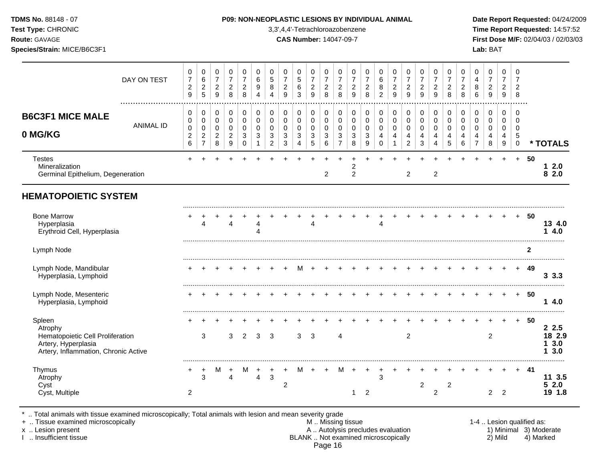**Test Type:** CHRONIC 3,3',4,4'-Tetrachloroazobenzene **Time Report Requested:** 14:57:52 **Route:** GAVAGE **CAS Number:** 14047-09-7 **First Dose M/F:** 02/04/03 / 02/03/03 **Species/Strain:** MICE/B6C3F1 **Lab:** BAT

|                                                                                                                      | DAY ON TEST      | 0<br>$\overline{7}$<br>$\overline{c}$<br>$\overline{9}$ | 0<br>$\,6\,$<br>$\overline{c}$<br>$\overline{5}$          | 0<br>$\overline{7}$<br>$\sqrt{2}$<br>$\overline{9}$              | 0<br>$\overline{7}$<br>$\overline{2}$<br>8             | 0<br>$\overline{7}$<br>$\overline{c}$<br>8       | 0<br>6<br>9<br>4                                     | 0<br>$\sqrt{5}$<br>8<br>$\boldsymbol{\Lambda}$                            | 0<br>$\overline{7}$<br>$\overline{c}$<br>9 | 0<br>$\sqrt{5}$<br>6<br>3                          | 0<br>$\overline{7}$<br>$\sqrt{2}$<br>9                      | 0<br>$\overline{\mathbf{7}}$<br>$\overline{c}$<br>8 | 0<br>$\overline{7}$<br>$\overline{c}$<br>8             | 0<br>$\overline{7}$<br>$\overline{c}$<br>9 | 0<br>$\overline{7}$<br>$\overline{c}$<br>8                   | 0<br>$\,6$<br>$\bf8$<br>$\overline{2}$       | 0<br>$\overline{7}$<br>$\overline{c}$<br>9         | 0<br>$\overline{7}$<br>$\overline{c}$<br>9         | 0<br>$\overline{7}$<br>$\overline{c}$<br>9 | 0<br>$\overline{7}$<br>$\overline{c}$<br>$\overline{9}$ | 0<br>$\overline{7}$<br>$\overline{c}$<br>8        | 0<br>$\overline{7}$<br>$\overline{2}$<br>8 | 0<br>4<br>8<br>6                                       | 0<br>$\overline{7}$<br>$\sqrt{2}$<br>9       | 0<br>$\overline{7}$<br>$\overline{2}$<br>$\boldsymbol{9}$ | 0<br>$\overline{7}$<br>$\overline{c}$<br>8 |              |                                  |
|----------------------------------------------------------------------------------------------------------------------|------------------|---------------------------------------------------------|-----------------------------------------------------------|------------------------------------------------------------------|--------------------------------------------------------|--------------------------------------------------|------------------------------------------------------|---------------------------------------------------------------------------|--------------------------------------------|----------------------------------------------------|-------------------------------------------------------------|-----------------------------------------------------|--------------------------------------------------------|--------------------------------------------|--------------------------------------------------------------|----------------------------------------------|----------------------------------------------------|----------------------------------------------------|--------------------------------------------|---------------------------------------------------------|---------------------------------------------------|--------------------------------------------|--------------------------------------------------------|----------------------------------------------|-----------------------------------------------------------|--------------------------------------------|--------------|----------------------------------|
| <b>B6C3F1 MICE MALE</b><br>0 MG/KG                                                                                   | <b>ANIMAL ID</b> | 0<br>0<br>$\,0\,$<br>$\overline{c}$<br>$6\phantom{a}$   | 0<br>0<br>$\pmb{0}$<br>$\boldsymbol{2}$<br>$\overline{7}$ | $\mathbf 0$<br>$\mathbf 0$<br>$\mathbf 0$<br>$\overline{2}$<br>8 | 0<br>$\mathbf 0$<br>$\mathbf 0$<br>$\overline{2}$<br>9 | 0<br>$\mathbf 0$<br>$\mathbf 0$<br>3<br>$\Omega$ | 0<br>$\mathbf 0$<br>$\mathbf 0$<br>3<br>$\mathbf{1}$ | $\mathbf 0$<br>$\pmb{0}$<br>$\mathbf 0$<br>$\mathbf{3}$<br>$\overline{c}$ | 0<br>0<br>0<br>3<br>3                      | 0<br>$\pmb{0}$<br>$\pmb{0}$<br>3<br>$\overline{4}$ | 0<br>$\mathbf 0$<br>$\mathbf 0$<br>$\sqrt{3}$<br>$\sqrt{5}$ | 0<br>$\pmb{0}$<br>$\mathbf 0$<br>3<br>6             | 0<br>$\mathbf 0$<br>$\mathbf 0$<br>3<br>$\overline{7}$ | 0<br>$\mathbf 0$<br>$\pmb{0}$<br>3<br>8    | $\mathbf 0$<br>$\pmb{0}$<br>$\mathbf 0$<br>$\mathbf{3}$<br>9 | 0<br>$\pmb{0}$<br>$\pmb{0}$<br>4<br>$\Omega$ | 0<br>$\mathsf 0$<br>$\pmb{0}$<br>4<br>$\mathbf{1}$ | 0<br>$\pmb{0}$<br>$\pmb{0}$<br>4<br>$\overline{c}$ | 0<br>0<br>0<br>4<br>3                      | $\mathbf 0$<br>$\mathbf 0$<br>$\mathbf 0$<br>4<br>4     | $\mathbf 0$<br>$\mathbf 0$<br>$\pmb{0}$<br>4<br>5 | 0<br>$\mathbf 0$<br>$\mathbf 0$<br>4<br>6  | 0<br>$\mathbf 0$<br>$\mathbf 0$<br>4<br>$\overline{7}$ | 0<br>0<br>$\mathbf 0$<br>$\overline{4}$<br>8 | $\mathbf 0$<br>0<br>0<br>4<br>$\boldsymbol{9}$            | 0<br>0<br>0<br>5<br>$\mathbf 0$            |              | * TOTALS                         |
| <b>Testes</b><br>Mineralization<br>Germinal Epithelium, Degeneration                                                 |                  |                                                         |                                                           |                                                                  |                                                        |                                                  |                                                      |                                                                           |                                            |                                                    |                                                             | $\overline{2}$                                      |                                                        | 2<br>2                                     |                                                              |                                              |                                                    | $\overline{2}$                                     |                                            | $\overline{c}$                                          |                                                   |                                            |                                                        |                                              | $\div$                                                    | $+$                                        | 50           | 12.0<br>82.0                     |
| <b>HEMATOPOIETIC SYSTEM</b>                                                                                          |                  |                                                         |                                                           |                                                                  |                                                        |                                                  |                                                      |                                                                           |                                            |                                                    |                                                             |                                                     |                                                        |                                            |                                                              |                                              |                                                    |                                                    |                                            |                                                         |                                                   |                                            |                                                        |                                              |                                                           |                                            |              |                                  |
| <b>Bone Marrow</b><br>Hyperplasia<br>Erythroid Cell, Hyperplasia                                                     |                  |                                                         | 4                                                         |                                                                  | Δ                                                      |                                                  |                                                      |                                                                           |                                            |                                                    | 4                                                           |                                                     |                                                        |                                            |                                                              | 4                                            |                                                    |                                                    |                                            |                                                         |                                                   |                                            |                                                        |                                              |                                                           | $+$                                        | 50           | 13 4.0<br>14.0                   |
| Lymph Node                                                                                                           |                  |                                                         |                                                           |                                                                  |                                                        |                                                  |                                                      |                                                                           |                                            |                                                    |                                                             |                                                     |                                                        |                                            |                                                              |                                              |                                                    |                                                    |                                            |                                                         |                                                   |                                            |                                                        |                                              |                                                           |                                            | $\mathbf{2}$ |                                  |
| Lymph Node, Mandibular<br>Hyperplasia, Lymphoid                                                                      |                  |                                                         |                                                           |                                                                  |                                                        |                                                  |                                                      |                                                                           |                                            | M                                                  |                                                             |                                                     |                                                        |                                            |                                                              |                                              |                                                    |                                                    |                                            |                                                         |                                                   |                                            |                                                        |                                              |                                                           | $\div$                                     | 49           | 3.3.3                            |
| Lymph Node, Mesenteric<br>Hyperplasia, Lymphoid                                                                      |                  |                                                         |                                                           |                                                                  |                                                        |                                                  |                                                      |                                                                           |                                            |                                                    |                                                             |                                                     |                                                        |                                            |                                                              |                                              |                                                    |                                                    |                                            |                                                         |                                                   |                                            |                                                        |                                              |                                                           | $+$                                        | 50           | 14.0                             |
| Spleen<br>Atrophy<br>Hematopoietic Cell Proliferation<br>Artery, Hyperplasia<br>Artery, Inflammation, Chronic Active |                  |                                                         | 3                                                         |                                                                  | 3                                                      | $\overline{2}$                                   | 3                                                    | 3                                                                         |                                            | 3                                                  | 3                                                           |                                                     | 4                                                      |                                            |                                                              |                                              |                                                    | $\overline{2}$                                     |                                            |                                                         |                                                   |                                            |                                                        | $\overline{c}$                               |                                                           | $+$                                        | 50           | 2.5<br>18 2.9<br>3.0<br>3.0<br>1 |
| Thymus<br>Atrophy<br>Cyst<br>Cyst, Multiple                                                                          |                  | +<br>2                                                  | $\ddot{}$<br>3                                            | M                                                                | +<br>$\overline{4}$                                    | М                                                | $\overline{4}$                                       | $\mathbf{3}$                                                              | +<br>2                                     | м                                                  | $\pm$                                                       | $+$                                                 | м                                                      | $+$<br>1                                   | $\ddot{}$<br>2                                               | $\ddot{}$<br>3                               | $\pm$                                              |                                                    | $\overline{c}$                             | $\overline{c}$                                          | 2                                                 |                                            |                                                        | $\overline{2}$                               | $\overline{2}$                                            |                                            | -41          | 11 3.5<br>2.0<br>5.<br>19 1.8    |

\* .. Total animals with tissue examined microscopically; Total animals with lesion and mean severity grade

+ .. Tissue examined microscopically M .. Missing tissue 1-4 .. Lesion qualified as: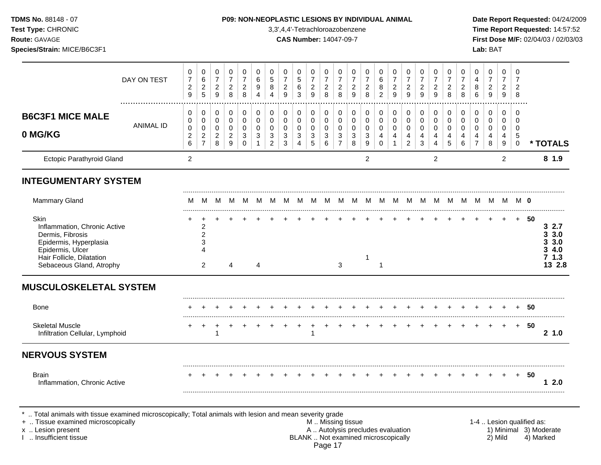**Test Type:** CHRONIC 3,3',4,4'-Tetrachloroazobenzene **Time Report Requested:** 14:57:52 **Route:** GAVAGE **CAS Number:** 14047-09-7 **First Dose M/F:** 02/04/03 / 02/03/03 **Species/Strain:** MICE/B6C3F1 **Lab:** BAT

|                                                                                                                                                                 | DAY ON TEST           | $\pmb{0}$<br>$\overline{7}$<br>$\boldsymbol{2}$<br>9 | $\pmb{0}$<br>$\,6$<br>$\overline{c}$<br>$5\phantom{.0}$                     | 0<br>$\overline{7}$<br>$\frac{2}{9}$             | $\pmb{0}$<br>$\overline{7}$<br>$\overline{a}$<br>8 | 0<br>$\overline{7}$<br>$\overline{c}$<br>8 | $\pmb{0}$<br>$\,6$<br>9<br>$\overline{4}$ | $\,0\,$<br>$\overline{5}$<br>8<br>$\overline{A}$                 | $\pmb{0}$<br>$\overline{7}$<br>$\overline{c}$<br>9  | $\pmb{0}$<br>$\sqrt{5}$<br>6<br>3          | 0<br>$\overline{7}$<br>$\frac{2}{9}$                    | 0<br>$\overline{7}$<br>$\begin{array}{c} 2 \\ 8 \end{array}$ | 0<br>$\overline{7}$<br>$\overline{a}$<br>8   | 0<br>$\overline{7}$<br>$\overline{c}$<br>9    | 0<br>$\overline{7}$<br>$\boldsymbol{2}$<br>8 | $\,0\,$<br>$\,6\,$<br>$\bf8$<br>$\overline{2}$ | $\pmb{0}$<br>$\overline{7}$<br>$\frac{2}{9}$                    | $\pmb{0}$<br>$\overline{7}$<br>$\frac{2}{9}$                        | $\,0\,$<br>$\overline{7}$<br>$\overline{c}$<br>9 | 0<br>$\overline{7}$<br>$\overline{a}$<br>$\overline{9}$ | $\pmb{0}$<br>$\overline{7}$<br>$\overline{c}$<br>8 | $\,0\,$<br>$\overline{7}$<br>$\boldsymbol{2}$<br>8 | 0<br>$\overline{\mathbf{4}}$<br>8<br>6 | $\pmb{0}$<br>$\overline{7}$<br>$\frac{2}{9}$ | 0<br>$\overline{7}$<br>$\overline{2}$<br>9 | 0<br>$\overline{7}$<br>2<br>8                                  |      |                                                      |
|-----------------------------------------------------------------------------------------------------------------------------------------------------------------|-----------------------|------------------------------------------------------|-----------------------------------------------------------------------------|--------------------------------------------------|----------------------------------------------------|--------------------------------------------|-------------------------------------------|------------------------------------------------------------------|-----------------------------------------------------|--------------------------------------------|---------------------------------------------------------|--------------------------------------------------------------|----------------------------------------------|-----------------------------------------------|----------------------------------------------|------------------------------------------------|-----------------------------------------------------------------|---------------------------------------------------------------------|--------------------------------------------------|---------------------------------------------------------|----------------------------------------------------|----------------------------------------------------|----------------------------------------|----------------------------------------------|--------------------------------------------|----------------------------------------------------------------|------|------------------------------------------------------|
| <b>B6C3F1 MICE MALE</b><br>0 MG/KG                                                                                                                              | .<br><b>ANIMAL ID</b> | 0<br>0<br>$\pmb{0}$<br>$\boldsymbol{2}$<br>$\,6$     | 0<br>0<br>$\pmb{0}$<br>$\overline{2}$<br>$\overline{7}$                     | 0<br>0<br>$\pmb{0}$<br>$\overline{a}$<br>$\bf 8$ | 0<br>0<br>$\mathbf 0$<br>$\overline{c}$<br>$9\,$   | 0<br>0<br>$\mathbf 0$<br>3<br>$\mathbf 0$  | 0<br>0<br>$\mathbf 0$<br>3                | $\mathbf 0$<br>$\mathbf 0$<br>$\mathbf 0$<br>3<br>$\overline{2}$ | 0<br>0<br>$\pmb{0}$<br>$\sqrt{3}$<br>$\mathfrak{S}$ | 0<br>0<br>$\pmb{0}$<br>3<br>$\overline{4}$ | 0<br>0<br>$\mathbf 0$<br>$\ensuremath{\mathsf{3}}$<br>5 | 0<br>0<br>$\mathbf 0$<br>3<br>6                              | 0<br>0<br>$\mathbf 0$<br>3<br>$\overline{7}$ | 0<br>0<br>0<br>$\ensuremath{\mathsf{3}}$<br>8 | 0<br>0<br>$\mathbf 0$<br>3<br>$9\,$          | 0<br>$\,0\,$<br>$\pmb{0}$<br>4<br>$\mathbf 0$  | 0<br>$\mathbf 0$<br>$\pmb{0}$<br>$\overline{4}$<br>$\mathbf{1}$ | 0<br>$\mathbf 0$<br>$\mathbf 0$<br>$\overline{4}$<br>$\overline{2}$ | 0<br>0<br>$\mathbf 0$<br>4<br>$\mathbf{3}$       | 0<br>0<br>$\mathbf 0$<br>4<br>4                         | 0<br>$\mathbf 0$<br>$\mathbf 0$<br>4<br>5          | 0<br>0<br>$\mathbf 0$<br>4<br>6                    | 0<br>0<br>0<br>4<br>$\overline{7}$     | 0<br>0<br>$\mathbf 0$<br>4<br>8              | $\mathbf 0$<br>0<br>$\mathbf 0$<br>4<br>9  | $\Omega$<br>$\Omega$<br>$\mathbf 0$<br>$\sqrt{5}$<br>$\pmb{0}$ |      | * TOTALS                                             |
| Ectopic Parathyroid Gland                                                                                                                                       |                       | $\overline{2}$                                       |                                                                             |                                                  |                                                    |                                            |                                           |                                                                  |                                                     |                                            |                                                         |                                                              |                                              |                                               | $\overline{c}$                               |                                                |                                                                 |                                                                     |                                                  | $\overline{c}$                                          |                                                    |                                                    |                                        |                                              | $\overline{2}$                             |                                                                |      | 8 1.9                                                |
| <b>INTEGUMENTARY SYSTEM</b>                                                                                                                                     |                       |                                                      |                                                                             |                                                  |                                                    |                                            |                                           |                                                                  |                                                     |                                            |                                                         |                                                              |                                              |                                               |                                              |                                                |                                                                 |                                                                     |                                                  |                                                         |                                                    |                                                    |                                        |                                              |                                            |                                                                |      |                                                      |
| Mammary Gland                                                                                                                                                   |                       | м                                                    | M                                                                           | M                                                | M                                                  | M                                          | M                                         | M                                                                | M                                                   | M                                          | M                                                       | M                                                            | M                                            | M                                             | M                                            |                                                | M M M                                                           |                                                                     | M                                                | M                                                       | M                                                  |                                                    | MMM                                    |                                              | M                                          | <b>MO</b>                                                      |      |                                                      |
| Skin<br>Inflammation, Chronic Active<br>Dermis, Fibrosis<br>Epidermis, Hyperplasia<br>Epidermis, Ulcer<br>Hair Follicle, Dilatation<br>Sebaceous Gland, Atrophy |                       |                                                      | ÷.<br>$\overline{\mathbf{c}}$<br>$\overline{2}$<br>3<br>4<br>$\overline{2}$ |                                                  | 4                                                  |                                            | 4                                         |                                                                  |                                                     |                                            |                                                         |                                                              | 3                                            |                                               | 1                                            | $\overline{1}$                                 |                                                                 |                                                                     |                                                  |                                                         |                                                    |                                                    |                                        |                                              | $\div$                                     | $+$                                                            | - 50 | <br>32.7<br>3.3.0<br>3.3.0<br>34.0<br>71.3<br>13 2.8 |
| <b>MUSCULOSKELETAL SYSTEM</b>                                                                                                                                   |                       |                                                      |                                                                             |                                                  |                                                    |                                            |                                           |                                                                  |                                                     |                                            |                                                         |                                                              |                                              |                                               |                                              |                                                |                                                                 |                                                                     |                                                  |                                                         |                                                    |                                                    |                                        |                                              |                                            |                                                                |      |                                                      |
| Bone                                                                                                                                                            |                       |                                                      |                                                                             |                                                  |                                                    |                                            |                                           |                                                                  |                                                     |                                            |                                                         |                                                              |                                              |                                               |                                              |                                                |                                                                 |                                                                     |                                                  |                                                         |                                                    |                                                    |                                        |                                              |                                            | $\ddot{}$                                                      | 50   |                                                      |
| <b>Skeletal Muscle</b><br>Infiltration Cellular, Lymphoid                                                                                                       |                       | $\ddot{}$                                            | $\overline{ }$                                                              | $\div$<br>1                                      |                                                    |                                            |                                           |                                                                  |                                                     | $\ddot{}$                                  |                                                         |                                                              |                                              |                                               |                                              |                                                |                                                                 |                                                                     |                                                  |                                                         |                                                    |                                                    |                                        |                                              |                                            | $+$                                                            | 50   | 2, 1.0                                               |
| <b>NERVOUS SYSTEM</b>                                                                                                                                           |                       |                                                      |                                                                             |                                                  |                                                    |                                            |                                           |                                                                  |                                                     |                                            |                                                         |                                                              |                                              |                                               |                                              |                                                |                                                                 |                                                                     |                                                  |                                                         |                                                    |                                                    |                                        |                                              |                                            |                                                                |      |                                                      |
| <b>Brain</b><br>Inflammation, Chronic Active                                                                                                                    |                       |                                                      |                                                                             |                                                  |                                                    |                                            |                                           |                                                                  |                                                     |                                            |                                                         |                                                              |                                              |                                               |                                              |                                                |                                                                 |                                                                     |                                                  |                                                         |                                                    |                                                    |                                        |                                              |                                            | $+$                                                            | 50   | 12.0                                                 |

+ .. Tissue examined microscopically examined microscopically **M** .. Missing tissue M .. Missing tissue 1-4 .. Lesion qualified as:<br>A .. Autolysis precludes evaluation 1) Minimal 3) Moderate x .. Lesion present **A .. Autolysis precludes evaluation** A .. Autolysis precludes evaluation 1) Minimal 3) Moderate I .. Insufficient tissue BLANK .. Not examined microscopically 2) Mild 4) Marked Page 17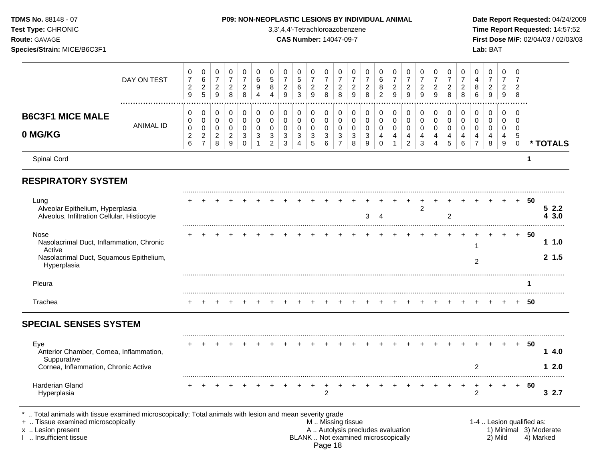Spinal Cord **1 RESPIRATORY SYSTEM** ......................................................................................................................................................................................................... Lung + + + + + + + + + + + + + + + + + + + + + + + + + **50** Alveolar Epithelium, Hyperplasia 2 **5 2.2** Alveolus, Infiltration Cellular, Histiocyte 3 4 2 **4 3.0** ......................................................................................................................................................................................................... Nose + + + + + + + + + + + + + + + + + + + + + + + + + **50** Nasolacrimal Duct, Inflammation, Chronic declined Duct, innamifiation, Ontonic<br>Active **1 1.0** Nasolacrimal Duct, Squamous Epithelium, asolachinal Duct, oquamous Epimenum,<br>Hyperplasia **2 1.5** ......................................................................................................................................................................................................... Pleura **1** ......................................................................................................................................................................................................... Trachea + + + + + + + + + + + + + + + + + + + + + + + + + **50 SPECIAL SENSES SYSTEM** ......................................................................................................................................................................................................... Eye + + + + + + + + + + + + + + + + + + + + + + + + + **50** Anterior Chamber, Cornea, Inflammation, Suppurative **1 4.0** Cornea, Inflammation, Chronic Active 2 **1 2.0** ......................................................................................................................................................................................................... Harderian Gland + + + + + + + + + + + + + + + + + + + + + + + + + **50** Hyperplasia 2 2 **3 2.7 TDMS No.** 88148 - 07 **P09: NON-NEOPLASTIC LESIONS BY INDIVIDUAL ANIMAL Date Report Requested:** 04/24/2009 **Test Type:** CHRONIC 3,3',4,4'-Tetrachloroazobenzene **Time Report Requested:** 14:57:52 **Route:** GAVAGE **CAS Number:** 14047-09-7 **First Dose M/F:** 02/04/03 / 02/03/03 **Species/Strain:** MICE/B6C3F1 **Lab:** BAT DAY ON TEST  $\overline{7}$   $\overline{7}$   $\Omega$  ................................................................................................................................................................. **B6C3F1 MICE MALE** ANIMAL ID **0 MG/KG**  $\Omega$  **\* TOTALS** .. Total animals with tissue examined microscopically; Total animals with lesion and mean severity grade + .. Tissue examined microscopically examined microscopically and the state of the state of the M .. Missing tissue the M .. Missing tissue the matrix of the M .. Missing tissue the matrix of the M .. Lesion qualified as: x .. Lesion present 1) Minimal 3) Moderate<br>A .. Autolysis precludes evaluation 1 and 1) Minimal 3) Moderate<br>BLANK .. Not examined microscopically 1 and 1) Minimal 3) Marked

BLANK .. Not examined microscopically Page 18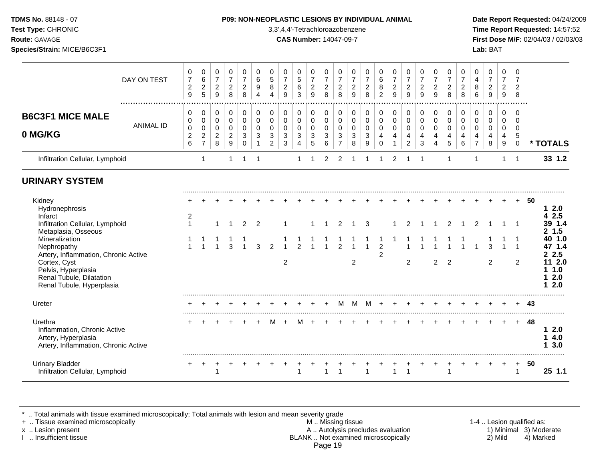**Test Type:** CHRONIC 3,3',4,4'-Tetrachloroazobenzene **Time Report Requested:** 14:57:52 **Route:** GAVAGE **CAS Number:** 14047-09-7 **First Dose M/F:** 02/04/03 / 02/03/03 **Species/Strain:** MICE/B6C3F1 **Lab:** BAT

|                                                                                                                                                                                                                                                                        | DAY ON TEST      | 0<br>$\boldsymbol{7}$<br>$\overline{c}$<br>9 | 0<br>6<br>$\sqrt{2}$<br>5                    | 0<br>$\overline{7}$<br>$\overline{c}$<br>9       | 0<br>$\overline{7}$<br>$\boldsymbol{2}$<br>8 | 0<br>$\overline{7}$<br>$\boldsymbol{2}$<br>8 | 0<br>$\,6\,$<br>$\boldsymbol{9}$<br>$\boldsymbol{\Lambda}$ | 0<br>$\sqrt{5}$<br>$\,8\,$<br>$\overline{4}$        | $\pmb{0}$<br>$\overline{7}$<br>$\sqrt{2}$<br>9    | 0<br>$\sqrt{5}$<br>$\,6$<br>3                                     | 0<br>$\overline{7}$<br>$\sqrt{2}$<br>9              | 0<br>$\overline{7}$<br>$\overline{c}$<br>8 | 0<br>$\overline{7}$<br>$\boldsymbol{2}$<br>8 | 0<br>$\overline{7}$<br>$\boldsymbol{2}$<br>9 | 0<br>$\overline{7}$<br>$\overline{c}$<br>8   | $\mathbf 0$<br>$\,6\,$<br>$\bf 8$<br>$\overline{2}$       | 0<br>$\overline{7}$<br>$\overline{c}$<br>9 | 0<br>$\overline{7}$<br>$\sqrt{2}$<br>9       | 0<br>$\overline{7}$<br>$\boldsymbol{2}$<br>9                  | 0<br>$\overline{7}$<br>$\boldsymbol{2}$<br>9 | 0<br>$\overline{7}$<br>$\overline{2}$<br>8 | 0<br>$\overline{7}$<br>$\overline{c}$<br>8 | 0<br>$\overline{\mathbf{4}}$<br>8<br>6 | 0<br>$\overline{7}$<br>$\overline{c}$<br>$\overline{9}$ | 0<br>$\overline{7}$<br>$\overline{a}$<br>9 | 0<br>$\overline{7}$<br>$\overline{2}$<br>8                       |    |                                                                                                                                  |
|------------------------------------------------------------------------------------------------------------------------------------------------------------------------------------------------------------------------------------------------------------------------|------------------|----------------------------------------------|----------------------------------------------|--------------------------------------------------|----------------------------------------------|----------------------------------------------|------------------------------------------------------------|-----------------------------------------------------|---------------------------------------------------|-------------------------------------------------------------------|-----------------------------------------------------|--------------------------------------------|----------------------------------------------|----------------------------------------------|----------------------------------------------|-----------------------------------------------------------|--------------------------------------------|----------------------------------------------|---------------------------------------------------------------|----------------------------------------------|--------------------------------------------|--------------------------------------------|----------------------------------------|---------------------------------------------------------|--------------------------------------------|------------------------------------------------------------------|----|----------------------------------------------------------------------------------------------------------------------------------|
| <b>B6C3F1 MICE MALE</b><br>0 MG/KG                                                                                                                                                                                                                                     | <b>ANIMAL ID</b> | 0<br>0<br>$\pmb{0}$<br>$\overline{c}$<br>6   | 0<br>$\mathbf 0$<br>0<br>$\overline{2}$<br>7 | 0<br>$\pmb{0}$<br>$\,0\,$<br>$\overline{c}$<br>8 | 0<br>$\mathbf 0$<br>0<br>$\overline{a}$<br>9 | 0<br>0<br>0<br>3<br>0                        | 0<br>$\mathbf 0$<br>0<br>3                                 | 0<br>$\pmb{0}$<br>0<br>$\sqrt{3}$<br>$\overline{c}$ | 0<br>$\mathbf 0$<br>$\pmb{0}$<br>$\mathsf 3$<br>3 | 0<br>$\mathbf 0$<br>$\mathbf 0$<br>$\mathbf{3}$<br>$\overline{4}$ | 0<br>$\mathbf 0$<br>0<br>$\mathbf{3}$<br>$\sqrt{5}$ | 0<br>$\mathbf 0$<br>0<br>3<br>6            | 0<br>$\mathbf 0$<br>0<br>3<br>$\overline{7}$ | 0<br>$\mathbf 0$<br>0<br>3<br>8              | 0<br>$\pmb{0}$<br>0<br>3<br>$\boldsymbol{9}$ | 0<br>$\mathsf{O}\xspace$<br>$\pmb{0}$<br>4<br>$\mathbf 0$ | 0<br>$\pmb{0}$<br>$\pmb{0}$<br>4           | 0<br>$\mathbf 0$<br>0<br>4<br>$\overline{2}$ | 0<br>$\pmb{0}$<br>$\pmb{0}$<br>4<br>$\ensuremath{\mathsf{3}}$ | 0<br>$\mathbf 0$<br>0<br>4<br>$\overline{4}$ | 0<br>0<br>0<br>4<br>5                      | 0<br>$\mathbf 0$<br>0<br>4<br>6            | 0<br>0<br>0<br>4<br>$\overline{7}$     | 0<br>$\mathbf 0$<br>0<br>4<br>8                         | 0<br>$\mathbf 0$<br>0<br>4<br>9            | $\Omega$<br>$\Omega$<br>$\mathbf 0$<br>$\sqrt{5}$<br>$\mathbf 0$ |    | * TOTALS                                                                                                                         |
| Infiltration Cellular, Lymphoid                                                                                                                                                                                                                                        |                  |                                              | $\mathbf{1}$                                 |                                                  | 1                                            | 1                                            | $\mathbf 1$                                                |                                                     |                                                   | -1                                                                |                                                     | 2                                          | 2                                            |                                              | -1                                           | 1                                                         | $\overline{c}$                             | -1                                           | -1                                                            |                                              | $\mathbf 1$                                |                                            | 1                                      |                                                         | 1                                          | -1                                                               |    | 33 1.2                                                                                                                           |
| <b>URINARY SYSTEM</b>                                                                                                                                                                                                                                                  |                  |                                              |                                              |                                                  |                                              |                                              |                                                            |                                                     |                                                   |                                                                   |                                                     |                                            |                                              |                                              |                                              |                                                           |                                            |                                              |                                                               |                                              |                                            |                                            |                                        |                                                         |                                            |                                                                  |    |                                                                                                                                  |
| Kidney<br>Hydronephrosis<br>Infarct<br>Infiltration Cellular, Lymphoid<br>Metaplasia, Osseous<br>Mineralization<br>Nephropathy<br>Artery, Inflammation, Chronic Active<br>Cortex, Cyst<br>Pelvis, Hyperplasia<br>Renal Tubule, Dilatation<br>Renal Tubule, Hyperplasia |                  | 2<br>$\mathbf{1}$                            | $\mathbf{1}$                                 | $\overline{1}$                                   | 1<br>3                                       | $\overline{2}$                               | $\overline{2}$<br>3                                        | $\mathfrak{p}$                                      | $\overline{c}$                                    | $\mathcal{P}$                                                     |                                                     |                                            | 2<br>$\mathfrak{p}$                          | 1<br>$\overline{c}$                          | 3<br>$\overline{ }$                          | $\overline{2}$<br>$\overline{2}$                          |                                            | $\mathcal{P}$<br>$\overline{c}$              |                                                               | $\overline{c}$                               | $\overline{2}$<br>$\overline{c}$           | 1                                          | $\overline{2}$<br>$\blacktriangleleft$ | 3<br>$\overline{c}$                                     |                                            | -1<br>-1<br>$\overline{1}$<br>$\overline{c}$                     | 50 | 12.0<br>2.5<br>4<br>39 1.4<br>1.5<br>$\mathbf{2}$<br>40 1.0<br>47 1.4<br>2.5<br>2<br>11 2.0<br>1.0<br>1.<br>2.0<br>1<br>2.0<br>1 |
| Ureter                                                                                                                                                                                                                                                                 |                  |                                              |                                              |                                                  |                                              |                                              |                                                            |                                                     |                                                   |                                                                   |                                                     |                                            | м                                            | м                                            | м                                            | $\overline{ }$                                            | $\ddot{}$                                  |                                              |                                                               |                                              |                                            |                                            |                                        |                                                         |                                            | $\ddot{}$                                                        | 43 |                                                                                                                                  |
| Urethra<br>Inflammation, Chronic Active<br>Artery, Hyperplasia<br>Artery, Inflammation, Chronic Active                                                                                                                                                                 |                  |                                              |                                              |                                                  |                                              |                                              |                                                            |                                                     |                                                   |                                                                   |                                                     |                                            |                                              |                                              |                                              |                                                           |                                            |                                              |                                                               |                                              |                                            |                                            |                                        |                                                         |                                            | $\ddot{}$                                                        | 48 | 12.0<br>4.0<br>3.0<br>1.                                                                                                         |
| <b>Urinary Bladder</b><br>Infiltration Cellular, Lymphoid                                                                                                                                                                                                              |                  | $+$                                          | $\overline{+}$                               | $\ddot{}$<br>$\mathbf 1$                         |                                              |                                              |                                                            | $\div$                                              | $+$                                               | $\ddot{}$                                                         |                                                     |                                            |                                              |                                              |                                              |                                                           |                                            |                                              |                                                               | $\div$                                       | $\div$<br>1                                |                                            | $\ddot{}$                              | $\ddot{}$                                               | $+$                                        | $+$<br>$\overline{1}$                                            | 50 | 25 1.1                                                                                                                           |

\* .. Total animals with tissue examined microscopically; Total animals with lesion and mean severity grade

+ .. Tissue examined microscopically M .. Missing tissue 1-4 .. Lesion qualified as: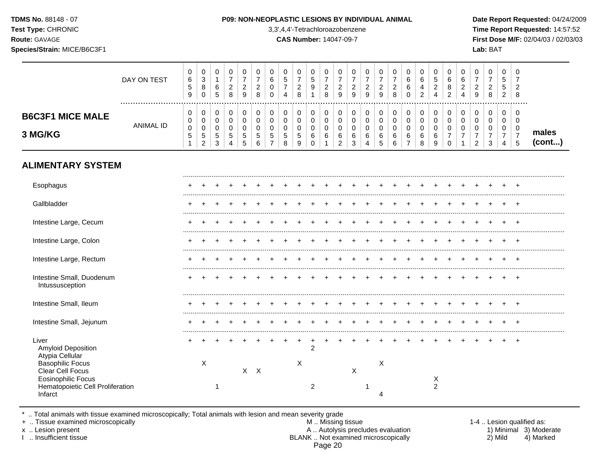**Test Type:** CHRONIC 3,3',4,4'-Tetrachloroazobenzene **Time Report Requested:** 14:57:52 **Route:** GAVAGE **CAS Number:** 14047-09-7 **First Dose M/F:** 02/04/03 / 02/03/03 **Species/Strain:** MICE/B6C3F1 **Lab:** BAT

|                                              | DAY ON TEST   | 0<br>6<br>5<br>9 | 0<br>3<br>8<br>$\Omega$ | 0<br>6<br>$\sqrt{5}$          | 0<br>7<br>$\boldsymbol{2}$<br>8 | 0<br>$\overline{7}$<br>$\overline{c}$<br>9 | 0<br>2<br>8           | 0<br>6<br>0<br>0 | 0<br>5<br>4           | 0<br>$\overline{a}$<br>8 | 0<br>5<br>9           | 0<br>$\overline{7}$<br>$\overline{c}$<br>8 | 0<br>$\overline{7}$<br>$\overline{\mathbf{c}}$<br>9 | 0<br>$\overline{7}$<br>$\overline{c}$<br>9 | 7<br>$\overline{\mathbf{c}}$<br>9 | 0<br>7<br>$\overline{c}$<br>$\boldsymbol{9}$ | 0<br>$\overline{\mathbf{c}}$<br>8 | 0<br>6<br>6<br>$\Omega$            | 0<br>6<br>4<br>$\overline{2}$ | 0<br>5<br>$\overline{c}$<br>4 | $\Omega$<br>6<br>8<br>2 | 6<br>2 | $\Omega$<br>$\overline{c}$<br>9 | 0<br>$\overline{c}$<br>8 | 0<br>5<br>5<br>2                   | 0<br>7<br>$\overline{\mathbf{c}}$<br>8         |                 |
|----------------------------------------------|---------------|------------------|-------------------------|-------------------------------|---------------------------------|--------------------------------------------|-----------------------|------------------|-----------------------|--------------------------|-----------------------|--------------------------------------------|-----------------------------------------------------|--------------------------------------------|-----------------------------------|----------------------------------------------|-----------------------------------|------------------------------------|-------------------------------|-------------------------------|-------------------------|--------|---------------------------------|--------------------------|------------------------------------|------------------------------------------------|-----------------|
| <b>B6C3F1 MICE MALE</b><br>3 MG/KG           | <br>ANIMAL ID | 0<br>0<br>0<br>5 | 0<br>0<br>0<br>5<br>2   | $\pmb{0}$<br>0<br>0<br>5<br>3 | 0<br>0<br>0<br>5<br>4           | 0<br>0<br>0<br>5<br>5                      | 0<br>0<br>0<br>5<br>6 | 0<br>0<br>5      | 0<br>0<br>0<br>5<br>8 | 0<br>0<br>0<br>5<br>9    | 0<br>0<br>0<br>6<br>0 | 0<br>0<br>0<br>6                           | 0<br>0<br>0<br>6<br>2                               | 0<br>0<br>0<br>6<br>3                      | 0<br>0<br>6                       | 0<br>0<br>0<br>6<br>5                        | 0<br>0<br>0<br>6<br>6             | 0<br>0<br>0<br>6<br>$\overline{7}$ | 0<br>0<br>0<br>6<br>8         | 0<br>0<br>0<br>6<br>9         | 0<br>0<br>0<br>$\Omega$ | 0      | 0<br>0<br>0<br>$\mathcal{P}$    | 0<br>0<br>0<br>3         | 0<br>0<br>0<br>$\overline{7}$<br>4 | .<br>$\Omega$<br>0<br>0<br>$\overline{7}$<br>5 | males<br>(cont) |
| <b>ALIMENTARY SYSTEM</b>                     |               |                  |                         |                               |                                 |                                            |                       |                  |                       |                          |                       |                                            |                                                     |                                            |                                   |                                              |                                   |                                    |                               |                               |                         |        |                                 |                          |                                    |                                                |                 |
| Esophagus                                    |               |                  |                         |                               |                                 |                                            |                       |                  |                       |                          |                       |                                            |                                                     |                                            |                                   |                                              |                                   |                                    |                               |                               |                         |        |                                 |                          |                                    |                                                |                 |
| Gallbladder                                  |               |                  |                         |                               |                                 |                                            |                       |                  |                       |                          |                       |                                            |                                                     |                                            |                                   |                                              |                                   |                                    |                               |                               |                         |        |                                 |                          |                                    |                                                |                 |
| Intestine Large, Cecum                       |               |                  |                         |                               |                                 |                                            |                       |                  |                       |                          |                       |                                            |                                                     |                                            |                                   |                                              |                                   |                                    |                               |                               |                         |        |                                 |                          |                                    | $\div$                                         |                 |
| Intestine Large, Colon                       |               |                  |                         |                               |                                 |                                            |                       |                  |                       |                          |                       |                                            |                                                     |                                            |                                   |                                              |                                   |                                    |                               |                               |                         |        |                                 |                          |                                    |                                                |                 |
| Intestine Large, Rectum                      |               |                  |                         |                               |                                 |                                            |                       |                  |                       |                          |                       |                                            |                                                     |                                            |                                   |                                              |                                   |                                    |                               |                               |                         |        |                                 |                          |                                    |                                                |                 |
| Intestine Small, Duodenum<br>Intussusception |               |                  |                         |                               |                                 |                                            |                       |                  |                       |                          |                       |                                            |                                                     |                                            |                                   |                                              |                                   |                                    |                               |                               |                         |        |                                 |                          |                                    |                                                |                 |
|                                              |               |                  |                         |                               |                                 |                                            |                       |                  |                       |                          |                       |                                            |                                                     |                                            |                                   |                                              |                                   |                                    |                               |                               |                         |        |                                 |                          |                                    |                                                |                 |

| Intestine Small, Jejunum                                                                                                   |  |  |  |  |   |  |  |  |  |  |  |  |  |  |
|----------------------------------------------------------------------------------------------------------------------------|--|--|--|--|---|--|--|--|--|--|--|--|--|--|
| Liver<br>Amyloid Deposition<br>Atypia Cellular<br><b>Basophilic Focus</b><br>Clear Cell Focus<br><b>Eosinophilic Focus</b> |  |  |  |  | ⌒ |  |  |  |  |  |  |  |  |  |
| Hematopoietic Cell Proliferation<br>Infarct                                                                                |  |  |  |  |   |  |  |  |  |  |  |  |  |  |

Intestine Small, Ileum + + + + + + + + + + + + + + + + + + + + + + + + +

\* .. Total animals with tissue examined microscopically; Total animals with lesion and mean severity grade<br>+ .. Tissue examined microscopically

+ .. Tissue examined microscopically the state of the state of the M .. Missing tissue 1-4 .. Lesion qualified as: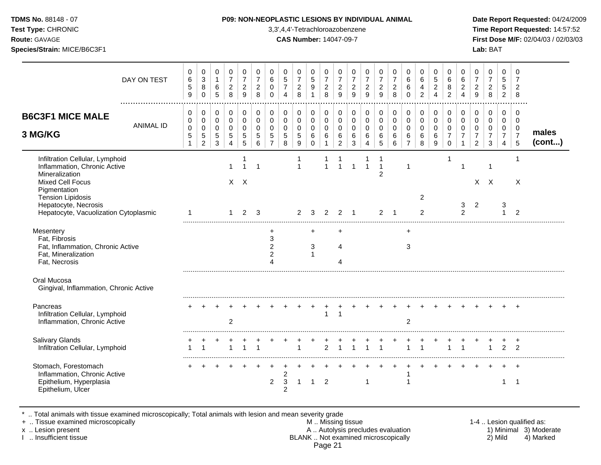**Test Type:** CHRONIC 3,3',4,4'-Tetrachloroazobenzene **Time Report Requested:** 14:57:52 **Route:** GAVAGE **CAS Number:** 14047-09-7 **First Dose M/F:** 02/04/03 / 02/03/03 **Species/Strain:** MICE/B6C3F1 **Lab:** BAT

|                                                                                                                                                          | DAY ON TEST      | 0<br>$\,6$<br>$\mathbf 5$<br>9            | $\pmb{0}$<br>$\ensuremath{\mathsf{3}}$<br>8<br>$\mathbf 0$   | $\mathbf 0$<br>$\mathbf{1}$<br>$\,6\,$<br>5  | 0<br>$\overline{7}$<br>$\overline{c}$<br>8           | 0<br>$\overline{7}$<br>$\overline{2}$<br>9      | $\pmb{0}$<br>$\overline{7}$<br>$\boldsymbol{2}$<br>8 | $\mathbf 0$<br>$\,6\,$<br>$\mathbf 0$<br>$\Omega$   | $\pmb{0}$<br>$\sqrt{5}$<br>$\overline{7}$<br>$\boldsymbol{\Lambda}$ | 0<br>$\overline{7}$<br>$\overline{a}$<br>8         | 0<br>5<br>$\boldsymbol{9}$<br>$\overline{1}$ | $\mathbf 0$<br>$\overline{7}$<br>$\boldsymbol{2}$<br>8 | 0<br>$\overline{7}$<br>$\boldsymbol{2}$<br>9     | 0<br>$\overline{7}$<br>$\overline{2}$<br>9      | 0<br>$\overline{7}$<br>$\overline{a}$<br>9 | $\mathbf 0$<br>$\overline{7}$<br>$\sqrt{2}$<br>9 | 0<br>$\overline{7}$<br>$\boldsymbol{2}$<br>8  | 0<br>$\,6\,$<br>6<br>$\Omega$                                | $\mathbf 0$<br>$\,6\,$<br>$\overline{4}$<br>$\overline{2}$ | $\mathbf 0$<br>$\sqrt{5}$<br>$\sqrt{2}$<br>$\overline{4}$ | $\mathbf 0$<br>$\,6\,$<br>8<br>$\overline{2}$                  | 0<br>$\,6\,$<br>$\overline{2}$<br>$\overline{4}$ | 0<br>$\overline{7}$<br>$\overline{2}$<br>9 | $\mathbf 0$<br>$\overline{7}$<br>$\boldsymbol{2}$<br>8 | $\mathbf 0$<br>5<br>$\sqrt{5}$<br>$\overline{2}$ | 0<br>$\overline{7}$<br>$\overline{2}$<br>8   |                 |
|----------------------------------------------------------------------------------------------------------------------------------------------------------|------------------|-------------------------------------------|--------------------------------------------------------------|----------------------------------------------|------------------------------------------------------|-------------------------------------------------|------------------------------------------------------|-----------------------------------------------------|---------------------------------------------------------------------|----------------------------------------------------|----------------------------------------------|--------------------------------------------------------|--------------------------------------------------|-------------------------------------------------|--------------------------------------------|--------------------------------------------------|-----------------------------------------------|--------------------------------------------------------------|------------------------------------------------------------|-----------------------------------------------------------|----------------------------------------------------------------|--------------------------------------------------|--------------------------------------------|--------------------------------------------------------|--------------------------------------------------|----------------------------------------------|-----------------|
| <b>B6C3F1 MICE MALE</b><br>3 MG/KG                                                                                                                       | <b>ANIMAL ID</b> | 0<br>0<br>0<br>$\sqrt{5}$<br>$\mathbf{1}$ | 0<br>$\pmb{0}$<br>$\pmb{0}$<br>$\,$ 5 $\,$<br>$\overline{2}$ | 0<br>0<br>$\mathbf 0$<br>$\overline{5}$<br>3 | 0<br>$\pmb{0}$<br>$\mathbf 0$<br>5<br>$\overline{4}$ | 0<br>$\mathbf 0$<br>$\Omega$<br>$\sqrt{5}$<br>5 | 0<br>0<br>$\Omega$<br>5<br>6                         | 0<br>$\mathbf 0$<br>$\Omega$<br>5<br>$\overline{7}$ | 0<br>$\pmb{0}$<br>$\mathbf 0$<br>5<br>8                             | 0<br>$\mathbf 0$<br>$\mathbf 0$<br>$\sqrt{5}$<br>9 | 0<br>$\pmb{0}$<br>0<br>$\,6\,$<br>$\Omega$   | 0<br>$\mathbf 0$<br>$\mathbf 0$<br>6<br>$\mathbf{1}$   | 0<br>$\pmb{0}$<br>0<br>$\,6\,$<br>$\overline{c}$ | 0<br>$\mathbf 0$<br>$\mathbf 0$<br>$\,6\,$<br>3 | 0<br>0<br>$\mathbf 0$<br>6<br>4            | 0<br>$\mathbf 0$<br>$\Omega$<br>6<br>5           | 0<br>$\pmb{0}$<br>$\mathbf 0$<br>$\,6\,$<br>6 | 0<br>$\mathbf 0$<br>$\mathbf 0$<br>$\,6\,$<br>$\overline{7}$ | 0<br>$\pmb{0}$<br>0<br>$\,6\,$<br>8                        | 0<br>$\mathsf{O}\xspace$<br>$\mathbf 0$<br>6<br>9         | 0<br>$\pmb{0}$<br>$\mathbf 0$<br>$\overline{7}$<br>$\mathbf 0$ | 0<br>$\mathbf 0$<br>$\Omega$<br>$\overline{7}$   | 0<br>0<br>$\Omega$<br>$\overline{7}$<br>2  | 0<br>$\mathbf 0$<br>$\Omega$<br>$\overline{7}$<br>3    | 0<br>0<br>$\mathbf 0$<br>$\overline{7}$<br>4     | $\mathbf 0$<br>0<br>0<br>$\overline{7}$<br>5 | males<br>(cont) |
| Infiltration Cellular, Lymphoid<br>Inflammation, Chronic Active<br>Mineralization<br><b>Mixed Cell Focus</b><br>Pigmentation<br><b>Tension Lipidosis</b> |                  |                                           |                                                              |                                              |                                                      | 1<br>$X$ $X$                                    | 1                                                    |                                                     |                                                                     | 1<br>$\mathbf{1}$                                  |                                              |                                                        | 1                                                |                                                 |                                            | $\mathbf{1}$<br>$\overline{2}$                   |                                               | 1                                                            | $\overline{2}$                                             |                                                           | 1                                                              | 1                                                |                                            | 1<br>$X$ $X$                                           |                                                  | -1<br>X                                      |                 |
| Hepatocyte, Necrosis<br>Hepatocyte, Vacuolization Cytoplasmic                                                                                            |                  |                                           |                                                              |                                              | $\overline{1}$                                       | 2                                               | 3                                                    |                                                     |                                                                     | $\overline{2}$                                     | 3                                            | $\overline{2}$                                         | 2                                                | -1                                              |                                            | $\overline{2}$                                   | $\overline{\mathbf{1}}$                       |                                                              | $\overline{2}$                                             |                                                           |                                                                | 3<br>$\overline{c}$                              | $\overline{2}$                             |                                                        | 3<br>$\blacktriangleleft$                        | 2                                            |                 |
| Mesentery<br>Fat, Fibrosis<br>Fat, Inflammation, Chronic Active<br>Fat, Mineralization<br>Fat, Necrosis                                                  |                  |                                           |                                                              |                                              |                                                      |                                                 |                                                      | +<br>3<br>$\overline{2}$<br>$\overline{c}$          |                                                                     |                                                    | $+$<br>3<br>1                                |                                                        | $\ddot{}$<br>4                                   |                                                 |                                            |                                                  |                                               | $\ddot{}$<br>3                                               |                                                            |                                                           |                                                                |                                                  |                                            |                                                        |                                                  |                                              |                 |
| Oral Mucosa<br>Gingival, Inflammation, Chronic Active                                                                                                    |                  |                                           |                                                              |                                              |                                                      |                                                 |                                                      |                                                     |                                                                     |                                                    |                                              |                                                        |                                                  |                                                 |                                            |                                                  |                                               |                                                              |                                                            |                                                           |                                                                |                                                  |                                            |                                                        |                                                  |                                              |                 |
| Pancreas<br>Infiltration Cellular, Lymphoid<br>Inflammation, Chronic Active                                                                              |                  |                                           |                                                              |                                              | $\overline{2}$                                       |                                                 |                                                      |                                                     |                                                                     |                                                    |                                              | $\mathbf{1}$                                           | $\overline{1}$                                   |                                                 |                                            |                                                  |                                               | 2                                                            |                                                            |                                                           |                                                                |                                                  |                                            |                                                        |                                                  | $\ddot{}$                                    |                 |
| <b>Salivary Glands</b><br>Infiltration Cellular, Lymphoid                                                                                                |                  |                                           |                                                              |                                              |                                                      |                                                 |                                                      |                                                     |                                                                     |                                                    |                                              | $\mathcal{P}$                                          |                                                  |                                                 |                                            |                                                  |                                               |                                                              |                                                            |                                                           |                                                                |                                                  |                                            | $\overline{1}$                                         | $\overline{2}$                                   | +<br>$\overline{2}$                          |                 |
| Stomach, Forestomach<br>Inflammation, Chronic Active<br>Epithelium, Hyperplasia<br>Epithelium, Ulcer                                                     |                  |                                           |                                                              |                                              |                                                      |                                                 |                                                      | $\overline{a}$                                      | $\overline{c}$<br>3<br>$\overline{c}$                               | 1                                                  | 1                                            | $\overline{2}$                                         |                                                  |                                                 | 1                                          |                                                  |                                               |                                                              |                                                            |                                                           |                                                                |                                                  |                                            |                                                        | 1                                                | $\overline{+}$<br>-1                         |                 |

\* .. Total animals with tissue examined microscopically; Total animals with lesion and mean severity grade

+ .. Tissue examined microscopically M .. Missing tissue 1-4 .. Lesion qualified as:

- x .. Lesion present **A .. Autolysis precludes evaluation** A .. Autolysis precludes evaluation 1) Minimal 3) Moderate I .. Insufficient tissue BLANK .. Not examined microscopically 2) Mild 4) Marked Page 21
-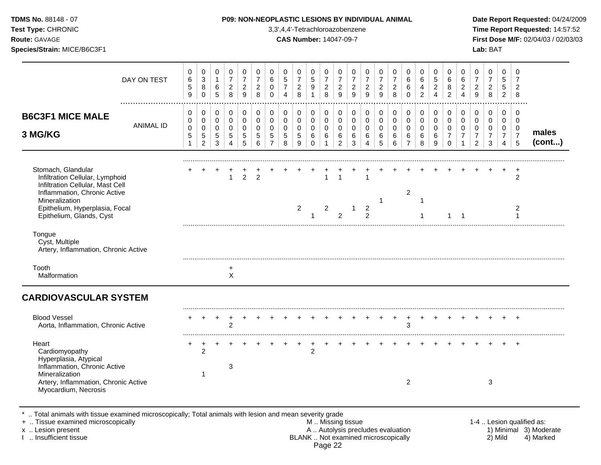| TDMS No. 88148 - 07<br>Test Type: CHRONIC<br>Route: GAVAGE<br>Species/Strain: MICE/B6C3F1                                                                                                                 |                  |                                                      |                                                                 |                                                                       |                                                                            |                                                              |                                                                         |                                                                  |                                                     | 3,3',4,4'-Tetrachloroazobenzene<br><b>CAS Number: 14047-09-7</b> |                                                             |                                                      |                                                            |                                                         | P09: NON-NEOPLASTIC LESIONS BY INDIVIDUAL ANIMAL                       |                                                        |                                            |                                                        |                                                      |                                                                   |                                                                            |                                                                  |                                                                     | Lab: BAT                                                      |                                                                     |                                                                   | Date Report Requested: 04/24/2009<br>Time Report Requested: 14:57:52<br>First Dose M/F: 02/04/03 / 02/03/03 |
|-----------------------------------------------------------------------------------------------------------------------------------------------------------------------------------------------------------|------------------|------------------------------------------------------|-----------------------------------------------------------------|-----------------------------------------------------------------------|----------------------------------------------------------------------------|--------------------------------------------------------------|-------------------------------------------------------------------------|------------------------------------------------------------------|-----------------------------------------------------|------------------------------------------------------------------|-------------------------------------------------------------|------------------------------------------------------|------------------------------------------------------------|---------------------------------------------------------|------------------------------------------------------------------------|--------------------------------------------------------|--------------------------------------------|--------------------------------------------------------|------------------------------------------------------|-------------------------------------------------------------------|----------------------------------------------------------------------------|------------------------------------------------------------------|---------------------------------------------------------------------|---------------------------------------------------------------|---------------------------------------------------------------------|-------------------------------------------------------------------|-------------------------------------------------------------------------------------------------------------|
|                                                                                                                                                                                                           | DAY ON TEST<br>. | 0<br>$\,6\,$<br>5<br>9                               | 0<br>$\sqrt{3}$<br>8<br>$\pmb{0}$                               | $\mathbf 0$<br>$\mathbf{1}$<br>$\,6$<br>$\overline{5}$                | 0<br>$\boldsymbol{7}$<br>$\overline{c}$<br>$\,8\,$                         | $\mathbf 0$<br>$\overline{7}$<br>$\overline{c}$<br>9         | 0<br>$\overline{7}$<br>$\boldsymbol{2}$<br>8                            | 0<br>$\,6\,$<br>$\mathbf 0$<br>$\mathbf 0$                       | 0<br>$\sqrt{5}$<br>$\overline{7}$<br>$\overline{4}$ | 0<br>$\overline{7}$<br>$\overline{a}$<br>8                       | 0<br>$\sqrt{5}$<br>$\boldsymbol{9}$<br>$\mathbf{1}$         | 0<br>$\overline{7}$<br>$\sqrt{2}$<br>8               | $\mathbf 0$<br>$\overline{7}$<br>$\sqrt{2}$<br>$\mathsf g$ | 0<br>$\overline{7}$<br>$\overline{2}$<br>$\overline{9}$ | $\mathbf 0$<br>$\overline{7}$<br>$\boldsymbol{2}$<br>$\overline{9}$    | $\mathbf 0$<br>$\overline{7}$<br>$\boldsymbol{2}$<br>9 | 0<br>$\overline{7}$<br>$\overline{2}$<br>8 | 0<br>6<br>6<br>$\mathbf 0$                             | $\mathbf 0$<br>6<br>$\overline{4}$<br>$\overline{a}$ | $\mathbf 0$<br>$\overline{5}$<br>$\overline{c}$<br>$\overline{4}$ | 0<br>$6\phantom{a}$<br>$\bf 8$<br>$\overline{2}$                           | $\mathbf 0$<br>$\,6\,$<br>$\sqrt{2}$<br>$\overline{4}$           | $\mathbf 0$<br>$\overline{7}$<br>$\overline{c}$<br>$\boldsymbol{9}$ | $\Omega$<br>$\overline{7}$<br>$\boldsymbol{2}$<br>8           | 0<br>5<br>$5\phantom{.0}$<br>$\overline{2}$                         | 0<br>$\overline{7}$<br>$\overline{2}$<br>8                        |                                                                                                             |
| <b>B6C3F1 MICE MALE</b><br>3 MG/KG                                                                                                                                                                        | <b>ANIMAL ID</b> | 0<br>$\mathbf 0$<br>$\mathbf 0$<br>5<br>$\mathbf{1}$ | $\mathbf 0$<br>$\mathbf 0$<br>0<br>$\sqrt{5}$<br>$\overline{c}$ | $\mathbf 0$<br>$\mathbf 0$<br>$\mathbf 0$<br>$\sqrt{5}$<br>$\sqrt{3}$ | $\mathbf 0$<br>$\mathbf 0$<br>$\mathbf 0$<br>$\,$ 5 $\,$<br>$\overline{4}$ | $\mathbf 0$<br>$\mathbf 0$<br>$\mathbf 0$<br>$\sqrt{5}$<br>5 | $\pmb{0}$<br>$\mathbf 0$<br>$\mathbf 0$<br>$\sqrt{5}$<br>$6\phantom{a}$ | $\mathbf 0$<br>$\mathbf 0$<br>$\mathbf 0$<br>5<br>$\overline{7}$ | 0<br>$\mathbf 0$<br>$\mathbf 0$<br>5<br>8           | $\mathbf 0$<br>$\mathbf 0$<br>$\mathbf 0$<br>5<br>9              | $\pmb{0}$<br>$\mathbf 0$<br>$\mathbf 0$<br>6<br>$\mathbf 0$ | $\mathbf 0$<br>$\mathbf 0$<br>0<br>6<br>$\mathbf{1}$ | 0<br>$\mathbf 0$<br>$\mathbf 0$<br>6<br>$\overline{2}$     | 0<br>$\mathbf 0$<br>$\mathbf 0$<br>6<br>3               | $\mathbf 0$<br>$\mathbf 0$<br>$\mathbf 0$<br>$\,6\,$<br>$\overline{4}$ | 0<br>$\mathbf 0$<br>$\mathbf 0$<br>$\,6\,$<br>5        | 0<br>$\mathbf 0$<br>$\mathbf 0$<br>6<br>6  | 0<br>$\mathbf 0$<br>$\mathbf 0$<br>6<br>$\overline{7}$ | $\pmb{0}$<br>$\mathbf 0$<br>$\mathbf 0$<br>6<br>8    | $\mathbf 0$<br>$\mathbf 0$<br>$\mathbf 0$<br>$\,6\,$<br>9         | $\mathbf 0$<br>$\mathbf 0$<br>$\mathbf 0$<br>$\overline{7}$<br>$\mathbf 0$ | 0<br>$\Omega$<br>$\mathbf 0$<br>$\overline{7}$<br>$\overline{1}$ | 0<br>$\mathbf 0$<br>$\mathbf 0$<br>$\overline{7}$<br>$\overline{2}$ | $\mathbf 0$<br>$\mathbf 0$<br>$\Omega$<br>$\overline{7}$<br>3 | 0<br>$\mathbf 0$<br>$\mathbf 0$<br>$\overline{7}$<br>$\overline{4}$ | 0<br>$\Omega$<br>$\mathbf 0$<br>$\overline{7}$<br>$5\phantom{.0}$ | males<br>(cont)                                                                                             |
| Stomach, Glandular<br>Infiltration Cellular, Lymphoid<br>Infiltration Cellular, Mast Cell<br>Inflammation, Chronic Active<br>Mineralization<br>Epithelium, Hyperplasia, Focal<br>Epithelium, Glands, Cyst |                  |                                                      |                                                                 |                                                                       | $\mathbf{1}$                                                               | $\overline{2}$                                               | $\overline{2}$                                                          |                                                                  |                                                     | $\overline{2}$                                                   | -1                                                          | $\mathbf{1}$<br>$\overline{2}$                       | $\overline{1}$<br>2                                        | $\mathbf{1}$                                            | 1<br>$\overline{2}$<br>$\mathfrak{p}$                                  | 1                                                      |                                            | $\overline{c}$                                         | $\mathbf{1}$<br>$\overline{1}$                       |                                                                   | $\mathbf 1$                                                                | $\overline{\phantom{0}}$                                         |                                                                     |                                                               |                                                                     | $\ddot{}$<br>$\overline{c}$<br>2<br>1                             |                                                                                                             |
| Tongue<br>Cyst, Multiple<br>Artery, Inflammation, Chronic Active                                                                                                                                          |                  |                                                      |                                                                 |                                                                       |                                                                            |                                                              |                                                                         |                                                                  |                                                     |                                                                  |                                                             |                                                      |                                                            |                                                         |                                                                        |                                                        |                                            |                                                        |                                                      |                                                                   |                                                                            |                                                                  |                                                                     |                                                               |                                                                     |                                                                   |                                                                                                             |
| Tooth<br>Malformation                                                                                                                                                                                     |                  |                                                      |                                                                 |                                                                       | $^{+}$<br>$\mathsf{X}$                                                     |                                                              |                                                                         |                                                                  |                                                     |                                                                  |                                                             |                                                      |                                                            |                                                         |                                                                        |                                                        |                                            |                                                        |                                                      |                                                                   |                                                                            |                                                                  |                                                                     |                                                               |                                                                     |                                                                   |                                                                                                             |
| <b>CARDIOVASCULAR SYSTEM</b>                                                                                                                                                                              |                  |                                                      |                                                                 |                                                                       |                                                                            |                                                              |                                                                         |                                                                  |                                                     |                                                                  |                                                             |                                                      |                                                            |                                                         |                                                                        |                                                        |                                            |                                                        |                                                      |                                                                   |                                                                            |                                                                  |                                                                     |                                                               |                                                                     |                                                                   |                                                                                                             |
| <b>Blood Vessel</b><br>Aorta, Inflammation, Chronic Active                                                                                                                                                |                  |                                                      |                                                                 |                                                                       | $\overline{c}$                                                             |                                                              |                                                                         |                                                                  |                                                     |                                                                  |                                                             |                                                      |                                                            |                                                         |                                                                        |                                                        | $+$                                        | $+$<br>3                                               | $+$                                                  |                                                                   |                                                                            |                                                                  |                                                                     |                                                               |                                                                     |                                                                   |                                                                                                             |
| Heart<br>Cardiomyopathy<br>Hyperplasia, Atypical<br>Inflammation, Chronic Active<br>Mineralization<br>Artery, Inflammation, Chronic Active<br>Myocardium, Necrosis                                        |                  |                                                      | $\overline{2}$<br>-1                                            |                                                                       | $\sqrt{3}$                                                                 |                                                              |                                                                         |                                                                  |                                                     |                                                                  | $\overline{c}$                                              |                                                      |                                                            |                                                         |                                                                        |                                                        |                                            | 2                                                      |                                                      |                                                                   |                                                                            |                                                                  |                                                                     | 3                                                             |                                                                     | $\ddot{}$                                                         |                                                                                                             |

\* .. Total animals with tissue examined microscopically; Total animals with lesion and mean severity grade

+ .. Tissue examined microscopically M .. Missing tissue 1-4 .. Lesion qualified as: x .. Lesion present **A .. Autolysis precludes evaluation** A .. Autolysis precludes evaluation 1) Minimal 3) Moderate I .. Insufficient tissue BLANK .. Not examined microscopically 2) Mild 4) Marked Page 22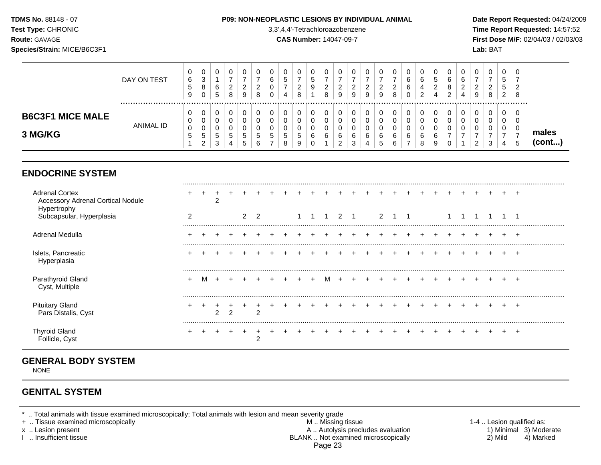## **TDMS No.** 88148 - 07 **P09: NON-NEOPLASTIC LESIONS BY INDIVIDUAL ANIMAL Date Report Requested:** 04/24/2009

**Test Type:** CHRONIC 3,3',4,4'-Tetrachloroazobenzene **Time Report Requested:** 14:57:52 **Route:** GAVAGE **CAS Number:** 14047-09-7 **First Dose M/F:** 02/04/03 / 02/03/03

|                                    | DAY ON TEST | U<br>6<br>G<br>9  | 0<br>3<br>8<br>0                      | 6<br>5           | U<br><u>_</u><br>8    | v<br>_<br>9 | 0<br>റ<br>_<br>8      | U<br>6<br>υ<br>0 | U<br>J | U<br><u>_</u><br>8 | u<br>⌒<br><u>_</u><br>8 | -<br>9 | U<br>∼<br>9                | U<br>9                | v<br>v | U<br><u>_</u><br>8 |   | ◡<br>6<br>4<br>ົ<br><u>_</u> | ৩<br>c<br>_<br>4 | U<br>6<br>8<br>ີ<br>$\epsilon$ | 0<br>6<br>ົ<br>- | υ<br>_<br>9 | U<br><u>_</u><br>8 | Ü<br>$\epsilon$ | 0<br><u>.</u><br>8 |                 |
|------------------------------------|-------------|-------------------|---------------------------------------|------------------|-----------------------|-------------|-----------------------|------------------|--------|--------------------|-------------------------|--------|----------------------------|-----------------------|--------|--------------------|---|------------------------------|------------------|--------------------------------|------------------|-------------|--------------------|-----------------|--------------------|-----------------|
| <b>B6C3F1 MICE MALE</b><br>3 MG/KG | ANIMAL ID   | U<br>U<br>0<br>J. | 0<br>0<br>0<br><sub>5</sub><br>ົ<br>▵ | ິ<br>5<br>◠<br>د | U<br>U<br>ັ<br>5<br>4 | G<br>ູບ     | 0<br>0<br>0<br>G<br>6 | 0<br>υ<br>U<br>C |        | 0<br>O<br>G<br>9   | v<br>u<br>u<br>6        |        | 0<br>U<br>0<br>6<br>◠<br>చ | U<br>υ<br>U<br>6<br>4 | ⌒      | U<br>6<br>6        | 6 | v<br>ν<br>v<br>6<br>8        | 6<br>S           | 0<br>O<br>0<br>U               | 0<br>υ<br>∩<br>υ | u<br>U      | U<br>U<br>c        |                 | 0<br>ν<br>0<br>ა   | males<br>(cont) |

## **ENDOCRINE SYSTEM**

| <b>Adrenal Cortex</b><br><b>Accessory Adrenal Cortical Nodule</b><br>Hypertrophy |  | $\overline{ }$ |                |  |  |  |                |  |  |  |  |  |  |  |
|----------------------------------------------------------------------------------|--|----------------|----------------|--|--|--|----------------|--|--|--|--|--|--|--|
| Subcapsular, Hyperplasia                                                         |  |                | $\overline{2}$ |  |  |  | $\overline{2}$ |  |  |  |  |  |  |  |
| Adrenal Medulla                                                                  |  |                |                |  |  |  |                |  |  |  |  |  |  |  |
| Islets, Pancreatic<br>Hyperplasia                                                |  |                |                |  |  |  |                |  |  |  |  |  |  |  |
| Parathyroid Gland<br>Cyst, Multiple                                              |  |                |                |  |  |  |                |  |  |  |  |  |  |  |
| <b>Pituitary Gland</b><br>Pars Distalis, Cyst                                    |  | $\overline{ }$ |                |  |  |  |                |  |  |  |  |  |  |  |
| <b>Thyroid Gland</b><br>Follicle, Cyst                                           |  |                |                |  |  |  |                |  |  |  |  |  |  |  |

# **GENERAL BODY SYSTEM**

NONE

## **GENITAL SYSTEM**

\* .. Total animals with tissue examined microscopically; Total animals with lesion and mean severity grade

+ .. Tissue examined microscopically M .. Missing tissue 1-4 .. Lesion qualified as: x .. Lesion present **A .. Autolysis precludes evaluation** A .. Autolysis precludes evaluation 1) Minimal 3) Moderate I .. Insufficient tissue BLANK .. Not examined microscopically 2) Mild 4) Marked Page 23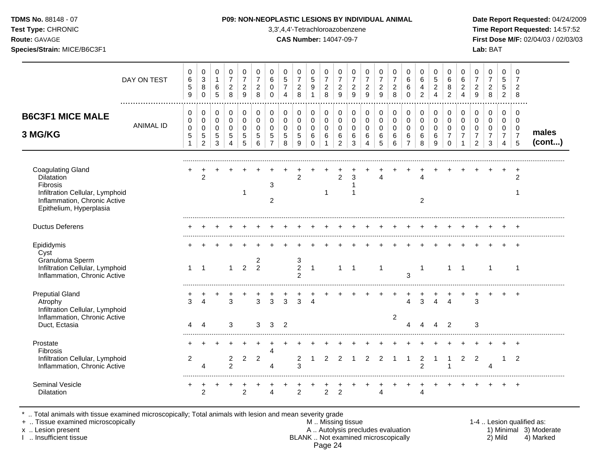| <b>TDMS No. 88148 - 07</b> |  |
|----------------------------|--|
| Test Tyne: CHRONIC         |  |

## **P09: NON-NEOPLASTIC LESIONS BY INDIVIDUAL ANIMAL Date Report Requested: 04/24/2009**

**Test Type:** CHRONIC 3,3',4,4'-Tetrachloroazobenzene **Time Report Requested:** 14:57:52 **Route:** GAVAGE **CAS Number:** 14047-09-7 **First Dose M/F:** 02/04/03 / 02/03/03 **Species/Strain:** MICE/B6C3F1 **Lab:** BAT

|                                                                                                                                                  | DAY ON TEST      | $\mathbf 0$<br>6<br>$\sqrt{5}$<br>9               | $\pmb{0}$<br>$\mathbf{3}$<br>8<br>$\mathbf 0$               | $\mathbf 0$<br>$\mathbf{1}$<br>$\,6\,$<br>$5\phantom{.0}$ | $\pmb{0}$<br>$\overline{7}$<br>$\overline{2}$<br>8 | $\mathbf 0$<br>$\overline{7}$<br>$\overline{c}$<br>9       | 0<br>$\overline{7}$<br>$\overline{c}$<br>8 | 0<br>6<br>$\Omega$<br>$\mathbf 0$                      | $\mathbf 0$<br>5<br>$\overline{7}$<br>$\overline{A}$ | $\pmb{0}$<br>$\overline{7}$<br>$\overline{a}$<br>8 | 0<br>$\sqrt{5}$<br>$\boldsymbol{9}$<br>$\mathbf{1}$ | 0<br>$\overline{7}$<br>$\begin{array}{c} 2 \\ 8 \end{array}$ | 0<br>$\overline{7}$<br>$\overline{c}$<br>$\overline{9}$   | 0<br>$\overline{7}$<br>$\overline{2}$<br>9      | 0<br>$\overline{7}$<br>$\overline{c}$<br>9                 | 0<br>$\overline{7}$<br>$\sqrt{2}$<br>9 | $\pmb{0}$<br>$\overline{7}$<br>$\boldsymbol{2}$<br>8 | 0<br>6<br>6<br>$\mathbf 0$                                        | 0<br>6<br>$\overline{a}$<br>$\overline{2}$ | $\mathbf 0$<br>$\sqrt{5}$<br>$\overline{c}$<br>$\overline{4}$ | $\mathbf 0$<br>6<br>$\,8\,$<br>$\overline{c}$                 | 0<br>6<br>$\overline{c}$<br>$\overline{4}$        | 0<br>$\overline{7}$<br>$\overline{2}$<br>9                          | 0<br>$\overline{7}$<br>$\overline{2}$<br>8             | 0<br>$\sqrt{5}$<br>$\,$ 5 $\,$<br>$\overline{2}$                    | $\mathbf 0$<br>7<br>2<br>8                                    |                 |
|--------------------------------------------------------------------------------------------------------------------------------------------------|------------------|---------------------------------------------------|-------------------------------------------------------------|-----------------------------------------------------------|----------------------------------------------------|------------------------------------------------------------|--------------------------------------------|--------------------------------------------------------|------------------------------------------------------|----------------------------------------------------|-----------------------------------------------------|--------------------------------------------------------------|-----------------------------------------------------------|-------------------------------------------------|------------------------------------------------------------|----------------------------------------|------------------------------------------------------|-------------------------------------------------------------------|--------------------------------------------|---------------------------------------------------------------|---------------------------------------------------------------|---------------------------------------------------|---------------------------------------------------------------------|--------------------------------------------------------|---------------------------------------------------------------------|---------------------------------------------------------------|-----------------|
| <b>B6C3F1 MICE MALE</b><br>3 MG/KG                                                                                                               | <b>ANIMAL ID</b> | 0<br>$\pmb{0}$<br>$\mathbf 0$<br>$\mathbf 5$<br>1 | 0<br>$\pmb{0}$<br>$\pmb{0}$<br>$\sqrt{5}$<br>$\overline{2}$ | 0<br>$\pmb{0}$<br>$\overline{0}$<br>$\sqrt{5}$<br>3       | 0<br>$\pmb{0}$<br>$\mathbf 0$<br>5<br>4            | $\mathbf 0$<br>$\pmb{0}$<br>$\mathbf 0$<br>$\sqrt{5}$<br>5 | 0<br>$\mathbf 0$<br>$\Omega$<br>5<br>6     | 0<br>$\mathbf 0$<br>$\mathbf 0$<br>5<br>$\overline{7}$ | 0<br>$\mathbf 0$<br>$\mathbf 0$<br>5<br>8            | 0<br>$\pmb{0}$<br>$\mathbf 0$<br>5<br>9            | 0<br>0<br>$\mathbf 0$<br>6<br>$\Omega$              | 0<br>$\mathbf 0$<br>$\mathbf 0$<br>6<br>$\mathbf{1}$         | $\mathbf 0$<br>$\mathbf 0$<br>$\mathbf 0$<br>$\,6\,$<br>2 | 0<br>$\mathbf 0$<br>$\mathbf 0$<br>$\,6\,$<br>3 | 0<br>$\mathbf 0$<br>$\mathbf 0$<br>$\,6$<br>$\overline{4}$ | 0<br>0<br>$\mathbf 0$<br>6<br>5        | 0<br>$\pmb{0}$<br>$\mathbf 0$<br>6<br>6              | 0<br>$\mathsf{O}\xspace$<br>$\overline{0}$<br>6<br>$\overline{7}$ | 0<br>$\pmb{0}$<br>$\overline{0}$<br>6<br>8 | 0<br>$\pmb{0}$<br>$\mathbf 0$<br>$\,6\,$<br>9                 | 0<br>$\mathbf 0$<br>$\mathbf 0$<br>$\overline{7}$<br>$\Omega$ | 0<br>$\mathbf 0$<br>$\mathbf 0$<br>$\overline{7}$ | 0<br>$\mathbf 0$<br>$\mathbf 0$<br>$\overline{7}$<br>$\overline{2}$ | 0<br>$\mathbf 0$<br>$\mathbf 0$<br>$\overline{7}$<br>3 | 0<br>$\mathbf 0$<br>$\mathbf 0$<br>$\overline{7}$<br>$\overline{4}$ | $\Omega$<br>$\mathbf 0$<br>$\mathbf 0$<br>$\overline{7}$<br>5 | males<br>(cont) |
| <b>Coagulating Gland</b><br>Dilatation<br>Fibrosis<br>Infiltration Cellular, Lymphoid<br>Inflammation, Chronic Active<br>Epithelium, Hyperplasia |                  |                                                   | $\overline{2}$                                              |                                                           |                                                    | -1                                                         |                                            | 3<br>2                                                 |                                                      | $\overline{2}$                                     |                                                     | -1                                                           | 2                                                         | 3<br>$\mathbf 1$                                |                                                            |                                        |                                                      |                                                                   | 4<br>2                                     |                                                               |                                                               |                                                   |                                                                     |                                                        |                                                                     | $\ddot{}$<br>2                                                |                 |
| <b>Ductus Deferens</b>                                                                                                                           |                  |                                                   |                                                             |                                                           |                                                    |                                                            |                                            |                                                        |                                                      |                                                    |                                                     |                                                              |                                                           |                                                 |                                                            |                                        |                                                      |                                                                   |                                            |                                                               |                                                               |                                                   |                                                                     |                                                        |                                                                     | $+$                                                           |                 |
| Epididymis<br>Cyst<br>Granuloma Sperm<br>Infiltration Cellular, Lymphoid<br>Inflammation, Chronic Active                                         |                  | 1                                                 | $\overline{1}$                                              |                                                           | 1                                                  | 2                                                          | 2<br>$\mathcal{P}$                         |                                                        |                                                      | $\ensuremath{\mathsf{3}}$<br>$\boldsymbol{2}$<br>2 | $\overline{1}$                                      |                                                              |                                                           | $1 \quad 1$                                     |                                                            | $\mathbf 1$                            |                                                      | 3                                                                 | -1                                         |                                                               | $1 \quad$                                                     | $\overline{1}$                                    |                                                                     | $\overline{1}$                                         |                                                                     | $+$<br>$\mathbf 1$                                            |                 |
| <b>Preputial Gland</b><br>Atrophy<br>Infiltration Cellular, Lymphoid<br>Inflammation, Chronic Active<br>Duct, Ectasia                            |                  | 3<br>4                                            | $\Delta$<br>$\overline{4}$                                  |                                                           | 3<br>3                                             |                                                            | 3<br>3                                     | 3<br>3                                                 | 3<br>$\overline{2}$                                  | 3                                                  | $\boldsymbol{\Lambda}$                              |                                                              |                                                           |                                                 |                                                            |                                        | $\overline{2}$                                       | 4<br>4                                                            | 3                                          | 4<br>$\Delta$                                                 | $\overline{4}$<br>$\overline{2}$                              |                                                   | 3<br>3                                                              |                                                        |                                                                     |                                                               |                 |
| Prostate<br>Fibrosis<br>Infiltration Cellular, Lymphoid<br>Inflammation, Chronic Active                                                          |                  | 2                                                 | Δ                                                           |                                                           | $\overline{2}$<br>$\overline{2}$                   | $\overline{2}$                                             | $\overline{2}$                             | Δ<br>Δ                                                 |                                                      | $\overline{c}$<br>3                                | 1                                                   | 2                                                            |                                                           |                                                 |                                                            |                                        |                                                      |                                                                   | 2<br>2                                     |                                                               |                                                               | 2                                                 | 2                                                                   | $\boldsymbol{\Lambda}$                                 | 1                                                                   | 2                                                             |                 |
| <b>Seminal Vesicle</b><br><b>Dilatation</b>                                                                                                      |                  |                                                   | $\overline{2}$                                              |                                                           |                                                    | $\overline{2}$                                             |                                            | 4                                                      |                                                      | $\overline{2}$                                     |                                                     | $\overline{2}$                                               | $\overline{2}$                                            |                                                 |                                                            | 4                                      |                                                      |                                                                   | 4                                          |                                                               |                                                               |                                                   |                                                                     |                                                        |                                                                     | $\overline{+}$                                                |                 |

\* .. Total animals with tissue examined microscopically; Total animals with lesion and mean severity grade

+ .. Tissue examined microscopically M .. Missing tissue 1-4 .. Lesion qualified as: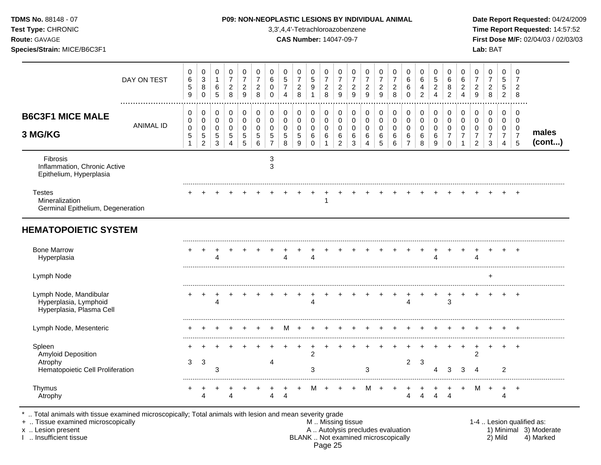| <b>TDMS No. 88148 - 07</b><br>Test Type: CHRONIC<br>Route: GAVAGE<br>Species/Strain: MICE/B6C3F1 |                  |                                                    |                                                                  |                                                    |                                                                       |                                              |                                                                       |                                                                       |                                                               | 3,3',4,4'-Tetrachloroazobenzene<br><b>CAS Number: 14047-09-7</b> |                                                                   |                                                        |                                                            |                                                     | <b>P09: NON-NEOPLASTIC LESIONS BY INDIVIDUAL ANIMAL</b>  |                                                         |                                                     |                                                        |                                                  |                                                     |                                                                          |                                                                           |                                                                             | Lab: BAT                                                       |                                                                     |                                                        | Date Report Requested: 04/24/2009<br>Time Report Requested: 14:57:52<br>First Dose M/F: 02/04/03 / 02/03/03 |
|--------------------------------------------------------------------------------------------------|------------------|----------------------------------------------------|------------------------------------------------------------------|----------------------------------------------------|-----------------------------------------------------------------------|----------------------------------------------|-----------------------------------------------------------------------|-----------------------------------------------------------------------|---------------------------------------------------------------|------------------------------------------------------------------|-------------------------------------------------------------------|--------------------------------------------------------|------------------------------------------------------------|-----------------------------------------------------|----------------------------------------------------------|---------------------------------------------------------|-----------------------------------------------------|--------------------------------------------------------|--------------------------------------------------|-----------------------------------------------------|--------------------------------------------------------------------------|---------------------------------------------------------------------------|-----------------------------------------------------------------------------|----------------------------------------------------------------|---------------------------------------------------------------------|--------------------------------------------------------|-------------------------------------------------------------------------------------------------------------|
|                                                                                                  | DAY ON TEST      | 0<br>$\,6$<br>$\sqrt{5}$<br>9                      | 0<br>$\sqrt{3}$<br>$\bf 8$<br>$\pmb{0}$                          | 0<br>$\mathbf{1}$<br>6<br>$\overline{5}$           | 0<br>$\overline{7}$<br>$\overline{c}$<br>8                            | 0<br>$\boldsymbol{7}$<br>$\overline{a}$<br>9 | $\pmb{0}$<br>$\overline{7}$<br>$\boldsymbol{2}$<br>8                  | 0<br>$\,6\,$<br>$\mathbf 0$<br>$\mathbf 0$                            | $\mathbf 0$<br>$\sqrt{5}$<br>$\overline{7}$<br>$\overline{4}$ | 0<br>$\boldsymbol{7}$<br>$\sqrt{2}$<br>$\,8\,$                   | 0<br>5<br>$\boldsymbol{9}$<br>1                                   | 0<br>$\overline{7}$<br>$\boldsymbol{2}$<br>8           | $\mathbf 0$<br>$\overline{7}$<br>$\overline{2}$<br>9       | 0<br>$\overline{7}$<br>$\sqrt{2}$<br>$9\,$          | $\mathbf 0$<br>$\boldsymbol{7}$<br>$\boldsymbol{2}$<br>9 | 0<br>$\overline{7}$<br>$\overline{c}$<br>$\overline{9}$ | 0<br>$\overline{\mathbf{7}}$<br>$\overline{c}$<br>8 | 0<br>$\,6$<br>6<br>$\mathbf 0$                         | 0<br>$\,6\,$<br>$\overline{4}$<br>$\overline{c}$ | 0<br>$\sqrt{5}$<br>$\overline{c}$<br>$\overline{4}$ | 0<br>6<br>8<br>$\overline{2}$                                            | 0<br>$\,6\,$<br>$\boldsymbol{2}$<br>$\overline{4}$                        | 0<br>$\boldsymbol{7}$<br>$\overline{2}$<br>9                                | $\mathbf 0$<br>$\overline{7}$<br>$\overline{2}$<br>8           | 0<br>$\sqrt{5}$<br>$\sqrt{5}$<br>$\overline{2}$                     | $\mathbf 0$<br>$\overline{7}$<br>$\overline{2}$<br>8   |                                                                                                             |
| <b>B6C3F1 MICE MALE</b><br>3 MG/KG                                                               | <b>ANIMAL ID</b> | 0<br>$\pmb{0}$<br>$\mathbf 0$<br>5<br>$\mathbf{1}$ | 0<br>$\mathbf 0$<br>$\mathbf 0$<br>$\,$ 5 $\,$<br>$\overline{2}$ | 0<br>$\mathbf 0$<br>$\mathbf 0$<br>$\sqrt{5}$<br>3 | $\pmb{0}$<br>$\pmb{0}$<br>$\mathbf 0$<br>$\sqrt{5}$<br>$\overline{4}$ | $\mathbf 0$<br>$\mathsf 0$<br>0<br>5<br>5    | $\mathbf 0$<br>$\pmb{0}$<br>$\pmb{0}$<br>$\sqrt{5}$<br>$6\phantom{a}$ | $\mathbf 0$<br>$\pmb{0}$<br>$\pmb{0}$<br>$\sqrt{5}$<br>$\overline{7}$ | $\mathbf 0$<br>$\mathbf 0$<br>$\mathbf 0$<br>$\sqrt{5}$<br>8  | $\mathbf 0$<br>$\mathbf 0$<br>$\mathbf 0$<br>$\sqrt{5}$<br>$9\,$ | $\mathbf 0$<br>$\mathbf 0$<br>$\mathbf 0$<br>$\,6$<br>$\mathbf 0$ | 0<br>$\pmb{0}$<br>$\pmb{0}$<br>$\,6\,$<br>$\mathbf{1}$ | 0<br>$\mathbf 0$<br>$\mathbf 0$<br>$\,6$<br>$\overline{2}$ | $\mathbf 0$<br>$\mathbf 0$<br>$\mathbf 0$<br>6<br>3 | $\mathbf 0$<br>$\mathbf 0$<br>$\mathbf 0$<br>6<br>4      | 0<br>$\mathbf 0$<br>$\mathbf 0$<br>6<br>5               | 0<br>$\pmb{0}$<br>$\pmb{0}$<br>$\,6$<br>6           | 0<br>$\mathbf 0$<br>$\mathbf 0$<br>6<br>$\overline{7}$ | 0<br>$\mathbf 0$<br>$\mathbf 0$<br>$\,6$<br>8    | $\pmb{0}$<br>$\mathbf 0$<br>$\pmb{0}$<br>6<br>9     | $\mathbf 0$<br>$\pmb{0}$<br>$\pmb{0}$<br>$\boldsymbol{7}$<br>$\mathbf 0$ | $\mathbf 0$<br>$\pmb{0}$<br>$\mathbf 0$<br>$\overline{7}$<br>$\mathbf{1}$ | $\mathbf 0$<br>$\pmb{0}$<br>$\mathbf 0$<br>$\overline{7}$<br>$\overline{2}$ | $\mathbf 0$<br>$\mathsf 0$<br>$\pmb{0}$<br>$\overline{7}$<br>3 | 0<br>$\mathbf 0$<br>$\mathbf 0$<br>$\overline{7}$<br>$\overline{4}$ | $\mathbf 0$<br>$\mathbf 0$<br>0<br>$\overline{7}$<br>5 | males<br>(cont)                                                                                             |
| Fibrosis<br>Inflammation, Chronic Active<br>Epithelium, Hyperplasia                              |                  |                                                    |                                                                  |                                                    |                                                                       |                                              |                                                                       | 3<br>3                                                                |                                                               |                                                                  |                                                                   |                                                        |                                                            |                                                     |                                                          |                                                         |                                                     |                                                        |                                                  |                                                     |                                                                          |                                                                           |                                                                             |                                                                |                                                                     |                                                        |                                                                                                             |
| <b>Testes</b><br>Mineralization<br>Germinal Epithelium, Degeneration                             |                  |                                                    |                                                                  |                                                    |                                                                       |                                              |                                                                       |                                                                       |                                                               |                                                                  |                                                                   | 1                                                      |                                                            |                                                     |                                                          |                                                         |                                                     |                                                        |                                                  |                                                     |                                                                          |                                                                           |                                                                             |                                                                |                                                                     | $\overline{+}$                                         |                                                                                                             |
| <b>HEMATOPOIETIC SYSTEM</b><br><b>Bone Marrow</b><br>Hyperplasia                                 |                  |                                                    |                                                                  | 4                                                  |                                                                       |                                              |                                                                       |                                                                       | Δ                                                             |                                                                  | Δ                                                                 |                                                        |                                                            |                                                     |                                                          |                                                         |                                                     |                                                        |                                                  | 4                                                   |                                                                          |                                                                           | Λ                                                                           |                                                                |                                                                     |                                                        |                                                                                                             |
| Lymph Node                                                                                       |                  |                                                    |                                                                  |                                                    |                                                                       |                                              |                                                                       |                                                                       |                                                               |                                                                  |                                                                   |                                                        |                                                            |                                                     |                                                          |                                                         |                                                     |                                                        |                                                  |                                                     |                                                                          |                                                                           |                                                                             |                                                                |                                                                     |                                                        |                                                                                                             |
| Lymph Node, Mandibular<br>Hyperplasia, Lymphoid<br>Hyperplasia, Plasma Cell                      |                  |                                                    | $\div$                                                           | $\ddot{}$<br>4                                     | $\ddot{}$                                                             |                                              |                                                                       |                                                                       |                                                               | $\pm$                                                            | Δ                                                                 | $\ddot{}$                                              |                                                            |                                                     |                                                          |                                                         | $\ddot{}$                                           | $\boldsymbol{\Lambda}$                                 | $\ddot{}$                                        | $\ddot{}$                                           | $\ddot{}$<br>3                                                           | $+$                                                                       |                                                                             |                                                                |                                                                     | $+$                                                    |                                                                                                             |
| Lymph Node, Mesenteric                                                                           |                  |                                                    |                                                                  |                                                    |                                                                       |                                              |                                                                       | $\ddot{}$                                                             | M                                                             | $+$                                                              | $+$                                                               | $+$                                                    |                                                            |                                                     |                                                          |                                                         |                                                     |                                                        |                                                  | $+$                                                 |                                                                          |                                                                           |                                                                             |                                                                |                                                                     |                                                        |                                                                                                             |
| Spleen<br>Amyloid Deposition<br>Atrophy<br>Hematopoietic Cell Proliferation                      |                  | 3                                                  | $\mathbf{3}$                                                     | 3                                                  |                                                                       |                                              |                                                                       | 4                                                                     |                                                               | $\ddot{}$                                                        | $\overline{+}$<br>$\overline{2}$<br>3                             | $\ddot{}$                                              |                                                            |                                                     | 3                                                        |                                                         |                                                     | $\overline{2}$                                         | 3                                                | 4                                                   | $\ddot{}$<br>3                                                           | $\ddot{}$<br>3                                                            | $^{+}$<br>$\overline{2}$<br>4                                               | $\ddot{}$                                                      | $\ddot{}$<br>$\overline{c}$                                         |                                                        |                                                                                                             |
| Thymus<br>Atrophy                                                                                |                  |                                                    | $\overline{4}$                                                   |                                                    | $\Delta$                                                              |                                              |                                                                       | 4                                                                     | $\overline{4}$                                                | $\ddot{}$                                                        | M                                                                 | $+$                                                    |                                                            |                                                     | М                                                        | $+$                                                     |                                                     |                                                        |                                                  | $\overline{4}$                                      | $\overline{4}$                                                           | $\ddot{}$                                                                 | м                                                                           | $\ddot{}$                                                      | $\ddot{}$<br>4                                                      | $+$                                                    |                                                                                                             |

\* .. Total animals with tissue examined microscopically; Total animals with lesion and mean severity grade

+ .. Tissue examined microscopically M .. Missing tissue 1-4 .. Lesion qualified as: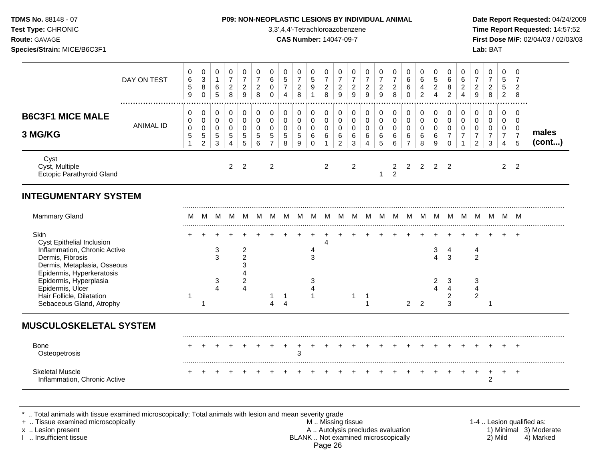| <b>TDMS No. 88148 - 07</b>                       |
|--------------------------------------------------|
| <b>Test Type: CHRONIC</b>                        |
| <b>Route: GAVAGE</b>                             |
| $\sim$ $\sim$ $\sim$ $\sim$ $\sim$ $\sim$ $\sim$ |

## **P09: NON-NEOPLASTIC LESIONS BY INDIVIDUAL ANIMAL Date Report Requested:** 04/24/2009

**Time Report Requested:** 14:57:52 **Route:** GAVAGE **CAS Number:** 14047-09-7 **First Dose M/F:** 02/04/03 / 02/03/03 **Species/Strain:** MICE/B6C3F1 **Lab:** BAT

|                                                                                                                                  | DAY ON TEST      | 0<br>$\,6\,$<br>5<br>9                             | 0<br>$\mathbf{3}$<br>8<br>$\mathbf 0$                           | 0<br>$\mathbf{1}$<br>6<br>$\overline{5}$         | 0<br>$\overline{7}$<br>$\overline{c}$<br>8                       | 0<br>$\overline{7}$<br>$\overline{c}$<br>9                    | 0<br>$\overline{7}$<br>$\overline{c}$<br>8                               | $\mathbf 0$<br>$\,6\,$<br>0<br>$\mathbf 0$                          | 0<br>$\sqrt{5}$<br>$\overline{7}$<br>$\overline{4}$        | 0<br>$\overline{7}$<br>$\overline{c}$<br>8                     | 0<br>$\sqrt{5}$<br>9<br>$\mathbf{1}$                | 0<br>$\overline{7}$<br>$\overline{c}$<br>8                 | 0<br>$\overline{7}$<br>$\overline{c}$<br>$\overline{9}$    | 0<br>$\overline{7}$<br>$\overline{c}$<br>9        | 0<br>$\overline{7}$<br>$\overline{c}$<br>$\boldsymbol{9}$  | 0<br>$\overline{7}$<br>$\overline{c}$<br>$\overline{9}$              | 0<br>$\overline{7}$<br>$\overline{a}$<br>8              | 0<br>$6\phantom{a}$<br>6<br>$\mathbf 0$                              | 0<br>$\,6$<br>$\overline{\mathbf{4}}$<br>$\overline{2}$ | 0<br>$\sqrt{5}$<br>$\overline{c}$<br>$\overline{4}$                    | 0<br>6<br>8<br>$\overline{2}$                                 | 0<br>$\,6\,$<br>$\overline{2}$<br>$\overline{4}$                            | 0<br>$\overline{7}$<br>$\overline{2}$<br>9                  | 0<br>$\overline{7}$<br>$\overline{a}$<br>8                                  | 0<br>5<br>5<br>$\overline{2}$                                               | 0<br>$\overline{7}$<br>$\overline{c}$<br>8             |                 |
|----------------------------------------------------------------------------------------------------------------------------------|------------------|----------------------------------------------------|-----------------------------------------------------------------|--------------------------------------------------|------------------------------------------------------------------|---------------------------------------------------------------|--------------------------------------------------------------------------|---------------------------------------------------------------------|------------------------------------------------------------|----------------------------------------------------------------|-----------------------------------------------------|------------------------------------------------------------|------------------------------------------------------------|---------------------------------------------------|------------------------------------------------------------|----------------------------------------------------------------------|---------------------------------------------------------|----------------------------------------------------------------------|---------------------------------------------------------|------------------------------------------------------------------------|---------------------------------------------------------------|-----------------------------------------------------------------------------|-------------------------------------------------------------|-----------------------------------------------------------------------------|-----------------------------------------------------------------------------|--------------------------------------------------------|-----------------|
| <b>B6C3F1 MICE MALE</b><br>3 MG/KG                                                                                               | <b>ANIMAL ID</b> | 0<br>$\mathbf 0$<br>$\pmb{0}$<br>5<br>$\mathbf{1}$ | 0<br>$\mathbf 0$<br>$\mathbf 0$<br>$\sqrt{5}$<br>$\overline{a}$ | $\pmb{0}$<br>0<br>$\mathbf 0$<br>$\sqrt{5}$<br>3 | $\mathbf 0$<br>$\mathbf 0$<br>$\mathbf 0$<br>5<br>$\overline{4}$ | 0<br>$\mathbf 0$<br>$\mathbf 0$<br>5<br>5                     | $\pmb{0}$<br>$\mathbf 0$<br>$\mathbf 0$<br>$\,$ 5 $\,$<br>$6\phantom{a}$ | 0<br>$\mathbf 0$<br>$\mathbf 0$<br>$\overline{5}$<br>$\overline{7}$ | 0<br>$\mathsf{O}\xspace$<br>$\mathbf 0$<br>$\sqrt{5}$<br>8 | $\pmb{0}$<br>$\mathbf 0$<br>$\mathbf 0$<br>$\overline{5}$<br>9 | 0<br>$\mathbf 0$<br>$\mathbf 0$<br>6<br>$\mathbf 0$ | $\pmb{0}$<br>$\mathbf 0$<br>$\pmb{0}$<br>6<br>$\mathbf{1}$ | 0<br>$\mathbf 0$<br>$\pmb{0}$<br>$\,6\,$<br>$\overline{c}$ | $\pmb{0}$<br>$\mathbf 0$<br>$\mathbf 0$<br>6<br>3 | 0<br>$\mathbf 0$<br>$\pmb{0}$<br>$\,6\,$<br>$\overline{4}$ | 0<br>$\mathsf{O}\xspace$<br>$\mathbf 0$<br>$\,6\,$<br>$\overline{5}$ | $\pmb{0}$<br>$\mathbf 0$<br>$\mathbf 0$<br>$\,6\,$<br>6 | $\mathbf 0$<br>$\mathbf 0$<br>$\mathbf 0$<br>$\,6$<br>$\overline{7}$ | 0<br>$\mathbf 0$<br>$\mathbf 0$<br>6<br>8               | $\pmb{0}$<br>$\mathbf 0$<br>$\mathbf 0$<br>$\,6\,$<br>$\boldsymbol{9}$ | 0<br>$\mathbf 0$<br>$\mathbf 0$<br>$\overline{7}$<br>$\Omega$ | 0<br>$\mathsf{O}\xspace$<br>$\mathbf 0$<br>$\boldsymbol{7}$<br>$\mathbf{1}$ | 0<br>$\mathbf 0$<br>0<br>$\boldsymbol{7}$<br>$\overline{c}$ | $\mathbf 0$<br>$\mathbf 0$<br>$\mathbf 0$<br>$\overline{7}$<br>$\mathbf{3}$ | 0<br>$\mathsf{O}\xspace$<br>$\mathbf 0$<br>$\overline{7}$<br>$\overline{4}$ | 0<br>$\mathbf 0$<br>$\mathbf 0$<br>$\overline{7}$<br>5 | males<br>(cont) |
| Cyst<br>Cyst, Multiple<br><b>Ectopic Parathyroid Gland</b>                                                                       |                  |                                                    |                                                                 |                                                  | $\overline{2}$                                                   | $\overline{2}$                                                |                                                                          | $\overline{\mathbf{c}}$                                             |                                                            |                                                                |                                                     | $\overline{2}$                                             |                                                            | $\overline{2}$                                    |                                                            | $\mathbf{1}$                                                         | 2<br>$\overline{2}$                                     | 2                                                                    | 2                                                       | $2^{\circ}$                                                            | $\overline{2}$                                                |                                                                             |                                                             |                                                                             | $\overline{2}$                                                              | $\overline{2}$                                         |                 |
| <b>INTEGUMENTARY SYSTEM</b>                                                                                                      |                  |                                                    |                                                                 |                                                  |                                                                  |                                                               |                                                                          |                                                                     |                                                            |                                                                |                                                     |                                                            |                                                            |                                                   |                                                            |                                                                      |                                                         |                                                                      |                                                         |                                                                        |                                                               |                                                                             |                                                             |                                                                             |                                                                             |                                                        |                 |
| <b>Mammary Gland</b>                                                                                                             |                  | M                                                  | M                                                               | M                                                | M.                                                               | M                                                             | M                                                                        | M                                                                   | M                                                          | M                                                              | M                                                   | M                                                          | м                                                          | м                                                 | M                                                          |                                                                      |                                                         | M M M M                                                              |                                                         | M                                                                      | M                                                             | M                                                                           | M                                                           | M                                                                           |                                                                             | M M                                                    |                 |
| Skin<br>Cyst Epithelial Inclusion<br>Inflammation, Chronic Active<br>Dermis, Fibrosis<br>Dermis, Metaplasia, Osseous             |                  |                                                    |                                                                 | 3<br>3                                           |                                                                  | $\boldsymbol{2}$<br>$\overline{2}$<br>3                       |                                                                          |                                                                     |                                                            |                                                                | 4<br>3                                              | $\overline{4}$                                             |                                                            |                                                   |                                                            |                                                                      |                                                         |                                                                      |                                                         | 3<br>4                                                                 | 4<br>3                                                        |                                                                             | 4<br>$\overline{2}$                                         |                                                                             |                                                                             |                                                        |                 |
| Epidermis, Hyperkeratosis<br>Epidermis, Hyperplasia<br>Epidermis, Ulcer<br>Hair Follicle, Dilatation<br>Sebaceous Gland, Atrophy |                  | $\mathbf 1$                                        | -1                                                              | 3<br>4                                           |                                                                  | $\overline{\mathbf{4}}$<br>$\boldsymbol{2}$<br>$\overline{4}$ |                                                                          | 1<br>$\overline{4}$                                                 | $\mathbf{1}$<br>$\overline{4}$                             |                                                                | 3<br>4<br>$\mathbf{1}$                              |                                                            |                                                            | $\mathbf{1}$                                      | $\overline{1}$<br>$\overline{1}$                           |                                                                      |                                                         | 2 <sub>2</sub>                                                       |                                                         | 2<br>4                                                                 | 3<br>$\overline{4}$<br>2<br>3                                 |                                                                             | 3<br>$\overline{4}$<br>$\boldsymbol{2}$                     | 1                                                                           |                                                                             |                                                        |                 |
| <b>MUSCULOSKELETAL SYSTEM</b>                                                                                                    |                  |                                                    |                                                                 |                                                  |                                                                  |                                                               |                                                                          |                                                                     |                                                            |                                                                |                                                     |                                                            |                                                            |                                                   |                                                            |                                                                      |                                                         |                                                                      |                                                         |                                                                        |                                                               |                                                                             |                                                             |                                                                             |                                                                             |                                                        |                 |
| Bone                                                                                                                             |                  |                                                    |                                                                 |                                                  |                                                                  |                                                               |                                                                          |                                                                     | $\overline{ }$                                             | $\ddot{}$<br>3                                                 |                                                     |                                                            |                                                            |                                                   |                                                            |                                                                      |                                                         |                                                                      |                                                         |                                                                        |                                                               |                                                                             |                                                             |                                                                             |                                                                             |                                                        |                 |
| Osteopetrosis                                                                                                                    |                  |                                                    |                                                                 |                                                  |                                                                  |                                                               |                                                                          |                                                                     |                                                            |                                                                |                                                     |                                                            |                                                            |                                                   |                                                            |                                                                      |                                                         |                                                                      |                                                         |                                                                        |                                                               |                                                                             | $\ddot{}$                                                   |                                                                             |                                                                             | $\ddot{}$                                              |                 |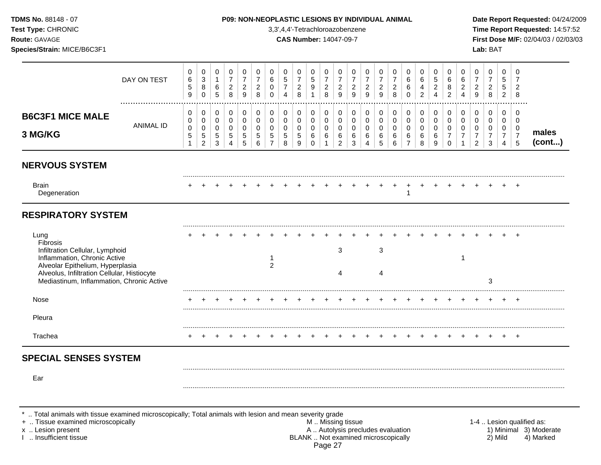## **TDMS No.** 88148 - 07 **P09: NON-NEOPLASTIC LESIONS BY INDIVIDUAL ANIMAL Date Report Requested:** 04/24/2009

**Test Type:** CHRONIC 3,3',4,4'-Tetrachloroazobenzene **Time Report Requested:** 14:57:52 **Route:** GAVAGE **CAS Number:** 14047-09-7 **First Dose M/F:** 02/04/03 / 02/03/03

|                                                                                                                                                                                                                     | DAY ON TEST      | 0<br>6<br>$\,$ 5 $\,$<br>9 | 0<br>3<br>$\bf 8$<br>$\Omega$                       | 0<br>$\mathbf{1}$<br>6<br>5   | 0<br>$\overline{7}$<br>$\sqrt{2}$<br>8 | 0<br>$\overline{7}$<br>$\overline{2}$<br>9 | 0<br>$\overline{7}$<br>$\overline{a}$<br>8 | 0<br>6<br>0<br>$\Omega$                      | 0<br>$\,$ 5 $\,$<br>$\overline{7}$<br>$\overline{4}$ | 0<br>$\overline{7}$<br>$\overline{a}$<br>8 | 0<br>5<br>9<br>$\overline{1}$                    | 0<br>7<br>$\overline{2}$<br>8 | 0<br>7<br>$\overline{c}$<br>9                        | 0<br>$\overline{7}$<br>$\overline{c}$<br>9 | 0<br>$\overline{7}$<br>$\overline{c}$<br>9 | 0<br>$\overline{7}$<br>$\overline{c}$<br>9 | 0<br>$\overline{7}$<br>$\overline{c}$<br>8 | 0<br>6<br>6<br>$\Omega$                      | 0<br>6<br>4<br>$\overline{2}$   | 0<br>5<br>2<br>$\boldsymbol{\varDelta}$ | 0<br>6<br>8<br>$\mathfrak{p}$                       | 0<br>6<br>$\sqrt{2}$<br>$\Delta$                  | 0<br>$\overline{7}$<br>$\overline{a}$<br>9                          | 0<br>$\overline{7}$<br>$\overline{c}$<br>8           | 0<br>5<br>5<br>$\overline{2}$                              | 0<br>7<br>2<br>8                                       |                           |
|---------------------------------------------------------------------------------------------------------------------------------------------------------------------------------------------------------------------|------------------|----------------------------|-----------------------------------------------------|-------------------------------|----------------------------------------|--------------------------------------------|--------------------------------------------|----------------------------------------------|------------------------------------------------------|--------------------------------------------|--------------------------------------------------|-------------------------------|------------------------------------------------------|--------------------------------------------|--------------------------------------------|--------------------------------------------|--------------------------------------------|----------------------------------------------|---------------------------------|-----------------------------------------|-----------------------------------------------------|---------------------------------------------------|---------------------------------------------------------------------|------------------------------------------------------|------------------------------------------------------------|--------------------------------------------------------|---------------------------|
| <b>B6C3F1 MICE MALE</b><br>3 MG/KG                                                                                                                                                                                  | <b>ANIMAL ID</b> | 0<br>0<br>$\pmb{0}$<br>5   | $\pmb{0}$<br>0<br>0<br>$\sqrt{5}$<br>$\overline{a}$ | $\pmb{0}$<br>0<br>0<br>5<br>3 | $\pmb{0}$<br>0<br>0<br>5<br>4          | 0<br>$\Omega$<br>$\Omega$<br>5<br>5        | 0<br>$\mathbf 0$<br>0<br>5<br>6            | $\pmb{0}$<br>$\mathbf 0$<br>$\mathbf 0$<br>5 | 0<br>$\mathbf 0$<br>0<br>5<br>8                      | $\pmb{0}$<br>0<br>0<br>$\sqrt{5}$<br>9     | 0<br>$\mathbf 0$<br>$\mathbf 0$<br>6<br>$\Omega$ | 0<br>$\mathbf 0$<br>0<br>6    | $\pmb{0}$<br>$\mathbf 0$<br>0<br>6<br>$\overline{c}$ | 0<br>0<br>0<br>6<br>3                      | $\pmb{0}$<br>$\mathbf 0$<br>0<br>6<br>4    | $\mathbf 0$<br>0<br>0<br>6<br>5            | 0<br>0<br>$\mathbf 0$<br>6<br>6            | 0<br>$\mathbf 0$<br>0<br>6<br>$\overline{7}$ | 0<br>$\mathbf 0$<br>0<br>6<br>8 | 0<br>0<br>$\mathbf 0$<br>6<br>g         | 0<br>$\mathbf 0$<br>0<br>$\overline{7}$<br>$\Omega$ | $\mathbf 0$<br>$\mathbf 0$<br>0<br>$\overline{7}$ | 0<br>$\mathbf 0$<br>$\mathbf 0$<br>$\overline{7}$<br>$\overline{2}$ | $\pmb{0}$<br>$\mathbf 0$<br>0<br>$\overline{7}$<br>3 | 0<br>$\mathbf{0}$<br>0<br>$\overline{7}$<br>$\overline{4}$ | 0<br>$\Omega$<br>0<br>$\overline{7}$<br>$\overline{5}$ | males<br>(cont)           |
| <b>NERVOUS SYSTEM</b>                                                                                                                                                                                               |                  |                            |                                                     |                               |                                        |                                            |                                            |                                              |                                                      |                                            |                                                  |                               |                                                      |                                            |                                            |                                            |                                            |                                              |                                 |                                         |                                                     |                                                   |                                                                     |                                                      |                                                            |                                                        |                           |
| <b>Brain</b><br>Degeneration                                                                                                                                                                                        |                  |                            |                                                     |                               |                                        |                                            |                                            |                                              |                                                      |                                            |                                                  |                               |                                                      |                                            |                                            |                                            |                                            | -1                                           |                                 |                                         |                                                     |                                                   |                                                                     |                                                      |                                                            |                                                        |                           |
| <b>RESPIRATORY SYSTEM</b>                                                                                                                                                                                           |                  |                            |                                                     |                               |                                        |                                            |                                            |                                              |                                                      |                                            |                                                  |                               |                                                      |                                            |                                            |                                            |                                            |                                              |                                 |                                         |                                                     |                                                   |                                                                     |                                                      |                                                            |                                                        |                           |
| Lung<br>Fibrosis<br>Infiltration Cellular, Lymphoid<br>Inflammation, Chronic Active<br>Alveolar Epithelium, Hyperplasia<br>Alveolus, Infiltration Cellular, Histiocyte<br>Mediastinum, Inflammation, Chronic Active |                  |                            |                                                     |                               |                                        |                                            |                                            | $\overline{2}$                               |                                                      |                                            |                                                  |                               | $\mathbf{3}$<br>4                                    |                                            |                                            | $\sqrt{3}$<br>4                            |                                            |                                              |                                 |                                         |                                                     | -1                                                |                                                                     | 3                                                    |                                                            |                                                        |                           |
| Nose                                                                                                                                                                                                                |                  |                            |                                                     |                               |                                        |                                            |                                            |                                              |                                                      |                                            |                                                  |                               |                                                      |                                            |                                            |                                            |                                            |                                              |                                 |                                         |                                                     |                                                   |                                                                     |                                                      |                                                            |                                                        |                           |
| Pleura                                                                                                                                                                                                              |                  |                            |                                                     |                               |                                        |                                            |                                            |                                              |                                                      |                                            |                                                  |                               |                                                      |                                            |                                            |                                            |                                            |                                              |                                 |                                         |                                                     |                                                   |                                                                     |                                                      |                                                            |                                                        |                           |
| Trachea                                                                                                                                                                                                             |                  |                            |                                                     |                               |                                        |                                            |                                            |                                              |                                                      |                                            |                                                  |                               |                                                      |                                            |                                            |                                            |                                            |                                              |                                 |                                         |                                                     |                                                   |                                                                     |                                                      |                                                            | $\overline{ }$                                         |                           |
| <b>SPECIAL SENSES SYSTEM</b>                                                                                                                                                                                        |                  |                            |                                                     |                               |                                        |                                            |                                            |                                              |                                                      |                                            |                                                  |                               |                                                      |                                            |                                            |                                            |                                            |                                              |                                 |                                         |                                                     |                                                   |                                                                     |                                                      |                                                            |                                                        |                           |
| Ear                                                                                                                                                                                                                 |                  |                            |                                                     |                               |                                        |                                            |                                            |                                              |                                                      |                                            |                                                  |                               |                                                      |                                            |                                            |                                            |                                            |                                              |                                 |                                         |                                                     |                                                   |                                                                     |                                                      |                                                            |                                                        |                           |
| Total animals with tissue examined microscopically; Total animals with lesion and mean severity grade<br>+  Tissue examined microscopically                                                                         |                  |                            |                                                     |                               |                                        |                                            |                                            |                                              |                                                      |                                            |                                                  |                               | M  Missing tissue                                    |                                            |                                            |                                            |                                            |                                              |                                 |                                         |                                                     |                                                   |                                                                     |                                                      |                                                            |                                                        | 1-4  Lesion qualified as: |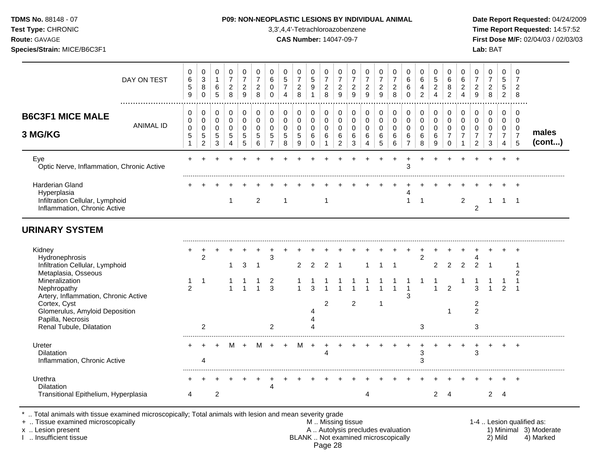| <b>TDMS No. 88148 - 07</b>                              |  |
|---------------------------------------------------------|--|
| $\tau$ $\tau$ $\sim$ $\sim$ $\sim$ $\sim$ $\sim$ $\sim$ |  |

## **P09: NON-NEOPLASTIC LESIONS BY INDIVIDUAL ANIMAL Date Report Requested:** 04/24/2009

**Test Type:** CHRONIC 3,3',4,4'-Tetrachloroazobenzene **Time Report Requested:** 14:57:52 **Route:** GAVAGE **CAS Number:** 14047-09-7 **First Dose M/F:** 02/04/03 / 02/03/03 **Species/Strain:** MICE/B6C3F1 **Lab:** BAT

| DAY ON TEST                                                                                              | 0<br>6<br>$\sqrt{5}$<br>9            | 0<br>3<br>8<br>$\Omega$                               | 0<br>$\mathbf{1}$<br>6<br>5         | 0<br>$\overline{7}$<br>$\overline{c}$<br>8          | 0<br>$\overline{7}$<br>$\overline{2}$<br>9 | 0<br>$\overline{7}$<br>$\overline{c}$<br>8        | 0<br>6<br>0<br>$\Omega$                                        | 0<br>$\sqrt{5}$<br>$\overline{7}$<br>$\overline{4}$ | 0<br>$\overline{7}$<br>$\overline{c}$<br>8             | 0<br>$\sqrt{5}$<br>9<br>$\mathbf{1}$                | 0<br>$\overline{7}$<br>$\boldsymbol{2}$<br>8 | 0<br>$\overline{7}$<br>$\overline{c}$<br>9             | 0<br>$\overline{7}$<br>$\overline{2}$<br>9 | $\mathbf 0$<br>$\overline{7}$<br>$\overline{c}$<br>$\overline{9}$ | 0<br>$\overline{7}$<br>$\boldsymbol{2}$<br>9 | 0<br>$\overline{7}$<br>$\overline{c}$<br>8            | 0<br>6<br>6<br>$\Omega$                                | 0<br>$\,6\,$<br>$\overline{\mathbf{4}}$<br>$\overline{a}$ | $\mathbf 0$<br>$\sqrt{5}$<br>$\overline{c}$<br>$\overline{4}$ | 0<br>6<br>8<br>$\overline{2}$                                    | 0<br>$\,6$<br>$\boldsymbol{2}$<br>$\overline{4}$          | 0<br>$\overline{7}$<br>$\boldsymbol{2}$<br>9    | 0<br>$\overline{7}$<br>$\overline{2}$<br>8   | $\mathbf 0$<br>$\sqrt{5}$<br>$5\phantom{.0}$<br>$\overline{2}$                | $\mathbf 0$<br>-7<br>$\overline{2}$<br>8        |                 |
|----------------------------------------------------------------------------------------------------------|--------------------------------------|-------------------------------------------------------|-------------------------------------|-----------------------------------------------------|--------------------------------------------|---------------------------------------------------|----------------------------------------------------------------|-----------------------------------------------------|--------------------------------------------------------|-----------------------------------------------------|----------------------------------------------|--------------------------------------------------------|--------------------------------------------|-------------------------------------------------------------------|----------------------------------------------|-------------------------------------------------------|--------------------------------------------------------|-----------------------------------------------------------|---------------------------------------------------------------|------------------------------------------------------------------|-----------------------------------------------------------|-------------------------------------------------|----------------------------------------------|-------------------------------------------------------------------------------|-------------------------------------------------|-----------------|
| <b>B6C3F1 MICE MALE</b><br><b>ANIMAL ID</b><br>3 MG/KG                                                   | 0<br>$\mathbf 0$<br>$\mathbf 0$<br>5 | 0<br>0<br>$\mathbf 0$<br>$\sqrt{5}$<br>$\overline{c}$ | 0<br>0<br>0<br>$5\phantom{.0}$<br>3 | $\mathbf 0$<br>$\mathbf 0$<br>$\mathbf 0$<br>5<br>4 | 0<br>$\mathbf 0$<br>$\mathbf 0$<br>5<br>5  | $\pmb{0}$<br>$\mathsf 0$<br>$\mathbf 0$<br>5<br>6 | $\pmb{0}$<br>$\mathbf 0$<br>$\mathbf 0$<br>5<br>$\overline{7}$ | 0<br>$\mathbf 0$<br>$\mathbf 0$<br>$\sqrt{5}$<br>8  | 0<br>$\mathbf 0$<br>$\mathbf 0$<br>$\sqrt{5}$<br>$9\,$ | 0<br>$\mathbf 0$<br>$\mathbf 0$<br>6<br>$\mathbf 0$ | 0<br>$\mathsf 0$<br>$\mathbf 0$<br>6         | 0<br>$\mathbf 0$<br>$\mathbf 0$<br>6<br>$\overline{c}$ | 0<br>0<br>0<br>6<br>3                      | $\mathbf 0$<br>$\mathbf 0$<br>$\mathbf 0$<br>6<br>$\overline{4}$  | 0<br>$\pmb{0}$<br>$\pmb{0}$<br>6<br>5        | $\pmb{0}$<br>$\mathsf 0$<br>0<br>6<br>$6\phantom{1}6$ | 0<br>$\mathbf 0$<br>$\mathbf 0$<br>6<br>$\overline{7}$ | 0<br>$\mathbf 0$<br>$\mathbf 0$<br>6<br>8                 | 0<br>$\mathbf 0$<br>$\mathbf 0$<br>6<br>9                     | 0<br>$\mathbf 0$<br>$\mathbf 0$<br>$\overline{7}$<br>$\mathbf 0$ | $\pmb{0}$<br>$\mathbf 0$<br>$\mathbf 0$<br>$\overline{7}$ | 0<br>0<br>0<br>$\overline{7}$<br>$\overline{c}$ | 0<br>0<br>$\mathbf 0$<br>$\overline{7}$<br>3 | $\mathbf 0$<br>$\mathbf 0$<br>$\mathbf 0$<br>$\overline{7}$<br>$\overline{4}$ | 0<br>$\overline{0}$<br>0<br>$\overline{7}$<br>5 | males<br>(cont) |
| Eye<br>Optic Nerve, Inflammation, Chronic Active                                                         |                                      |                                                       |                                     |                                                     |                                            |                                                   |                                                                |                                                     |                                                        |                                                     |                                              |                                                        |                                            |                                                                   |                                              |                                                       | 3                                                      |                                                           |                                                               |                                                                  |                                                           |                                                 |                                              |                                                                               |                                                 |                 |
| <b>Harderian Gland</b><br>Hyperplasia<br>Infiltration Cellular, Lymphoid<br>Inflammation, Chronic Active |                                      |                                                       |                                     | $\overline{1}$                                      |                                            | $\overline{c}$                                    |                                                                | $\mathbf{1}$                                        |                                                        |                                                     | $\mathbf{1}$                                 |                                                        |                                            |                                                                   |                                              |                                                       | 4<br>$\mathbf{1}$                                      | $\mathbf{1}$                                              |                                                               |                                                                  | $\overline{c}$                                            | $\overline{2}$                                  | 1                                            |                                                                               | $1 \quad 1$                                     |                 |
| <b>URINARY SYSTEM</b>                                                                                    |                                      |                                                       |                                     |                                                     |                                            |                                                   |                                                                |                                                     |                                                        |                                                     |                                              |                                                        |                                            |                                                                   |                                              |                                                       |                                                        |                                                           |                                                               |                                                                  |                                                           |                                                 |                                              |                                                                               |                                                 |                 |
| Kidney<br>Hydronephrosis<br>Infiltration Cellular, Lymphoid<br>Metaplasia, Osseous                       |                                      | 2                                                     |                                     | 1                                                   | 3                                          | -1                                                | 3                                                              |                                                     | $\overline{2}$                                         | 2                                                   | 2                                            | $\mathbf 1$                                            |                                            | 1                                                                 | $\mathbf 1$                                  | -1                                                    |                                                        | 2                                                         | $\overline{c}$                                                | $\overline{2}$                                                   | $\overline{2}$                                            | 4<br>$\overline{2}$                             | $\overline{1}$                               |                                                                               | 2                                               |                 |
| Mineralization<br>Nephropathy<br>Artery, Inflammation, Chronic Active<br>Cortex, Cyst                    | 1<br>$\overline{2}$                  | 1                                                     |                                     | 1                                                   |                                            | $\mathbf{1}$                                      | 2<br>3                                                         |                                                     |                                                        | 3                                                   | 2                                            |                                                        | $\overline{2}$                             |                                                                   |                                              |                                                       | $\overline{1}$<br>3                                    |                                                           | 1                                                             | $\overline{c}$                                                   |                                                           | 3<br>2                                          |                                              | $\overline{2}$                                                                |                                                 |                 |
| Glomerulus, Amyloid Deposition<br>Papilla, Necrosis<br>Renal Tubule, Dilatation                          |                                      | $\overline{c}$                                        |                                     |                                                     |                                            |                                                   | $\overline{2}$                                                 |                                                     |                                                        |                                                     |                                              |                                                        |                                            |                                                                   |                                              |                                                       |                                                        | 3                                                         |                                                               | 1                                                                |                                                           | $\overline{c}$<br>3                             |                                              |                                                                               |                                                 |                 |
| Ureter<br><b>Dilatation</b><br>Inflammation, Chronic Active                                              |                                      | +<br>4                                                | $\ddot{}$                           | M                                                   | $\ddot{}$                                  | M                                                 |                                                                | $\ddot{}$                                           | M                                                      | $+$                                                 | $\overline{1}$<br>$\overline{4}$             |                                                        |                                            |                                                                   |                                              |                                                       |                                                        | 3<br>3                                                    |                                                               |                                                                  | $\overline{1}$                                            | +<br>3                                          |                                              | +                                                                             | $\cdot$                                         |                 |
| Urethra<br>Dilatation<br>Transitional Epithelium, Hyperplasia                                            | 4                                    |                                                       | $\overline{c}$                      |                                                     |                                            |                                                   | Δ                                                              |                                                     |                                                        |                                                     |                                              |                                                        |                                            | 4                                                                 |                                              |                                                       |                                                        |                                                           | $\overline{2}$                                                |                                                                  |                                                           |                                                 | $\overline{2}$                               | $\overline{4}$                                                                |                                                 |                 |

+ .. Tissue examined microscopically M .. Missing tissue 1-4 .. Lesion qualified as: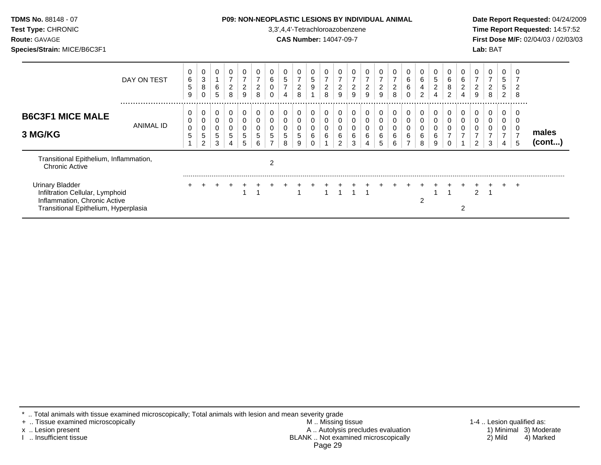| <b>TDMS No. 88148 - 07</b><br>Test Type: CHRONIC<br><b>Route: GAVAGE</b><br>Species/Strain: MICE/B6C3F1                           |                      |             |             |             |                                            |                              |                     |                                    |                          |                     |        |                                                | 3,3',4,4'-Tetrachloroazobenzene<br><b>CAS Number: 14047-09-7</b> |                            | <b>P09: NON-NEOPLASTIC LESIONS BY INDIVIDUAL ANIMAL</b> |                     |                     |                  |                          |                            |                               |                          |               | Lab: BAT |                               |        | Date Report Requested: 04/24/2009<br>Time Report Requested: 14:57:52<br>First Dose M/F: 02/04/03 / 02/03/03 |
|-----------------------------------------------------------------------------------------------------------------------------------|----------------------|-------------|-------------|-------------|--------------------------------------------|------------------------------|---------------------|------------------------------------|--------------------------|---------------------|--------|------------------------------------------------|------------------------------------------------------------------|----------------------------|---------------------------------------------------------|---------------------|---------------------|------------------|--------------------------|----------------------------|-------------------------------|--------------------------|---------------|----------|-------------------------------|--------|-------------------------------------------------------------------------------------------------------------|
|                                                                                                                                   | DAY ON TEST          | 6<br>5<br>9 | 0<br>3<br>8 | 0<br>6<br>5 | 0<br>$\overline{7}$<br>$\overline{c}$<br>8 | $\overline{\mathbf{c}}$<br>9 | $\overline{2}$<br>8 | 0<br>6<br>0<br>0                   | 5<br>$\overline{7}$<br>4 | $\overline{2}$<br>8 | 5<br>9 | $\overline{7}$<br>$\overline{\mathbf{c}}$<br>8 | $\overline{7}$<br>$\overline{\mathbf{c}}$<br>9                   | 0<br>$\boldsymbol{2}$<br>9 | $\overline{\mathbf{c}}$<br>9                            | $\overline{2}$<br>9 | $\overline{c}$<br>8 | 6<br>6<br>0      | 6<br>4<br>$\overline{2}$ | 5<br>$\boldsymbol{2}$<br>4 | 0<br>6<br>8<br>$\overline{2}$ | 6<br>$\overline{c}$<br>4 | 9             | 8        | 0<br>5<br>5<br>$\overline{2}$ | 2<br>8 |                                                                                                             |
| <b>B6C3F1 MICE MALE</b><br>3 MG/KG                                                                                                | <br><b>ANIMAL ID</b> |             | 0<br>2      | 0<br>5<br>3 | 0<br>0<br>0<br>5<br>4                      | 0<br>5                       | 0<br>0<br>6         | 0<br>0<br>0<br>5<br>$\overline{ }$ | 0<br>8                   | 0<br>9              | 0      | 0<br>0<br>6                                    | 0<br>6<br>2                                                      | 0<br>0<br>0<br>6<br>3      |                                                         | 0<br>6<br>5         | 0<br>0<br>6<br>6    | 0<br>0<br>0<br>6 | 0<br>0<br>6<br>8         | 0<br>6<br>9                | 0<br>0<br>0<br>0              | 0                        | 0             |          | 0<br>0<br>4                   | 5      | males<br>(cont)                                                                                             |
| Transitional Epithelium, Inflammation,<br><b>Chronic Active</b>                                                                   |                      |             |             |             |                                            |                              |                     | 2                                  |                          |                     |        |                                                |                                                                  |                            |                                                         |                     |                     |                  |                          |                            |                               |                          |               |          |                               |        |                                                                                                             |
| <b>Urinary Bladder</b><br>Infiltration Cellular, Lymphoid<br>Inflammation, Chronic Active<br>Transitional Epithelium, Hyperplasia |                      |             |             |             |                                            |                              |                     |                                    |                          |                     |        |                                                |                                                                  |                            |                                                         |                     |                     |                  | 2                        |                            |                               |                          | $\mathcal{P}$ |          |                               | $\pm$  |                                                                                                             |

\* .. Total animals with tissue examined microscopically; Total animals with lesion and mean severity grade

+ .. Tissue examined microscopically M .. Missing tissue 1-4 .. Lesion qualified as: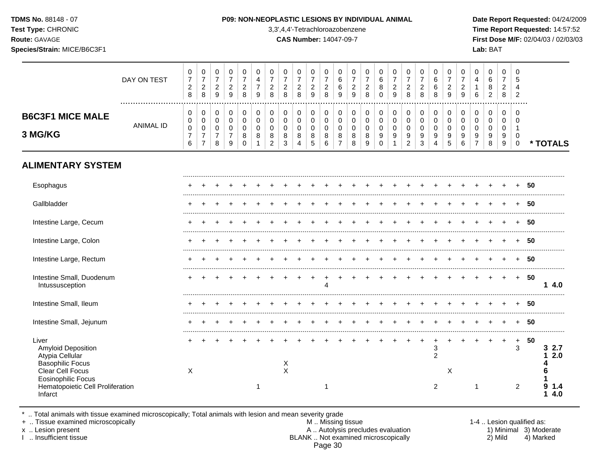**Test Type:** CHRONIC 3,3',4,4'-Tetrachloroazobenzene **Time Report Requested:** 14:57:52 **Route:** GAVAGE **CAS Number:** 14047-09-7 **First Dose M/F:** 02/04/03 / 02/03/03 **Species/Strain:** MICE/B6C3F1 **Lab:** BAT

|                                                                                                                                                                           | DAY ON TEST<br>  | 0<br>$\boldsymbol{7}$<br>$\sqrt{2}$<br>8   | 0<br>$\boldsymbol{7}$<br>$\sqrt{2}$<br>8                          | 0<br>$\overline{7}$<br>$\boldsymbol{2}$<br>$\boldsymbol{9}$ | 0<br>$\overline{7}$<br>$\overline{\mathbf{c}}$<br>9 | 0<br>$\overline{7}$<br>$\overline{c}$<br>8       | 0<br>4<br>$\boldsymbol{7}$<br>9           | 0<br>$\overline{7}$<br>$\boldsymbol{2}$<br>8        | 0<br>$\overline{7}$<br>$\boldsymbol{2}$<br>8 | 0<br>$\boldsymbol{7}$<br>$\overline{c}$<br>8 | 0<br>$\overline{7}$<br>$\overline{c}$<br>9 | 0<br>$\overline{7}$<br>$\boldsymbol{2}$<br>8 | 0<br>6<br>$\,6$<br>9                                   | 0<br>$\overline{7}$<br>$\sqrt{2}$<br>$\boldsymbol{9}$ | 0<br>$\overline{7}$<br>$\sqrt{2}$<br>$\, 8$ | 0<br>6<br>8<br>$\mathbf 0$             | 0<br>$\overline{7}$<br>$\overline{\mathbf{c}}$<br>$\boldsymbol{9}$ | 0<br>$\overline{7}$<br>$\overline{2}$<br>8           | 0<br>$\overline{7}$<br>$\overline{c}$<br>8           | 0<br>$\,6$<br>6<br>8                      | 0<br>$\overline{7}$<br>$\boldsymbol{2}$<br>9 | 0<br>$\overline{7}$<br>$\overline{c}$<br>9 | 0<br>$\overline{4}$<br>$\mathbf{1}$<br>6     | 0<br>6<br>8<br>$\overline{c}$   | 0<br>$\overline{7}$<br>$\overline{c}$<br>8 | $\Omega$<br>5<br>4<br>$\overline{2}$          |    |                                |
|---------------------------------------------------------------------------------------------------------------------------------------------------------------------------|------------------|--------------------------------------------|-------------------------------------------------------------------|-------------------------------------------------------------|-----------------------------------------------------|--------------------------------------------------|-------------------------------------------|-----------------------------------------------------|----------------------------------------------|----------------------------------------------|--------------------------------------------|----------------------------------------------|--------------------------------------------------------|-------------------------------------------------------|---------------------------------------------|----------------------------------------|--------------------------------------------------------------------|------------------------------------------------------|------------------------------------------------------|-------------------------------------------|----------------------------------------------|--------------------------------------------|----------------------------------------------|---------------------------------|--------------------------------------------|-----------------------------------------------|----|--------------------------------|
| <b>B6C3F1 MICE MALE</b><br>3 MG/KG                                                                                                                                        | <b>ANIMAL ID</b> | 0<br>0<br>$\pmb{0}$<br>$\overline{7}$<br>6 | 0<br>$\mathsf 0$<br>$\pmb{0}$<br>$\overline{7}$<br>$\overline{7}$ | 0<br>$\mathbf 0$<br>0<br>$\overline{7}$<br>8                | 0<br>$\mathbf 0$<br>0<br>$\overline{7}$<br>9        | 0<br>$\mathbf 0$<br>$\mathbf 0$<br>8<br>$\Omega$ | 0<br>$\mathbf 0$<br>$\mathbf 0$<br>8<br>1 | 0<br>$\Omega$<br>$\mathbf 0$<br>8<br>$\overline{2}$ | 0<br>$\mathsf{O}$<br>$\mathbf 0$<br>8<br>3   | 0<br>0<br>$\mathbf 0$<br>8<br>4              | 0<br>$\mathbf 0$<br>$\mathbf 0$<br>8<br>5  | 0<br>$\mathbf 0$<br>0<br>8<br>6              | 0<br>$\mathbf 0$<br>$\mathbf 0$<br>8<br>$\overline{7}$ | 0<br>$\mathbf 0$<br>0<br>8<br>8                       | 0<br>$\mathbf 0$<br>$\mathbf 0$<br>8<br>9   | 0<br>$\mathsf 0$<br>0<br>9<br>$\Omega$ | 0<br>$\pmb{0}$<br>$\pmb{0}$<br>9                                   | 0<br>$\mathbf 0$<br>$\pmb{0}$<br>9<br>$\overline{2}$ | 0<br>$\mathbf 0$<br>$\mathbf 0$<br>9<br>$\mathbf{3}$ | 0<br>$\mathbf 0$<br>$\mathbf 0$<br>9<br>4 | 0<br>$\mathbf 0$<br>0<br>9<br>5              | 0<br>$\mathbf 0$<br>$\mathbf 0$<br>9<br>6  | 0<br>$\mathbf 0$<br>0<br>9<br>$\overline{7}$ | 0<br>0<br>$\mathbf 0$<br>9<br>8 | 0<br>$\mathbf 0$<br>$\mathbf 0$<br>9<br>9  | $\Omega$<br>$\Omega$<br>1<br>0<br>$\mathbf 0$ |    | * TOTALS                       |
| <b>ALIMENTARY SYSTEM</b>                                                                                                                                                  |                  |                                            |                                                                   |                                                             |                                                     |                                                  |                                           |                                                     |                                              |                                              |                                            |                                              |                                                        |                                                       |                                             |                                        |                                                                    |                                                      |                                                      |                                           |                                              |                                            |                                              |                                 |                                            |                                               |    |                                |
| Esophagus                                                                                                                                                                 |                  |                                            |                                                                   |                                                             |                                                     |                                                  |                                           |                                                     |                                              |                                              |                                            |                                              |                                                        |                                                       |                                             |                                        |                                                                    |                                                      |                                                      |                                           |                                              |                                            |                                              |                                 |                                            |                                               | 50 |                                |
| Gallbladder                                                                                                                                                               |                  |                                            |                                                                   |                                                             |                                                     |                                                  |                                           |                                                     |                                              |                                              |                                            |                                              |                                                        |                                                       |                                             |                                        |                                                                    |                                                      |                                                      |                                           |                                              |                                            |                                              |                                 |                                            |                                               | 50 |                                |
| Intestine Large, Cecum                                                                                                                                                    |                  |                                            |                                                                   |                                                             |                                                     |                                                  |                                           |                                                     |                                              |                                              |                                            |                                              |                                                        |                                                       |                                             |                                        |                                                                    |                                                      |                                                      |                                           |                                              |                                            |                                              |                                 |                                            |                                               | 50 |                                |
| Intestine Large, Colon                                                                                                                                                    |                  |                                            |                                                                   |                                                             |                                                     |                                                  |                                           |                                                     |                                              |                                              |                                            |                                              |                                                        |                                                       |                                             |                                        |                                                                    |                                                      |                                                      |                                           |                                              |                                            |                                              |                                 |                                            |                                               | 50 |                                |
| Intestine Large, Rectum                                                                                                                                                   |                  |                                            |                                                                   |                                                             |                                                     |                                                  |                                           |                                                     |                                              |                                              |                                            |                                              |                                                        |                                                       |                                             |                                        |                                                                    |                                                      |                                                      |                                           |                                              |                                            |                                              |                                 |                                            |                                               | 50 |                                |
| Intestine Small, Duodenum<br>Intussusception                                                                                                                              |                  |                                            |                                                                   |                                                             |                                                     |                                                  |                                           |                                                     |                                              |                                              |                                            | Δ                                            |                                                        |                                                       |                                             |                                        |                                                                    |                                                      |                                                      |                                           |                                              |                                            |                                              |                                 |                                            | $+$                                           | 50 | 14.0                           |
| Intestine Small, Ileum                                                                                                                                                    |                  |                                            |                                                                   |                                                             |                                                     |                                                  |                                           |                                                     |                                              |                                              |                                            |                                              |                                                        |                                                       |                                             |                                        |                                                                    |                                                      |                                                      |                                           |                                              |                                            |                                              |                                 |                                            |                                               | 50 |                                |
| Intestine Small, Jejunum                                                                                                                                                  |                  |                                            |                                                                   |                                                             |                                                     |                                                  |                                           |                                                     |                                              |                                              |                                            |                                              |                                                        |                                                       |                                             |                                        |                                                                    |                                                      |                                                      |                                           |                                              |                                            |                                              |                                 |                                            |                                               | 50 |                                |
| Liver<br>Amyloid Deposition<br>Atypia Cellular<br><b>Basophilic Focus</b><br>Clear Cell Focus<br><b>Eosinophilic Focus</b><br>Hematopoietic Cell Proliferation<br>Infarct |                  | X                                          |                                                                   |                                                             |                                                     |                                                  | -1                                        |                                                     | X<br>X                                       |                                              |                                            | -1                                           |                                                        |                                                       |                                             |                                        |                                                                    |                                                      |                                                      | 3<br>$\overline{2}$<br>2                  | X                                            |                                            | 1                                            |                                 | $\ddot{}$                                  | $\ddot{}$<br>3<br>2                           | 50 | 32.7<br>2.0<br>q<br>1.4<br>4.0 |

\* .. Total animals with tissue examined microscopically; Total animals with lesion and mean severity grade

+ .. Tissue examined microscopically M .. Missing tissue 1-4 .. Lesion qualified as: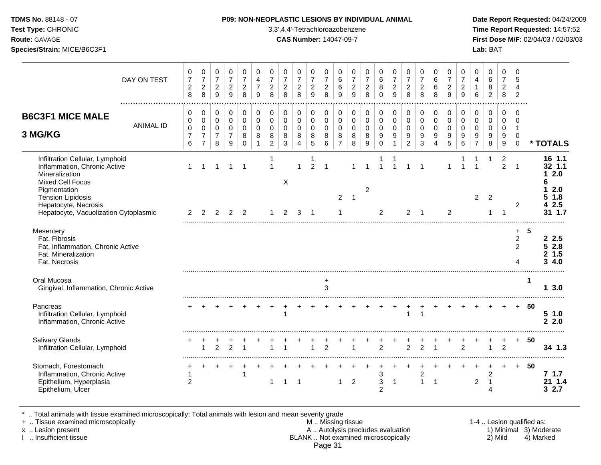**Test Type:** CHRONIC 3,3',4,4'-Tetrachloroazobenzene **Time Report Requested:** 14:57:52 **Route:** GAVAGE **CAS Number:** 14047-09-7 **First Dose M/F:** 02/04/03 / 02/03/03 **Species/Strain:** MICE/B6C3F1 **Lab:** BAT

|                                                                                                                                                                                                                    | DAY ON TEST      | $\mathbf 0$<br>$\overline{7}$<br>$\overline{c}$<br>$\,8\,$ | 0<br>$\boldsymbol{7}$<br>$\overline{c}$<br>8            | 0<br>$\overline{7}$<br>$\overline{c}$<br>9           | 0<br>$\overline{7}$<br>$\overline{c}$<br>$\mathsf g$ | $\mathbf 0$<br>$\overline{7}$<br>$\overline{2}$<br>8 | 0<br>$\overline{4}$<br>$\overline{7}$<br>9 | $\Omega$<br>$\overline{7}$<br>$\boldsymbol{2}$<br>8    | $\Omega$<br>$\overline{7}$<br>$\overline{c}$<br>8 | 0<br>$\overline{7}$<br>$\sqrt{2}$<br>8 | $\mathbf 0$<br>$\overline{7}$<br>$\boldsymbol{2}$<br>$\overline{9}$ | $\mathbf 0$<br>$\overline{7}$<br>$\overline{c}$<br>$\,8\,$ | 0<br>6<br>6<br>9                                       | $\mathbf 0$<br>$\overline{7}$<br>$\overline{c}$<br>9 | $\Omega$<br>$\overline{7}$<br>$\boldsymbol{2}$<br>8 | 0<br>6<br>8<br>0                       | 0<br>$\overline{7}$<br>$\sqrt{2}$<br>$\overline{9}$  | $\mathbf 0$<br>$\boldsymbol{7}$<br>$\overline{c}$<br>8 | $\Omega$<br>$\overline{7}$<br>$\boldsymbol{2}$<br>8      | $\Omega$<br>$\,6$<br>6<br>8             | $\Omega$<br>$\overline{7}$<br>$\boldsymbol{2}$<br>9 | $\Omega$<br>$\overline{7}$<br>$\sqrt{2}$<br>9 | $\Omega$<br>$\overline{4}$<br>$\mathbf{1}$<br>6        | 0<br>6<br>8<br>$\overline{c}$             | $\mathbf 0$<br>$\overline{7}$<br>$\overline{a}$<br>8 | $\Omega$<br>5<br>$\overline{4}$<br>$\overline{2}$                 |                      |                                                                  |
|--------------------------------------------------------------------------------------------------------------------------------------------------------------------------------------------------------------------|------------------|------------------------------------------------------------|---------------------------------------------------------|------------------------------------------------------|------------------------------------------------------|------------------------------------------------------|--------------------------------------------|--------------------------------------------------------|---------------------------------------------------|----------------------------------------|---------------------------------------------------------------------|------------------------------------------------------------|--------------------------------------------------------|------------------------------------------------------|-----------------------------------------------------|----------------------------------------|------------------------------------------------------|--------------------------------------------------------|----------------------------------------------------------|-----------------------------------------|-----------------------------------------------------|-----------------------------------------------|--------------------------------------------------------|-------------------------------------------|------------------------------------------------------|-------------------------------------------------------------------|----------------------|------------------------------------------------------------------|
| <b>B6C3F1 MICE MALE</b><br>3 MG/KG                                                                                                                                                                                 | <b>ANIMAL ID</b> | 0<br>$\pmb{0}$<br>$\mathbf 0$<br>$\overline{7}$<br>6       | 0<br>$\pmb{0}$<br>0<br>$\overline{7}$<br>$\overline{7}$ | 0<br>$\pmb{0}$<br>$\mathbf 0$<br>$\overline{7}$<br>8 | $\pmb{0}$<br>$\pmb{0}$<br>0<br>$\overline{7}$<br>9   | 0<br>$\mathbf 0$<br>$\mathbf 0$<br>8<br>$\Omega$     | 0<br>$\mathbf 0$<br>$\mathbf 0$<br>8       | 0<br>$\mathbf 0$<br>$\mathbf 0$<br>8<br>$\overline{2}$ | 0<br>0<br>$\mathbf 0$<br>8<br>3                   | 0<br>0<br>0<br>8<br>4                  | 0<br>$\mathbf 0$<br>$\mathbf 0$<br>8<br>$\sqrt{5}$                  | 0<br>$\mathbf 0$<br>$\mathbf 0$<br>8<br>6                  | 0<br>$\mathbf 0$<br>$\mathbf 0$<br>8<br>$\overline{7}$ | $\mathbf 0$<br>0<br>0<br>8<br>8                      | 0<br>$\mathbf 0$<br>$\mathbf 0$<br>8<br>9           | 0<br>0<br>$\mathbf 0$<br>9<br>$\Omega$ | 0<br>$\pmb{0}$<br>$\mathbf 0$<br>9<br>$\overline{1}$ | 0<br>$\mathbf 0$<br>$\mathbf 0$<br>9<br>$\overline{2}$ | 0<br>$\mathbf 0$<br>$\mathbf 0$<br>$\boldsymbol{9}$<br>3 | 0<br>$\pmb{0}$<br>$\mathbf 0$<br>9<br>4 | 0<br>$\mathbf 0$<br>$\mathbf 0$<br>9<br>5           | 0<br>$\mathbf 0$<br>$\mathbf 0$<br>9<br>6     | 0<br>$\mathbf 0$<br>$\mathbf 0$<br>9<br>$\overline{7}$ | 0<br>$\mathbf 0$<br>$\mathbf 0$<br>9<br>8 | $\mathbf 0$<br>0<br>0<br>9<br>$\boldsymbol{9}$       | $\Omega$<br>$\Omega$<br>$\mathbf 1$<br>$\mathbf 0$<br>$\mathbf 0$ |                      | * TOTALS                                                         |
| Infiltration Cellular, Lymphoid<br>Inflammation, Chronic Active<br>Mineralization<br>Mixed Cell Focus<br>Pigmentation<br><b>Tension Lipidosis</b><br>Hepatocyte, Necrosis<br>Hepatocyte, Vacuolization Cytoplasmic |                  | 2                                                          | 2                                                       | 2                                                    | 2                                                    | 1<br>$\overline{2}$                                  |                                            | -1                                                     | X<br>2                                            | 3                                      | $\mathfrak{p}$<br>-1                                                | -1                                                         | $\overline{c}$<br>1                                    | $\overline{ }$                                       | $\overline{2}$                                      | 1<br>$\overline{2}$                    |                                                      | 2                                                      | $\overline{1}$<br>-1                                     |                                         | $\overline{1}$<br>2                                 |                                               | $\overline{2}$                                         | 1<br>$\overline{2}$                       | $\overline{2}$<br>2                                  | $\overline{1}$<br>2                                               |                      | 16 1.1<br>32 1.1<br>2.0<br>2.0<br>1.8<br>5<br>2.5<br>4<br>31 1.7 |
| Mesentery<br>Fat, Fibrosis<br>Fat, Inflammation, Chronic Active<br>Fat, Mineralization<br>Fat, Necrosis                                                                                                            |                  |                                                            |                                                         |                                                      |                                                      |                                                      |                                            |                                                        |                                                   |                                        |                                                                     |                                                            |                                                        |                                                      |                                                     |                                        |                                                      |                                                        |                                                          |                                         |                                                     |                                               |                                                        |                                           |                                                      | $\ddot{}$<br>$\overline{c}$<br>$\overline{2}$<br>4                | -5                   | 2.5<br>52.8<br>1.5<br>2<br>4.0<br>3                              |
| Oral Mucosa<br>Gingival, Inflammation, Chronic Active                                                                                                                                                              |                  |                                                            |                                                         |                                                      |                                                      |                                                      |                                            |                                                        |                                                   |                                        |                                                                     | $\ddot{}$<br>3                                             |                                                        |                                                      |                                                     |                                        |                                                      |                                                        |                                                          |                                         |                                                     |                                               |                                                        |                                           |                                                      |                                                                   | $\blacktriangleleft$ | 13.0                                                             |
| Pancreas<br>Infiltration Cellular, Lymphoid<br>Inflammation, Chronic Active                                                                                                                                        |                  |                                                            |                                                         |                                                      |                                                      |                                                      |                                            |                                                        | $\overline{1}$                                    |                                        |                                                                     |                                                            |                                                        |                                                      |                                                     |                                        |                                                      | $\mathbf{1}$                                           | $\overline{1}$                                           |                                         |                                                     |                                               |                                                        |                                           |                                                      |                                                                   | 50                   | 51.0<br>$\overline{2}$<br>2.0                                    |
| Salivary Glands<br>Infiltration Cellular, Lymphoid                                                                                                                                                                 |                  |                                                            | 1                                                       | $\overline{2}$                                       | 2                                                    |                                                      |                                            |                                                        | 1                                                 |                                        |                                                                     | $\overline{2}$                                             |                                                        |                                                      |                                                     | $\overline{2}$                         |                                                      | $\overline{2}$                                         | 2                                                        | 1                                       |                                                     | $\overline{2}$                                |                                                        | 1                                         | 2                                                    | $+$                                                               | 50                   | 34 1.3                                                           |
| Stomach, Forestomach<br>Inflammation, Chronic Active<br>Epithelium, Hyperplasia<br>Epithelium, Ulcer                                                                                                               |                  | $\overline{2}$                                             |                                                         |                                                      |                                                      |                                                      |                                            | -1                                                     | -1                                                | -1                                     |                                                                     |                                                            | 1                                                      | $\overline{2}$                                       |                                                     | 3<br>3<br>$\overline{2}$               | $\mathbf{1}$                                         |                                                        | $\overline{c}$<br>$\mathbf{1}$                           | $\overline{1}$                          |                                                     |                                               | $\overline{2}$                                         | $\overline{c}$<br>$\mathbf{1}$<br>Δ       |                                                      | $+$                                                               | 50                   | 7 1.7<br>21 1.4<br>2.7<br>3                                      |

\* .. Total animals with tissue examined microscopically; Total animals with lesion and mean severity grade

+ .. Tissue examined microscopically M .. Missing tissue 1-4 .. Lesion qualified as:

x .. Lesion present **A .. Autolysis precludes evaluation** A .. Autolysis precludes evaluation 1) Minimal 3) Moderate I .. Insufficient tissue BLANK .. Not examined microscopically 2) Mild 4) Marked

Page 31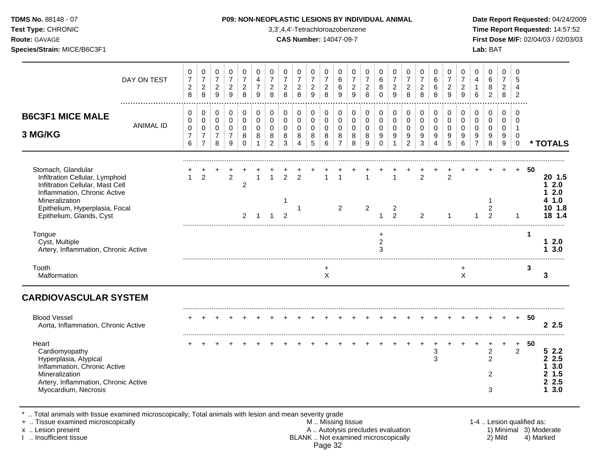**Test Type:** CHRONIC 3,3',4,4'-Tetrachloroazobenzene **Time Report Requested:** 14:57:52 **Route:** GAVAGE **CAS Number:** 14047-09-7 **First Dose M/F:** 02/04/03 / 02/03/03 **Species/Strain:** MICE/B6C3F1 **Lab:** BAT

|                                                                                                                                                                                                           | DAY ON TEST      | 0<br>$\boldsymbol{7}$<br>$\overline{c}$<br>$\,8\,$ | 0<br>$\boldsymbol{7}$<br>$\sqrt{2}$<br>$\,8\,$          | 0<br>$\boldsymbol{7}$<br>$\overline{c}$<br>$\mathsf g$ | 0<br>$\boldsymbol{7}$<br>$\overline{a}$<br>9                  | 0<br>$\overline{7}$<br>$\overline{\mathbf{c}}$<br>8      | 0<br>$\overline{4}$<br>$\overline{7}$<br>9  | 0<br>$\overline{7}$<br>$\overline{c}$<br>8          | 0<br>$\overline{7}$<br>$\overline{\mathbf{c}}$<br>8 | 0<br>$\overline{7}$<br>$\sqrt{2}$<br>8               | 0<br>$\boldsymbol{7}$<br>$\sqrt{2}$<br>$9\,$ | 0<br>$\overline{7}$<br>$\sqrt{2}$<br>$\,8\,$     | 0<br>6<br>6<br>9                                              | 0<br>$\overline{7}$<br>$\overline{c}$<br>$\boldsymbol{9}$ | 0<br>$\overline{7}$<br>$\overline{c}$<br>8 | 0<br>6<br>8<br>$\mathbf 0$                               | 0<br>$\overline{7}$<br>$\overline{c}$<br>$\overline{9}$ | 0<br>$\boldsymbol{7}$<br>$\overline{c}$<br>8         | 0<br>$\overline{7}$<br>$\overline{c}$<br>8                  | 0<br>$\,6$<br>6<br>8                          | 0<br>$\overline{7}$<br>$\overline{c}$<br>$\boldsymbol{9}$ | 0<br>$\overline{7}$<br>$\overline{c}$<br>9 | 0<br>$\overline{4}$<br>1<br>6                               | 0<br>$\,6\,$<br>8<br>$\overline{c}$                     | 0<br>$\overline{7}$<br>$\overline{2}$<br>8 | $\Omega$<br>5<br>4<br>$\overline{c}$           |    |                                                        |
|-----------------------------------------------------------------------------------------------------------------------------------------------------------------------------------------------------------|------------------|----------------------------------------------------|---------------------------------------------------------|--------------------------------------------------------|---------------------------------------------------------------|----------------------------------------------------------|---------------------------------------------|-----------------------------------------------------|-----------------------------------------------------|------------------------------------------------------|----------------------------------------------|--------------------------------------------------|---------------------------------------------------------------|-----------------------------------------------------------|--------------------------------------------|----------------------------------------------------------|---------------------------------------------------------|------------------------------------------------------|-------------------------------------------------------------|-----------------------------------------------|-----------------------------------------------------------|--------------------------------------------|-------------------------------------------------------------|---------------------------------------------------------|--------------------------------------------|------------------------------------------------|----|--------------------------------------------------------|
| <b>B6C3F1 MICE MALE</b><br>3 MG/KG                                                                                                                                                                        | <b>ANIMAL ID</b> | 0<br>0<br>$\pmb{0}$<br>$\overline{7}$<br>6         | 0<br>0<br>$\pmb{0}$<br>$\overline{7}$<br>$\overline{7}$ | 0<br>$\mathsf 0$<br>$\mathsf 0$<br>$\overline{7}$<br>8 | $\Omega$<br>$\mathsf 0$<br>$\mathbf 0$<br>$\overline{7}$<br>9 | $\mathbf 0$<br>$\pmb{0}$<br>$\mathbf 0$<br>8<br>$\Omega$ | $\mathbf 0$<br>$\mathbf 0$<br>$\Omega$<br>8 | 0<br>$\mathbf 0$<br>$\Omega$<br>8<br>$\overline{2}$ | 0<br>$\mathbf 0$<br>$\Omega$<br>8<br>3              | 0<br>$\pmb{0}$<br>$\mathbf 0$<br>8<br>$\overline{4}$ | 0<br>0<br>$\mathsf 0$<br>8<br>5              | $\Omega$<br>$\mathbf 0$<br>$\mathbf 0$<br>8<br>6 | $\Omega$<br>$\mathbf 0$<br>$\mathbf 0$<br>8<br>$\overline{7}$ | 0<br>$\mathbf 0$<br>0<br>8<br>8                           | 0<br>$\mathbf 0$<br>$\Omega$<br>8<br>9     | $\mathbf 0$<br>$\pmb{0}$<br>$\mathbf 0$<br>9<br>$\Omega$ | 0<br>$\mathsf 0$<br>$\mathbf 0$<br>9<br>$\mathbf{1}$    | 0<br>$\pmb{0}$<br>$\mathbf 0$<br>9<br>$\overline{2}$ | $\Omega$<br>$\mathbf 0$<br>$\mathbf 0$<br>9<br>$\mathbf{3}$ | $\Omega$<br>$\mathbf 0$<br>$\Omega$<br>9<br>4 | 0<br>$\mathbf 0$<br>$\Omega$<br>9<br>5                    | 0<br>$\mathbf 0$<br>$\Omega$<br>9<br>6     | $\mathbf 0$<br>$\pmb{0}$<br>$\Omega$<br>9<br>$\overline{7}$ | $\mathbf 0$<br>$\mathbf 0$<br>$\mathbf 0$<br>9<br>8     | $\Omega$<br>$\mathbf 0$<br>0<br>9<br>9     | $\Omega$<br>$\Omega$<br>-1<br>0<br>$\mathbf 0$ |    | * TOTALS                                               |
| Stomach, Glandular<br>Infiltration Cellular, Lymphoid<br>Infiltration Cellular, Mast Cell<br>Inflammation, Chronic Active<br>Mineralization<br>Epithelium, Hyperplasia, Focal<br>Epithelium, Glands, Cyst |                  | $\mathbf{1}$                                       | $\overline{2}$                                          |                                                        | $\overline{2}$                                                | $\overline{c}$<br>$\overline{2}$                         |                                             |                                                     | $\overline{2}$<br>1<br>$\mathcal{P}$                | $\overline{2}$<br>1                                  |                                              |                                                  | $\overline{2}$                                                |                                                           | 2                                          |                                                          | 2<br>$\overline{2}$                                     |                                                      | $\overline{2}$<br>2                                         |                                               | $\overline{2}$<br>1                                       |                                            |                                                             | $\overline{\mathbf{c}}$<br>2                            |                                            | $\overline{1}$                                 | 50 | 20 1.5<br>2.0<br>2.0<br>1.0<br>10 1.8<br>18 1.4        |
| Tongue<br>Cyst, Multiple<br>Artery, Inflammation, Chronic Active                                                                                                                                          |                  |                                                    |                                                         |                                                        |                                                               |                                                          |                                             |                                                     |                                                     |                                                      |                                              |                                                  |                                                               |                                                           |                                            | $\overline{c}$<br>3                                      |                                                         |                                                      |                                                             |                                               |                                                           |                                            |                                                             |                                                         |                                            |                                                | -1 | 12.0<br>3.0<br>1                                       |
| Tooth<br>Malformation                                                                                                                                                                                     |                  |                                                    |                                                         |                                                        |                                                               |                                                          |                                             |                                                     |                                                     |                                                      |                                              | $\ddot{}$<br>X                                   |                                                               |                                                           |                                            |                                                          |                                                         |                                                      |                                                             |                                               |                                                           | $\mathsf{X}$                               |                                                             |                                                         |                                            |                                                | 3  | 3                                                      |
| <b>CARDIOVASCULAR SYSTEM</b>                                                                                                                                                                              |                  |                                                    |                                                         |                                                        |                                                               |                                                          |                                             |                                                     |                                                     |                                                      |                                              |                                                  |                                                               |                                                           |                                            |                                                          |                                                         |                                                      |                                                             |                                               |                                                           |                                            |                                                             |                                                         |                                            |                                                |    |                                                        |
| <b>Blood Vessel</b><br>Aorta, Inflammation, Chronic Active                                                                                                                                                |                  |                                                    |                                                         |                                                        |                                                               |                                                          |                                             |                                                     |                                                     |                                                      |                                              |                                                  |                                                               |                                                           |                                            |                                                          |                                                         |                                                      |                                                             |                                               |                                                           |                                            |                                                             |                                                         |                                            | $\ddot{}$                                      | 50 | 2.5                                                    |
| Heart<br>Cardiomyopathy<br>Hyperplasia, Atypical<br>Inflammation, Chronic Active<br>Mineralization<br>Artery, Inflammation, Chronic Active<br>Myocardium, Necrosis                                        |                  |                                                    |                                                         |                                                        |                                                               |                                                          |                                             |                                                     |                                                     |                                                      |                                              |                                                  |                                                               |                                                           |                                            |                                                          |                                                         |                                                      |                                                             | 3<br>3                                        |                                                           |                                            |                                                             | $\overline{c}$<br>$\overline{2}$<br>$\overline{2}$<br>3 |                                            | +<br>2                                         | 50 | 52.2<br>2.5<br>2<br>3.0<br>1.5<br>2.5<br>2<br>3.0<br>1 |

.. Total animals with tissue examined microscopically; Total animals with lesion and mean severity grade<br>Tissue examined microscopically by an animals with lesion and mean severity grade

+ .. Tissue examined microscopically the state of the state of the M .. Missing tissue 1-4 .. Lesion qualified as: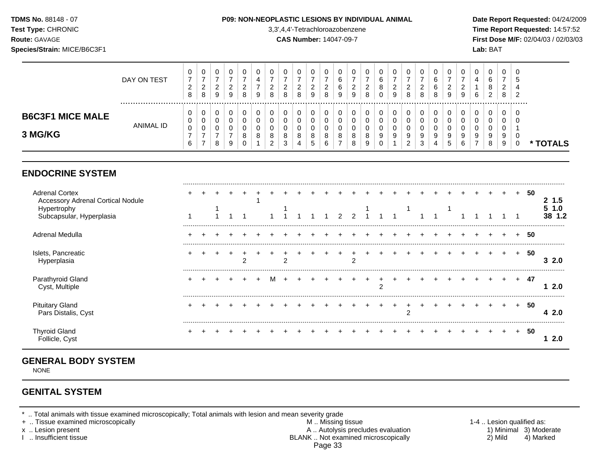## **TDMS No.** 88148 - 07 **P09: NON-NEOPLASTIC LESIONS BY INDIVIDUAL ANIMAL Date Report Requested:** 04/24/2009

**Test Type:** CHRONIC 3,3',4,4'-Tetrachloroazobenzene **Time Report Requested:** 14:57:52 **Route:** GAVAGE **CAS Number:** 14047-09-7 **First Dose M/F:** 02/04/03 / 02/03/03

|                                    | DAY ON TEST | U<br>O      | 0<br>ີ<br><u>_</u><br>8 | U<br><sup>o</sup><br><u>_</u><br>9 | U<br>ົ<br>▵<br>9 | υ<br>8 | U<br><u>_</u><br>8      | c<br>8            | 0<br>റ<br>$\sim$<br>8            | 0<br>ົ<br><u>_</u><br>9 | ∠<br>8 | <b>U</b><br>6<br>6<br>9 | _<br>9       | ີ<br><u>_</u><br>8 | υ<br>v<br>8<br>υ                    | 0<br>$\sim$<br>∼<br>9 | 0<br>$\sim$<br>$\epsilon$<br>8 | ∼      | 6<br>6<br>8 | υ<br>◠<br>_<br>9       | ∼<br>9      | 4<br>6 | ∠ | U<br>$\epsilon$<br>8  | - 0<br>৾৾<br>-2 |          |
|------------------------------------|-------------|-------------|-------------------------|------------------------------------|------------------|--------|-------------------------|-------------------|----------------------------------|-------------------------|--------|-------------------------|--------------|--------------------|-------------------------------------|-----------------------|--------------------------------|--------|-------------|------------------------|-------------|--------|---|-----------------------|-----------------|----------|
| <b>B6C3F1 MICE MALE</b><br>3 MG/KG | ANIMAL ID   | U<br>0<br>с | 0<br>0<br>0<br>-        | υ<br>v<br>υ<br>8                   | u<br>u<br>9      | u<br>8 | υ<br>8<br>◠<br><u>.</u> | $\circ$<br>ີ<br>đ | 0<br>0<br>$\mathbf{0}$<br>8<br>4 | 0<br>0<br>0<br>8<br>C.  |        | U<br>O                  | $\circ$<br>8 | υ<br>8<br>9        | υ<br>υ<br>U<br>9<br>$\sqrt{2}$<br>u | 0<br>0<br>v<br>9      | 9<br><sup>o</sup><br><u>_</u>  | ō<br>3 | 9           | υ<br>0<br>9<br>∽<br>ັບ | u<br>⌒<br>ь | 9<br>- | 8 | 0<br>ν<br>ν<br>9<br>9 | 0<br>- U        | * TOTALS |

# **ENDOCRINE SYSTEM**

| <b>Adrenal Cortex</b><br><b>Accessory Adrenal Cortical Nodule</b><br>Hypertrophy<br>Subcapsular, Hyperplasia |  |  |   |  |  |  |  |  |  |  |  |  |     | 50 | 1.5<br>. .0 |
|--------------------------------------------------------------------------------------------------------------|--|--|---|--|--|--|--|--|--|--|--|--|-----|----|-------------|
| Adrenal Medulla                                                                                              |  |  |   |  |  |  |  |  |  |  |  |  |     | 50 |             |
| Islets, Pancreatic<br>Hyperplasia                                                                            |  |  | ົ |  |  |  |  |  |  |  |  |  |     | 50 | 3 2.0       |
| Parathyroid Gland<br>Cyst, Multiple                                                                          |  |  |   |  |  |  |  |  |  |  |  |  | $+$ | 47 | 2.0         |
| <b>Pituitary Gland</b><br>Pars Distalis, Cyst                                                                |  |  |   |  |  |  |  |  |  |  |  |  | $+$ | 50 | 4 2.0       |
| <b>Thyroid Gland</b><br>Follicle, Cyst                                                                       |  |  |   |  |  |  |  |  |  |  |  |  | ÷.  | 50 | 2.0         |

# **GENERAL BODY SYSTEM**

NONE

# **GENITAL SYSTEM**

\* .. Total animals with tissue examined microscopically; Total animals with lesion and mean severity grade<br>+ .. Tissue examined microscopically

+ .. Tissue examined microscopically the state of the state of the M .. Missing tissue 1-4 .. Lesion qualified as: x .. Lesion present **A .. Autolysis precludes evaluation** A .. Autolysis precludes evaluation 1) Minimal 3) Moderate I .. Insufficient tissue BLANK .. Not examined microscopically 2) Mild 4) Marked Page 33

.........................................................................................................................................................................................................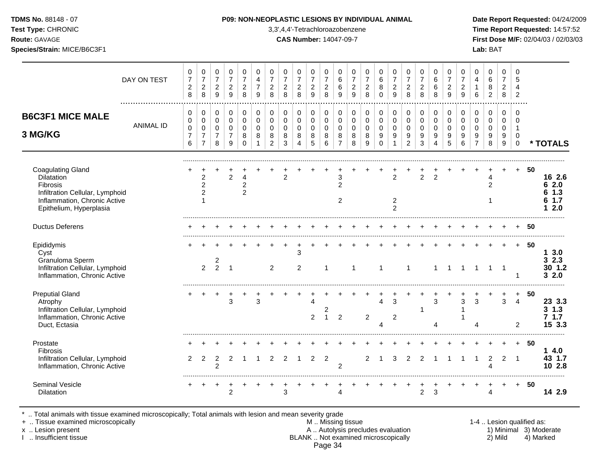## **TDMS No.** 88148 - 07 **P09: NON-NEOPLASTIC LESIONS BY INDIVIDUAL ANIMAL Date Report Requested:** 04/24/2009

**Test Type:** CHRONIC 3,3',4,4'-Tetrachloroazobenzene **Time Report Requested:** 14:57:52 **Route:** GAVAGE **CAS Number:** 14047-09-7 **First Dose M/F:** 02/04/03 / 02/03/03

|                                                                                                                                                  | DAY ON TEST           | 0<br>$\overline{7}$<br>$\boldsymbol{2}$<br>8 | 0<br>$\overline{7}$<br>$\overline{c}$<br>8                        | 0<br>$\overline{7}$<br>$\overline{c}$<br>9             | 0<br>$\overline{7}$<br>$\overline{c}$<br>$\overline{9}$        | 0<br>$\overline{7}$<br>$\overline{2}$<br>8       | 0<br>$\overline{4}$<br>$\overline{7}$<br>9     | 0<br>$\overline{7}$<br>$\overline{2}$<br>8              | 0<br>$\overline{7}$<br>$\boldsymbol{2}$<br>8 | 0<br>$\overline{7}$<br>$\overline{2}$<br>8         | 0<br>$\overline{7}$<br>$\overline{c}$<br>9 | 0<br>$\overline{7}$<br>$\overline{c}$<br>8 | 0<br>6<br>6<br>9                                       | 0<br>$\overline{7}$<br>$\overline{c}$<br>9 | 0<br>$\overline{7}$<br>$\overline{2}$<br>8 | 0<br>6<br>8<br>$\Omega$                          | 0<br>$\overline{7}$<br>$\boldsymbol{2}$<br>$\overline{9}$         | 0<br>$\overline{7}$<br>$\overline{c}$<br>8             | 0<br>$\overline{7}$<br>$\overline{c}$<br>8      | 0<br>6<br>6<br>8                                       | 0<br>$\overline{7}$<br>$\overline{2}$<br>9 | 0<br>$\overline{7}$<br>$\overline{2}$<br>9           | 0<br>$\overline{4}$<br>$\mathbf 1$<br>6      | 0<br>$\,6\,$<br>8<br>$\overline{c}$       | 0<br>$\overline{7}$<br>$\overline{2}$<br>8       | 0<br>5<br>$\overline{4}$<br>2                              |    |                                            |
|--------------------------------------------------------------------------------------------------------------------------------------------------|-----------------------|----------------------------------------------|-------------------------------------------------------------------|--------------------------------------------------------|----------------------------------------------------------------|--------------------------------------------------|------------------------------------------------|---------------------------------------------------------|----------------------------------------------|----------------------------------------------------|--------------------------------------------|--------------------------------------------|--------------------------------------------------------|--------------------------------------------|--------------------------------------------|--------------------------------------------------|-------------------------------------------------------------------|--------------------------------------------------------|-------------------------------------------------|--------------------------------------------------------|--------------------------------------------|------------------------------------------------------|----------------------------------------------|-------------------------------------------|--------------------------------------------------|------------------------------------------------------------|----|--------------------------------------------|
| <b>B6C3F1 MICE MALE</b><br>3 MG/KG                                                                                                               | .<br><b>ANIMAL ID</b> | 0<br>0<br>$\mathbf 0$<br>$\overline{7}$<br>6 | 0<br>$\mathsf{O}\xspace$<br>0<br>$\overline{7}$<br>$\overline{7}$ | 0<br>$\mathbf 0$<br>$\mathbf 0$<br>$\overline{7}$<br>8 | $\mathbf 0$<br>$\pmb{0}$<br>$\mathbf 0$<br>$\overline{7}$<br>9 | 0<br>$\mathbf 0$<br>$\mathbf 0$<br>8<br>$\Omega$ | $\mathbf 0$<br>$\mathsf 0$<br>$\mathbf 0$<br>8 | 0<br>$\mathbf 0$<br>$\mathbf{0}$<br>8<br>$\overline{2}$ | 0<br>0<br>$\mathbf 0$<br>8<br>3              | 0<br>$\mathbf 0$<br>0<br>$\,8\,$<br>$\overline{4}$ | 0<br>$\mathbf 0$<br>$\mathbf 0$<br>8<br>5  | 0<br>0<br>$\pmb{0}$<br>8<br>6              | 0<br>$\mathbf 0$<br>$\mathbf 0$<br>8<br>$\overline{7}$ | 0<br>$\mathsf 0$<br>$\mathbf 0$<br>8<br>8  | 0<br>$\mathbf 0$<br>$\mathbf 0$<br>8<br>9  | 0<br>$\mathbf 0$<br>$\mathbf 0$<br>9<br>$\Omega$ | 0<br>$\pmb{0}$<br>$\mathbf 0$<br>$\boldsymbol{9}$<br>$\mathbf{1}$ | 0<br>$\mathbf 0$<br>$\mathbf 0$<br>9<br>$\overline{2}$ | $\pmb{0}$<br>$\pmb{0}$<br>$\mathbf 0$<br>9<br>3 | 0<br>$\mathbf 0$<br>$\mathbf 0$<br>9<br>$\overline{4}$ | 0<br>0<br>$\mathbf 0$<br>9<br>5            | $\mathbf 0$<br>$\mathbf 0$<br>$\mathbf{0}$<br>9<br>6 | 0<br>0<br>$\mathbf 0$<br>9<br>$\overline{7}$ | 0<br>$\mathbf 0$<br>$\mathbf 0$<br>9<br>8 | $\Omega$<br>$\mathbf 0$<br>$\mathbf 0$<br>9<br>9 | $\Omega$<br>0<br>$\mathbf 1$<br>$\mathbf 0$<br>$\mathbf 0$ |    | * TOTALS                                   |
| <b>Coagulating Gland</b><br>Dilatation<br>Fibrosis<br>Infiltration Cellular, Lymphoid<br>Inflammation, Chronic Active<br>Epithelium, Hyperplasia |                       |                                              | 2<br>$\overline{2}$<br>2                                          |                                                        | $\overline{2}$                                                 | 4<br>$\overline{c}$<br>$\overline{c}$            |                                                |                                                         | $\overline{2}$                               |                                                    |                                            |                                            | 3<br>$\overline{2}$<br>2                               |                                            |                                            |                                                  | $\overline{2}$<br>$\overline{c}$<br>$\overline{2}$                |                                                        | $\overline{2}$                                  | 2                                                      |                                            |                                                      |                                              | 4<br>$\overline{2}$                       |                                                  | $+$                                                        | 50 | 16 2.6<br>62.0<br>$1.3$<br>6<br>1.7<br>2.0 |
| <b>Ductus Deferens</b>                                                                                                                           |                       |                                              |                                                                   |                                                        |                                                                |                                                  |                                                |                                                         |                                              |                                                    |                                            |                                            |                                                        |                                            |                                            |                                                  |                                                                   |                                                        |                                                 |                                                        |                                            |                                                      |                                              |                                           |                                                  |                                                            | 50 |                                            |
| Epididymis<br>Cyst<br>Granuloma Sperm<br>Infiltration Cellular, Lymphoid<br>Inflammation, Chronic Active                                         |                       |                                              | $\overline{2}$                                                    | 2<br>2                                                 | $\overline{1}$                                                 |                                                  |                                                | 2                                                       |                                              | 3<br>2                                             |                                            | $\overline{1}$                             |                                                        | $\mathbf{1}$                               |                                            | $\mathbf{1}$                                     |                                                                   | $\mathbf{1}$                                           |                                                 | $\mathbf 1$                                            | $\mathbf 1$                                | $\overline{1}$                                       | $\overline{1}$                               | $\mathbf{1}$                              | $\overline{\phantom{0}}$                         | $+$<br>-1                                                  | 50 | 13.0<br>32.3<br>30 1.2<br>32.0             |
| <b>Preputial Gland</b><br>Atrophy<br>Infiltration Cellular, Lymphoid<br>Inflammation, Chronic Active<br>Duct, Ectasia                            |                       |                                              |                                                                   |                                                        | 3                                                              |                                                  | 3                                              |                                                         |                                              |                                                    | Δ<br>$\overline{c}$                        | $\overline{2}$<br>$\mathbf{1}$             | $\overline{c}$                                         |                                            | $\overline{2}$                             | $\overline{4}$<br>$\overline{\mathbf{4}}$        | 3<br>$\overline{c}$                                               |                                                        | $\mathbf 1$                                     | 3<br>4                                                 |                                            | 3                                                    | 3<br>Δ                                       |                                           | 3                                                | $\ddot{}$<br>$\overline{4}$<br>2                           | 50 | 23 3.3<br>$3 \; 1.3$<br>$7$ 1.7<br>15 3.3  |
| Prostate<br>Fibrosis<br>Infiltration Cellular, Lymphoid<br>Inflammation, Chronic Active                                                          |                       | 2                                            | $\overline{2}$                                                    | $\overline{c}$<br>2                                    | $\overline{2}$                                                 | 1                                                |                                                | 2                                                       | 2                                            |                                                    | $\overline{2}$                             | $\overline{2}$                             | 2                                                      |                                            | 2                                          | $\overline{1}$                                   | 3                                                                 | $\overline{2}$                                         | 2                                               |                                                        |                                            | -1                                                   | 1                                            | 2<br>Δ                                    | $\overline{2}$                                   | $+$<br>$\overline{1}$                                      | 50 | 14.0<br>43 1.7<br>10 2.8                   |
| Seminal Vesicle<br>Dilatation                                                                                                                    |                       |                                              |                                                                   |                                                        | $\overline{2}$                                                 |                                                  |                                                |                                                         | 3                                            |                                                    |                                            |                                            | 4                                                      |                                            |                                            |                                                  |                                                                   |                                                        | 2                                               | 3                                                      |                                            |                                                      |                                              | 4                                         |                                                  | $\pm$                                                      | 50 | 14 2.9                                     |

\* .. Total animals with tissue examined microscopically; Total animals with lesion and mean severity grade

+ .. Tissue examined microscopically M .. Missing tissue 1-4 .. Lesion qualified as: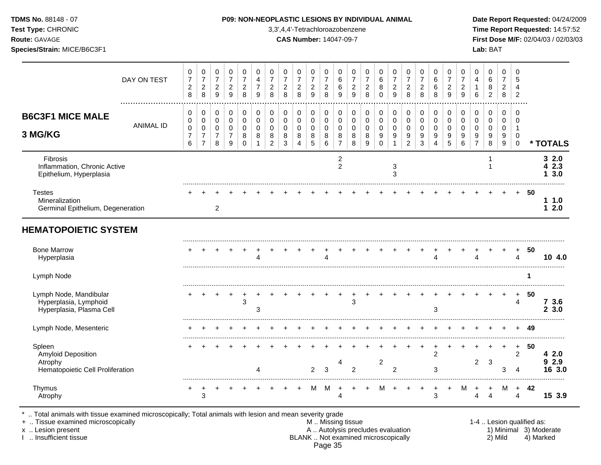| TDMS No. 88148 - 07         | <b>P09: NON-NEOPLASTIC LESIONS BY INDIVIDUAL ANIMAL</b> | Date Rep         |
|-----------------------------|---------------------------------------------------------|------------------|
| Test Type: CHRONIC          | 3,3',4,4'-Tetrachloroazobenzene                         | <b>Time Rep</b>  |
| <b>Route: GAVAGE</b>        | <b>CAS Number: 14047-09-7</b>                           | <b>First Dos</b> |
| Species/Strain: MICE/B6C3F1 |                                                         | Lab: BAT         |
|                             |                                                         |                  |

## **P09: NON-NEOPLASTIC LESIONS BY INDIVIDUAL ANIMAL Date Report Requested: 04/24/2009**

**Time Report Requested:** 14:57:52 **Route:** GAVAGE **CAS Number:** 14047-09-7 **First Dose M/F:** 02/04/03 / 02/03/03

|                                                                                    | DAY ON TEST      | $\pmb{0}$<br>$\overline{7}$<br>$\overline{c}$<br>8   | 0<br>$\overline{7}$<br>$\sqrt{2}$<br>$\,8\,$                      | 0<br>$\overline{7}$<br>$\overline{c}$<br>9 | 0<br>$\overline{7}$<br>$\boldsymbol{2}$<br>9 | 0<br>$\overline{7}$<br>$\overline{c}$<br>8    | 0<br>4<br>$\overline{7}$<br>9     | 0<br>$\overline{7}$<br>$\overline{c}$<br>8          | 0<br>$\overline{7}$<br>$\overline{c}$<br>8 | 0<br>$\overline{7}$<br>$\sqrt{2}$<br>8 | 0<br>$\overline{7}$<br>$\boldsymbol{2}$<br>9 | 0<br>$\overline{7}$<br>$\overline{c}$<br>8 | 0<br>$\,6$<br>6<br>9                                | 0<br>$\overline{7}$<br>$\overline{c}$<br>9 | 0<br>$\overline{7}$<br>$\overline{2}$<br>8 | 0<br>6<br>8<br>$\mathbf 0$                          | 0<br>$\overline{7}$<br>$\overline{c}$<br>9      | 0<br>$\overline{7}$<br>$\sqrt{2}$<br>8               | 0<br>$\overline{7}$<br>$\overline{c}$<br>8 | 0<br>6<br>6<br>8                    | 0<br>$\overline{7}$<br>$\overline{2}$<br>9 | 0<br>$\overline{7}$<br>$\overline{c}$<br>9 | 0<br>4<br>$\mathbf{1}$<br>6                            | 0<br>6<br>8<br>$\overline{2}$             | 0<br>$\overline{7}$<br>$\overline{2}$<br>$\,8\,$ | 0<br>5<br>4<br>$\overline{2}$                  |     |                            |
|------------------------------------------------------------------------------------|------------------|------------------------------------------------------|-------------------------------------------------------------------|--------------------------------------------|----------------------------------------------|-----------------------------------------------|-----------------------------------|-----------------------------------------------------|--------------------------------------------|----------------------------------------|----------------------------------------------|--------------------------------------------|-----------------------------------------------------|--------------------------------------------|--------------------------------------------|-----------------------------------------------------|-------------------------------------------------|------------------------------------------------------|--------------------------------------------|-------------------------------------|--------------------------------------------|--------------------------------------------|--------------------------------------------------------|-------------------------------------------|--------------------------------------------------|------------------------------------------------|-----|----------------------------|
| <b>B6C3F1 MICE MALE</b><br>3 MG/KG                                                 | <b>ANIMAL ID</b> | 0<br>$\mathbf 0$<br>$\pmb{0}$<br>$\overline{7}$<br>6 | 0<br>$\mathbf 0$<br>$\pmb{0}$<br>$\overline{7}$<br>$\overline{7}$ | 0<br>$\mathbf 0$<br>$\mathbf 0$<br>7<br>8  | 0<br>$\mathbf 0$<br>$\mathbf 0$<br>7<br>9    | 0<br>$\Omega$<br>$\mathbf 0$<br>8<br>$\Omega$ | 0<br>$\Omega$<br>$\mathbf 0$<br>8 | 0<br>$\Omega$<br>$\mathbf 0$<br>8<br>$\overline{2}$ | 0<br>$\mathbf 0$<br>$\mathbf 0$<br>8<br>3  | 0<br>0<br>$\mathbf 0$<br>8<br>4        | 0<br>$\mathbf 0$<br>$\mathbf 0$<br>8<br>5    | 0<br>$\mathbf 0$<br>0<br>8<br>6            | 0<br>$\Omega$<br>$\mathbf 0$<br>8<br>$\overline{7}$ | 0<br>$\Omega$<br>$\mathbf 0$<br>8<br>8     | 0<br>$\Omega$<br>$\mathbf 0$<br>8<br>9     | 0<br>$\mathbf 0$<br>$\mathsf 0$<br>9<br>$\mathbf 0$ | 0<br>$\pmb{0}$<br>$\pmb{0}$<br>9<br>$\mathbf 1$ | 0<br>$\pmb{0}$<br>$\mathbf 0$<br>9<br>$\overline{c}$ | 0<br>$\mathbf 0$<br>$\mathbf 0$<br>9<br>3  | 0<br>$\Omega$<br>$\Omega$<br>9<br>4 | 0<br>$\Omega$<br>$\mathbf 0$<br>9<br>5     | 0<br>$\mathbf 0$<br>$\mathbf 0$<br>9<br>6  | 0<br>$\mathbf 0$<br>$\mathbf 0$<br>9<br>$\overline{7}$ | 0<br>$\mathbf 0$<br>$\mathbf 0$<br>9<br>8 | $\mathbf 0$<br>$\Omega$<br>0<br>9<br>9           | $\Omega$<br>$\Omega$<br>-1<br>0<br>$\mathbf 0$ |     | * TOTALS                   |
| Fibrosis<br>Inflammation, Chronic Active<br>Epithelium, Hyperplasia                |                  |                                                      |                                                                   |                                            |                                              |                                               |                                   |                                                     |                                            |                                        |                                              |                                            | $\overline{\mathbf{c}}$<br>$\overline{c}$           |                                            |                                            |                                                     | 3<br>3                                          |                                                      |                                            |                                     |                                            |                                            |                                                        |                                           |                                                  |                                                |     | 32.0<br>2.3<br>3.0         |
| <b>Testes</b><br>Mineralization<br>Germinal Epithelium, Degeneration               |                  |                                                      |                                                                   | 2                                          |                                              |                                               |                                   |                                                     |                                            |                                        |                                              |                                            |                                                     |                                            |                                            |                                                     |                                                 |                                                      |                                            |                                     |                                            |                                            |                                                        |                                           |                                                  | $+$                                            | -50 | 11.0<br>12.0               |
| <b>HEMATOPOIETIC SYSTEM</b>                                                        |                  |                                                      |                                                                   |                                            |                                              |                                               |                                   |                                                     |                                            |                                        |                                              |                                            |                                                     |                                            |                                            |                                                     |                                                 |                                                      |                                            |                                     |                                            |                                            |                                                        |                                           |                                                  |                                                |     |                            |
| <b>Bone Marrow</b><br>Hyperplasia                                                  |                  |                                                      |                                                                   |                                            |                                              |                                               |                                   |                                                     |                                            |                                        |                                              |                                            |                                                     |                                            |                                            |                                                     |                                                 |                                                      |                                            |                                     |                                            |                                            |                                                        |                                           |                                                  | 4                                              | 50  | 10 4.0                     |
| Lymph Node                                                                         |                  |                                                      |                                                                   |                                            |                                              |                                               |                                   |                                                     |                                            |                                        |                                              |                                            |                                                     |                                            |                                            |                                                     |                                                 |                                                      |                                            |                                     |                                            |                                            |                                                        |                                           |                                                  |                                                | 1   |                            |
| Lymph Node, Mandibular<br>Hyperplasia, Lymphoid<br>Hyperplasia, Plasma Cell        |                  |                                                      |                                                                   |                                            |                                              | 3                                             | 3                                 |                                                     |                                            |                                        |                                              |                                            |                                                     | 3                                          |                                            |                                                     |                                                 |                                                      |                                            | 3                                   |                                            |                                            |                                                        |                                           |                                                  | $\ddot{}$<br>4                                 | 50  | 73.6<br>3.0<br>$\mathbf 2$ |
| Lymph Node, Mesenteric                                                             |                  |                                                      |                                                                   |                                            |                                              |                                               |                                   |                                                     |                                            |                                        |                                              |                                            |                                                     |                                            |                                            |                                                     |                                                 |                                                      |                                            |                                     |                                            |                                            |                                                        |                                           |                                                  | $\ddot{}$                                      | -49 |                            |
| Spleen<br><b>Amyloid Deposition</b><br>Atrophy<br>Hematopoietic Cell Proliferation |                  |                                                      |                                                                   |                                            |                                              |                                               |                                   |                                                     |                                            |                                        | $\mathcal{P}$                                | 3                                          | 4                                                   | $\overline{2}$                             |                                            | $\overline{c}$                                      | 2                                               |                                                      |                                            | 2<br>3                              |                                            |                                            | $\overline{c}$                                         | 3                                         | 3                                                | +<br>$\overline{c}$<br>4                       | 50  | 42.0<br>929<br>16 3.0      |
| Thymus<br>Atrophy                                                                  |                  |                                                      | 3                                                                 |                                            |                                              |                                               |                                   |                                                     |                                            |                                        | м                                            | м                                          | Δ                                                   |                                            |                                            |                                                     |                                                 |                                                      |                                            | 3                                   |                                            | M                                          |                                                        |                                           | м                                                | $\ddot{}$<br>4                                 | 42  | 15 3.9                     |

\* .. Total animals with tissue examined microscopically; Total animals with lesion and mean severity grade

+ .. Tissue examined microscopically M .. Missing tissue 1-4 .. Lesion qualified as: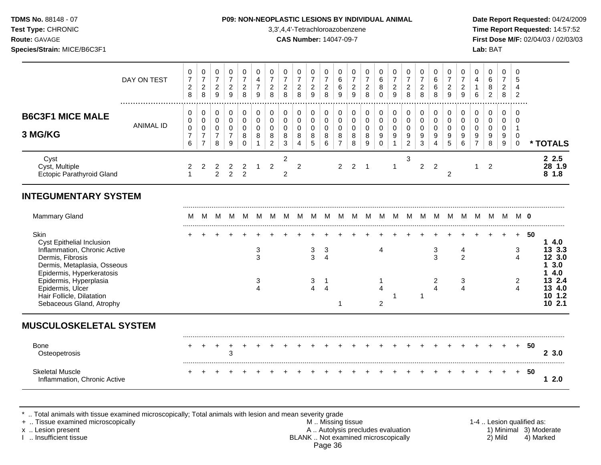**Test Type:** CHRONIC 3,3',4,4'-Tetrachloroazobenzene **Time Report Requested:** 14:57:52 **Route:** GAVAGE **CAS Number:** 14047-09-7 **First Dose M/F:** 02/04/03 / 02/03/03 **Species/Strain:** MICE/B6C3F1 **Lab:** BAT

|                                                                                                                                  | DAY ON TEST                  | 0<br>$\boldsymbol{7}$<br>$\sqrt{2}$<br>8                 | 0<br>$\boldsymbol{7}$<br>$\overline{2}$<br>8                      | 0<br>$\boldsymbol{7}$<br>$\overline{c}$<br>$9\,$     | 0<br>$\boldsymbol{7}$<br>$\overline{2}$<br>9 | 0<br>$\overline{7}$<br>$\overline{c}$<br>8     | 0<br>$\overline{4}$<br>$\overline{7}$<br>9   | 0<br>$\overline{7}$<br>$\overline{c}$<br>8 | 0<br>$\overline{7}$<br>$\overline{2}$<br>8          | 0<br>$\overline{7}$<br>$\overline{2}$<br>8 | 0<br>$\boldsymbol{7}$<br>$\overline{a}$<br>9 | $\mathbf 0$<br>$\overline{7}$<br>$\overline{2}$<br>8 | 0<br>$\,6\,$<br>6<br>9                       | 0<br>$\overline{7}$<br>$\overline{c}$<br>9 | 0<br>$\overline{7}$<br>$\boldsymbol{2}$<br>8 | 0<br>6<br>$\bf 8$<br>$\Omega$                                           | 0<br>$\overline{7}$<br>$\overline{2}$<br>9             | 0<br>$\boldsymbol{7}$<br>$\overline{2}$<br>8           | 0<br>$\overline{7}$<br>$\boldsymbol{2}$<br>8      | 0<br>6<br>6<br>8                                | 0<br>$\boldsymbol{7}$<br>$\overline{2}$<br>9 | 0<br>$\overline{7}$<br>$\overline{2}$<br>9 | 0<br>4<br>$\mathbf{1}$<br>$6\phantom{1}6$    | 0<br>6<br>8<br>$\overline{2}$                 | 0<br>$\overline{7}$<br>$\boldsymbol{2}$<br>8 | 0<br>5<br>4<br>$\overline{c}$                                    |    |                                            |
|----------------------------------------------------------------------------------------------------------------------------------|------------------------------|----------------------------------------------------------|-------------------------------------------------------------------|------------------------------------------------------|----------------------------------------------|------------------------------------------------|----------------------------------------------|--------------------------------------------|-----------------------------------------------------|--------------------------------------------|----------------------------------------------|------------------------------------------------------|----------------------------------------------|--------------------------------------------|----------------------------------------------|-------------------------------------------------------------------------|--------------------------------------------------------|--------------------------------------------------------|---------------------------------------------------|-------------------------------------------------|----------------------------------------------|--------------------------------------------|----------------------------------------------|-----------------------------------------------|----------------------------------------------|------------------------------------------------------------------|----|--------------------------------------------|
| <b>B6C3F1 MICE MALE</b><br>3 MG/KG                                                                                               | <b>ANIMAL ID</b>             | 0<br>$\mathbf 0$<br>$\mathbf 0$<br>$\boldsymbol{7}$<br>6 | 0<br>$\mathbf 0$<br>$\pmb{0}$<br>$\overline{7}$<br>$\overline{7}$ | $\pmb{0}$<br>0<br>$\mathbf 0$<br>$\overline{7}$<br>8 | 0<br>$\pmb{0}$<br>0<br>7<br>9                | 0<br>$\pmb{0}$<br>$\mathbf 0$<br>8<br>$\Omega$ | $\pmb{0}$<br>$\mathbf 0$<br>$\mathbf 0$<br>8 | 0<br>$\mathbf 0$<br>$\mathbf 0$<br>8<br>2  | $\mathbf 0$<br>$\mathbf 0$<br>$\mathbf 0$<br>8<br>3 | 0<br>0<br>0<br>8<br>$\overline{4}$         | 0<br>0<br>$\mathsf{O}\xspace$<br>8<br>5      | $\pmb{0}$<br>$\mathbf 0$<br>$\mathbf 0$<br>8<br>6    | 0<br>0<br>$\mathbf 0$<br>8<br>$\overline{7}$ | $\pmb{0}$<br>0<br>0<br>8<br>8              | 0<br>$\mathbf 0$<br>$\mathbf 0$<br>8<br>9    | 0<br>$\mathsf{O}\xspace$<br>$\mathbf 0$<br>$\boldsymbol{9}$<br>$\Omega$ | 0<br>$\mathbf 0$<br>$\mathbf 0$<br>9<br>$\overline{1}$ | 0<br>$\mathbf 0$<br>$\mathbf 0$<br>9<br>$\overline{2}$ | $\mathbf 0$<br>$\pmb{0}$<br>$\mathbf 0$<br>9<br>3 | $\,0\,$<br>$\mathbf 0$<br>$\mathbf 0$<br>9<br>4 | 0<br>0<br>0<br>9<br>5                        | 0<br>$\mathbf 0$<br>$\mathbf 0$<br>9<br>6  | 0<br>0<br>$\mathbf 0$<br>9<br>$\overline{7}$ | $\pmb{0}$<br>$\pmb{0}$<br>$\pmb{0}$<br>9<br>8 | 0<br>0<br>$\mathbf 0$<br>9<br>9              | $\mathbf 0$<br>0<br>$\overline{1}$<br>$\mathbf 0$<br>$\mathbf 0$ |    | * TOTALS                                   |
| Cyst<br>Cyst, Multiple<br><b>Ectopic Parathyroid Gland</b>                                                                       |                              | 2<br>$\mathbf{1}$                                        | $\overline{2}$                                                    | 2<br>$\overline{2}$                                  | 2<br>2                                       | $\overline{c}$<br>$\overline{2}$               | -1                                           | $\overline{2}$                             | $\overline{c}$<br>2                                 | $\overline{2}$                             |                                              |                                                      | $\overline{2}$                               | 2                                          | -1                                           |                                                                         | $\mathbf 1$                                            | 3                                                      | $\overline{2}$                                    | $\overline{2}$                                  | $\overline{c}$                               |                                            | 1                                            | 2                                             |                                              |                                                                  |    | 2.5<br>28 1.9<br>81.8                      |
| <b>INTEGUMENTARY SYSTEM</b>                                                                                                      |                              |                                                          |                                                                   |                                                      |                                              |                                                |                                              |                                            |                                                     |                                            |                                              |                                                      |                                              |                                            |                                              |                                                                         |                                                        |                                                        |                                                   |                                                 |                                              |                                            |                                              |                                               |                                              |                                                                  |    |                                            |
| <b>Mammary Gland</b>                                                                                                             |                              | M                                                        | м                                                                 | M                                                    | M                                            | M                                              | M                                            | м                                          | M                                                   | M                                          | м                                            |                                                      | M                                            | м                                          | м                                            | M                                                                       | M                                                      | M                                                      | M                                                 | M                                               | M                                            | M                                          | M                                            | - M                                           | M                                            | M O                                                              |    |                                            |
| Skin<br><b>Cyst Epithelial Inclusion</b><br>Inflammation, Chronic Active<br>Dermis, Fibrosis<br>Dermis, Metaplasia, Osseous      |                              |                                                          |                                                                   |                                                      |                                              |                                                | 3<br>3                                       |                                            |                                                     |                                            | 3<br>$\overline{3}$                          | 3<br>$\overline{4}$                                  |                                              |                                            |                                              | $\overline{4}$                                                          |                                                        |                                                        |                                                   | $\ensuremath{\mathsf{3}}$<br>3                  |                                              | 4<br>$\overline{2}$                        |                                              |                                               |                                              | $+$<br>3<br>$\overline{4}$                                       | 50 | .<br>14.0<br>13 3.3<br>12 3.0<br>3.0<br>1. |
| Epidermis, Hyperkeratosis<br>Epidermis, Hyperplasia<br>Epidermis, Ulcer<br>Hair Follicle, Dilatation<br>Sebaceous Gland, Atrophy |                              |                                                          |                                                                   |                                                      |                                              |                                                | 3<br>$\overline{4}$                          |                                            |                                                     |                                            | 3<br>$\overline{4}$                          | $\overline{1}$<br>$\overline{4}$                     | 1                                            |                                            |                                              | 1<br>4<br>$\overline{2}$                                                |                                                        |                                                        | $\mathbf 1$                                       | 2<br>4                                          |                                              | $\mathbf{3}$<br>4                          |                                              |                                               |                                              | $\overline{c}$<br>$\boldsymbol{\Lambda}$                         |    | 4.0<br>13 2.4<br>13 4.0<br>10 1.2<br>102.1 |
| <b>MUSCULOSKELETAL SYSTEM</b>                                                                                                    |                              |                                                          |                                                                   |                                                      |                                              |                                                |                                              |                                            |                                                     |                                            |                                              |                                                      |                                              |                                            |                                              |                                                                         |                                                        |                                                        |                                                   |                                                 |                                              |                                            |                                              |                                               |                                              |                                                                  |    |                                            |
| <b>Bone</b><br>Osteopetrosis                                                                                                     |                              |                                                          |                                                                   |                                                      | 3                                            |                                                |                                              |                                            |                                                     |                                            |                                              |                                                      |                                              |                                            |                                              |                                                                         |                                                        |                                                        |                                                   |                                                 |                                              |                                            |                                              |                                               |                                              | $\ddot{}$                                                        | 50 | 2, 3.0                                     |
| <b>Skeletal Muscle</b>                                                                                                           | Inflammation, Chronic Active |                                                          |                                                                   |                                                      |                                              |                                                |                                              |                                            |                                                     |                                            |                                              |                                                      |                                              |                                            |                                              |                                                                         |                                                        |                                                        |                                                   |                                                 |                                              |                                            |                                              |                                               | $+$                                          | $+$                                                              | 50 | 12.0                                       |

\* .. Total animals with tissue examined microscopically; Total animals with lesion and mean severity grade<br>+ .. Tissue examined microscopically

+ .. Tissue examined microscopically the state of the state of the M .. Missing tissue 1-4 .. Lesion qualified as: x .. Lesion present **A .. Autolysis precludes evaluation** A .. Autolysis precludes evaluation 1) Minimal 3) Moderate I .. Insufficient tissue BLANK .. Not examined microscopically 2) Mild 4) Marked Page 36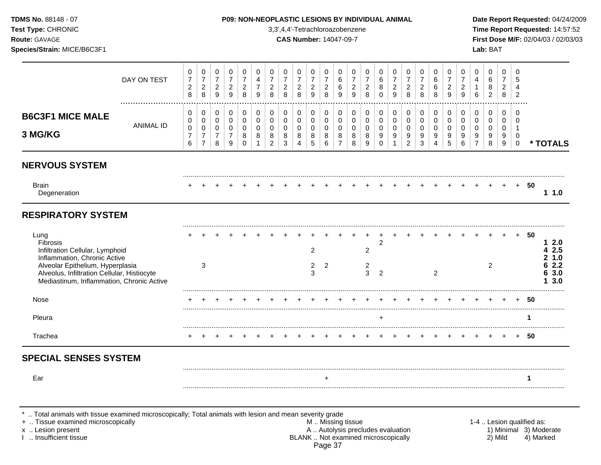**Test Type:** CHRONIC 3,3',4,4'-Tetrachloroazobenzene **Time Report Requested:** 14:57:52 **Route:** GAVAGE **CAS Number:** 14047-09-7 **First Dose M/F:** 02/04/03 / 02/03/03 **Species/Strain:** MICE/B6C3F1 **Lab:** BAT

|                                                                                                                                                                                                                     | DAY ON TEST | 0<br>$\overline{7}$<br>$\sqrt{2}$<br>8                 | 0<br>$\boldsymbol{7}$<br>$\boldsymbol{2}$<br>8 | 0<br>$\overline{7}$<br>$\overline{c}$<br>9 | 0<br>$\overline{7}$<br>$\overline{c}$<br>9                       | 0<br>$\overline{7}$<br>$\overline{c}$<br>8 | 0<br>4<br>$\overline{7}$<br>9                  | 0<br>$\overline{7}$<br>$\boldsymbol{2}$<br>8        | 0<br>$\overline{7}$<br>$\boldsymbol{2}$<br>8 | 0<br>$\overline{7}$<br>$\sqrt{2}$<br>8   | 0<br>$\overline{7}$<br>$\overline{c}$<br>9     | 0<br>$\overline{7}$<br>$\overline{a}$<br>8 | 0<br>6<br>$\,6$<br>9                                                                          | 0<br>$\overline{7}$<br>$\overline{2}$<br>9 | 0<br>$\overline{7}$<br>$\overline{c}$<br>8 | 0<br>6<br>8<br>$\mathbf 0$                                                | 0<br>$\overline{7}$<br>$\overline{a}$<br>9 | 0<br>$\overline{7}$<br>$\overline{c}$<br>8                                  | 0<br>$\overline{7}$<br>$\overline{c}$<br>8          | 0<br>6<br>6<br>8                                             | 0<br>$\overline{7}$<br>$\overline{c}$<br>9 | 0<br>$\overline{7}$<br>$\overline{c}$<br>9 | 0<br>4<br>$\mathbf{1}$<br>6        | 0<br>$\,6\,$<br>8<br>$\overline{2}$                                | $\Omega$<br>$\overline{7}$<br>$\overline{2}$<br>8   | 0<br>5<br>$\overline{4}$<br>$\overline{2}$           |                           |                                                |
|---------------------------------------------------------------------------------------------------------------------------------------------------------------------------------------------------------------------|-------------|--------------------------------------------------------|------------------------------------------------|--------------------------------------------|------------------------------------------------------------------|--------------------------------------------|------------------------------------------------|-----------------------------------------------------|----------------------------------------------|------------------------------------------|------------------------------------------------|--------------------------------------------|-----------------------------------------------------------------------------------------------|--------------------------------------------|--------------------------------------------|---------------------------------------------------------------------------|--------------------------------------------|-----------------------------------------------------------------------------|-----------------------------------------------------|--------------------------------------------------------------|--------------------------------------------|--------------------------------------------|------------------------------------|--------------------------------------------------------------------|-----------------------------------------------------|------------------------------------------------------|---------------------------|------------------------------------------------|
| <b>B6C3F1 MICE MALE</b><br>3 MG/KG                                                                                                                                                                                  | ANIMAL ID   | 0<br>$\pmb{0}$<br>$\mathbf 0$<br>$\boldsymbol{7}$<br>6 | 0<br>0<br>$\mathbf 0$<br>7<br>$\overline{7}$   | 0<br>0<br>0<br>7<br>8                      | $\mathbf 0$<br>$\mathbf 0$<br>$\mathbf 0$<br>$\overline{7}$<br>9 | 0<br>0<br>0<br>8<br>$\Omega$               | $\mathbf 0$<br>$\mathbf 0$<br>$\mathbf 0$<br>8 | $\mathbf 0$<br>$\mathbf 0$<br>$\mathbf 0$<br>8<br>2 | 0<br>$\mathsf 0$<br>$\mathbf 0$<br>8<br>3    | 0<br>0<br>0<br>$\bf 8$<br>$\overline{4}$ | 0<br>0<br>0<br>8<br>5                          | 0<br>0<br>0<br>8<br>$6\phantom{a}$         | 0<br>$\mathbf 0$<br>$\mathbf 0$<br>8<br>$\overline{7}$                                        | 0<br>$\mathbf 0$<br>$\mathbf 0$<br>8<br>8  | $\pmb{0}$<br>$\pmb{0}$<br>0<br>$\bf8$<br>9 | $\mathbf 0$<br>$\mathbf 0$<br>$\mathbf 0$<br>$\boldsymbol{9}$<br>$\Omega$ | 0<br>0<br>$\mathbf 0$<br>9<br>$\mathbf{1}$ | $\pmb{0}$<br>$\pmb{0}$<br>$\mathbf 0$<br>$\boldsymbol{9}$<br>$\overline{2}$ | $\mathbf 0$<br>$\mathbf 0$<br>$\mathbf 0$<br>9<br>3 | $\pmb{0}$<br>$\mathbf 0$<br>0<br>9<br>$\boldsymbol{\Lambda}$ | 0<br>$\mathbf 0$<br>$\mathbf 0$<br>9<br>5  | 0<br>0<br>0<br>9<br>6                      | 0<br>0<br>0<br>9<br>$\overline{7}$ | $\mathbf 0$<br>$\mathbf 0$<br>$\mathbf 0$<br>$\boldsymbol{9}$<br>8 | $\mathbf 0$<br>$\mathbf 0$<br>$\mathbf 0$<br>9<br>9 | $\mathbf 0$<br>0<br>$\mathbf{1}$<br>0<br>$\mathbf 0$ |                           | * TOTALS                                       |
| <b>NERVOUS SYSTEM</b>                                                                                                                                                                                               |             |                                                        |                                                |                                            |                                                                  |                                            |                                                |                                                     |                                              |                                          |                                                |                                            |                                                                                               |                                            |                                            |                                                                           |                                            |                                                                             |                                                     |                                                              |                                            |                                            |                                    |                                                                    |                                                     |                                                      |                           |                                                |
| <b>Brain</b><br>Degeneration                                                                                                                                                                                        |             |                                                        |                                                |                                            |                                                                  |                                            |                                                |                                                     |                                              |                                          |                                                |                                            |                                                                                               |                                            |                                            |                                                                           |                                            |                                                                             |                                                     |                                                              |                                            |                                            |                                    |                                                                    |                                                     | $+$                                                  | 50                        | 1.0                                            |
| <b>RESPIRATORY SYSTEM</b>                                                                                                                                                                                           |             |                                                        |                                                |                                            |                                                                  |                                            |                                                |                                                     |                                              |                                          |                                                |                                            |                                                                                               |                                            |                                            |                                                                           |                                            |                                                                             |                                                     |                                                              |                                            |                                            |                                    |                                                                    |                                                     |                                                      |                           |                                                |
| Lung<br>Fibrosis<br>Infiltration Cellular, Lymphoid<br>Inflammation, Chronic Active<br>Alveolar Epithelium, Hyperplasia<br>Alveolus, Infiltration Cellular, Histiocyte<br>Mediastinum, Inflammation, Chronic Active |             |                                                        | 3                                              |                                            |                                                                  |                                            |                                                |                                                     |                                              |                                          | $\overline{2}$<br>$\overline{\mathbf{c}}$<br>3 | 2                                          |                                                                                               |                                            | 2<br>$\overline{c}$<br>$\overline{3}$      | 2<br>$\overline{2}$                                                       |                                            |                                                                             |                                                     | 2                                                            |                                            |                                            |                                    | 2                                                                  |                                                     |                                                      | $+ 50$                    | 12.0<br>4 2.5<br>21.0<br>62.2<br>6 3.0<br>13.0 |
| Nose                                                                                                                                                                                                                |             |                                                        |                                                |                                            |                                                                  |                                            |                                                |                                                     |                                              |                                          |                                                |                                            |                                                                                               |                                            |                                            |                                                                           |                                            |                                                                             |                                                     |                                                              |                                            |                                            |                                    |                                                                    |                                                     |                                                      | 50                        |                                                |
| Pleura                                                                                                                                                                                                              |             |                                                        |                                                |                                            |                                                                  |                                            |                                                |                                                     |                                              |                                          |                                                |                                            |                                                                                               |                                            |                                            | $\ddot{}$                                                                 |                                            |                                                                             |                                                     |                                                              |                                            |                                            |                                    |                                                                    |                                                     |                                                      | 1                         |                                                |
| Trachea                                                                                                                                                                                                             |             |                                                        |                                                |                                            |                                                                  |                                            |                                                |                                                     |                                              |                                          |                                                |                                            |                                                                                               |                                            |                                            |                                                                           |                                            |                                                                             |                                                     |                                                              |                                            |                                            |                                    |                                                                    |                                                     | $+$                                                  | - 50                      |                                                |
| <b>SPECIAL SENSES SYSTEM</b>                                                                                                                                                                                        |             |                                                        |                                                |                                            |                                                                  |                                            |                                                |                                                     |                                              |                                          |                                                |                                            |                                                                                               |                                            |                                            |                                                                           |                                            |                                                                             |                                                     |                                                              |                                            |                                            |                                    |                                                                    |                                                     |                                                      |                           |                                                |
| Ear                                                                                                                                                                                                                 |             |                                                        |                                                |                                            |                                                                  |                                            |                                                |                                                     |                                              |                                          |                                                | $\ddot{}$                                  |                                                                                               |                                            |                                            |                                                                           |                                            |                                                                             |                                                     |                                                              |                                            |                                            |                                    |                                                                    |                                                     |                                                      |                           |                                                |
| Total animals with tissue examined microscopically; Total animals with lesion and mean severity grade<br>+  Tissue examined microscopically<br>x  Lesion present<br>I  Insufficient tissue                          |             |                                                        |                                                |                                            |                                                                  |                                            |                                                |                                                     |                                              |                                          |                                                |                                            | M  Missing tissue<br>A  Autolysis precludes evaluation<br>BLANK  Not examined microscopically |                                            |                                            |                                                                           |                                            |                                                                             |                                                     |                                                              |                                            |                                            |                                    |                                                                    | 2) Mild                                             |                                                      | 1-4  Lesion qualified as: | 1) Minimal 3) Moderate<br>4) Marked            |

BLANK .. Not examined microscopically Page 37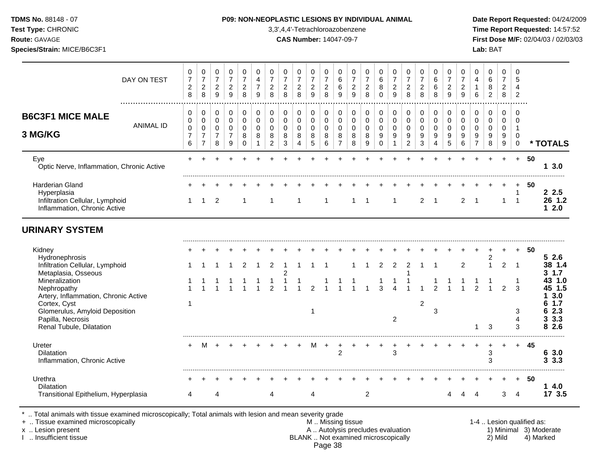#### **TDMS No.** 88148 - 07 **P09: NON-NEOPLASTIC LESIONS BY INDIVIDUAL ANIMAL Date Report Requested:** 04/24/2009

**Test Type:** CHRONIC 3,3',4,4'-Tetrachloroazobenzene **Time Report Requested:** 14:57:52 **Route:** GAVAGE **CAS Number:** 14047-09-7 **First Dose M/F:** 02/04/03 / 02/03/03

|                                                                                                          | DAY ON TEST      | 0<br>$\overline{\mathbf{7}}$<br>$\boldsymbol{2}$<br>8 | $\pmb{0}$<br>$\overline{7}$<br>$\overline{c}$<br>8                      | $\mathbf 0$<br>$\overline{7}$<br>$\boldsymbol{2}$<br>$\overline{9}$  | 0<br>$\overline{7}$<br>$\overline{2}$<br>9   | 0<br>$\overline{7}$<br>$\overline{c}$<br>8 | 0<br>4<br>$\overline{7}$<br>9          | $\pmb{0}$<br>$\overline{7}$<br>$\boldsymbol{2}$<br>8         | $\mathbf 0$<br>$\overline{7}$<br>$\boldsymbol{2}$<br>8 | 0<br>$\overline{7}$<br>$\overline{c}$<br>8        | 0<br>$\overline{7}$<br>$\overline{2}$<br>9               | $\pmb{0}$<br>$\overline{7}$<br>$\boldsymbol{2}$<br>8 | 0<br>6<br>6<br>9                                     | 0<br>$\overline{7}$<br>$\overline{2}$<br>9          | 0<br>$\overline{7}$<br>$\boldsymbol{2}$<br>8 | 0<br>$\,6\,$<br>8<br>$\Omega$                                            | 0<br>$\overline{7}$<br>$\boldsymbol{2}$<br>9         | 0<br>$\overline{7}$<br>$\overline{a}$<br>8                            | $\mathbf 0$<br>$\overline{7}$<br>$\overline{c}$<br>8 | 0<br>$\,6\,$<br>6<br>8               | 0<br>$\overline{7}$<br>$\overline{c}$<br>9   | $\pmb{0}$<br>$\overline{7}$<br>$\sqrt{2}$<br>9 | 0<br>4<br>$\mathbf{1}$<br>6                       | 0<br>6<br>8<br>$\overline{c}$                          | $\mathbf 0$<br>$\overline{7}$<br>$\sqrt{2}$<br>8 | 0<br>5<br>$\overline{4}$<br>2             |    |                                              |
|----------------------------------------------------------------------------------------------------------|------------------|-------------------------------------------------------|-------------------------------------------------------------------------|----------------------------------------------------------------------|----------------------------------------------|--------------------------------------------|----------------------------------------|--------------------------------------------------------------|--------------------------------------------------------|---------------------------------------------------|----------------------------------------------------------|------------------------------------------------------|------------------------------------------------------|-----------------------------------------------------|----------------------------------------------|--------------------------------------------------------------------------|------------------------------------------------------|-----------------------------------------------------------------------|------------------------------------------------------|--------------------------------------|----------------------------------------------|------------------------------------------------|---------------------------------------------------|--------------------------------------------------------|--------------------------------------------------|-------------------------------------------|----|----------------------------------------------|
| <b>B6C3F1 MICE MALE</b><br>3 MG/KG                                                                       | <b>ANIMAL ID</b> | 0<br>$\pmb{0}$<br>$\pmb{0}$<br>$\overline{7}$<br>6    | $\pmb{0}$<br>$\pmb{0}$<br>$\pmb{0}$<br>$\overline{7}$<br>$\overline{7}$ | $\mathbf 0$<br>$\mathbf 0$<br>$\pmb{0}$<br>$\overline{7}$<br>$\,8\,$ | 0<br>0<br>$\mathbf 0$<br>$\overline{7}$<br>9 | 0<br>$\pmb{0}$<br>$\mathbf 0$<br>8<br>0    | 0<br>$\mathbf 0$<br>$\Omega$<br>8<br>1 | $\pmb{0}$<br>$\pmb{0}$<br>$\mathbf 0$<br>8<br>$\overline{2}$ | $\pmb{0}$<br>$\pmb{0}$<br>$\Omega$<br>8<br>3           | $\pmb{0}$<br>$\mathbf 0$<br>$\mathbf 0$<br>8<br>4 | 0<br>$\mathsf 0$<br>$\mathbf 0$<br>$\bf 8$<br>$\sqrt{5}$ | 0<br>0<br>$\mathbf 0$<br>8<br>6                      | 0<br>$\pmb{0}$<br>$\mathbf 0$<br>8<br>$\overline{7}$ | $\mathbf 0$<br>$\mathbf 0$<br>$\mathbf 0$<br>8<br>8 | 0<br>$\pmb{0}$<br>$\mathbf 0$<br>8<br>9      | $\pmb{0}$<br>$\pmb{0}$<br>$\mathbf 0$<br>$\boldsymbol{9}$<br>$\mathbf 0$ | 0<br>$\mathbf 0$<br>$\mathbf 0$<br>9<br>$\mathbf{1}$ | 0<br>$\mathsf 0$<br>$\mathbf 0$<br>$\boldsymbol{9}$<br>$\overline{2}$ | $\,0\,$<br>$\pmb{0}$<br>$\mathbf 0$<br>$9\,$<br>3    | 0<br>$\pmb{0}$<br>$\Omega$<br>9<br>4 | $\pmb{0}$<br>$\pmb{0}$<br>$\Omega$<br>9<br>5 | 0<br>$\pmb{0}$<br>$\Omega$<br>9<br>6           | 0<br>$\pmb{0}$<br>$\Omega$<br>9<br>$\overline{7}$ | $\pmb{0}$<br>$\mathbf 0$<br>0<br>$\boldsymbol{9}$<br>8 | 0<br>$\mathbf 0$<br>$\mathbf 0$<br>9<br>$9\,$    | 0<br>0<br>$\mathbf 1$<br>0<br>$\mathbf 0$ |    | * TOTALS                                     |
| Eye<br>Optic Nerve, Inflammation, Chronic Active                                                         |                  |                                                       |                                                                         |                                                                      |                                              |                                            |                                        |                                                              |                                                        |                                                   |                                                          |                                                      |                                                      |                                                     |                                              |                                                                          |                                                      |                                                                       |                                                      |                                      |                                              |                                                |                                                   |                                                        |                                                  | $+$                                       | 50 | 3.0<br>1                                     |
| <b>Harderian Gland</b><br>Hyperplasia<br>Infiltration Cellular, Lymphoid<br>Inflammation, Chronic Active |                  | 1                                                     | $\overline{1}$                                                          | $\overline{2}$                                                       |                                              | -1                                         |                                        |                                                              |                                                        |                                                   |                                                          | 1                                                    |                                                      |                                                     |                                              |                                                                          | 1                                                    |                                                                       | 2                                                    | -1                                   |                                              | $\overline{2}$                                 | -1                                                |                                                        | 1                                                | -1<br>$\overline{1}$                      | 50 | 2.5<br>26 1.2<br>$12.0$                      |
| <b>URINARY SYSTEM</b>                                                                                    |                  |                                                       |                                                                         |                                                                      |                                              |                                            |                                        |                                                              |                                                        |                                                   |                                                          |                                                      |                                                      |                                                     |                                              |                                                                          |                                                      |                                                                       |                                                      |                                      |                                              |                                                |                                                   |                                                        |                                                  |                                           |    |                                              |
| Kidney<br>Hydronephrosis<br>Infiltration Cellular, Lymphoid                                              |                  |                                                       |                                                                         |                                                                      |                                              | 2                                          |                                        | 2                                                            | -1                                                     | 1                                                 |                                                          |                                                      |                                                      |                                                     |                                              | 2                                                                        | $\overline{2}$                                       | 2                                                                     | -1                                                   |                                      |                                              | 2                                              |                                                   | 2<br>$\overline{1}$                                    | 2                                                | -1                                        | 50 | 52.6<br>38 1.4                               |
| Metaplasia, Osseous<br>Mineralization<br>Nephropathy<br>Artery, Inflammation, Chronic Active             |                  |                                                       |                                                                         |                                                                      |                                              |                                            |                                        | $\mathcal{P}$                                                | $\boldsymbol{2}$<br>$\mathbf{1}$                       | $\mathbf{1}$                                      | $\mathfrak{p}$                                           |                                                      |                                                      |                                                     |                                              | 3                                                                        | 1<br>$\lambda$                                       |                                                                       |                                                      | $\mathfrak{p}$                       |                                              |                                                | $\mathfrak{p}$                                    |                                                        | $\mathfrak{p}$                                   | -1<br>3                                   |    | $3 \t1.7$<br>43 1.0<br>45 1.5<br>3.0         |
| Cortex, Cyst<br>Glomerulus, Amyloid Deposition<br>Papilla, Necrosis<br>Renal Tubule, Dilatation          |                  | 1                                                     |                                                                         |                                                                      |                                              |                                            |                                        |                                                              |                                                        |                                                   | $\mathbf{1}$                                             |                                                      |                                                      |                                                     |                                              |                                                                          | $\overline{c}$                                       |                                                                       | $\overline{2}$                                       | 3                                    |                                              |                                                | 1                                                 | 3                                                      |                                                  | 3<br>$\overline{4}$<br>3                  |    | 1.7<br>6<br>2.3<br>6<br>3.3<br>3<br>2.6<br>8 |
| Ureter<br><b>Dilatation</b><br>Inflammation, Chronic Active                                              |                  | ÷                                                     | M                                                                       | $\overline{+}$                                                       |                                              |                                            |                                        |                                                              |                                                        |                                                   | M                                                        | $+$                                                  | +<br>$\overline{c}$                                  |                                                     |                                              |                                                                          | +<br>3                                               | +                                                                     |                                                      |                                      |                                              |                                                | $\ddot{}$                                         | 3<br>3                                                 | $\div$                                           | $+$                                       | 45 | 6 3.0<br>3.3.3                               |
| Urethra<br><b>Dilatation</b><br>Transitional Epithelium, Hyperplasia                                     |                  | 4                                                     |                                                                         | 4                                                                    |                                              |                                            |                                        | 4                                                            |                                                        |                                                   | 4                                                        |                                                      |                                                      |                                                     | $\overline{c}$                               |                                                                          |                                                      |                                                                       |                                                      |                                      |                                              |                                                |                                                   |                                                        | 3                                                | $+$<br>4                                  | 50 | 14.0<br>17 3.5                               |

\* .. Total animals with tissue examined microscopically; Total animals with lesion and mean severity grade<br>+ .. Tissue examined microscopically

+ .. Tissue examined microscopically examined microscopically the state of the state of the state of the state M .. Missing tissue M .. Missing tissue M .. Missing tissue and the state of the state M .. Autolysis precludes x .. Lesion present **A .. Autolysis precludes evaluation** A .. Autolysis precludes evaluation 1) Minimal 3) Moderate I .. Insufficient tissue BLANK .. Not examined microscopically 2) Mild 4) Marked Page 38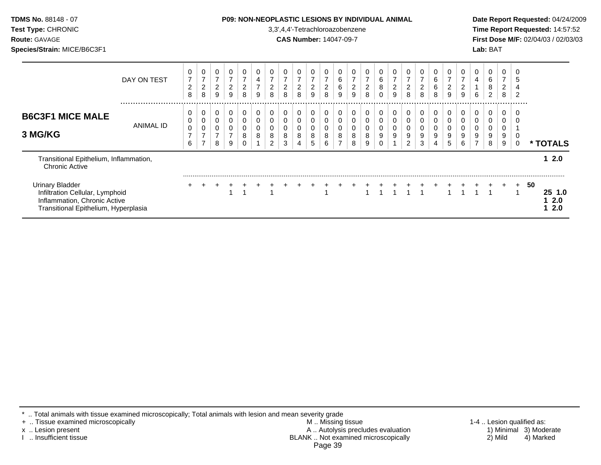| <b>TDMS No. 88148 - 07</b><br>Test Type: CHRONIC<br>Route: GAVAGE<br>Species/Strain: MICE/B6C3F1                                  |                 |                          |                                 |                                         |                                                     |                                       |             |                                            |                                            |                                                | 3,3',4,4'-Tetrachloroazobenzene<br><b>CAS Number: 14047-09-7</b> |                                                      |             |   | <b>P09: NON-NEOPLASTIC LESIONS BY INDIVIDUAL ANIMAL</b> |                               |                                            |                     |                                            |                      |                                              |                                            |             | Lab: BAT    |                               |           |    | Date Report Requested: 04/24/2009<br>Time Report Requested: 14:57:52<br>First Dose M/F: 02/04/03 / 02/03/03 |  |
|-----------------------------------------------------------------------------------------------------------------------------------|-----------------|--------------------------|---------------------------------|-----------------------------------------|-----------------------------------------------------|---------------------------------------|-------------|--------------------------------------------|--------------------------------------------|------------------------------------------------|------------------------------------------------------------------|------------------------------------------------------|-------------|---|---------------------------------------------------------|-------------------------------|--------------------------------------------|---------------------|--------------------------------------------|----------------------|----------------------------------------------|--------------------------------------------|-------------|-------------|-------------------------------|-----------|----|-------------------------------------------------------------------------------------------------------------|--|
|                                                                                                                                   | DAY ON TEST<br> | 7<br>$\overline{2}$<br>8 | 0<br>7<br>$\boldsymbol{2}$<br>8 | $\overline{7}$<br>$\boldsymbol{2}$<br>9 | 0<br>$\overline{7}$<br>$\overline{\mathbf{c}}$<br>9 | $\overline{7}$<br>$\overline{c}$<br>8 | 0<br>4<br>9 | 0<br>$\overline{7}$<br>$\overline{c}$<br>8 | 0<br>$\overline{7}$<br>$\overline{c}$<br>8 | $\overline{7}$<br>$\overline{\mathbf{c}}$<br>8 | $\boldsymbol{7}$<br>$\overline{2}$<br>9                          | 0<br>$\overline{\mathcal{I}}$<br>$\overline{2}$<br>8 | 6<br>6<br>9 | 9 | 2<br>8                                                  | 0<br>6<br>$\bf 8$<br>$\Omega$ | 0<br>$\overline{7}$<br>$\overline{c}$<br>9 | $\overline{c}$<br>8 | 0<br>$\overline{7}$<br>$\overline{2}$<br>8 | 0<br>6<br>$\,6$<br>8 | 0<br>$\overline{7}$<br>$\boldsymbol{2}$<br>9 | 0<br>$\overline{7}$<br>$\overline{2}$<br>9 | 0<br>4<br>6 | 6<br>8<br>2 | 0<br>7<br>$\overline{c}$<br>8 | 2         |    |                                                                                                             |  |
| <b>B6C3F1 MICE MALE</b><br>3 MG/KG                                                                                                | ANIMAL ID       | 0<br>0<br>7<br>6         | 0<br>0<br>0<br>7                | 0<br>8                                  | 0<br>0<br>0<br>9                                    | 8                                     | 0<br>8      | 0<br>0<br>0<br>8<br>2                      | 0<br>0<br>0<br>8<br>3                      | 0<br>0<br>0<br>8                               | 8<br>5                                                           | 0<br>0<br>0<br>8<br>6                                | 8           | 8 |                                                         | 0<br>9                        | 0<br>0<br>0<br>9                           | 0<br>0<br>9         | 0<br>0<br>9<br>3                           | 0<br>0<br>9          | 0<br>0<br>0<br>9<br>5                        | 0<br>9<br>6                                | 0<br>0      | 8           | 0<br>9<br>9                   |           |    | * TOTALS                                                                                                    |  |
| Transitional Epithelium, Inflammation,<br><b>Chronic Active</b>                                                                   |                 |                          |                                 |                                         |                                                     |                                       |             |                                            |                                            |                                                |                                                                  |                                                      |             |   |                                                         |                               |                                            |                     |                                            |                      |                                              |                                            |             |             |                               |           |    | 12.0                                                                                                        |  |
| <b>Urinary Bladder</b><br>Infiltration Cellular, Lymphoid<br>Inflammation, Chronic Active<br>Transitional Epithelium, Hyperplasia |                 | ÷                        |                                 |                                         |                                                     |                                       |             |                                            |                                            |                                                |                                                                  |                                                      |             |   |                                                         |                               |                                            |                     |                                            |                      |                                              |                                            |             |             |                               | $\ddot{}$ | 50 | 25, 1.0<br>2.0<br>2.0                                                                                       |  |

\* .. Total animals with tissue examined microscopically; Total animals with lesion and mean severity grade

+ .. Tissue examined microscopically M .. Missing tissue 1-4 .. Lesion qualified as: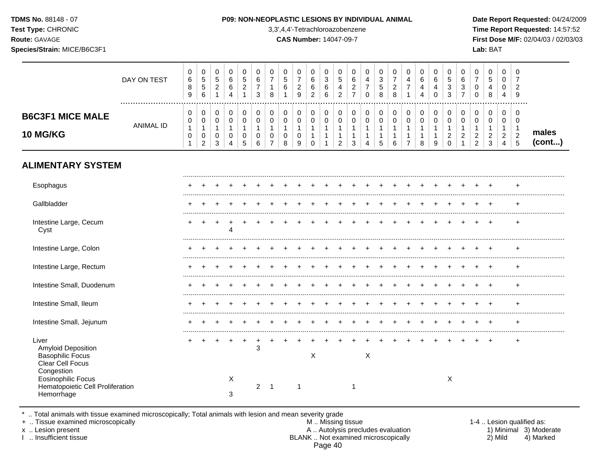**Test Type:** CHRONIC 3,3',4,4'-Tetrachloroazobenzene **Time Report Requested:** 14:57:52 **Route:** GAVAGE **CAS Number:** 14047-09-7 **First Dose M/F:** 02/04/03 / 02/03/03 **Species/Strain:** MICE/B6C3F1 **Lab:** BAT

|                                                                                           | DAY ON TEST      | 0<br>$\,6\,$<br>$\bf 8$<br>$9\,$                   | $\mathbf 0$<br>$\sqrt{5}$<br>$\sqrt{5}$<br>6                          | $\mathbf 0$<br>$\overline{5}$<br>$\overline{2}$<br>$\mathbf{1}$ | $\pmb{0}$<br>$\,6\,$<br>6<br>$\overline{4}$                     | 0<br>$\overline{5}$<br>$\sqrt{2}$<br>$\mathbf{1}$   | 0<br>$\,6\,$<br>$\overline{7}$<br>3 | $\mathbf 0$<br>$\overline{7}$<br>1<br>8                                     | $\mathbf 0$<br>5<br>$\,6\,$                          | 0<br>$\overline{7}$<br>$\overline{c}$<br>$\overline{9}$ | $\mathbf 0$<br>$6\phantom{1}6$<br>$\,6\,$<br>$\overline{c}$     | $\mathbf 0$<br>$\sqrt{3}$<br>$\,6\,$<br>$\,6\,$ | $\mathbf 0$<br>5<br>4<br>$\overline{c}$                            | 0<br>6<br>$\overline{c}$<br>$\overline{7}$            | $\mathbf 0$<br>$\overline{4}$<br>$\overline{7}$<br>$\Omega$                | 0<br>3<br>$\overline{5}$<br>8                        | $\pmb{0}$<br>$\overline{7}$<br>$\sqrt{2}$<br>8                  | $\mathbf 0$<br>$\overline{4}$<br>$\overline{7}$ | $\Omega$<br>6<br>$\overline{4}$<br>$\overline{4}$     | 0<br>6<br>$\overline{4}$<br>$\Omega$       | $\mathbf 0$<br>$\sqrt{5}$<br>$\sqrt{3}$<br>3                      | $\mathbf 0$<br>$6\phantom{1}6$<br>$\sqrt{3}$<br>$\overline{7}$                 | $\mathbf 0$<br>$\overline{7}$<br>$\mathbf 0$<br>$\mathbf 0$                      | $\pmb{0}$<br>5<br>4<br>8                                             | 0<br>$\mathbf 0$<br>0<br>$\overline{4}$                 | $\Omega$<br>$\overline{7}$<br>$\overline{2}$<br>9                            |                 |
|-------------------------------------------------------------------------------------------|------------------|----------------------------------------------------|-----------------------------------------------------------------------|-----------------------------------------------------------------|-----------------------------------------------------------------|-----------------------------------------------------|-------------------------------------|-----------------------------------------------------------------------------|------------------------------------------------------|---------------------------------------------------------|-----------------------------------------------------------------|-------------------------------------------------|--------------------------------------------------------------------|-------------------------------------------------------|----------------------------------------------------------------------------|------------------------------------------------------|-----------------------------------------------------------------|-------------------------------------------------|-------------------------------------------------------|--------------------------------------------|-------------------------------------------------------------------|--------------------------------------------------------------------------------|----------------------------------------------------------------------------------|----------------------------------------------------------------------|---------------------------------------------------------|------------------------------------------------------------------------------|-----------------|
| <b>B6C3F1 MICE MALE</b><br><b>10 MG/KG</b>                                                | <b>ANIMAL ID</b> | 0<br>$\mathbf 0$<br>$\mathbf{1}$<br>$\pmb{0}$<br>1 | $\pmb{0}$<br>$\pmb{0}$<br>$\mathbf{1}$<br>$\pmb{0}$<br>$\overline{c}$ | 0<br>$\mathbf 0$<br>$\mathbf{1}$<br>0<br>3                      | $\pmb{0}$<br>$\mathbf 0$<br>$\mathbf{1}$<br>0<br>$\overline{4}$ | 0<br>$\mathbf 0$<br>$\mathbf{1}$<br>0<br>$\sqrt{5}$ | 0<br>0<br>$\mathbf{1}$<br>0<br>6    | $\mathbf 0$<br>$\mathbf 0$<br>$\mathbf{1}$<br>$\mathbf 0$<br>$\overline{7}$ | 0<br>$\mathbf 0$<br>$\mathbf{1}$<br>$\mathbf 0$<br>8 | 0<br>$\mathbf 0$<br>$\mathbf{1}$<br>$\mathbf 0$<br>9    | 0<br>$\mathbf 0$<br>$\mathbf{1}$<br>$\mathbf{1}$<br>$\mathbf 0$ | 0<br>$\mathbf 0$<br>$\mathbf{1}$<br>1           | 0<br>$\mathbf 0$<br>$\mathbf{1}$<br>$\mathbf{1}$<br>$\overline{2}$ | 0<br>$\mathbf 0$<br>$\mathbf{1}$<br>$\mathbf{1}$<br>3 | $\pmb{0}$<br>$\mathbf 0$<br>$\mathbf{1}$<br>$\mathbf{1}$<br>$\overline{4}$ | 0<br>0<br>$\mathbf{1}$<br>$\mathbf{1}$<br>$\sqrt{5}$ | $\mathbf 0$<br>$\mathbf 0$<br>$\mathbf{1}$<br>$\mathbf{1}$<br>6 | 0<br>$\mathbf 0$<br>1<br>1<br>$\overline{7}$    | 0<br>$\mathbf 0$<br>$\mathbf{1}$<br>$\mathbf{1}$<br>8 | 0<br>$\mathbf 0$<br>$\mathbf{1}$<br>1<br>9 | 0<br>$\mathbf 0$<br>$\mathbf{1}$<br>$\overline{c}$<br>$\mathbf 0$ | $\mathbf 0$<br>$\mathbf 0$<br>$\mathbf{1}$<br>$\overline{c}$<br>$\overline{1}$ | $\mathbf 0$<br>$\mathbf 0$<br>$\mathbf{1}$<br>$\boldsymbol{2}$<br>$\overline{c}$ | 0<br>$\mathbf 0$<br>$\mathbf{1}$<br>$\overline{c}$<br>$\mathfrak{S}$ | 0<br>$\mathbf 0$<br>$\mathbf{1}$<br>$\overline{a}$<br>4 | $\mathbf 0$<br>$\mathbf 0$<br>$\overline{1}$<br>$\sqrt{2}$<br>$\overline{5}$ | males<br>(cont) |
| <b>ALIMENTARY SYSTEM</b>                                                                  |                  |                                                    |                                                                       |                                                                 |                                                                 |                                                     |                                     |                                                                             |                                                      |                                                         |                                                                 |                                                 |                                                                    |                                                       |                                                                            |                                                      |                                                                 |                                                 |                                                       |                                            |                                                                   |                                                                                |                                                                                  |                                                                      |                                                         |                                                                              |                 |
| Esophagus                                                                                 |                  |                                                    |                                                                       |                                                                 |                                                                 |                                                     |                                     |                                                                             |                                                      |                                                         |                                                                 |                                                 |                                                                    |                                                       |                                                                            |                                                      |                                                                 |                                                 |                                                       |                                            |                                                                   |                                                                                |                                                                                  |                                                                      |                                                         |                                                                              |                 |
| Gallbladder                                                                               |                  |                                                    |                                                                       |                                                                 |                                                                 |                                                     |                                     |                                                                             |                                                      |                                                         |                                                                 |                                                 |                                                                    |                                                       |                                                                            |                                                      |                                                                 |                                                 |                                                       |                                            |                                                                   |                                                                                |                                                                                  | $\div$                                                               |                                                         |                                                                              |                 |
| Intestine Large, Cecum<br>Cyst                                                            |                  |                                                    |                                                                       |                                                                 | $\boldsymbol{\Lambda}$                                          |                                                     |                                     |                                                                             |                                                      |                                                         |                                                                 |                                                 |                                                                    |                                                       |                                                                            |                                                      |                                                                 |                                                 |                                                       |                                            |                                                                   |                                                                                |                                                                                  | $\ddot{}$                                                            |                                                         | $\div$                                                                       |                 |
| Intestine Large, Colon                                                                    |                  |                                                    |                                                                       |                                                                 |                                                                 |                                                     |                                     |                                                                             |                                                      |                                                         |                                                                 |                                                 |                                                                    |                                                       |                                                                            |                                                      |                                                                 |                                                 |                                                       |                                            |                                                                   |                                                                                |                                                                                  |                                                                      |                                                         |                                                                              |                 |
| Intestine Large, Rectum                                                                   |                  |                                                    |                                                                       |                                                                 |                                                                 |                                                     |                                     |                                                                             |                                                      |                                                         |                                                                 |                                                 |                                                                    |                                                       |                                                                            |                                                      |                                                                 |                                                 |                                                       |                                            |                                                                   |                                                                                |                                                                                  | $\div$                                                               |                                                         |                                                                              |                 |
| Intestine Small, Duodenum                                                                 |                  |                                                    |                                                                       |                                                                 |                                                                 |                                                     |                                     |                                                                             |                                                      |                                                         |                                                                 |                                                 |                                                                    |                                                       |                                                                            |                                                      |                                                                 |                                                 |                                                       |                                            |                                                                   |                                                                                |                                                                                  | $\div$                                                               |                                                         |                                                                              |                 |
| Intestine Small, Ileum                                                                    |                  |                                                    |                                                                       |                                                                 |                                                                 |                                                     |                                     |                                                                             |                                                      |                                                         |                                                                 |                                                 |                                                                    |                                                       |                                                                            |                                                      |                                                                 |                                                 |                                                       |                                            |                                                                   |                                                                                |                                                                                  | $\div$                                                               |                                                         |                                                                              |                 |
| Intestine Small, Jejunum                                                                  |                  |                                                    |                                                                       |                                                                 |                                                                 |                                                     |                                     |                                                                             |                                                      |                                                         |                                                                 |                                                 |                                                                    |                                                       |                                                                            |                                                      |                                                                 |                                                 |                                                       |                                            |                                                                   |                                                                                |                                                                                  | $\div$                                                               |                                                         |                                                                              |                 |
| Liver<br><b>Amyloid Deposition</b><br><b>Basophilic Focus</b><br>Clear Cell Focus         |                  |                                                    |                                                                       |                                                                 |                                                                 | +                                                   | $\div$<br>3                         |                                                                             |                                                      |                                                         | X                                                               |                                                 |                                                                    |                                                       | $\mathsf X$                                                                |                                                      |                                                                 |                                                 |                                                       |                                            |                                                                   |                                                                                |                                                                                  | $\ddot{}$                                                            |                                                         | $\div$                                                                       |                 |
| Congestion<br><b>Eosinophilic Focus</b><br>Hematopoietic Cell Proliferation<br>Hemorrhage |                  |                                                    |                                                                       |                                                                 | Χ<br>3                                                          |                                                     | $2 \quad 1$                         |                                                                             |                                                      | -1                                                      |                                                                 |                                                 |                                                                    | 1                                                     |                                                                            |                                                      |                                                                 |                                                 |                                                       |                                            | X                                                                 |                                                                                |                                                                                  |                                                                      |                                                         |                                                                              |                 |

\* .. Total animals with tissue examined microscopically; Total animals with lesion and mean severity grade

+ .. Tissue examined microscopically M .. Missing tissue 1-4 .. Lesion qualified as:

- x .. Lesion present **A .. Autolysis precludes evaluation** A .. Autolysis precludes evaluation 1) Minimal 3) Moderate I .. Insufficient tissue BLANK .. Not examined microscopically 2) Mild 4) Marked Page 40
-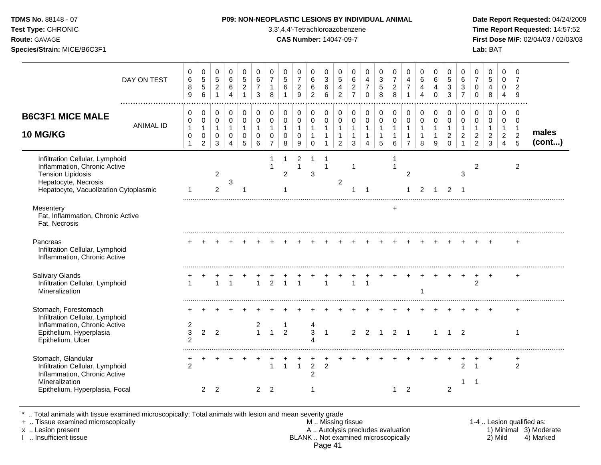**Test Type:** CHRONIC 3,3',4,4'-Tetrachloroazobenzene **Time Report Requested:** 14:57:52 **Route:** GAVAGE **CAS Number:** 14047-09-7 **First Dose M/F:** 02/04/03 / 02/03/03 **Species/Strain:** MICE/B6C3F1 **Lab:** BAT

| DAY ON TEST                                                                                                                                                  | 0<br>$\,6\,$<br>8<br>9                                        | 0<br>$5\,$<br>$\sqrt{5}$<br>6                         | 0<br>$\sqrt{5}$<br>$\overline{c}$<br>$\mathbf{1}$  | 0<br>$\,6\,$<br>6<br>$\overline{4}$                               | 0<br>5<br>$\boldsymbol{2}$<br>$\mathbf{1}$         | 0<br>$\,6\,$<br>$\overline{7}$<br>3               | 0<br>$\overline{7}$<br>$\mathbf{1}$<br>8                        | 0<br>$\sqrt{5}$<br>6                              | 0<br>$\overline{7}$<br>$\overline{2}$<br>9        | 0<br>$\,6\,$<br>$\,6\,$<br>$\overline{2}$       | 0<br>$\mathbf{3}$<br>6<br>6                                          | 0<br>5<br>4<br>$\overline{2}$                                    | 0<br>$\,6\,$<br>$\overline{2}$<br>$\overline{7}$ | 0<br>$\overline{4}$<br>$\overline{7}$<br>$\Omega$     | 0<br>$\mathbf{3}$<br>$\sqrt{5}$<br>8                               | 0<br>$\overline{7}$<br>$\overline{c}$<br>8 | 0<br>4<br>$\overline{7}$<br>$\overline{1}$                      | 0<br>6<br>$\overline{4}$<br>$\overline{4}$              | 0<br>$6\phantom{1}6$<br>4<br>$\Omega$              | 0<br>$\sqrt{5}$<br>3<br>3                                      | 0<br>$\,6\,$<br>$\mathbf{3}$<br>$\overline{7}$   | 0<br>$\overline{7}$<br>$\Omega$<br>$\mathbf 0$                   | 0<br>5<br>4<br>8                                        | 0<br>$\mathbf 0$<br>$\mathbf 0$<br>4                       | $\mathbf 0$<br>$\overline{7}$<br>$\overline{2}$<br>9          |                 |
|--------------------------------------------------------------------------------------------------------------------------------------------------------------|---------------------------------------------------------------|-------------------------------------------------------|----------------------------------------------------|-------------------------------------------------------------------|----------------------------------------------------|---------------------------------------------------|-----------------------------------------------------------------|---------------------------------------------------|---------------------------------------------------|-------------------------------------------------|----------------------------------------------------------------------|------------------------------------------------------------------|--------------------------------------------------|-------------------------------------------------------|--------------------------------------------------------------------|--------------------------------------------|-----------------------------------------------------------------|---------------------------------------------------------|----------------------------------------------------|----------------------------------------------------------------|--------------------------------------------------|------------------------------------------------------------------|---------------------------------------------------------|------------------------------------------------------------|---------------------------------------------------------------|-----------------|
| <b>B6C3F1 MICE MALE</b><br><b>ANIMAL ID</b><br><b>10 MG/KG</b>                                                                                               | 0<br>$\pmb{0}$<br>$\mathbf{1}$<br>$\mathbf 0$<br>$\mathbf{1}$ | 0<br>$\pmb{0}$<br>$\mathbf{1}$<br>0<br>$\overline{2}$ | 0<br>$\mathsf{O}\xspace$<br>$\mathbf{1}$<br>0<br>3 | 0<br>$\mathbf 0$<br>$\mathbf{1}$<br>$\mathbf 0$<br>$\overline{4}$ | 0<br>$\pmb{0}$<br>$\mathbf{1}$<br>$\mathbf 0$<br>5 | 0<br>$\mathbf 0$<br>$\mathbf{1}$<br>$\Omega$<br>6 | 0<br>$\mathsf{O}\xspace$<br>$\mathbf{1}$<br>0<br>$\overline{7}$ | 0<br>$\mathbf 0$<br>$\mathbf{1}$<br>$\Omega$<br>8 | 0<br>$\mathsf 0$<br>$\mathbf{1}$<br>$\Omega$<br>9 | 0<br>$\pmb{0}$<br>$\mathbf{1}$<br>1<br>$\Omega$ | 0<br>$\mathbf 0$<br>$\overline{1}$<br>$\mathbf{1}$<br>$\overline{1}$ | 0<br>$\pmb{0}$<br>$\mathbf{1}$<br>$\mathbf{1}$<br>$\overline{2}$ | 0<br>$\mathbf 0$<br>$\mathbf{1}$<br>1<br>3       | 0<br>$\pmb{0}$<br>$\mathbf{1}$<br>1<br>$\overline{4}$ | 0<br>$\mathbf 0$<br>$\mathbf{1}$<br>$\mathbf{1}$<br>$\overline{5}$ | 0<br>$\pmb{0}$<br>$\mathbf{1}$<br>6        | 0<br>$\mathsf{O}\xspace$<br>$\mathbf{1}$<br>1<br>$\overline{7}$ | 0<br>$\mathbf 0$<br>$\overline{1}$<br>$\mathbf{1}$<br>8 | 0<br>$\pmb{0}$<br>$\mathbf{1}$<br>$\mathbf 1$<br>9 | 0<br>$\mathbf 0$<br>$\mathbf{1}$<br>$\overline{c}$<br>$\Omega$ | 0<br>$\pmb{0}$<br>$\mathbf{1}$<br>$\overline{c}$ | 0<br>$\mathbf 0$<br>$\mathbf{1}$<br>$\sqrt{2}$<br>$\overline{2}$ | 0<br>$\mathsf 0$<br>$\mathbf{1}$<br>$\overline{c}$<br>3 | 0<br>0<br>$\mathbf{1}$<br>$\overline{a}$<br>$\overline{4}$ | $\mathbf 0$<br>$\mathbf 0$<br>$\overline{1}$<br>$\frac{2}{5}$ | males<br>(cont) |
| Infiltration Cellular, Lymphoid<br>Inflammation, Chronic Active<br><b>Tension Lipidosis</b><br>Hepatocyte, Necrosis<br>Hepatocyte, Vacuolization Cytoplasmic | -1                                                            |                                                       | $\overline{2}$<br>2                                | 3                                                                 |                                                    |                                                   | 1                                                               | -1<br>2                                           | $\overline{\mathbf{c}}$<br>$\mathbf{1}$           | 1<br>3                                          | $\overline{1}$                                                       | $\overline{2}$                                                   | $\mathbf{1}$<br>1                                | 1                                                     |                                                                    | 1<br>$\overline{1}$                        | 2<br>$\mathbf{1}$                                               | $\overline{2}$                                          | $\mathbf{1}$                                       | 2                                                              | 3<br>$\overline{1}$                              | 2                                                                |                                                         |                                                            | $\overline{2}$                                                |                 |
| Mesentery<br>Fat, Inflammation, Chronic Active<br>Fat, Necrosis                                                                                              |                                                               |                                                       |                                                    |                                                                   |                                                    |                                                   |                                                                 |                                                   |                                                   |                                                 |                                                                      |                                                                  |                                                  |                                                       |                                                                    | $\ddot{}$                                  |                                                                 |                                                         |                                                    |                                                                |                                                  |                                                                  |                                                         |                                                            |                                                               |                 |
| Pancreas<br>Infiltration Cellular, Lymphoid<br>Inflammation, Chronic Active                                                                                  |                                                               |                                                       |                                                    |                                                                   |                                                    |                                                   |                                                                 |                                                   |                                                   |                                                 |                                                                      |                                                                  |                                                  |                                                       |                                                                    |                                            |                                                                 |                                                         |                                                    |                                                                |                                                  |                                                                  |                                                         |                                                            |                                                               |                 |
| Salivary Glands<br>Infiltration Cellular, Lymphoid<br>Mineralization                                                                                         | $\overline{1}$                                                |                                                       | $\overline{1}$                                     | $\overline{1}$                                                    |                                                    | $\overline{1}$                                    | $\mathcal{P}$                                                   | $\overline{1}$                                    | $\overline{1}$                                    |                                                 | $\overline{1}$                                                       |                                                                  | $\mathbf{1}$                                     | $\mathbf{1}$                                          |                                                                    |                                            |                                                                 |                                                         |                                                    |                                                                |                                                  | $\overline{2}$                                                   |                                                         |                                                            | $\ddot{}$                                                     |                 |
| Stomach, Forestomach<br>Infiltration Cellular, Lymphoid<br>Inflammation, Chronic Active<br>Epithelium, Hyperplasia<br>Epithelium, Ulcer                      | 2<br>$\mathbf{3}$<br>$\mathfrak{p}$                           | $\overline{2}$                                        | $\overline{2}$                                     |                                                                   |                                                    | 2<br>$\mathbf{1}$                                 | $\mathbf{1}$                                                    | -1<br>$\overline{2}$                              |                                                   | 4<br>3<br>Λ                                     | $\overline{1}$                                                       |                                                                  | $\overline{2}$                                   | $\overline{2}$                                        | $\overline{1}$                                                     | $\overline{2}$ 1                           |                                                                 |                                                         | $\mathbf{1}$                                       |                                                                | $1\quad 2$                                       |                                                                  |                                                         |                                                            | 1                                                             |                 |
| Stomach, Glandular<br>Infiltration Cellular, Lymphoid<br>Inflammation, Chronic Active<br>Mineralization<br>Epithelium, Hyperplasia, Focal                    | 2                                                             | 2                                                     | 2                                                  |                                                                   |                                                    | 2                                                 | $\mathbf{1}$<br>2                                               | $\overline{1}$                                    | $\mathbf{1}$                                      | $\overline{2}$<br>$\overline{2}$                | $\overline{2}$                                                       |                                                                  |                                                  |                                                       |                                                                    | 1                                          | 2                                                               |                                                         |                                                    | $\overline{2}$                                                 | 2<br>1                                           | -1                                                               |                                                         |                                                            | +<br>$\overline{2}$                                           |                 |

\* .. Total animals with tissue examined microscopically; Total animals with lesion and mean severity grade

+ .. Tissue examined microscopically M .. Missing tissue 1-4 .. Lesion qualified as: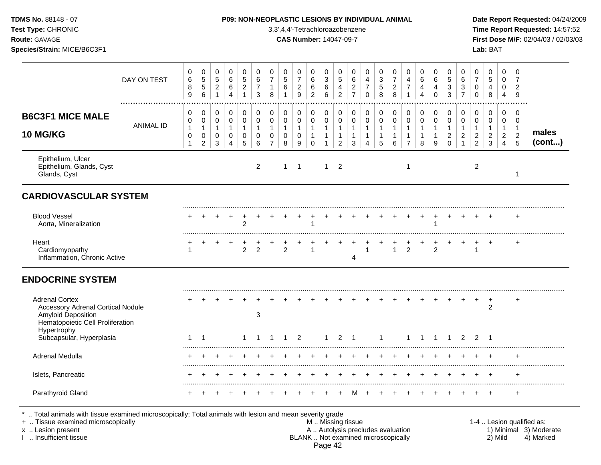| <b>TDMS No. 88148 - 07</b> |  |
|----------------------------|--|
| <b>Test Type: CHRONIC</b>  |  |
| <b>Route: GAVAGE</b>       |  |

#### **P09: NON-NEOPLASTIC LESIONS BY INDIVIDUAL ANIMAL Date Report Requested: 04/24/2009**

**Time Report Requested:** 14:57:52 **Route:** GAVAGE **CAS Number:** 14047-09-7 **First Dose M/F:** 02/04/03 / 02/03/03

|                                                                                                                                    | DAY ON TEST      | 0<br>6<br>$\bf 8$<br>9      | 0<br>$\sqrt{5}$<br>5<br>6        | 0<br>$5\phantom{.0}$<br>$\overline{c}$<br>$\mathbf{1}$ | 0<br>6<br>$\,6$<br>4                       | $\mathbf 0$<br>$\,$ 5 $\,$<br>$\sqrt{2}$          | $\mathbf 0$<br>6<br>$\overline{7}$<br>3    | 0<br>$\overline{7}$<br>$\mathbf{1}$<br>8                       | 0<br>$\sqrt{5}$<br>$\,6$                             | 0<br>$\boldsymbol{7}$<br>$\overline{c}$<br>9 | 0<br>6<br>$\,6$<br>$\overline{c}$                            | 0<br>$\sqrt{3}$<br>$\,6\,$<br>6                                       | 0<br>$\sqrt{5}$<br>$\overline{a}$<br>$\overline{2}$               | 0<br>$\,6$<br>$\boldsymbol{2}$<br>$\overline{7}$           | 0<br>4<br>$\overline{7}$<br>$\Omega$ | 0<br>$\mathbf{3}$<br>$\sqrt{5}$<br>8        | 0<br>$\boldsymbol{7}$<br>$\boldsymbol{2}$<br>8        | 0<br>$\overline{4}$<br>$\overline{7}$<br>1                                       | 0<br>6<br>4<br>4                           | 0<br>6<br>4<br>0                              | 0<br>$\overline{5}$<br>$\ensuremath{\mathsf{3}}$<br>3                  | 0<br>$\,6\,$<br>$\ensuremath{\mathsf{3}}$<br>$\overline{7}$ | 0<br>$\overline{7}$<br>0<br>$\mathbf 0$                    | $\mathbf 0$<br>$\,$ 5 $\,$<br>4<br>8                    | 0<br>0<br>0<br>4                                | $\Omega$<br>7<br>$\overline{2}$<br>9                  |                 |
|------------------------------------------------------------------------------------------------------------------------------------|------------------|-----------------------------|----------------------------------|--------------------------------------------------------|--------------------------------------------|---------------------------------------------------|--------------------------------------------|----------------------------------------------------------------|------------------------------------------------------|----------------------------------------------|--------------------------------------------------------------|-----------------------------------------------------------------------|-------------------------------------------------------------------|------------------------------------------------------------|--------------------------------------|---------------------------------------------|-------------------------------------------------------|----------------------------------------------------------------------------------|--------------------------------------------|-----------------------------------------------|------------------------------------------------------------------------|-------------------------------------------------------------|------------------------------------------------------------|---------------------------------------------------------|-------------------------------------------------|-------------------------------------------------------|-----------------|
| <b>B6C3F1 MICE MALE</b><br><b>10 MG/KG</b>                                                                                         | <b>ANIMAL ID</b> | 0<br>0<br>$\mathbf{1}$<br>0 | 0<br>0<br>$\mathbf{1}$<br>0<br>2 | $\mathbf 0$<br>0<br>$\mathbf{1}$<br>0<br>3             | 0<br>$\mathbf 0$<br>$\mathbf{1}$<br>0<br>4 | 0<br>$\Omega$<br>$\mathbf{1}$<br>$\mathbf 0$<br>5 | 0<br>$\mathbf 0$<br>$\mathbf{1}$<br>0<br>6 | 0<br>$\mathbf 0$<br>$\mathbf{1}$<br>$\Omega$<br>$\overline{7}$ | 0<br>$\mathbf 0$<br>$\mathbf{1}$<br>$\mathbf 0$<br>8 | 0<br>0<br>$\mathbf{1}$<br>0<br>9             | 0<br>$\mathbf 0$<br>$\mathbf{1}$<br>$\mathbf{1}$<br>$\Omega$ | $\pmb{0}$<br>$\pmb{0}$<br>$\mathbf{1}$<br>$\mathbf{1}$<br>$\mathbf 1$ | $\mathbf 0$<br>$\mathbf 0$<br>$\mathbf{1}$<br>$\overline{1}$<br>2 | $\pmb{0}$<br>$\Omega$<br>$\mathbf{1}$<br>$\mathbf{1}$<br>3 | $\mathbf 0$<br>$\mathbf 0$<br>1<br>4 | 0<br>0<br>$\mathbf{1}$<br>$\mathbf{1}$<br>5 | 0<br>$\mathbf 0$<br>$\mathbf{1}$<br>$\mathbf{1}$<br>6 | $\mathbf 0$<br>$\mathbf 0$<br>$\overline{1}$<br>$\overline{1}$<br>$\overline{7}$ | 0<br>$\mathbf 0$<br>$\mathbf{1}$<br>1<br>8 | $\pmb{0}$<br>$\mathbf 0$<br>$\mathbf{1}$<br>9 | $\pmb{0}$<br>$\mathbf 0$<br>$\mathbf{1}$<br>$\overline{2}$<br>$\Omega$ | 0<br>$\mathbf 0$<br>$\mathbf 1$<br>$\overline{c}$<br>1      | 0<br>0<br>$\mathbf{1}$<br>$\overline{2}$<br>$\overline{2}$ | 0<br>$\mathbf 0$<br>$\mathbf{1}$<br>$\overline{2}$<br>3 | 0<br>0<br>$\overline{1}$<br>$\overline{2}$<br>4 | 0<br>$\mathbf 0$<br>$\overline{1}$<br>$\sqrt{2}$<br>5 | males<br>(cont) |
| Epithelium, Ulcer<br>Epithelium, Glands, Cyst<br>Glands, Cyst                                                                      |                  |                             |                                  |                                                        |                                            |                                                   | $\overline{c}$                             |                                                                | $\mathbf{1}$                                         | $\overline{1}$                               |                                                              | $\mathbf{1}$                                                          | $\overline{2}$                                                    |                                                            |                                      |                                             |                                                       | $\overline{1}$                                                                   |                                            |                                               |                                                                        |                                                             | $\overline{c}$                                             |                                                         |                                                 | 1                                                     |                 |
| <b>CARDIOVASCULAR SYSTEM</b>                                                                                                       |                  |                             |                                  |                                                        |                                            |                                                   |                                            |                                                                |                                                      |                                              |                                                              |                                                                       |                                                                   |                                                            |                                      |                                             |                                                       |                                                                                  |                                            |                                               |                                                                        |                                                             |                                                            |                                                         |                                                 |                                                       |                 |
| <b>Blood Vessel</b><br>Aorta, Mineralization                                                                                       |                  |                             |                                  |                                                        |                                            | $\overline{2}$                                    |                                            |                                                                |                                                      |                                              |                                                              |                                                                       |                                                                   |                                                            |                                      |                                             |                                                       |                                                                                  |                                            |                                               |                                                                        |                                                             |                                                            |                                                         |                                                 | $\ddot{}$                                             |                 |
| Heart<br>Cardiomyopathy<br>Inflammation, Chronic Active                                                                            |                  |                             |                                  |                                                        |                                            | 2                                                 | 2                                          |                                                                | 2                                                    |                                              | -1                                                           |                                                                       |                                                                   | Δ                                                          | -1                                   |                                             | $\mathbf{1}$                                          | 2                                                                                |                                            | 2                                             |                                                                        |                                                             | $\overline{1}$                                             |                                                         |                                                 | $\ddot{}$                                             |                 |
| <b>ENDOCRINE SYSTEM</b>                                                                                                            |                  |                             |                                  |                                                        |                                            |                                                   |                                            |                                                                |                                                      |                                              |                                                              |                                                                       |                                                                   |                                                            |                                      |                                             |                                                       |                                                                                  |                                            |                                               |                                                                        |                                                             |                                                            |                                                         |                                                 |                                                       |                 |
| <b>Adrenal Cortex</b><br><b>Accessory Adrenal Cortical Nodule</b><br><b>Amyloid Deposition</b><br>Hematopoietic Cell Proliferation |                  |                             |                                  |                                                        |                                            |                                                   | 3                                          |                                                                |                                                      |                                              |                                                              |                                                                       |                                                                   |                                                            |                                      |                                             |                                                       |                                                                                  |                                            |                                               |                                                                        |                                                             |                                                            | $\overline{c}$                                          |                                                 | $\div$                                                |                 |
| Hypertrophy<br>Subcapsular, Hyperplasia                                                                                            |                  | -1                          | 1                                |                                                        |                                            | 1                                                 |                                            |                                                                |                                                      | 2                                            |                                                              | 1                                                                     | 2                                                                 | -1                                                         |                                      | 1                                           |                                                       | -1                                                                               |                                            |                                               |                                                                        | 2                                                           | $\overline{2}$                                             | $\overline{1}$                                          |                                                 |                                                       |                 |
| Adrenal Medulla                                                                                                                    |                  |                             |                                  |                                                        |                                            |                                                   |                                            |                                                                |                                                      |                                              |                                                              |                                                                       |                                                                   |                                                            |                                      |                                             |                                                       |                                                                                  |                                            |                                               |                                                                        |                                                             |                                                            |                                                         |                                                 |                                                       |                 |
| Islets, Pancreatic                                                                                                                 |                  |                             |                                  |                                                        |                                            |                                                   |                                            |                                                                |                                                      |                                              |                                                              |                                                                       |                                                                   |                                                            |                                      |                                             |                                                       |                                                                                  |                                            |                                               |                                                                        |                                                             |                                                            |                                                         |                                                 | ٠                                                     |                 |
| Parathyroid Gland                                                                                                                  |                  |                             |                                  |                                                        |                                            |                                                   |                                            |                                                                |                                                      |                                              |                                                              |                                                                       |                                                                   |                                                            |                                      |                                             |                                                       |                                                                                  |                                            |                                               |                                                                        |                                                             |                                                            |                                                         |                                                 | $\ddot{}$                                             |                 |

\* .. Total animals with tissue examined microscopically; Total animals with lesion and mean severity grade

+ .. Tissue examined microscopically M .. Missing tissue 1-4 .. Lesion qualified as:

- x .. Lesion present **A .. Autolysis precludes evaluation** A .. Autolysis precludes evaluation 1) Minimal 3) Moderate I .. Insufficient tissue BLANK .. Not examined microscopically 2) Mild 4) Marked Page 42
-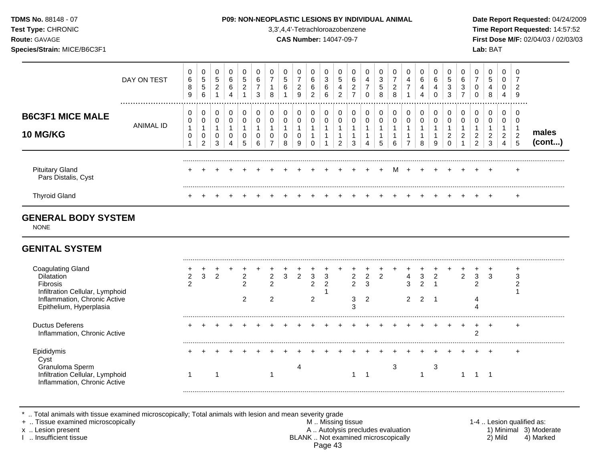| <b>TDMS No. 88148 - 07</b> |
|----------------------------|
| <b>Test Type: CHRONIC</b>  |
| <b>Route: GAVAGE</b>       |

#### **P09: NON-NEOPLASTIC LESIONS BY INDIVIDUAL ANIMAL Date Report Requested: 04/24/2009**

**Time Report Requested:** 14:57:52 **Route:** GAVAGE **CAS Number:** 14047-09-7 **First Dose M/F:** 02/04/03 / 02/03/03

|                                                                       | DAY ON TEST   | 0<br>6<br>8<br>9 | 0<br>5<br>5<br>6 | 0<br>5<br>$\overline{2}$ | 6<br>6 | 0<br>5<br>$\overline{c}$ | 0<br>6<br>$\overline{\phantom{a}}$<br>3 | 0<br>5<br>6      | $\overline{ }$<br>$\overline{2}$<br>9 | 0<br>6<br>6<br>2 | 3<br>6<br>$\sim$<br>b | 0<br>5<br>4<br>$\overline{2}$ | 0<br>6<br>2<br>$\overline{ }$ | 4<br>⇁ | 0<br>3<br>5<br>8 | $\overline{ }$<br>2<br>8 | 0<br>4<br>$\overline{ }$ | 6<br>4<br>4      | 0<br>6<br>4<br>0 | 0<br>5<br>3<br>3 | U<br>6<br>3 | $\overline{\phantom{a}}$ | 0<br>5<br>4<br>8      | 0<br>0<br>0<br>4              | 9                |                |
|-----------------------------------------------------------------------|---------------|------------------|------------------|--------------------------|--------|--------------------------|-----------------------------------------|------------------|---------------------------------------|------------------|-----------------------|-------------------------------|-------------------------------|--------|------------------|--------------------------|--------------------------|------------------|------------------|------------------|-------------|--------------------------|-----------------------|-------------------------------|------------------|----------------|
| <b>B6C3F1 MICE MALE</b><br><b>10 MG/KG</b>                            | <br>ANIMAL ID | 0<br>0<br>0      | 0<br>0<br>0<br>2 | 0<br>0<br>0<br>3         | 0      | 0<br>0                   | 0<br>0<br>0<br>6                        | 0<br>0<br>0<br>8 | 0<br>0<br>9                           | 0<br>0           | 0<br>0                | 0<br>0<br>າ                   | 0<br>0<br>3                   |        | 0<br>Ð           | 0<br>6                   | 0<br>0                   | $\mathbf 0$<br>8 | 0<br>0<br>9      | 0<br>0<br>2<br>0 | u<br>ົ<br>∠ | ົ<br>∠<br>$\sim$         | 0<br>0<br>ົ<br>∠<br>3 | 0<br>0<br>$\overline{2}$<br>4 | 2<br>5           | males<br>(cont |
| <b>Pituitary Gland</b><br>Pars Distalis, Cyst<br><b>Thyroid Gland</b> |               |                  |                  |                          |        |                          |                                         |                  |                                       | $+$              | $+$                   | $+$                           |                               |        | $+$              | м                        | $+$                      |                  |                  |                  | $+$         | $+$                      | $+$                   |                               | $\div$<br>$\div$ |                |

# **GENERAL BODY SYSTEM**

NONE

# **GENITAL SYSTEM**

| Coagulating Gland<br>Dilatation<br>Fibrosis<br>Infiltration Cellular, Lymphoid<br>Inflammation, Chronic Active<br>Epithelium, Hyperplasia |  | ົ |  |  |  | 3 | 3 | ົ | 2 |  | 2 | າ | 3 | 3 | $\sqrt{2}$ |
|-------------------------------------------------------------------------------------------------------------------------------------------|--|---|--|--|--|---|---|---|---|--|---|---|---|---|------------|
| <b>Ductus Deferens</b><br>Inflammation, Chronic Active                                                                                    |  |   |  |  |  |   |   |   |   |  |   |   |   |   |            |
| Epididymis<br>Cyst<br>Granuloma Sperm<br>Infiltration Cellular, Lymphoid<br>Inflammation, Chronic Active                                  |  |   |  |  |  |   |   |   |   |  |   |   |   |   |            |

\* .. Total animals with tissue examined microscopically; Total animals with lesion and mean severity grade<br>+ .. Tissue examined microscopically

+ .. Tissue examined microscopically the state of the state of the M .. Missing tissue 1-4 .. Lesion qualified as: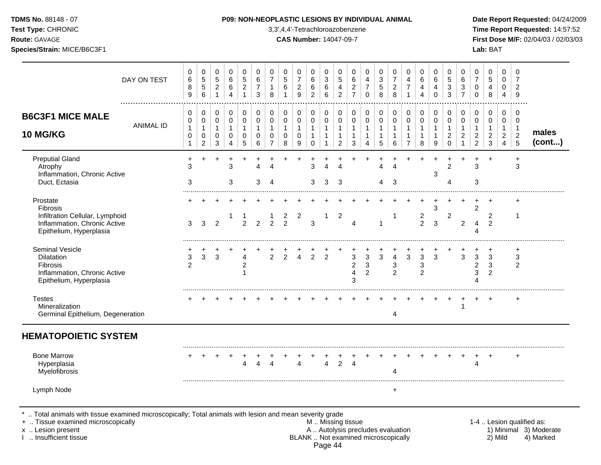### **TDMS No.** 88148 - 07 **P09: NON-NEOPLASTIC LESIONS BY INDIVIDUAL ANIMAL Date Report Requested:** 04/24/2009

**Test Type:** CHRONIC 3,3',4,4'-Tetrachloroazobenzene **Time Report Requested:** 14:57:52 **Route:** GAVAGE **CAS Number:** 14047-09-7 **First Dose M/F:** 02/04/03 / 02/03/03

| DAY ON TEST                                                                                                                                                                                | 0<br>$\,6\,$<br>8<br>9                                            | 0<br>$\,$ 5 $\,$<br>$\,$ 5 $\,$<br>$\,6\,$                          | 0<br>5<br>$\boldsymbol{2}$<br>$\mathbf{1}$         | 0<br>6<br>6<br>4                                     | 0<br>$\mathbf 5$<br>$\boldsymbol{2}$<br>$\mathbf{1}$ | 0<br>6<br>$\overline{7}$<br>3                        | 0<br>$\overline{7}$<br>$\mathbf{1}$<br>8                                    | 0<br>5<br>$\,6\,$<br>$\mathbf{1}$         | 0<br>$\overline{7}$<br>$\boldsymbol{2}$<br>9                                  | 0<br>6<br>6<br>$\overline{2}$                                   | 0<br>3<br>$\,6$<br>6                       | 0<br>5<br>$\overline{\mathbf{4}}$<br>$\overline{2}$                                           | 0<br>6<br>$\sqrt{2}$<br>$\overline{7}$ | 0<br>4<br>$\overline{7}$<br>$\Omega$                  | 0<br>$\ensuremath{\mathsf{3}}$<br>$\,$ 5 $\,$<br>8             | 0<br>$\overline{7}$<br>$\overline{2}$<br>8              | 0<br>4<br>$\overline{7}$<br>$\mathbf{1}$     | 0<br>6<br>$\overline{4}$<br>$\overline{4}$          | 0<br>6<br>4<br>$\Omega$         | 0<br>$\sqrt{5}$<br>$\mathbf{3}$<br>3                                    | 0<br>$\,6$<br>$\sqrt{3}$<br>$\overline{7}$                               | 0<br>7<br>$\mathbf 0$<br>$\Omega$                                    | 0<br>$\sqrt{5}$<br>4<br>$\,8\,$                   | 0<br>$\Omega$<br>0<br>$\overline{4}$            | $\mathbf 0$<br>$\overline{7}$<br>$\overline{2}$<br>9              |                                                                  |
|--------------------------------------------------------------------------------------------------------------------------------------------------------------------------------------------|-------------------------------------------------------------------|---------------------------------------------------------------------|----------------------------------------------------|------------------------------------------------------|------------------------------------------------------|------------------------------------------------------|-----------------------------------------------------------------------------|-------------------------------------------|-------------------------------------------------------------------------------|-----------------------------------------------------------------|--------------------------------------------|-----------------------------------------------------------------------------------------------|----------------------------------------|-------------------------------------------------------|----------------------------------------------------------------|---------------------------------------------------------|----------------------------------------------|-----------------------------------------------------|---------------------------------|-------------------------------------------------------------------------|--------------------------------------------------------------------------|----------------------------------------------------------------------|---------------------------------------------------|-------------------------------------------------|-------------------------------------------------------------------|------------------------------------------------------------------|
| <b>B6C3F1 MICE MALE</b><br><b>ANIMAL ID</b><br>10 MG/KG                                                                                                                                    | $\,0\,$<br>$\pmb{0}$<br>$\mathbf{1}$<br>$\pmb{0}$<br>$\mathbf{1}$ | $\pmb{0}$<br>$\pmb{0}$<br>$\mathbf{1}$<br>$\mathbf 0$<br>$\sqrt{2}$ | $\pmb{0}$<br>$\mathbf 0$<br>$\mathbf{1}$<br>0<br>3 | 0<br>$\mathbf 0$<br>$\mathbf{1}$<br>$\mathbf 0$<br>4 | $\pmb{0}$<br>$\pmb{0}$<br>$\mathbf{1}$<br>0<br>5     | 0<br>$\mathbf 0$<br>$\mathbf{1}$<br>$\mathbf 0$<br>6 | $\mathbf 0$<br>$\mathbf 0$<br>$\mathbf{1}$<br>$\mathbf 0$<br>$\overline{7}$ | 0<br>$\mathbf 0$<br>1<br>$\mathbf 0$<br>8 | $\mathbf 0$<br>$\mathbf 0$<br>$\mathbf{1}$<br>$\mathbf 0$<br>$\boldsymbol{9}$ | 0<br>$\pmb{0}$<br>$\overline{1}$<br>$\mathbf{1}$<br>$\mathbf 0$ | 0<br>$\mathbf 0$<br>$\mathbf{1}$<br>1<br>1 | 0<br>$\mathbf 0$<br>$\mathbf{1}$<br>$\mathbf{1}$<br>$\overline{c}$                            | 0<br>0<br>1<br>1<br>3                  | 0<br>0<br>$\mathbf{1}$<br>1<br>$\boldsymbol{\Lambda}$ | 0<br>$\mathbf 0$<br>$\mathbf{1}$<br>$\mathbf{1}$<br>$\sqrt{5}$ | 0<br>$\pmb{0}$<br>$\mathbf{1}$<br>$\mathbf{1}$<br>$\,6$ | 0<br>$\mathsf 0$<br>1<br>1<br>$\overline{7}$ | $\mathbf 0$<br>$\pmb{0}$<br>$\mathbf{1}$<br>-1<br>8 | 0<br>$\mathbf 0$<br>1<br>1<br>9 | $\pmb{0}$<br>$\pmb{0}$<br>$\mathbf{1}$<br>$\overline{c}$<br>$\mathbf 0$ | $\mathbf 0$<br>$\mathbf 0$<br>$\mathbf{1}$<br>$\sqrt{2}$<br>$\mathbf{1}$ | 0<br>$\mathbf 0$<br>$\mathbf{1}$<br>$\overline{c}$<br>$\overline{c}$ | 0<br>$\mathbf 0$<br>1<br>$\sqrt{2}$<br>$\sqrt{3}$ | 0<br>0<br>1<br>$\overline{2}$<br>$\overline{4}$ | $\mathbf 0$<br>$\mathbf 0$<br>$\mathbf{1}$<br>$\overline{2}$<br>5 | males<br>(cont)                                                  |
| <b>Preputial Gland</b><br>Atrophy<br>Inflammation, Chronic Active<br>Duct, Ectasia                                                                                                         | +<br>3<br>3                                                       |                                                                     |                                                    | 3<br>3                                               |                                                      | 3                                                    |                                                                             |                                           |                                                                               | 3<br>3                                                          | $\Delta$<br>3                              | л<br>3                                                                                        |                                        |                                                       | 4<br>4                                                         | $\boldsymbol{\Lambda}$<br>3                             |                                              |                                                     | 3                               | $\overline{2}$<br>Δ                                                     |                                                                          | 3<br>3                                                               | $\overline{1}$                                    |                                                 | $\ddot{}$<br>3                                                    |                                                                  |
| Prostate<br>Fibrosis<br>Infiltration Cellular, Lymphoid<br>Inflammation, Chronic Active<br>Epithelium, Hyperplasia                                                                         | 3                                                                 | 3                                                                   | 2                                                  |                                                      | $\mathfrak{p}$                                       | $\mathcal{P}$                                        | $\mathcal{P}$                                                               | $\frac{2}{2}$                             | 2                                                                             | 3                                                               | 1                                          | 2                                                                                             | Δ                                      |                                                       |                                                                | -1                                                      |                                              | $\overline{\mathbf{c}}$<br>$\overline{2}$           | 3<br>3                          | $\overline{2}$                                                          | $\overline{2}$                                                           | $\overline{2}$                                                       | 2<br>2                                            |                                                 | +<br>1                                                            |                                                                  |
| Seminal Vesicle<br><b>Dilatation</b><br><b>Fibrosis</b><br>Inflammation, Chronic Active<br>Epithelium, Hyperplasia                                                                         | $\ensuremath{\mathsf{3}}$<br>$\overline{2}$                       | 3                                                                   | 3                                                  |                                                      | 4<br>$\overline{c}$<br>1                             |                                                      | $\overline{2}$                                                              | $\overline{2}$                            | $\overline{4}$                                                                | 2                                                               | $\overline{2}$                             |                                                                                               | 3<br>2<br>4<br>3                       | $\mathbf{3}$<br>$\mathbf{3}$<br>2                     | 3                                                              | $\overline{4}$<br>3<br>2                                | 3                                            | $\mathfrak{S}$<br>3<br>2                            | 3                               |                                                                         | 3                                                                        | 3<br>$\overline{2}$<br>3                                             | 3<br>3<br>2                                       |                                                 | +<br>3<br>2                                                       |                                                                  |
| <b>Testes</b><br>Mineralization<br>Germinal Epithelium, Degeneration                                                                                                                       |                                                                   |                                                                     |                                                    |                                                      |                                                      |                                                      |                                                                             |                                           |                                                                               |                                                                 |                                            |                                                                                               |                                        |                                                       |                                                                | 4                                                       |                                              |                                                     |                                 |                                                                         | 1                                                                        |                                                                      | $\div$                                            |                                                 | $\ddot{}$                                                         |                                                                  |
| <b>HEMATOPOIETIC SYSTEM</b>                                                                                                                                                                |                                                                   |                                                                     |                                                    |                                                      |                                                      |                                                      |                                                                             |                                           |                                                                               |                                                                 |                                            |                                                                                               |                                        |                                                       |                                                                |                                                         |                                              |                                                     |                                 |                                                                         |                                                                          |                                                                      |                                                   |                                                 |                                                                   |                                                                  |
| <b>Bone Marrow</b><br>Hyperplasia<br>Myelofibrosis                                                                                                                                         |                                                                   |                                                                     |                                                    |                                                      | Δ                                                    |                                                      | $\Delta$                                                                    |                                           | 4                                                                             |                                                                 | 4                                          | 2                                                                                             | Δ                                      |                                                       |                                                                |                                                         |                                              |                                                     |                                 |                                                                         |                                                                          | 4                                                                    | $\ddot{}$                                         |                                                 | $\ddot{}$                                                         |                                                                  |
| Lymph Node                                                                                                                                                                                 |                                                                   |                                                                     |                                                    |                                                      |                                                      |                                                      |                                                                             |                                           |                                                                               |                                                                 |                                            |                                                                                               |                                        |                                                       |                                                                | ÷                                                       |                                              |                                                     |                                 |                                                                         |                                                                          |                                                                      |                                                   |                                                 |                                                                   |                                                                  |
| Total animals with tissue examined microscopically; Total animals with lesion and mean severity grade<br>+  Tissue examined microscopically<br>x  Lesion present<br>I  Insufficient tissue |                                                                   |                                                                     |                                                    |                                                      |                                                      |                                                      |                                                                             |                                           |                                                                               |                                                                 |                                            | M  Missing tissue<br>A  Autolysis precludes evaluation<br>BLANK  Not examined microscopically |                                        |                                                       |                                                                |                                                         |                                              |                                                     |                                 |                                                                         |                                                                          |                                                                      |                                                   | 2) Mild                                         |                                                                   | 1-4  Lesion qualified as:<br>1) Minimal 3) Moderate<br>4) Marked |

Page 44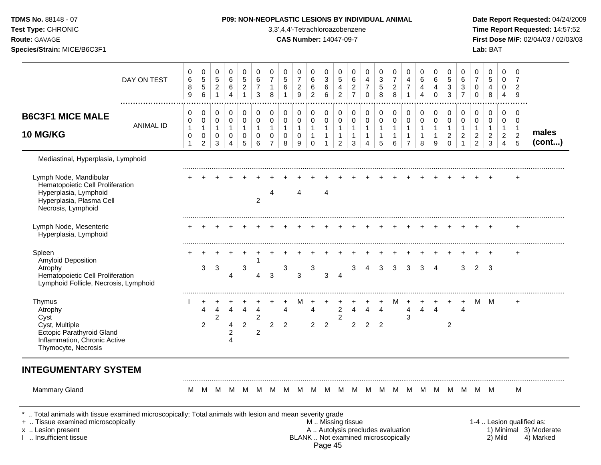| TDMS No. 88148 - 07<br>Test Type: CHRONIC<br>Route: GAVAGE<br>Species/Strain: MICE/B6C3F1                                             |                      |                                             |                                                                 |                                                |                                                      |                                                    |                                                |                                                                   |                                          |                                                  | P09: NON-NEOPLASTIC LESIONS BY INDIVIDUAL ANIMAL<br>3,3',4,4'-Tetrachloroazobenzene<br><b>CAS Number: 14047-09-7</b> |                                                                  |                                                                  |                                               |                                                     |                                       |                                                       |                                                                  |                                                            |                                                        |                                                                   |                                                         |                                                            | Lab: BAT                                            |                                                            |                                                          | Date Report Requested: 04/24/2009<br>Time Report Requested: 14:57:52<br>First Dose M/F: 02/04/03 / 02/03/03 |
|---------------------------------------------------------------------------------------------------------------------------------------|----------------------|---------------------------------------------|-----------------------------------------------------------------|------------------------------------------------|------------------------------------------------------|----------------------------------------------------|------------------------------------------------|-------------------------------------------------------------------|------------------------------------------|--------------------------------------------------|----------------------------------------------------------------------------------------------------------------------|------------------------------------------------------------------|------------------------------------------------------------------|-----------------------------------------------|-----------------------------------------------------|---------------------------------------|-------------------------------------------------------|------------------------------------------------------------------|------------------------------------------------------------|--------------------------------------------------------|-------------------------------------------------------------------|---------------------------------------------------------|------------------------------------------------------------|-----------------------------------------------------|------------------------------------------------------------|----------------------------------------------------------|-------------------------------------------------------------------------------------------------------------|
|                                                                                                                                       | DAY ON TEST          | 0<br>$\,6$<br>$\bf 8$<br>9                  | 0<br>$\sqrt{5}$<br>$\sqrt{5}$<br>$\,6\,$                        | 0<br>$\,$ 5 $\,$<br>$\sqrt{2}$<br>$\mathbf{1}$ | 0<br>$\,6\,$<br>$\,6$<br>$\overline{4}$              | 0<br>$\sqrt{5}$<br>$\overline{c}$<br>$\mathbf{1}$  | 0<br>$\,6\,$<br>$\boldsymbol{7}$<br>3          | 0<br>$\overline{7}$<br>$\mathbf{1}$<br>8                          | 0<br>$\sqrt{5}$<br>6<br>$\mathbf{1}$     | 0<br>$\boldsymbol{7}$<br>$\overline{a}$<br>$9\,$ | 0<br>$\,6\,$<br>$\,6$<br>$\overline{c}$                                                                              | 0<br>$\mathfrak{S}$<br>$\,6\,$<br>6                              | 0<br>$\sqrt{5}$<br>$\overline{\mathbf{4}}$<br>$\overline{2}$     | 0<br>6<br>$\overline{c}$<br>$\overline{7}$    | 0<br>4<br>$\overline{7}$<br>$\mathbf 0$             | 0<br>3<br>5<br>8                      | 0<br>$\boldsymbol{7}$<br>$\overline{c}$<br>8          | 0<br>4<br>$\boldsymbol{7}$<br>$\mathbf{1}$                       | 0<br>6<br>4<br>$\overline{4}$                              | 0<br>$\,6\,$<br>$\overline{\mathbf{4}}$<br>$\mathbf 0$ | 0<br>5<br>$\ensuremath{\mathsf{3}}$<br>3                          | 0<br>$\,6\,$<br>$\sqrt{3}$<br>$\overline{7}$            | 0<br>$\overline{7}$<br>0<br>$\mathbf 0$                    | 0<br>$\overline{5}$<br>4<br>8                       | 0<br>0<br>0<br>$\overline{4}$                              | 0<br>$\overline{7}$<br>$\overline{2}$<br>9               |                                                                                                             |
| <b>B6C3F1 MICE MALE</b><br><b>10 MG/KG</b>                                                                                            | <br><b>ANIMAL ID</b> | 0<br>0<br>$\mathbf{1}$<br>0<br>$\mathbf{1}$ | 0<br>$\pmb{0}$<br>$\mathbf{1}$<br>$\mathbf 0$<br>$\overline{2}$ | 0<br>$\pmb{0}$<br>$\mathbf{1}$<br>0<br>3       | 0<br>$\mathbf 0$<br>$\mathbf{1}$<br>$\mathbf 0$<br>4 | 0<br>$\pmb{0}$<br>$\mathbf{1}$<br>$\mathbf 0$<br>5 | 0<br>$\pmb{0}$<br>$\mathbf{1}$<br>0<br>$\,6\,$ | 0<br>$\mathbf 0$<br>$\mathbf{1}$<br>$\mathbf 0$<br>$\overline{7}$ | 0<br>$\pmb{0}$<br>$\mathbf{1}$<br>0<br>8 | 0<br>0<br>$\mathbf{1}$<br>0<br>9                 | $\pmb{0}$<br>$\pmb{0}$<br>$\mathbf{1}$<br>$\mathbf{1}$<br>$\mathbf 0$                                                | 0<br>$\mathsf 0$<br>$\mathbf{1}$<br>$\mathbf{1}$<br>$\mathbf{1}$ | 0<br>$\pmb{0}$<br>$\mathbf{1}$<br>$\mathbf{1}$<br>$\overline{2}$ | 0<br>0<br>$\overline{1}$<br>$\mathbf{1}$<br>3 | 0<br>$\pmb{0}$<br>$\mathbf{1}$<br>$\mathbf{1}$<br>4 | 0<br>$\mathsf 0$<br>$\mathbf{1}$<br>5 | 0<br>$\mathbf 0$<br>$\mathbf{1}$<br>$\mathbf{1}$<br>6 | 0<br>$\pmb{0}$<br>$\mathbf{1}$<br>$\mathbf{1}$<br>$\overline{7}$ | 0<br>$\boldsymbol{0}$<br>$\mathbf{1}$<br>$\mathbf{1}$<br>8 | 0<br>$\pmb{0}$<br>1<br>9                               | 0<br>$\mathbf 0$<br>$\mathbf{1}$<br>$\overline{c}$<br>$\mathbf 0$ | 0<br>$\pmb{0}$<br>$\overline{1}$<br>$\overline{c}$<br>1 | 0<br>0<br>$\mathbf{1}$<br>$\overline{c}$<br>$\overline{2}$ | 0<br>$\,0\,$<br>$\mathbf{1}$<br>$\overline{c}$<br>3 | 0<br>0<br>$\mathbf{1}$<br>$\overline{a}$<br>$\overline{4}$ | 0<br>0<br>$\overline{1}$<br>$\overline{2}$<br>$\sqrt{5}$ | males<br>(cont)                                                                                             |
| Mediastinal, Hyperplasia, Lymphoid                                                                                                    |                      |                                             |                                                                 |                                                |                                                      |                                                    |                                                |                                                                   |                                          |                                                  |                                                                                                                      |                                                                  |                                                                  |                                               |                                                     |                                       |                                                       |                                                                  |                                                            |                                                        |                                                                   |                                                         |                                                            |                                                     |                                                            |                                                          |                                                                                                             |
| Lymph Node, Mandibular<br>Hematopoietic Cell Proliferation<br>Hyperplasia, Lymphoid<br>Hyperplasia, Plasma Cell<br>Necrosis, Lymphoid |                      |                                             |                                                                 |                                                |                                                      |                                                    | 2                                              | 4                                                                 |                                          | 4                                                |                                                                                                                      | 4                                                                |                                                                  |                                               |                                                     |                                       |                                                       |                                                                  |                                                            |                                                        |                                                                   |                                                         |                                                            |                                                     |                                                            | $\ddot{}$                                                |                                                                                                             |
| Lymph Node, Mesenteric<br>Hyperplasia, Lymphoid                                                                                       |                      |                                             |                                                                 |                                                |                                                      |                                                    |                                                |                                                                   |                                          |                                                  |                                                                                                                      |                                                                  |                                                                  |                                               |                                                     |                                       |                                                       |                                                                  |                                                            |                                                        |                                                                   |                                                         |                                                            |                                                     |                                                            | $\ddot{}$                                                |                                                                                                             |
| Spleen<br>Amyloid Deposition<br>Atrophy<br>Hematopoietic Cell Proliferation<br>Lymphoid Follicle, Necrosis, Lymphoid                  |                      |                                             | 3                                                               | 3                                              | 4                                                    | 3                                                  | 1<br>4                                         | 3                                                                 | 3                                        | 3                                                | 3                                                                                                                    | 3                                                                | $\overline{4}$                                                   | 3                                             | 4                                                   | 3                                     | 3                                                     | 3                                                                | 3                                                          | $\overline{4}$                                         |                                                                   | 3                                                       | $2^{\circ}$                                                | -3                                                  |                                                            |                                                          |                                                                                                             |
| Thymus<br>Atrophy<br>Cyst<br>Cyst, Multiple<br>Ectopic Parathyroid Gland<br>Inflammation, Chronic Active<br>Thymocyte, Necrosis       |                      |                                             | 4<br>$\overline{2}$                                             | 4<br>2                                         | 4<br>4<br>2<br>4                                     | 4<br>2                                             | 4<br>2<br>$\overline{c}$                       | 2                                                                 | 4<br>$\overline{2}$                      | м                                                | 4<br>$\overline{2}$                                                                                                  | $\overline{2}$                                                   | $\overline{c}$<br>$\overline{2}$                                 | 4<br>$\overline{2}$                           | 4<br>$\overline{2}$                                 | $\overline{4}$<br>$\overline{2}$      | м                                                     | 4<br>3                                                           | 4                                                          | $\overline{4}$                                         | $\overline{c}$                                                    | $\overline{4}$                                          | м                                                          | M                                                   |                                                            | $\ddot{}$                                                |                                                                                                             |
| <b>INTEGUMENTARY SYSTEM</b>                                                                                                           |                      |                                             |                                                                 |                                                |                                                      |                                                    |                                                |                                                                   |                                          |                                                  |                                                                                                                      |                                                                  |                                                                  |                                               |                                                     |                                       |                                                       |                                                                  |                                                            |                                                        |                                                                   |                                                         |                                                            |                                                     |                                                            |                                                          |                                                                                                             |
| <b>Mammary Gland</b>                                                                                                                  |                      | M                                           | M                                                               | M                                              | M                                                    |                                                    |                                                |                                                                   |                                          |                                                  | M M M M M M M M M M M M M M M M                                                                                      |                                                                  |                                                                  |                                               |                                                     |                                       |                                                       |                                                                  |                                                            |                                                        |                                                                   |                                                         |                                                            | M M                                                 |                                                            | м                                                        |                                                                                                             |

I .. Insufficient tissue BLANK .. Not examined microscopically 2) Mild 4) Marked

Page 45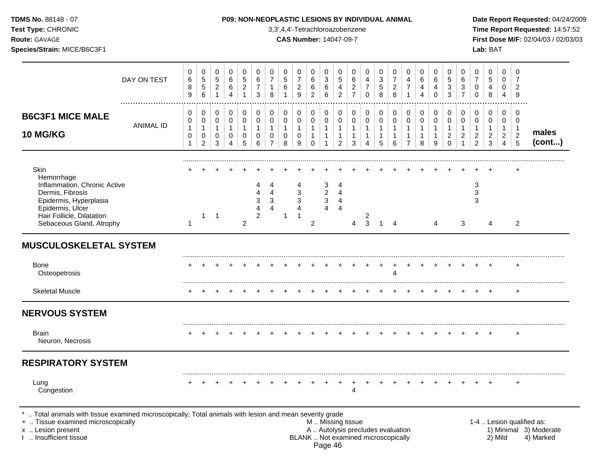| TDMS No. 88148 - 07<br>Test Type: CHRONIC<br><b>Route: GAVAGE</b><br>Species/Strain: MICE/B6C3F1                                                                              |                  |                                            |                                                         |                                      |                                  |                                                   |                                                                |                                                        | P09: NON-NEOPLASTIC LESIONS BY INDIVIDUAL ANIMAL<br>3,3',4,4'-Tetrachloroazobenzene<br><b>CAS Number: 14047-09-7</b> |                                                                           |                                                       |                                                       |                                                                  |                                                                  |                                                                |                                                     |                                                               |                                                                  |                                                       |                                                                 |                                                                 |                                                          |                                                                    | Lab: BAT                                                         |                                                                                        |                                                              | Date Report Requested: 04/2<br>Time Report Requested: 14:<br>First Dose M/F: 02/04/03 / 02 |
|-------------------------------------------------------------------------------------------------------------------------------------------------------------------------------|------------------|--------------------------------------------|---------------------------------------------------------|--------------------------------------|----------------------------------|---------------------------------------------------|----------------------------------------------------------------|--------------------------------------------------------|----------------------------------------------------------------------------------------------------------------------|---------------------------------------------------------------------------|-------------------------------------------------------|-------------------------------------------------------|------------------------------------------------------------------|------------------------------------------------------------------|----------------------------------------------------------------|-----------------------------------------------------|---------------------------------------------------------------|------------------------------------------------------------------|-------------------------------------------------------|-----------------------------------------------------------------|-----------------------------------------------------------------|----------------------------------------------------------|--------------------------------------------------------------------|------------------------------------------------------------------|----------------------------------------------------------------------------------------|--------------------------------------------------------------|--------------------------------------------------------------------------------------------|
|                                                                                                                                                                               | DAY ON TEST      | 0<br>$\,6$<br>$\bf 8$<br>$\boldsymbol{9}$  | 0<br>$\,$ 5 $\,$<br>$\mathbf 5$<br>$6\phantom{1}6$      | 0<br>5<br>$\sqrt{2}$<br>$\mathbf{1}$ | 0<br>6<br>6<br>4                 | 0<br>$\sqrt{5}$<br>$\overline{c}$<br>$\mathbf{1}$ | $\mathbf 0$<br>$\,6\,$<br>$\overline{7}$<br>$\mathbf{3}$       | 0<br>$\overline{7}$<br>$\mathbf{1}$<br>$\bf8$          | 0<br>$\sqrt{5}$<br>$\,6\,$<br>$\mathbf{1}$                                                                           | 0<br>$\overline{7}$<br>$\overline{c}$<br>9                                | 0<br>6<br>$\,6\,$<br>$\overline{c}$                   | 0<br>$\ensuremath{\mathsf{3}}$<br>$\,6\,$<br>6        | 0<br>5<br>$\overline{4}$<br>$\overline{2}$                       | 0<br>$\,6\,$<br>$\overline{2}$<br>$\overline{7}$                 | 0<br>$\overline{4}$<br>$\boldsymbol{7}$<br>$\mathsf{O}\xspace$ | 0<br>$\sqrt{3}$<br>$\,$ 5 $\,$<br>8                 | 0<br>$\overline{7}$<br>$\overline{2}$<br>8                    | 0<br>$\overline{\mathbf{4}}$<br>$\overline{7}$<br>$\overline{1}$ | 0<br>$\,6\,$<br>4<br>$\overline{4}$                   | 0<br>$\,6\,$<br>$\overline{4}$<br>0                             | 0<br>$\overline{5}$<br>$\ensuremath{\mathsf{3}}$<br>3           | 0<br>6<br>$\ensuremath{\mathsf{3}}$<br>$\overline{7}$    | 0<br>$\overline{7}$<br>$\pmb{0}$<br>$\pmb{0}$                      | $\mathbf 0$<br>5<br>$\overline{4}$<br>$\bf 8$                    | $\mathbf 0$<br>$\mathsf{O}\xspace$<br>$\mathbf 0$<br>$\overline{4}$                    | 0<br>$\overline{7}$<br>$\overline{2}$<br>$\boldsymbol{9}$    |                                                                                            |
| <b>B6C3F1 MICE MALE</b><br>10 MG/KG                                                                                                                                           | <b>ANIMAL ID</b> | 0<br>0<br>$\mathbf{1}$<br>$\mathbf 0$<br>1 | 0<br>0<br>$\mathbf{1}$<br>$\mathbf 0$<br>$\overline{c}$ | 0<br>0<br>$\mathbf{1}$<br>0<br>3     | 0<br>0<br>$\mathbf{1}$<br>0<br>4 | 0<br>$\mathbf 0$<br>$\mathbf{1}$<br>0<br>5        | $\mathbf 0$<br>$\mathbf 0$<br>$\mathbf{1}$<br>$\mathbf 0$<br>6 | 0<br>$\mathbf 0$<br>1<br>$\mathbf 0$<br>$\overline{7}$ | 0<br>$\mathbf 0$<br>$\mathbf{1}$<br>$\pmb{0}$<br>8                                                                   | $\mathbf 0$<br>$\pmb{0}$<br>$\mathbf{1}$<br>$\pmb{0}$<br>$\boldsymbol{9}$ | 0<br>0<br>$\overline{1}$<br>$\mathbf{1}$<br>$\pmb{0}$ | 0<br>$\mathbf 0$<br>$\mathbf{1}$<br>$\mathbf{1}$<br>1 | 0<br>$\pmb{0}$<br>$\mathbf{1}$<br>$\mathbf{1}$<br>$\overline{c}$ | 0<br>$\mathbf 0$<br>$\mathbf{1}$<br>$\mathbf{1}$<br>$\mathbf{3}$ | 0<br>$\pmb{0}$<br>$\overline{1}$<br>$\mathbf{1}$<br>4          | 0<br>$\pmb{0}$<br>$\mathbf{1}$<br>$\mathbf{1}$<br>5 | $\mathbf 0$<br>$\pmb{0}$<br>$\mathbf{1}$<br>$\mathbf{1}$<br>6 | 0<br>$\pmb{0}$<br>$\mathbf{1}$<br>$\mathbf{1}$<br>$\overline{7}$ | 0<br>$\mathbf 0$<br>$\mathbf{1}$<br>$\mathbf{1}$<br>8 | $\mathbf 0$<br>$\mathbf 0$<br>$\mathbf{1}$<br>$\mathbf{1}$<br>9 | $\mathbf 0$<br>0<br>$\mathbf{1}$<br>$\overline{2}$<br>$\pmb{0}$ | 0<br>0<br>$\mathbf{1}$<br>$\overline{2}$<br>$\mathbf{1}$ | 0<br>$\pmb{0}$<br>$\mathbf{1}$<br>$\overline{c}$<br>$\overline{c}$ | 0<br>$\pmb{0}$<br>$\mathbf{1}$<br>$\overline{c}$<br>$\mathbf{3}$ | $\mathbf 0$<br>$\mathsf{O}\xspace$<br>$\mathbf{1}$<br>$\overline{2}$<br>$\overline{4}$ | 0<br>0<br>$\overline{1}$<br>$\overline{c}$<br>$\overline{5}$ | males<br>(cont)                                                                            |
| Skin<br>Hemorrhage<br>Inflammation, Chronic Active<br>Dermis, Fibrosis<br>Epidermis, Hyperplasia<br>Epidermis, Ulcer<br>Hair Follicle, Dilatation<br>Sebaceous Gland, Atrophy |                  | $\mathbf{1}$                               | 1                                                       | $\overline{1}$                       |                                  | $\overline{c}$                                    | 4<br>3<br>$\overline{A}$<br>$\overline{c}$                     | 4<br>4<br>3<br>4                                       | -1                                                                                                                   | 4<br>$\sqrt{3}$<br>$\sqrt{3}$<br>$\overline{4}$<br>$\overline{1}$         | $\overline{2}$                                        | 3<br>$\boldsymbol{2}$<br>$\mathbf{3}$<br>4            | 4<br>$\overline{4}$<br>$\overline{4}$<br>$\overline{4}$          | 4                                                                | 2<br>3                                                         | $\mathbf 1$                                         | 4                                                             |                                                                  |                                                       | 4                                                               |                                                                 | 3                                                        | 3<br>$\ensuremath{\mathsf{3}}$<br>3                                | 4                                                                |                                                                                        | 2                                                            |                                                                                            |
| <b>MUSCULOSKELETAL SYSTEM</b>                                                                                                                                                 |                  |                                            |                                                         |                                      |                                  |                                                   |                                                                |                                                        |                                                                                                                      |                                                                           |                                                       |                                                       |                                                                  |                                                                  |                                                                |                                                     |                                                               |                                                                  |                                                       |                                                                 |                                                                 |                                                          |                                                                    |                                                                  |                                                                                        |                                                              |                                                                                            |
| <b>Bone</b><br>Osteopetrosis                                                                                                                                                  |                  |                                            |                                                         |                                      |                                  |                                                   |                                                                |                                                        |                                                                                                                      |                                                                           |                                                       |                                                       |                                                                  |                                                                  |                                                                |                                                     | Δ                                                             |                                                                  |                                                       |                                                                 |                                                                 |                                                          |                                                                    |                                                                  |                                                                                        | $\ddot{}$                                                    |                                                                                            |
| <b>Skeletal Muscle</b>                                                                                                                                                        |                  |                                            |                                                         |                                      |                                  |                                                   |                                                                |                                                        |                                                                                                                      |                                                                           |                                                       |                                                       |                                                                  |                                                                  |                                                                |                                                     |                                                               |                                                                  |                                                       |                                                                 |                                                                 |                                                          |                                                                    |                                                                  |                                                                                        | $\ddot{}$                                                    |                                                                                            |
| <b>NERVOUS SYSTEM</b>                                                                                                                                                         |                  |                                            |                                                         |                                      |                                  |                                                   |                                                                |                                                        |                                                                                                                      |                                                                           |                                                       |                                                       |                                                                  |                                                                  |                                                                |                                                     |                                                               |                                                                  |                                                       |                                                                 |                                                                 |                                                          |                                                                    |                                                                  |                                                                                        |                                                              |                                                                                            |
| <b>Brain</b><br>Neuron, Necrosis                                                                                                                                              |                  |                                            |                                                         |                                      |                                  |                                                   |                                                                |                                                        |                                                                                                                      |                                                                           |                                                       |                                                       |                                                                  |                                                                  |                                                                |                                                     |                                                               |                                                                  |                                                       |                                                                 |                                                                 |                                                          |                                                                    |                                                                  |                                                                                        | $\ddot{}$                                                    |                                                                                            |
| <b>RESPIRATORY SYSTEM</b>                                                                                                                                                     |                  |                                            |                                                         |                                      |                                  |                                                   |                                                                |                                                        |                                                                                                                      |                                                                           |                                                       |                                                       |                                                                  |                                                                  |                                                                |                                                     |                                                               |                                                                  |                                                       |                                                                 |                                                                 |                                                          |                                                                    |                                                                  |                                                                                        |                                                              |                                                                                            |

Lung + + + + + + + + + + + + + + + + + + + + + + + + congestion 4

\* .. Total animals with tissue examined microscopically; Total animals with lesion and mean severity grade

+ .. Tissue examined microscopically M .. Missing tissue 1-4 .. Lesion qualified as:

x .. Lesion present **A .. Autolysis precludes evaluation** A .. Autolysis precludes evaluation 1) Minimal 3) Moderate I .. Insufficient tissue BLANK .. Not examined microscopically 2) Mild 4) Marked Page 46

**Port Requested: 04/24/2009 Eport Requested: 14:57:52 Route:** GAVAGE **CAS Number:** 14047-09-7 **First Dose M/F:** 02/04/03 / 02/03/03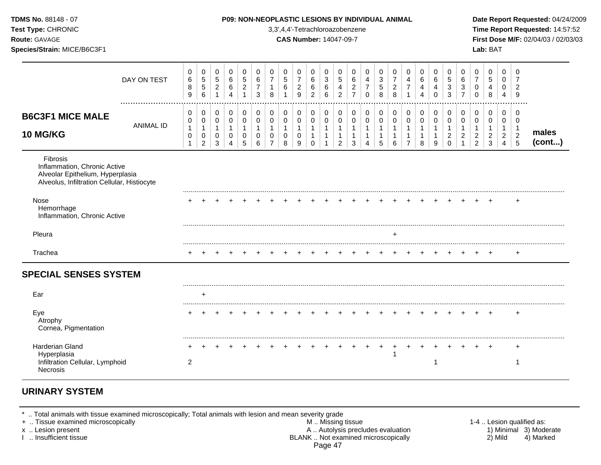| TDMS No. 88148 - 07<br>Test Type: CHRONIC<br>Route: GAVAGE<br>Species/Strain: MICE/B6C3F1                                                                                                |                  |                             |                                          |                                                |                                           |                                                       |                                       |                                  |                        | 3,3',4,4'-Tetrachloroazobenzene<br><b>CAS Number: 14047-09-7</b> |                                     |                        |                                                     |                                            | P09: NON-NEOPLASTIC LESIONS BY INDIVIDUAL ANIMAL     |                  |                                  |                          |                                        |                                               |                                                         |                                                          |                                         | Lab: BAT                                |                                                   |                                           | Date Report Requested: 04/24/2009<br>Time Report Requested: 14:57:52<br>First Dose M/F: 02/04/03 / 02/03/03 |
|------------------------------------------------------------------------------------------------------------------------------------------------------------------------------------------|------------------|-----------------------------|------------------------------------------|------------------------------------------------|-------------------------------------------|-------------------------------------------------------|---------------------------------------|----------------------------------|------------------------|------------------------------------------------------------------|-------------------------------------|------------------------|-----------------------------------------------------|--------------------------------------------|------------------------------------------------------|------------------|----------------------------------|--------------------------|----------------------------------------|-----------------------------------------------|---------------------------------------------------------|----------------------------------------------------------|-----------------------------------------|-----------------------------------------|---------------------------------------------------|-------------------------------------------|-------------------------------------------------------------------------------------------------------------|
|                                                                                                                                                                                          | DAY ON TEST      | 0<br>$\,6\,$<br>8<br>9      | 0<br>$\sqrt{5}$<br>$\sqrt{5}$<br>$\,6\,$ | 0<br>$\mathbf 5$<br>$\sqrt{2}$<br>$\mathbf{1}$ | 0<br>$\,6\,$<br>$\,6\,$<br>$\overline{4}$ | 0<br>$\sqrt{5}$<br>$\boldsymbol{2}$<br>$\overline{1}$ | 0<br>$\,6\,$<br>$\boldsymbol{7}$<br>3 | 0<br>$\overline{7}$<br>1<br>8    | 0<br>$\sqrt{5}$<br>6   | 0<br>$\overline{7}$<br>$\overline{c}$<br>9                       | 0<br>6<br>$\,6\,$<br>$\overline{c}$ | 0<br>3<br>$\,6\,$<br>6 | 0<br>$\sqrt{5}$<br>$\overline{4}$<br>$\overline{2}$ | 0<br>6<br>$\overline{c}$<br>$\overline{7}$ | 0<br>$\overline{4}$<br>$\overline{7}$<br>$\mathbf 0$ | 0<br>3<br>5<br>8 | 0<br>$\overline{7}$<br>$_{8}^2$  | 0<br>4<br>$\overline{7}$ | 0<br>6<br>4<br>$\overline{\mathbf{4}}$ | 0<br>$\,6\,$<br>$\overline{4}$<br>$\mathbf 0$ | 0<br>$5\,$<br>$\ensuremath{\mathsf{3}}$<br>$\mathbf{3}$ | $\mathbf 0$<br>$\,6\,$<br>$\mathbf{3}$<br>$\overline{7}$ | 0<br>$\overline{7}$<br>0<br>$\mathbf 0$ | $\mathbf 0$<br>5<br>$\overline{4}$<br>8 | $\mathbf 0$<br>$\mathbf 0$<br>0<br>$\overline{4}$ | $\Omega$<br>7<br>$\overline{2}$<br>9      |                                                                                                             |
| <b>B6C3F1 MICE MALE</b>                                                                                                                                                                  | <b>ANIMAL ID</b> | 0<br>0<br>$\mathbf{1}$      | 0<br>0<br>$\mathbf{1}$                   | 0<br>$\mathbf 0$<br>$\mathbf{1}$               | 0<br>$\mathbf 0$<br>$\mathbf{1}$          | $\mathbf 0$<br>0<br>$\mathbf{1}$                      | 0<br>$\mathbf 0$<br>$\mathbf{1}$      | 0<br>$\mathbf 0$<br>$\mathbf{1}$ | 0<br>0<br>$\mathbf{1}$ | 0<br>0<br>$\overline{1}$                                         | 0<br>$\pmb{0}$<br>$\mathbf{1}$      | 0<br>0<br>$\mathbf{1}$ | 0<br>$\mathbf 0$<br>$\overline{1}$                  | 0<br>$\mathbf 0$<br>$\overline{1}$         | 0<br>$\mathbf 0$<br>$\mathbf{1}$                     | 0<br>0<br>1      | 0<br>$\mathbf 0$<br>$\mathbf{1}$ | 0<br>0<br>$\mathbf{1}$   | 0<br>$\boldsymbol{0}$<br>$\mathbf{1}$  | 0<br>0                                        | 0<br>0<br>$\mathbf{1}$                                  | 0<br>$\mathbf 0$<br>$\overline{1}$                       | 0<br>$\mathbf 0$<br>$\mathbf{1}$        | 0<br>$\mathbf 0$<br>1                   | 0<br>0<br>1                                       | $\Omega$<br>$\mathbf 0$<br>$\overline{1}$ |                                                                                                             |
| 10 MG/KG                                                                                                                                                                                 |                  | $\mathbf 0$<br>$\mathbf{1}$ | $\pmb{0}$<br>$\overline{2}$              | $\mathbf 0$<br>3                               | $\mathbf 0$<br>4                          | $\mathbf 0$<br>5                                      | $\mathbf 0$<br>6                      | $\mathbf 0$<br>$\overline{7}$    | $\mathbf 0$<br>8       | $\mathbf 0$<br>9                                                 | $\mathbf 1$<br>$\mathbf 0$          | $\mathbf{1}$           | $\overline{1}$<br>$\overline{2}$                    | $\mathbf{1}$<br>3                          | $\mathbf{1}$<br>$\overline{4}$                       | 5                | $\mathbf{1}$<br>6                | 1<br>$\overline{7}$      | $\mathbf{1}$<br>8                      | 9                                             | $\overline{c}$<br>$\mathbf 0$                           | $\boldsymbol{2}$<br>1                                    | $\overline{c}$<br>$\overline{2}$        | $\boldsymbol{2}$<br>3                   | $\overline{a}$<br>$\overline{4}$                  | $\begin{array}{c} 2 \\ 5 \end{array}$     | males<br>(cont)                                                                                             |
| <b>Fibrosis</b><br>Inflammation, Chronic Active<br>Alveolar Epithelium, Hyperplasia<br>Alveolus, Infiltration Cellular, Histiocyte<br>Nose<br>Hemorrhage<br>Inflammation, Chronic Active |                  |                             |                                          |                                                |                                           |                                                       |                                       |                                  |                        |                                                                  |                                     |                        |                                                     |                                            |                                                      |                  |                                  |                          |                                        |                                               |                                                         |                                                          |                                         |                                         |                                                   |                                           |                                                                                                             |
| Pleura                                                                                                                                                                                   |                  |                             |                                          |                                                |                                           |                                                       |                                       |                                  |                        |                                                                  |                                     |                        |                                                     |                                            |                                                      |                  | ÷                                |                          |                                        |                                               |                                                         |                                                          |                                         |                                         |                                                   |                                           |                                                                                                             |
| Trachea                                                                                                                                                                                  |                  |                             |                                          |                                                |                                           |                                                       |                                       |                                  |                        |                                                                  |                                     |                        |                                                     |                                            |                                                      |                  |                                  |                          |                                        |                                               |                                                         |                                                          |                                         |                                         |                                                   | $\ddot{}$                                 |                                                                                                             |
| <b>SPECIAL SENSES SYSTEM</b>                                                                                                                                                             |                  |                             |                                          |                                                |                                           |                                                       |                                       |                                  |                        |                                                                  |                                     |                        |                                                     |                                            |                                                      |                  |                                  |                          |                                        |                                               |                                                         |                                                          |                                         |                                         |                                                   |                                           |                                                                                                             |
| Ear                                                                                                                                                                                      |                  |                             | $\div$                                   |                                                |                                           |                                                       |                                       |                                  |                        |                                                                  |                                     |                        |                                                     |                                            |                                                      |                  |                                  |                          |                                        |                                               |                                                         |                                                          |                                         |                                         |                                                   |                                           |                                                                                                             |
| Eye<br>Atrophy<br>Cornea, Pigmentation                                                                                                                                                   |                  |                             |                                          |                                                |                                           |                                                       |                                       |                                  |                        |                                                                  |                                     |                        |                                                     |                                            |                                                      |                  |                                  |                          |                                        |                                               |                                                         |                                                          |                                         |                                         |                                                   | $\ddot{}$                                 |                                                                                                             |
| Harderian Gland<br>Hyperplasia                                                                                                                                                           |                  |                             |                                          |                                                |                                           |                                                       |                                       |                                  |                        |                                                                  |                                     |                        |                                                     |                                            |                                                      | $^{+}$           | $^{+}$                           | $+$                      |                                        |                                               |                                                         |                                                          |                                         |                                         |                                                   | $\ddot{}$                                 |                                                                                                             |
| Infiltration Cellular, Lymphoid<br><b>Necrosis</b>                                                                                                                                       |                  | $\overline{2}$              |                                          |                                                |                                           |                                                       |                                       |                                  |                        |                                                                  |                                     |                        |                                                     |                                            |                                                      |                  |                                  |                          |                                        | -1                                            |                                                         |                                                          |                                         |                                         |                                                   | -1                                        |                                                                                                             |

# **URINARY SYSTEM**

\* .. Total animals with tissue examined microscopically; Total animals with lesion and mean severity grade

- + .. Tissue examined microscopically M .. Missing tissue 1-4 .. Lesion qualified as: x .. Lesion present **A .. Autolysis precludes evaluation** A .. Autolysis precludes evaluation 1) Minimal 3) Moderate I .. Insufficient tissue BLANK .. Not examined microscopically 2) Mild 4) Marked Page 47
	-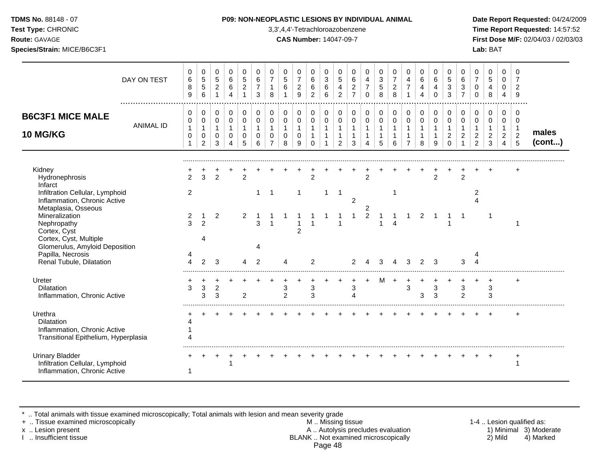|  | <b>TDMS No. 88148 - 07</b> |  |
|--|----------------------------|--|
|  |                            |  |

**Test Type:** CHRONIC 3,3',4,4'-Tetrachloroazobenzene **Time Report Requested:** 14:57:52 **Route:** GAVAGE **CAS Number:** 14047-09-7 **First Dose M/F:** 02/04/03 / 02/03/03

|                                                                                                      | DAY ON TEST      | 0<br>6<br>8<br>9                            | 0<br>$\sqrt{5}$<br>$\sqrt{5}$<br>6 | $\mathbf 0$<br>$\overline{5}$<br>$\overline{c}$<br>$\mathbf{1}$ | 0<br>$\,6\,$<br>$\,6\,$<br>$\overline{4}$               | $\mathbf 0$<br>$\sqrt{5}$<br>$\sqrt{2}$<br>$\mathbf{1}$ | 0<br>$\,6\,$<br>$\overline{7}$<br>3                  | $\mathbf 0$<br>$\overline{7}$<br>$\mathbf{1}$<br>8          | 0<br>5<br>6                             | $\Omega$<br>$\overline{7}$<br>$\overline{2}$<br>9           | $\Omega$<br>6<br>6<br>2                           | 0<br>$\sqrt{3}$<br>$\,6\,$<br>6                 | $\mathbf 0$<br>$\sqrt{5}$<br>4<br>2                             | 0<br>$\,6\,$<br>$\overline{c}$<br>$\overline{7}$ | $\mathbf 0$<br>4<br>$\overline{7}$<br>$\Omega$        | 0<br>3<br>5<br>8                           | 0<br>$\overline{7}$<br>$\sqrt{2}$<br>$\mathbf{8}$ | 0<br>$\overline{4}$<br>$\overline{7}$                   | 0<br>6<br>4<br>$\overline{4}$                         | 0<br>$\,6\,$<br>$\overline{4}$<br>$\Omega$                      | 0<br>5<br>$\ensuremath{\mathsf{3}}$<br>3                         | 0<br>6<br>3<br>$\overline{7}$   | 0<br>$\overline{7}$<br>$\Omega$<br>$\Omega$          | $\Omega$<br>5<br>$\overline{4}$<br>8                | 0<br>$\Omega$<br>$\mathbf 0$<br>4                                             | $\Omega$<br>2<br>9                                     |                 |
|------------------------------------------------------------------------------------------------------|------------------|---------------------------------------------|------------------------------------|-----------------------------------------------------------------|---------------------------------------------------------|---------------------------------------------------------|------------------------------------------------------|-------------------------------------------------------------|-----------------------------------------|-------------------------------------------------------------|---------------------------------------------------|-------------------------------------------------|-----------------------------------------------------------------|--------------------------------------------------|-------------------------------------------------------|--------------------------------------------|---------------------------------------------------|---------------------------------------------------------|-------------------------------------------------------|-----------------------------------------------------------------|------------------------------------------------------------------|---------------------------------|------------------------------------------------------|-----------------------------------------------------|-------------------------------------------------------------------------------|--------------------------------------------------------|-----------------|
| <b>B6C3F1 MICE MALE</b><br><b>10 MG/KG</b>                                                           | <b>ANIMAL ID</b> | 0<br>0<br>$\mathbf{1}$<br>0<br>$\mathbf{1}$ | 0<br>0<br>1<br>0<br>$\overline{2}$ | 0<br>0<br>$\mathbf{1}$<br>$\mathbf 0$<br>3                      | 0<br>$\mathbf 0$<br>$\mathbf{1}$<br>0<br>$\overline{A}$ | $\mathbf 0$<br>$\mathbf 0$<br>$\mathbf{1}$<br>0<br>5    | 0<br>$\mathbf 0$<br>$\mathbf{1}$<br>$\mathbf 0$<br>6 | 0<br>$\Omega$<br>$\mathbf{1}$<br>$\Omega$<br>$\overline{7}$ | 0<br>0<br>$\mathbf{1}$<br>$\Omega$<br>8 | $\mathbf 0$<br>$\mathbf 0$<br>$\mathbf{1}$<br>$\Omega$<br>9 | $\mathbf 0$<br>0<br>$\mathbf{1}$<br>1<br>$\Omega$ | 0<br>$\mathbf 0$<br>$\mathbf{1}$<br>$\mathbf 1$ | $\mathbf 0$<br>$\mathbf 0$<br>$\mathbf{1}$<br>$\mathbf{1}$<br>2 | 0<br>$\mathbf 0$<br>$\mathbf{1}$<br>3            | 0<br>$\mathbf 0$<br>$\mathbf{1}$<br>$\mathbf{1}$<br>4 | 0<br>0<br>$\mathbf{1}$<br>$\mathbf 1$<br>5 | $\mathbf 0$<br>$\mathbf 0$<br>$\mathbf{1}$<br>6   | $\mathbf 0$<br>0<br>$\mathbf{1}$<br>1<br>$\overline{7}$ | 0<br>$\mathbf 0$<br>$\mathbf{1}$<br>$\mathbf{1}$<br>8 | $\mathbf 0$<br>$\mathbf 0$<br>$\mathbf{1}$<br>$\mathbf{1}$<br>9 | 0<br>$\mathbf 0$<br>$\mathbf{1}$<br>$\boldsymbol{2}$<br>$\Omega$ | 0<br>$\Omega$<br>$\overline{c}$ | 0<br>$\Omega$<br>$\mathbf{1}$<br>$\overline{c}$<br>2 | $\mathbf 0$<br>$\Omega$<br>1<br>$\overline{c}$<br>3 | $\mathbf 0$<br>$\mathbf 0$<br>$\mathbf 1$<br>$\overline{c}$<br>$\overline{4}$ | 0<br>$\Omega$<br>$\overline{1}$<br>$\overline{2}$<br>5 | males<br>(cont) |
|                                                                                                      |                  |                                             |                                    |                                                                 |                                                         |                                                         |                                                      |                                                             |                                         |                                                             |                                                   |                                                 |                                                                 |                                                  |                                                       |                                            |                                                   |                                                         |                                                       |                                                                 |                                                                  |                                 |                                                      |                                                     |                                                                               |                                                        |                 |
| Kidney<br>Hydronephrosis<br>Infarct                                                                  |                  | $\overline{2}$                              | 3                                  | $\mathcal{P}$                                                   |                                                         | $\mathfrak{p}$                                          |                                                      |                                                             |                                         |                                                             | $\mathfrak{p}$                                    |                                                 |                                                                 |                                                  | $\mathfrak{p}$                                        |                                            |                                                   |                                                         |                                                       | $\mathcal{P}$                                                   |                                                                  | $\mathcal{P}$                   |                                                      |                                                     |                                                                               |                                                        |                 |
| Infiltration Cellular, Lymphoid<br>Inflammation, Chronic Active<br>Metaplasia, Osseous               |                  | $\overline{c}$                              |                                    |                                                                 |                                                         |                                                         | 1                                                    | $\mathbf{1}$                                                |                                         | $\mathbf{1}$                                                |                                                   | $\mathbf{1}$                                    | $\overline{1}$                                                  | 2                                                | 2                                                     |                                            | 1                                                 |                                                         |                                                       |                                                                 |                                                                  |                                 | 2                                                    |                                                     |                                                                               |                                                        |                 |
| Mineralization<br>Nephropathy<br>Cortex, Cyst<br>Cortex, Cyst, Multiple                              |                  | $\frac{2}{3}$                               | -1<br>$\mathfrak{p}$<br>Δ          | $\overline{2}$                                                  |                                                         | 2                                                       | 3                                                    | $\mathbf{1}$                                                |                                         | $\mathfrak{p}$                                              |                                                   |                                                 |                                                                 |                                                  | $\overline{\mathbf{c}}$                               |                                            |                                                   |                                                         | 2                                                     |                                                                 |                                                                  | -1                              |                                                      | $\mathbf 1$                                         |                                                                               |                                                        |                 |
| Glomerulus, Amyloid Deposition<br>Papilla, Necrosis<br>Renal Tubule, Dilatation                      |                  |                                             | $\mathfrak{p}$                     | 3                                                               |                                                         |                                                         | Δ<br>$\mathcal{P}$                                   |                                                             | Δ                                       |                                                             | 2                                                 |                                                 |                                                                 | $\mathcal{P}$                                    |                                                       |                                            |                                                   | 3                                                       | 2                                                     | 3                                                               |                                                                  | 3                               |                                                      |                                                     |                                                                               |                                                        |                 |
| Ureter<br>Dilatation<br>Inflammation, Chronic Active                                                 |                  | 3                                           | 3<br>3                             | $\overline{2}$<br>3                                             |                                                         | $\overline{2}$                                          |                                                      |                                                             | 3<br>$\overline{2}$                     |                                                             | 3<br>3                                            |                                                 |                                                                 | 3<br>$\overline{\phantom{a}}$                    |                                                       | M                                          | $\overline{+}$                                    | $\ddot{}$<br>3                                          | 3                                                     | 3<br>3                                                          |                                                                  | 3<br>$\overline{2}$             |                                                      | $\ddot{}$<br>$\sqrt{3}$<br>3                        |                                                                               | +                                                      |                 |
| Urethra<br><b>Dilatation</b><br>Inflammation, Chronic Active<br>Transitional Epithelium, Hyperplasia |                  |                                             |                                    |                                                                 |                                                         |                                                         |                                                      |                                                             |                                         |                                                             |                                                   |                                                 |                                                                 |                                                  |                                                       |                                            |                                                   |                                                         |                                                       |                                                                 |                                                                  |                                 |                                                      |                                                     |                                                                               |                                                        |                 |
| <b>Urinary Bladder</b><br>Infiltration Cellular, Lymphoid<br>Inflammation, Chronic Active            |                  | 1                                           |                                    |                                                                 |                                                         |                                                         |                                                      |                                                             |                                         |                                                             |                                                   |                                                 |                                                                 |                                                  |                                                       |                                            |                                                   |                                                         |                                                       |                                                                 |                                                                  |                                 |                                                      |                                                     |                                                                               | 1                                                      |                 |

\* .. Total animals with tissue examined microscopically; Total animals with lesion and mean severity grade

+ .. Tissue examined microscopically M .. Missing tissue 1-4 .. Lesion qualified as: x .. Lesion present **A .. Autolysis precludes evaluation** A .. Autolysis precludes evaluation 1) Minimal 3) Moderate I .. Insufficient tissue BLANK .. Not examined microscopically 2) Mild 4) Marked Page 48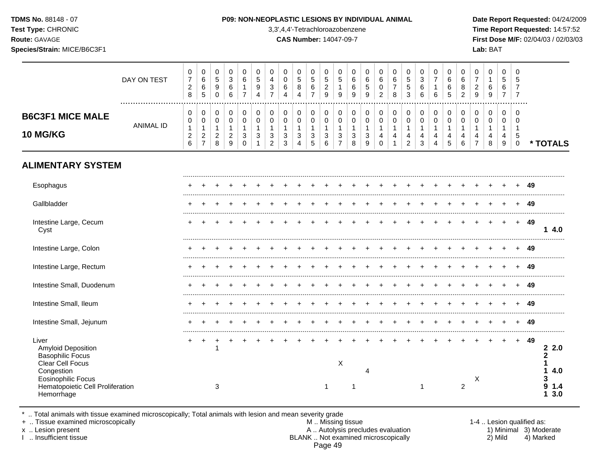**Test Type:** CHRONIC 3,3',4,4'-Tetrachloroazobenzene **Time Report Requested:** 14:57:52 **Route:** GAVAGE **CAS Number:** 14047-09-7 **First Dose M/F:** 02/04/03 / 02/03/03 **Species/Strain:** MICE/B6C3F1 **Lab:** BAT

|                                                                                                                                                                         | DAY ON TEST      | 0<br>$\boldsymbol{7}$<br>$\overline{c}$<br>8            | 0<br>$\,6$<br>$\,6$<br>$\overline{5}$                                     | 0<br>$\sqrt{5}$<br>9<br>$\mathbf 0$                      | 0<br>3<br>6<br>6                                       | 0<br>6<br>$\mathbf{1}$<br>$\overline{7}$                               | 0<br>$\sqrt{5}$<br>9<br>4                       | 0<br>4<br>$\mathbf{3}$<br>$\overline{7}$      | 0<br>$\pmb{0}$<br>$\,6$<br>4              | 0<br>$\sqrt{5}$<br>8<br>4                             | 0<br>$\sqrt{5}$<br>$\,6$<br>$\overline{7}$                                 | 0<br>5<br>$\overline{2}$<br>9              | 0<br>$\sqrt{5}$<br>$\mathbf{1}$<br>9                    | 0<br>$\,6$<br>6<br>9                       | 0<br>$\,6\,$<br>$\overline{5}$<br>9 | 0<br>$\,6\,$<br>$\mathbf 0$<br>$\overline{c}$                           | 0<br>$\,6$<br>$\boldsymbol{7}$<br>8                       | 0<br>$\overline{5}$<br>$\sqrt{5}$<br>$\mathbf{3}$                                | 0<br>3<br>6<br>6                                                  | 0<br>$\overline{7}$<br>$\mathbf{1}$<br>6             | 0<br>6<br>6<br>5                                                  | 0<br>6<br>8<br>$\overline{c}$                        | 0<br>$\overline{7}$<br>$\overline{c}$<br>$\boldsymbol{9}$ | 0<br>$\mathbf{1}$<br>6<br>$\boldsymbol{9}$      | 0<br>5<br>6<br>7                           | 0<br>5<br>$\overline{7}$<br>$\overline{7}$       |    |                                          |
|-------------------------------------------------------------------------------------------------------------------------------------------------------------------------|------------------|---------------------------------------------------------|---------------------------------------------------------------------------|----------------------------------------------------------|--------------------------------------------------------|------------------------------------------------------------------------|-------------------------------------------------|-----------------------------------------------|-------------------------------------------|-------------------------------------------------------|----------------------------------------------------------------------------|--------------------------------------------|---------------------------------------------------------|--------------------------------------------|-------------------------------------|-------------------------------------------------------------------------|-----------------------------------------------------------|----------------------------------------------------------------------------------|-------------------------------------------------------------------|------------------------------------------------------|-------------------------------------------------------------------|------------------------------------------------------|-----------------------------------------------------------|-------------------------------------------------|--------------------------------------------|--------------------------------------------------|----|------------------------------------------|
| <b>B6C3F1 MICE MALE</b><br><b>10 MG/KG</b>                                                                                                                              | <b>ANIMAL ID</b> | 0<br>$\mathbf 0$<br>$\mathbf{1}$<br>$\overline{a}$<br>6 | $\mathbf 0$<br>$\mathbf 0$<br>$\mathbf 1$<br>$\sqrt{2}$<br>$\overline{7}$ | $\mathbf 0$<br>$\mathbf 0$<br>1<br>$\boldsymbol{2}$<br>8 | 0<br>$\mathbf 0$<br>$\mathbf 1$<br>$\overline{2}$<br>9 | $\mathbf 0$<br>$\mathbf 0$<br>$\mathbf{1}$<br>$\mathbf{3}$<br>$\Omega$ | $\mathbf 0$<br>$\mathbf 0$<br>1<br>$\mathbf{3}$ | 0<br>0<br>$\mathbf{1}$<br>3<br>$\overline{c}$ | 0<br>0<br>$\mathbf{1}$<br>$\sqrt{3}$<br>3 | 0<br>$\mathbf 0$<br>$\mathbf{1}$<br>$\mathbf{3}$<br>4 | $\mathbf 0$<br>$\pmb{0}$<br>$\mathbf{1}$<br>$\ensuremath{\mathsf{3}}$<br>5 | 0<br>$\mathbf 0$<br>$\mathbf{1}$<br>3<br>6 | 0<br>$\mathbf 0$<br>$\mathbf{1}$<br>3<br>$\overline{7}$ | 0<br>$\mathbf 0$<br>$\mathbf{1}$<br>3<br>8 | 0<br>0<br>$\mathbf{1}$<br>3<br>9    | $\pmb{0}$<br>$\pmb{0}$<br>$\mathbf{1}$<br>$\overline{4}$<br>$\mathbf 0$ | $\boldsymbol{0}$<br>$\mathbf 0$<br>$\mathbf{1}$<br>4<br>1 | $\mathbf 0$<br>$\mathbf 0$<br>$\overline{1}$<br>$\overline{4}$<br>$\overline{2}$ | $\mathbf 0$<br>$\mathbf 0$<br>$\mathbf{1}$<br>$\overline{4}$<br>3 | $\mathbf 0$<br>$\mathbf 0$<br>$\mathbf{1}$<br>4<br>4 | $\mathbf 0$<br>$\mathbf 0$<br>$\mathbf{1}$<br>$\overline{4}$<br>5 | $\mathbf 0$<br>$\mathbf 0$<br>$\mathbf{1}$<br>4<br>6 | 0<br>0<br>$\mathbf{1}$<br>4<br>$\overline{7}$             | $\boldsymbol{0}$<br>0<br>$\mathbf{1}$<br>4<br>8 | 0<br>$\mathbf 0$<br>$\mathbf{1}$<br>4<br>9 | 0<br>$\Omega$<br>$\mathbf 1$<br>5<br>$\mathbf 0$ |    | * TOTALS                                 |
| <b>ALIMENTARY SYSTEM</b>                                                                                                                                                |                  |                                                         |                                                                           |                                                          |                                                        |                                                                        |                                                 |                                               |                                           |                                                       |                                                                            |                                            |                                                         |                                            |                                     |                                                                         |                                                           |                                                                                  |                                                                   |                                                      |                                                                   |                                                      |                                                           |                                                 |                                            |                                                  |    |                                          |
| Esophagus                                                                                                                                                               |                  |                                                         |                                                                           |                                                          |                                                        |                                                                        |                                                 |                                               |                                           |                                                       |                                                                            |                                            |                                                         |                                            |                                     |                                                                         |                                                           |                                                                                  |                                                                   |                                                      |                                                                   |                                                      |                                                           |                                                 |                                            |                                                  | 49 |                                          |
| Gallbladder                                                                                                                                                             |                  |                                                         |                                                                           |                                                          |                                                        |                                                                        |                                                 |                                               |                                           |                                                       |                                                                            |                                            |                                                         |                                            |                                     |                                                                         |                                                           |                                                                                  |                                                                   |                                                      |                                                                   |                                                      |                                                           |                                                 |                                            |                                                  | 49 |                                          |
| Intestine Large, Cecum<br>Cyst                                                                                                                                          |                  |                                                         |                                                                           |                                                          |                                                        |                                                                        |                                                 |                                               |                                           |                                                       |                                                                            |                                            |                                                         |                                            |                                     |                                                                         |                                                           |                                                                                  |                                                                   |                                                      |                                                                   |                                                      |                                                           |                                                 |                                            | $+$                                              | 49 | 14.0                                     |
| Intestine Large, Colon                                                                                                                                                  |                  |                                                         |                                                                           |                                                          |                                                        |                                                                        |                                                 |                                               |                                           |                                                       |                                                                            |                                            |                                                         |                                            |                                     |                                                                         |                                                           |                                                                                  |                                                                   |                                                      |                                                                   |                                                      |                                                           |                                                 |                                            |                                                  | 49 |                                          |
| Intestine Large, Rectum                                                                                                                                                 |                  |                                                         |                                                                           |                                                          |                                                        |                                                                        |                                                 |                                               |                                           |                                                       |                                                                            |                                            |                                                         |                                            |                                     |                                                                         |                                                           |                                                                                  |                                                                   |                                                      |                                                                   |                                                      |                                                           |                                                 |                                            |                                                  | 49 |                                          |
| Intestine Small, Duodenum                                                                                                                                               |                  |                                                         |                                                                           |                                                          |                                                        |                                                                        |                                                 |                                               |                                           |                                                       |                                                                            |                                            |                                                         |                                            |                                     |                                                                         |                                                           |                                                                                  |                                                                   |                                                      |                                                                   |                                                      |                                                           |                                                 |                                            |                                                  | 49 |                                          |
| Intestine Small, Ileum                                                                                                                                                  |                  |                                                         |                                                                           |                                                          |                                                        |                                                                        |                                                 |                                               |                                           |                                                       |                                                                            |                                            |                                                         |                                            |                                     |                                                                         |                                                           |                                                                                  |                                                                   |                                                      |                                                                   |                                                      |                                                           |                                                 |                                            |                                                  | 49 |                                          |
| Intestine Small, Jejunum                                                                                                                                                |                  |                                                         |                                                                           |                                                          |                                                        |                                                                        |                                                 |                                               |                                           |                                                       |                                                                            |                                            |                                                         |                                            |                                     |                                                                         |                                                           |                                                                                  |                                                                   |                                                      |                                                                   |                                                      |                                                           |                                                 |                                            |                                                  | 49 |                                          |
| Liver<br>Amyloid Deposition<br><b>Basophilic Focus</b><br>Clear Cell Focus<br>Congestion<br><b>Eosinophilic Focus</b><br>Hematopoietic Cell Proliferation<br>Hemorrhage |                  |                                                         | +                                                                         | $\ddot{}$<br>-1<br>3                                     |                                                        |                                                                        |                                                 |                                               |                                           |                                                       |                                                                            | 1                                          | X                                                       | 1                                          |                                     |                                                                         |                                                           |                                                                                  | 1                                                                 |                                                      |                                                                   | $\overline{2}$                                       | Χ                                                         |                                                 |                                            | $\ddot{}$                                        | 49 | 22.0<br>2<br>4.0<br>3<br>9<br>1.4<br>3.0 |

\* .. Total animals with tissue examined microscopically; Total animals with lesion and mean severity grade

+ .. Tissue examined microscopically M .. Missing tissue 1-4 .. Lesion qualified as: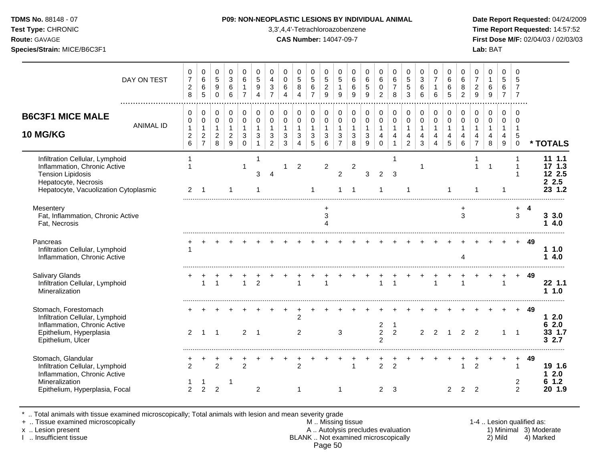**Test Type:** CHRONIC 3,3',4,4'-Tetrachloroazobenzene **Time Report Requested:** 14:57:52 **Route:** GAVAGE **CAS Number:** 14047-09-7 **First Dose M/F:** 02/04/03 / 02/03/03 **Species/Strain:** MICE/B6C3F1 **Lab:** BAT

|                                                                                                                                                              | DAY ON TEST      | 0<br>$\overline{7}$<br>$\overline{c}$<br>8    | 0<br>$\,6$<br>6<br>$\overline{5}$                                           | 0<br>5<br>9<br>$\mathbf 0$                              | 0<br>$\sqrt{3}$<br>6<br>6                                         | 0<br>6<br>1<br>$\overline{7}$                     | 0<br>5<br>9<br>4                                      | 0<br>$\overline{4}$<br>3<br>$\overline{7}$                     | 0<br>$\mathbf 0$<br>6<br>$\boldsymbol{\Lambda}$                    | 0<br>5<br>8<br>4                           | 0<br>5<br>6<br>$\overline{7}$                       | 0<br>$\sqrt{5}$<br>$\overline{c}$<br>$\boldsymbol{9}$ | 0<br>5<br>9                                                        | 0<br>6<br>6<br>9                          | 0<br>$\,6\,$<br>$\sqrt{5}$<br>9                   | 0<br>$\,6\,$<br>$\mathbf 0$<br>$\overline{2}$             | 0<br>$\,6$<br>$\overline{7}$<br>8                               | 0<br>5<br>5<br>3                                                   | 0<br>$\sqrt{3}$<br>6<br>6                               | 0<br>$\overline{7}$<br>6                   | 0<br>6<br>6<br>5                           | 0<br>6<br>8<br>$\overline{2}$                                  | 0<br>$\overline{7}$<br>$\overline{c}$<br>$\boldsymbol{9}$ | 0<br>$\mathbf{1}$<br>$\,6$<br>$9\,$                  | 0<br>5<br>6<br>$\overline{7}$                                  | 0<br>5<br>$\overline{7}$<br>$\overline{7}$              |     |                                            |
|--------------------------------------------------------------------------------------------------------------------------------------------------------------|------------------|-----------------------------------------------|-----------------------------------------------------------------------------|---------------------------------------------------------|-------------------------------------------------------------------|---------------------------------------------------|-------------------------------------------------------|----------------------------------------------------------------|--------------------------------------------------------------------|--------------------------------------------|-----------------------------------------------------|-------------------------------------------------------|--------------------------------------------------------------------|-------------------------------------------|---------------------------------------------------|-----------------------------------------------------------|-----------------------------------------------------------------|--------------------------------------------------------------------|---------------------------------------------------------|--------------------------------------------|--------------------------------------------|----------------------------------------------------------------|-----------------------------------------------------------|------------------------------------------------------|----------------------------------------------------------------|---------------------------------------------------------|-----|--------------------------------------------|
| <b>B6C3F1 MICE MALE</b><br><b>10 MG/KG</b>                                                                                                                   | <b>ANIMAL ID</b> | 0<br>0<br>$\mathbf{1}$<br>$\overline{c}$<br>6 | $\pmb{0}$<br>$\mathbf 0$<br>$\mathbf 1$<br>$\overline{c}$<br>$\overline{7}$ | 0<br>$\mathbf 0$<br>$\mathbf{1}$<br>$\overline{2}$<br>8 | $\mathbf 0$<br>$\mathbf 0$<br>$\mathbf{1}$<br>$\overline{c}$<br>9 | 0<br>$\mathbf 0$<br>$\mathbf{1}$<br>3<br>$\Omega$ | $\pmb{0}$<br>0<br>$\mathbf{1}$<br>3<br>$\overline{1}$ | 0<br>$\pmb{0}$<br>$\mathbf{1}$<br>$\sqrt{3}$<br>$\overline{2}$ | 0<br>$\mathsf 0$<br>$\mathbf{1}$<br>$\ensuremath{\mathsf{3}}$<br>3 | 0<br>$\mathbf 0$<br>$\mathbf{1}$<br>3<br>4 | 0<br>$\mathbf 0$<br>$\mathbf{1}$<br>$\sqrt{3}$<br>5 | 0<br>$\mathbf 0$<br>$\mathbf{1}$<br>$\sqrt{3}$<br>6   | 0<br>$\mathbf 0$<br>$\mathbf{1}$<br>$\mathbf{3}$<br>$\overline{7}$ | 0<br>0<br>$\mathbf{1}$<br>$\sqrt{3}$<br>8 | 0<br>$\pmb{0}$<br>$\mathbf{1}$<br>$\sqrt{3}$<br>9 | 0<br>$\mathsf{O}\xspace$<br>$\mathbf{1}$<br>4<br>$\Omega$ | $\mathbf 0$<br>$\pmb{0}$<br>$\mathbf{1}$<br>4<br>$\overline{1}$ | 0<br>$\pmb{0}$<br>$\mathbf{1}$<br>$\overline{4}$<br>$\overline{2}$ | 0<br>$\mathbf 0$<br>$\mathbf{1}$<br>$\overline{4}$<br>3 | 0<br>$\mathbf 0$<br>$\mathbf{1}$<br>4<br>4 | $\pmb{0}$<br>0<br>$\overline{1}$<br>4<br>5 | 0<br>$\pmb{0}$<br>$\mathbf{1}$<br>$\overline{\mathbf{4}}$<br>6 | 0<br>0<br>$\mathbf{1}$<br>4<br>$\overline{7}$             | $\mathbf 0$<br>$\mathbf 0$<br>$\mathbf{1}$<br>4<br>8 | $\Omega$<br>$\mathbf 0$<br>$\mathbf{1}$<br>$\overline{4}$<br>9 | $\Omega$<br>$\Omega$<br>1<br>$\,$ 5 $\,$<br>$\mathbf 0$ |     | * TOTALS                                   |
| Infiltration Cellular, Lymphoid<br>Inflammation, Chronic Active<br><b>Tension Lipidosis</b><br>Hepatocyte, Necrosis<br>Hepatocyte, Vacuolization Cytoplasmic |                  | $\overline{2}$                                |                                                                             |                                                         |                                                                   | 1                                                 | $\mathbf 1$<br>3                                      | $\boldsymbol{\Lambda}$                                         |                                                                    | $\overline{2}$                             |                                                     | $\overline{2}$                                        | $\overline{2}$                                                     | $\boldsymbol{2}$                          | 3                                                 | $\overline{2}$                                            | 1<br>3                                                          |                                                                    | $\overline{1}$                                          |                                            |                                            |                                                                | $\overline{1}$                                            | 1                                                    |                                                                |                                                         |     | 111.1<br>171.3<br>12 2.5<br>2.5<br>23 1.2  |
| Mesentery<br>Fat, Inflammation, Chronic Active<br>Fat, Necrosis                                                                                              |                  |                                               |                                                                             |                                                         |                                                                   |                                                   |                                                       |                                                                |                                                                    |                                            |                                                     | $\ddot{}$<br>$\sqrt{3}$                               |                                                                    |                                           |                                                   |                                                           |                                                                 |                                                                    |                                                         |                                            |                                            | $\ddot{}$<br>3                                                 |                                                           |                                                      |                                                                | $\ddot{}$<br>$\mathbf{3}$                               | 4   | 3.3.0<br>4.0<br>1                          |
| Pancreas<br>Infiltration Cellular, Lymphoid<br>Inflammation, Chronic Active                                                                                  |                  |                                               |                                                                             |                                                         |                                                                   |                                                   |                                                       |                                                                |                                                                    |                                            |                                                     |                                                       |                                                                    |                                           |                                                   |                                                           |                                                                 |                                                                    |                                                         |                                            |                                            | 4                                                              |                                                           |                                                      |                                                                |                                                         | -49 | 11.0<br>4.0<br>1                           |
| Salivary Glands<br>Infiltration Cellular, Lymphoid<br>Mineralization                                                                                         |                  | +                                             | $\mathbf{1}$                                                                |                                                         |                                                                   |                                                   | $\overline{2}$                                        |                                                                |                                                                    | $\overline{1}$                             |                                                     | $\overline{1}$                                        |                                                                    |                                           |                                                   | $\mathbf{1}$                                              | $\overline{1}$                                                  |                                                                    |                                                         | $\mathbf{1}$                               |                                            | 1                                                              |                                                           | $\ddot{}$                                            | $\ddot{}$<br>1                                                 | $+$                                                     | 49  | 22 1.1<br>11.0                             |
| Stomach, Forestomach<br>Infiltration Cellular, Lymphoid<br>Inflammation, Chronic Active<br>Epithelium, Hyperplasia<br>Epithelium, Ulcer                      |                  | $\overline{2}$                                | $\overline{1}$                                                              | $\overline{1}$                                          |                                                                   | 2                                                 | $\overline{1}$                                        |                                                                |                                                                    | $\overline{c}$<br>$\overline{2}$           |                                                     |                                                       | 3                                                                  |                                           |                                                   | $\overline{c}$<br>$\overline{2}$<br>$\mathfrak{p}$        | $\overline{1}$<br>$\overline{2}$                                |                                                                    | 2                                                       | 2                                          |                                            | $\mathcal{P}$                                                  | $\mathcal{P}$                                             |                                                      | $\mathbf{1}$                                                   | $\overline{1}$                                          | 49  | 12.0<br>62.0<br>33 1.7<br>32.7             |
| Stomach, Glandular<br>Infiltration Cellular, Lymphoid<br>Inflammation, Chronic Active<br>Mineralization<br>Epithelium, Hyperplasia, Focal                    |                  | $\mathfrak{p}$<br>2                           | $\overline{2}$                                                              | $\mathfrak{p}$<br>2                                     |                                                                   | $\mathfrak{p}$                                    | 2                                                     |                                                                |                                                                    | $\mathfrak{p}$<br>-1                       |                                                     |                                                       | -1                                                                 |                                           |                                                   | +<br>$\overline{2}$<br>$\overline{2}$                     | $\overline{2}$<br>3                                             |                                                                    |                                                         |                                            | 2                                          | 1<br>$\overline{2}$                                            | ÷<br>$\overline{2}$<br>$\overline{2}$                     |                                                      |                                                                | $\overline{1}$<br>$\overline{c}$<br>2                   | 49  | 19 1.6<br>2.0<br>1<br>$1.2$<br>6<br>20 1.9 |

\* .. Total animals with tissue examined microscopically; Total animals with lesion and mean severity grade

+ .. Tissue examined microscopically M .. Missing tissue 1-4 .. Lesion qualified as: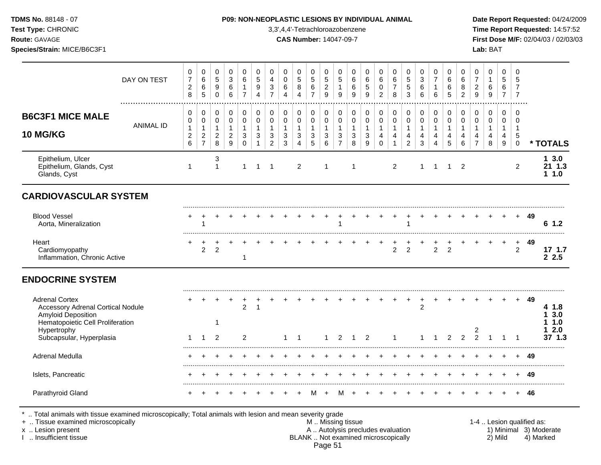**Test Type:** CHRONIC 3,3',4,4'-Tetrachloroazobenzene **Time Report Requested:** 14:57:52 **Route:** GAVAGE **CAS Number:** 14047-09-7 **First Dose M/F:** 02/04/03 / 02/03/03 **Species/Strain:** MICE/B6C3F1 **Lab:** BAT

|                                                                                         | DAY ON TEST      | 0<br>$\boldsymbol{7}$<br>$\overline{c}$   | 0<br>$\,6\,$<br>$\,6\,$       | $\mathbf 0$<br>5<br>9               | $\mathbf 0$<br>$\sqrt{3}$<br>$\,6\,$           | $\Omega$<br>6<br>$\mathbf{1}$    | $\mathbf 0$<br>$\sqrt{5}$<br>9               | 0<br>4<br>3                                  | $\mathbf 0$<br>$\mathsf 0$<br>$\,6$          | $\mathbf 0$<br>$\sqrt{5}$<br>$\bf 8$         | $\mathbf 0$<br>$\sqrt{5}$<br>$\,6\,$     | $\mathbf 0$<br>$\sqrt{5}$<br>$\overline{c}$ | 0<br>$\,$ 5 $\,$<br>$\mathbf{1}$             | 0<br>6<br>6                                    | $\mathbf 0$<br>$\,6$<br>$\overline{5}$ | $\mathbf 0$<br>$\,6\,$<br>0      | $\mathbf 0$<br>6<br>$\overline{7}$ | 0<br>$\sqrt{5}$<br>5            | 0<br>$\ensuremath{\mathsf{3}}$<br>6 | $\mathbf 0$<br>$\overline{7}$<br>$\mathbf{1}$ | $\mathbf 0$<br>$6\phantom{1}6$<br>6 | $\mathbf 0$<br>$\,6\,$<br>8 | 0<br>$\overline{7}$<br>$\boldsymbol{2}$ | 0<br>$\mathbf{1}$<br>6   | $\Omega$<br>$\overline{5}$<br>6       | $\mathbf 0$<br>5<br>7       |      |                        |
|-----------------------------------------------------------------------------------------|------------------|-------------------------------------------|-------------------------------|-------------------------------------|------------------------------------------------|----------------------------------|----------------------------------------------|----------------------------------------------|----------------------------------------------|----------------------------------------------|------------------------------------------|---------------------------------------------|----------------------------------------------|------------------------------------------------|----------------------------------------|----------------------------------|------------------------------------|---------------------------------|-------------------------------------|-----------------------------------------------|-------------------------------------|-----------------------------|-----------------------------------------|--------------------------|---------------------------------------|-----------------------------|------|------------------------|
|                                                                                         |                  | 8                                         | $\sqrt{5}$                    | $\Omega$                            | $\,6\,$                                        | $\overline{7}$                   | $\overline{4}$                               | $\overline{7}$                               | $\overline{4}$                               | 4                                            | $\overline{7}$                           | $\boldsymbol{9}$                            | 9                                            | 9                                              | 9                                      | $\overline{2}$                   | 8                                  | 3                               | 6                                   | $\,6\,$                                       | 5                                   | $\overline{c}$              | 9                                       | 9                        | $\overline{7}$                        | $\overline{7}$              |      |                        |
| <b>B6C3F1 MICE MALE</b>                                                                 |                  | $\pmb{0}$<br>$\mathbf 0$                  | 0<br>$\mathbf 0$              | 0<br>$\mathbf 0$                    | 0<br>$\mathbf 0$                               | $\pmb{0}$<br>$\mathbf 0$         | 0<br>$\mathbf 0$                             | $\pmb{0}$<br>$\mathbf 0$                     | 0<br>$\mathbf 0$                             | $\pmb{0}$<br>$\mathbf 0$                     | $\mathbf 0$<br>$\mathbf 0$               | 0<br>$\mathbf 0$                            | 0<br>$\mathbf 0$                             | $\mathbf 0$<br>$\mathbf 0$                     | 0<br>$\mathbf 0$                       | $\mathbf 0$<br>$\mathbf 0$       | $\pmb{0}$<br>$\mathbf 0$           | 0<br>$\mathbf 0$                | 0<br>$\mathbf 0$                    | 0<br>$\mathbf 0$                              | $\mathbf 0$<br>$\mathbf 0$          | 0<br>$\mathbf 0$            | 0<br>$\mathbf 0$                        | $\pmb{0}$<br>$\mathbf 0$ | $\mathbf 0$<br>$\Omega$               | $\mathbf 0$<br>$\Omega$     |      |                        |
| <b>10 MG/KG</b>                                                                         | <b>ANIMAL ID</b> | $\mathbf{1}$<br>$\boldsymbol{2}$<br>$\,6$ | $\mathbf{1}$<br>$\frac{2}{7}$ | $\mathbf{1}$<br>$\overline{c}$<br>8 | $\mathbf{1}$<br>$\sqrt{2}$<br>$\boldsymbol{9}$ | $\mathbf{1}$<br>3<br>$\mathbf 0$ | $\mathbf{1}$<br>$\mathbf{3}$<br>$\mathbf{1}$ | $\mathbf{1}$<br>$\sqrt{3}$<br>$\overline{c}$ | $\mathbf{1}$<br>$\mathbf{3}$<br>$\mathbf{3}$ | $\mathbf{1}$<br>$\sqrt{3}$<br>$\overline{4}$ | $\mathbf{1}$<br>$\sqrt{3}$<br>$\sqrt{5}$ | $\mathbf{1}$<br>$\mathfrak{S}$<br>6         | $\mathbf{1}$<br>$\sqrt{3}$<br>$\overline{7}$ | $\mathbf{1}$<br>$\ensuremath{\mathsf{3}}$<br>8 | $\mathbf{1}$<br>$\sqrt{3}$<br>9        | $\mathbf{1}$<br>4<br>$\mathbf 0$ | $\mathbf{1}$<br>4<br>$\mathbf{1}$  | $\mathbf{1}$<br>4<br>$\sqrt{2}$ | $\mathbf{1}$<br>4<br>3              | $\mathbf{1}$<br>4<br>4                        | $\mathbf{1}$<br>4<br>5              | $\mathbf{1}$<br>4<br>6      | $\mathbf{1}$<br>4<br>$\overline{7}$     | $\mathbf{1}$<br>4<br>8   | $\mathbf{1}$<br>4<br>$\boldsymbol{9}$ | 1<br>5<br>$\Omega$          |      | * TOTALS               |
| Epithelium, Ulcer<br>Epithelium, Glands, Cyst<br>Glands, Cyst                           |                  | $\mathbf 1$                               |                               | 3<br>1                              |                                                | 1                                | $\mathbf 1$                                  | -1                                           |                                              | 2                                            |                                          | -1                                          |                                              | -1                                             |                                        |                                  | $\overline{2}$                     |                                 | 1                                   | -1                                            | $\mathbf 1$                         | $\overline{2}$              |                                         |                          |                                       | $\overline{c}$              |      | 13.0<br>21 1.3<br>11.0 |
| <b>CARDIOVASCULAR SYSTEM</b>                                                            |                  |                                           |                               |                                     |                                                |                                  |                                              |                                              |                                              |                                              |                                          |                                             |                                              |                                                |                                        |                                  |                                    |                                 |                                     |                                               |                                     |                             |                                         |                          |                                       |                             |      |                        |
| <b>Blood Vessel</b><br>Aorta, Mineralization                                            |                  |                                           |                               |                                     |                                                |                                  |                                              |                                              |                                              |                                              |                                          |                                             |                                              |                                                |                                        |                                  |                                    |                                 |                                     |                                               |                                     |                             |                                         |                          |                                       | $+$                         | -49  | 6 1.2                  |
| Heart<br>Cardiomyopathy<br>Inflammation, Chronic Active                                 |                  | +                                         | +<br>$\overline{c}$           | $\overline{c}$                      |                                                | 1                                |                                              |                                              |                                              |                                              |                                          |                                             |                                              |                                                |                                        |                                  | $\overline{2}$                     | $\overline{c}$                  |                                     | $\overline{2}$                                | $\overline{c}$                      |                             |                                         |                          |                                       | $\ddot{}$<br>$\overline{c}$ | 49   | 171.7<br>2.5           |
| <b>ENDOCRINE SYSTEM</b>                                                                 |                  |                                           |                               |                                     |                                                |                                  |                                              |                                              |                                              |                                              |                                          |                                             |                                              |                                                |                                        |                                  |                                    |                                 |                                     |                                               |                                     |                             |                                         |                          |                                       |                             |      |                        |
| <b>Adrenal Cortex</b><br><b>Accessory Adrenal Cortical Nodule</b><br>Amyloid Deposition |                  |                                           |                               |                                     |                                                | $\overline{c}$                   | $\mathbf{1}$                                 |                                              |                                              |                                              |                                          |                                             |                                              |                                                |                                        |                                  |                                    |                                 | $\overline{c}$                      |                                               |                                     |                             |                                         |                          |                                       | $+$                         | - 49 | 4 1.8<br>3.0           |
| Hematopoietic Cell Proliferation<br>Hypertrophy<br>Subcapsular, Hyperplasia             |                  | $\mathbf{1}$                              | $\mathbf{1}$                  | 1<br>2                              |                                                | $\overline{c}$                   |                                              |                                              | 1                                            | $\overline{1}$                               |                                          | $\mathbf 1$                                 | 2                                            | 1                                              | $\overline{2}$                         |                                  | 1                                  |                                 |                                     |                                               | 2                                   | 2                           | 2<br>$\overline{2}$                     |                          |                                       |                             |      | 1.0<br>2.0<br>37 1.3   |
| Adrenal Medulla                                                                         |                  |                                           |                               |                                     |                                                |                                  |                                              |                                              |                                              |                                              |                                          |                                             |                                              |                                                |                                        |                                  |                                    |                                 |                                     |                                               |                                     |                             |                                         |                          |                                       |                             | 49   |                        |
| Islets, Pancreatic                                                                      |                  |                                           |                               |                                     |                                                |                                  |                                              |                                              |                                              |                                              |                                          |                                             |                                              |                                                |                                        |                                  |                                    |                                 |                                     |                                               |                                     |                             |                                         |                          |                                       | $\ddot{}$                   | 49   |                        |
| Parathyroid Gland                                                                       |                  | $\div$                                    |                               |                                     |                                                |                                  |                                              |                                              |                                              |                                              | M                                        | $\overline{+}$                              | м                                            |                                                |                                        |                                  |                                    |                                 |                                     |                                               |                                     |                             |                                         |                          |                                       | $\ddot{}$                   | 46   |                        |

Page 51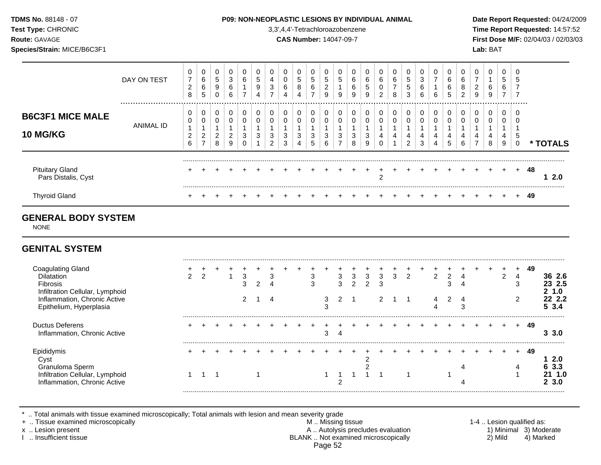| <b>TDMS No. 88148 - 07</b> |
|----------------------------|
| <b>Test Type: CHRONIC</b>  |
|                            |

#### **P09: NON-NEOPLASTIC LESIONS BY INDIVIDUAL ANIMAL Date Report Requested:** 04/24/2009

**Time Report Requested:** 14:57:52 **Route:** GAVAGE **CAS Number:** 14047-09-7 **First Dose M/F:** 02/04/03 / 02/03/03 **Species/Strain:** MICE/B6C3F1 **Lab:** BAT

| <b>GENITAL SYSTEM</b>                         |                 |                  |                  |                  |                               |                          |                  |                  |   |                            |                          |                                   |             |             |             |                          |                               |                  |                  |        |                  |        |                     |             |                               |                         |           |
|-----------------------------------------------|-----------------|------------------|------------------|------------------|-------------------------------|--------------------------|------------------|------------------|---|----------------------------|--------------------------|-----------------------------------|-------------|-------------|-------------|--------------------------|-------------------------------|------------------|------------------|--------|------------------|--------|---------------------|-------------|-------------------------------|-------------------------|-----------|
| <b>GENERAL BODY SYSTEM</b><br><b>NONE</b>     |                 |                  |                  |                  |                               |                          |                  |                  |   |                            |                          |                                   |             |             |             |                          |                               |                  |                  |        |                  |        |                     |             |                               |                         |           |
| <b>Thyroid Gland</b>                          |                 | $\pm$            |                  |                  |                               |                          |                  |                  |   |                            |                          |                                   |             |             |             |                          |                               |                  |                  |        |                  |        |                     |             |                               | $+$                     | 49        |
| <b>Pituitary Gland</b><br>Pars Distalis, Cyst |                 |                  |                  |                  |                               |                          |                  |                  |   |                            |                          |                                   |             |             |             | 2                        |                               |                  |                  |        |                  |        |                     |             |                               | $\ddot{}$               | 48<br>2.0 |
| <b>B6C3F1 MICE MALE</b><br><b>10 MG/KG</b>    | ANIMAL ID       | 0<br>2<br>6      | 0<br>0<br>2      | 0<br>0<br>2<br>8 | 0<br>0<br>$\overline{a}$<br>9 | 0<br>3<br>0              | 0<br>0<br>3      | 0<br>0<br>3<br>2 | 3 | 0<br>0<br>3<br>4           | 0<br>0<br>3<br>5         | 0<br>0<br>3<br>6                  | 0<br>0<br>3 | 0<br>3<br>8 | 0<br>3<br>9 | 0<br>4                   | 0<br>0                        | 0<br>0<br>4<br>2 | $\mathbf 0$<br>3 | 0<br>4 | 0<br>5           | 0<br>6 | 0                   | 0<br>0<br>8 | 0<br>0<br>4<br>9              | 5<br>$\mathbf 0$        | * TOTALS  |
|                                               | DAY ON TEST<br> | 0<br>7<br>2<br>8 | 0<br>6<br>6<br>5 | 0<br>5<br>9<br>0 | 0<br>3<br>6<br>6              | 0<br>6<br>$\overline{ }$ | 0<br>5<br>9<br>4 | 0<br>4<br>3<br>7 | 4 | 0<br>$\,$ 5 $\,$<br>8<br>4 | 5<br>6<br>$\overline{7}$ | 5<br>$\overline{\mathbf{c}}$<br>9 | 0<br>5<br>9 | 6<br>6<br>9 | 6<br>5<br>9 | 0<br>6<br>$\overline{c}$ | 0<br>6<br>$\overline{ }$<br>8 | 0<br>5<br>5<br>3 | 3<br>6<br>6      | 6      | 0<br>6<br>6<br>5 | 6<br>2 | $\overline{c}$<br>9 | 0<br>6<br>9 | 0<br>5<br>6<br>$\overline{7}$ | 5<br>$\overline{7}$<br> |           |

| <b>Coagulating Gland</b><br><b>Dilatation</b><br><b>Fibrosis</b><br>Infiltration Cellular, Lymphoid<br>Inflammation, Chronic Active<br>Epithelium, Hyperplasia |  |  | 3<br>3 | Δ |  | 3<br>3 | 3<br>3<br>$\mathcal{P}$ | 3 | ົ | 3 | 3 | 2 |  | 4 |  | $\sqrt{2}$ | 49 | 36 2.6<br>23 2.5<br>.0<br>3.4 |
|----------------------------------------------------------------------------------------------------------------------------------------------------------------|--|--|--------|---|--|--------|-------------------------|---|---|---|---|---|--|---|--|------------|----|-------------------------------|
| <b>Ductus Deferens</b><br>Inflammation, Chronic Active                                                                                                         |  |  |        |   |  |        |                         |   |   |   |   |   |  |   |  |            | 49 | 3.0                           |
| Epididymis<br>Cyst<br>Granuloma Sperm<br>Infiltration Cellular, Lymphoid<br>Inflammation, Chronic Active                                                       |  |  |        |   |  |        |                         |   |   |   |   |   |  |   |  | $\pm$      | 49 | 2.0<br>1.0<br>3.0             |

\* .. Total animals with tissue examined microscopically; Total animals with lesion and mean severity grade<br>+ .. Tissue examined microscopically

+ .. Tissue examined microscopically  $M$ .. Missing tissue 1-4 .. Lesion qualified as: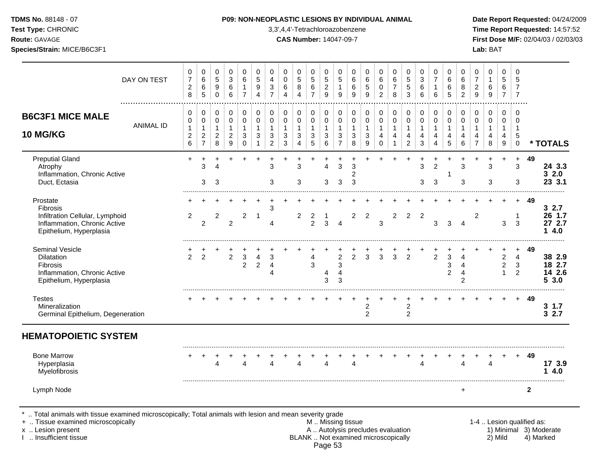**Test Type:** CHRONIC 3,3',4,4'-Tetrachloroazobenzene **Time Report Requested:** 14:57:52 **Route:** GAVAGE **CAS Number:** 14047-09-7 **First Dose M/F:** 02/04/03 / 02/03/03

|                                                                                                                                                                                            | DAY ON TEST      | 0<br>$\overline{7}$<br>$\overline{c}$<br>$\,8\,$                     | 0<br>$\,6$<br>$\,6\,$<br>5                                 | 0<br>$\sqrt{5}$<br>9<br>$\mathbf 0$                 | 0<br>$\mathbf{3}$<br>6<br>6                                                | 0<br>6<br>$\mathbf{1}$<br>$\overline{7}$   | 0<br>5<br>9<br>$\overline{4}$                   | 0<br>$\overline{4}$<br>$\ensuremath{\mathsf{3}}$<br>$\overline{7}$ | 0<br>0<br>$\,6$<br>4                       | 0<br>5<br>8<br>4                                | $\mathbf 0$<br>5<br>6<br>$\overline{7}$          | 0<br>$\overline{5}$<br>$\boldsymbol{2}$<br>$\boldsymbol{9}$ | 0<br>5<br>$\mathbf{1}$<br>9                                                                  | 0<br>6<br>6<br>9                         | 0<br>$\,6\,$<br>$\sqrt{5}$<br>9                       | 0<br>$6\phantom{1}6$<br>$\mathbf 0$<br>$\overline{c}$ | 0<br>6<br>$\overline{7}$<br>8                                 | 0<br>5<br>$\sqrt{5}$<br>3                                        | 0<br>$\mathbf{3}$<br>6<br>6                         | 0<br>$\overline{7}$<br>$\mathbf{1}$<br>6   | 0<br>6<br>6<br>5                        | 0<br>6<br>8<br>$\overline{c}$                                            | 0<br>$\overline{7}$<br>$\sqrt{2}$<br>$\overline{9}$             | 0<br>$\mathbf{1}$<br>6<br>9                   | 0<br>5<br>6<br>$\overline{7}$                                       | 0<br>5<br>$\overline{7}$<br>$\overline{7}$                    |                           |                                     |
|--------------------------------------------------------------------------------------------------------------------------------------------------------------------------------------------|------------------|----------------------------------------------------------------------|------------------------------------------------------------|-----------------------------------------------------|----------------------------------------------------------------------------|--------------------------------------------|-------------------------------------------------|--------------------------------------------------------------------|--------------------------------------------|-------------------------------------------------|--------------------------------------------------|-------------------------------------------------------------|----------------------------------------------------------------------------------------------|------------------------------------------|-------------------------------------------------------|-------------------------------------------------------|---------------------------------------------------------------|------------------------------------------------------------------|-----------------------------------------------------|--------------------------------------------|-----------------------------------------|--------------------------------------------------------------------------|-----------------------------------------------------------------|-----------------------------------------------|---------------------------------------------------------------------|---------------------------------------------------------------|---------------------------|-------------------------------------|
| <b>B6C3F1 MICE MALE</b><br>10 MG/KG                                                                                                                                                        | <b>ANIMAL ID</b> | 0<br>$\mathbf 0$<br>$\mathbf{1}$<br>$\overline{c}$<br>$6\phantom{a}$ | 0<br>0<br>$\mathbf{1}$<br>$\overline{c}$<br>$\overline{7}$ | 0<br>0<br>$\mathbf{1}$<br>$\overline{c}$<br>$\bf 8$ | $\mathbf 0$<br>$\mathbf 0$<br>$\mathbf{1}$<br>$\sqrt{2}$<br>$\overline{9}$ | 0<br>0<br>$\mathbf{1}$<br>3<br>$\mathbf 0$ | $\mathbf 0$<br>$\mathbf 0$<br>$\mathbf{1}$<br>3 | $\pmb{0}$<br>$\mathbf 0$<br>$\mathbf{1}$<br>3<br>$\overline{2}$    | 0<br>$\mathsf 0$<br>$\mathbf{1}$<br>3<br>3 | 0<br>0<br>$\overline{1}$<br>3<br>$\overline{4}$ | 0<br>$\Omega$<br>$\mathbf{1}$<br>$\sqrt{3}$<br>5 | 0<br>$\mathbf 0$<br>$\mathbf{1}$<br>$\mathbf{3}$<br>$\,6\,$ | 0<br>$\mathbf 0$<br>$\mathbf{1}$<br>3<br>$\overline{7}$                                      | 0<br>$\pmb{0}$<br>$\mathbf{1}$<br>3<br>8 | 0<br>$\mathbf 0$<br>$\mathbf{1}$<br>$\mathbf{3}$<br>9 | 0<br>$\mathbf 0$<br>1<br>4<br>$\mathbf 0$             | $\pmb{0}$<br>$\mathbf 0$<br>$\mathbf{1}$<br>4<br>$\mathbf{1}$ | 0<br>$\mathbf 0$<br>$\mathbf{1}$<br>$\overline{4}$<br>$\sqrt{2}$ | 0<br>$\mathbf 0$<br>$\mathbf{1}$<br>4<br>$\sqrt{3}$ | 0<br>$\mathbf 0$<br>$\mathbf{1}$<br>4<br>4 | 0<br>$\Omega$<br>$\mathbf{1}$<br>4<br>5 | $\,0\,$<br>$\pmb{0}$<br>$\mathbf{1}$<br>$\overline{4}$<br>$6\phantom{1}$ | $\pmb{0}$<br>$\mathbf 0$<br>$\mathbf{1}$<br>4<br>$\overline{7}$ | 0<br>$\Omega$<br>$\mathbf{1}$<br>4<br>$\bf 8$ | $\mathbf 0$<br>$\mathbf 0$<br>$\mathbf{1}$<br>4<br>$\boldsymbol{9}$ | $\mathbf 0$<br>$\Omega$<br>$\overline{1}$<br>5<br>$\mathbf 0$ |                           | * TOTALS                            |
| <b>Preputial Gland</b><br>Atrophy<br>Inflammation, Chronic Active<br>Duct, Ectasia                                                                                                         |                  | $\ddot{}$                                                            | 3<br>3                                                     | 3                                                   |                                                                            |                                            |                                                 | 3<br>3                                                             | $\ddot{}$                                  | 3<br>3                                          |                                                  | л<br>3                                                      | 3<br>3                                                                                       | 3<br>2<br>3                              |                                                       |                                                       |                                                               |                                                                  | $\ddot{}$<br>3<br>3                                 | $\overline{c}$<br>3                        | 1                                       | 3<br>3                                                                   | ÷.                                                              | 3<br>3                                        | $\ddot{}$                                                           | $\ddot{}$<br>3<br>3                                           | 49                        | 24 3.3<br>32.0<br>23 3.1            |
| Prostate<br>Fibrosis<br>Infiltration Cellular, Lymphoid<br>Inflammation, Chronic Active<br>Epithelium, Hyperplasia                                                                         |                  | $\overline{2}$                                                       | $\overline{2}$                                             | 2                                                   | $\overline{2}$                                                             | $\overline{c}$                             | -1                                              | 3<br>4                                                             |                                            | 2                                               | 2<br>$\overline{2}$                              | -1<br>3                                                     | $\overline{4}$                                                                               | 2                                        | 2                                                     | 3                                                     | $\overline{2}$                                                | $\overline{2}$                                                   | $\overline{2}$                                      | 3                                          | 3                                       | $\overline{4}$                                                           | 2                                                               |                                               | $\ddot{}$<br>3                                                      | $+$<br>$\mathbf{1}$<br>3                                      | - 49                      | 32.7<br>26 1.7<br>27 2.7<br>14.0    |
| Seminal Vesicle<br>Dilatation<br><b>Fibrosis</b><br>Inflammation, Chronic Active<br>Epithelium, Hyperplasia                                                                                |                  | 2                                                                    | $\overline{2}$                                             |                                                     | $\overline{2}$                                                             | $\mathbf{3}$<br>$\overline{2}$             | 4<br>$\boldsymbol{2}$                           | 3<br>4<br>4                                                        |                                            |                                                 | 4<br>3                                           | $\overline{4}$<br>3                                         | $\overline{c}$<br>3<br>4<br>3                                                                | $\overline{2}$                           | 3                                                     | $\mathbf{3}$                                          | 3                                                             | $\overline{2}$                                                   |                                                     | $\overline{2}$                             | 3<br>3<br>2                             | $\overline{4}$<br>$\overline{4}$<br>$\overline{4}$<br>$\overline{2}$     |                                                                 |                                               | $\boldsymbol{2}$<br>$\boldsymbol{2}$<br>$\mathbf{1}$                | $\ddot{}$<br>$\overline{4}$<br>$\ensuremath{\mathsf{3}}$<br>2 | 49                        | 38 2.9<br>18 2.7<br>14 2.6<br>53.0  |
| <b>Testes</b><br>Mineralization<br>Germinal Epithelium, Degeneration                                                                                                                       |                  |                                                                      |                                                            |                                                     |                                                                            |                                            |                                                 |                                                                    |                                            |                                                 |                                                  |                                                             |                                                                                              |                                          | $\overline{2}$<br>$\overline{2}$                      |                                                       |                                                               | $\overline{c}$<br>$\overline{2}$                                 |                                                     |                                            |                                         |                                                                          |                                                                 |                                               |                                                                     | $+$                                                           | 49                        | $3 \t1.7$<br>32.7                   |
| <b>HEMATOPOIETIC SYSTEM</b>                                                                                                                                                                |                  |                                                                      |                                                            |                                                     |                                                                            |                                            |                                                 |                                                                    |                                            |                                                 |                                                  |                                                             |                                                                                              |                                          |                                                       |                                                       |                                                               |                                                                  |                                                     |                                            |                                         |                                                                          |                                                                 |                                               |                                                                     |                                                               |                           |                                     |
| <b>Bone Marrow</b><br>Hyperplasia<br>Myelofibrosis                                                                                                                                         |                  |                                                                      |                                                            | 4                                                   |                                                                            | $\Delta$                                   |                                                 | Δ                                                                  |                                            | 4                                               |                                                  | 4                                                           |                                                                                              | 4                                        |                                                       |                                                       |                                                               |                                                                  | $\overline{4}$                                      |                                            |                                         | $\Delta$                                                                 |                                                                 | $\overline{\mathbf{4}}$                       |                                                                     | $+$                                                           | 49                        | 17 3.9<br>14.0                      |
| Lymph Node                                                                                                                                                                                 |                  |                                                                      |                                                            |                                                     |                                                                            |                                            |                                                 |                                                                    |                                            |                                                 |                                                  |                                                             |                                                                                              |                                          |                                                       |                                                       |                                                               |                                                                  |                                                     |                                            |                                         | $\ddot{}$                                                                |                                                                 |                                               |                                                                     |                                                               | $\overline{2}$            |                                     |
| Total animals with tissue examined microscopically; Total animals with lesion and mean severity grade<br>+  Tissue examined microscopically<br>x  Lesion present<br>1  Insufficient tissue |                  |                                                                      |                                                            |                                                     |                                                                            |                                            |                                                 |                                                                    |                                            |                                                 |                                                  |                                                             | M Missing tissue<br>A  Autolysis precludes evaluation<br>BLANK  Not examined microscopically |                                          |                                                       |                                                       |                                                               |                                                                  |                                                     |                                            |                                         |                                                                          |                                                                 |                                               | 2) Mild                                                             |                                                               | 1-4  Lesion qualified as: | 1) Minimal 3) Moderate<br>4) Marked |

Page 53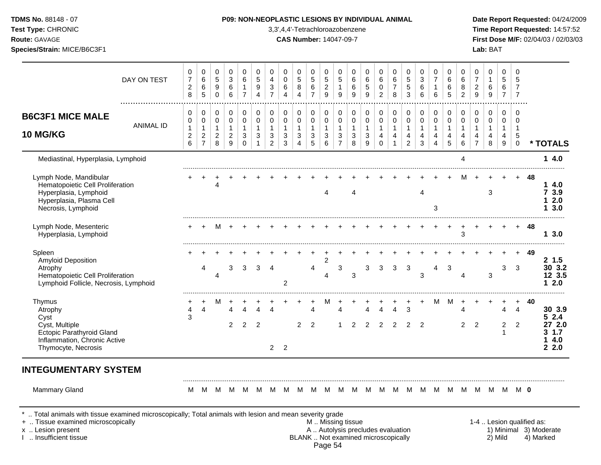| <b>TDMS No. 88148 - 07</b><br>Test Type: CHRONIC<br><b>Route: GAVAGE</b><br>Species/Strain: MICE/B6C3F1 |             |                                            |                  |                  |                  |                  |                  |                               |                            |             |                                              |                                          | <b>P09: NON-NEOPLASTIC LESIONS BY INDIVIDUAL ANIMAL</b><br>3,3',4,4'-Tetrachloroazobenzene<br><b>CAS Number: 14047-09-7</b> |                            |                        |                  |                                   |                               |             |                          |                            |                               |                          | Lab: BAT         |                               | Date Report Requ<br><b>Time Report Req</b><br>First Dose M/F: 0 |
|---------------------------------------------------------------------------------------------------------|-------------|--------------------------------------------|------------------|------------------|------------------|------------------|------------------|-------------------------------|----------------------------|-------------|----------------------------------------------|------------------------------------------|-----------------------------------------------------------------------------------------------------------------------------|----------------------------|------------------------|------------------|-----------------------------------|-------------------------------|-------------|--------------------------|----------------------------|-------------------------------|--------------------------|------------------|-------------------------------|-----------------------------------------------------------------|
|                                                                                                         | DAY ON TEST | 0<br>$\overline{7}$<br>$\overline{2}$<br>8 | 0<br>6<br>6<br>5 | 0<br>5<br>9<br>0 | 0<br>3<br>6<br>6 | 0<br>6           | 0<br>5<br>9<br>4 | 0<br>4<br>3<br>$\overline{7}$ | 0<br>$\mathbf 0$<br>6<br>4 | 0<br>5<br>8 | 0<br>$\sqrt{5}$<br>$\,6\,$<br>$\overline{ }$ | 0<br>$\sqrt{5}$<br>$\boldsymbol{2}$<br>9 | 0<br>5<br>9                                                                                                                 | 0<br>6<br>6<br>9           | 0<br>$\,6\,$<br>5<br>9 | 0<br>6<br>0<br>2 | 0<br>$\,6$<br>$\overline{z}$<br>8 | 0<br>5<br>5<br>3              | 3<br>6<br>6 | 0<br>$\overline{ }$<br>6 | 0<br>6<br>6<br>5           | 0<br>6<br>8<br>$\overline{2}$ | $\overline{7}$<br>2<br>9 | 0<br>6<br>9      | 0<br>5<br>6<br>$\overline{ }$ | 5<br>7                                                          |
| <b>B6C3F1 MICE MALE</b><br><b>10 MG/KG</b>                                                              | ANIMAL ID   | 0<br>0<br>$\overline{2}$<br>6              | 0<br>2<br>-      | 0<br>0<br>2<br>8 | 0<br>2<br>9      | 0<br>0<br>3<br>0 | 0<br>0<br>3      | 0<br>0<br>3<br>$\overline{2}$ | 0<br>0<br>3<br>3           | 0<br>0<br>3 | 0<br>0<br>3<br>5                             | $\mathbf 0$<br>3<br>6                    | 0<br>0<br>3<br>$\overline{\phantom{0}}$                                                                                     | 0<br>$\mathbf 0$<br>3<br>8 | 0<br>0<br>3<br>9       | 0<br>0<br>4      | 0<br>0<br>4                       | 0<br>0<br>4<br>$\overline{2}$ | 0<br>3      | $\mathbf 0$<br>0<br>4    | $\mathbf 0$<br>0<br>4<br>5 | 0<br>0<br>4<br>6              | 0                        | 0<br>0<br>4<br>8 | 0<br>0<br>4<br>9              | 0<br>5<br>0                                                     |
| Mediastinal, Hyperplasia, Lymphoid                                                                      |             |                                            |                  |                  |                  |                  |                  |                               |                            |             |                                              |                                          |                                                                                                                             |                            |                        |                  |                                   |                               |             |                          |                            | 4                             |                          |                  |                               |                                                                 |

# Date Report Requested: 04/24/2009 **Time Report Requested: 14:57:52 First Dose M/F:** 02/04/03 / 02/03/03

| <b>B6C3F1 MICE MALE</b>                                                                                                               | 0<br>0                              | 0<br>0                                                   | 0<br>0                              | 0<br>0                              | 0<br>$\mathbf 0$   | 0<br>0         | 0<br>0                   | 0<br>$\mathbf 0$                  | 0<br>0                 | 0<br>0                           | 0<br>0                 | 0<br>0                              | 0<br>$\pmb{0}$         | 0<br>$\pmb{0}$                  | 0<br>$\pmb{0}$                 | 0<br>$\pmb{0}$         | 0<br>$\pmb{0}$                      | 0<br>$\mathbf 0$       | 0<br>0 | 0<br>$\mathbf 0$ | 0<br>0                                     | 0<br>$\mathbf 0$          | 0<br>0                 | $\Omega$<br>0          | $\Omega$<br>0                    |    |                                                   |
|---------------------------------------------------------------------------------------------------------------------------------------|-------------------------------------|----------------------------------------------------------|-------------------------------------|-------------------------------------|--------------------|----------------|--------------------------|-----------------------------------|------------------------|----------------------------------|------------------------|-------------------------------------|------------------------|---------------------------------|--------------------------------|------------------------|-------------------------------------|------------------------|--------|------------------|--------------------------------------------|---------------------------|------------------------|------------------------|----------------------------------|----|---------------------------------------------------|
| <b>ANIMAL ID</b><br><b>10 MG/KG</b>                                                                                                   | $\mathbf{1}$<br>$\overline{c}$<br>6 | $\mathbf 1$<br>$\overline{\mathbf{c}}$<br>$\overline{7}$ | $\mathbf{1}$<br>$\overline{c}$<br>8 | $\mathbf{1}$<br>$\overline{c}$<br>9 | 1<br>3<br>$\Omega$ | 1<br>3         | 1<br>3<br>$\overline{c}$ | $\mathbf{1}$<br>$\mathbf{3}$<br>3 | $\mathbf{1}$<br>3<br>4 | $\mathbf{1}$<br>3<br>5           | $\mathbf{1}$<br>3<br>6 | $\mathbf{1}$<br>3<br>$\overline{7}$ | $\mathbf{1}$<br>3<br>8 | $\mathbf{1}$<br>$\sqrt{3}$<br>9 | $\mathbf{1}$<br>4<br>$\pmb{0}$ | $\mathbf{1}$<br>4<br>1 | $\mathbf{1}$<br>4<br>$\overline{c}$ | $\mathbf{1}$<br>4<br>3 |        | 1<br>4<br>5      | 4<br>6                                     | -1<br>4<br>$\overline{7}$ | $\mathbf{1}$<br>4<br>8 | $\mathbf{1}$<br>4<br>9 | $\mathbf 1$<br>5<br>$\mathbf 0$  |    | * TOTALS                                          |
| Mediastinal, Hyperplasia, Lymphoid                                                                                                    |                                     |                                                          |                                     |                                     |                    |                |                          |                                   |                        |                                  |                        |                                     |                        |                                 |                                |                        |                                     |                        |        |                  |                                            |                           |                        |                        |                                  |    | 14.0                                              |
| Lymph Node, Mandibular<br>Hematopoietic Cell Proliferation<br>Hyperplasia, Lymphoid<br>Hyperplasia, Plasma Cell<br>Necrosis, Lymphoid |                                     |                                                          | 4                                   |                                     |                    |                |                          |                                   |                        |                                  | 4                      |                                     | Δ                      |                                 |                                |                        |                                     | $\overline{4}$         | 3      |                  |                                            |                           | 3                      |                        |                                  | 48 | 14.0<br>7 3.9<br>2.0<br>13.0                      |
| Lymph Node, Mesenteric<br>Hyperplasia, Lymphoid                                                                                       |                                     |                                                          | м                                   |                                     |                    |                |                          |                                   |                        |                                  |                        |                                     |                        |                                 |                                |                        |                                     |                        |        |                  | 3                                          |                           |                        |                        |                                  | 48 | 13.0                                              |
| Spleen<br><b>Amyloid Deposition</b><br>Atrophy<br>Hematopoietic Cell Proliferation<br>Lymphoid Follicle, Necrosis, Lymphoid           |                                     |                                                          | 4                                   | 3                                   | 3                  | 3              | $\boldsymbol{\Lambda}$   | 2                                 |                        | 4                                | $\overline{2}$<br>4    | 3                                   | 3                      | 3                               | 3                              | 3                      | 3                                   | 3                      | 4      | 3                | Δ                                          |                           | 3                      | 3                      | 3                                | 49 | 2, 1.5<br>30 3.2<br>12 3.5<br>12.0                |
| Thymus<br>Atrophy<br>Cyst<br>Cyst, Multiple<br>Ectopic Parathyroid Gland<br>Inflammation, Chronic Active<br>Thymocyte, Necrosis       | 3                                   | $\overline{4}$                                           | м                                   | $\overline{2}$                      | $\overline{2}$     | $\overline{2}$ | Δ<br>$2 \quad 2$         |                                   | $\overline{2}$         | $\overline{A}$<br>$\overline{2}$ |                        | 1                                   | 2                      | 4<br>2                          | $\boldsymbol{\Lambda}$<br>2    | 4<br>$\overline{2}$    | 3<br>2                              | $\overline{2}$         | м      | M                | $\boldsymbol{\varDelta}$<br>$\overline{2}$ | $\overline{2}$            |                        | 4<br>$\overline{2}$    | $\overline{4}$<br>$\overline{2}$ | 40 | 30 3.9<br>52.4<br>27 2.0<br>31.7<br>14.0<br>2.2.0 |
| <b>INTEGUMENTARY SYSTEM</b>                                                                                                           |                                     |                                                          |                                     |                                     |                    |                |                          |                                   |                        |                                  |                        |                                     |                        |                                 |                                |                        |                                     |                        |        |                  |                                            |                           |                        |                        |                                  |    |                                                   |
| <b>Mammary Gland</b><br>Total animals with tissue examined microscopically; Total animals with lesion and mean severity grade         | M                                   | M                                                        | M                                   | M                                   | M                  | M              | M                        | M                                 | M                      | M                                | M                      | M                                   | M                      | M                               | M                              | M                      | M                                   | M                      | M      |                  | M M M                                      |                           | M                      | M                      | <b>MO</b>                        |    |                                                   |

- + .. Tissue examined microscopically M .. Missing tissue 1-4 .. Lesion qualified as: x .. Lesion present **A .. Autolysis precludes evaluation** A .. Autolysis precludes evaluation 1) Minimal 3) Moderate I .. Insufficient tissue BLANK .. Not examined microscopically 2) Mild 4) Marked Page 54
-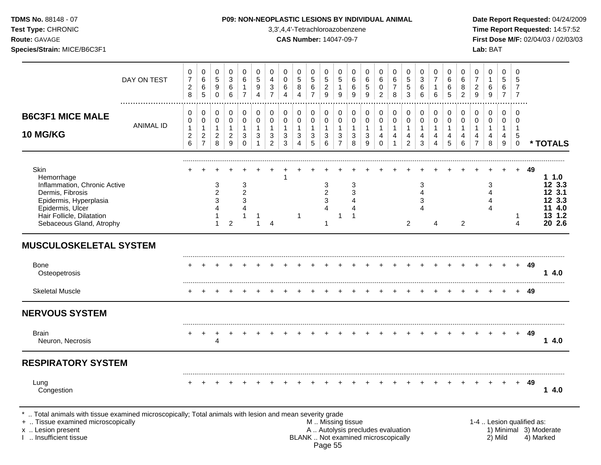| <b>TDMS No. 88148 - 07</b> |  |
|----------------------------|--|
| <b>Test Type: CHRONIC</b>  |  |

### **P09: NON-NEOPLASTIC LESIONS BY INDIVIDUAL ANIMAL Date Report Requested:** 04/24/2009

**Time Report Requested:** 14:57:52 **Route:** GAVAGE **CAS Number:** 14047-09-7 **First Dose M/F:** 02/04/03 / 02/03/03 **Species/Strain:** MICE/B6C3F1 **Lab:** BAT

|                                                                                                                                                                                               |                       | 0                                                      | 0                                                                  | 0                                                                        | 0                                                                 | $\mathbf 0$                                                               | $\mathbf 0$                          | $\mathbf 0$                        | 0                                           | 0                                                       | 0                                                   | $\mathbf 0$                                          | 0                                                                      | $\mathbf 0$                                                   | $\mathbf 0$                      | $\mathbf 0$                                                              | 0                                         | 0                                                          | $\mathbf 0$                                                     | $\mathbf 0$                                             | 0                                                    | 0                                          | 0<br>$\overline{7}$                                   | 0                                                                 | $\Omega$                                          | $\mathbf 0$                                              |                           |                                                                 |
|-----------------------------------------------------------------------------------------------------------------------------------------------------------------------------------------------|-----------------------|--------------------------------------------------------|--------------------------------------------------------------------|--------------------------------------------------------------------------|-------------------------------------------------------------------|---------------------------------------------------------------------------|--------------------------------------|------------------------------------|---------------------------------------------|---------------------------------------------------------|-----------------------------------------------------|------------------------------------------------------|------------------------------------------------------------------------|---------------------------------------------------------------|----------------------------------|--------------------------------------------------------------------------|-------------------------------------------|------------------------------------------------------------|-----------------------------------------------------------------|---------------------------------------------------------|------------------------------------------------------|--------------------------------------------|-------------------------------------------------------|-------------------------------------------------------------------|---------------------------------------------------|----------------------------------------------------------|---------------------------|-----------------------------------------------------------------|
|                                                                                                                                                                                               | DAY ON TEST           | $\boldsymbol{7}$<br>$\overline{\mathbf{c}}$<br>8       | 6<br>6<br>$\overline{5}$                                           | $\sqrt{5}$<br>9<br>$\pmb{0}$                                             | $\mathbf{3}$<br>6<br>$\,6$                                        | 6<br>$\mathbf{1}$<br>$\overline{7}$                                       | 5<br>9<br>$\overline{\mathbf{4}}$    | 4<br>3<br>$\overline{7}$           | $\mathbf 0$<br>6<br>$\overline{\mathbf{4}}$ | $\sqrt{5}$<br>8<br>$\overline{4}$                       | $\,$ 5 $\,$<br>$\,6\,$<br>$\overline{7}$            | 5<br>$\overline{c}$<br>$\boldsymbol{9}$              | 5<br>$\mathbf{1}$<br>$\boldsymbol{9}$                                  | $\,6$<br>$\,6$<br>9                                           | 6<br>$\mathbf 5$<br>9            | 6<br>0<br>$\overline{c}$                                                 | $\,6\,$<br>$\overline{7}$<br>8            | $\sqrt{5}$<br>5<br>$\mathbf{3}$                            | $\sqrt{3}$<br>6<br>$\,6\,$                                      | $\overline{7}$<br>1<br>6                                | $\,6$<br>6<br>5                                      | 6<br>8<br>$\overline{c}$                   | $\boldsymbol{2}$<br>$\mathsf g$                       | $\mathbf{1}$<br>$\,6$<br>$\boldsymbol{9}$                         | 5<br>6<br>$\overline{7}$                          | 5<br>7<br>$\overline{7}$                                 |                           |                                                                 |
| <b>B6C3F1 MICE MALE</b><br><b>10 MG/KG</b>                                                                                                                                                    | .<br><b>ANIMAL ID</b> | 0<br>0<br>$\mathbf{1}$<br>$\overline{\mathbf{c}}$<br>6 | $\pmb{0}$<br>0<br>$\mathbf{1}$<br>$\overline{c}$<br>$\overline{7}$ | 0<br>$\pmb{0}$<br>$\mathbf{1}$<br>$\overline{2}$<br>8                    | $\mathbf 0$<br>$\mathbf 0$<br>$\mathbf{1}$<br>$\overline{2}$<br>9 | $\mathbf 0$<br>$\mathbf 0$<br>$\mathbf{1}$<br>$\mathbf{3}$<br>$\mathbf 0$ | $\mathbf 0$<br>$\mathbf 0$<br>1<br>3 | 0<br>0<br>1<br>3<br>$\overline{c}$ | 0<br>$\mathbf 0$<br>1<br>3<br>3             | 0<br>$\mathsf 0$<br>$\mathbf{1}$<br>3<br>$\overline{4}$ | 0<br>$\mathbf 0$<br>$\mathbf{1}$<br>$\sqrt{3}$<br>5 | $\mathbf 0$<br>$\mathbf 0$<br>$\mathbf{1}$<br>3<br>6 | $\pmb{0}$<br>$\pmb{0}$<br>$\mathbf{1}$<br>$\sqrt{3}$<br>$\overline{7}$ | $\mathbf 0$<br>$\pmb{0}$<br>$\mathbf{1}$<br>$\mathbf{3}$<br>8 | 0<br>0<br>$\mathbf{1}$<br>3<br>9 | 0<br>$\mathbf 0$<br>1<br>4<br>$\Omega$                                   | 0<br>$\mathsf 0$<br>$\mathbf 1$<br>4<br>1 | 0<br>0<br>$\mathbf{1}$<br>$\overline{4}$<br>$\overline{a}$ | $\mathbf 0$<br>$\mathbf 0$<br>$\mathbf{1}$<br>4<br>$\mathbf{3}$ | 0<br>$\mathbf 0$<br>$\mathbf{1}$<br>$\overline{4}$<br>4 | $\mathbf 0$<br>$\mathbf 0$<br>$\mathbf{1}$<br>4<br>5 | 0<br>$\mathbf 0$<br>$\mathbf{1}$<br>4<br>6 | 0<br>$\pmb{0}$<br>$\mathbf{1}$<br>4<br>$\overline{7}$ | $\mathbf 0$<br>$\mathbf 0$<br>$\mathbf{1}$<br>$\overline{4}$<br>8 | $\Omega$<br>$\mathbf 0$<br>$\mathbf{1}$<br>4<br>9 | $\Omega$<br>$\mathbf 0$<br>$\mathbf 1$<br>5<br>$\pmb{0}$ |                           | * TOTALS                                                        |
| <b>Skin</b><br>Hemorrhage<br>Inflammation, Chronic Active<br>Dermis, Fibrosis<br>Epidermis, Hyperplasia<br>Epidermis, Ulcer<br>Hair Follicle, Dilatation<br>Sebaceous Gland, Atrophy          |                       |                                                        |                                                                    | 3<br>$\overline{2}$<br>3<br>$\overline{\mathbf{4}}$<br>1<br>$\mathbf{1}$ | $\overline{c}$                                                    | 3<br>$\overline{c}$<br>3<br>$\overline{4}$<br>1                           | 1                                    | $\overline{4}$                     |                                             | $\mathbf 1$                                             |                                                     | 3<br>$\overline{c}$<br>3<br>$\overline{4}$<br>1      | $\mathbf 1$                                                            | 3<br>3<br>4<br>4<br>$\mathbf{1}$                              |                                  |                                                                          |                                           | 2                                                          | $\mathbf{3}$<br>$\overline{\mathbf{4}}$<br>3<br>$\Delta$        | 4                                                       |                                                      | $\overline{2}$                             |                                                       | 3<br>4<br>4<br>4                                                  |                                                   | $\mathbf{1}$<br>$\overline{4}$                           | 49                        | 1.0<br>12 3.3<br>12 3.1<br>12 3.3<br>11 4.0<br>13 1.2<br>20 2.6 |
| <b>MUSCULOSKELETAL SYSTEM</b>                                                                                                                                                                 |                       |                                                        |                                                                    |                                                                          |                                                                   |                                                                           |                                      |                                    |                                             |                                                         |                                                     |                                                      |                                                                        |                                                               |                                  |                                                                          |                                           |                                                            |                                                                 |                                                         |                                                      |                                            |                                                       |                                                                   |                                                   |                                                          |                           |                                                                 |
| <b>Bone</b><br>Osteopetrosis                                                                                                                                                                  |                       |                                                        |                                                                    |                                                                          |                                                                   |                                                                           |                                      |                                    |                                             |                                                         |                                                     |                                                      |                                                                        |                                                               |                                  |                                                                          |                                           |                                                            |                                                                 |                                                         |                                                      |                                            |                                                       | $+$                                                               | $+$                                               |                                                          | + 49                      | 4.0<br>1                                                        |
| <b>Skeletal Muscle</b>                                                                                                                                                                        |                       |                                                        |                                                                    |                                                                          |                                                                   |                                                                           |                                      |                                    |                                             |                                                         |                                                     |                                                      |                                                                        |                                                               |                                  |                                                                          |                                           |                                                            |                                                                 |                                                         |                                                      |                                            |                                                       |                                                                   |                                                   |                                                          | 49                        |                                                                 |
| <b>NERVOUS SYSTEM</b>                                                                                                                                                                         |                       |                                                        |                                                                    |                                                                          |                                                                   |                                                                           |                                      |                                    |                                             |                                                         |                                                     |                                                      |                                                                        |                                                               |                                  |                                                                          |                                           |                                                            |                                                                 |                                                         |                                                      |                                            |                                                       |                                                                   |                                                   |                                                          |                           |                                                                 |
| <b>Brain</b><br>Neuron, Necrosis                                                                                                                                                              |                       |                                                        | $\overline{ }$                                                     | $\ddot{}$<br>4                                                           |                                                                   |                                                                           |                                      |                                    |                                             |                                                         |                                                     |                                                      |                                                                        |                                                               |                                  |                                                                          |                                           |                                                            |                                                                 |                                                         |                                                      |                                            |                                                       |                                                                   |                                                   | $+$                                                      | 49                        | 14.0                                                            |
| <b>RESPIRATORY SYSTEM</b>                                                                                                                                                                     |                       |                                                        |                                                                    |                                                                          |                                                                   |                                                                           |                                      |                                    |                                             |                                                         |                                                     |                                                      |                                                                        |                                                               |                                  |                                                                          |                                           |                                                            |                                                                 |                                                         |                                                      |                                            |                                                       |                                                                   |                                                   |                                                          |                           |                                                                 |
| Lung<br>Congestion                                                                                                                                                                            |                       |                                                        |                                                                    |                                                                          |                                                                   |                                                                           |                                      |                                    |                                             |                                                         |                                                     |                                                      |                                                                        |                                                               |                                  |                                                                          |                                           |                                                            |                                                                 |                                                         |                                                      |                                            |                                                       |                                                                   |                                                   | $+$                                                      | 49                        | 14.0                                                            |
| *  Total animals with tissue examined microscopically; Total animals with lesion and mean severity grade<br>+  Tissue examined microscopically<br>x  Lesion present<br>I  Insufficient tissue |                       |                                                        |                                                                    |                                                                          |                                                                   |                                                                           |                                      |                                    |                                             |                                                         |                                                     |                                                      |                                                                        | M  Missing tissue                                             |                                  | A  Autolysis precludes evaluation<br>BLANK  Not examined microscopically |                                           |                                                            |                                                                 |                                                         |                                                      |                                            |                                                       |                                                                   | 2) Mild                                           |                                                          | 1-4  Lesion qualified as: | 1) Minimal 3) Moderate<br>4) Marked                             |

Page 55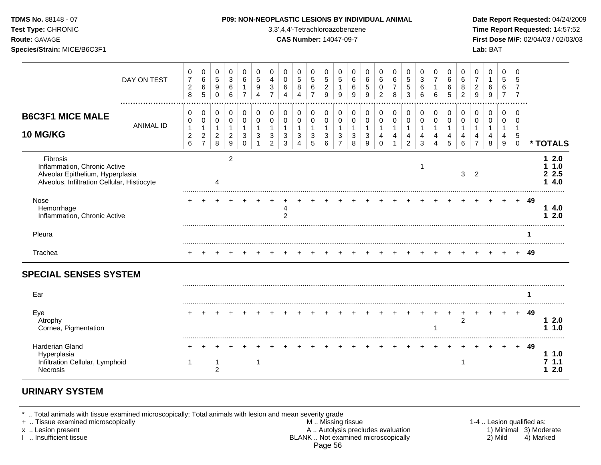| <b>TDMS No. 88148 - 07</b><br>Test Type: CHRONIC<br><b>Route: GAVAGE</b><br>Species/Strain: MICE/B6C3F1                     |                  |                                            |                                            |                                                 |                                                |                          |                                                       |                                |                            |                  | <b>P09: NON-NEOPLASTIC LESIONS BY INDIVIDUAL ANIMAL</b><br>3,3',4,4'-Tetrachloroazobenzene<br><b>CAS Number: 14047-09-7</b> |                                        |                                    |                  |                  |                               |                                   |                               |                  |                                       |                           |                               |                                            | Lab: BAT                |                               |                              |     |    | Date Report Requested: 04/24/2009<br>Time Report Requested: 14:57:52<br>First Dose M/F: 02/04/03 / 02/03/03 |
|-----------------------------------------------------------------------------------------------------------------------------|------------------|--------------------------------------------|--------------------------------------------|-------------------------------------------------|------------------------------------------------|--------------------------|-------------------------------------------------------|--------------------------------|----------------------------|------------------|-----------------------------------------------------------------------------------------------------------------------------|----------------------------------------|------------------------------------|------------------|------------------|-------------------------------|-----------------------------------|-------------------------------|------------------|---------------------------------------|---------------------------|-------------------------------|--------------------------------------------|-------------------------|-------------------------------|------------------------------|-----|----|-------------------------------------------------------------------------------------------------------------|
|                                                                                                                             | DAY ON TEST      | 0<br>$\overline{7}$<br>$\overline{c}$<br>8 | 0<br>6<br>6<br>5                           | 0<br>$\sqrt{5}$<br>$\boldsymbol{9}$<br>$\Omega$ | 0<br>$\ensuremath{\mathsf{3}}$<br>$\,6\,$<br>6 | 0<br>6<br>$\overline{7}$ | 0<br>$\sqrt{5}$<br>$\boldsymbol{9}$<br>$\overline{4}$ | 0<br>4<br>3<br>$\overline{7}$  | 0<br>$\mathbf 0$<br>6<br>4 | 0<br>5<br>8<br>4 | 0<br>5<br>6<br>$\overline{7}$                                                                                               | 0<br>$\sqrt{5}$<br>$\overline{c}$<br>9 | 0<br>5<br>1<br>9                   | 0<br>6<br>6<br>9 | 0<br>6<br>5<br>9 | 0<br>6<br>0<br>$\overline{2}$ | 0<br>$\,6$<br>$\overline{7}$<br>8 | 0<br>5<br>5<br>3              | 3<br>6<br>6      | 0<br>$\overline{7}$<br>6              | 0<br>6<br>6<br>$\sqrt{5}$ | 0<br>6<br>8<br>$\overline{2}$ | 0<br>$\overline{7}$<br>$\overline{c}$<br>9 | 0<br>1<br>6<br>9        | 0<br>5<br>6<br>$\overline{7}$ | $\Omega$<br>5                |     |    |                                                                                                             |
| <b>B6C3F1 MICE MALE</b><br><b>10 MG/KG</b>                                                                                  | <b>ANIMAL ID</b> | 0<br>0<br>$\overline{\mathbf{c}}$<br>6     | 0<br>0<br>$\overline{c}$<br>$\overline{7}$ | 0<br>0<br>1<br>$\overline{\mathbf{c}}$<br>8     | 0<br>0<br>$\overline{c}$<br>$\boldsymbol{9}$   | 0<br>0<br>3<br>$\Omega$  | 0<br>$\pmb{0}$<br>3                                   | 0<br>$\pmb{0}$<br>-1<br>3<br>2 | 0<br>0<br>3<br>3           | 0<br>0<br>3<br>4 | 0<br>0<br>3<br>5                                                                                                            | 0<br>0<br>1<br>$\sqrt{3}$<br>6         | 0<br>0<br>1<br>3<br>$\overline{7}$ | 0<br>0<br>3<br>8 | 0<br>0<br>3<br>9 | 0<br>0<br>4<br>$\Omega$       | 0<br>0<br>4                       | 0<br>0<br>4<br>$\overline{2}$ | 0<br>0<br>4<br>3 | 0<br>0<br>4<br>$\boldsymbol{\Lambda}$ | 0<br>0<br>4<br>5          | 0<br>0<br>4<br>6              | 0<br>0<br>$\overline{7}$                   | $\Omega$<br>0<br>4<br>8 | 0<br>0<br>1<br>4<br>9         | $\Omega$<br>5<br>$\mathbf 0$ |     |    | * TOTALS                                                                                                    |
| Fibrosis<br>Inflammation, Chronic Active<br>Alveolar Epithelium, Hyperplasia<br>Alveolus, Infiltration Cellular, Histiocyte |                  |                                            |                                            |                                                 | $\overline{2}$                                 |                          |                                                       |                                |                            |                  |                                                                                                                             |                                        |                                    |                  |                  |                               |                                   |                               |                  |                                       |                           | 3                             | 2                                          |                         |                               |                              |     |    | 12.0<br>1.0<br>2.5<br>4.0                                                                                   |
| Nose<br>Hemorrhage<br>Inflammation, Chronic Active                                                                          |                  |                                            |                                            |                                                 |                                                |                          |                                                       |                                | 4<br>$\mathfrak{p}$        |                  |                                                                                                                             |                                        |                                    |                  |                  |                               |                                   |                               |                  |                                       |                           |                               |                                            |                         |                               | $\pm$                        | -49 | 1. | 14.0<br>2.0                                                                                                 |
| Pleura                                                                                                                      |                  |                                            |                                            |                                                 |                                                |                          |                                                       |                                |                            |                  |                                                                                                                             |                                        |                                    |                  |                  |                               |                                   |                               |                  |                                       |                           |                               |                                            |                         |                               |                              |     |    |                                                                                                             |
| Trachea                                                                                                                     |                  |                                            |                                            |                                                 |                                                |                          |                                                       |                                |                            |                  |                                                                                                                             |                                        |                                    |                  |                  |                               |                                   |                               |                  |                                       |                           |                               |                                            |                         |                               |                              | -49 |    |                                                                                                             |

| Eve<br><b>Atroph</b><br>Cornea, Pigmentation                   |   |  |  |         |  |  |  |  | $+ +$ |  | ◠ |  |  | -49 | 2 O |
|----------------------------------------------------------------|---|--|--|---------|--|--|--|--|-------|--|---|--|--|-----|-----|
| Harderian Gland<br>Infiltration Cellular, Lymphoid<br>Necrosis | r |  |  | $+$ $+$ |  |  |  |  |       |  |   |  |  | 49  | 1.0 |

# **URINARY SYSTEM**

\* .. Total animals with tissue examined microscopically; Total animals with lesion and mean severity grade

+ .. Tissue examined microscopically M .. Missing tissue 1-4 .. Lesion qualified as: x .. Lesion present **A .. Autolysis precludes evaluation** A .. Autolysis precludes evaluation 1) Minimal 3) Moderate I .. Insufficient tissue BLANK .. Not examined microscopically 2) Mild 4) Marked Page 56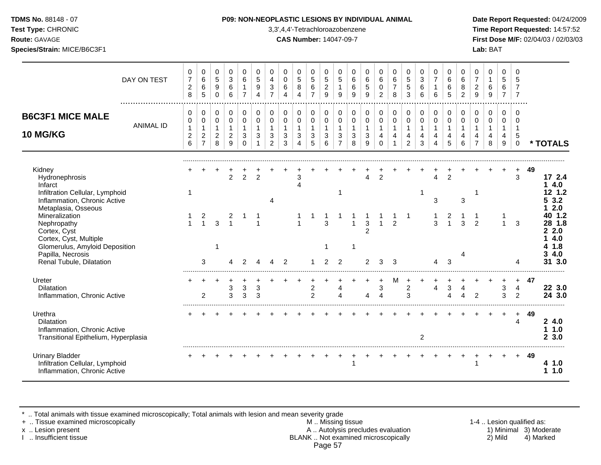#### **TDMS No.** 88148 - 07 **P09: NON-NEOPLASTIC LESIONS BY INDIVIDUAL ANIMAL Date Report Requested:** 04/24/2009

**Test Type:** CHRONIC 3,3',4,4'-Tetrachloroazobenzene **Time Report Requested:** 14:57:52 **Route:** GAVAGE **CAS Number:** 14047-09-7 **First Dose M/F:** 02/04/03 / 02/03/03

|                                                                                                                                                                                                                                                                                             | DAY ON TEST      | 0<br>$\overline{7}$<br>$\overline{c}$<br>8      | 0<br>$\,6\,$<br>$\,6\,$<br>5                                 | 0<br>$\sqrt{5}$<br>$\boldsymbol{9}$<br>$\mathbf 0$              | $\mathbf 0$<br>$\sqrt{3}$<br>6<br>6                     | 0<br>6<br>1<br>$\overline{7}$                     | 0<br>$\sqrt{5}$<br>9<br>4             | $\mathbf 0$<br>4<br>3<br>$\overline{7}$                 | $\Omega$<br>$\mathbf 0$<br>6<br>4                   | 0<br>5<br>8<br>$\overline{\mathbf{4}}$        | 0<br>$\sqrt{5}$<br>$\,6\,$<br>$\overline{7}$                    | 0<br>$\,$ 5 $\,$<br>$\overline{c}$<br>9                | $\Omega$<br>$\sqrt{5}$<br>$\mathbf{1}$<br>9                        | 0<br>$\,6\,$<br>$\,6\,$<br>9               | 0<br>$6\phantom{1}6$<br>5<br>9              | 0<br>$\,6\,$<br>$\mathbf 0$<br>2                                      | 0<br>$\,6\,$<br>$\overline{7}$<br>8                   | 0<br>$\sqrt{5}$<br>$\,$ 5 $\,$<br>$\mathbf{3}$                               | 0<br>$\mathbf{3}$<br>6<br>6      | $\mathbf 0$<br>$\overline{7}$<br>$\mathbf{1}$<br>6 | 0<br>6<br>6<br>5                                        | 0<br>6<br>8<br>$\overline{2}$ | $\Omega$<br>$\overline{7}$<br>$\boldsymbol{2}$<br>9     | 0<br>$\mathbf{1}$<br>6<br>9      | 0<br>$\sqrt{5}$<br>$\,6\,$<br>$\overline{7}$           | $\Omega$<br>$\overline{7}$                              |    |                                                                                                 |
|---------------------------------------------------------------------------------------------------------------------------------------------------------------------------------------------------------------------------------------------------------------------------------------------|------------------|-------------------------------------------------|--------------------------------------------------------------|-----------------------------------------------------------------|---------------------------------------------------------|---------------------------------------------------|---------------------------------------|---------------------------------------------------------|-----------------------------------------------------|-----------------------------------------------|-----------------------------------------------------------------|--------------------------------------------------------|--------------------------------------------------------------------|--------------------------------------------|---------------------------------------------|-----------------------------------------------------------------------|-------------------------------------------------------|------------------------------------------------------------------------------|----------------------------------|----------------------------------------------------|---------------------------------------------------------|-------------------------------|---------------------------------------------------------|----------------------------------|--------------------------------------------------------|---------------------------------------------------------|----|-------------------------------------------------------------------------------------------------|
| <b>B6C3F1 MICE MALE</b><br>10 MG/KG                                                                                                                                                                                                                                                         | <b>ANIMAL ID</b> | 0<br>0<br>$\mathbf{1}$<br>$\boldsymbol{2}$<br>6 | 0<br>0<br>$\mathbf{1}$<br>$\boldsymbol{2}$<br>$\overline{7}$ | 0<br>$\mathsf{O}\xspace$<br>$\mathbf{1}$<br>$\overline{2}$<br>8 | 0<br>$\mathbf 0$<br>$\mathbf{1}$<br>$\overline{2}$<br>9 | 0<br>$\mathbf 0$<br>$\mathbf{1}$<br>3<br>$\Omega$ | 0<br>$\mathbf 0$<br>$\mathbf{1}$<br>3 | 0<br>$\mathbf 0$<br>$\mathbf{1}$<br>3<br>$\overline{2}$ | 0<br>$\pmb{0}$<br>$\mathbf{1}$<br>$\mathbf{3}$<br>3 | 0<br>0<br>$\mathbf{1}$<br>3<br>$\overline{4}$ | 0<br>$\mathsf{O}\xspace$<br>$\overline{1}$<br>$\mathbf{3}$<br>5 | $\mathbf 0$<br>$\mathbf 0$<br>$\overline{1}$<br>3<br>6 | 0<br>$\mathbf 0$<br>$\mathbf{1}$<br>$\mathbf{3}$<br>$\overline{7}$ | 0<br>$\mathbf 0$<br>$\mathbf{1}$<br>3<br>8 | 0<br>0<br>$\mathbf{1}$<br>$\mathbf{3}$<br>9 | 0<br>$\pmb{0}$<br>$\mathbf{1}$<br>$\overline{\mathbf{4}}$<br>$\Omega$ | 0<br>$\mathsf 0$<br>$\mathbf{1}$<br>4<br>$\mathbf{1}$ | 0<br>$\mathsf{O}\xspace$<br>$\mathbf{1}$<br>$\overline{4}$<br>$\overline{2}$ | 0<br>0<br>$\mathbf{1}$<br>4<br>3 | 0<br>$\mathbf 0$<br>$\mathbf{1}$<br>4<br>4         | 0<br>$\mathbf 0$<br>$\mathbf{1}$<br>4<br>5              | 0<br>$\mathbf 0$<br>4<br>6    | 0<br>$\mathbf 0$<br>$\mathbf{1}$<br>4<br>$\overline{7}$ | 0<br>0<br>$\mathbf{1}$<br>4<br>8 | $\mathbf 0$<br>$\mathbf 0$<br>$\overline{1}$<br>4<br>9 | $\Omega$<br>$\Omega$<br>$\overline{1}$<br>5<br>$\Omega$ |    | * TOTALS                                                                                        |
| Kidney<br>Hydronephrosis<br>Infarct<br>Infiltration Cellular, Lymphoid<br>Inflammation, Chronic Active<br>Metaplasia, Osseous<br>Mineralization<br>Nephropathy<br>Cortex, Cyst<br>Cortex, Cyst, Multiple<br>Glomerulus, Amyloid Deposition<br>Papilla, Necrosis<br>Renal Tubule, Dilatation |                  | 1<br>$\mathbf{1}$                               | $\frac{2}{1}$<br>3                                           | 3                                                               | $\overline{2}$                                          | 2                                                 | $\overline{2}$                        | Δ                                                       | $\overline{2}$                                      | З                                             |                                                                 | 3<br>2                                                 | -1<br>$\overline{2}$                                               |                                            | 3<br>2<br>2                                 | $\overline{2}$<br>1<br>3                                              | $\overline{2}$<br>3                                   |                                                                              |                                  | $\Delta$<br>3<br>3<br>4                            | $\overline{2}$<br>$\overline{c}$<br>$\overline{1}$<br>3 | $\mathbf{3}$<br>3             | 1<br>$\overline{2}$                                     |                                  | $\overline{1}$                                         | $+$<br>3<br>3                                           | 49 | 17 2.4<br>4.0<br>12 1.2<br>3.2<br>2.0<br>40 1.2<br>28 1.8<br>2.0<br>4.0<br>1.8<br>4.0<br>31 3.0 |
| Ureter<br><b>Dilatation</b><br>Inflammation, Chronic Active                                                                                                                                                                                                                                 |                  |                                                 | 2                                                            |                                                                 | 3<br>3                                                  | $\sqrt{3}$<br>3                                   | 3<br>3                                |                                                         |                                                     |                                               | $\overline{c}$<br>$\mathcal{P}$                                 |                                                        | 4<br>Δ                                                             |                                            | 4                                           | 3<br>4                                                                | м                                                     | $\boldsymbol{2}$<br>3                                                        |                                  | $\overline{4}$                                     | 3<br>4                                                  | $\overline{4}$<br>Δ           | $\overline{2}$                                          |                                  | 3<br>3                                                 | $\pm$<br>4<br>$\overline{2}$                            | 47 | 22 3.0<br>24 3.0                                                                                |
| Urethra<br><b>Dilatation</b><br>Inflammation, Chronic Active<br>Transitional Epithelium, Hyperplasia                                                                                                                                                                                        |                  |                                                 |                                                              |                                                                 |                                                         |                                                   |                                       |                                                         |                                                     |                                               |                                                                 |                                                        |                                                                    |                                            |                                             |                                                                       |                                                       |                                                                              | 2                                |                                                    |                                                         |                               |                                                         |                                  |                                                        | $+$<br>4                                                | 49 | 24.0<br>1.0<br>1<br>3.0<br>2                                                                    |
| <b>Urinary Bladder</b><br>Infiltration Cellular, Lymphoid<br>Inflammation, Chronic Active                                                                                                                                                                                                   |                  |                                                 |                                                              |                                                                 |                                                         |                                                   |                                       |                                                         |                                                     |                                               |                                                                 |                                                        |                                                                    |                                            |                                             |                                                                       |                                                       |                                                                              |                                  |                                                    |                                                         |                               |                                                         |                                  |                                                        |                                                         | 49 | 41.0<br>1.0<br>1.                                                                               |

\* .. Total animals with tissue examined microscopically; Total animals with lesion and mean severity grade

+ .. Tissue examined microscopically M .. Missing tissue 1-4 .. Lesion qualified as: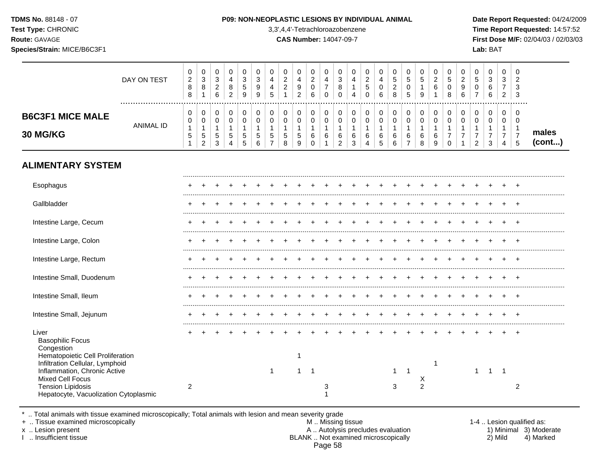**Test Type:** CHRONIC 3,3',4,4'-Tetrachloroazobenzene **Time Report Requested:** 14:57:52 **Route:** GAVAGE **CAS Number:** 14047-09-7 **First Dose M/F:** 02/04/03 / 02/03/03 **Species/Strain:** MICE/B6C3F1 **Lab:** BAT

|                                     | DAY ON TEST | 0<br>2<br>8<br>8 | 0<br>3<br>8       | U<br>3<br>ົ<br>∠<br>6 | 4<br>8<br>2       | ົ<br>ۍ<br>đ<br>9 | 0<br>3<br>9<br>9 | 4<br>.5 | U<br>ົ<br>∼<br>ົ<br><u>_</u> | U<br>4<br>9<br>റ<br>$\epsilon$ | 0<br>C<br>∠<br>◡<br>6 | U<br>4<br>-<br>U                    | 0<br>3<br>8<br>0      | U<br>4<br>4 | ົ<br>G<br>0 | 0<br>4<br>0<br>6 | U<br>5<br><sup>o</sup><br>∠<br>8 | 0<br>5<br>0<br>5 | U<br>'5<br>9         | 0<br>ົ<br>∠<br>6 | 0<br>5<br>0<br>8 | U<br>◠<br>9<br>6 | υ<br>€<br>u<br>- | 0<br>ົ<br>دت<br>6<br>6 | 0<br>ົ<br>J.<br>2 | ັບ<br>Ä.<br>-3 |                 |
|-------------------------------------|-------------|------------------|-------------------|-----------------------|-------------------|------------------|------------------|---------|------------------------------|--------------------------------|-----------------------|-------------------------------------|-----------------------|-------------|-------------|------------------|----------------------------------|------------------|----------------------|------------------|------------------|------------------|------------------|------------------------|-------------------|----------------|-----------------|
| <b>B6C3F1 MICE MALE</b><br>30 MG/KG | ANIMAL ID   | 0<br>0<br>5      | 0<br>0<br>C.<br>2 | U<br>5<br>3           | $\mathbf{p}$<br>4 | 5<br>5           | 0<br>5<br>6      |         | 0<br>0<br>5<br>8             | U<br>$\sim$<br>U<br>5<br>9     | 0<br>0<br>6<br>U      | υ<br>$\sqrt{2}$<br>U<br>$\sim$<br>O | υ<br>U<br>6<br>ົ<br>∠ | 0<br>6<br>3 | 6<br>4      | 0<br>0<br>6<br>5 | 6<br>6                           | 0<br>0<br>6<br>⇁ | $\sqrt{2}$<br>6<br>8 | 0<br>0<br>6<br>9 | 0<br>0<br>0      |                  | ≏<br>∠           | 0<br>3                 | 0<br>0<br>4       | ು              | males<br>(cont) |
| <b>ALIMENTARY SYSTEM</b>            |             |                  |                   |                       |                   |                  |                  |         |                              |                                |                       |                                     |                       |             |             |                  |                                  |                  |                      |                  |                  |                  |                  |                        |                   |                |                 |

| Esophagus                                                                                                               |   |  |  |  |  |   |  |  |   |                |  |  |  |  |
|-------------------------------------------------------------------------------------------------------------------------|---|--|--|--|--|---|--|--|---|----------------|--|--|--|--|
| Gallbladder                                                                                                             |   |  |  |  |  |   |  |  |   |                |  |  |  |  |
| Intestine Large, Cecum                                                                                                  |   |  |  |  |  |   |  |  |   |                |  |  |  |  |
| Intestine Large, Colon                                                                                                  |   |  |  |  |  |   |  |  |   |                |  |  |  |  |
| Intestine Large, Rectum                                                                                                 |   |  |  |  |  |   |  |  |   |                |  |  |  |  |
| Intestine Small, Duodenum                                                                                               |   |  |  |  |  |   |  |  |   |                |  |  |  |  |
| Intestine Small, Ileum                                                                                                  |   |  |  |  |  |   |  |  |   |                |  |  |  |  |
| Intestine Small, Jejunum                                                                                                |   |  |  |  |  |   |  |  |   |                |  |  |  |  |
| Liver<br><b>Basophilic Focus</b><br>Congestion                                                                          |   |  |  |  |  |   |  |  |   |                |  |  |  |  |
| Hematopoietic Cell Proliferation<br>Infiltration Cellular, Lymphoid<br>Inflammation, Chronic Active<br>Mixed Cell Focus |   |  |  |  |  |   |  |  |   | X              |  |  |  |  |
| <b>Tension Lipidosis</b><br>Hepatocyte, Vacuolization Cytoplasmic                                                       | 2 |  |  |  |  | 3 |  |  | 3 | $\mathfrak{p}$ |  |  |  |  |

\* .. Total animals with tissue examined microscopically; Total animals with lesion and mean severity grade

+ .. Tissue examined microscopically M .. Missing tissue 1-4 .. Lesion qualified as: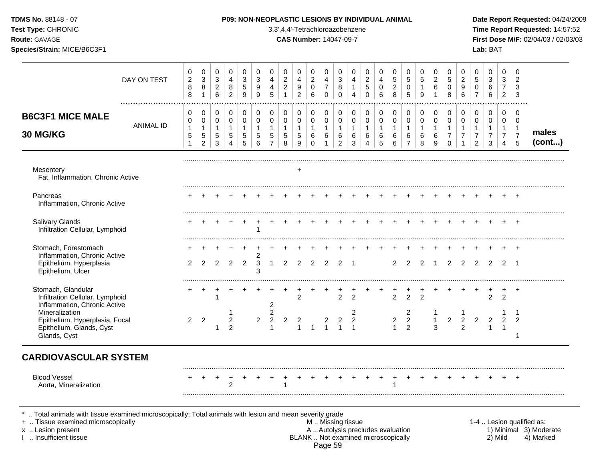| TDMS No. 88148 - 07<br>Test Type: CHRONIC<br>Route: GAVAGE<br>Species/Strain: MICE/B6C3F1            |                  |                                                                |                                                                        |                                                                     |                                                                               |                                                                 |                                                                           |                                                                                |                                                       |                                                               |                                                            |                                                                         | 3,3',4,4'-Tetrachloroazobenzene<br><b>CAS Number: 14047-09-7</b> |                                                           | P09: NON-NEOPLASTIC LESIONS BY INDIVIDUAL ANIMAL                    |                                                  |                                                    |                                                     |                                                  |                                                        |                                                                           |                                                                                         |                                                                              | Lab: BAT                                                        |                                                                   |                                                        | Date Report Requested: 04/24/2009<br>Time Report Requested: 14:57:52<br>First Dose M/F: 02/04/03 / 02/03/03 |
|------------------------------------------------------------------------------------------------------|------------------|----------------------------------------------------------------|------------------------------------------------------------------------|---------------------------------------------------------------------|-------------------------------------------------------------------------------|-----------------------------------------------------------------|---------------------------------------------------------------------------|--------------------------------------------------------------------------------|-------------------------------------------------------|---------------------------------------------------------------|------------------------------------------------------------|-------------------------------------------------------------------------|------------------------------------------------------------------|-----------------------------------------------------------|---------------------------------------------------------------------|--------------------------------------------------|----------------------------------------------------|-----------------------------------------------------|--------------------------------------------------|--------------------------------------------------------|---------------------------------------------------------------------------|-----------------------------------------------------------------------------------------|------------------------------------------------------------------------------|-----------------------------------------------------------------|-------------------------------------------------------------------|--------------------------------------------------------|-------------------------------------------------------------------------------------------------------------|
|                                                                                                      | DAY ON TEST      | $\boldsymbol{0}$<br>$\overline{c}$<br>$\bf 8$<br>8             | $\mathbf 0$<br>$\ensuremath{\mathsf{3}}$<br>$\bf 8$<br>$\mathbf{1}$    | $\pmb{0}$<br>$\ensuremath{\mathsf{3}}$<br>$\overline{2}$<br>$\,6\,$ | $\mathbf 0$<br>$\overline{4}$<br>$\bf8$<br>$\overline{2}$                     | $\mathbf 0$<br>$\sqrt{3}$<br>$\overline{5}$<br>9                | 0<br>$\ensuremath{\mathsf{3}}$<br>$\boldsymbol{9}$<br>9                   | 0<br>$\overline{4}$<br>4<br>5                                                  | 0<br>$\overline{c}$<br>$\overline{2}$<br>$\mathbf{1}$ | 0<br>4<br>$9\,$<br>$\overline{2}$                             | 0<br>$\overline{c}$<br>$\pmb{0}$<br>$6\phantom{a}$         | $\mathbf 0$<br>4<br>$\overline{7}$<br>$\mathbf 0$                       | $\pmb{0}$<br>$\mathbf{3}$<br>$\,8\,$<br>$\mathbf 0$              | 0<br>4<br>$\overline{1}$<br>$\overline{4}$                | $\mathbf 0$<br>$\boldsymbol{2}$<br>$\sqrt{5}$<br>$\mathbf 0$        | 0<br>4<br>$\mathsf 0$<br>6                       | 0<br>$\mathbf 5$<br>$\overline{2}$<br>8            | 0<br>5<br>$\mathbf 0$<br>5                          | $\boldsymbol{0}$<br>5<br>$\mathbf{1}$<br>9       | 0<br>$\overline{a}$<br>$\,6\,$<br>1                    | $\mathsf{O}\xspace$<br>$\overline{5}$<br>$\mathbf 0$<br>8                 | $\mathbf 0$<br>$\overline{2}$<br>$\boldsymbol{9}$<br>6                                  | 0<br>$\sqrt{5}$<br>$\mathbf 0$<br>$\overline{7}$                             | $\mathbf 0$<br>$\ensuremath{\mathsf{3}}$<br>$\,6\,$<br>6        | 0<br>3<br>$\overline{7}$<br>$\overline{2}$                        | $\mathbf 0$<br>$\overline{2}$<br>3<br>$\mathbf{3}$     |                                                                                                             |
| <b>B6C3F1 MICE MALE</b><br>30 MG/KG                                                                  | <b>ANIMAL ID</b> | 0<br>$\mathbf 0$<br>$\mathbf{1}$<br>$\sqrt{5}$<br>$\mathbf{1}$ | $\pmb{0}$<br>$\pmb{0}$<br>$\mathbf{1}$<br>$\sqrt{5}$<br>$\overline{2}$ | $\mathbf 0$<br>$\mathsf 0$<br>$\mathbf{1}$<br>$\,$ 5 $\,$<br>3      | $\boldsymbol{0}$<br>$\pmb{0}$<br>$\mathbf{1}$<br>$\sqrt{5}$<br>$\overline{4}$ | $\pmb{0}$<br>$\mathsf 0$<br>$\mathbf{1}$<br>$\overline{5}$<br>5 | $\pmb{0}$<br>$\mathsf 0$<br>$\mathbf{1}$<br>$\sqrt{5}$<br>$6\phantom{1}6$ | $\mathbf 0$<br>$\mathbf 0$<br>$\mathbf{1}$<br>$\overline{5}$<br>$\overline{7}$ | 0<br>$\mathsf 0$<br>$\mathbf{1}$<br>$\sqrt{5}$<br>8   | $\mathsf 0$<br>$\mathsf 0$<br>$\mathbf{1}$<br>$\sqrt{5}$<br>9 | $\pmb{0}$<br>$\pmb{0}$<br>$\mathbf{1}$<br>6<br>$\mathbf 0$ | $\mathbf 0$<br>$\mathsf{O}\xspace$<br>$\mathbf{1}$<br>6<br>$\mathbf{1}$ | $\pmb{0}$<br>$\pmb{0}$<br>$\mathbf{1}$<br>$\,6\,$<br>$\sqrt{2}$  | $\pmb{0}$<br>$\pmb{0}$<br>$\overline{1}$<br>$\,6\,$<br>3  | $\pmb{0}$<br>$\pmb{0}$<br>$\mathbf{1}$<br>$\,6\,$<br>$\overline{4}$ | 0<br>$\mathbf 0$<br>$\mathbf{1}$<br>$\,6\,$<br>5 | 0<br>$\mathsf{O}\xspace$<br>$\mathbf{1}$<br>6<br>6 | 0<br>0<br>$\mathbf{1}$<br>$\,6\,$<br>$\overline{7}$ | $\pmb{0}$<br>$\pmb{0}$<br>$\mathbf{1}$<br>6<br>8 | $\pmb{0}$<br>$\pmb{0}$<br>$\mathbf{1}$<br>$\,6\,$<br>9 | 0<br>$\mathsf{O}\xspace$<br>$\mathbf{1}$<br>$\overline{7}$<br>$\mathbf 0$ | $\mathbf 0$<br>$\boldsymbol{0}$<br>$\overline{1}$<br>$\boldsymbol{7}$<br>$\overline{1}$ | $\mathbf 0$<br>$\pmb{0}$<br>$\mathbf{1}$<br>$\overline{7}$<br>$\overline{2}$ | $\pmb{0}$<br>$\mathbf 0$<br>$\mathbf{1}$<br>$\overline{7}$<br>3 | $\mathbf 0$<br>$\pmb{0}$<br>1<br>$\overline{7}$<br>$\overline{4}$ | 0<br>$\mathbf 0$<br>$\mathbf 1$<br>$\overline{7}$<br>5 | males<br>(cont)                                                                                             |
| Mesentery<br>Fat, Inflammation, Chronic Active                                                       |                  |                                                                |                                                                        |                                                                     |                                                                               |                                                                 |                                                                           |                                                                                |                                                       | $\ddot{}$                                                     |                                                            |                                                                         |                                                                  |                                                           |                                                                     |                                                  |                                                    |                                                     |                                                  |                                                        |                                                                           |                                                                                         |                                                                              |                                                                 |                                                                   |                                                        |                                                                                                             |
| Pancreas<br>Inflammation, Chronic Active                                                             |                  |                                                                |                                                                        |                                                                     |                                                                               |                                                                 |                                                                           |                                                                                |                                                       |                                                               |                                                            |                                                                         |                                                                  |                                                           |                                                                     |                                                  |                                                    |                                                     |                                                  |                                                        |                                                                           |                                                                                         |                                                                              |                                                                 |                                                                   |                                                        |                                                                                                             |
| <b>Salivary Glands</b><br>Infiltration Cellular, Lymphoid                                            |                  |                                                                |                                                                        |                                                                     |                                                                               |                                                                 |                                                                           |                                                                                |                                                       |                                                               |                                                            |                                                                         |                                                                  |                                                           |                                                                     |                                                  |                                                    |                                                     |                                                  |                                                        |                                                                           |                                                                                         |                                                                              |                                                                 |                                                                   |                                                        |                                                                                                             |
| Stomach, Forestomach<br>Inflammation, Chronic Active<br>Epithelium, Hyperplasia<br>Epithelium, Ulcer |                  | $\overline{2}$                                                 | 2                                                                      | 2                                                                   |                                                                               | $2 \quad 2$                                                     | $\overline{c}$<br>3<br>3                                                  | $\mathbf{1}$                                                                   | $\mathbf{2}$                                          | 2                                                             | $\overline{2}$                                             | $\overline{2}$                                                          | 2                                                                | $\overline{1}$                                            |                                                                     |                                                  | $\overline{2}$                                     | 2                                                   | 2                                                | $\overline{1}$                                         | 2                                                                         | 2                                                                                       | 2                                                                            | 2                                                               | 2 1                                                               |                                                        |                                                                                                             |
| Stomach, Glandular<br>Infiltration Cellular, Lymphoid<br>Inflammation, Chronic Active                |                  |                                                                | $\ddot{}$                                                              | $\overline{1}$                                                      |                                                                               |                                                                 |                                                                           | $\overline{c}$                                                                 |                                                       | $\overline{2}$                                                |                                                            |                                                                         | $\overline{2}$                                                   | $\overline{2}$                                            |                                                                     |                                                  | $\frac{+}{2}$                                      | $\frac{+}{2}$                                       | $\overline{2}$                                   |                                                        |                                                                           |                                                                                         |                                                                              | $\overline{2}$                                                  | 2                                                                 | $+$                                                    |                                                                                                             |
| Mineralization<br>Epithelium, Hyperplasia, Focal<br>Epithelium, Glands, Cyst<br>Glands, Cyst         |                  | $2^{\circ}$                                                    | $\overline{2}$                                                         | 1                                                                   | -1<br>$\boldsymbol{2}$<br>$\overline{2}$                                      |                                                                 | $\overline{c}$                                                            | $\overline{c}$<br>$\overline{2}$<br>$\mathbf{1}$                               | 2                                                     | $\overline{2}$<br>$\mathbf{1}$                                | $\overline{1}$                                             | $\overline{c}$<br>$\mathbf{1}$                                          | $\overline{2}$<br>$\overline{1}$                                 | $\overline{\mathbf{c}}$<br>$\overline{2}$<br>$\mathbf{1}$ |                                                                     |                                                  | $\overline{a}$<br>$\mathbf{1}$                     | 2<br>$\overline{2}$<br>$\mathfrak{p}$               |                                                  | $\mathbf{1}$<br>3                                      | $\overline{2}$                                                            | $\overline{2}$<br>$\overline{2}$                                                        | $\overline{c}$                                                               | $\overline{c}$<br>$\mathbf{1}$                                  | 2<br>$\overline{1}$                                               | -1<br>2<br>1                                           |                                                                                                             |
| <b>CARDIOVASCULAR SYSTEM</b>                                                                         |                  |                                                                |                                                                        |                                                                     |                                                                               |                                                                 |                                                                           |                                                                                |                                                       |                                                               |                                                            |                                                                         |                                                                  |                                                           |                                                                     |                                                  |                                                    |                                                     |                                                  |                                                        |                                                                           |                                                                                         |                                                                              |                                                                 |                                                                   |                                                        |                                                                                                             |
| <b>Blood Vessel</b><br>Aorta, Mineralization                                                         |                  |                                                                |                                                                        |                                                                     | $\overline{c}$                                                                |                                                                 |                                                                           |                                                                                | $\mathbf{1}$                                          |                                                               |                                                            |                                                                         |                                                                  |                                                           |                                                                     |                                                  | 1                                                  |                                                     |                                                  |                                                        |                                                                           |                                                                                         |                                                                              |                                                                 |                                                                   |                                                        |                                                                                                             |

\* .. Total animals with tissue examined microscopically; Total animals with lesion and mean severity grade

- + .. Tissue examined microscopically M .. Missing tissue 1-4 .. Lesion qualified as: x .. Lesion present **A .. Autolysis precludes evaluation** A .. Autolysis precludes evaluation 1) Minimal 3) Moderate I .. Insufficient tissue BLANK .. Not examined microscopically 2) Mild 4) Marked Page 59
-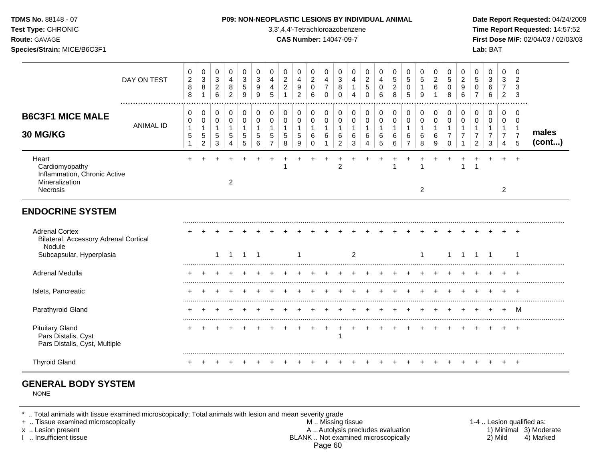**Test Type:** CHRONIC 3,3',4,4'-Tetrachloroazobenzene **Time Report Requested:** 14:57:52 **Route:** GAVAGE **CAS Number:** 14047-09-7 **First Dose M/F:** 02/04/03 / 02/03/03 **Species/Strain:** MICE/B6C3F1 **Lab:** BAT

|                                                                                                      | DAY ON TEST      | 0<br>$\overline{c}$<br>$\bf 8$<br>8 | 0<br>$\sqrt{3}$<br>$\,8\,$<br>$\overline{1}$                     | 0<br>$\sqrt{3}$<br>$\overline{c}$<br>$6\phantom{a}$ | 0<br>$\overline{4}$<br>8<br>$\overline{2}$ | 0<br>3<br>5<br>9                | 0<br>3<br>9<br>9           | 0<br>$\overline{4}$<br>4<br>5           | 0<br>$\boldsymbol{2}$<br>$\boldsymbol{2}$                | 0<br>$\overline{4}$<br>9<br>$\overline{2}$ | 0<br>$\overline{2}$<br>$\mathbf 0$<br>6           | 0<br>$\overline{4}$<br>$\overline{7}$<br>$\Omega$ | 0<br>3<br>8<br>$\Omega$                           | 0<br>4<br>1<br>$\overline{4}$              | 0<br>$\overline{c}$<br>5<br>$\Omega$ | 0<br>$\overline{4}$<br>$\mathbf 0$<br>6 | 0<br>$\sqrt{5}$<br>$\overline{c}$<br>8 | 0<br>5<br>0<br>5                   | 0<br>5<br>1<br>9                           | 0<br>$\overline{c}$<br>6         | 0<br>5<br>$\Omega$<br>8   | 0<br>2<br>9<br>6 | 0<br>5<br>0           | 0<br>$\mathbf{3}$<br>6<br>6   | 0<br>3<br>$\overline{7}$<br>$\overline{2}$             | 0<br>$\overline{2}$<br>3<br>3                                    |                 |
|------------------------------------------------------------------------------------------------------|------------------|-------------------------------------|------------------------------------------------------------------|-----------------------------------------------------|--------------------------------------------|---------------------------------|----------------------------|-----------------------------------------|----------------------------------------------------------|--------------------------------------------|---------------------------------------------------|---------------------------------------------------|---------------------------------------------------|--------------------------------------------|--------------------------------------|-----------------------------------------|----------------------------------------|------------------------------------|--------------------------------------------|----------------------------------|---------------------------|------------------|-----------------------|-------------------------------|--------------------------------------------------------|------------------------------------------------------------------|-----------------|
| <b>B6C3F1 MICE MALE</b><br>30 MG/KG                                                                  | <b>ANIMAL ID</b> | 0<br>0<br>$\mathbf{1}$<br>5<br>1    | 0<br>$\mathbf 0$<br>$\mathbf{1}$<br>$\sqrt{5}$<br>$\overline{c}$ | 0<br>$\mathbf 0$<br>1<br>5<br>3                     | 0<br>$\mathbf 0$<br>$\mathbf{1}$<br>5<br>4 | 0<br>$\mathbf 0$<br>1<br>5<br>5 | 0<br>$\mathbf 0$<br>5<br>6 | 0<br>$\mathbf 0$<br>5<br>$\overline{ }$ | $\,0\,$<br>$\pmb{0}$<br>$\mathbf{1}$<br>$\mathbf 5$<br>8 | 0<br>0<br>1<br>5<br>9                      | 0<br>$\mathbf 0$<br>$\mathbf{1}$<br>6<br>$\Omega$ | $\Omega$<br>$\mathbf 0$<br>$\overline{1}$<br>6    | $\Omega$<br>$\mathbf 0$<br>$\mathbf{1}$<br>6<br>2 | 0<br>$\mathbf 0$<br>$\mathbf{1}$<br>6<br>3 | 0<br>$\mathbf 0$<br>1<br>6           | 0<br>$\mathbf 0$<br>6<br>5              | 0<br>0<br>1<br>6<br>6                  | 0<br>0<br>1<br>6<br>$\overline{7}$ | 0<br>$\mathbf 0$<br>$\mathbf{1}$<br>6<br>8 | 0<br>$\mathbf 0$<br>-1<br>6<br>9 | 0<br>$\Omega$<br>$\Omega$ | 0<br>$\mathbf 0$ | 0<br>$\mathbf 0$<br>2 | 0<br>0<br>$\overline{7}$<br>3 | 0<br>$\mathbf 0$<br>$\mathbf 1$<br>$\overline{7}$<br>4 | $\Omega$<br>$\mathbf 0$<br>$\overline{1}$<br>$\overline{7}$<br>5 | males<br>(cont) |
| Heart<br>Cardiomyopathy<br>Inflammation, Chronic Active<br>Mineralization<br>Necrosis                |                  |                                     |                                                                  |                                                     | 2                                          |                                 |                            |                                         |                                                          |                                            |                                                   |                                                   | $\overline{2}$                                    |                                            |                                      |                                         |                                        |                                    | $\overline{2}$                             |                                  |                           |                  |                       |                               | $\overline{2}$                                         | $\overline{ }$                                                   |                 |
| <b>ENDOCRINE SYSTEM</b>                                                                              |                  |                                     |                                                                  |                                                     |                                            |                                 |                            |                                         |                                                          |                                            |                                                   |                                                   |                                                   |                                            |                                      |                                         |                                        |                                    |                                            |                                  |                           |                  |                       |                               |                                                        |                                                                  |                 |
| <b>Adrenal Cortex</b><br>Bilateral, Accessory Adrenal Cortical<br>Nodule<br>Subcapsular, Hyperplasia |                  |                                     |                                                                  |                                                     | -1                                         | $\mathbf{1}$                    | $\overline{1}$             |                                         |                                                          | 1                                          |                                                   |                                                   |                                                   | 2                                          |                                      |                                         |                                        |                                    |                                            |                                  |                           | -1               | $\mathbf{1}$          | $\overline{1}$                |                                                        | -1                                                               |                 |
| Adrenal Medulla                                                                                      |                  |                                     |                                                                  |                                                     |                                            |                                 |                            |                                         |                                                          |                                            |                                                   |                                                   |                                                   |                                            |                                      |                                         |                                        |                                    |                                            |                                  |                           |                  |                       |                               |                                                        |                                                                  |                 |
| Islets, Pancreatic                                                                                   |                  |                                     |                                                                  |                                                     |                                            |                                 |                            |                                         |                                                          |                                            |                                                   |                                                   |                                                   |                                            |                                      |                                         |                                        |                                    |                                            |                                  |                           |                  |                       |                               |                                                        |                                                                  |                 |
| Parathyroid Gland                                                                                    |                  |                                     |                                                                  |                                                     |                                            |                                 |                            |                                         |                                                          |                                            |                                                   |                                                   |                                                   |                                            |                                      |                                         |                                        |                                    |                                            |                                  |                           |                  |                       |                               | $\div$                                                 | M                                                                |                 |
| <b>Pituitary Gland</b><br>Pars Distalis, Cyst<br>Pars Distalis, Cyst, Multiple                       |                  |                                     |                                                                  |                                                     |                                            |                                 |                            |                                         |                                                          |                                            |                                                   |                                                   | 1                                                 |                                            |                                      |                                         |                                        |                                    |                                            |                                  |                           |                  |                       |                               |                                                        | $\ddot{}$                                                        |                 |
| <b>Thyroid Gland</b>                                                                                 |                  |                                     |                                                                  |                                                     |                                            |                                 |                            |                                         |                                                          |                                            |                                                   |                                                   |                                                   |                                            |                                      |                                         |                                        |                                    |                                            |                                  |                           |                  |                       |                               |                                                        |                                                                  |                 |

# **GENERAL BODY SYSTEM**

NONE

\* .. Total animals with tissue examined microscopically; Total animals with lesion and mean severity grade<br>+ .. Tissue examined microscopically

+ .. Tissue examined microscopically  $M$ .. Missing tissue 1-4 .. Lesion qualified as: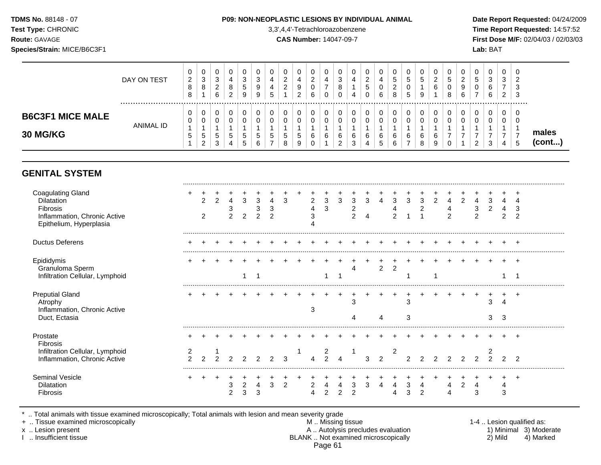#### **TDMS No.** 88148 - 07 **P09: NON-NEOPLASTIC LESIONS BY INDIVIDUAL ANIMAL Date Report Requested:** 04/24/2009

**Test Type:** CHRONIC 3,3',4,4'-Tetrachloroazobenzene **Time Report Requested:** 14:57:52 **Route:** GAVAGE **CAS Number:** 14047-09-7 **First Dose M/F:** 02/04/03 / 02/03/03

|                                     | DAY ON TEST      | 0<br>$\overline{2}$<br>8<br>8 | 0<br>3<br>8                              | U<br>ົ<br><b>ت</b><br>ົ<br>$\epsilon$<br>6 | 2 | 0<br>-3<br>$\mathbf{p}$<br>9 | Q | U<br>4<br>4<br>5 | ົ<br>∼<br>$\sim$ | 0<br>4<br>9<br>າ<br>ے       | 0<br>C<br><u>_</u><br>0<br>6 | υ<br>U      | ν<br>ు<br>8        |        | ◠<br><u>_</u><br>ა | 4<br>6 | 0<br><sub>5</sub><br>ົ<br><u>.</u><br>8 | U.<br>5<br>U<br>5            | U<br>b.<br>9 | υ<br>▵<br>6 | 0<br>đ<br>0<br>8 | U<br><u>_</u><br>9<br>6 | J        | 0<br>3<br>6<br>6 | v<br>J<br>$\sim$<br>$\epsilon$ | v<br>◠<br><u>_</u><br>3<br>3 |                 |
|-------------------------------------|------------------|-------------------------------|------------------------------------------|--------------------------------------------|---|------------------------------|---|------------------|------------------|-----------------------------|------------------------------|-------------|--------------------|--------|--------------------|--------|-----------------------------------------|------------------------------|--------------|-------------|------------------|-------------------------|----------|------------------|--------------------------------|------------------------------|-----------------|
| <b>B6C3F1 MICE MALE</b><br>30 MG/KG | <b>ANIMAL ID</b> | 0<br>0<br>и<br><sub>5</sub>   | 0<br>0<br><sub>5</sub><br>$\overline{2}$ | U<br>U<br>$\mathbf{c}$<br>3                | 5 | 0<br>0<br>$\mathbf{p}$<br>ಎ  | 5 | υ<br>υ<br>5      | .5<br>8          | 0<br>0<br>$\mathbf{p}$<br>9 | 0<br>0<br>6<br>0             | U<br>u<br>6 | υ<br>6<br><u>_</u> | 6<br>ت | U<br>6<br>4        | N      | 0<br>0<br>6<br>6                        | U<br>$\Omega$<br>v<br>6<br>– | 0<br>6<br>8  | υ<br>6<br>9 | 0<br>0<br>-<br>0 | U                       | <u>_</u> | 0<br>0<br>3      | 4                              | 0<br>v<br><sub>5</sub>       | males<br>(cont) |

## **GENITAL SYSTEM**

| <b>Coagulating Gland</b><br><b>Dilatation</b><br>Fibrosis<br>Inflammation, Chronic Active<br>Epithelium, Hyperplasia |        | 2<br>$\overline{2}$ |  | 3<br>2 | 3<br>ົ | 4 | 3 | $\overline{2}$ | 3<br>3      | 3 | 3 | 3 | 4             | 3              | 3 | 3 | 2 | 4<br>⌒ | 2 | 3      |        | 3 |  |
|----------------------------------------------------------------------------------------------------------------------|--------|---------------------|--|--------|--------|---|---|----------------|-------------|---|---|---|---------------|----------------|---|---|---|--------|---|--------|--------|---|--|
| <b>Ductus Deferens</b>                                                                                               |        |                     |  |        |        |   |   |                |             |   |   |   |               |                |   |   |   |        |   |        |        |   |  |
| Epididymis<br>Granuloma Sperm<br>Infiltration Cellular, Lymphoid                                                     |        |                     |  |        |        |   |   |                |             |   |   |   | 2             | 2              |   |   |   |        |   |        |        |   |  |
| <b>Preputial Gland</b><br>Atrophy<br>Inflammation, Chronic Active<br>Duct, Ectasia                                   |        |                     |  |        |        |   |   | З              |             |   |   |   | Δ             |                | З |   |   |        |   | 3<br>З | 3      |   |  |
| Prostate<br>Fibrosis                                                                                                 |        |                     |  |        |        |   |   |                |             |   |   |   |               |                |   |   |   |        |   |        |        |   |  |
| Infiltration Cellular, Lymphoid<br>Inflammation, Chronic Active                                                      | $\sim$ |                     |  |        |        |   | 3 |                | 2<br>$\sim$ |   |   | 3 | $\mathcal{P}$ | $\overline{2}$ |   |   |   |        |   | $\sim$ | $\sim$ | ົ |  |
| Seminal Vesicle<br>Dilatation<br>Fibrosis                                                                            |        |                     |  | 2<br>3 | 4<br>3 | 3 | 2 | 2              | C           |   |   | 3 | 4             |                |   | n |   |        |   |        | 3      |   |  |

\* .. Total animals with tissue examined microscopically; Total animals with lesion and mean severity grade<br>+ .. Tissue examined microscopically

+ .. Tissue examined microscopically  $M$ .. Missing tissue 1-4 .. Lesion qualified as:

x .. Lesion present **A .. Autolysis precludes evaluation** A .. Autolysis precludes evaluation 1) Minimal 3) Moderate I .. Insufficient tissue BLANK .. Not examined microscopically 2) Mild 4) Marked Page 61

.........................................................................................................................................................................................................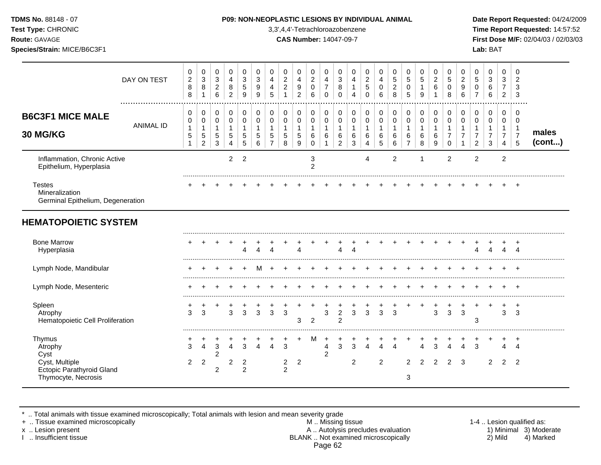| <b>TDMS No. 88148 - 07</b> |
|----------------------------|
| <b>Test Type: CHRONIC</b>  |
| <b>Route: GAVAGE</b>       |

#### **P09: NON-NEOPLASTIC LESIONS BY INDIVIDUAL ANIMAL Date Report Requested: 04/24/2009**

**Time Report Requested:** 14:57:52 **Route:** GAVAGE **CAS Number:** 14047-09-7 **First Dose M/F:** 02/04/03 / 02/03/03

|                                                                                                        | DAY ON TEST      | 0<br>$\overline{c}$<br>8<br>$\,8\,$ | 0<br>3<br>8<br>1                         | 0<br>3<br>$\overline{2}$<br>6             | 0<br>$\overline{4}$<br>8<br>$\overline{c}$ | 0<br>3<br>5<br>9         | 0<br>3<br>9<br>9 | 0<br>4<br>4<br>5                        | 0<br>$\overline{c}$<br>$\overline{c}$ | 0<br>4<br>9<br>$\overline{c}$ | 0<br>$\boldsymbol{2}$<br>0<br>6            | $\Omega$<br>4<br>$\overline{7}$<br>$\mathbf 0$ | 0<br>3<br>8<br>0                   | 0<br>4<br>4      | 0<br>$\boldsymbol{2}$<br>$\sqrt{5}$ | 0<br>4<br>0<br>6          | 0<br>5<br>$\overline{2}$<br>8    | 0<br>5<br>0<br>5                                        | 0<br>5<br>9                            | 0<br>$\overline{2}$<br>6 | 0<br>5<br>0<br>8 | 0<br>$\overline{c}$<br>9<br>6      | 0<br>5<br>0                                          | 0<br>3<br>6<br>6                        | 0<br>3<br>7<br>$\overline{a}$   | 0<br>$\overline{2}$<br>3<br>3                           |                       |
|--------------------------------------------------------------------------------------------------------|------------------|-------------------------------------|------------------------------------------|-------------------------------------------|--------------------------------------------|--------------------------|------------------|-----------------------------------------|---------------------------------------|-------------------------------|--------------------------------------------|------------------------------------------------|------------------------------------|------------------|-------------------------------------|---------------------------|----------------------------------|---------------------------------------------------------|----------------------------------------|--------------------------|------------------|------------------------------------|------------------------------------------------------|-----------------------------------------|---------------------------------|---------------------------------------------------------|-----------------------|
| <b>B6C3F1 MICE MALE</b><br>30 MG/KG                                                                    | <b>ANIMAL ID</b> | 0<br>0<br>5                         | 0<br>0<br>$\sqrt{5}$<br>$\overline{c}$   | 0<br>0<br>$\mathbf 1$<br>$\mathbf 5$<br>3 | 0<br>$\mathbf 0$<br>$\mathbf{1}$<br>5<br>4 | 0<br>0<br>-1<br>5<br>5   | 0<br>0<br>5<br>6 | 0<br>$\mathbf 0$<br>5<br>$\overline{7}$ | 0<br>0<br>$\sqrt{5}$<br>8             | 0<br>0<br>1<br>5<br>9         | 0<br>0<br>$\mathbf{1}$<br>6<br>$\mathbf 0$ | 0<br>$\mathbf 0$<br>-1<br>6                    | 0<br>0<br>1<br>6<br>$\overline{c}$ | 0<br>0<br>6<br>3 | 0<br>0<br>1<br>6<br>4               | 0<br>0<br>1<br>$\,6$<br>5 | 0<br>$\mathbf 0$<br>-1<br>6<br>6 | 0<br>$\mathbf 0$<br>$\mathbf{1}$<br>6<br>$\overline{7}$ | 0<br>$\mathbf 0$<br>6<br>8             | 0<br>0<br>1<br>6<br>9    | 0<br>0<br>7<br>0 | 0<br>$\mathbf 0$<br>$\overline{7}$ | 0<br>$\mathbf 0$<br>$\overline{7}$<br>$\overline{2}$ | 0<br>$\mathbf 0$<br>$\overline{7}$<br>3 | 0<br>$\mathbf 0$<br>1<br>7<br>4 | 0<br>$\mathbf 0$<br>$\mathbf 1$<br>$\overline{7}$<br>5  | males<br>$($ cont $)$ |
| Inflammation, Chronic Active<br>Epithelium, Hyperplasia                                                |                  |                                     |                                          |                                           | $\overline{2}$                             | $\overline{2}$           |                  |                                         |                                       |                               | 3<br>$\overline{2}$                        |                                                |                                    |                  | 4                                   |                           | $\overline{2}$                   |                                                         |                                        |                          | $\overline{2}$   |                                    | $\overline{2}$                                       |                                         | $\overline{2}$                  |                                                         |                       |
| <b>Testes</b><br>Mineralization<br>Germinal Epithelium, Degeneration                                   |                  |                                     |                                          |                                           |                                            |                          |                  |                                         |                                       |                               |                                            |                                                |                                    |                  |                                     |                           |                                  |                                                         |                                        |                          |                  |                                    |                                                      |                                         |                                 | $\div$                                                  |                       |
| <b>HEMATOPOIETIC SYSTEM</b>                                                                            |                  |                                     |                                          |                                           |                                            |                          |                  |                                         |                                       |                               |                                            |                                                |                                    |                  |                                     |                           |                                  |                                                         |                                        |                          |                  |                                    |                                                      |                                         |                                 |                                                         |                       |
| <b>Bone Marrow</b><br>Hyperplasia                                                                      |                  |                                     |                                          |                                           |                                            |                          |                  |                                         |                                       | Δ                             |                                            |                                                | Δ                                  |                  |                                     |                           |                                  |                                                         |                                        |                          |                  |                                    |                                                      |                                         |                                 |                                                         |                       |
| Lymph Node, Mandibular                                                                                 |                  |                                     |                                          |                                           |                                            |                          |                  |                                         |                                       |                               |                                            |                                                |                                    |                  |                                     |                           |                                  |                                                         |                                        |                          |                  |                                    |                                                      |                                         |                                 |                                                         |                       |
| Lymph Node, Mesenteric                                                                                 |                  |                                     |                                          |                                           |                                            |                          |                  |                                         |                                       |                               |                                            |                                                |                                    |                  |                                     |                           |                                  |                                                         |                                        |                          |                  |                                    |                                                      |                                         |                                 |                                                         |                       |
| Spleen<br>Atrophy<br>Hematopoietic Cell Proliferation                                                  |                  | 3                                   | 3                                        |                                           | 3                                          | 3                        | 3                | 3                                       | 3                                     | 3                             | 2                                          | 3                                              | $\overline{c}$<br>$\overline{2}$   | 3                | 3                                   | $\overline{3}$            | 3                                |                                                         | $\ddot{}$                              | 3                        | 3                | 3                                  | 3                                                    |                                         | 3                               | $\ddot{}$<br>3                                          |                       |
| Thymus<br>Atrophy<br>Cyst<br>Cyst, Multiple<br><b>Ectopic Parathyroid Gland</b><br>Thymocyte, Necrosis |                  | 3<br>$\overline{2}$                 | $\boldsymbol{\Lambda}$<br>$\overline{2}$ | 3<br>2<br>2                               | 4<br>2                                     | 3<br>2<br>$\overline{2}$ | 4                | $\Delta$                                | 3<br>$\overline{2}$<br>2              | 2                             | м                                          | 4<br>2                                         | 3                                  | 3<br>2           |                                     | $\overline{2}$            | $\lambda$                        | 2<br>3                                                  | $\overline{\Lambda}$<br>$\overline{2}$ | 3<br>2                   | 2                | 3                                  | $\mathcal{R}$                                        | 2                                       | 2                               | $\ddot{}$<br>$\boldsymbol{\varDelta}$<br>$\overline{2}$ |                       |

\* .. Total animals with tissue examined microscopically; Total animals with lesion and mean severity grade

+ .. Tissue examined microscopically M .. Missing tissue 1-4 .. Lesion qualified as: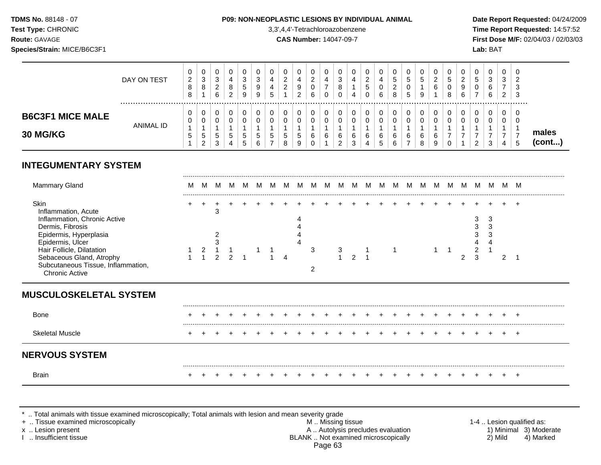#### **TDMS No.** 88148 - 07 **P09: NON-NEOPLASTIC LESIONS BY INDIVIDUAL ANIMAL Date Report Requested:** 04/24/2009

**Test Type:** CHRONIC 3,3',4,4'-Tetrachloroazobenzene **Time Report Requested:** 14:57:52 **Route:** GAVAGE **CAS Number:** 14047-09-7 **First Dose M/F:** 02/04/03 / 02/03/03

|                                            | DAY ON TEST | U<br>2<br>8<br>8 | $\mathbf{0}$<br>3<br>8           | ົ<br>۰C<br>◠<br><u>_</u><br>6 |    | З<br>b<br>9 | ◠<br>ັ<br>9<br>9 | $\ddot{}$ | U<br>ົ<br><u>_</u><br>ാ<br><u>_</u> | 0<br>9<br>ົ<br>∼ | U<br>◠<br><u>.</u><br>U<br>6 | υ<br>ю<br>8<br>0 | 4<br>4 | J<br><u>.</u><br>J<br>С | ν<br>4<br>◡<br>6                | 0<br>5<br>ົ<br>$\sim$<br>8 | U<br>b.<br>U<br><sub>5</sub> | υ<br>6 | $\ddot{\phantom{1}}$<br>ບ<br><b>U</b><br>8 | <u>_</u><br>9<br>6 | U<br>5<br>U<br>- | 0<br>3<br>6<br>6 | 0<br>3<br>$\rightarrow$<br>2 | - ს<br>ು<br>-3 |                 |
|--------------------------------------------|-------------|------------------|----------------------------------|-------------------------------|----|-------------|------------------|-----------|-------------------------------------|------------------|------------------------------|------------------|--------|-------------------------|---------------------------------|----------------------------|------------------------------|--------|--------------------------------------------|--------------------|------------------|------------------|------------------------------|----------------|-----------------|
| <b>B6C3F1 MICE MALE</b><br><b>30 MG/KG</b> | ANIMAL ID   | U<br>U<br>G      | 0<br>U<br><sub>5</sub><br>ົ<br>∠ | $5^{\circ}$<br>◠<br>ა         | .5 | υ<br>đ<br>b | ∽<br>ູບ<br>6     | ບ<br>J    | ν<br>v<br>G<br>8                    | 0<br>◡<br>5<br>9 | υ<br>6                       | 6                | 6<br>◠ | ◡<br>6                  | v<br>U<br>$\sim$<br>v<br>∽<br>J | U<br>U<br>6<br>6           | 6                            | 6<br>9 |                                            | U                  | U<br>υ<br>ົ      | 0<br>0<br>3      | 0<br>U<br>4                  | - ს<br>- 6     | males<br>(cont) |

# **INTEGUMENTARY SYSTEM**

| Mammary Gland                                                                    | <b>IVI</b> | <b>IVI</b> |  |  |  |  |  |  |  |  |  |  |  | M |
|----------------------------------------------------------------------------------|------------|------------|--|--|--|--|--|--|--|--|--|--|--|---|
| Skin<br>Inflammation, Acute                                                      |            |            |  |  |  |  |  |  |  |  |  |  |  |   |
| Inflammation, Chronic Active<br>Dermis, Fibrosis<br>Epidermis, Hyperplasia       |            |            |  |  |  |  |  |  |  |  |  |  |  |   |
| Epidermis, Ulcer<br>Hair Follicle, Dilatation                                    |            |            |  |  |  |  |  |  |  |  |  |  |  |   |
| Sebaceous Gland, Atrophy<br>Subcutaneous Tissue, Inflammation,<br>Chronic Active |            |            |  |  |  |  |  |  |  |  |  |  |  |   |

# **MUSCULOSKELETAL SYSTEM**

| Bone                   | $+$ $+$ | $+$ $-$ |  | + + + + + + + |  |  |  |  |  |  | + + + + + + + + + + + |                                       | $+$ | $+$ $+$ |  |  |
|------------------------|---------|---------|--|---------------|--|--|--|--|--|--|-----------------------|---------------------------------------|-----|---------|--|--|
| <b>Skeletal Muscle</b> | $+$ $+$ | $+$ $-$ |  |               |  |  |  |  |  |  |                       | + + + + + + + + + + + + + + + + + + + |     | $+$ $+$ |  |  |
| <b>NERVOUS SYSTEM</b>  |         |         |  |               |  |  |  |  |  |  |                       |                                       |     |         |  |  |
| Brain                  |         |         |  |               |  |  |  |  |  |  |                       |                                       |     |         |  |  |

\* .. Total animals with tissue examined microscopically; Total animals with lesion and mean severity grade<br>+ .. Tissue examined microscopically

+ .. Tissue examined microscopically examined microscopically **M** .. Missing tissue M .. Missing tissue 1-4 .. Lesion qualified as:<br>A .. Autolysis precludes evaluation 1) Minimal 3) Moderate x .. Lesion present **A .. Autolysis precludes evaluation** A .. Autolysis precludes evaluation 1) Minimal 3) Moderate I .. Insufficient tissue BLANK .. Not examined microscopically 2) Mild 4) Marked Page 63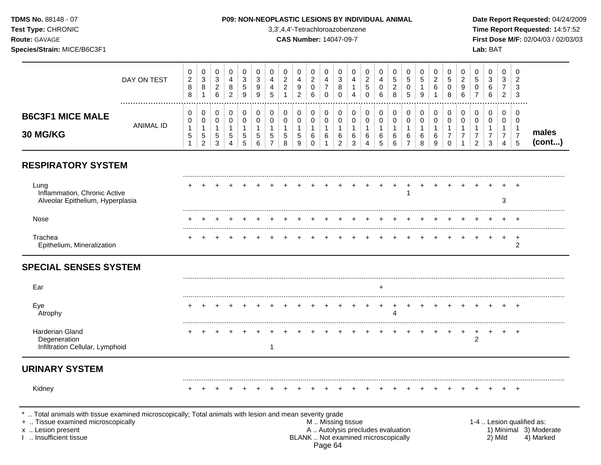**RESPIRATORY SYSTEM** ......................................................................................................................................................................................................... Lung + + + + + + + + + + + + + + + + + + + + + + + + + Inflammation, Chronic Active 1 Alveolar Epithelium, Hyperplasia 3 ......................................................................................................................................................................................................... Nose + + + + + + + + + + + + + + + + + + + + + + + + + ......................................................................................................................................................................................................... Trachea + + + + + + + + + + + + + + + + + + + + + + + + + Epithelium, Mineralization 2 **SPECIAL SENSES SYSTEM** ......................................................................................................................................................................................................... Ear + ......................................................................................................................................................................................................... Eye + + + + + + + + + + + + + + + + + + + + + + + + + Atrophy 4 ......................................................................................................................................................................................................... Harderian Gland + + + + + + + + + + + + + + + + + + + + + + + + + Degeneration 2 Infiltration Cellular, Lymphoid 1 **URINARY SYSTEM** ......................................................................................................................................................................................................... Kidney + + + + + + + + + + + + + + + + + + + + + + + + + **Test Type:** CHRONIC 3,3',4,4'-Tetrachloroazobenzene **Time Report Requested:** 14:57:52 **Route:** GAVAGE **CAS Number:** 14047-09-7 **First Dose M/F:** 02/04/03 / 02/03/03 **Species/Strain:** MICE/B6C3F1 **Lab:** BAT DAY ON TEST  $\Omega$   $\Omega$  ................................................................................................................................................................. **B6C3F1 MICE MALE** ANIMAL ID **30 MG/KG males (cont...)** .. Total animals with tissue examined microscopically; Total animals with lesion and mean severity grade<br>Tissue examined microscopically + .. Tissue examined microscopically examined microscopically and the state of the state of the M .. Missing tissue the M .. Missing tissue the matrix of the M .. Missing tissue the matrix of the M .. Lesion qualified as: x .. Lesion present 1) Minimal 3) Moderate<br>A .. Autolysis precludes evaluation 1 and 1) Minimal 3) Moderate<br>BLANK .. Not examined microscopically 1 and 1) Minimal 3) Marked BLANK .. Not examined microscopically

**TDMS No.** 88148 - 07 **P09: NON-NEOPLASTIC LESIONS BY INDIVIDUAL ANIMAL Date Report Requested:** 04/24/2009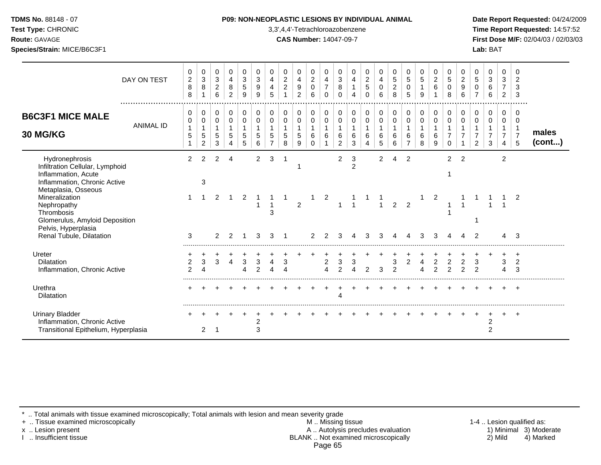| <b>TDMS No. 88148 - 07</b> |  |
|----------------------------|--|
| Toet Tyno: CHRONIC         |  |

#### **P09: NON-NEOPLASTIC LESIONS BY INDIVIDUAL ANIMAL Date Report Requested: 04/24/2009**

**Test Type:** CHRONIC 3,3',4,4'-Tetrachloroazobenzene **Time Report Requested:** 14:57:52 **Route:** GAVAGE **CAS Number:** 14047-09-7 **First Dose M/F:** 02/04/03 / 02/03/03 **Species/Strain:** MICE/B6C3F1 **Lab:** BAT

|                                                                                                                                 | DAY ON TEST      | 0<br>$\overline{c}$<br>$\,8\,$<br>8 | 0<br>$\ensuremath{\mathsf{3}}$<br>$\, 8$ | 0<br>$\ensuremath{\mathsf{3}}$<br>$\boldsymbol{2}$<br>6 | 0<br>4<br>8<br>$\overline{2}$              | 0<br>$\mathbf{3}$<br>$\sqrt{5}$<br>9 | 0<br>3<br>9<br>9             | 0<br>4<br>4<br>5              | 0<br>$\sqrt{2}$<br>$\overline{c}$<br>$\overline{1}$ | 0<br>4<br>9<br>$\overline{2}$ | 0<br>$\boldsymbol{2}$<br>$\mathbf 0$<br>6 | 0<br>$\overline{4}$<br>$\overline{7}$<br>$\Omega$ | 0<br>$\mathbf{3}$<br>$\bf 8$<br>$\mathbf 0$           | 0<br>4<br>$\mathbf{1}$<br>4                | 0<br>$\overline{c}$<br>$\sqrt{5}$<br>$\Omega$ | 0<br>4<br>0<br>6                 | 0<br>$\sqrt{5}$<br>$\boldsymbol{2}$<br>8 | 0<br>$\sqrt{5}$<br>0<br>5          | 0<br>$\sqrt{5}$<br>$\mathbf{1}$<br>9       | 0<br>$\overline{2}$<br>$\,6\,$   | 0<br>5<br>$\mathbf 0$<br>8       | 0<br>$\overline{2}$<br>9<br>6 | 0<br>5<br>0        | 0<br>3<br>6<br>6              | 0<br>3<br>$\overline{7}$<br>$\overline{2}$                 | 0<br>$\overline{2}$<br>3<br>3                                    |                       |
|---------------------------------------------------------------------------------------------------------------------------------|------------------|-------------------------------------|------------------------------------------|---------------------------------------------------------|--------------------------------------------|--------------------------------------|------------------------------|-------------------------------|-----------------------------------------------------|-------------------------------|-------------------------------------------|---------------------------------------------------|-------------------------------------------------------|--------------------------------------------|-----------------------------------------------|----------------------------------|------------------------------------------|------------------------------------|--------------------------------------------|----------------------------------|----------------------------------|-------------------------------|--------------------|-------------------------------|------------------------------------------------------------|------------------------------------------------------------------|-----------------------|
| <b>B6C3F1 MICE MALE</b><br>30 MG/KG                                                                                             | <b>ANIMAL ID</b> | 0<br>0<br>$\mathbf{1}$<br>5         | 0<br>0<br>5<br>$\overline{c}$            | 0<br>$\mathbf 0$<br>$\mathbf{1}$<br>5<br>3              | 0<br>$\mathbf 0$<br>$\mathbf{1}$<br>5<br>4 | 0<br>$\mathbf 0$<br>5<br>5           | 0<br>0<br>5<br>6             | 0<br>0<br>5<br>$\overline{7}$ | $\pmb{0}$<br>$\mathbf 0$<br>$\mathbf{1}$<br>5<br>8  | 0<br>0<br>5<br>9              | 0<br>$\mathbf 0$<br>1<br>6<br>$\Omega$    | 0<br>0<br>$\mathbf{1}$<br>6                       | 0<br>$\pmb{0}$<br>$\mathbf{1}$<br>6<br>$\overline{2}$ | 0<br>$\mathbf 0$<br>$\mathbf{1}$<br>6<br>3 | 0<br>$\mathbf 0$<br>$\mathbf{1}$<br>6<br>4    | 0<br>0<br>$\mathbf{1}$<br>6<br>5 | 0<br>$\pmb{0}$<br>6<br>6                 | 0<br>0<br>1<br>6<br>$\overline{7}$ | 0<br>$\mathbf 0$<br>$\mathbf{1}$<br>6<br>8 | 0<br>0<br>1<br>6<br>9            | 0<br>$\mathbf 0$<br>$\Omega$     | 0<br>0                        | 0<br>0<br>2        | 0<br>0<br>$\overline{7}$<br>3 | 0<br>0<br>$\mathbf{1}$<br>$\overline{7}$<br>$\overline{4}$ | $\Omega$<br>$\mathbf 0$<br>$\overline{1}$<br>$\overline{7}$<br>5 | males<br>$($ cont $)$ |
| Hydronephrosis<br>Infiltration Cellular, Lymphoid<br>Inflammation, Acute<br>Inflammation, Chronic Active<br>Metaplasia, Osseous |                  | $\overline{2}$                      | 2<br>3                                   | 2                                                       | 4                                          |                                      | $\overline{2}$               | 3                             | -1                                                  |                               |                                           |                                                   | $\overline{2}$                                        | 3<br>$\overline{c}$                        |                                               | $\overline{2}$                   | $\overline{4}$                           | $\overline{2}$                     |                                            |                                  | 2                                | $\overline{2}$                |                    |                               | $\overline{2}$                                             |                                                                  |                       |
| Mineralization<br>Nephropathy<br>Thrombosis<br>Glomerulus, Amyloid Deposition<br>Pelvis, Hyperplasia                            |                  |                                     |                                          | 2                                                       |                                            | 2                                    | 1                            | 3                             |                                                     | $\overline{2}$                |                                           | 2                                                 | $\overline{1}$                                        | $\overline{1}$                             |                                               | $\overline{1}$                   | $\overline{2}$                           | $\overline{2}$                     |                                            | 2                                |                                  |                               |                    |                               |                                                            | $\overline{2}$                                                   |                       |
| Renal Tubule, Dilatation                                                                                                        |                  | 3                                   |                                          | 2                                                       | 2                                          |                                      | 3                            | 3                             | -1                                                  |                               | 2                                         | 2                                                 | 3                                                     |                                            | 3                                             | 3                                | 4                                        | 4                                  | 3                                          | З                                |                                  |                               | 2                  |                               |                                                            | 3                                                                |                       |
| Ureter<br><b>Dilatation</b><br>Inflammation, Chronic Active                                                                     |                  | 2<br>$\overline{2}$                 | $\mathbf{3}$                             | 3                                                       | 4                                          | 3                                    | 3<br>C                       |                               | 3                                                   |                               |                                           | 2                                                 | 3<br>$\overline{2}$                                   | 3                                          | 2                                             | 3                                | 3<br>$\mathfrak{p}$                      | 2                                  | 4                                          | $\overline{c}$<br>$\overline{2}$ | $\overline{c}$<br>$\mathfrak{p}$ | 2<br>2                        | 3<br>$\mathcal{P}$ |                               | 3                                                          | $\div$<br>$\overline{2}$<br>3                                    |                       |
| Urethra<br><b>Dilatation</b>                                                                                                    |                  |                                     |                                          |                                                         |                                            |                                      |                              |                               |                                                     |                               |                                           |                                                   |                                                       |                                            |                                               |                                  |                                          |                                    |                                            |                                  |                                  |                               |                    |                               |                                                            |                                                                  |                       |
| <b>Urinary Bladder</b><br>Inflammation, Chronic Active<br>Transitional Epithelium, Hyperplasia                                  |                  |                                     | 2                                        |                                                         |                                            |                                      | $\overline{\mathbf{c}}$<br>3 |                               |                                                     |                               |                                           |                                                   |                                                       |                                            |                                               |                                  |                                          |                                    |                                            |                                  |                                  |                               |                    | $\overline{c}$<br>2           |                                                            | $\pm$                                                            |                       |

\* .. Total animals with tissue examined microscopically; Total animals with lesion and mean severity grade

+ .. Tissue examined microscopically M .. Missing tissue 1-4 .. Lesion qualified as: x .. Lesion present **A .. Autolysis precludes evaluation** A .. Autolysis precludes evaluation 1) Minimal 3) Moderate I .. Insufficient tissue BLANK .. Not examined microscopically 2) Mild 4) Marked Page 65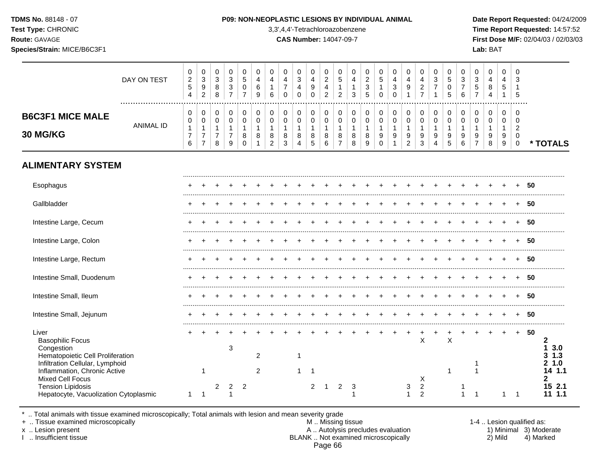**Test Type:** CHRONIC 3,3',4,4'-Tetrachloroazobenzene **Time Report Requested:** 14:57:52 **Route:** GAVAGE **CAS Number:** 14047-09-7 **First Dose M/F:** 02/04/03 / 02/03/03 **Species/Strain:** MICE/B6C3F1 **Lab:** BAT

|                                                                                                                              | DAY ON TEST      | $\pmb{0}$<br>$\boldsymbol{2}$<br>$\overline{5}$<br>$\overline{4}$ | 0<br>3<br>9<br>$\overline{c}$                              | $\pmb{0}$<br>$\sqrt{3}$<br>$\,8\,$<br>8                             | 0<br>$\mathbf{3}$<br>$\mathfrak{S}$<br>$\overline{7}$               | 0<br>$\overline{5}$<br>$\mathbf 0$<br>$\overline{7}$ | 0<br>4<br>6<br>9                      | $\mathbf 0$<br>$\overline{\mathbf{4}}$<br>$\mathbf{1}$<br>6 | $\mathbf 0$<br>4<br>$\overline{7}$<br>$\Omega$ | $\pmb{0}$<br>$\sqrt{3}$<br>$\overline{4}$<br>$\mathbf 0$ | $\mathbf 0$<br>4<br>$\boldsymbol{9}$<br>$\mathbf 0$  | 0<br>$\overline{c}$<br>$\overline{\mathbf{4}}$<br>$\overline{2}$ | 0<br>$\overline{5}$<br>$\mathbf{1}$<br>$\overline{2}$           | 0<br>4<br>$\mathbf{1}$<br>3      | 0<br>$\overline{c}$<br>$\sqrt{3}$<br>5                  | 0<br>$\overline{5}$<br>$\mathbf{1}$<br>$\Omega$      | $\pmb{0}$<br>4<br>$\mathfrak{S}$<br>$\mathbf 0$           | $\mathbf 0$<br>4<br>9<br>1                 | 0<br>$\overline{4}$<br>$\overline{a}$<br>$\overline{7}$ | 0<br>$\mathbf{3}$<br>$\overline{7}$        | 0<br>5<br>$\mathbf 0$<br>5 | 0<br>$\sqrt{3}$<br>$\overline{7}$<br>6 | $\mathbf 0$<br>3<br>$\sqrt{5}$<br>$\overline{7}$          | $\mathbf 0$<br>$\overline{4}$<br>8<br>4    | $\mathbf 0$<br>4<br>5<br>$\mathbf{1}$ | 0<br>3<br>1<br>5                                                 |    |                                                  |
|------------------------------------------------------------------------------------------------------------------------------|------------------|-------------------------------------------------------------------|------------------------------------------------------------|---------------------------------------------------------------------|---------------------------------------------------------------------|------------------------------------------------------|---------------------------------------|-------------------------------------------------------------|------------------------------------------------|----------------------------------------------------------|------------------------------------------------------|------------------------------------------------------------------|-----------------------------------------------------------------|----------------------------------|---------------------------------------------------------|------------------------------------------------------|-----------------------------------------------------------|--------------------------------------------|---------------------------------------------------------|--------------------------------------------|----------------------------|----------------------------------------|-----------------------------------------------------------|--------------------------------------------|---------------------------------------|------------------------------------------------------------------|----|--------------------------------------------------|
| <b>B6C3F1 MICE MALE</b><br>30 MG/KG                                                                                          | <b>ANIMAL ID</b> | 0<br>0<br>$\mathbf{1}$<br>$\overline{7}$<br>6                     | 0<br>0<br>$\mathbf{1}$<br>$\overline{7}$<br>$\overline{7}$ | $\mathbf 0$<br>$\mathbf 0$<br>$\overline{1}$<br>$\overline{7}$<br>8 | $\mathbf 0$<br>$\mathbf 0$<br>$\mathbf{1}$<br>$\boldsymbol{7}$<br>9 | 0<br>$\mathbf 0$<br>$\mathbf{1}$<br>8<br>$\Omega$    | 0<br>$\mathbf 0$<br>$\mathbf{1}$<br>8 | 0<br>0<br>1<br>8<br>$\overline{c}$                          | 0<br>0<br>$\mathbf{1}$<br>8<br>3               | 0<br>$\pmb{0}$<br>$\mathbf{1}$<br>8<br>$\overline{4}$    | $\mathbf 0$<br>$\mathbf 0$<br>$\mathbf{1}$<br>8<br>5 | $\pmb{0}$<br>$\mathbf 0$<br>$\mathbf{1}$<br>8<br>6               | $\pmb{0}$<br>$\mathbf 0$<br>$\mathbf{1}$<br>8<br>$\overline{7}$ | 0<br>0<br>$\mathbf{1}$<br>8<br>8 | 0<br>$\pmb{0}$<br>$\mathbf{1}$<br>8<br>$\boldsymbol{9}$ | 0<br>$\mathbf 0$<br>$\mathbf{1}$<br>9<br>$\mathbf 0$ | $\,0\,$<br>$\pmb{0}$<br>$\mathbf{1}$<br>9<br>$\mathbf{1}$ | 0<br>$\mathbf 0$<br>$\mathbf{1}$<br>9<br>2 | 0<br>$\mathbf 0$<br>$\mathbf{1}$<br>9<br>3              | 0<br>$\mathbf 0$<br>$\mathbf{1}$<br>9<br>4 | 0<br>0<br>1<br>9<br>5      | 0<br>$\mathbf 0$<br>1<br>9<br>6        | 0<br>$\mathbf 0$<br>$\overline{1}$<br>9<br>$\overline{7}$ | $\mathbf 0$<br>0<br>$\mathbf{1}$<br>9<br>8 | 0<br>0<br>$\mathbf{1}$<br>9<br>9      | 0<br>$\mathbf 0$<br>$\overline{2}$<br>$\mathbf 0$<br>$\mathbf 0$ |    | * TOTALS                                         |
| <b>ALIMENTARY SYSTEM</b>                                                                                                     |                  |                                                                   |                                                            |                                                                     |                                                                     |                                                      |                                       |                                                             |                                                |                                                          |                                                      |                                                                  |                                                                 |                                  |                                                         |                                                      |                                                           |                                            |                                                         |                                            |                            |                                        |                                                           |                                            |                                       |                                                                  |    |                                                  |
| Esophagus                                                                                                                    |                  |                                                                   |                                                            |                                                                     |                                                                     |                                                      |                                       |                                                             |                                                |                                                          |                                                      |                                                                  |                                                                 |                                  |                                                         |                                                      |                                                           |                                            |                                                         |                                            |                            |                                        |                                                           |                                            |                                       |                                                                  | 50 |                                                  |
| Gallbladder                                                                                                                  |                  |                                                                   |                                                            |                                                                     |                                                                     |                                                      |                                       |                                                             |                                                |                                                          |                                                      |                                                                  |                                                                 |                                  |                                                         |                                                      |                                                           |                                            |                                                         |                                            |                            |                                        |                                                           |                                            |                                       |                                                                  | 50 |                                                  |
| Intestine Large, Cecum                                                                                                       |                  |                                                                   |                                                            |                                                                     |                                                                     |                                                      |                                       |                                                             |                                                |                                                          |                                                      |                                                                  |                                                                 |                                  |                                                         |                                                      |                                                           |                                            |                                                         |                                            |                            |                                        |                                                           |                                            |                                       |                                                                  | 50 |                                                  |
| Intestine Large, Colon                                                                                                       |                  |                                                                   |                                                            |                                                                     |                                                                     |                                                      |                                       |                                                             |                                                |                                                          |                                                      |                                                                  |                                                                 |                                  |                                                         |                                                      |                                                           |                                            |                                                         |                                            |                            |                                        |                                                           |                                            |                                       |                                                                  | 50 |                                                  |
| Intestine Large, Rectum                                                                                                      |                  |                                                                   |                                                            |                                                                     |                                                                     |                                                      |                                       |                                                             |                                                |                                                          |                                                      |                                                                  |                                                                 |                                  |                                                         |                                                      |                                                           |                                            |                                                         |                                            |                            |                                        |                                                           |                                            |                                       |                                                                  | 50 |                                                  |
| Intestine Small, Duodenum                                                                                                    |                  |                                                                   |                                                            |                                                                     |                                                                     |                                                      |                                       |                                                             |                                                |                                                          |                                                      |                                                                  |                                                                 |                                  |                                                         |                                                      |                                                           |                                            |                                                         |                                            |                            |                                        |                                                           |                                            |                                       |                                                                  | 50 |                                                  |
| Intestine Small, Ileum                                                                                                       |                  |                                                                   |                                                            |                                                                     |                                                                     |                                                      |                                       |                                                             |                                                |                                                          |                                                      |                                                                  |                                                                 |                                  |                                                         |                                                      |                                                           |                                            |                                                         |                                            |                            |                                        |                                                           |                                            |                                       |                                                                  | 50 |                                                  |
| Intestine Small, Jejunum                                                                                                     |                  |                                                                   |                                                            |                                                                     |                                                                     |                                                      |                                       |                                                             |                                                |                                                          |                                                      |                                                                  |                                                                 |                                  |                                                         |                                                      |                                                           |                                            |                                                         |                                            |                            |                                        |                                                           |                                            |                                       |                                                                  | 50 |                                                  |
| Liver<br><b>Basophilic Focus</b><br>Congestion<br>Hematopoietic Cell Proliferation<br>Infiltration Cellular, Lymphoid        |                  |                                                                   |                                                            |                                                                     | 3                                                                   |                                                      | $\overline{c}$                        |                                                             |                                                | $\mathbf 1$                                              |                                                      |                                                                  |                                                                 |                                  |                                                         |                                                      |                                                           | +                                          | +<br>X                                                  | ٠                                          | $\ddot{}$<br>$\sf X$       |                                        |                                                           |                                            |                                       | $+$                                                              | 50 | $\mathbf{2}$<br>3.0<br>1<br>1.3<br>3<br>1.0<br>2 |
| Inflammation, Chronic Active<br><b>Mixed Cell Focus</b><br><b>Tension Lipidosis</b><br>Hepatocyte, Vacuolization Cytoplasmic |                  | 1                                                                 | -1<br>$\overline{1}$                                       | 2                                                                   | $\mathbf{2}$                                                        | $\overline{c}$                                       | 2                                     |                                                             |                                                | $\overline{1}$                                           | -1<br>2                                              |                                                                  | $\overline{2}$                                                  | 3<br>1                           |                                                         |                                                      |                                                           | 3<br>1                                     | X<br>$\overline{c}$<br>$\overline{2}$                   |                                            | $\mathbf{1}$               |                                        |                                                           |                                            | 1                                     | -1                                                               |    | 1.1<br>14<br>2.1<br>15<br>1.1<br>11              |

\* .. Total animals with tissue examined microscopically; Total animals with lesion and mean severity grade

+ .. Tissue examined microscopically M .. Missing tissue 1-4 .. Lesion qualified as: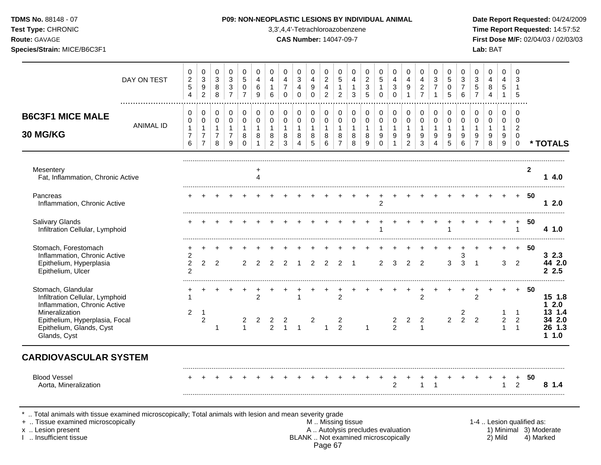| <b>TDMS No.</b> 88148 - 07 |
|----------------------------|
| Test Type: CHRONIC         |
| Route: GAVAGF              |

#### **P09: NON-NEOPLASTIC LESIONS BY INDIVIDUAL ANIMAL Date Report Requested:** 04/24/2009

**Time Report Requested:** 14:57:52 **Route:** GAVAGE **CAS Number:** 14047-09-7 **First Dose M/F:** 02/04/03 / 02/03/03

| DAY ON TEST                                                                                                                               | 0<br>$\sqrt{2}$<br>$\sqrt{5}$<br>4                    | 0<br>$\sqrt{3}$<br>$\boldsymbol{9}$<br>$\overline{2}$ | 0<br>$\sqrt{3}$<br>8<br>8                     | 0<br>$\mathbf{3}$<br>$\mathbf{3}$<br>$\overline{7}$     | 0<br>5<br>$\mathbf 0$<br>$\overline{7}$         | $\mathbf 0$<br>4<br>6<br>9            | 0<br>4<br>$\mathbf{1}$<br>6      | 0<br>4<br>$\overline{7}$<br>$\Omega$       | 0<br>$\mathbf{3}$<br>4<br>$\Omega$    | $\mathbf 0$<br>4<br>9<br>$\Omega$ | $\mathbf 0$<br>$\sqrt{2}$<br>$\overline{4}$<br>$\overline{c}$ | 0<br>5<br>$\mathbf{1}$<br>$\overline{2}$      | $\mathbf 0$<br>4<br>$\mathbf{1}$<br>3      | 0<br>$\boldsymbol{2}$<br>3<br>5            | 0<br>$\overline{5}$<br>$\overline{1}$               | $\mathbf 0$<br>$\overline{4}$<br>3<br>$\Omega$ | 0<br>4<br>9                                             | $\mathbf 0$<br>4<br>$\sqrt{2}$<br>$\overline{7}$ | 0<br>$\ensuremath{\mathsf{3}}$<br>$\overline{7}$ | $\mathbf 0$<br>5<br>$\Omega$<br>5          | 0<br>3<br>$\overline{7}$<br>6              | 0<br>3<br>5                                             | $\mathbf 0$<br>4<br>8<br>4                 | 0<br>$\overline{4}$<br>5                                  | $\Omega$<br>3<br>5                                                      |              |                                      |
|-------------------------------------------------------------------------------------------------------------------------------------------|-------------------------------------------------------|-------------------------------------------------------|-----------------------------------------------|---------------------------------------------------------|-------------------------------------------------|---------------------------------------|----------------------------------|--------------------------------------------|---------------------------------------|-----------------------------------|---------------------------------------------------------------|-----------------------------------------------|--------------------------------------------|--------------------------------------------|-----------------------------------------------------|------------------------------------------------|---------------------------------------------------------|--------------------------------------------------|--------------------------------------------------|--------------------------------------------|--------------------------------------------|---------------------------------------------------------|--------------------------------------------|-----------------------------------------------------------|-------------------------------------------------------------------------|--------------|--------------------------------------|
| <b>B6C3F1 MICE MALE</b><br><b>ANIMAL ID</b><br>30 MG/KG                                                                                   | 0<br>$\pmb{0}$<br>$\mathbf{1}$<br>$\overline{7}$<br>6 | 0<br>0<br>$\mathbf{1}$<br>7<br>$\overline{7}$         | 0<br>0<br>$\mathbf{1}$<br>$\overline{7}$<br>8 | 0<br>$\mathbf 0$<br>$\mathbf{1}$<br>$\overline{7}$<br>9 | 0<br>$\pmb{0}$<br>$\mathbf{1}$<br>8<br>$\Omega$ | 0<br>$\mathbf 0$<br>$\mathbf{1}$<br>8 | 0<br>0<br>$\mathbf{1}$<br>8<br>2 | 0<br>$\mathbf 0$<br>$\mathbf{1}$<br>8<br>3 | 0<br>$\mathbf 0$<br>$\mathbf{1}$<br>8 | 0<br>$\mathbf 0$<br>1<br>8<br>5   | $\mathbf 0$<br>$\mathbf 0$<br>$\overline{1}$<br>8<br>6        | 0<br>0<br>$\mathbf{1}$<br>8<br>$\overline{7}$ | 0<br>$\mathbf 0$<br>$\mathbf{1}$<br>8<br>8 | 0<br>$\mathbf 0$<br>$\mathbf{1}$<br>8<br>9 | 0<br>$\mathbf 0$<br>$\overline{1}$<br>9<br>$\Omega$ | 0<br>0<br>1<br>9                               | 0<br>$\mathbf 0$<br>$\mathbf{1}$<br>9<br>$\overline{2}$ | 0<br>$\mathbf 0$<br>$\overline{1}$<br>9<br>3     | 0<br>$\pmb{0}$<br>$\mathbf{1}$<br>9<br>4         | 0<br>$\mathbf 0$<br>$\mathbf{1}$<br>9<br>5 | 0<br>$\mathbf 0$<br>$\mathbf{1}$<br>9<br>6 | 0<br>$\mathbf 0$<br>$\mathbf{1}$<br>9<br>$\overline{7}$ | 0<br>$\mathbf 0$<br>$\mathbf{1}$<br>9<br>8 | 0<br>$\mathbf 0$<br>$\mathbf{1}$<br>9<br>$\boldsymbol{9}$ | $\Omega$<br>$\mathbf 0$<br>$\overline{2}$<br>$\mathbf 0$<br>$\mathbf 0$ |              | * TOTALS                             |
| Mesentery<br>Fat, Inflammation, Chronic Active                                                                                            |                                                       |                                                       |                                               |                                                         |                                                 | Δ                                     |                                  |                                            |                                       |                                   |                                                               |                                               |                                            |                                            |                                                     |                                                |                                                         |                                                  |                                                  |                                            |                                            |                                                         |                                            |                                                           |                                                                         | $\mathbf{2}$ | 14.0                                 |
| Pancreas<br>Inflammation, Chronic Active                                                                                                  |                                                       |                                                       |                                               |                                                         |                                                 |                                       |                                  |                                            |                                       |                                   |                                                               |                                               |                                            |                                            | $\mathfrak{p}$                                      |                                                |                                                         |                                                  |                                                  |                                            |                                            |                                                         |                                            |                                                           |                                                                         | 50           | 12.0                                 |
| Salivary Glands<br>Infiltration Cellular, Lymphoid                                                                                        |                                                       |                                                       |                                               |                                                         |                                                 |                                       |                                  |                                            |                                       |                                   |                                                               |                                               |                                            |                                            |                                                     |                                                |                                                         |                                                  |                                                  |                                            |                                            |                                                         |                                            |                                                           |                                                                         | 50           | 4 1.0                                |
| Stomach, Forestomach<br>Inflammation, Chronic Active<br>Epithelium, Hyperplasia<br>Epithelium, Ulcer                                      | 2<br>$\overline{2}$<br>2                              | $\overline{2}$                                        | 2                                             |                                                         | 2                                               | 2                                     |                                  | 2                                          |                                       | 2                                 |                                                               |                                               |                                            |                                            | $\overline{c}$                                      | 3                                              | 2                                                       | $\overline{2}$                                   |                                                  | 3                                          | 3<br>3                                     | -1                                                      |                                            | 3                                                         | 2                                                                       | 50           | 32.3<br>44 2.0<br>2.5                |
| Stomach, Glandular<br>Infiltration Cellular, Lymphoid<br>Inflammation, Chronic Active<br>Mineralization<br>Epithelium, Hyperplasia, Focal | $\overline{2}$                                        | $\mathbf 1$<br>$\overline{c}$                         |                                               |                                                         | 2                                               | $\overline{2}$<br>2                   | 2                                | 2                                          | 1                                     | 2                                 |                                                               | 2<br>$\overline{2}$                           |                                            |                                            |                                                     | $\overline{\mathbf{c}}$                        | $\overline{2}$                                          | 2<br>$\overline{2}$                              |                                                  | $\overline{2}$                             | $\overline{\mathbf{c}}$<br>$\overline{2}$  | 2<br>$\overline{2}$                                     |                                            | $\overline{2}$                                            | $+$<br>$\mathbf 1$<br>$\overline{c}$                                    | -50          | 15 1.8<br>$12.0$<br>13 1.4<br>34 2.0 |
| Epithelium, Glands, Cyst<br>Glands, Cyst                                                                                                  |                                                       |                                                       | -1                                            |                                                         | $\mathbf{1}$                                    |                                       | $\overline{2}$                   | $\overline{1}$                             | $\mathbf{1}$                          |                                   | $\mathbf{1}$                                                  | $\mathcal{P}$                                 |                                            | $\mathbf{1}$                               |                                                     | $\overline{2}$                                 |                                                         | $\mathbf{1}$                                     |                                                  |                                            |                                            |                                                         |                                            | 1                                                         | 1                                                                       |              | 26 1.3<br>1.0<br>1                   |
| <b>CARDIOVASCULAR SYSTEM</b><br><b>Blood Vessel</b><br>Aorta, Mineralization                                                              |                                                       |                                                       |                                               |                                                         |                                                 |                                       |                                  |                                            |                                       |                                   |                                                               |                                               |                                            |                                            |                                                     | $\mathfrak{p}$                                 |                                                         |                                                  |                                                  |                                            |                                            |                                                         |                                            |                                                           | $\ddot{}$<br>$\mathcal{P}$                                              | 50           | 8<br>1.4                             |

\* .. Total animals with tissue examined microscopically; Total animals with lesion and mean severity grade

+ .. Tissue examined microscopically M .. Missing tissue 1-4 .. Lesion qualified as:

- x .. Lesion present **A .. Autolysis precludes evaluation** A .. Autolysis precludes evaluation 1) Minimal 3) Moderate I .. Insufficient tissue BLANK .. Not examined microscopically 2) Mild 4) Marked Page 67
-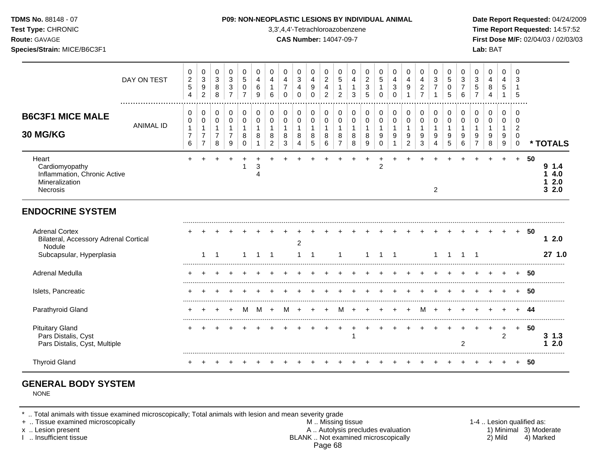**Test Type:** CHRONIC 3,3',4,4'-Tetrachloroazobenzene **Time Report Requested:** 14:57:52 **Route:** GAVAGE **CAS Number:** 14047-09-7 **First Dose M/F:** 02/04/03 / 02/03/03 **Species/Strain:** MICE/B6C3F1 **Lab:** BAT

|                                                                                                      | DAY ON TEST      | 0<br>$\overline{c}$<br>$\sqrt{5}$<br>4 | 0<br>$\ensuremath{\mathsf{3}}$<br>9<br>$\overline{c}$     | 0<br>$\mathbf{3}$<br>8<br>8                                       | 0<br>$\ensuremath{\mathsf{3}}$<br>$\ensuremath{\mathsf{3}}$<br>$\overline{7}$ | 0<br>$\sqrt{5}$<br>0<br>$\overline{7}$ | 0<br>$\overline{4}$<br>6<br>9 | 0<br>$\overline{4}$<br>6                               | 0<br>$\overline{\mathbf{4}}$<br>$\overline{7}$<br>$\Omega$ | 0<br>$\sqrt{3}$<br>4<br>$\Omega$ | 0<br>$\overline{\mathbf{4}}$<br>9<br>$\Omega$ | 0<br>$\boldsymbol{2}$<br>$\overline{4}$<br>$\overline{2}$ | 0<br>$\,$ 5 $\,$<br>1<br>$\overline{2}$ | 0<br>4<br>3      | 0<br>$\overline{c}$<br>$\mathbf{3}$<br>5           | 0<br>$\overline{5}$<br>1<br>$\Omega$                       | 0<br>$\overline{\mathbf{4}}$<br>$\mathbf{3}$<br>$\Omega$ | 0<br>$\overline{4}$<br>9                              | 0<br>$\overline{\mathbf{4}}$<br>$\sqrt{2}$<br>$\overline{7}$ | 0<br>$\mathbf{3}$                          | 0<br>5<br>0<br>5           | 0<br>3<br>7<br>6                     | 0<br>$\ensuremath{\mathsf{3}}$<br>$\sqrt{5}$ | 0<br>4<br>8<br>4      | 0<br>4<br>5                     | 0<br>3<br>5                                            |    |                                    |
|------------------------------------------------------------------------------------------------------|------------------|----------------------------------------|-----------------------------------------------------------|-------------------------------------------------------------------|-------------------------------------------------------------------------------|----------------------------------------|-------------------------------|--------------------------------------------------------|------------------------------------------------------------|----------------------------------|-----------------------------------------------|-----------------------------------------------------------|-----------------------------------------|------------------|----------------------------------------------------|------------------------------------------------------------|----------------------------------------------------------|-------------------------------------------------------|--------------------------------------------------------------|--------------------------------------------|----------------------------|--------------------------------------|----------------------------------------------|-----------------------|---------------------------------|--------------------------------------------------------|----|------------------------------------|
| <b>B6C3F1 MICE MALE</b><br><b>30 MG/KG</b>                                                           | <b>ANIMAL ID</b> | 0<br>0<br>1<br>$\overline{7}$<br>6     | 0<br>$\mathbf 0$<br>1<br>$\overline{7}$<br>$\overline{7}$ | $\mathbf 0$<br>$\mathbf 0$<br>$\mathbf{1}$<br>$\overline{7}$<br>8 | 0<br>$\mathbf 0$<br>1<br>$\overline{7}$<br>9                                  | 0<br>$\mathbf 0$<br>1<br>8<br>$\Omega$ | 0<br>$\mathbf 0$<br>8         | $\mathbf 0$<br>$\mathbf 0$<br>1<br>8<br>$\overline{2}$ | 0<br>$\mathbf 0$<br>8<br>$\mathbf{3}$                      | 0<br>0<br>8<br>4                 | 0<br>$\mathbf 0$<br>$\mathbf 1$<br>8<br>5     | 0<br>$\mathbf 0$<br>8<br>6                                | 0<br>$\mathbf 0$<br>8<br>$\overline{7}$ | 0<br>0<br>8<br>8 | $\pmb{0}$<br>$\mathbf 0$<br>$\mathbf{1}$<br>8<br>9 | $\pmb{0}$<br>$\pmb{0}$<br>$\mathbf{1}$<br>9<br>$\mathbf 0$ | 0<br>$\pmb{0}$<br>1<br>9<br>$\mathbf{1}$                 | 0<br>$\pmb{0}$<br>$\mathbf{1}$<br>9<br>$\overline{a}$ | 0<br>$\mathbf 0$<br>$\mathbf{1}$<br>$9\,$<br>3               | 0<br>$\mathbf 0$<br>$\mathbf{1}$<br>9<br>4 | 0<br>$\mathbf 0$<br>9<br>5 | $\mathbf 0$<br>$\mathbf 0$<br>9<br>6 | 0<br>$\mathbf 0$<br>9<br>$\overline{7}$      | 0<br>0<br>1<br>9<br>8 | 0<br>0<br>$\mathbf 1$<br>9<br>9 | 0<br>0<br>$\overline{2}$<br>$\mathbf 0$<br>$\mathbf 0$ |    | * TOTALS                           |
| Heart<br>Cardiomyopathy<br>Inflammation, Chronic Active<br>Mineralization<br>Necrosis                |                  |                                        |                                                           |                                                                   |                                                                               | 1                                      | 3                             |                                                        |                                                            |                                  |                                               |                                                           |                                         |                  |                                                    | $\overline{2}$                                             |                                                          |                                                       |                                                              | 2                                          |                            |                                      |                                              |                       |                                 | $+$                                                    | 50 | 9<br>1.4<br>4.0<br>2.0<br>2.0<br>3 |
| <b>ENDOCRINE SYSTEM</b>                                                                              |                  |                                        |                                                           |                                                                   |                                                                               |                                        |                               |                                                        |                                                            |                                  |                                               |                                                           |                                         |                  |                                                    |                                                            |                                                          |                                                       |                                                              |                                            |                            |                                      |                                              |                       |                                 |                                                        |    |                                    |
| <b>Adrenal Cortex</b><br>Bilateral, Accessory Adrenal Cortical<br>Nodule<br>Subcapsular, Hyperplasia |                  |                                        | 1                                                         |                                                                   |                                                                               |                                        |                               | -1                                                     |                                                            | 2                                |                                               |                                                           | -1                                      |                  | 1                                                  |                                                            |                                                          |                                                       |                                                              | 1                                          |                            |                                      |                                              |                       |                                 | $+$                                                    | 50 | 12.0<br>27 1.0                     |
| Adrenal Medulla                                                                                      |                  |                                        |                                                           |                                                                   |                                                                               |                                        |                               |                                                        |                                                            |                                  |                                               |                                                           |                                         |                  |                                                    |                                                            |                                                          |                                                       |                                                              |                                            |                            |                                      |                                              |                       |                                 |                                                        | 50 |                                    |
| Islets, Pancreatic                                                                                   |                  |                                        |                                                           |                                                                   |                                                                               |                                        |                               |                                                        |                                                            |                                  |                                               |                                                           |                                         |                  |                                                    |                                                            |                                                          |                                                       |                                                              |                                            |                            |                                      |                                              |                       |                                 |                                                        | 50 |                                    |
| Parathyroid Gland                                                                                    |                  | +                                      |                                                           |                                                                   | $\pm$                                                                         | м                                      | M                             | $\overline{+}$                                         | м                                                          | $\overline{+}$                   |                                               | $\pm$                                                     | M                                       | $\pm$            |                                                    | $\pm$                                                      | $\overline{ }$                                           | $+$                                                   | M                                                            | $\pm$                                      |                            |                                      |                                              |                       |                                 | $\pm$                                                  | 44 |                                    |
| <b>Pituitary Gland</b><br>Pars Distalis, Cyst<br>Pars Distalis, Cyst, Multiple                       |                  |                                        |                                                           |                                                                   |                                                                               |                                        |                               |                                                        |                                                            |                                  |                                               |                                                           |                                         |                  |                                                    |                                                            |                                                          |                                                       |                                                              |                                            |                            | 2                                    |                                              |                       | $\ddot{}$<br>2                  | $+$                                                    | 50 | $3 \; 1.3$<br>2.0<br>1             |
| <b>Thyroid Gland</b>                                                                                 |                  |                                        |                                                           |                                                                   |                                                                               |                                        |                               |                                                        |                                                            |                                  |                                               |                                                           |                                         |                  |                                                    |                                                            |                                                          |                                                       |                                                              |                                            |                            |                                      |                                              |                       |                                 |                                                        | 50 |                                    |

# **GENERAL BODY SYSTEM**

NONE

\* .. Total animals with tissue examined microscopically; Total animals with lesion and mean severity grade

+ .. Tissue examined microscopically M .. Missing tissue 1-4 .. Lesion qualified as: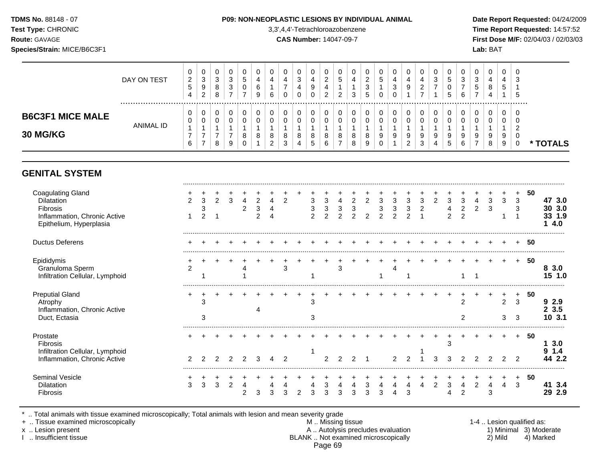#### **TDMS No.** 88148 - 07 **P09: NON-NEOPLASTIC LESIONS BY INDIVIDUAL ANIMAL Date Report Requested:** 04/24/2009

**Test Type:** CHRONIC 3,3',4,4'-Tetrachloroazobenzene **Time Report Requested:** 14:57:52 **Route:** GAVAGE **CAS Number:** 14047-09-7 **First Dose M/F:** 02/04/03 / 02/03/03

|                                            | DAY ON TEST | 0<br>ົ<br><u>_</u><br>5<br>4 | ◡<br><sup>o</sup><br>ັ<br>9<br>$\sim$<br>∼ | U<br>v<br>8<br>8 | U<br>ാ<br>J<br>3 | 0<br>G<br>0      | U<br>4<br>6<br>9 | 6 | 0<br>4<br>0           | v<br><sup>o</sup><br>ت<br>4 | υ<br>4<br>9<br>0 | υ<br>_<br>ົ | U<br>G<br>ົ | υ<br>4<br>3 | ∼<br>٠J<br><u>5</u> | 0<br>G<br>0             | 4<br>ົ   | υ<br>4<br>9                  | 4<br>⇁ | 0<br>3           | 0<br>G<br>v<br>G | 0<br>c<br>ა<br><sub>5</sub><br>$\rightarrow$ | 4 | ◡<br>4<br>$5^{\circ}$ | ∣ ∪<br>-3<br>. 5 |      |
|--------------------------------------------|-------------|------------------------------|--------------------------------------------|------------------|------------------|------------------|------------------|---|-----------------------|-----------------------------|------------------|-------------|-------------|-------------|---------------------|-------------------------|----------|------------------------------|--------|------------------|------------------|----------------------------------------------|---|-----------------------|------------------|------|
| <b>B6C3F1 MICE MALE</b><br><b>30 MG/KG</b> | ANIMAL ID   | U<br>0<br>6                  | v<br>υ                                     | 8                | υ<br>ν<br>9      | 0<br>0<br>8<br>υ | 8                |   | 0<br>0<br>8<br>◠<br>J | v<br>8<br>4                 | 0<br>0<br>8<br>5 | υ<br>8<br>6 | 0<br>0<br>8 | υ<br>8<br>8 |                     | 0<br>0<br>9<br>$\Omega$ | $\Omega$ | 0<br>0<br>9<br>ົ<br><u>.</u> | 9<br>3 | 0<br>0<br>9<br>4 | 0<br>0<br>9<br>≎ | 0<br>0<br>9<br>-                             | 8 | U<br>v<br>9<br>9      | 0                | TALS |

# **GENITAL SYSTEM**

| <b>Coagulating Gland</b><br>Dilatation<br>Fibrosis<br>Inflammation, Chronic Active<br>Epithelium, Hyperplasia |   | 3      | $\overline{2}$ | 3 | 4 | $\overline{2}$ | 2 | 3<br>3<br>$\Omega$ | 3<br>3 | 4 | $\overline{2}$ | $\overline{2}$ | 3 | 3 | 3 | 3 | $\overline{2}$ | 3 | 3<br>$\mathfrak{p}$ | 3 |        | 3<br>3 | 50 | 47 3.0<br>3.0<br>30<br>1.9<br>4.0 |
|---------------------------------------------------------------------------------------------------------------|---|--------|----------------|---|---|----------------|---|--------------------|--------|---|----------------|----------------|---|---|---|---|----------------|---|---------------------|---|--------|--------|----|-----------------------------------|
| <b>Ductus Deferens</b>                                                                                        |   |        |                |   |   |                |   |                    |        |   |                |                |   |   |   |   |                |   |                     |   |        |        | 50 |                                   |
| Epididymis<br>Granuloma Sperm<br>Infiltration Cellular, Lymphoid                                              |   |        |                |   |   |                |   |                    |        | 3 |                |                |   |   |   |   |                |   |                     |   |        |        | 50 | 3.0<br>8.<br>15 1.0               |
| <b>Preputial Gland</b><br>Atrophy<br>Inflammation, Chronic Active<br>Duct, Ectasia                            |   | 3<br>3 |                |   |   |                |   | З                  |        |   |                |                |   |   |   |   |                |   |                     |   | 2<br>3 | 3<br>3 | 50 | 2.9<br>3.5<br>10 3.1              |
| Prostate<br>Fibrosis<br>Infiltration Cellular, Lymphoid<br>Inflammation, Chronic Active                       |   |        |                |   |   |                |   |                    |        |   |                |                |   |   |   |   |                | 3 |                     |   |        |        | 50 | 3.0<br>1.4<br>2.2                 |
| Seminal Vesicle<br>Dilatation<br>Fibrosis                                                                     | 3 | 3      |                |   |   |                |   |                    |        |   |                | 3              |   |   |   |   |                | 3 |                     | 3 |        | 3      | 50 | 3.4<br>29 2.9                     |

\* .. Total animals with tissue examined microscopically; Total animals with lesion and mean severity grade<br>+ .. Tissue examined microscopically

+ .. Tissue examined microscopically  $M$ .. Missing tissue 1-4 .. Lesion qualified as:

x .. Lesion present **A .. Autolysis precludes evaluation** A .. Autolysis precludes evaluation 1) Minimal 3) Moderate I .. Insufficient tissue BLANK .. Not examined microscopically 2) Mild 4) Marked Page 69

.........................................................................................................................................................................................................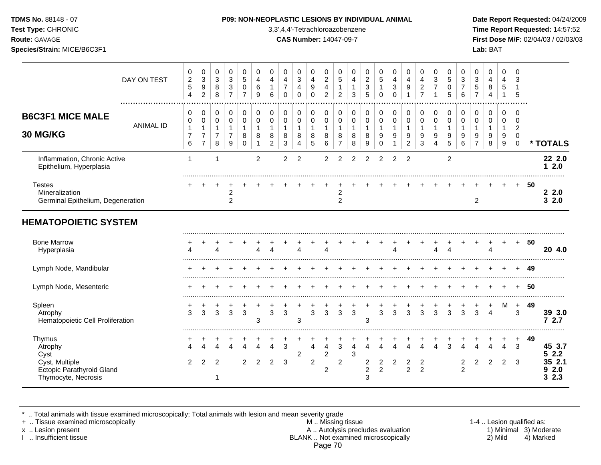**Test Type:** CHRONIC 3,3',4,4'-Tetrachloroazobenzene **Time Report Requested:** 14:57:52 **Route:** GAVAGE **CAS Number:** 14047-09-7 **First Dose M/F:** 02/04/03 / 02/03/03 **Species/Strain:** MICE/B6C3F1 **Lab:** BAT

|                                                                           | DAY ON TEST      | 0<br>$\boldsymbol{2}$<br>5<br>4                 | $\mathbf 0$<br>3<br>9<br>$\overline{c}$                    | 0<br>3<br>8<br>8                   | 0<br>3<br>3<br>$\overline{7}$               | 0<br>5<br>0<br>7                        | 0<br>4<br>6<br>9                    | 0<br>4<br>6                                   | 0<br>4<br>$\overline{7}$<br>$\mathbf 0$  | 0<br>$\mathbf{3}$<br>4<br>$\Omega$       | 0<br>4<br>9<br>0                                      | 0<br>$\overline{2}$<br>4<br>$\overline{2}$ | 0<br>$\sqrt{5}$<br>$\overline{2}$             | $\mathbf 0$<br>4<br>1<br>3       | 0<br>$\overline{c}$<br>$\,$ 3 $\,$<br>5 | 0<br>$\sqrt{5}$<br>$\mathbf{1}$<br>$\Omega$          | 0<br>$\overline{4}$<br>$\mathbf{3}$<br>$\Omega$     | 0<br>$\overline{4}$<br>9                              | 0<br>4<br>$\overline{c}$<br>$\overline{7}$ | 0<br>3                     | 0<br>5<br>$\mathbf 0$<br>5      | 0<br>$\ensuremath{\mathsf{3}}$<br>$\overline{7}$<br>6 | 0<br>$\ensuremath{\mathsf{3}}$<br>5<br>$\overline{7}$ | 0<br>$\overline{\mathbf{4}}$<br>8<br>$\overline{4}$ | $\mathbf 0$<br>4<br>$\,$ 5 $\,$<br>1 | 0<br>3<br>$\mathbf 1$<br>5                           |    |                        |
|---------------------------------------------------------------------------|------------------|-------------------------------------------------|------------------------------------------------------------|------------------------------------|---------------------------------------------|-----------------------------------------|-------------------------------------|-----------------------------------------------|------------------------------------------|------------------------------------------|-------------------------------------------------------|--------------------------------------------|-----------------------------------------------|----------------------------------|-----------------------------------------|------------------------------------------------------|-----------------------------------------------------|-------------------------------------------------------|--------------------------------------------|----------------------------|---------------------------------|-------------------------------------------------------|-------------------------------------------------------|-----------------------------------------------------|--------------------------------------|------------------------------------------------------|----|------------------------|
| <b>B6C3F1 MICE MALE</b><br>30 MG/KG                                       | <b>ANIMAL ID</b> | 0<br>0<br>$\mathbf{1}$<br>$\boldsymbol{7}$<br>6 | 0<br>0<br>$\mathbf{1}$<br>$\overline{7}$<br>$\overline{7}$ | 0<br>0<br>1<br>$\overline{7}$<br>8 | 0<br>$\pmb{0}$<br>-1<br>$\overline{7}$<br>9 | 0<br>0<br>$\mathbf{1}$<br>8<br>$\Omega$ | 0<br>$\pmb{0}$<br>$\mathbf{1}$<br>8 | 0<br>0<br>$\mathbf{1}$<br>8<br>$\overline{c}$ | 0<br>$\mathbf 0$<br>1<br>8<br>$\sqrt{3}$ | 0<br>$\pmb{0}$<br>$\mathbf{1}$<br>8<br>4 | 0<br>$\pmb{0}$<br>$\mathbf{1}$<br>8<br>$\overline{5}$ | 0<br>$\pmb{0}$<br>1<br>8<br>6              | 0<br>0<br>$\mathbf{1}$<br>8<br>$\overline{7}$ | 0<br>0<br>$\mathbf{1}$<br>8<br>8 | 0<br>0<br>$\mathbf{1}$<br>8<br>9        | 0<br>$\mathbf 0$<br>$\mathbf{1}$<br>9<br>$\mathbf 0$ | 0<br>$\pmb{0}$<br>$\mathbf{1}$<br>9<br>$\mathbf{1}$ | 0<br>$\pmb{0}$<br>$\mathbf{1}$<br>9<br>$\overline{c}$ | 0<br>$\pmb{0}$<br>$\mathbf{1}$<br>9<br>3   | 0<br>$\mathbf 0$<br>9<br>4 | 0<br>$\mathbf 0$<br>1<br>9<br>5 | 0<br>$\pmb{0}$<br>9<br>6                              | 0<br>0<br>1<br>9<br>$\overline{7}$                    | 0<br>0<br>$\mathbf{1}$<br>9<br>8                    | 0<br>0<br>$\mathbf{1}$<br>9<br>9     | 0<br>0<br>$\overline{c}$<br>$\pmb{0}$<br>$\mathbf 0$ |    | * TOTALS               |
| Inflammation, Chronic Active<br>Epithelium, Hyperplasia                   |                  | $\mathbf 1$                                     |                                                            | 1                                  |                                             |                                         | $\overline{2}$                      |                                               | 2                                        | $\overline{2}$                           |                                                       | 2                                          | 2                                             | $\overline{2}$                   | $\overline{2}$                          | 2                                                    | 2                                                   | 2                                                     |                                            |                            | $\overline{c}$                  |                                                       |                                                       |                                                     |                                      |                                                      |    | 22 2.0<br>12.0         |
| <b>Testes</b><br>Mineralization<br>Germinal Epithelium, Degeneration      |                  |                                                 |                                                            |                                    | $\overline{c}$<br>$\overline{2}$            |                                         |                                     |                                               |                                          |                                          |                                                       |                                            | 2<br>$\overline{c}$                           |                                  |                                         |                                                      |                                                     |                                                       |                                            |                            |                                 |                                                       | $\overline{c}$                                        |                                                     |                                      | $+$                                                  | 50 | 22.0<br>32.0           |
| <b>HEMATOPOIETIC SYSTEM</b>                                               |                  |                                                 |                                                            |                                    |                                             |                                         |                                     |                                               |                                          |                                          |                                                       |                                            |                                               |                                  |                                         |                                                      |                                                     |                                                       |                                            |                            |                                 |                                                       |                                                       |                                                     |                                      |                                                      |    |                        |
| <b>Bone Marrow</b><br>Hyperplasia                                         |                  | Δ                                               |                                                            |                                    |                                             |                                         |                                     | Δ                                             |                                          | Λ                                        |                                                       | 4                                          |                                               |                                  |                                         |                                                      | $\lambda$                                           |                                                       |                                            | Δ                          |                                 |                                                       |                                                       | $\Delta$                                            |                                      | $+$                                                  | 50 | 20 4.0                 |
| Lymph Node, Mandibular                                                    |                  |                                                 |                                                            |                                    |                                             |                                         |                                     |                                               |                                          |                                          |                                                       |                                            |                                               |                                  |                                         |                                                      |                                                     |                                                       |                                            |                            |                                 |                                                       |                                                       |                                                     |                                      | ÷                                                    | 49 |                        |
| Lymph Node, Mesenteric                                                    |                  |                                                 |                                                            |                                    |                                             |                                         |                                     |                                               |                                          |                                          |                                                       |                                            |                                               |                                  |                                         |                                                      |                                                     |                                                       |                                            |                            |                                 |                                                       |                                                       |                                                     |                                      | $\div$                                               | 50 |                        |
| Spleen<br>Atrophy<br>Hematopoietic Cell Proliferation                     |                  | 3                                               | 3                                                          | 3                                  | 3                                           | 3                                       | 3                                   | 3                                             | 3                                        | 3                                        | 3                                                     | 3                                          | 3                                             | 3                                | 3                                       | 3                                                    | 3                                                   | 3                                                     | 3                                          | 3                          | વ                               | 3                                                     | 3                                                     | $\boldsymbol{\Lambda}$                              | м                                    | $\ddot{}$<br>3                                       | 49 | 39 3.0<br>72.7         |
| Thymus<br>Atrophy<br>Cyst                                                 |                  |                                                 |                                                            |                                    |                                             |                                         |                                     | $\Delta$                                      | 3                                        | 2                                        | $\overline{A}$                                        | 4<br>$\overline{\mathbf{c}}$               | 3                                             | Δ<br>3                           | $\lambda$                               | Λ                                                    |                                                     |                                                       |                                            |                            |                                 |                                                       |                                                       |                                                     | Δ                                    | $\ddot{}$<br>3                                       | 49 | 45 3.7<br>52.2         |
| Cyst, Multiple<br><b>Ectopic Parathyroid Gland</b><br>Thymocyte, Necrosis |                  | $\overline{2}$                                  | 2                                                          | $\overline{2}$                     |                                             | $\mathfrak{p}$                          | $\overline{2}$                      | $\overline{2}$                                | 3                                        |                                          | $\overline{c}$                                        | $\overline{c}$                             | $\overline{2}$                                |                                  | $\frac{2}{2}$<br>3                      | $\frac{2}{2}$                                        | $\overline{c}$                                      | $\frac{2}{2}$                                         | $\frac{2}{2}$                              |                            |                                 | $\overline{c}$<br>$\overline{2}$                      | $\overline{\mathbf{c}}$                               | 2                                                   | $\overline{2}$                       | -3                                                   |    | 35 2.1<br>92.0<br>32.3 |

\* .. Total animals with tissue examined microscopically; Total animals with lesion and mean severity grade

+ .. Tissue examined microscopically M .. Missing tissue 1-4 .. Lesion qualified as: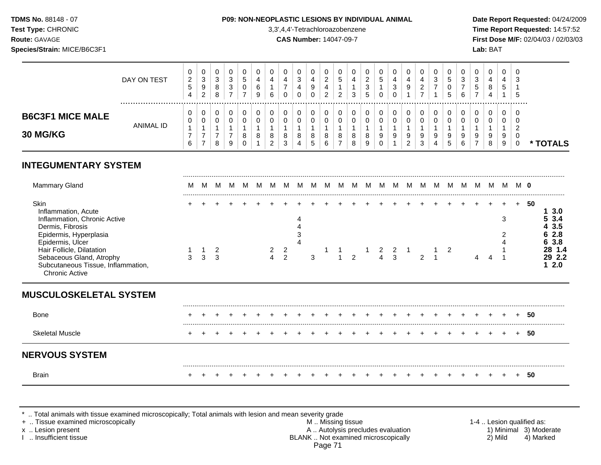**Test Type:** CHRONIC 3,3',4,4'-Tetrachloroazobenzene **Time Report Requested:** 14:57:52 **Route:** GAVAGE **CAS Number:** 14047-09-7 **First Dose M/F:** 02/04/03 / 02/03/03 **Species/Strain:** MICE/B6C3F1 **Lab:** BAT

|                                            | DAY ON TEST | $\overline{0}$<br>ົ<br>$\epsilon$<br><sub>5</sub><br>4 | U<br>3<br>9<br>2 | చ | <b>U</b><br>3<br>3 | U.<br>-<br>ັ<br>υ | U<br>6<br>9 | υ<br>4<br>6 |   | U<br>3<br>4<br>◡ | 9 | 0<br>ີ<br>▵<br>ົ<br>∼ | v<br>5<br>ົ<br><u>_</u> | 0<br>c<br><u>.</u><br>ാ<br>J<br>5 | U<br>ັ<br>υ | u<br>4<br>3 | 4<br>9 | U<br>ັ | υ<br>J<br>υ | 0<br>3<br>6 | 0<br>3<br>$\mathbf{c}$<br>- | U<br>4<br>∽<br>◡ | -0<br>ີ<br>ు<br>5 |          |
|--------------------------------------------|-------------|--------------------------------------------------------|------------------|---|--------------------|-------------------|-------------|-------------|---|------------------|---|-----------------------|-------------------------|-----------------------------------|-------------|-------------|--------|--------|-------------|-------------|-----------------------------|------------------|-------------------|----------|
| <b>B6C3F1 MICE MALE</b><br><b>30 MG/KG</b> | ANIMAL ID   | 0<br>0                                                 | U<br>U           |   | 0<br>0             | 8                 | 8           | 8           | 8 | v<br>v<br>8      | 8 | 0<br>0<br>8           | 8                       | 0<br>0<br>8                       | 0<br>U<br>9 | u<br>9      | 9      | 9      | 9           | 0<br>0<br>9 | 0<br>9                      | 9                | 0<br>0<br>◠<br>0  |          |
|                                            |             | 6                                                      | -                | 8 | 9                  |                   |             |             |   | 4                | ◡ | $\sim$<br>6           | –                       | 9                                 |             |             |        | 4      | J           | 6           |                             | 9                |                   | * TOTALS |

# **INTEGUMENTARY SYSTEM**

| <b>Mammary Gland</b>                                                                                                                      |   |   |        |  |        |                                  |   |  |                |                  |               |               |   |  |   | - 0 |                                        |  |
|-------------------------------------------------------------------------------------------------------------------------------------------|---|---|--------|--|--------|----------------------------------|---|--|----------------|------------------|---------------|---------------|---|--|---|-----|----------------------------------------|--|
| Skin<br>Inflammation, Acute<br>Inflammation, Chronic Active<br>Dermis, Fibrosis                                                           |   |   |        |  |        |                                  |   |  |                |                  |               |               |   |  | 3 | 50  | 3.0<br>53.4<br>4 3.5                   |  |
| Epidermis, Hyperplasia<br>Epidermis, Ulcer<br>Hair Follicle, Dilatation<br>Sebaceous Gland, Atrophy<br>Subcutaneous Tissue, Inflammation, | 3 | 3 | 2<br>3 |  | 2<br>4 | $\overline{2}$<br>$\overline{2}$ | 3 |  | $\mathfrak{p}$ | 2<br>$\mathbf 4$ | $\frac{2}{3}$ | $\mathcal{P}$ | 2 |  |   |     | 2.8<br>3.8<br>28 1.4<br>29 2.2<br>12.0 |  |
| <b>Chronic Active</b><br><b>MUSCULOSKELETAL SYSTEM</b>                                                                                    |   |   |        |  |        |                                  |   |  |                |                  |               |               |   |  |   |     |                                        |  |
| Bone                                                                                                                                      |   |   |        |  |        |                                  |   |  |                |                  |               |               |   |  |   | 50  |                                        |  |
| <b>Skeletal Muscle</b>                                                                                                                    |   |   |        |  |        |                                  |   |  |                |                  |               |               |   |  |   | 50  |                                        |  |
| <b>NERVOUS SYSTEM</b>                                                                                                                     |   |   |        |  |        |                                  |   |  |                |                  |               |               |   |  |   |     |                                        |  |
| <b>Brain</b>                                                                                                                              |   |   |        |  |        |                                  |   |  |                |                  |               |               |   |  |   | 50  |                                        |  |

\* .. Total animals with tissue examined microscopically; Total animals with lesion and mean severity grade

+ .. Tissue examined microscopically M .. Missing tissue 1-4 .. Lesion qualified as: x .. Lesion present **A .. Autolysis precludes evaluation** A .. Autolysis precludes evaluation 1) Minimal 3) Moderate I .. Insufficient tissue BLANK .. Not examined microscopically 2) Mild 4) Marked Page 71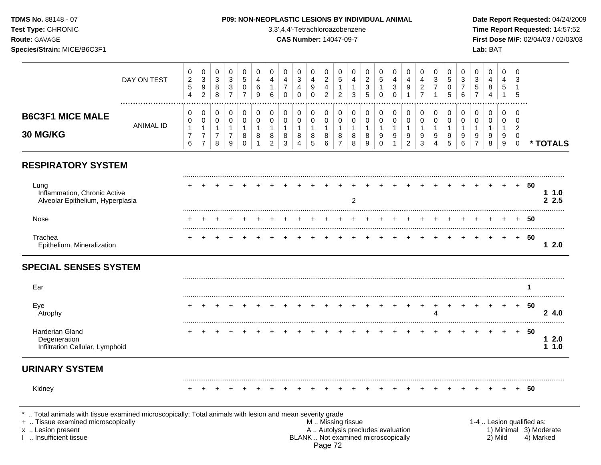| <b>TDMS No. 88148 - 07</b>         | <b>P09: NON-NEOPLASTIC LESIONS BY INDIVIDUAL ANIMAL</b> | Date Report Requested: 04/24/2009          |
|------------------------------------|---------------------------------------------------------|--------------------------------------------|
| <b>Test Type:</b> CHRONIC          | 3,3',4,4'-Tetrachloroazobenzene                         | <b>Time Report Requested: 14:57:52</b>     |
| <b>Route:</b> GAVAGE               | <b>CAS Number: 14047-09-7</b>                           | <b>First Dose M/F: 02/04/03 / 02/03/03</b> |
| <b>Species/Strain: MICE/B6C3F1</b> |                                                         | Lab: BAT                                   |

|                                                                                                                                                                                            | DAY ON TEST      | $\pmb{0}$<br>$\overline{c}$<br>$\sqrt{5}$<br>4 | $\mathbf 0$<br>$\sqrt{3}$<br>$\boldsymbol{9}$<br>$\overline{2}$ | $\pmb{0}$<br>$\sqrt{3}$<br>8<br>8                      | $\pmb{0}$<br>$\ensuremath{\mathsf{3}}$<br>$\ensuremath{\mathsf{3}}$<br>$\overline{7}$ | $\Omega$<br>$\sqrt{5}$<br>0<br>$\overline{7}$ | 0<br>$\overline{4}$<br>$\,6\,$<br>9                   | $\Omega$<br>4<br>-1<br>6                                         | 0<br>4<br>$\overline{7}$<br>0                        | $\mathbf 0$<br>$\sqrt{3}$<br>$\overline{4}$<br>$\mathbf 0$ | 0<br>$\overline{4}$<br>$9\,$<br>$\mathsf 0$ | $\Omega$<br>$\overline{2}$<br>4<br>$\overline{c}$ | $\Omega$<br>5<br>1<br>$\overline{c}$                                                          | 0<br>4<br>1<br>3                           | 0<br>$\overline{a}$<br>3<br>5    | $\pmb{0}$<br>$\,$ 5 $\,$<br>$\mathbf{1}$<br>$\mathbf 0$     | 0<br>4<br>3<br>$\mathbf 0$       | $\pmb{0}$<br>4<br>$\boldsymbol{9}$<br>$\mathbf{1}$ | $\Omega$<br>$\overline{4}$<br>$\overline{c}$<br>$\overline{7}$ | $\Omega$<br>3<br>$\overline{7}$<br>$\mathbf{1}$    | $\mathbf 0$<br>5<br>0<br>5       | 0<br>3<br>$\overline{7}$<br>6              | 0<br>3<br>5<br>$\overline{7}$                           | $\mathbf 0$<br>4<br>$\bf 8$<br>$\overline{4}$        | $\Omega$<br>4<br>5<br>$\mathbf{1}$                     | $\Omega$<br>3<br>5                        |                           |                                     |
|--------------------------------------------------------------------------------------------------------------------------------------------------------------------------------------------|------------------|------------------------------------------------|-----------------------------------------------------------------|--------------------------------------------------------|---------------------------------------------------------------------------------------|-----------------------------------------------|-------------------------------------------------------|------------------------------------------------------------------|------------------------------------------------------|------------------------------------------------------------|---------------------------------------------|---------------------------------------------------|-----------------------------------------------------------------------------------------------|--------------------------------------------|----------------------------------|-------------------------------------------------------------|----------------------------------|----------------------------------------------------|----------------------------------------------------------------|----------------------------------------------------|----------------------------------|--------------------------------------------|---------------------------------------------------------|------------------------------------------------------|--------------------------------------------------------|-------------------------------------------|---------------------------|-------------------------------------|
| <b>B6C3F1 MICE MALE</b><br>30 MG/KG                                                                                                                                                        | <b>ANIMAL ID</b> | 0<br>0<br>$\mathbf{1}$<br>$\overline{7}$<br>6  | 0<br>0<br>$\mathbf{1}$<br>$\overline{7}$<br>$\overline{7}$      | $\mathbf 0$<br>$\mathbf 0$<br>1<br>$\overline{7}$<br>8 | 0<br>0<br>$\mathbf{1}$<br>$\overline{7}$<br>9                                         | 0<br>0<br>$\mathbf{1}$<br>8<br>$\mathbf 0$    | $\mathbf 0$<br>0<br>$\mathbf{1}$<br>8<br>$\mathbf{1}$ | $\mathbf 0$<br>$\mathbf 0$<br>$\mathbf 1$<br>8<br>$\overline{2}$ | $\mathbf 0$<br>$\mathbf 0$<br>$\mathbf{1}$<br>8<br>3 | 0<br>$\mathbf 0$<br>$\mathbf{1}$<br>8<br>$\overline{4}$    | 0<br>$\mathbf 0$<br>$\mathbf{1}$<br>8<br>5  | $\mathbf 0$<br>0<br>1<br>8<br>6                   | $\mathbf 0$<br>$\mathbf 0$<br>$\mathbf{1}$<br>8<br>$\overline{7}$                             | 0<br>$\mathbf 0$<br>$\mathbf{1}$<br>8<br>8 | 0<br>0<br>$\mathbf{1}$<br>8<br>9 | $\mathbf 0$<br>$\mathbf 0$<br>$\mathbf{1}$<br>9<br>$\Omega$ | 0<br>0<br>1<br>9<br>$\mathbf{1}$ | 0<br>0<br>$\mathbf{1}$<br>9<br>$\overline{2}$      | 0<br>$\mathbf 0$<br>$\mathbf{1}$<br>9<br>3                     | $\mathbf 0$<br>$\pmb{0}$<br>$\mathbf{1}$<br>9<br>4 | 0<br>0<br>$\mathbf{1}$<br>9<br>5 | 0<br>$\mathbf 0$<br>$\mathbf{1}$<br>9<br>6 | 0<br>$\mathbf 0$<br>$\mathbf{1}$<br>9<br>$\overline{7}$ | $\mathbf 0$<br>$\mathbf 0$<br>$\mathbf{1}$<br>9<br>8 | $\mathbf 0$<br>$\mathbf 0$<br>$\overline{1}$<br>9<br>9 | $\mathbf 0$<br>0<br>2<br>0<br>$\mathbf 0$ |                           | * TOTALS                            |
| <b>RESPIRATORY SYSTEM</b>                                                                                                                                                                  |                  |                                                |                                                                 |                                                        |                                                                                       |                                               |                                                       |                                                                  |                                                      |                                                            |                                             |                                                   |                                                                                               |                                            |                                  |                                                             |                                  |                                                    |                                                                |                                                    |                                  |                                            |                                                         |                                                      |                                                        |                                           |                           |                                     |
| Lung<br>Inflammation, Chronic Active<br>Alveolar Epithelium, Hyperplasia                                                                                                                   |                  |                                                |                                                                 |                                                        |                                                                                       |                                               |                                                       |                                                                  |                                                      |                                                            |                                             |                                                   |                                                                                               | $\overline{2}$                             |                                  |                                                             |                                  |                                                    |                                                                |                                                    |                                  |                                            |                                                         |                                                      |                                                        | $+$                                       | 50                        | 11.0<br>2.5                         |
| Nose                                                                                                                                                                                       |                  |                                                |                                                                 |                                                        |                                                                                       |                                               |                                                       |                                                                  |                                                      |                                                            |                                             |                                                   |                                                                                               |                                            |                                  |                                                             |                                  |                                                    |                                                                |                                                    |                                  |                                            |                                                         |                                                      |                                                        |                                           | 50                        |                                     |
| Trachea<br>Epithelium, Mineralization                                                                                                                                                      |                  |                                                |                                                                 |                                                        |                                                                                       |                                               |                                                       |                                                                  |                                                      |                                                            |                                             |                                                   |                                                                                               |                                            |                                  |                                                             |                                  |                                                    |                                                                |                                                    |                                  |                                            |                                                         |                                                      |                                                        | $+$                                       | 50                        | 12.0                                |
| <b>SPECIAL SENSES SYSTEM</b>                                                                                                                                                               |                  |                                                |                                                                 |                                                        |                                                                                       |                                               |                                                       |                                                                  |                                                      |                                                            |                                             |                                                   |                                                                                               |                                            |                                  |                                                             |                                  |                                                    |                                                                |                                                    |                                  |                                            |                                                         |                                                      |                                                        |                                           |                           |                                     |
| Ear                                                                                                                                                                                        |                  |                                                |                                                                 |                                                        |                                                                                       |                                               |                                                       |                                                                  |                                                      |                                                            |                                             |                                                   |                                                                                               |                                            |                                  |                                                             |                                  |                                                    |                                                                |                                                    |                                  |                                            |                                                         |                                                      |                                                        |                                           | 1                         |                                     |
| Eye<br>Atrophy                                                                                                                                                                             |                  |                                                |                                                                 |                                                        |                                                                                       |                                               |                                                       |                                                                  |                                                      |                                                            |                                             |                                                   |                                                                                               |                                            |                                  |                                                             |                                  |                                                    |                                                                | $\ddot{}$<br>$\overline{4}$                        |                                  |                                            |                                                         |                                                      |                                                        | $\ddot{}$                                 | 50                        | 24.0                                |
| <b>Harderian Gland</b><br>Degeneration<br>Infiltration Cellular, Lymphoid                                                                                                                  |                  |                                                |                                                                 |                                                        |                                                                                       |                                               |                                                       |                                                                  |                                                      |                                                            |                                             |                                                   |                                                                                               |                                            |                                  |                                                             |                                  |                                                    |                                                                |                                                    |                                  |                                            |                                                         |                                                      |                                                        | $\pm$                                     | 50                        | $\mathbf 1$<br>2.0<br>11.0          |
| <b>URINARY SYSTEM</b>                                                                                                                                                                      |                  |                                                |                                                                 |                                                        |                                                                                       |                                               |                                                       |                                                                  |                                                      |                                                            |                                             |                                                   |                                                                                               |                                            |                                  |                                                             |                                  |                                                    |                                                                |                                                    |                                  |                                            |                                                         |                                                      |                                                        |                                           |                           |                                     |
| Kidney                                                                                                                                                                                     |                  |                                                |                                                                 |                                                        |                                                                                       |                                               |                                                       |                                                                  |                                                      |                                                            |                                             |                                                   |                                                                                               |                                            |                                  |                                                             |                                  |                                                    |                                                                |                                                    |                                  |                                            |                                                         |                                                      |                                                        |                                           | 50                        |                                     |
| Total animals with tissue examined microscopically; Total animals with lesion and mean severity grade<br>+  Tissue examined microscopically<br>x  Lesion present<br>I  Insufficient tissue |                  |                                                |                                                                 |                                                        |                                                                                       |                                               |                                                       |                                                                  |                                                      |                                                            |                                             | Page 72                                           | M  Missing tissue<br>A  Autolysis precludes evaluation<br>BLANK  Not examined microscopically |                                            |                                  |                                                             |                                  |                                                    |                                                                |                                                    |                                  |                                            |                                                         |                                                      | 2) Mild                                                |                                           | 1-4  Lesion qualified as: | 1) Minimal 3) Moderate<br>4) Marked |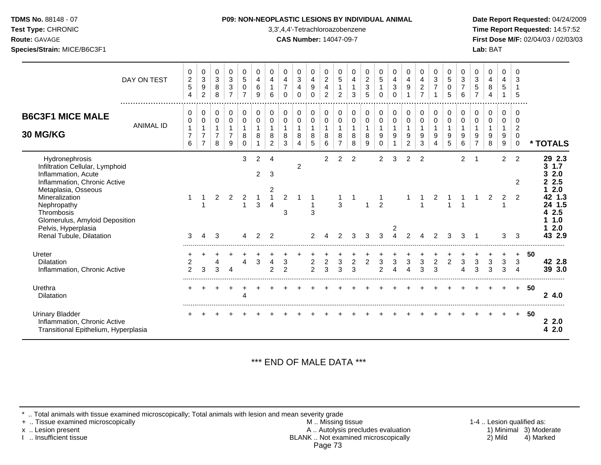| <b>TDMS No. 88148 - 07</b> |
|----------------------------|
| $T - 1 T - 2 01100110$     |

### **P09: NON-NEOPLASTIC LESIONS BY INDIVIDUAL ANIMAL Date Report Requested: 04/24/2009**

**Test Type:** CHRONIC 3,3',4,4'-Tetrachloroazobenzene **Time Report Requested:** 14:57:52 **Route:** GAVAGE **CAS Number:** 14047-09-7 **First Dose M/F:** 02/04/03 / 02/03/03 **Species/Strain:** MICE/B6C3F1 **Lab:** BAT

|                                                                                                                                                                                | DAY ON TEST      | 0<br>$\overline{c}$<br>5<br>4    | 0<br>$\ensuremath{\mathsf{3}}$<br>$\boldsymbol{9}$<br>$\overline{c}$ | 0<br>$\sqrt{3}$<br>8<br>8                     | 0<br>$\sqrt{3}$<br>$\sqrt{3}$<br>$\overline{7}$         | 0<br>5<br>0<br>$\overline{7}$              | $\mathbf 0$<br>$\overline{4}$<br>6<br>9     | $\mathbf 0$<br>4<br>6                   | 0<br>$\overline{4}$<br>$\overline{7}$<br>$\Omega$ | 0<br>3<br>4<br>$\Omega$                       | 0<br>$\overline{4}$<br>$\boldsymbol{9}$<br>$\Omega$ | 0<br>$\sqrt{2}$<br>$\overline{\mathbf{4}}$<br>$\overline{2}$ | 0<br>$\sqrt{5}$<br>$\mathbf{1}$<br>$\overline{2}$       | 0<br>4<br>$\mathbf{1}$<br>3      | 0<br>$\overline{c}$<br>$\ensuremath{\mathsf{3}}$<br>5 | 0<br>$\overline{5}$<br>$\mathbf{1}$<br>$\mathbf 0$         | 0<br>$\overline{4}$<br>3<br>$\Omega$        | 0<br>$\overline{4}$<br>$\boldsymbol{9}$      | 0<br>$\overline{4}$<br>$\overline{c}$<br>$\overline{7}$ | 0<br>3<br>$\overline{7}$                   | 0<br>$5\phantom{.0}$<br>$\mathbf 0$<br>5 | 0<br>3<br>6                         | 0<br>$\sqrt{3}$<br>$\mathbf 5$<br>$\overline{7}$ | 0<br>$\overline{4}$<br>8<br>4    | 0<br>4<br>5<br>$\mathbf{1}$      | 0<br>3<br>5                                            |    |                                                                                |
|--------------------------------------------------------------------------------------------------------------------------------------------------------------------------------|------------------|----------------------------------|----------------------------------------------------------------------|-----------------------------------------------|---------------------------------------------------------|--------------------------------------------|---------------------------------------------|-----------------------------------------|---------------------------------------------------|-----------------------------------------------|-----------------------------------------------------|--------------------------------------------------------------|---------------------------------------------------------|----------------------------------|-------------------------------------------------------|------------------------------------------------------------|---------------------------------------------|----------------------------------------------|---------------------------------------------------------|--------------------------------------------|------------------------------------------|-------------------------------------|--------------------------------------------------|----------------------------------|----------------------------------|--------------------------------------------------------|----|--------------------------------------------------------------------------------|
| <b>B6C3F1 MICE MALE</b><br><b>30 MG/KG</b>                                                                                                                                     | <b>ANIMAL ID</b> | 0<br>0<br>7<br>6                 | 0<br>0<br>$\overline{7}$<br>$\overline{7}$                           | 0<br>0<br>$\mathbf{1}$<br>$\overline{7}$<br>8 | 0<br>$\mathbf 0$<br>$\mathbf{1}$<br>$\overline{7}$<br>9 | 0<br>$\mathbf 0$<br>$\mathbf{1}$<br>8<br>0 | 0<br>$\mathbf 0$<br>8                       | 0<br>$\mathbf 0$<br>8<br>$\overline{c}$ | $\pmb{0}$<br>$\pmb{0}$<br>8<br>3                  | 0<br>0<br>$\mathbf{1}$<br>8<br>$\overline{4}$ | 0<br>0<br>1<br>8<br>5                               | 0<br>$\mathbf 0$<br>$\mathbf 1$<br>8<br>6                    | 0<br>$\mathbf 0$<br>$\mathbf{1}$<br>8<br>$\overline{7}$ | 0<br>0<br>$\mathbf{1}$<br>8<br>8 | 0<br>$\mathbf 0$<br>$\mathbf{1}$<br>8<br>9            | $\pmb{0}$<br>$\pmb{0}$<br>$\mathbf{1}$<br>9<br>$\mathbf 0$ | 0<br>0<br>$\mathbf{1}$<br>9<br>$\mathbf{1}$ | 0<br>$\mathbf 0$<br>1<br>9<br>$\overline{a}$ | 0<br>$\mathbf 0$<br>$\mathbf 1$<br>9<br>$\mathbf{3}$    | 0<br>$\mathbf 0$<br>$\mathbf{1}$<br>9<br>4 | 0<br>$\mathbf 0$<br>9<br>$\overline{5}$  | $\,0\,$<br>$\pmb{0}$<br>1<br>9<br>6 | 0<br>$\pmb{0}$<br>1<br>9<br>$\overline{7}$       | 0<br>0<br>$\mathbf{1}$<br>9<br>8 | 0<br>0<br>$\mathbf 1$<br>9<br>9  | 0<br>0<br>$\overline{2}$<br>$\mathbf 0$<br>$\mathbf 0$ |    | * TOTALS                                                                       |
| Hydronephrosis<br>Infiltration Cellular, Lymphoid<br>Inflammation, Acute<br>Inflammation, Chronic Active<br>Metaplasia, Osseous<br>Mineralization<br>Nephropathy<br>Thrombosis |                  |                                  |                                                                      | $\overline{a}$                                | 2                                                       | 3<br>$\overline{2}$                        | $\overline{c}$<br>$\overline{2}$<br>-1<br>3 | 4<br>3<br>2<br>$\mathbf{1}$<br>4        | $\overline{2}$<br>3                               | $\overline{c}$                                | -1<br>3                                             | 2                                                            | $\overline{c}$<br>3                                     | $\overline{c}$                   | 1                                                     | $\overline{2}$<br>$\mathbf{1}$<br>$\overline{2}$           | 3                                           | $\overline{2}$                               | $\overline{2}$                                          | 2                                          |                                          | $\overline{a}$                      | -1                                               | 2                                | $\overline{2}$<br>$\overline{2}$ | $\overline{2}$<br>2<br>2                               |    | 29 2.3<br>$1.7$<br>3<br>2.0<br>3<br>2.5<br>2<br>2.0<br>42 1.3<br>24 1.5<br>2.5 |
| Glomerulus, Amyloid Deposition<br>Pelvis, Hyperplasia<br>Renal Tubule, Dilatation                                                                                              |                  | 3                                | 4                                                                    | 3                                             |                                                         | Δ                                          | $\overline{2}$                              | $\overline{2}$                          |                                                   |                                               |                                                     |                                                              | $\mathfrak{p}$                                          | 3                                | 3                                                     | 3                                                          | 2<br>4                                      | 2                                            |                                                         |                                            | 3                                        | 3                                   |                                                  |                                  | 3                                | 3                                                      |    | 1.0<br>2.0<br>43 2.9                                                           |
| Ureter<br><b>Dilatation</b><br>Inflammation, Chronic Active                                                                                                                    |                  | $\overline{c}$<br>$\overline{2}$ | 3                                                                    | 3                                             | $\overline{4}$                                          | $\overline{4}$                             | $\mathbf{3}$                                | 4<br>$\mathfrak{p}$                     | $\ensuremath{\mathsf{3}}$<br>2                    |                                               | $\overline{c}$<br>$\overline{2}$                    | $\boldsymbol{2}$<br>3                                        | 3<br>3                                                  | $\overline{c}$<br>3              | $\overline{2}$                                        | 3<br>$\overline{2}$                                        | 3<br>4                                      | 3<br>$\boldsymbol{\Lambda}$                  | $\mathbf{3}$<br>3                                       | $\overline{c}$<br>3                        | $\overline{c}$                           | 3<br>4                              | 3<br>3                                           | 3<br>3                           | 3<br>3                           | $\ddot{}$<br>$\mathbf{3}$<br>$\boldsymbol{\Lambda}$    | 50 | 42 2.8<br>39 3.0                                                               |
| Urethra<br>Dilatation                                                                                                                                                          |                  |                                  |                                                                      |                                               |                                                         | $\boldsymbol{\Delta}$                      |                                             |                                         |                                                   |                                               |                                                     |                                                              |                                                         |                                  |                                                       |                                                            |                                             |                                              |                                                         |                                            |                                          |                                     |                                                  |                                  |                                  | $+$                                                    | 50 | 24.0                                                                           |
| <b>Urinary Bladder</b><br>Inflammation, Chronic Active<br>Transitional Epithelium, Hyperplasia                                                                                 |                  |                                  |                                                                      |                                               |                                                         |                                            |                                             |                                         |                                                   |                                               |                                                     |                                                              |                                                         |                                  |                                                       |                                                            |                                             |                                              |                                                         |                                            |                                          |                                     |                                                  |                                  |                                  | $\pm$                                                  | 50 | 22.0<br>2.0<br>4                                                               |

# \*\*\* END OF MALE DATA \*\*\*

\* .. Total animals with tissue examined microscopically; Total animals with lesion and mean severity grade<br>+ .. Tissue examined microscopically

+ .. Tissue examined microscopically  $M$ .. Missing tissue 1-4 .. Lesion qualified as: x .. Lesion present **A .. Autolysis precludes evaluation** A .. Autolysis precludes evaluation 1) Minimal 3) Moderate I .. Insufficient tissue BLANK .. Not examined microscopically 2) Mild 4) Marked Page 73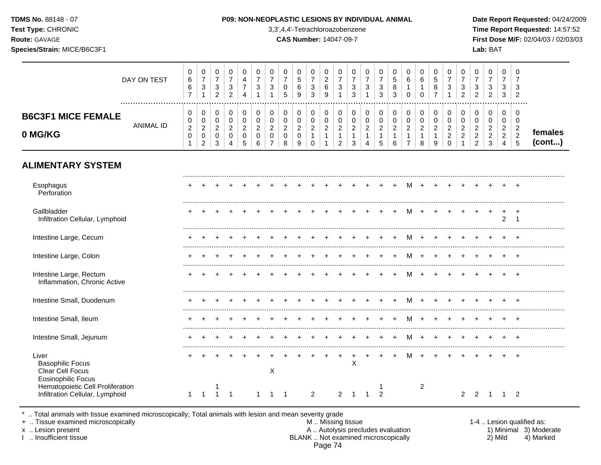| Test Type: CHRONIC<br>Route: GAVAGE<br>Species/Strain: MICE/B6C3F1                                                    |                  |                                                         |                                                                           |                                                                    |                                                                    |                                                       |                                                                    |                                                                             |                                                                  | 3,3',4,4'-Tetrachloroazobenzene<br><b>CAS Number: 14047-09-7</b> |                                                                       |                                                                              |                                                                            |                                                                 |                                                                      |                                                                 |                                                               |                                                                              |                                                                |                                                                 |                                                                  |                                                                      |                                                                  | Lab: BAT                                                                         |                                                                                  |                                                                     | Time Report Requested: 14:57:52<br>First Dose M/F: 02/04/03 / 02/03/03 |
|-----------------------------------------------------------------------------------------------------------------------|------------------|---------------------------------------------------------|---------------------------------------------------------------------------|--------------------------------------------------------------------|--------------------------------------------------------------------|-------------------------------------------------------|--------------------------------------------------------------------|-----------------------------------------------------------------------------|------------------------------------------------------------------|------------------------------------------------------------------|-----------------------------------------------------------------------|------------------------------------------------------------------------------|----------------------------------------------------------------------------|-----------------------------------------------------------------|----------------------------------------------------------------------|-----------------------------------------------------------------|---------------------------------------------------------------|------------------------------------------------------------------------------|----------------------------------------------------------------|-----------------------------------------------------------------|------------------------------------------------------------------|----------------------------------------------------------------------|------------------------------------------------------------------|----------------------------------------------------------------------------------|----------------------------------------------------------------------------------|---------------------------------------------------------------------|------------------------------------------------------------------------|
|                                                                                                                       | DAY ON TEST      | 0<br>6<br>6<br>$\overline{7}$                           | 0<br>$\overline{7}$<br>$\ensuremath{\mathsf{3}}$<br>$\mathbf{1}$          | 0<br>$\overline{7}$<br>$\ensuremath{\mathsf{3}}$<br>$\overline{2}$ | 0<br>$\overline{7}$<br>$\ensuremath{\mathsf{3}}$<br>$\overline{2}$ | 0<br>4<br>$\boldsymbol{7}$<br>$\overline{4}$          | 0<br>$\overline{7}$<br>$\sqrt{3}$<br>1                             | 0<br>$\overline{7}$<br>$\sqrt{3}$<br>$\mathbf{1}$                           | 0<br>$\overline{7}$<br>$\pmb{0}$<br>5                            | $\Omega$<br>5<br>6<br>9                                          | 0<br>$\overline{7}$<br>$\sqrt{3}$<br>$\mathfrak{Z}$                   | 0<br>$\overline{2}$<br>$\,6\,$<br>$\boldsymbol{9}$                           | 0<br>$\overline{7}$<br>$\mathbf{3}$<br>$\mathbf{1}$                        | 0<br>$\overline{7}$<br>$\sqrt{3}$<br>$\mathbf{3}$               | 0<br>$\overline{7}$<br>3<br>$\mathbf{1}$                             | 0<br>$\overline{7}$<br>$\mathbf{3}$<br>$\mathbf{3}$             | 0<br>$\sqrt{5}$<br>$\bf 8$<br>$\overline{3}$                  | 0<br>$6\phantom{a}$<br>$\mathbf{1}$<br>$\pmb{0}$                             | $\Omega$<br>$6\phantom{1}6$<br>$\mathbf{1}$<br>$\mathbf 0$     | 0<br>$\overline{5}$<br>$\, 8$<br>$\overline{7}$                 | 0<br>$\overline{7}$<br>$\ensuremath{\mathsf{3}}$<br>$\mathbf{1}$ | 0<br>$\overline{7}$<br>3<br>$\overline{2}$                           | 0<br>$\overline{7}$<br>$\sqrt{3}$<br>$\overline{a}$              | 0<br>$\overline{7}$<br>$\ensuremath{\mathsf{3}}$<br>$\overline{2}$               | 0<br>$\overline{7}$<br>3<br>$\mathbf{3}$                                         | 0<br>$\overline{7}$<br>$\mathbf{3}$<br>$\overline{2}$               |                                                                        |
| <b>B6C3F1 MICE FEMALE</b><br>0 MG/KG                                                                                  | <b>ANIMAL ID</b> | 0<br>0<br>$\boldsymbol{2}$<br>$\pmb{0}$<br>$\mathbf{1}$ | 0<br>$\pmb{0}$<br>$\overline{c}$<br>$\mathsf{O}\xspace$<br>$\overline{2}$ | 0<br>$\mathbf 0$<br>$\overline{2}$<br>$\mathbf 0$<br>3             | $\,0\,$<br>$\mathbf 0$<br>$\overline{c}$<br>$\pmb{0}$<br>4         | $\mathbf 0$<br>0<br>$\sqrt{2}$<br>0<br>$\overline{5}$ | $\mathbf 0$<br>$\mathbf 0$<br>$\boldsymbol{2}$<br>$\mathbf 0$<br>6 | 0<br>$\mathsf{O}\xspace$<br>$\overline{2}$<br>$\mathbf 0$<br>$\overline{7}$ | $\mathbf 0$<br>$\mathbf 0$<br>$\overline{2}$<br>$\mathbf 0$<br>8 | $\mathbf 0$<br>0<br>$\overline{a}$<br>$\pmb{0}$<br>9             | $\pmb{0}$<br>$\pmb{0}$<br>$\overline{c}$<br>$\mathbf{1}$<br>$\pmb{0}$ | $\pmb{0}$<br>$\mathbf 0$<br>$\boldsymbol{2}$<br>$\mathbf{1}$<br>$\mathbf{1}$ | $\pmb{0}$<br>$\pmb{0}$<br>$\overline{2}$<br>$\mathbf{1}$<br>$\overline{2}$ | $\mathbf 0$<br>$\mathbf 0$<br>$\sqrt{2}$<br>$\overline{1}$<br>3 | 0<br>$\mathbf 0$<br>$\overline{c}$<br>$\mathbf{1}$<br>$\overline{4}$ | $\pmb{0}$<br>$\pmb{0}$<br>$\boldsymbol{2}$<br>$\mathbf{1}$<br>5 | $\pmb{0}$<br>$\pmb{0}$<br>$\overline{c}$<br>$\mathbf{1}$<br>6 | $\pmb{0}$<br>$\mathbf 0$<br>$\overline{2}$<br>$\mathbf{1}$<br>$\overline{7}$ | $\Omega$<br>$\mathbf 0$<br>$\overline{2}$<br>$\mathbf{1}$<br>8 | $\pmb{0}$<br>$\mathbf 0$<br>$\sqrt{2}$<br>$\mathbf{1}$<br>$9\,$ | 0<br>$\mathbf 0$<br>$\sqrt{2}$<br>$\overline{c}$<br>$\mathbf 0$  | 0<br>$\mathbf 0$<br>$\overline{c}$<br>$\overline{c}$<br>$\mathbf{1}$ | 0<br>$\pmb{0}$<br>$\overline{2}$<br>$\sqrt{2}$<br>$\overline{2}$ | $\pmb{0}$<br>$\mathsf{O}\xspace$<br>$\overline{c}$<br>$\sqrt{2}$<br>$\mathbf{3}$ | $\mathbf 0$<br>$\mathbf 0$<br>$\overline{2}$<br>$\overline{2}$<br>$\overline{4}$ | $\mathbf 0$<br>$\mathbf 0$<br>$\overline{2}$<br>$\overline{c}$<br>5 | females<br>(cont)                                                      |
| <b>ALIMENTARY SYSTEM</b>                                                                                              |                  |                                                         |                                                                           |                                                                    |                                                                    |                                                       |                                                                    |                                                                             |                                                                  |                                                                  |                                                                       |                                                                              |                                                                            |                                                                 |                                                                      |                                                                 |                                                               |                                                                              |                                                                |                                                                 |                                                                  |                                                                      |                                                                  |                                                                                  |                                                                                  |                                                                     |                                                                        |
| Esophagus<br>Perforation                                                                                              |                  |                                                         |                                                                           |                                                                    |                                                                    |                                                       |                                                                    |                                                                             |                                                                  |                                                                  |                                                                       |                                                                              |                                                                            |                                                                 |                                                                      |                                                                 | $\overline{+}$                                                | M                                                                            | $+$                                                            |                                                                 |                                                                  |                                                                      |                                                                  |                                                                                  |                                                                                  |                                                                     |                                                                        |
| Gallbladder<br>Infiltration Cellular, Lymphoid                                                                        |                  |                                                         |                                                                           |                                                                    |                                                                    |                                                       |                                                                    |                                                                             |                                                                  |                                                                  |                                                                       |                                                                              |                                                                            |                                                                 |                                                                      |                                                                 |                                                               | м                                                                            |                                                                |                                                                 |                                                                  |                                                                      |                                                                  |                                                                                  | $\overline{2}$                                                                   | $\overline{1}$                                                      |                                                                        |
| Intestine Large, Cecum                                                                                                |                  |                                                         |                                                                           |                                                                    |                                                                    |                                                       |                                                                    |                                                                             |                                                                  |                                                                  |                                                                       |                                                                              |                                                                            |                                                                 |                                                                      |                                                                 |                                                               | M                                                                            | $\overline{+}$                                                 |                                                                 |                                                                  |                                                                      |                                                                  |                                                                                  |                                                                                  |                                                                     |                                                                        |
| Intestine Large, Colon                                                                                                |                  |                                                         |                                                                           |                                                                    |                                                                    |                                                       |                                                                    |                                                                             |                                                                  |                                                                  |                                                                       |                                                                              |                                                                            |                                                                 |                                                                      |                                                                 | $\ddot{}$                                                     | M                                                                            | $\overline{+}$                                                 |                                                                 |                                                                  | $\overline{ }$                                                       |                                                                  |                                                                                  |                                                                                  |                                                                     |                                                                        |
| Intestine Large, Rectum<br>Inflammation, Chronic Active                                                               |                  |                                                         |                                                                           |                                                                    |                                                                    |                                                       |                                                                    |                                                                             |                                                                  |                                                                  |                                                                       |                                                                              |                                                                            |                                                                 |                                                                      | $+$                                                             | $+$                                                           | M +                                                                          |                                                                | $+$                                                             |                                                                  | $+$                                                                  | $+$                                                              |                                                                                  | $+$ $+$                                                                          |                                                                     |                                                                        |
| Intestine Small, Duodenum                                                                                             |                  |                                                         |                                                                           |                                                                    |                                                                    |                                                       |                                                                    |                                                                             |                                                                  |                                                                  |                                                                       |                                                                              |                                                                            |                                                                 |                                                                      |                                                                 | $+$                                                           | M                                                                            | $+$                                                            | $+$                                                             |                                                                  | $\div$                                                               |                                                                  |                                                                                  |                                                                                  |                                                                     |                                                                        |
| Intestine Small, Ileum                                                                                                |                  |                                                         |                                                                           |                                                                    |                                                                    |                                                       |                                                                    |                                                                             |                                                                  |                                                                  |                                                                       |                                                                              |                                                                            |                                                                 |                                                                      |                                                                 | $\overline{+}$                                                | M                                                                            | $+$                                                            |                                                                 |                                                                  | <u>+</u>                                                             | $+$                                                              |                                                                                  |                                                                                  |                                                                     |                                                                        |
| Intestine Small, Jejunum                                                                                              |                  |                                                         |                                                                           | $\pm$                                                              |                                                                    |                                                       |                                                                    |                                                                             |                                                                  |                                                                  |                                                                       |                                                                              |                                                                            |                                                                 |                                                                      |                                                                 | +                                                             | М                                                                            | $+$                                                            | $\pm$                                                           |                                                                  | $\pm$                                                                | $\pm$                                                            | $\div$                                                                           | ÷                                                                                | $+$                                                                 |                                                                        |
| Liver<br><b>Basophilic Focus</b><br>Clear Cell Focus<br><b>Eosinophilic Focus</b><br>Hematopoietic Cell Proliferation |                  | +                                                       | $\overline{+}$                                                            | $\ddot{}$                                                          | $\ddot{}$                                                          | $+$                                                   | $+$                                                                | $+$<br>X                                                                    |                                                                  |                                                                  |                                                                       | $+$                                                                          | $+$                                                                        | $+$<br>$\times$                                                 | $+$                                                                  | $+$                                                             | $+$                                                           | M                                                                            | $+$<br>$\overline{2}$                                          | $+$                                                             |                                                                  | $+$                                                                  | $+$                                                              |                                                                                  | $+$ $+$                                                                          |                                                                     |                                                                        |
| Infiltration Cellular, Lymphoid                                                                                       |                  | $\mathbf{1}$                                            | $\overline{1}$                                                            | -1                                                                 | $\overline{1}$                                                     |                                                       | -1                                                                 | 1                                                                           | $\overline{1}$                                                   |                                                                  | 2                                                                     |                                                                              | $\overline{2}$                                                             | $\overline{1}$                                                  | $\mathbf{1}$                                                         | 2                                                               |                                                               |                                                                              |                                                                |                                                                 |                                                                  | $\mathbf{2}$                                                         |                                                                  | $2 \quad 1$                                                                      | $1\quad 2$                                                                       |                                                                     |                                                                        |

\* .. Total animals with tissue examined microscopically; Total animals with lesion and mean severity grade

+ .. Tissue examined microscopically M .. Missing tissue 1-4 .. Lesion qualified as: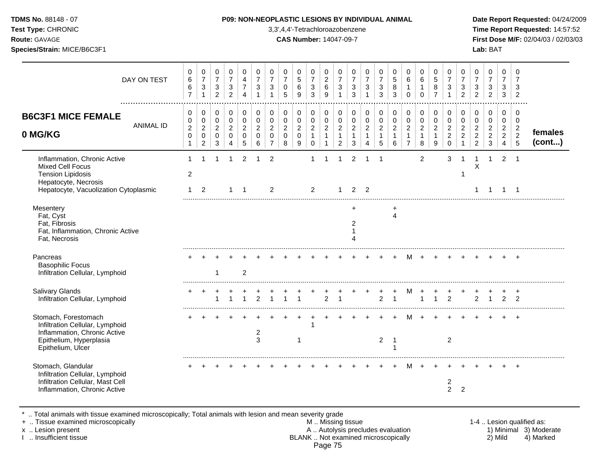### **TDMS No.** 88148 - 07 **P09: NON-NEOPLASTIC LESIONS BY INDIVIDUAL ANIMAL Date Report Requested:** 04/24/2009

**Test Type:** CHRONIC 3,3',4,4'-Tetrachloroazobenzene **Time Report Requested:** 14:57:52 **Route:** GAVAGE **CAS Number:** 14047-09-7 **First Dose M/F:** 02/04/03 / 02/03/03

| DAY ON TEST                                                                                                                                   | 0<br>6<br>6<br>$\overline{7}$      | 0<br>$\overline{7}$<br>$\ensuremath{\mathsf{3}}$<br>$\mathbf{1}$ | 0<br>$\overline{7}$<br>$\sqrt{3}$<br>$\overline{2}$ | 0<br>$\overline{7}$<br>3<br>$\overline{2}$   | 0<br>4<br>$\overline{7}$<br>4                          | 0<br>$\overline{7}$<br>3<br>$\mathbf 1$                | 0<br>$\overline{7}$<br>3                                  | 0<br>$\overline{7}$<br>0<br>5                | 0<br>$\sqrt{5}$<br>6<br>9                  | 0<br>$\boldsymbol{7}$<br>$\sqrt{3}$<br>3            | 0<br>$\boldsymbol{2}$<br>$\,6$<br>9                   | 0<br>$\overline{7}$<br>3                                   | 0<br>$\overline{7}$<br>3<br>3                 | 0<br>$\overline{7}$<br>$\sqrt{3}$      | 0<br>$\overline{7}$<br>$\sqrt{3}$<br>3                | 0<br>$\sqrt{5}$<br>8<br>3                             | 0<br>6<br>$\mathbf{1}$<br>$\mathbf 0$                              | 0<br>$\,6$<br>1<br>$\Omega$                           | 0<br>$\sqrt{5}$<br>8<br>$\overline{7}$                 | 0<br>$\overline{7}$<br>3<br>$\mathbf 1$                          | 0<br>$\overline{7}$<br>3<br>$\overline{2}$ | 0<br>$\overline{7}$<br>3<br>$\overline{2}$                             | 0<br>$\overline{7}$<br>$\mathbf{3}$<br>$\overline{2}$      | 0<br>$\overline{7}$<br>3<br>3                             | 0<br>$\overline{7}$<br>3<br>$\overline{2}$            |                   |
|-----------------------------------------------------------------------------------------------------------------------------------------------|------------------------------------|------------------------------------------------------------------|-----------------------------------------------------|----------------------------------------------|--------------------------------------------------------|--------------------------------------------------------|-----------------------------------------------------------|----------------------------------------------|--------------------------------------------|-----------------------------------------------------|-------------------------------------------------------|------------------------------------------------------------|-----------------------------------------------|----------------------------------------|-------------------------------------------------------|-------------------------------------------------------|--------------------------------------------------------------------|-------------------------------------------------------|--------------------------------------------------------|------------------------------------------------------------------|--------------------------------------------|------------------------------------------------------------------------|------------------------------------------------------------|-----------------------------------------------------------|-------------------------------------------------------|-------------------|
| <b>B6C3F1 MICE FEMALE</b><br><b>ANIMAL ID</b><br>0 MG/KG                                                                                      | 0<br>0<br>$\overline{c}$<br>0<br>1 | 0<br>$\pmb{0}$<br>$\overline{a}$<br>0<br>$\overline{2}$          | 0<br>0<br>$\overline{2}$<br>$\mathbf 0$<br>3        | 0<br>$\mathbf 0$<br>$\overline{c}$<br>0<br>4 | 0<br>$\mathbf 0$<br>$\overline{2}$<br>$\mathbf 0$<br>5 | 0<br>$\mathbf 0$<br>$\overline{2}$<br>$\mathbf 0$<br>6 | 0<br>$\mathbf 0$<br>$\overline{c}$<br>0<br>$\overline{7}$ | 0<br>0<br>$\overline{c}$<br>$\mathbf 0$<br>8 | 0<br>$\pmb{0}$<br>$\overline{a}$<br>0<br>9 | 0<br>$\mathbf 0$<br>$\sqrt{2}$<br>$\mathbf{1}$<br>0 | 0<br>$\pmb{0}$<br>$\overline{c}$<br>$\mathbf{1}$<br>1 | 0<br>0<br>$\overline{2}$<br>$\mathbf{1}$<br>$\overline{2}$ | 0<br>0<br>$\overline{c}$<br>$\mathbf{1}$<br>3 | 0<br>$\pmb{0}$<br>$\sqrt{2}$<br>1<br>4 | 0<br>$\pmb{0}$<br>$\overline{c}$<br>$\mathbf{1}$<br>5 | 0<br>$\pmb{0}$<br>$\overline{c}$<br>$\mathbf{1}$<br>6 | 0<br>$\pmb{0}$<br>$\overline{2}$<br>$\mathbf{1}$<br>$\overline{7}$ | 0<br>$\pmb{0}$<br>$\overline{c}$<br>$\mathbf{1}$<br>8 | 0<br>$\mathbf 0$<br>$\overline{2}$<br>$\mathbf 1$<br>9 | 0<br>$\mathbf 0$<br>$\overline{2}$<br>$\overline{c}$<br>$\Omega$ | 0<br>0<br>$\overline{c}$<br>$\overline{2}$ | 0<br>$\mathbf 0$<br>$\overline{c}$<br>$\overline{c}$<br>$\overline{c}$ | 0<br>0<br>$\overline{c}$<br>$\overline{c}$<br>$\mathbf{3}$ | 0<br>$\mathbf 0$<br>$\overline{c}$<br>$\overline{2}$<br>4 | 0<br>$\mathbf 0$<br>$\overline{2}$<br>$\sqrt{2}$<br>5 | females<br>(cont) |
| Inflammation, Chronic Active<br>Mixed Cell Focus<br><b>Tension Lipidosis</b><br>Hepatocyte, Necrosis<br>Hepatocyte, Vacuolization Cytoplasmic | $\overline{c}$<br>1                | 2                                                                |                                                     | 1                                            | 2<br>-1                                                |                                                        | $\overline{2}$<br>$\overline{2}$                          |                                              |                                            | 2                                                   |                                                       | -1                                                         | 2                                             | 2                                      |                                                       |                                                       |                                                                    | 2                                                     |                                                        | 3                                                                |                                            | Χ                                                                      |                                                            | 2                                                         | - 1<br>-1                                             |                   |
| Mesentery<br>Fat, Cyst<br>Fat, Fibrosis<br>Fat, Inflammation, Chronic Active<br>Fat, Necrosis                                                 |                                    |                                                                  |                                                     |                                              |                                                        |                                                        |                                                           |                                              |                                            |                                                     |                                                       |                                                            | +<br>2                                        |                                        |                                                       | +<br>4                                                |                                                                    |                                                       |                                                        |                                                                  |                                            |                                                                        |                                                            |                                                           |                                                       |                   |
| Pancreas<br><b>Basophilic Focus</b><br>Infiltration Cellular, Lymphoid                                                                        |                                    |                                                                  | -1                                                  |                                              | $\overline{2}$                                         |                                                        |                                                           |                                              |                                            |                                                     |                                                       |                                                            |                                               |                                        |                                                       |                                                       |                                                                    |                                                       |                                                        |                                                                  |                                            |                                                                        |                                                            |                                                           |                                                       |                   |
| <b>Salivary Glands</b><br>Infiltration Cellular, Lymphoid                                                                                     |                                    | $\pm$                                                            |                                                     |                                              |                                                        |                                                        |                                                           |                                              |                                            |                                                     | $\overline{2}$                                        |                                                            |                                               |                                        | $\overline{2}$                                        | -1                                                    | M                                                                  |                                                       |                                                        | $\overline{2}$                                                   |                                            | $\overline{2}$                                                         |                                                            | 2                                                         | $\cdot$<br>$\overline{2}$                             |                   |
| Stomach, Forestomach<br>Infiltration Cellular, Lymphoid<br>Inflammation, Chronic Active<br>Epithelium, Hyperplasia<br>Epithelium, Ulcer       |                                    |                                                                  |                                                     |                                              |                                                        | 2<br>3                                                 |                                                           |                                              |                                            |                                                     |                                                       |                                                            |                                               |                                        | 2                                                     | -1                                                    |                                                                    |                                                       |                                                        | $\overline{2}$                                                   |                                            |                                                                        |                                                            |                                                           |                                                       |                   |
| Stomach, Glandular<br>Infiltration Cellular, Lymphoid<br>Infiltration Cellular, Mast Cell<br>Inflammation, Chronic Active                     |                                    |                                                                  |                                                     |                                              |                                                        |                                                        |                                                           |                                              |                                            |                                                     |                                                       |                                                            |                                               |                                        |                                                       |                                                       |                                                                    |                                                       |                                                        | 2<br>$\overline{2}$                                              | $\overline{2}$                             |                                                                        |                                                            |                                                           |                                                       |                   |

\* .. Total animals with tissue examined microscopically; Total animals with lesion and mean severity grade

+ .. Tissue examined microscopically M .. Missing tissue 1-4 .. Lesion qualified as: x .. Lesion present **A .. Autolysis precludes evaluation** A .. Autolysis precludes evaluation 1) Minimal 3) Moderate I .. Insufficient tissue BLANK .. Not examined microscopically 2) Mild 4) Marked Page 75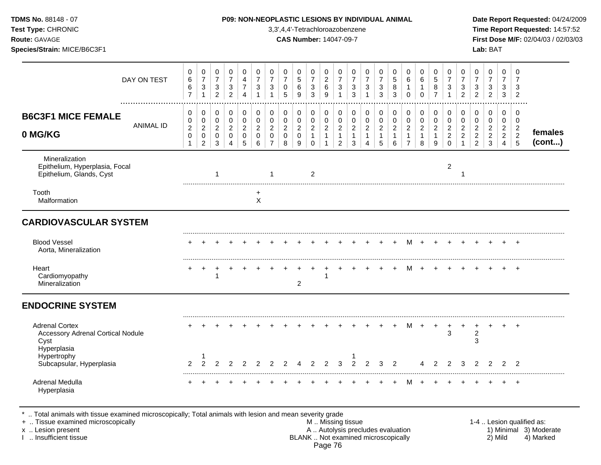| Test Type: CHRONIC<br>Route: GAVAGE<br>Species/Strain: MICE/B6C3F1                       |                                                                   |                                                                   |                                                                    |                                                                            |                                                        |                                                                  |                                                                                       |                                                                  | 3,3',4,4'-Tetrachloroazobenzene<br><b>CAS Number: 14047-09-7</b> |                                               |                                                            |                                                                                |                                                             |                                                                    |                                                                                |                                                                 |                                                                                |                                                                        |                                                                   |                                                                          |                                                                                |                                                                                | Lab: BAT                                                                     |                                                                                  |                                                                 | Time Report Requested: 14:57:52<br>First Dose M/F: 02/04/03 / 02/03/03 |
|------------------------------------------------------------------------------------------|-------------------------------------------------------------------|-------------------------------------------------------------------|--------------------------------------------------------------------|----------------------------------------------------------------------------|--------------------------------------------------------|------------------------------------------------------------------|---------------------------------------------------------------------------------------|------------------------------------------------------------------|------------------------------------------------------------------|-----------------------------------------------|------------------------------------------------------------|--------------------------------------------------------------------------------|-------------------------------------------------------------|--------------------------------------------------------------------|--------------------------------------------------------------------------------|-----------------------------------------------------------------|--------------------------------------------------------------------------------|------------------------------------------------------------------------|-------------------------------------------------------------------|--------------------------------------------------------------------------|--------------------------------------------------------------------------------|--------------------------------------------------------------------------------|------------------------------------------------------------------------------|----------------------------------------------------------------------------------|-----------------------------------------------------------------|------------------------------------------------------------------------|
| DAY ON TEST                                                                              | 0<br>$\,6\,$<br>6<br>$\overline{7}$                               | 0<br>$\overline{7}$<br>$\mathsf 3$<br>$\mathbf{1}$                | 0<br>$\overline{7}$<br>$\ensuremath{\mathsf{3}}$<br>$\overline{2}$ | $\pmb{0}$<br>$\overline{7}$<br>$\ensuremath{\mathsf{3}}$<br>$\overline{c}$ | $\mathbf 0$<br>4<br>$\overline{7}$<br>$\overline{4}$   | $\mathbf 0$<br>$\overline{7}$<br>$\mathbf{3}$<br>$\overline{1}$  | 0<br>$\overline{7}$<br>$\ensuremath{\mathsf{3}}$<br>$\mathbf{1}$                      | 0<br>$\overline{7}$<br>$\pmb{0}$<br>5                            | 0<br>5<br>6<br>9                                                 | 0<br>$\overline{7}$<br>$\sqrt{3}$<br>3        | 0<br>$\overline{2}$<br>$\,6\,$<br>$\boldsymbol{9}$         | 0<br>$\overline{7}$<br>$\sqrt{3}$<br>$\mathbf{1}$                              | $\mathbf 0$<br>$\overline{7}$<br>$\sqrt{3}$<br>$\mathbf{3}$ | 0<br>$\overline{7}$<br>$\mathbf{3}$<br>$\mathbf{1}$                | 0<br>$\overline{7}$<br>$\sqrt{3}$<br>$\mathbf{3}$                              | $\mathbf 0$<br>5<br>$\bf 8$<br>3                                | $\mathbf 0$<br>$6\phantom{a}$<br>$\mathbf{1}$<br>$\mathsf{O}\xspace$           | $\Omega$<br>6<br>$\mathbf{1}$<br>$\mathbf 0$                           | 0<br>$\sqrt{5}$<br>$\bf 8$<br>$\overline{7}$                      | $\mathbf 0$<br>$\overline{7}$<br>$\sqrt{3}$<br>$\mathbf{1}$              | $\mathbf 0$<br>$\overline{7}$<br>$\mathbf{3}$<br>$\overline{2}$                | 0<br>$\overline{7}$<br>$\ensuremath{\mathsf{3}}$<br>$\overline{2}$             | $\mathbf 0$<br>$\overline{7}$<br>$\ensuremath{\mathsf{3}}$<br>$\overline{2}$ | $\mathbf 0$<br>$\overline{7}$<br>3<br>3                                          | $\mathbf 0$<br>$\overline{7}$<br>3<br>$\overline{2}$            |                                                                        |
| <b>B6C3F1 MICE FEMALE</b><br><b>ANIMAL ID</b><br>0 MG/KG                                 | $\mathbf 0$<br>0<br>$\boldsymbol{2}$<br>$\pmb{0}$<br>$\mathbf{1}$ | 0<br>$\pmb{0}$<br>$\overline{c}$<br>$\mathbf 0$<br>$\overline{2}$ | $\mathbf 0$<br>$\mathbf 0$<br>$\overline{c}$<br>$\mathbf 0$<br>3   | $\pmb{0}$<br>$\pmb{0}$<br>$\overline{c}$<br>$\pmb{0}$<br>4                 | $\mathbf 0$<br>$\mathbf 0$<br>$\overline{c}$<br>0<br>5 | $\mathbf 0$<br>$\mathbf 0$<br>$\overline{c}$<br>$\mathbf 0$<br>6 | $\mathbf 0$<br>$\mathsf{O}\xspace$<br>$\overline{c}$<br>$\mathbf 0$<br>$\overline{7}$ | $\mathbf 0$<br>$\mathsf 0$<br>$\overline{c}$<br>$\mathbf 0$<br>8 | $\mathbf 0$<br>$\mathbf 0$<br>$\overline{a}$<br>$\mathbf 0$<br>9 | 0<br>0<br>$\overline{c}$<br>$\mathbf{1}$<br>0 | $\mathbf 0$<br>$\pmb{0}$<br>$\overline{2}$<br>$\mathbf{1}$ | $\mathbf 0$<br>$\pmb{0}$<br>$\boldsymbol{2}$<br>$\mathbf{1}$<br>$\overline{2}$ | $\mathbf 0$<br>$\pmb{0}$<br>$\sqrt{2}$<br>$\mathbf{1}$<br>3 | 0<br>$\pmb{0}$<br>$\overline{2}$<br>$\mathbf{1}$<br>$\overline{4}$ | $\mathbf 0$<br>$\mathsf 0$<br>$\overline{c}$<br>$\mathbf{1}$<br>$\overline{5}$ | $\mathbf 0$<br>$\pmb{0}$<br>$\overline{c}$<br>$\mathbf{1}$<br>6 | $\mathbf 0$<br>$\mathsf 0$<br>$\overline{c}$<br>$\mathbf{1}$<br>$\overline{7}$ | $\Omega$<br>$\mathsf{O}\xspace$<br>$\overline{c}$<br>$\mathbf{1}$<br>8 | $\mathbf 0$<br>$\mathbf 0$<br>$\overline{2}$<br>$\mathbf{1}$<br>9 | $\pmb{0}$<br>$\mathbf 0$<br>$\overline{c}$<br>$\overline{2}$<br>$\Omega$ | $\mathbf 0$<br>$\mathbf 0$<br>$\overline{c}$<br>$\overline{2}$<br>$\mathbf{1}$ | $\mathbf 0$<br>$\pmb{0}$<br>$\overline{2}$<br>$\overline{2}$<br>$\overline{2}$ | $\mathbf 0$<br>$\mathsf 0$<br>$\sqrt{2}$<br>$\mathbf 2$<br>$\mathfrak{S}$    | $\mathbf 0$<br>$\mathbf 0$<br>$\overline{2}$<br>$\overline{2}$<br>$\overline{4}$ | $\mathbf 0$<br>$\mathbf 0$<br>$\sqrt{2}$<br>$\overline{2}$<br>5 | females<br>(cont)                                                      |
| Mineralization<br>Epithelium, Hyperplasia, Focal<br>Epithelium, Glands, Cyst             |                                                                   |                                                                   | $\mathbf{1}$                                                       |                                                                            |                                                        |                                                                  | $\mathbf{1}$                                                                          |                                                                  |                                                                  | 2                                             |                                                            |                                                                                |                                                             |                                                                    |                                                                                |                                                                 |                                                                                |                                                                        |                                                                   | $\overline{c}$                                                           |                                                                                |                                                                                |                                                                              |                                                                                  |                                                                 |                                                                        |
| Tooth<br>Malformation                                                                    |                                                                   |                                                                   |                                                                    |                                                                            |                                                        | $\ddot{}$<br>$\sf X$                                             |                                                                                       |                                                                  |                                                                  |                                               |                                                            |                                                                                |                                                             |                                                                    |                                                                                |                                                                 |                                                                                |                                                                        |                                                                   |                                                                          |                                                                                |                                                                                |                                                                              |                                                                                  |                                                                 |                                                                        |
| <b>CARDIOVASCULAR SYSTEM</b>                                                             |                                                                   |                                                                   |                                                                    |                                                                            |                                                        |                                                                  |                                                                                       |                                                                  |                                                                  |                                               |                                                            |                                                                                |                                                             |                                                                    |                                                                                |                                                                 |                                                                                |                                                                        |                                                                   |                                                                          |                                                                                |                                                                                |                                                                              |                                                                                  |                                                                 |                                                                        |
| <b>Blood Vessel</b><br>Aorta, Mineralization                                             |                                                                   |                                                                   |                                                                    |                                                                            |                                                        |                                                                  |                                                                                       |                                                                  |                                                                  |                                               |                                                            |                                                                                |                                                             |                                                                    |                                                                                |                                                                 | м                                                                              |                                                                        |                                                                   |                                                                          |                                                                                |                                                                                |                                                                              |                                                                                  |                                                                 |                                                                        |
| Heart<br>Cardiomyopathy<br>Mineralization                                                |                                                                   |                                                                   | 1                                                                  |                                                                            |                                                        |                                                                  |                                                                                       |                                                                  | 2                                                                |                                               | 1                                                          |                                                                                |                                                             |                                                                    |                                                                                |                                                                 | М                                                                              | $+$                                                                    |                                                                   |                                                                          | $\ddot{}$                                                                      | $\ddot{}$                                                                      |                                                                              | $+$                                                                              | $+$                                                             |                                                                        |
| <b>ENDOCRINE SYSTEM</b>                                                                  |                                                                   |                                                                   |                                                                    |                                                                            |                                                        |                                                                  |                                                                                       |                                                                  |                                                                  |                                               |                                                            |                                                                                |                                                             |                                                                    |                                                                                |                                                                 |                                                                                |                                                                        |                                                                   |                                                                          |                                                                                |                                                                                |                                                                              |                                                                                  |                                                                 |                                                                        |
| <b>Adrenal Cortex</b><br><b>Accessory Adrenal Cortical Nodule</b><br>Cyst<br>Hyperplasia |                                                                   |                                                                   |                                                                    |                                                                            |                                                        |                                                                  |                                                                                       |                                                                  |                                                                  |                                               |                                                            |                                                                                |                                                             |                                                                    |                                                                                | $\ddot{}$                                                       | M                                                                              | $+$                                                                    | $\pm$                                                             | 3                                                                        | $\ddot{}$                                                                      | +<br>2<br>3                                                                    |                                                                              |                                                                                  | $\overline{+}$                                                  |                                                                        |
| Hypertrophy<br>Subcapsular, Hyperplasia                                                  | $\overline{2}$                                                    | 1<br>$\overline{2}$                                               | 2                                                                  | 2                                                                          | 2                                                      |                                                                  | 2                                                                                     | 2                                                                |                                                                  | $\overline{2}$                                | $\overline{2}$                                             | 3                                                                              | $\overline{2}$                                              | $\overline{2}$                                                     | 3                                                                              | $\overline{2}$                                                  |                                                                                |                                                                        | $\mathfrak{p}$                                                    | 2                                                                        | 3                                                                              | 2                                                                              | 2                                                                            | $\overline{2}$                                                                   | 2                                                               |                                                                        |
| Adrenal Medulla<br>Hyperplasia                                                           |                                                                   |                                                                   |                                                                    |                                                                            |                                                        |                                                                  |                                                                                       |                                                                  |                                                                  |                                               |                                                            |                                                                                |                                                             |                                                                    |                                                                                |                                                                 |                                                                                |                                                                        |                                                                   |                                                                          |                                                                                |                                                                                |                                                                              |                                                                                  | $\overline{+}$                                                  |                                                                        |

\* .. Total animals with tissue examined microscopically; Total animals with lesion and mean severity grade

+ .. Tissue examined microscopically M .. Missing tissue 1-4 .. Lesion qualified as: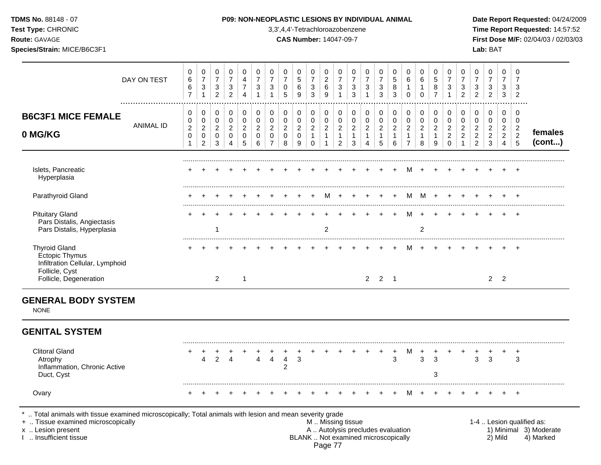| TDMS No. 88148 - 07<br>Test Type: CHRONIC<br>Route: GAVAGE<br>Species/Strain: MICE/B6C3F1                                    |                                                                   |                                                                               |                                                                  |                                                       | P09: NON-NEOPLASTIC LESIONS BY INDIVIDUAL ANIMAL                  |                                                                 |                                                                             | 3,3',4,4'-Tetrachloroazobenzene<br><b>CAS Number: 14047-09-7</b> |                                                                |                                                                   |                                                         |                                                            |                                                         |                                                                              |                                                         |                                                                   |                                                                    |                                                                   |                                                      |                                                                            |                                                                                |                                                                              | Lab: BAT                                               |                                                                                  |                                                           | Date Report Requested: 04/24/2009<br>Time Report Requested: 14:57:52<br>First Dose M/F: 02/04/03 / 02/03/03 |
|------------------------------------------------------------------------------------------------------------------------------|-------------------------------------------------------------------|-------------------------------------------------------------------------------|------------------------------------------------------------------|-------------------------------------------------------|-------------------------------------------------------------------|-----------------------------------------------------------------|-----------------------------------------------------------------------------|------------------------------------------------------------------|----------------------------------------------------------------|-------------------------------------------------------------------|---------------------------------------------------------|------------------------------------------------------------|---------------------------------------------------------|------------------------------------------------------------------------------|---------------------------------------------------------|-------------------------------------------------------------------|--------------------------------------------------------------------|-------------------------------------------------------------------|------------------------------------------------------|----------------------------------------------------------------------------|--------------------------------------------------------------------------------|------------------------------------------------------------------------------|--------------------------------------------------------|----------------------------------------------------------------------------------|-----------------------------------------------------------|-------------------------------------------------------------------------------------------------------------|
| DAY ON TEST                                                                                                                  | $\mathsf 0$<br>6<br>6<br>$\overline{7}$                           | $\mathbf 0$<br>$\overline{7}$<br>$\sqrt{3}$<br>$\mathbf{1}$                   | $\mathbf 0$<br>$\overline{7}$<br>$\mathbf 3$<br>$\overline{2}$   | 0<br>$\overline{7}$<br>$\mathbf{3}$<br>$\overline{2}$ | $\mathbf 0$<br>$\overline{4}$<br>$\overline{7}$<br>$\overline{4}$ | $\mathbf 0$<br>$\overline{7}$<br>$\mathbf{3}$<br>$\overline{1}$ | $\mathbf 0$<br>$\overline{7}$<br>$\mathsf 3$<br>$\mathbf{1}$                | $\mathbf 0$<br>$\overline{7}$<br>$\mathbf 0$<br>5                | $\mathbf 0$<br>$\sqrt{5}$<br>6<br>$\overline{9}$               | 0<br>$\overline{7}$<br>$\ensuremath{\mathsf{3}}$<br>$\mathbf{3}$  | $\mathbf 0$<br>$\overline{c}$<br>6<br>9                 | $\mathbf 0$<br>$\overline{7}$<br>3<br>$\mathbf{1}$         | 0<br>$\overline{7}$<br>3<br>3                           | $\mathbf 0$<br>$\overline{7}$<br>$\mathbf{3}$<br>$\mathbf{1}$                | 0<br>$\overline{7}$<br>3<br>$\mathbf{3}$                | $\mathbf 0$<br>5<br>$\,8\,$<br>3                                  | 0<br>$6\phantom{1}$<br>1<br>$\pmb{0}$                              | $\mathbf 0$<br>6<br>$\mathbf{1}$<br>$\mathbf 0$                   | $\mathbf 0$<br>5<br>8<br>$\overline{7}$              | $\mathbf 0$<br>$\overline{7}$<br>3<br>$\overline{1}$                       | $\mathbf 0$<br>$\overline{7}$<br>$\ensuremath{\mathsf{3}}$<br>$\overline{2}$   | $\mathbf 0$<br>$\overline{7}$<br>$\ensuremath{\mathsf{3}}$<br>$\overline{2}$ | $\mathbf 0$<br>$\overline{7}$<br>3<br>$\overline{c}$   | $\mathbf 0$<br>$\overline{7}$<br>$\mathbf{3}$<br>$\mathbf{3}$                    | $\mathbf 0$<br>$\overline{7}$<br>3<br>$\overline{2}$      |                                                                                                             |
| <br><b>B6C3F1 MICE FEMALE</b><br><b>ANIMAL ID</b><br>0 MG/KG                                                                 | $\mathbf 0$<br>0<br>$\overline{c}$<br>$\mathbf 0$<br>$\mathbf{1}$ | $\mathbf 0$<br>$\mathbf 0$<br>$\overline{2}$<br>$\mathbf 0$<br>$\overline{2}$ | $\mathbf 0$<br>$\mathbf 0$<br>$\overline{2}$<br>$\mathbf 0$<br>3 | $\mathbf 0$<br>$\mathbf 0$<br>2<br>$\mathbf 0$<br>4   | $\mathbf 0$<br>$\mathbf 0$<br>$\overline{2}$<br>$\mathbf 0$<br>5  | 0<br>$\mathbf 0$<br>$\sqrt{2}$<br>$\overline{0}$<br>6           | $\mathbf 0$<br>$\pmb{0}$<br>$\overline{2}$<br>$\mathbf 0$<br>$\overline{7}$ | $\mathbf 0$<br>$\pmb{0}$<br>$\boldsymbol{2}$<br>$\mathbf 0$<br>8 | $\pmb{0}$<br>$\pmb{0}$<br>$\boldsymbol{2}$<br>$\mathbf 0$<br>9 | 0<br>$\mathbf 0$<br>$\overline{2}$<br>$\mathbf{1}$<br>$\mathbf 0$ | 0<br>$\mathbf 0$<br>$\overline{2}$<br>$\mathbf{1}$<br>1 | 0<br>0<br>$\overline{2}$<br>$\mathbf{1}$<br>$\overline{2}$ | 0<br>$\mathbf 0$<br>$\overline{2}$<br>$\mathbf{1}$<br>3 | $\mathbf 0$<br>$\pmb{0}$<br>$\overline{2}$<br>$\mathbf{1}$<br>$\overline{4}$ | 0<br>$\mathsf 0$<br>$\overline{2}$<br>$\mathbf{1}$<br>5 | $\mathbf 0$<br>$\mathbf 0$<br>$\overline{2}$<br>$\mathbf{1}$<br>6 | 0<br>$\pmb{0}$<br>$\overline{c}$<br>$\mathbf{1}$<br>$\overline{7}$ | $\mathbf 0$<br>$\mathbf 0$<br>$\overline{2}$<br>$\mathbf{1}$<br>8 | $\mathbf 0$<br>$\mathbf 0$<br>2<br>$\mathbf{1}$<br>9 | $\mathbf 0$<br>$\mathbf 0$<br>$\overline{2}$<br>$\overline{c}$<br>$\Omega$ | 0<br>$\mathsf{O}\xspace$<br>$\overline{2}$<br>$\overline{2}$<br>$\overline{1}$ | $\mathbf 0$<br>$\mathbf 0$<br>$\overline{2}$<br>$\sqrt{2}$<br>$\overline{c}$ | $\mathbf 0$<br>$\mathbf 0$<br>2<br>$\overline{c}$<br>3 | $\mathbf 0$<br>$\mathbf 0$<br>$\overline{2}$<br>$\overline{2}$<br>$\overline{4}$ | 0<br>$\mathbf 0$<br>$\overline{c}$<br>$\overline{2}$<br>5 | females<br>(cont)                                                                                           |
| Islets, Pancreatic<br>Hyperplasia                                                                                            |                                                                   |                                                                               |                                                                  |                                                       |                                                                   |                                                                 |                                                                             |                                                                  |                                                                |                                                                   |                                                         |                                                            |                                                         |                                                                              |                                                         |                                                                   | м                                                                  |                                                                   |                                                      |                                                                            |                                                                                |                                                                              |                                                        |                                                                                  |                                                           |                                                                                                             |
| Parathyroid Gland                                                                                                            |                                                                   |                                                                               |                                                                  |                                                       |                                                                   |                                                                 |                                                                             |                                                                  |                                                                |                                                                   | M                                                       | $+$                                                        | $+$                                                     | $+$                                                                          |                                                         |                                                                   | М                                                                  | $M +$                                                             |                                                      |                                                                            |                                                                                |                                                                              |                                                        |                                                                                  |                                                           |                                                                                                             |
| <b>Pituitary Gland</b><br>Pars Distalis, Angiectasis<br>Pars Distalis, Hyperplasia                                           |                                                                   |                                                                               | -1                                                               |                                                       |                                                                   |                                                                 |                                                                             |                                                                  |                                                                |                                                                   | 2                                                       |                                                            |                                                         |                                                                              |                                                         |                                                                   | м                                                                  | $\ddot{}$<br>$\overline{c}$                                       |                                                      |                                                                            |                                                                                |                                                                              |                                                        |                                                                                  | $+$                                                       |                                                                                                             |
| <b>Thyroid Gland</b><br><b>Ectopic Thymus</b><br>Infiltration Cellular, Lymphoid<br>Follicle, Cyst<br>Follicle, Degeneration |                                                                   |                                                                               | $\overline{2}$                                                   |                                                       | $\overline{1}$                                                    |                                                                 |                                                                             |                                                                  |                                                                |                                                                   |                                                         |                                                            |                                                         |                                                                              | $2 \quad 2 \quad 1$                                     |                                                                   |                                                                    |                                                                   |                                                      |                                                                            |                                                                                |                                                                              | 2 <sub>2</sub>                                         |                                                                                  | $\overline{+}$                                            |                                                                                                             |
| <b>GENERAL BODY SYSTEM</b><br><b>NONE</b><br><b>GENITAL SYSTEM</b>                                                           |                                                                   |                                                                               |                                                                  |                                                       |                                                                   |                                                                 |                                                                             |                                                                  |                                                                |                                                                   |                                                         |                                                            |                                                         |                                                                              |                                                         |                                                                   |                                                                    |                                                                   |                                                      |                                                                            |                                                                                |                                                                              |                                                        |                                                                                  |                                                           |                                                                                                             |
| <b>Clitoral Gland</b><br>Atrophy<br>Inflammation, Chronic Active<br>Duct, Cyst                                               | +                                                                 | $^{+}$<br>4                                                                   | 2                                                                | 4                                                     |                                                                   | $\overline{4}$                                                  | $\overline{4}$                                                              | $\ddot{}$<br>$\overline{4}$<br>$\overline{2}$                    | 3                                                              |                                                                   | $\pm$                                                   |                                                            | $\overline{+}$                                          | $+$                                                                          | $+$                                                     | 3                                                                 | м                                                                  | $\ddot{}$<br>3                                                    | 3<br>3                                               |                                                                            | $\overline{+}$                                                                 | 3                                                                            | 3                                                      |                                                                                  | $\ddot{}$<br>3                                            |                                                                                                             |

Ovary + + + + + + + + + + + + + + + + M + + + + + + + +

\* .. Total animals with tissue examined microscopically; Total animals with lesion and mean severity grade<br>+ .. Tissue examined microscopically

+ .. Tissue examined microscopically **All and the substitute of the set of the set of the set of the set of the set of the set of the set of the set of the set of the set of the set of the set of the set of the set of the** x .. Lesion present **A .. Autolysis precludes evaluation** A .. Autolysis precludes evaluation 1) Minimal 3) Moderate I .. Insufficient tissue BLANK .. Not examined microscopically 2) Mild 4) Marked Page 77

.........................................................................................................................................................................................................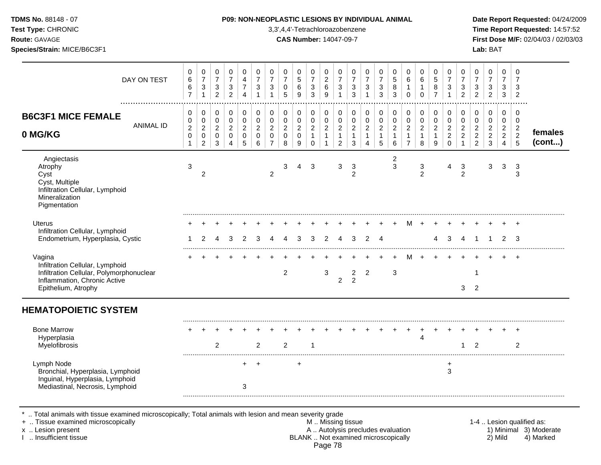| <b>TDMS No. 88148 - 07</b><br>Test Type: CHRONIC<br>Route: GAVAGE<br>Species/Strain: MICE/B6C3F1                                             |                                                     |                                                                            |                                                               |                                                                |                                                                           |                                                                          |                                                                       |                                                      | 3,3',4,4'-Tetrachloroazobenzene<br><b>CAS Number: 14047-09-7</b> |                                                                          |                                                                              |                                                                      |                                                                | <b>P09: NON-NEOPLASTIC LESIONS BY INDIVIDUAL ANIMAL</b>                |                                                             |                                                                 |                                                                      |                                                       |                                                               |                                                                            |                                                                              |                                                                        | Lab: BAT                                                  |                                                              |                                                                      | Date Report Requested: 04/24/2009<br>Time Report Requested: 14:57:52<br>First Dose M/F: 02/04/03 / 02/03/03 |
|----------------------------------------------------------------------------------------------------------------------------------------------|-----------------------------------------------------|----------------------------------------------------------------------------|---------------------------------------------------------------|----------------------------------------------------------------|---------------------------------------------------------------------------|--------------------------------------------------------------------------|-----------------------------------------------------------------------|------------------------------------------------------|------------------------------------------------------------------|--------------------------------------------------------------------------|------------------------------------------------------------------------------|----------------------------------------------------------------------|----------------------------------------------------------------|------------------------------------------------------------------------|-------------------------------------------------------------|-----------------------------------------------------------------|----------------------------------------------------------------------|-------------------------------------------------------|---------------------------------------------------------------|----------------------------------------------------------------------------|------------------------------------------------------------------------------|------------------------------------------------------------------------|-----------------------------------------------------------|--------------------------------------------------------------|----------------------------------------------------------------------|-------------------------------------------------------------------------------------------------------------|
| DAY ON TEST                                                                                                                                  | $\mathbf 0$<br>$\,6\,$<br>$\,6\,$<br>$\overline{7}$ | $\pmb{0}$<br>$\overline{7}$<br>$\ensuremath{\mathsf{3}}$<br>$\overline{1}$ | $\mathbf 0$<br>$\overline{7}$<br>$\sqrt{3}$<br>$\overline{2}$ | $\mathbf 0$<br>$\overline{7}$<br>$\sqrt{3}$<br>$\overline{2}$  | $\mathbf 0$<br>$\overline{4}$<br>$\overline{7}$<br>$\boldsymbol{\Lambda}$ | $\pmb{0}$<br>$\overline{7}$<br>$\ensuremath{\mathsf{3}}$<br>$\mathbf{1}$ | 0<br>$\overline{7}$<br>$\mathbf{3}$<br>$\mathbf{1}$                   | 0<br>$\overline{7}$<br>$\pmb{0}$<br>5                | 0<br>$\sqrt{5}$<br>6<br>9                                        | $\pmb{0}$<br>$\overline{7}$<br>$\ensuremath{\mathsf{3}}$<br>$\mathbf{3}$ | $\pmb{0}$<br>$\begin{array}{c} 2 \\ 6 \end{array}$<br>$9\,$                  | 0<br>$\overline{7}$<br>$\ensuremath{\mathsf{3}}$<br>$\mathbf{1}$     | $\mathbf 0$<br>$\overline{7}$<br>$\sqrt{3}$<br>3               | 0<br>$\overline{7}$<br>$\ensuremath{\mathsf{3}}$<br>$\overline{1}$     | $\pmb{0}$<br>$\overline{7}$<br>$\sqrt{3}$<br>$\overline{3}$ | 0<br>$\overline{5}$<br>$\bf 8$<br>3                             | $\mathbf 0$<br>6<br>$\mathbf{1}$<br>$\Omega$                         | 0<br>6<br>$\mathbf{1}$<br>$\mathbf 0$                 | 0<br>$\sqrt{5}$<br>$\,8\,$<br>$\overline{7}$                  | $\pmb{0}$<br>$\overline{7}$<br>$\ensuremath{\mathsf{3}}$<br>$\overline{1}$ | $\mathbf 0$<br>$\overline{7}$<br>$\ensuremath{\mathsf{3}}$<br>$\overline{2}$ | $\mathbf 0$<br>$\overline{7}$<br>$\sqrt{3}$<br>$\overline{2}$          | $\mathbf 0$<br>$\overline{7}$<br>3<br>$\overline{2}$      | $\mathbf 0$<br>$\overline{7}$<br>3<br>3                      | 0<br>$\sqrt{3}$<br>$\overline{2}$                                    |                                                                                                             |
| <b>B6C3F1 MICE FEMALE</b><br><b>ANIMAL ID</b><br>0 MG/KG                                                                                     | 0<br>$\mathbf 0$<br>$\sqrt{2}$<br>$\pmb{0}$         | 0<br>$\mathbf 0$<br>$\boldsymbol{2}$<br>$\mathbf 0$<br>$\overline{2}$      | 0<br>0<br>$\boldsymbol{2}$<br>$\mathbf 0$<br>$\mathbf{3}$     | $\pmb{0}$<br>$\mathbf 0$<br>$\overline{2}$<br>$\mathbf 0$<br>4 | 0<br>$\mathbf 0$<br>$\overline{c}$<br>$\mathbf 0$<br>5                    | 0<br>$\mathsf 0$<br>$\overline{2}$<br>$\mathbf 0$<br>6                   | 0<br>$\mathbf 0$<br>$\boldsymbol{2}$<br>$\mathbf 0$<br>$\overline{7}$ | 0<br>$\pmb{0}$<br>$\overline{2}$<br>$\mathsf 0$<br>8 | $\pmb{0}$<br>$\pmb{0}$<br>$\boldsymbol{2}$<br>$\pmb{0}$<br>9     | $\pmb{0}$<br>$\pmb{0}$<br>$\overline{c}$<br>$\mathbf{1}$<br>$\pmb{0}$    | $\pmb{0}$<br>$\pmb{0}$<br>$\boldsymbol{2}$<br>$\mathbf{1}$<br>$\overline{1}$ | 0<br>$\pmb{0}$<br>$\boldsymbol{2}$<br>$\mathbf{1}$<br>$\overline{2}$ | 0<br>$\mathbf 0$<br>$\sqrt{2}$<br>$\mathbf{1}$<br>$\mathbf{3}$ | 0<br>$\mathbf 0$<br>$\overline{c}$<br>$\overline{1}$<br>$\overline{4}$ | 0<br>$\mathsf 0$<br>$\overline{2}$<br>$\mathbf{1}$<br>5     | 0<br>$\mathbf 0$<br>$\boldsymbol{2}$<br>$\mathbf{1}$<br>$\,6\,$ | 0<br>$\mathsf 0$<br>$\overline{2}$<br>$\mathbf{1}$<br>$\overline{7}$ | 0<br>$\pmb{0}$<br>$\overline{c}$<br>$\mathbf{1}$<br>8 | $\pmb{0}$<br>$\pmb{0}$<br>$\overline{c}$<br>$\mathbf{1}$<br>9 | $\pmb{0}$<br>$\pmb{0}$<br>$\boldsymbol{2}$<br>$\sqrt{2}$<br>$\pmb{0}$      | 0<br>$\mathbf 0$<br>$\boldsymbol{2}$<br>$\overline{c}$<br>$\mathbf{1}$       | 0<br>$\mathbf 0$<br>$\overline{2}$<br>$\overline{c}$<br>$\overline{2}$ | 0<br>$\mathbf 0$<br>$\overline{c}$<br>$\overline{2}$<br>3 | 0<br>0<br>$\overline{c}$<br>$\overline{2}$<br>$\overline{4}$ | 0<br>$\mathbf 0$<br>$\boldsymbol{2}$<br>$\overline{2}$<br>$\sqrt{5}$ | females<br>(cont)                                                                                           |
| Angiectasis<br>Atrophy<br>Cyst<br>Cyst, Multiple<br>Infiltration Cellular, Lymphoid<br>Mineralization<br>Pigmentation                        | 3                                                   | $\overline{c}$                                                             |                                                               |                                                                |                                                                           |                                                                          | $\overline{2}$                                                        | 3                                                    | 4                                                                | 3                                                                        |                                                                              | 3                                                                    | 3<br>$\overline{2}$                                            |                                                                        |                                                             | 2<br>3                                                          |                                                                      | 3<br>$\overline{2}$                                   |                                                               | 4                                                                          | 3<br>$\overline{2}$                                                          |                                                                        | 3                                                         | 3                                                            | 3<br>3                                                               |                                                                                                             |
| <b>Uterus</b><br>Infiltration Cellular, Lymphoid<br>Endometrium, Hyperplasia, Cystic                                                         |                                                     | 2                                                                          | 4                                                             | 3                                                              | 2                                                                         | 3                                                                        | Δ                                                                     | 4                                                    | 3                                                                | 3                                                                        | $\overline{2}$                                                               | 4                                                                    | 3                                                              | $\overline{2}$                                                         | $\overline{4}$                                              |                                                                 | м                                                                    |                                                       | 4                                                             | 3                                                                          | 4                                                                            | $\mathbf{1}$                                                           | $\mathbf 1$                                               | $\overline{2}$                                               | $\div$<br>-3                                                         |                                                                                                             |
| Vagina<br>Infiltration Cellular, Lymphoid<br>Infiltration Cellular, Polymorphonuclear<br>Inflammation, Chronic Active<br>Epithelium, Atrophy |                                                     |                                                                            |                                                               |                                                                |                                                                           |                                                                          |                                                                       | $\overline{2}$                                       |                                                                  |                                                                          | 3                                                                            | $\overline{c}$                                                       | $\overline{a}$<br>$\overline{2}$                               | $\overline{2}$                                                         |                                                             | 3                                                               | м                                                                    |                                                       |                                                               |                                                                            | 3                                                                            | 1<br>2                                                                 |                                                           |                                                              | $\ddot{}$                                                            |                                                                                                             |
| <b>HEMATOPOIETIC SYSTEM</b>                                                                                                                  |                                                     |                                                                            |                                                               |                                                                |                                                                           |                                                                          |                                                                       |                                                      |                                                                  |                                                                          |                                                                              |                                                                      |                                                                |                                                                        |                                                             |                                                                 |                                                                      |                                                       |                                                               |                                                                            |                                                                              |                                                                        |                                                           |                                                              |                                                                      |                                                                                                             |
| <b>Bone Marrow</b><br>Hyperplasia<br>Myelofibrosis                                                                                           |                                                     |                                                                            | 2                                                             |                                                                |                                                                           | $\overline{2}$                                                           |                                                                       | $\overline{2}$                                       |                                                                  |                                                                          |                                                                              |                                                                      |                                                                |                                                                        |                                                             |                                                                 | $+$                                                                  | +<br>4                                                |                                                               |                                                                            |                                                                              | $\overline{2}$                                                         |                                                           |                                                              | $\ddot{}$<br>2                                                       |                                                                                                             |
| Lymph Node<br>Bronchial, Hyperplasia, Lymphoid                                                                                               |                                                     |                                                                            |                                                               |                                                                | $+$                                                                       | $^{+}$                                                                   |                                                                       |                                                      | $\ddot{}$                                                        |                                                                          |                                                                              |                                                                      |                                                                |                                                                        |                                                             |                                                                 |                                                                      |                                                       |                                                               | $\ddot{}$<br>3                                                             |                                                                              |                                                                        |                                                           |                                                              |                                                                      |                                                                                                             |

\* .. Total animals with tissue examined microscopically; Total animals with lesion and mean severity grade

Mediastinal, Necrosis, Lymphoid 3

Inguinal, Hyperplasia, Lymphoid

+ .. Tissue examined microscopically M .. Missing tissue 1-4 .. Lesion qualified as: x .. Lesion present **A .. Autolysis precludes evaluation** A .. Autolysis precludes evaluation 1) Minimal 3) Moderate I .. Insufficient tissue BLANK .. Not examined microscopically 2) Mild 4) Marked Page 78

.........................................................................................................................................................................................................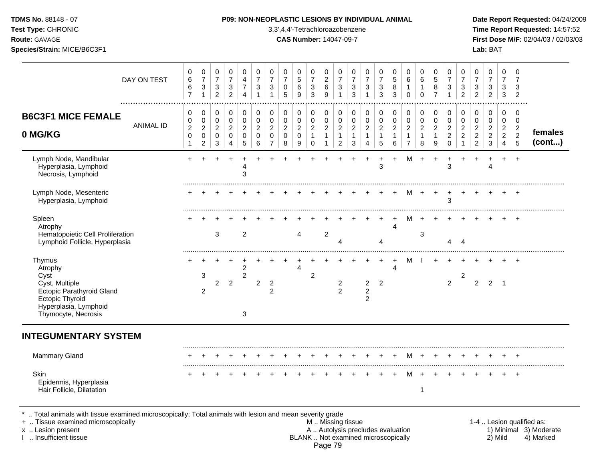## **TDMS No.** 88148 - 07 **P09: NON-NEOPLASTIC LESIONS BY INDIVIDUAL ANIMAL Date Report Requested:** 04/24/2009

**Test Type:** CHRONIC 3,3',4,4'-Tetrachloroazobenzene **Time Report Requested:** 14:57:52 **Route:** GAVAGE **CAS Number:** 14047-09-7 **First Dose M/F:** 02/04/03 / 02/03/03

| 0<br>$\,6\,$<br>6<br>$\overline{7}$                   | 0<br>$\overline{7}$<br>$\mathbf{3}$<br>1                                    | 0<br>$\overline{7}$<br>3<br>$\overline{2}$             | 0<br>$\overline{7}$<br>$\ensuremath{\mathsf{3}}$<br>$\overline{2}$        | 0<br>4<br>$\overline{7}$<br>4                                    | 0<br>$\overline{7}$<br>3<br>$\mathbf{1}$   | 0<br>$\overline{7}$<br>3<br>1                                              | 0<br>$\overline{7}$<br>$\mathbf 0$<br>5                | 0<br>$\sqrt{5}$<br>6<br>9                  | 0<br>$\overline{7}$<br>$\sqrt{3}$<br>3                 | 0<br>$\boldsymbol{2}$<br>6<br>9                                    | 0<br>$\overline{7}$<br>3<br>-1                             | 0<br>$\overline{7}$<br>3<br>3                           | 0<br>$\overline{7}$<br>$\mathbf{3}$<br>1                           | 0<br>$\overline{7}$<br>$\sqrt{3}$<br>3                | 0<br>5<br>8<br>3                                        | 0<br>$\,6\,$<br>$\mathbf{1}$<br>$\mathbf 0$                                    | 0<br>6<br>1<br>$\mathbf 0$                              | 0<br>5<br>8<br>$\overline{7}$                 | 0<br>$\overline{7}$<br>3<br>1                             | 0<br>$\overline{7}$<br>3<br>$\overline{2}$                          | 0<br>$\overline{7}$<br>3<br>$\overline{2}$                   | 0<br>$\overline{7}$<br>3<br>$\overline{c}$                             | 0<br>$\overline{7}$<br>3<br>$\mathbf{3}$                  | 0<br>$\overline{7}$<br>3<br>$\overline{2}$                  |                   |
|-------------------------------------------------------|-----------------------------------------------------------------------------|--------------------------------------------------------|---------------------------------------------------------------------------|------------------------------------------------------------------|--------------------------------------------|----------------------------------------------------------------------------|--------------------------------------------------------|--------------------------------------------|--------------------------------------------------------|--------------------------------------------------------------------|------------------------------------------------------------|---------------------------------------------------------|--------------------------------------------------------------------|-------------------------------------------------------|---------------------------------------------------------|--------------------------------------------------------------------------------|---------------------------------------------------------|-----------------------------------------------|-----------------------------------------------------------|---------------------------------------------------------------------|--------------------------------------------------------------|------------------------------------------------------------------------|-----------------------------------------------------------|-------------------------------------------------------------|-------------------|
| 0<br>0<br>$\overline{c}$<br>$\pmb{0}$<br>$\mathbf{1}$ | $\mathbf 0$<br>0<br>$\overline{2}$<br>$\mathsf{O}\xspace$<br>$\overline{2}$ | 0<br>$\mathbf 0$<br>$\overline{2}$<br>$\mathbf 0$<br>3 | $\mathbf 0$<br>$\pmb{0}$<br>$\overline{c}$<br>$\pmb{0}$<br>$\overline{4}$ | $\mathbf 0$<br>$\mathbf 0$<br>$\overline{2}$<br>$\mathbf 0$<br>5 | 0<br>0<br>$\overline{2}$<br>$\pmb{0}$<br>6 | $\mathbf 0$<br>$\Omega$<br>$\overline{c}$<br>$\mathbf 0$<br>$\overline{7}$ | 0<br>$\mathbf 0$<br>$\overline{2}$<br>$\mathbf 0$<br>8 | 0<br>0<br>$\overline{c}$<br>$\pmb{0}$<br>9 | 0<br>$\mathbf 0$<br>$\overline{c}$<br>1<br>$\mathbf 0$ | 0<br>$\mathbf 0$<br>$\overline{c}$<br>$\mathbf{1}$<br>$\mathbf{1}$ | 0<br>0<br>$\overline{c}$<br>$\mathbf{1}$<br>$\overline{2}$ | 0<br>$\mathbf 0$<br>$\overline{c}$<br>$\mathbf{1}$<br>3 | 0<br>$\pmb{0}$<br>$\overline{2}$<br>$\mathbf{1}$<br>$\overline{4}$ | 0<br>$\pmb{0}$<br>$\overline{c}$<br>$\mathbf{1}$<br>5 | 0<br>$\mathbf 0$<br>$\overline{c}$<br>$\mathbf{1}$<br>6 | $\pmb{0}$<br>$\mathbf 0$<br>$\boldsymbol{2}$<br>$\mathbf{1}$<br>$\overline{7}$ | 0<br>$\mathbf 0$<br>$\overline{c}$<br>$\mathbf{1}$<br>8 | 0<br>0<br>$\overline{c}$<br>$\mathbf{1}$<br>9 | 0<br>$\Omega$<br>$\overline{c}$<br>$\sqrt{2}$<br>$\Omega$ | 0<br>$\Omega$<br>$\overline{c}$<br>$\boldsymbol{2}$<br>$\mathbf{1}$ | 0<br>0<br>$\overline{c}$<br>$\overline{c}$<br>$\overline{c}$ | 0<br>$\mathbf 0$<br>$\overline{2}$<br>$\overline{c}$<br>$\mathfrak{S}$ | 0<br>$\mathbf 0$<br>$\overline{c}$<br>$\overline{2}$<br>4 | $\mathbf 0$<br>0<br>$\overline{c}$<br>$\boldsymbol{2}$<br>5 | females<br>(cont) |
| $\ddot{}$                                             |                                                                             |                                                        |                                                                           | 4<br>3                                                           |                                            |                                                                            |                                                        |                                            |                                                        |                                                                    |                                                            |                                                         |                                                                    | 3                                                     | ÷                                                       | м                                                                              | ÷                                                       | ÷                                             | 3                                                         |                                                                     |                                                              | 4                                                                      | $\ddot{}$                                                 | $\ddot{}$                                                   |                   |
|                                                       |                                                                             |                                                        |                                                                           |                                                                  |                                            |                                                                            |                                                        |                                            |                                                        |                                                                    |                                                            |                                                         |                                                                    |                                                       |                                                         | м                                                                              |                                                         | +                                             | 3                                                         |                                                                     |                                                              |                                                                        |                                                           |                                                             |                   |
|                                                       |                                                                             | 3                                                      |                                                                           | 2                                                                |                                            |                                                                            |                                                        | 4                                          |                                                        | $\overline{2}$                                                     | 4                                                          |                                                         |                                                                    | 4                                                     | $\overline{4}$                                          | м                                                                              | 3                                                       |                                               | 4                                                         | $\boldsymbol{\Lambda}$                                              |                                                              |                                                                        |                                                           |                                                             |                   |
| ٠                                                     | 3<br>2                                                                      | $\overline{2}$                                         | $\overline{2}$                                                            | 2<br>$\boldsymbol{2}$<br>3                                       | $\overline{2}$                             | $\overline{2}$<br>$\overline{2}$                                           |                                                        | Δ                                          | 2                                                      |                                                                    | $\overline{c}$<br>$\overline{2}$                           |                                                         | ÷<br>$\overline{2}$<br>$\overline{c}$<br>$\overline{2}$            | $\ddot{}$<br>2                                        | $\ddot{}$<br>Δ                                          | М                                                                              |                                                         | $\div$                                        | $\overline{2}$                                            | $\boldsymbol{2}$                                                    | $\overline{2}$                                               | $\overline{2}$                                                         | $\overline{\phantom{0}}$                                  |                                                             |                   |
|                                                       |                                                                             |                                                        |                                                                           |                                                                  |                                            |                                                                            |                                                        |                                            |                                                        |                                                                    |                                                            |                                                         |                                                                    |                                                       |                                                         |                                                                                |                                                         |                                               |                                                           |                                                                     |                                                              |                                                                        |                                                           |                                                             |                   |
|                                                       |                                                                             |                                                        |                                                                           |                                                                  |                                            |                                                                            |                                                        |                                            |                                                        |                                                                    |                                                            |                                                         |                                                                    | +                                                     | $\ddot{}$                                               | M                                                                              | $\ddot{}$                                               |                                               |                                                           |                                                                     |                                                              |                                                                        |                                                           | $\div$                                                      |                   |
|                                                       |                                                                             |                                                        |                                                                           |                                                                  |                                            |                                                                            |                                                        |                                            |                                                        |                                                                    |                                                            |                                                         |                                                                    |                                                       |                                                         | м                                                                              | 1                                                       |                                               |                                                           |                                                                     |                                                              |                                                                        |                                                           | $\overline{+}$                                              |                   |
|                                                       |                                                                             |                                                        |                                                                           |                                                                  |                                            |                                                                            |                                                        |                                            |                                                        |                                                                    |                                                            |                                                         |                                                                    |                                                       |                                                         |                                                                                |                                                         |                                               |                                                           |                                                                     |                                                              |                                                                        |                                                           |                                                             |                   |

- + .. Tissue examined microscopically examined microscopically with the state of the state of the state of the state M .. Missing tissue M .. Missing tissue and the state of the state of the state M .. Autolysis precludes e x .. Lesion present **A .. Autolysis precludes evaluation** A .. Autolysis precludes evaluation 1) Minimal 3) Moderate I .. Insufficient tissue BLANK .. Not examined microscopically 2) Mild 4) Marked Page 79
	-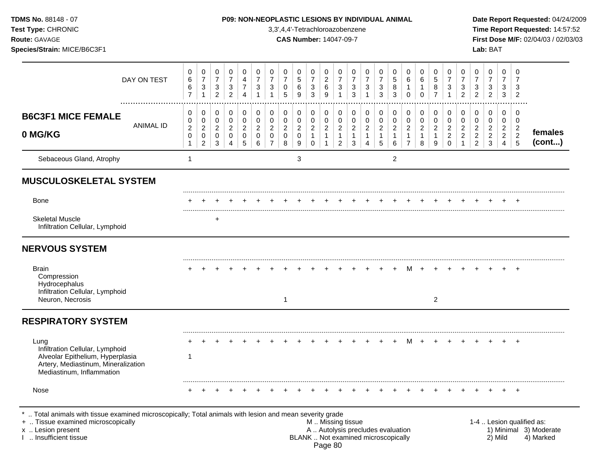| TDMS No. 88148 - 07<br>Test Type: CHRONIC<br>Route: GAVAGE<br>Species/Strain: MICE/B6C3F1                                                                                                     |                  |                                                              |                                                                    |                                                                      | P09: NON-NEOPLASTIC LESIONS BY INDIVIDUAL ANIMAL    |                                                         |                                                                    |                                                           |                                    |                                    | 3,3',4,4'-Tetrachloroazobenzene<br><b>CAS Number: 14047-09-7</b>          |                                                |                                                                    |                                        |                                                                          |                                                 |                                                         |                                                 |                                               |                                         |                                                                    |                                                                    |                                                              | Lab: BAT                                          |                                                 |                                                  | Date Report Requested: 04/24/2009<br>Time Report Requested: 14:57:52<br>First Dose M/F: 02/04/03 / 02/03/03 |
|-----------------------------------------------------------------------------------------------------------------------------------------------------------------------------------------------|------------------|--------------------------------------------------------------|--------------------------------------------------------------------|----------------------------------------------------------------------|-----------------------------------------------------|---------------------------------------------------------|--------------------------------------------------------------------|-----------------------------------------------------------|------------------------------------|------------------------------------|---------------------------------------------------------------------------|------------------------------------------------|--------------------------------------------------------------------|----------------------------------------|--------------------------------------------------------------------------|-------------------------------------------------|---------------------------------------------------------|-------------------------------------------------|-----------------------------------------------|-----------------------------------------|--------------------------------------------------------------------|--------------------------------------------------------------------|--------------------------------------------------------------|---------------------------------------------------|-------------------------------------------------|--------------------------------------------------|-------------------------------------------------------------------------------------------------------------|
|                                                                                                                                                                                               | DAY ON TEST      | 0<br>$\,6$<br>$\,6$<br>$\overline{7}$                        | 0<br>$\boldsymbol{7}$<br>$\ensuremath{\mathsf{3}}$<br>$\mathbf{1}$ | 0<br>$\boldsymbol{7}$<br>$\ensuremath{\mathsf{3}}$<br>$\overline{c}$ | 0<br>$\overline{7}$<br>$\sqrt{3}$<br>$\overline{2}$ | 0<br>$\overline{4}$<br>$\overline{7}$<br>$\overline{4}$ | 0<br>$\boldsymbol{7}$<br>$\ensuremath{\mathsf{3}}$<br>$\mathbf{1}$ | 0<br>$\boldsymbol{7}$<br>$\boldsymbol{3}$<br>$\mathbf{1}$ | 0<br>$\overline{7}$<br>0<br>5      | 0<br>5<br>6<br>9                   | 0<br>$\overline{7}$<br>$\ensuremath{\mathsf{3}}$<br>$\mathfrak{S}$        | 0<br>$\overline{\mathbf{c}}$<br>$\,6$<br>9     | 0<br>$\boldsymbol{7}$<br>$\ensuremath{\mathsf{3}}$<br>$\mathbf{1}$ | 0<br>$\overline{7}$<br>$\sqrt{3}$<br>3 | 0<br>$\overline{7}$<br>$\ensuremath{\mathsf{3}}$<br>$\mathbf{1}$         | 0<br>$\overline{7}$<br>3<br>3                   | 0<br>$\mathbf 5$<br>$\,8\,$<br>3                        | 0<br>6<br>1<br>$\Omega$                         | 0<br>6<br>$\mathbf{1}$<br>$\Omega$            | 0<br>$\mathbf 5$<br>8<br>$\overline{7}$ | 0<br>$\boldsymbol{7}$<br>$\ensuremath{\mathsf{3}}$<br>$\mathbf{1}$ | 0<br>$\overline{7}$<br>$\ensuremath{\mathsf{3}}$<br>$\overline{2}$ | 0<br>$\overline{7}$<br>3<br>$\overline{c}$                   | 0<br>$\overline{7}$<br>3<br>$\overline{c}$        | 0<br>7<br>3<br>3                                | 0<br>3<br>$\overline{2}$                         |                                                                                                             |
| <b>B6C3F1 MICE FEMALE</b><br>0 MG/KG                                                                                                                                                          | <b>ANIMAL ID</b> | 0<br>0<br>$\overline{c}$<br>$\boldsymbol{0}$<br>$\mathbf{1}$ | 0<br>0<br>$\sqrt{2}$<br>$\pmb{0}$<br>$\overline{2}$                | 0<br>0<br>$\overline{c}$<br>$\mathbf 0$<br>3                         | 0<br>0<br>$\overline{2}$<br>0<br>$\overline{4}$     | 0<br>0<br>$\sqrt{2}$<br>$\mathbf 0$<br>5                | $\pmb{0}$<br>$\pmb{0}$<br>$\boldsymbol{2}$<br>0<br>6               | 0<br>$\mathbf 0$<br>$\overline{c}$<br>0<br>$\overline{7}$ | 0<br>0<br>$\overline{c}$<br>0<br>8 | 0<br>0<br>$\overline{a}$<br>0<br>9 | $\pmb{0}$<br>$\pmb{0}$<br>$\boldsymbol{2}$<br>$\mathbf{1}$<br>$\mathbf 0$ | 0<br>$\mathbf 0$<br>$\sqrt{2}$<br>$\mathbf{1}$ | 0<br>$\pmb{0}$<br>$\boldsymbol{2}$<br>1<br>$\overline{2}$          | 0<br>0<br>$\overline{2}$<br>1<br>3     | 0<br>$\mathbf 0$<br>$\boldsymbol{2}$<br>$\mathbf{1}$<br>4                | 0<br>0<br>$\boldsymbol{2}$<br>$\mathbf{1}$<br>5 | 0<br>$\mathbf 0$<br>$\overline{c}$<br>$\mathbf{1}$<br>6 | 0<br>0<br>$\overline{2}$<br>1<br>$\overline{7}$ | 0<br>0<br>$\overline{c}$<br>$\mathbf{1}$<br>8 | 0<br>0<br>$\boldsymbol{2}$<br>9         | 0<br>$\mathbf 0$<br>$\overline{c}$<br>$\sqrt{2}$<br>$\mathbf 0$    | 0<br>$\mathbf 0$<br>$\overline{c}$<br>$\boldsymbol{2}$             | 0<br>0<br>$\overline{c}$<br>$\overline{c}$<br>$\overline{2}$ | 0<br>0<br>$\overline{2}$<br>$\boldsymbol{2}$<br>3 | 0<br>0<br>2<br>$\overline{2}$<br>$\overline{4}$ | 0<br>$\mathbf 0$<br>$\overline{2}$<br>$\sqrt{5}$ | females<br>(cont)                                                                                           |
| Sebaceous Gland, Atrophy                                                                                                                                                                      |                  | $\mathbf{1}$                                                 |                                                                    |                                                                      |                                                     |                                                         |                                                                    |                                                           |                                    | 3                                  |                                                                           |                                                |                                                                    |                                        |                                                                          |                                                 | $\overline{2}$                                          |                                                 |                                               |                                         |                                                                    |                                                                    |                                                              |                                                   |                                                 |                                                  |                                                                                                             |
| <b>MUSCULOSKELETAL SYSTEM</b>                                                                                                                                                                 |                  |                                                              |                                                                    |                                                                      |                                                     |                                                         |                                                                    |                                                           |                                    |                                    |                                                                           |                                                |                                                                    |                                        |                                                                          |                                                 |                                                         |                                                 |                                               |                                         |                                                                    |                                                                    |                                                              |                                                   |                                                 |                                                  |                                                                                                             |
| Bone                                                                                                                                                                                          |                  |                                                              |                                                                    |                                                                      |                                                     |                                                         |                                                                    |                                                           |                                    |                                    |                                                                           |                                                |                                                                    |                                        |                                                                          |                                                 |                                                         |                                                 |                                               |                                         |                                                                    |                                                                    |                                                              |                                                   |                                                 | $\pm$                                            |                                                                                                             |
| <b>Skeletal Muscle</b><br>Infiltration Cellular, Lymphoid                                                                                                                                     |                  |                                                              |                                                                    | $\ddot{}$                                                            |                                                     |                                                         |                                                                    |                                                           |                                    |                                    |                                                                           |                                                |                                                                    |                                        |                                                                          |                                                 |                                                         |                                                 |                                               |                                         |                                                                    |                                                                    |                                                              |                                                   |                                                 |                                                  |                                                                                                             |
| <b>NERVOUS SYSTEM</b>                                                                                                                                                                         |                  |                                                              |                                                                    |                                                                      |                                                     |                                                         |                                                                    |                                                           |                                    |                                    |                                                                           |                                                |                                                                    |                                        |                                                                          |                                                 |                                                         |                                                 |                                               |                                         |                                                                    |                                                                    |                                                              |                                                   |                                                 |                                                  |                                                                                                             |
| Brain<br>Compression<br>Hydrocephalus<br>Infiltration Cellular, Lymphoid<br>Neuron, Necrosis                                                                                                  |                  |                                                              |                                                                    |                                                                      |                                                     |                                                         |                                                                    |                                                           | $\mathbf 1$                        |                                    |                                                                           |                                                |                                                                    |                                        |                                                                          |                                                 |                                                         | M                                               |                                               | $\overline{2}$                          |                                                                    |                                                                    |                                                              |                                                   |                                                 |                                                  |                                                                                                             |
| <b>RESPIRATORY SYSTEM</b>                                                                                                                                                                     |                  |                                                              |                                                                    |                                                                      |                                                     |                                                         |                                                                    |                                                           |                                    |                                    |                                                                           |                                                |                                                                    |                                        |                                                                          |                                                 |                                                         |                                                 |                                               |                                         |                                                                    |                                                                    |                                                              |                                                   |                                                 |                                                  |                                                                                                             |
| Lung<br>Infiltration Cellular, Lymphoid<br>Alveolar Epithelium, Hyperplasia<br>Artery, Mediastinum, Mineralization<br>Mediastinum, Inflammation                                               |                  | -1                                                           |                                                                    |                                                                      |                                                     |                                                         |                                                                    |                                                           |                                    |                                    |                                                                           |                                                |                                                                    |                                        |                                                                          |                                                 |                                                         |                                                 |                                               |                                         |                                                                    |                                                                    |                                                              |                                                   |                                                 | $\overline{+}$                                   |                                                                                                             |
| Nose                                                                                                                                                                                          |                  |                                                              |                                                                    |                                                                      |                                                     |                                                         | $+$                                                                |                                                           | $+$                                | $+$                                | $+$ $+$                                                                   |                                                | $+$                                                                | $+$                                    | $+$                                                                      | $+$                                             | $+$                                                     | $+$                                             |                                               | $+$ $+$ $+$                             |                                                                    | $+$                                                                |                                                              |                                                   | $+$ $+$                                         |                                                  |                                                                                                             |
| *  Total animals with tissue examined microscopically; Total animals with lesion and mean severity grade<br>+  Tissue examined microscopically<br>x  Lesion present<br>I  Insufficient tissue |                  |                                                              |                                                                    |                                                                      |                                                     |                                                         |                                                                    |                                                           |                                    |                                    |                                                                           | M  Missing tissue                              |                                                                    |                                        | A  Autolysis precludes evaluation<br>BLANK  Not examined microscopically |                                                 |                                                         |                                                 |                                               |                                         |                                                                    |                                                                    |                                                              |                                                   | 2) Mild                                         |                                                  | 1-4  Lesion qualified as:<br>1) Minimal 3) Moderate<br>4) Marked                                            |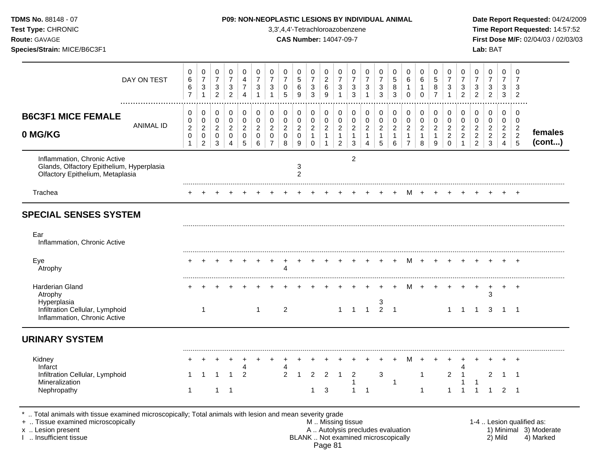|                                    |                                                             |                                                         |                                                     |                                              |                                                      |                                                                        |                                            |                                          |                                                                     |                                                                    |                                                                              |                                               |                                           |                                                   |                                               |                                                 |                                                  |                                               |                                                                   |                                                            |                                                                |                                                             |                                                                        |                                                              | Date Report Requested: 04/24/2009                                      |
|------------------------------------|-------------------------------------------------------------|---------------------------------------------------------|-----------------------------------------------------|----------------------------------------------|------------------------------------------------------|------------------------------------------------------------------------|--------------------------------------------|------------------------------------------|---------------------------------------------------------------------|--------------------------------------------------------------------|------------------------------------------------------------------------------|-----------------------------------------------|-------------------------------------------|---------------------------------------------------|-----------------------------------------------|-------------------------------------------------|--------------------------------------------------|-----------------------------------------------|-------------------------------------------------------------------|------------------------------------------------------------|----------------------------------------------------------------|-------------------------------------------------------------|------------------------------------------------------------------------|--------------------------------------------------------------|------------------------------------------------------------------------|
| 0<br>6<br>6<br>$\overline{7}$      | 0<br>$\overline{7}$<br>$\mathbf{3}$                         | 0<br>$\overline{7}$<br>$\mathbf{3}$<br>$\boldsymbol{2}$ | 0<br>$\overline{7}$<br>$\sqrt{3}$<br>$\overline{2}$ | 0<br>4<br>$\overline{7}$<br>$\overline{4}$   | 0<br>$\overline{7}$<br>3                             | 0<br>$\boldsymbol{7}$<br>3<br>$\mathbf{1}$                             | 0<br>$\overline{7}$<br>0<br>5              | 0<br>$\sqrt{5}$<br>6<br>$\boldsymbol{9}$ | 0<br>$\boldsymbol{7}$<br>$\sqrt{3}$<br>$\sqrt{3}$                   | 0<br>$\sqrt{2}$<br>$\,6$<br>9                                      | 0<br>$\overline{7}$<br>$\sqrt{3}$<br>$\overline{1}$                          | 0<br>$\overline{7}$<br>3<br>3                 | 0<br>$\overline{7}$<br>3<br>$\mathbf{1}$  | 0<br>$\boldsymbol{7}$<br>$\sqrt{3}$<br>3          | 0<br>$\sqrt{5}$<br>8<br>3                     | 0<br>6<br>1<br>0                                | 0<br>6<br>1<br>$\mathbf 0$                       | 0<br>$\mathbf 5$<br>8<br>$\overline{7}$       | 0<br>$\boldsymbol{7}$<br>$\mathbf{3}$<br>$\mathbf{1}$             | 0<br>$\overline{7}$<br>3<br>$\overline{2}$                 | 0<br>$\overline{7}$<br>3<br>$\overline{c}$                     | 0<br>$\overline{7}$<br>$\sqrt{3}$<br>$\overline{c}$         | 0<br>$\overline{7}$<br>3<br>3                                          | 0<br>7<br>3<br>$\overline{2}$                                |                                                                        |
| 0<br>0<br>$\overline{c}$<br>0<br>1 | 0<br>0<br>$\overline{c}$<br>$\mathbf 0$<br>$\boldsymbol{2}$ | 0<br>0<br>$\overline{a}$<br>$\mathbf 0$<br>3            | 0<br>0<br>$\overline{2}$<br>0<br>4                  | 0<br>0<br>$\overline{c}$<br>$\mathbf 0$<br>5 | 0<br>$\pmb{0}$<br>$\overline{c}$<br>$\mathsf 0$<br>6 | 0<br>$\pmb{0}$<br>$\overline{c}$<br>$\boldsymbol{0}$<br>$\overline{7}$ | 0<br>0<br>$\overline{c}$<br>$\pmb{0}$<br>8 | 0<br>0<br>$\overline{a}$<br>0<br>9       | $\pmb{0}$<br>$\pmb{0}$<br>$\sqrt{2}$<br>$\mathbf{1}$<br>$\mathbf 0$ | 0<br>$\pmb{0}$<br>$\overline{c}$<br>$\mathbf{1}$<br>$\overline{1}$ | $\mathbf 0$<br>$\pmb{0}$<br>$\overline{2}$<br>$\mathbf{1}$<br>$\overline{2}$ | 0<br>0<br>$\overline{2}$<br>$\mathbf{1}$<br>3 | 0<br>0<br>$\sqrt{2}$<br>$\mathbf{1}$<br>4 | 0<br>$\pmb{0}$<br>$\sqrt{2}$<br>$\mathbf{1}$<br>5 | 0<br>0<br>$\overline{c}$<br>$\mathbf{1}$<br>6 | 0<br>0<br>$\overline{2}$<br>1<br>$\overline{7}$ | 0<br>0<br>$\overline{c}$<br>$\mathbf{1}$<br>8    | 0<br>0<br>$\overline{2}$<br>$\mathbf{1}$<br>9 | 0<br>$\pmb{0}$<br>$\overline{2}$<br>$\overline{c}$<br>$\mathbf 0$ | 0<br>0<br>$\overline{c}$<br>$\overline{c}$<br>$\mathbf{1}$ | 0<br>0<br>$\overline{a}$<br>$\boldsymbol{2}$<br>$\overline{2}$ | 0<br>$\mathbf 0$<br>$\overline{2}$<br>$\boldsymbol{2}$<br>3 | 0<br>$\mathbf 0$<br>$\overline{2}$<br>$\overline{c}$<br>$\overline{4}$ | 0<br>0<br>$\overline{c}$<br>$\overline{2}$<br>$\overline{5}$ | females<br>(cont)                                                      |
|                                    |                                                             |                                                         |                                                     |                                              |                                                      |                                                                        |                                            | 3<br>$\overline{2}$                      |                                                                     |                                                                    |                                                                              | 2                                             |                                           |                                                   |                                               |                                                 |                                                  |                                               |                                                                   |                                                            |                                                                |                                                             |                                                                        |                                                              |                                                                        |
|                                    |                                                             |                                                         |                                                     |                                              |                                                      |                                                                        |                                            |                                          |                                                                     |                                                                    |                                                                              |                                               |                                           |                                                   |                                               | M                                               |                                                  |                                               |                                                                   |                                                            |                                                                |                                                             |                                                                        |                                                              |                                                                        |
|                                    | 1                                                           |                                                         |                                                     |                                              | -1                                                   | $\ddot{}$                                                              | 4<br>$\overline{c}$                        |                                          |                                                                     |                                                                    |                                                                              |                                               |                                           | $+$                                               | $+$                                           |                                                 |                                                  |                                               | $\mathbf{1}$                                                      | $+$<br>$^{+}$<br>$\mathbf{1}$                              | $\ddot{}$<br>-1                                                | $\ddot{}$<br>3<br>3                                         | $\overline{1}$                                                         | $+$<br>$^{+}$<br>$\overline{\phantom{0}}$ 1                  |                                                                        |
|                                    |                                                             |                                                         |                                                     |                                              |                                                      |                                                                        |                                            |                                          |                                                                     |                                                                    |                                                                              |                                               |                                           |                                                   |                                               |                                                 |                                                  |                                               |                                                                   |                                                            |                                                                |                                                             |                                                                        |                                                              |                                                                        |
|                                    |                                                             |                                                         | 1                                                   | 2                                            |                                                      | +                                                                      | $\overline{c}$                             |                                          | 2                                                                   | $\overline{2}$                                                     |                                                                              | 2                                             |                                           | 3                                                 |                                               | м                                               | 1                                                | $\ddot{}$                                     | $\ddot{}$<br>$\overline{a}$                                       | $\mathbf 1$                                                |                                                                | 2                                                           |                                                                        | $\overline{+}$                                               |                                                                        |
|                                    |                                                             |                                                         |                                                     |                                              |                                                      |                                                                        |                                            |                                          |                                                                     |                                                                    |                                                                              |                                               | <b>CAS Number: 14047-09-7</b>             | 3,3',4,4'-Tetrachloroazobenzene                   | $1 \quad 1 \quad 1$                           | $\begin{array}{cc} 3 \\ 2 \end{array}$          | P09: NON-NEOPLASTIC LESIONS BY INDIVIDUAL ANIMAL | M +                                           | M + +                                                             | $+$                                                        |                                                                |                                                             |                                                                        | Lab: BAT                                                     | Time Report Requested: 14:57:52<br>First Dose M/F: 02/04/03 / 02/03/03 |

I .. Insufficient tissue BLANK .. Not examined microscopically 2) Mild 4) Marked Page 81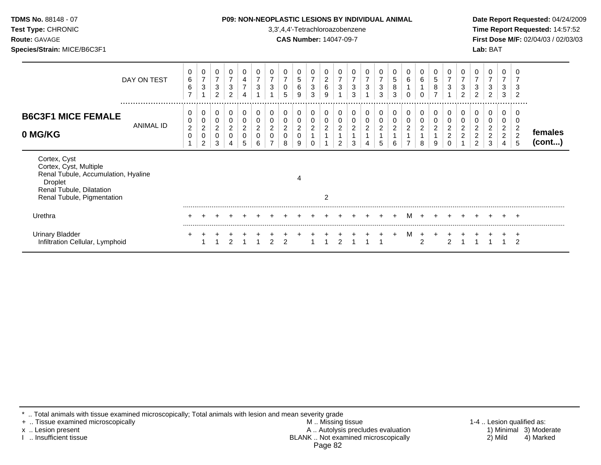| TDMS No. 88148 - 07<br>Test Type: CHRONIC<br>Route: GAVAGE<br>Species/Strain: MICE/B6C3F1                                                          |             |                                     |                                                 |                                                                      |                                                     |                                                        |                                                         |                                      |                                    |                                             | 3,3',4,4'-Tetrachloroazobenzene<br><b>CAS Number: 14047-09-7</b> |                                                 |                                                  |                               | <b>P09: NON-NEOPLASTIC LESIONS BY INDIVIDUAL ANIMAL</b> |                               |                                        |                          |                                        |                                              |                                                                  |                                                                    |                                                                | Lab: BAT                              |                                                              |                                   | Date Report Requested: 04/24/2009<br>Time Report Requested: 14:57:52<br>First Dose M/F: 02/04/03 / 02/03/03 |
|----------------------------------------------------------------------------------------------------------------------------------------------------|-------------|-------------------------------------|-------------------------------------------------|----------------------------------------------------------------------|-----------------------------------------------------|--------------------------------------------------------|---------------------------------------------------------|--------------------------------------|------------------------------------|---------------------------------------------|------------------------------------------------------------------|-------------------------------------------------|--------------------------------------------------|-------------------------------|---------------------------------------------------------|-------------------------------|----------------------------------------|--------------------------|----------------------------------------|----------------------------------------------|------------------------------------------------------------------|--------------------------------------------------------------------|----------------------------------------------------------------|---------------------------------------|--------------------------------------------------------------|-----------------------------------|-------------------------------------------------------------------------------------------------------------|
|                                                                                                                                                    | DAY ON TEST | 0<br>6<br>$\,6\,$<br>$\overline{ }$ | 0<br>$\overline{7}$<br>$\mathbf{3}$             | 0<br>$\boldsymbol{7}$<br>$\ensuremath{\mathsf{3}}$<br>$\overline{2}$ | 0<br>$\overline{7}$<br>$\sqrt{3}$<br>$\overline{2}$ | $\frac{4}{7}$<br>4                                     | 0<br>$\boldsymbol{7}$<br>$\ensuremath{\mathsf{3}}$<br>1 | 0<br>$\boldsymbol{7}$<br>3           | $\overline{7}$<br>0<br>5           | 5<br>6<br>9                                 | 0<br>$\boldsymbol{7}$<br>$\ensuremath{\mathsf{3}}$<br>3          | 0<br>$\begin{array}{c} 2 \\ 6 \end{array}$<br>9 | 0<br>$\overline{7}$<br>$\ensuremath{\mathsf{3}}$ | $\overline{7}$<br>3<br>3      | $\overline{7}$<br>$\mathbf{3}$                          | 0<br>$\overline{7}$<br>3<br>3 | 0<br>$\sqrt{5}$<br>$\bf 8$<br>3        | 0<br>6<br>$\Omega$       | 6<br>0                                 | 0<br>$\sqrt{5}$<br>$\bf 8$<br>$\overline{ }$ | 0<br>$\overline{7}$<br>$\mathbf{3}$                              | 0<br>$\overline{7}$<br>$\ensuremath{\mathsf{3}}$<br>$\overline{2}$ | $\overline{7}$<br>3<br>$\overline{2}$                          | $\overline{7}$<br>3<br>$\overline{2}$ | 0<br>$\overline{7}$<br>3<br>3                                | $\overline{2}$                    |                                                                                                             |
| <b>B6C3F1 MICE FEMALE</b><br>0 MG/KG                                                                                                               | ANIMAL ID   | 0<br>0<br>$\overline{c}$<br>0       | 0<br>0<br>$\overline{c}$<br>0<br>$\overline{2}$ | 0<br>0<br>$\overline{c}$<br>$\mathbf 0$<br>3                         | 0<br>0<br>$\overline{2}$<br>0                       | 0<br>$\pmb{0}$<br>$\boldsymbol{2}$<br>$\mathbf 0$<br>5 | 0<br>0<br>$\overline{c}$<br>0<br>6                      | 0<br>0<br>$\overline{2}$<br>$\Omega$ | 0<br>0<br>$\overline{c}$<br>0<br>8 | 0<br>0<br>$\overline{\mathbf{c}}$<br>0<br>9 | $\pmb{0}$<br>$\pmb{0}$<br>$\overline{c}$<br>$\Omega$             | 0<br>$\mathbf 0$<br>$\overline{2}$              | 0<br>$\pmb{0}$<br>$\boldsymbol{2}$<br>2          | 0<br>0<br>$\overline{2}$<br>3 | 0<br>$\pmb{0}$<br>$\overline{c}$                        | 0<br>0<br>$\overline{a}$<br>5 | 0<br>0<br>$\overline{\mathbf{c}}$<br>6 | 0<br>0<br>$\overline{c}$ | 0<br>0<br>$\overline{\mathbf{c}}$<br>8 | 0<br>0<br>$\overline{c}$<br>9                | 0<br>$\mathbf 0$<br>$\overline{2}$<br>$\overline{c}$<br>$\Omega$ | 0<br>$\mathbf 0$<br>$\overline{2}$<br>$\overline{2}$               | 0<br>0<br>$\overline{c}$<br>$\boldsymbol{2}$<br>$\overline{2}$ | 0<br>0<br>$\overline{c}$<br>3         | 0<br>0<br>$\overline{a}$<br>$\overline{2}$<br>$\overline{4}$ | $\overline{2}$<br>$\sqrt{2}$<br>5 | females<br>$($ cont $)$                                                                                     |
| Cortex, Cyst<br>Cortex, Cyst, Multiple<br>Renal Tubule, Accumulation, Hyaline<br>Droplet<br>Renal Tubule, Dilatation<br>Renal Tubule, Pigmentation |             |                                     |                                                 |                                                                      |                                                     |                                                        |                                                         |                                      |                                    | 4                                           |                                                                  | $\overline{2}$                                  |                                                  |                               |                                                         |                               |                                        |                          |                                        |                                              |                                                                  |                                                                    |                                                                |                                       |                                                              |                                   |                                                                                                             |
| Urethra                                                                                                                                            |             |                                     |                                                 |                                                                      |                                                     |                                                        |                                                         |                                      |                                    |                                             |                                                                  |                                                 |                                                  |                               |                                                         |                               |                                        | м                        |                                        |                                              |                                                                  |                                                                    |                                                                |                                       |                                                              | $\pm$                             |                                                                                                             |
| <b>Urinary Bladder</b><br>Infiltration Cellular, Lymphoid                                                                                          |             | $\ddot{}$                           | $\ddot{}$                                       |                                                                      | $\overline{2}$                                      |                                                        |                                                         | $\frac{+}{2}$                        |                                    |                                             |                                                                  |                                                 |                                                  |                               | $+$ + + + + + + +<br>2 1 1 2 1 1 1                      |                               | $+$                                    | M                        | $\ddot{}$<br>$\overline{2}$            | $\ddot{}$                                    | $\overline{2}$                                                   |                                                                    |                                                                |                                       |                                                              | $\mathcal{P}$                     |                                                                                                             |

\* .. Total animals with tissue examined microscopically; Total animals with lesion and mean severity grade

+ .. Tissue examined microscopically M .. Missing tissue 1-4 .. Lesion qualified as: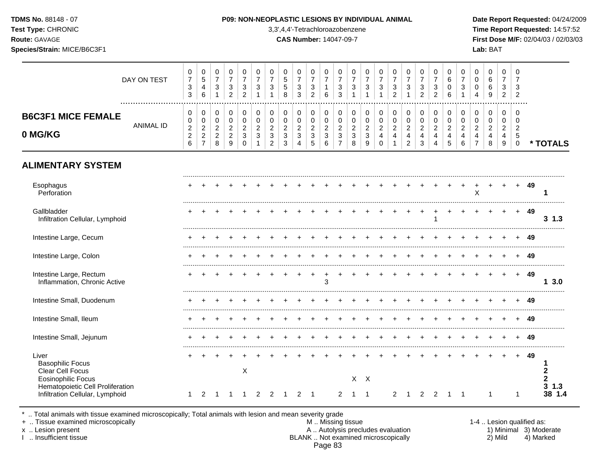**Test Type:** CHRONIC 3,3',4,4'-Tetrachloroazobenzene **Time Report Requested:** 14:57:52 **Route:** GAVAGE **CAS Number:** 14047-09-7 **First Dose M/F:** 02/04/03 / 02/03/03 **Species/Strain:** MICE/B6C3F1 **Lab:** BAT

|                                                                                                                       | DAY ON TEST<br>  | 0<br>$\overline{7}$<br>$\ensuremath{\mathsf{3}}$<br>$\mathbf{3}$ | 0<br>$\,$ 5 $\,$<br>$\overline{4}$<br>6                              | 0<br>$\boldsymbol{7}$<br>$\ensuremath{\mathsf{3}}$        | 0<br>$\overline{7}$<br>3<br>$\overline{c}$                | 0<br>$\overline{7}$<br>3<br>$\overline{c}$        | 0<br>$\overline{7}$<br>3                   | $\pmb{0}$<br>$\overline{7}$<br>3                                                      | 0<br>$\,$ 5 $\,$<br>$\sqrt{5}$<br>8                          | 0<br>$\boldsymbol{7}$<br>$\sqrt{3}$<br>3            | 0<br>$\overline{\mathcal{I}}$<br>$\ensuremath{\mathsf{3}}$<br>$\overline{c}$ | 0<br>$\boldsymbol{7}$<br>1<br>6                               | 0<br>$\boldsymbol{7}$<br>$\ensuremath{\mathsf{3}}$<br>3                         | 0<br>$\overline{7}$<br>$\ensuremath{\mathsf{3}}$    | $\pmb{0}$<br>$\overline{7}$<br>$\ensuremath{\mathsf{3}}$<br>1 | $\pmb{0}$<br>$\overline{7}$<br>$\ensuremath{\mathsf{3}}$<br>$\mathbf{1}$ | 0<br>$\overline{7}$<br>$\ensuremath{\mathsf{3}}$<br>$\overline{a}$   | 0<br>$\overline{7}$<br>$\ensuremath{\mathsf{3}}$<br>1                  | 0<br>$\overline{7}$<br>3<br>$\overline{2}$                  | 0<br>$\boldsymbol{7}$<br>$\sqrt{3}$<br>$\overline{2}$ | 0<br>$\,6$<br>$\mathbf 0$<br>6                        | $\pmb{0}$<br>$\overline{7}$<br>$\ensuremath{\mathsf{3}}$ | 0<br>0<br>$\mathbf 0$<br>$\overline{4}$                      | 0<br>$\,6\,$<br>6<br>9                                    | 0<br>$\overline{7}$<br>$\mathbf{3}$<br>$\overline{2}$      | 0<br>7<br>3<br>$\overline{2}$                              |    |                                         |
|-----------------------------------------------------------------------------------------------------------------------|------------------|------------------------------------------------------------------|----------------------------------------------------------------------|-----------------------------------------------------------|-----------------------------------------------------------|---------------------------------------------------|--------------------------------------------|---------------------------------------------------------------------------------------|--------------------------------------------------------------|-----------------------------------------------------|------------------------------------------------------------------------------|---------------------------------------------------------------|---------------------------------------------------------------------------------|-----------------------------------------------------|---------------------------------------------------------------|--------------------------------------------------------------------------|----------------------------------------------------------------------|------------------------------------------------------------------------|-------------------------------------------------------------|-------------------------------------------------------|-------------------------------------------------------|----------------------------------------------------------|--------------------------------------------------------------|-----------------------------------------------------------|------------------------------------------------------------|------------------------------------------------------------|----|-----------------------------------------|
| <b>B6C3F1 MICE FEMALE</b><br>0 MG/KG                                                                                  | <b>ANIMAL ID</b> | 0<br>0<br>$\sqrt{2}$<br>$\begin{array}{c} 2 \\ 6 \end{array}$    | 0<br>$\mathbf 0$<br>$\boldsymbol{2}$<br>$\sqrt{2}$<br>$\overline{7}$ | 0<br>$\mathbf 0$<br>$\overline{c}$<br>$\overline{c}$<br>8 | 0<br>$\mathbf 0$<br>$\overline{2}$<br>$\overline{2}$<br>9 | 0<br>$\pmb{0}$<br>$\overline{c}$<br>3<br>$\Omega$ | 0<br>$\pmb{0}$<br>$\sqrt{2}$<br>$\sqrt{3}$ | 0<br>$\mathsf{O}\xspace$<br>$\sqrt{2}$<br>$\ensuremath{\mathsf{3}}$<br>$\overline{2}$ | 0<br>$\mathbf 0$<br>$\sqrt{2}$<br>$\sqrt{3}$<br>$\mathbf{3}$ | 0<br>$\pmb{0}$<br>$\overline{c}$<br>$\sqrt{3}$<br>4 | 0<br>$\pmb{0}$<br>$\sqrt{2}$<br>3<br>$\sqrt{5}$                              | 0<br>$\mathbf 0$<br>$\overline{c}$<br>$\mathbf{3}$<br>$\,6\,$ | 0<br>$\pmb{0}$<br>$\overline{c}$<br>$\ensuremath{\mathsf{3}}$<br>$\overline{7}$ | 0<br>$\pmb{0}$<br>$\overline{c}$<br>$\sqrt{3}$<br>8 | $\pmb{0}$<br>$\pmb{0}$<br>$\overline{c}$<br>$\mathbf{3}$<br>9 | 0<br>$\mathbf 0$<br>$\sqrt{2}$<br>$\overline{4}$<br>$\Omega$             | 0<br>$\mathbf 0$<br>$\overline{c}$<br>$\overline{4}$<br>$\mathbf{1}$ | 0<br>$\pmb{0}$<br>$\boldsymbol{2}$<br>$\overline{4}$<br>$\overline{2}$ | 0<br>$\mathbf 0$<br>$\boldsymbol{2}$<br>$\overline{4}$<br>3 | 0<br>$\pmb{0}$<br>$\boldsymbol{2}$<br>4<br>4          | 0<br>$\mathbf 0$<br>$\sqrt{2}$<br>$\overline{4}$<br>5 | 0<br>$\pmb{0}$<br>$\overline{c}$<br>$\overline{4}$<br>6  | 0<br>0<br>$\overline{c}$<br>$\overline{4}$<br>$\overline{7}$ | 0<br>$\mathbf 0$<br>$\overline{c}$<br>$\overline{4}$<br>8 | $\mathbf 0$<br>$\mathbf 0$<br>$\overline{c}$<br>4<br>$9\,$ | $\Omega$<br>$\Omega$<br>$\overline{2}$<br>5<br>$\mathbf 0$ |    | * TOTALS                                |
| <b>ALIMENTARY SYSTEM</b>                                                                                              |                  |                                                                  |                                                                      |                                                           |                                                           |                                                   |                                            |                                                                                       |                                                              |                                                     |                                                                              |                                                               |                                                                                 |                                                     |                                                               |                                                                          |                                                                      |                                                                        |                                                             |                                                       |                                                       |                                                          |                                                              |                                                           |                                                            |                                                            |    |                                         |
| Esophagus<br>Perforation                                                                                              |                  |                                                                  |                                                                      |                                                           |                                                           |                                                   |                                            |                                                                                       |                                                              |                                                     |                                                                              |                                                               |                                                                                 |                                                     |                                                               |                                                                          |                                                                      |                                                                        |                                                             |                                                       |                                                       |                                                          | X                                                            |                                                           |                                                            | $\ddot{}$                                                  | 49 | 1                                       |
| Gallbladder<br>Infiltration Cellular, Lymphoid                                                                        |                  |                                                                  |                                                                      |                                                           |                                                           |                                                   |                                            |                                                                                       |                                                              |                                                     |                                                                              |                                                               |                                                                                 |                                                     |                                                               |                                                                          |                                                                      |                                                                        |                                                             |                                                       |                                                       |                                                          |                                                              |                                                           |                                                            | $+$                                                        | 49 | $3 \t1.3$                               |
| Intestine Large, Cecum                                                                                                |                  |                                                                  |                                                                      |                                                           |                                                           |                                                   |                                            |                                                                                       |                                                              |                                                     |                                                                              |                                                               |                                                                                 |                                                     |                                                               |                                                                          |                                                                      |                                                                        |                                                             |                                                       |                                                       |                                                          |                                                              |                                                           |                                                            |                                                            | 49 |                                         |
| Intestine Large, Colon                                                                                                |                  |                                                                  |                                                                      |                                                           |                                                           |                                                   |                                            |                                                                                       |                                                              |                                                     |                                                                              |                                                               |                                                                                 |                                                     |                                                               |                                                                          |                                                                      |                                                                        |                                                             |                                                       |                                                       |                                                          |                                                              |                                                           |                                                            | ÷                                                          | 49 |                                         |
| Intestine Large, Rectum<br>Inflammation, Chronic Active                                                               |                  |                                                                  |                                                                      |                                                           |                                                           |                                                   |                                            |                                                                                       |                                                              |                                                     |                                                                              | 3                                                             |                                                                                 |                                                     |                                                               |                                                                          |                                                                      |                                                                        |                                                             |                                                       |                                                       |                                                          |                                                              |                                                           |                                                            | $+$                                                        | 49 | 13.0                                    |
| Intestine Small, Duodenum                                                                                             |                  |                                                                  |                                                                      |                                                           |                                                           |                                                   |                                            |                                                                                       |                                                              |                                                     |                                                                              |                                                               |                                                                                 |                                                     |                                                               |                                                                          |                                                                      |                                                                        |                                                             |                                                       |                                                       |                                                          |                                                              |                                                           |                                                            |                                                            | 49 |                                         |
| Intestine Small, Ileum                                                                                                |                  |                                                                  |                                                                      |                                                           |                                                           |                                                   |                                            |                                                                                       |                                                              |                                                     |                                                                              |                                                               |                                                                                 |                                                     |                                                               |                                                                          |                                                                      |                                                                        |                                                             |                                                       |                                                       |                                                          |                                                              |                                                           |                                                            |                                                            | 49 |                                         |
| Intestine Small, Jejunum                                                                                              |                  |                                                                  |                                                                      |                                                           |                                                           |                                                   |                                            |                                                                                       |                                                              |                                                     |                                                                              |                                                               |                                                                                 |                                                     |                                                               |                                                                          |                                                                      |                                                                        |                                                             |                                                       |                                                       |                                                          |                                                              |                                                           |                                                            |                                                            | 49 |                                         |
| Liver<br><b>Basophilic Focus</b><br>Clear Cell Focus<br><b>Eosinophilic Focus</b><br>Hematopoietic Cell Proliferation |                  |                                                                  |                                                                      |                                                           |                                                           | X                                                 |                                            |                                                                                       | -1                                                           |                                                     |                                                                              |                                                               |                                                                                 | $X$ $X$                                             | $\overline{1}$                                                |                                                                          |                                                                      |                                                                        |                                                             |                                                       |                                                       |                                                          |                                                              |                                                           |                                                            |                                                            | 49 | $\mathbf{2}$<br>2<br>3<br>1.3<br>38 1.4 |
| Infiltration Cellular, Lymphoid                                                                                       |                  | -1                                                               | 2                                                                    |                                                           |                                                           |                                                   | 2                                          | $\overline{2}$                                                                        |                                                              | 2                                                   | -1                                                                           |                                                               | $\overline{2}$                                                                  | $\mathbf{1}$                                        |                                                               |                                                                          | $\overline{2}$                                                       |                                                                        | 2                                                           | 2                                                     |                                                       |                                                          |                                                              |                                                           |                                                            | $\mathbf 1$                                                |    |                                         |

\* .. Total animals with tissue examined microscopically; Total animals with lesion and mean severity grade

+ .. Tissue examined microscopically M .. Missing tissue 1-4 .. Lesion qualified as: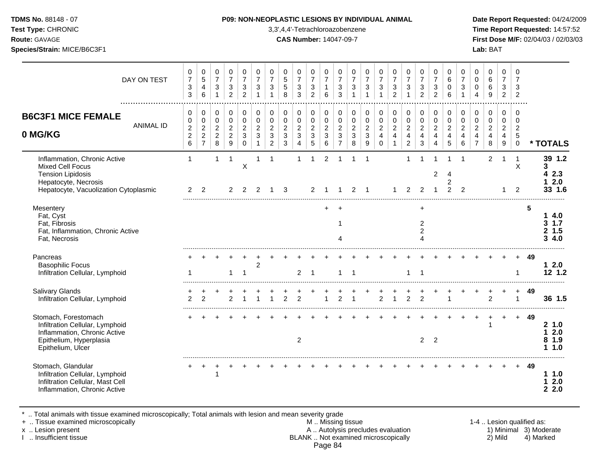## **TDMS No.** 88148 - 07 **P09: NON-NEOPLASTIC LESIONS BY INDIVIDUAL ANIMAL Date Report Requested:** 04/24/2009

**Test Type:** CHRONIC 3,3',4,4'-Tetrachloroazobenzene **Time Report Requested:** 14:57:52 **Route:** GAVAGE **CAS Number:** 14047-09-7 **First Dose M/F:** 02/04/03 / 02/03/03

| DAY ON TEST                                                                                                                                          | 0<br>$\boldsymbol{7}$<br>$\sqrt{3}$<br>3                       | 0<br>$\sqrt{5}$<br>$\overline{4}$<br>6                                           | 0<br>$\overline{7}$<br>$\sqrt{3}$<br>$\mathbf{1}$     | 0<br>$\overline{7}$<br>$\sqrt{3}$<br>$\overline{2}$       | 0<br>$\overline{7}$<br>$\ensuremath{\mathsf{3}}$<br>$\overline{2}$ | $\pmb{0}$<br>$\overline{7}$<br>$\sqrt{3}$<br>$\overline{1}$   | 0<br>$\overline{7}$<br>$\,$ 3 $\,$<br>$\overline{1}$      | 0<br>$\sqrt{5}$<br>$\sqrt{5}$<br>8                              | 0<br>$\overline{7}$<br>$\sqrt{3}$<br>3                            | 0<br>$\overline{7}$<br>$\sqrt{3}$<br>2                              | 0<br>$\overline{7}$<br>$\mathbf{1}$<br>6     | 0<br>$\overline{7}$<br>$\ensuremath{\mathsf{3}}$<br>3              | 0<br>$\overline{7}$<br>$\mathbf{3}$<br>$\overline{1}$ | 0<br>$\overline{7}$<br>$\sqrt{3}$<br>$\overline{1}$ | 0<br>$\overline{7}$<br>$\mathbf{3}$<br>$\overline{1}$                       | 0<br>$\overline{7}$<br>$\mathbf{3}$<br>$\overline{2}$                | 0<br>$\overline{7}$<br>$\sqrt{3}$<br>$\overline{1}$                        | 0<br>$\overline{7}$<br>$\sqrt{3}$<br>$\overline{2}$     | 0<br>$\overline{7}$<br>$\sqrt{3}$<br>2                    | 0<br>$\,6\,$<br>$\mathbf 0$<br>6                          | 0<br>$\overline{7}$<br>$\ensuremath{\mathsf{3}}$                               | 0<br>$\mathbf 0$<br>0<br>4                                           | $\pmb{0}$<br>$\,6\,$<br>6<br>9                                  | $\mathbf 0$<br>$\overline{7}$<br>$\sqrt{3}$<br>$\overline{2}$                  | 0<br>$\overline{7}$<br>3<br>$\overline{2}$                        |    |                                            |
|------------------------------------------------------------------------------------------------------------------------------------------------------|----------------------------------------------------------------|----------------------------------------------------------------------------------|-------------------------------------------------------|-----------------------------------------------------------|--------------------------------------------------------------------|---------------------------------------------------------------|-----------------------------------------------------------|-----------------------------------------------------------------|-------------------------------------------------------------------|---------------------------------------------------------------------|----------------------------------------------|--------------------------------------------------------------------|-------------------------------------------------------|-----------------------------------------------------|-----------------------------------------------------------------------------|----------------------------------------------------------------------|----------------------------------------------------------------------------|---------------------------------------------------------|-----------------------------------------------------------|-----------------------------------------------------------|--------------------------------------------------------------------------------|----------------------------------------------------------------------|-----------------------------------------------------------------|--------------------------------------------------------------------------------|-------------------------------------------------------------------|----|--------------------------------------------|
| <b>B6C3F1 MICE FEMALE</b><br><b>ANIMAL ID</b><br>0 MG/KG                                                                                             | 0<br>0<br>$\overline{c}$<br>$\boldsymbol{2}$<br>$6\phantom{a}$ | $\mathbf 0$<br>$\pmb{0}$<br>$\overline{2}$<br>$\boldsymbol{2}$<br>$\overline{7}$ | 0<br>$\mathbf 0$<br>$\sqrt{2}$<br>$\overline{c}$<br>8 | 0<br>$\mathbf 0$<br>$\overline{c}$<br>$\overline{2}$<br>9 | 0<br>$\mathbf 0$<br>$\boldsymbol{2}$<br>3<br>$\mathbf 0$           | $\pmb{0}$<br>$\pmb{0}$<br>$\overline{2}$<br>3<br>$\mathbf{1}$ | 0<br>$\mathsf 0$<br>$\overline{c}$<br>3<br>$\overline{c}$ | 0<br>$\pmb{0}$<br>$\overline{c}$<br>$\mathbf 3$<br>$\mathbf{3}$ | $\mathbf 0$<br>$\pmb{0}$<br>$\overline{c}$<br>3<br>$\overline{4}$ | $\mathbf 0$<br>$\mathbf 0$<br>$\boldsymbol{2}$<br>$\mathbf{3}$<br>5 | 0<br>$\mathbf 0$<br>$\overline{c}$<br>3<br>6 | 0<br>$\pmb{0}$<br>$\overline{c}$<br>$\mathbf{3}$<br>$\overline{7}$ | 0<br>$\mathbf 0$<br>$\overline{c}$<br>3<br>8          | 0<br>$\pmb{0}$<br>$\boldsymbol{2}$<br>3<br>9        | 0<br>$\mathsf{O}\xspace$<br>$\overline{2}$<br>$\overline{4}$<br>$\mathbf 0$ | 0<br>$\mathsf 0$<br>$\overline{2}$<br>$\overline{4}$<br>$\mathbf{1}$ | $\mathbf 0$<br>$\pmb{0}$<br>$\sqrt{2}$<br>$\overline{4}$<br>$\overline{c}$ | 0<br>$\pmb{0}$<br>$\overline{c}$<br>$\overline{4}$<br>3 | 0<br>$\mathbf 0$<br>$\overline{c}$<br>$\overline{4}$<br>4 | 0<br>$\mathbf 0$<br>$\overline{c}$<br>$\overline{4}$<br>5 | $\mathbf 0$<br>$\pmb{0}$<br>$\overline{c}$<br>$\overline{4}$<br>$6\phantom{a}$ | 0<br>$\pmb{0}$<br>$\overline{c}$<br>$\overline{4}$<br>$\overline{7}$ | $\pmb{0}$<br>$\pmb{0}$<br>$\overline{a}$<br>$\overline{4}$<br>8 | $\mathbf 0$<br>$\mathbf 0$<br>$\sqrt{2}$<br>$\overline{4}$<br>$\boldsymbol{9}$ | 0<br>$\mathbf 0$<br>$\overline{2}$<br>$\overline{5}$<br>$\pmb{0}$ |    | * TOTALS                                   |
| Inflammation, Chronic Active<br><b>Mixed Cell Focus</b><br><b>Tension Lipidosis</b><br>Hepatocyte, Necrosis<br>Hepatocyte, Vacuolization Cytoplasmic | $\mathbf{1}$<br>$\overline{2}$                                 | 2                                                                                | $\mathbf{1}$                                          | 1<br>$\overline{2}$                                       | $\mathsf X$<br>$\overline{2}$                                      | 1<br>$\overline{2}$                                           | -1                                                        | 3                                                               |                                                                   | -1<br>$\overline{2}$                                                | $\overline{2}$                               |                                                                    | 2                                                     | -1                                                  |                                                                             |                                                                      | 1<br>2                                                                     | 2                                                       | $\overline{2}$                                            | Δ<br>2                                                    | -1<br>$\overline{2}$                                                           |                                                                      | $\overline{2}$                                                  | -1                                                                             | X<br>2                                                            |    | 39 1.2<br>3<br>4 2.3<br>2.0<br>1<br>33 1.6 |
| Mesentery<br>Fat, Cyst<br>Fat, Fibrosis<br>Fat, Inflammation, Chronic Active<br>Fat, Necrosis                                                        |                                                                |                                                                                  |                                                       |                                                           |                                                                    |                                                               |                                                           |                                                                 |                                                                   |                                                                     | $+$                                          | $\ddot{}$<br>4                                                     |                                                       |                                                     |                                                                             |                                                                      |                                                                            | $\ddot{}$<br>2<br>$\overline{c}$<br>$\overline{A}$      |                                                           |                                                           |                                                                                |                                                                      |                                                                 |                                                                                |                                                                   | 5  | 14.0<br>31.7<br>2, 1.5<br>34.0             |
| Pancreas<br><b>Basophilic Focus</b><br>Infiltration Cellular, Lymphoid                                                                               |                                                                |                                                                                  |                                                       |                                                           |                                                                    | $\overline{2}$                                                |                                                           |                                                                 | $\overline{2}$                                                    | -1                                                                  |                                              |                                                                    | -1                                                    |                                                     |                                                                             |                                                                      | $\overline{1}$                                                             | $\overline{1}$                                          |                                                           |                                                           |                                                                                |                                                                      |                                                                 |                                                                                | -1                                                                | 49 | 12.0<br>12, 1.2                            |
| <b>Salivary Glands</b><br>Infiltration Cellular, Lymphoid                                                                                            | っ                                                              | $\mathcal{P}$                                                                    |                                                       | $\mathcal{P}$                                             |                                                                    |                                                               | $\overline{ }$                                            | $\mathcal{P}$                                                   | $\mathcal{P}$                                                     |                                                                     |                                              | $\mathcal{P}$                                                      |                                                       |                                                     | $\overline{2}$                                                              | $\overline{1}$                                                       | $\overline{2}$                                                             | $\mathfrak{p}$                                          |                                                           |                                                           |                                                                                |                                                                      | 2                                                               |                                                                                | $\ddot{}$<br>$\mathbf{1}$                                         | 49 | 36 1.5                                     |
| Stomach, Forestomach<br>Infiltration Cellular, Lymphoid<br>Inflammation, Chronic Active<br>Epithelium, Hyperplasia<br>Epithelium, Ulcer              |                                                                |                                                                                  |                                                       |                                                           |                                                                    |                                                               |                                                           |                                                                 | $\overline{c}$                                                    |                                                                     |                                              |                                                                    |                                                       |                                                     |                                                                             |                                                                      |                                                                            | $\overline{2}$                                          | $\overline{c}$                                            |                                                           |                                                                                |                                                                      | 1                                                               |                                                                                |                                                                   | 49 | 21.0<br>2.0<br>1.<br>8 1.9<br>11.0         |
| Stomach, Glandular<br>Infiltration Cellular, Lymphoid<br>Infiltration Cellular, Mast Cell<br>Inflammation, Chronic Active                            |                                                                |                                                                                  | -1                                                    |                                                           |                                                                    |                                                               |                                                           |                                                                 |                                                                   |                                                                     |                                              |                                                                    |                                                       |                                                     |                                                                             |                                                                      |                                                                            |                                                         |                                                           |                                                           |                                                                                |                                                                      |                                                                 |                                                                                | $+$                                                               | 49 | 11.0<br>2.0<br>1<br>2.2.0                  |

\* .. Total animals with tissue examined microscopically; Total animals with lesion and mean severity grade

+ .. Tissue examined microscopically M .. Missing tissue 1-4 .. Lesion qualified as:

| 1-4  Lesion qualified as: |                        |
|---------------------------|------------------------|
|                           | 1) Minimal 3) Moderate |
| 2) Mild                   | 4) Marked              |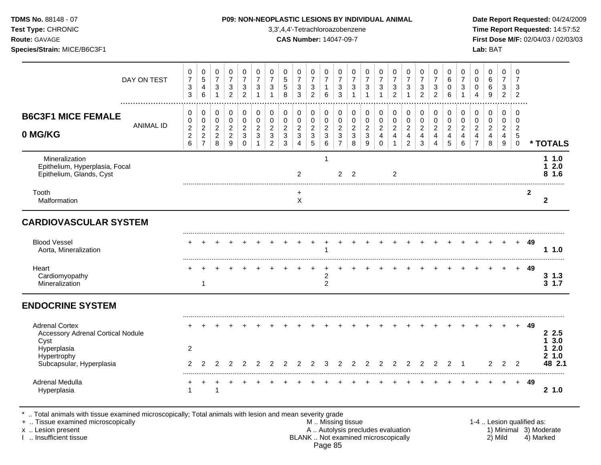| TDMS No. 88148 - 07<br>Test Type: CHRONIC<br>Route: GAVAGE<br>Species/Strain: MICE/B6C3F1 |                  |                                                               |                                                |                                               |                                                               |                                                               |                                                  |                                                               |                                 | 3,3',4,4'-Tetrachloroazobenzene<br><b>CAS Number: 14047-09-7</b> |                                                               |                                           |                                                  |                                                  | P09: NON-NEOPLASTIC LESIONS BY INDIVIDUAL ANIMAL |                                                   |                                                  |                                                    |                                                |                                                |                                                |                                                |                                                    | Lab: BAT                                    |                                                  |                                       |                | Date Report Requested: 04/24/2009<br>Time Report Requested: 14:57:52<br>First Dose M/F: 02/04/03 / 02/03/03 |
|-------------------------------------------------------------------------------------------|------------------|---------------------------------------------------------------|------------------------------------------------|-----------------------------------------------|---------------------------------------------------------------|---------------------------------------------------------------|--------------------------------------------------|---------------------------------------------------------------|---------------------------------|------------------------------------------------------------------|---------------------------------------------------------------|-------------------------------------------|--------------------------------------------------|--------------------------------------------------|--------------------------------------------------|---------------------------------------------------|--------------------------------------------------|----------------------------------------------------|------------------------------------------------|------------------------------------------------|------------------------------------------------|------------------------------------------------|----------------------------------------------------|---------------------------------------------|--------------------------------------------------|---------------------------------------|----------------|-------------------------------------------------------------------------------------------------------------|
|                                                                                           |                  | $\pmb{0}$                                                     | $\mathbf 0$                                    | $\mathbf 0$                                   | $\mathbf 0$                                                   | 0                                                             | 0                                                | 0                                                             | $\mathbf 0$                     | $\mathbf 0$                                                      | $\pmb{0}$                                                     | 0                                         | $\mathbf 0$                                      | 0                                                | $\mathbf 0$                                      | $\mathbf 0$                                       | $\mathbf 0$                                      | 0                                                  | $\mathbf 0$                                    | 0                                              | 0                                              | $\mathbf 0$                                    | $\mathbf 0$                                        | $\mathbf 0$                                 | $\mathbf 0$                                      | $\mathbf 0$                           |                |                                                                                                             |
|                                                                                           | DAY ON TEST      | $\overline{7}$<br>$\ensuremath{\mathsf{3}}$<br>$\mathfrak{S}$ | 5<br>4<br>$6\phantom{1}6$                      | $\overline{7}$<br>$\mathbf 3$<br>$\mathbf{1}$ | $\overline{7}$<br>$\ensuremath{\mathsf{3}}$<br>$\overline{2}$ | $\overline{7}$<br>$\ensuremath{\mathsf{3}}$<br>$\overline{c}$ | $\overline{7}$<br>$\mathfrak{S}$<br>$\mathbf{1}$ | $\overline{7}$<br>$\mathsf 3$<br>$\mathbf{1}$                 | $\sqrt{5}$<br>$\sqrt{5}$<br>8   | $\overline{7}$<br>$\mathbf{3}$<br>$\mathbf{3}$                   | $\overline{7}$<br>$\ensuremath{\mathsf{3}}$<br>$\overline{2}$ | $\overline{7}$<br>$\mathbf{1}$<br>$\,6\,$ | $\overline{7}$<br>$\ensuremath{\mathsf{3}}$<br>3 | $\overline{7}$<br>3<br>$\mathbf{1}$              | $\overline{7}$<br>$\sqrt{3}$<br>$\mathbf{1}$     | $\overline{7}$<br>$\sqrt{3}$<br>$\mathbf{1}$      | $\overline{7}$<br>$\mathbf 3$<br>$\overline{2}$  | $\overline{7}$<br>3<br>$\mathbf{1}$                | $\overline{7}$<br>$\sqrt{3}$<br>$\overline{2}$ | $\overline{7}$<br>3<br>$\overline{2}$          | 6<br>$\mathsf 0$<br>6                          | $\overline{7}$<br>$\mathbf{3}$<br>$\mathbf{1}$ | $\mathbf 0$<br>$\mathbf 0$<br>$\overline{4}$       | $6\phantom{1}$<br>$\,6\,$<br>$\overline{9}$ | $\overline{7}$<br>$\mathbf{3}$<br>$\overline{2}$ | $\overline{7}$<br>3<br>$\overline{2}$ |                |                                                                                                             |
| <b>B6C3F1 MICE FEMALE</b>                                                                 | <b>ANIMAL ID</b> | 0<br>0                                                        | 0<br>$\pmb{0}$                                 | 0<br>$\mathsf 0$                              | 0<br>$\pmb{0}$                                                | 0<br>$\pmb{0}$                                                | $\pmb{0}$<br>$\pmb{0}$                           | $\pmb{0}$<br>$\pmb{0}$                                        | $\pmb{0}$<br>$\pmb{0}$          | $\pmb{0}$<br>$\pmb{0}$                                           | $\pmb{0}$<br>$\mathsf{O}\xspace$                              | $\pmb{0}$<br>$\pmb{0}$                    | 0<br>$\pmb{0}$                                   | 0<br>$\pmb{0}$                                   | $\pmb{0}$<br>$\pmb{0}$                           | 0<br>$\pmb{0}$                                    | 0<br>$\mathbf 0$                                 | 0<br>$\mathbf 0$                                   | 0<br>$\mathbf 0$                               | 0<br>$\pmb{0}$                                 | $\pmb{0}$<br>$\mathsf{O}\xspace$               | $\pmb{0}$<br>$\pmb{0}$                         | 0<br>$\pmb{0}$                                     | $\pmb{0}$<br>$\pmb{0}$                      | $\mathbf 0$<br>$\mathbf 0$                       | $\mathbf 0$<br>$\mathbf 0$            |                |                                                                                                             |
| 0 MG/KG                                                                                   |                  | $\boldsymbol{2}$<br>$\boldsymbol{2}$<br>$6\phantom{a}$        | $\overline{c}$<br>$\sqrt{2}$<br>$\overline{7}$ | $\overline{2}$<br>$\overline{2}$<br>8         | $\overline{c}$<br>$\overline{a}$<br>9                         | $\overline{2}$<br>$\sqrt{3}$<br>$\mathbf 0$                   | $\overline{c}$<br>$\mathfrak{S}$<br>$\mathbf{1}$ | $\overline{2}$<br>$\ensuremath{\mathsf{3}}$<br>$\overline{2}$ | $\sqrt{2}$<br>$\mathbf{3}$<br>3 | $\overline{2}$<br>$\mathfrak{Z}$<br>4                            | $\overline{c}$<br>$\mathsf 3$<br>5                            | $\boldsymbol{2}$<br>$\sqrt{3}$<br>$\,6\,$ | $\boldsymbol{2}$<br>$\sqrt{3}$<br>$\overline{7}$ | $\overline{2}$<br>$\ensuremath{\mathsf{3}}$<br>8 | $\overline{c}$<br>$\mathbf{3}$<br>9              | $\boldsymbol{2}$<br>$\overline{4}$<br>$\mathbf 0$ | $\overline{2}$<br>$\overline{4}$<br>$\mathbf{1}$ | $\overline{2}$<br>$\overline{4}$<br>$\overline{2}$ | $\overline{2}$<br>$\overline{\mathbf{4}}$<br>3 | $\overline{2}$<br>$\overline{\mathbf{4}}$<br>4 | $\overline{2}$<br>$\overline{\mathbf{4}}$<br>5 | $\overline{c}$<br>$\overline{4}$<br>6          | $\overline{2}$<br>$\overline{4}$<br>$\overline{7}$ | $\overline{2}$<br>$\overline{4}$<br>8       | $\overline{2}$<br>$\overline{4}$<br>9            | $\overline{2}$<br>5<br>$\mathbf 0$    |                | * TOTALS                                                                                                    |
| Mineralization<br>Epithelium, Hyperplasia, Focal<br>Epithelium, Glands, Cyst              |                  |                                                               |                                                |                                               |                                                               |                                                               |                                                  |                                                               |                                 | $\overline{2}$                                                   |                                                               | 1                                         | $\overline{2}$                                   | $\overline{2}$                                   |                                                  |                                                   | 2                                                |                                                    |                                                |                                                |                                                |                                                |                                                    |                                             |                                                  |                                       |                | 11.0<br>12.0<br>8, 1.6                                                                                      |
| Tooth<br>Malformation                                                                     |                  |                                                               |                                                |                                               |                                                               |                                                               |                                                  |                                                               |                                 | $\ddot{}$<br>$\sf X$                                             |                                                               |                                           |                                                  |                                                  |                                                  |                                                   |                                                  |                                                    |                                                |                                                |                                                |                                                |                                                    |                                             |                                                  |                                       | $\overline{2}$ | $\mathbf{2}$                                                                                                |
| <b>CARDIOVASCULAR SYSTEM</b>                                                              |                  |                                                               |                                                |                                               |                                                               |                                                               |                                                  |                                                               |                                 |                                                                  |                                                               |                                           |                                                  |                                                  |                                                  |                                                   |                                                  |                                                    |                                                |                                                |                                                |                                                |                                                    |                                             |                                                  |                                       |                |                                                                                                             |
| <b>Blood Vessel</b><br>Aorta, Mineralization                                              |                  |                                                               |                                                |                                               |                                                               |                                                               |                                                  |                                                               |                                 |                                                                  |                                                               | 1                                         |                                                  |                                                  |                                                  |                                                   |                                                  |                                                    |                                                |                                                |                                                |                                                |                                                    |                                             |                                                  | $+$                                   | 49             | 11.0                                                                                                        |
| Heart<br>Cardiomyopathy<br>Mineralization                                                 |                  |                                                               | $+$<br>$\mathbf{1}$                            |                                               |                                                               |                                                               |                                                  |                                                               |                                 |                                                                  | $\ddot{}$                                                     | $\ddot{}$<br>2<br>$\overline{c}$          |                                                  |                                                  |                                                  |                                                   |                                                  |                                                    |                                                |                                                |                                                |                                                |                                                    | $\ddot{}$                                   | $+$                                              |                                       | + 49           | $3 \t1.3$<br>31.7                                                                                           |
| <b>ENDOCRINE SYSTEM</b>                                                                   |                  |                                                               |                                                |                                               |                                                               |                                                               |                                                  |                                                               |                                 |                                                                  |                                                               |                                           |                                                  |                                                  |                                                  |                                                   |                                                  |                                                    |                                                |                                                |                                                |                                                |                                                    |                                             |                                                  |                                       |                |                                                                                                             |
| <b>Adrenal Cortex</b><br><b>Accessory Adrenal Cortical Nodule</b><br>Cyst                 |                  |                                                               |                                                |                                               |                                                               |                                                               |                                                  |                                                               |                                 |                                                                  |                                                               |                                           |                                                  |                                                  |                                                  |                                                   |                                                  |                                                    |                                                |                                                |                                                |                                                |                                                    |                                             |                                                  |                                       | 49             | 2.5<br>3.0<br>1                                                                                             |
| Hyperplasia<br>Hypertrophy<br>Subcapsular, Hyperplasia                                    |                  | 2<br>2                                                        | $\mathfrak{p}$                                 | $\overline{2}$                                | 2                                                             | $\overline{2}$                                                | 2                                                | $\overline{2}$                                                | 2                               | $\overline{2}$                                                   | $\overline{2}$                                                | 3                                         | 2                                                | 2                                                | $\overline{c}$                                   | 2                                                 | $\overline{2}$                                   | 2                                                  | 2                                              | $\overline{2}$                                 | 2                                              | $\overline{1}$                                 |                                                    | $\overline{2}$                              | $\overline{2}$                                   | 2                                     |                | 2.0<br>21.0<br>48 2.1                                                                                       |
| <b>Adrenal Medulla</b><br>Hyperplasia                                                     |                  | 1                                                             |                                                | $\mathbf 1$                                   |                                                               |                                                               |                                                  |                                                               |                                 |                                                                  |                                                               |                                           |                                                  |                                                  |                                                  |                                                   |                                                  |                                                    |                                                |                                                |                                                |                                                |                                                    |                                             |                                                  | $+$                                   | 49             | 21.0                                                                                                        |

\* .. Total animals with tissue examined microscopically; Total animals with lesion and mean severity grade

+ .. Tissue examined microscopically M .. Missing tissue 1-4 .. Lesion qualified as: x .. Lesion present **A .. Autolysis precludes evaluation** A .. Autolysis precludes evaluation 1) Minimal 3) Moderate I .. Insufficient tissue BLANK .. Not examined microscopically 2) Mild 4) Marked Page 85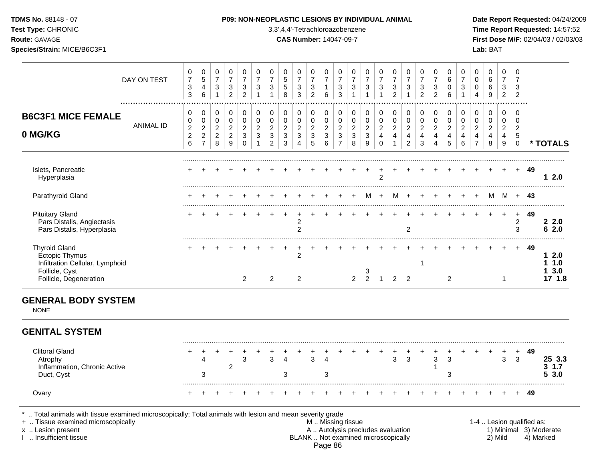| <b>TDMS No. 88148 - 07</b> |  |  |  |
|----------------------------|--|--|--|
|                            |  |  |  |

## **P09: NON-NEOPLASTIC LESIONS BY INDIVIDUAL ANIMAL Date Report Requested:** 04/24/2009

**Test Type:** CHRONIC 3,3',4,4'-Tetrachloroazobenzene **Time Report Requested:** 14:57:52 **Route:** GAVAGE **CAS Number:** 14047-09-7 **First Dose M/F:** 02/04/03 / 02/03/03 **Species/Strain:** MICE/B6C3F1 **Lab:** BAT

|                                                                                                                       | DAY ON TEST      | 0<br>$\boldsymbol{7}$<br>$\sqrt{3}$<br>3 | 0<br>5<br>4<br>$6\phantom{1}6$                 | 0<br>$\boldsymbol{7}$<br>$\mathbf{3}$<br>$\mathbf{1}$ | 0<br>$\overline{7}$<br>$\sqrt{3}$<br>$\overline{2}$ | 0<br>$\overline{7}$<br>$\ensuremath{\mathsf{3}}$<br>$\overline{2}$ | 0<br>$\overline{7}$<br>$\mathbf{3}$<br>$\mathbf{1}$ | $\mathbf 0$<br>$\overline{7}$<br>$\mathbf{3}$<br>$\mathbf{1}$ | 0<br>$\sqrt{5}$<br>$\overline{5}$<br>8         | 0<br>$\overline{7}$<br>$\sqrt{3}$<br>$\mathbf{3}$ | 0<br>$\overline{7}$<br>$\sqrt{3}$<br>$\overline{2}$ | 0<br>$\overline{7}$<br>$\mathbf{1}$<br>6 | 0<br>$\overline{7}$<br>$\sqrt{3}$<br>3 | 0<br>$\overline{7}$<br>3<br>$\mathbf{1}$    | 0<br>$\overline{7}$<br>$\sqrt{3}$<br>1 | 0<br>$\overline{7}$<br>$\sqrt{3}$<br>$\mathbf{1}$ | 0<br>$\overline{7}$<br>$\mathbf{3}$<br>$\overline{2}$     | 0<br>$\overline{7}$<br>$\sqrt{3}$<br>$\mathbf{1}$  | 0<br>$\overline{7}$<br>$\sqrt{3}$<br>$\overline{2}$ | 0<br>$\overline{7}$<br>$\mathbf{3}$<br>$\overline{2}$ | $\mathbf 0$<br>6<br>$\mathbf 0$<br>6  | 0<br>$\overline{7}$<br>3<br>$\mathbf{1}$             | $\mathbf 0$<br>$\mathbf 0$<br>$\mathbf 0$<br>4     | $\mathbf 0$<br>$\,6\,$<br>$\,6\,$<br>$\boldsymbol{9}$ | $\mathbf 0$<br>$\overline{7}$<br>$\mathbf{3}$<br>$\overline{2}$ | $\mathbf 0$<br>$\overline{7}$<br>3<br>$\overline{2}$ |      |                                |
|-----------------------------------------------------------------------------------------------------------------------|------------------|------------------------------------------|------------------------------------------------|-------------------------------------------------------|-----------------------------------------------------|--------------------------------------------------------------------|-----------------------------------------------------|---------------------------------------------------------------|------------------------------------------------|---------------------------------------------------|-----------------------------------------------------|------------------------------------------|----------------------------------------|---------------------------------------------|----------------------------------------|---------------------------------------------------|-----------------------------------------------------------|----------------------------------------------------|-----------------------------------------------------|-------------------------------------------------------|---------------------------------------|------------------------------------------------------|----------------------------------------------------|-------------------------------------------------------|-----------------------------------------------------------------|------------------------------------------------------|------|--------------------------------|
| <b>B6C3F1 MICE FEMALE</b>                                                                                             |                  | 0<br>$\mathbf 0$                         | 0<br>$\pmb{0}$                                 | $\mathbf 0$<br>$\pmb{0}$                              | 0<br>$\mathbf 0$                                    | 0<br>$\pmb{0}$                                                     | $\mathbf 0$<br>$\pmb{0}$                            | $\mathbf 0$<br>$\mathbf 0$                                    | $\pmb{0}$<br>$\pmb{0}$                         | $\mathbf 0$<br>$\mathbf 0$                        | $\pmb{0}$<br>$\mathbf 0$                            | $\mathbf 0$<br>$\pmb{0}$                 | 0<br>$\pmb{0}$                         | 0<br>$\mathbf 0$                            | $\pmb{0}$<br>$\pmb{0}$                 | 0<br>$\pmb{0}$                                    | 0<br>$\pmb{0}$                                            | 0<br>$\mathbf 0$                                   | $\pmb{0}$<br>$\pmb{0}$                              | $\mathbf 0$<br>$\mathbf 0$                            | $\pmb{0}$<br>$\mathbf 0$              | 0<br>$\pmb{0}$                                       | 0<br>$\mathbf 0$                                   | 0<br>$\mathbf 0$                                      | 0<br>$\pmb{0}$                                                  | $\mathbf 0$<br>$\mathbf 0$                           |      |                                |
| 0 MG/KG                                                                                                               | <b>ANIMAL ID</b> | $\frac{2}{2}$<br>6                       | $\overline{c}$<br>$\sqrt{2}$<br>$\overline{7}$ | $\overline{c}$<br>$\boldsymbol{2}$<br>8               | $\overline{c}$<br>$\sqrt{2}$<br>$\boldsymbol{9}$    | $\overline{c}$<br>3<br>$\pmb{0}$                                   | $\boldsymbol{2}$<br>3<br>$\mathbf{1}$               | $\sqrt{2}$<br>3<br>$\overline{c}$                             | $\overline{c}$<br>$\sqrt{3}$<br>$\mathfrak{S}$ | $\sqrt{2}$<br>$\sqrt{3}$<br>$\overline{4}$        | $\overline{c}$<br>$\sqrt{3}$<br>$\overline{5}$      | $\sqrt{2}$<br>$\mathfrak{Z}$<br>$\,6\,$  | $\overline{c}$<br>3<br>$\overline{7}$  | $\overline{a}$<br>$\mathfrak{Z}$<br>$\,8\,$ | $\overline{c}$<br>$\mathsf 3$<br>9     | $\boldsymbol{2}$<br>$\overline{4}$<br>$\mathbf 0$ | $\overline{c}$<br>$\overline{\mathbf{4}}$<br>$\mathbf{1}$ | $\overline{c}$<br>$\overline{4}$<br>$\overline{2}$ | $\overline{c}$<br>$\overline{4}$<br>$\mathbf{3}$    | $\sqrt{2}$<br>$\overline{4}$<br>$\overline{4}$        | $\overline{c}$<br>$\overline{4}$<br>5 | $\overline{c}$<br>$\overline{\mathbf{4}}$<br>$\,6\,$ | $\overline{c}$<br>$\overline{4}$<br>$\overline{7}$ | $\overline{2}$<br>$\overline{4}$<br>8                 | $\overline{c}$<br>$\overline{4}$<br>9                           | $\overline{2}$<br>$\sqrt{5}$<br>$\mathbf 0$          |      | * TOTALS                       |
| Islets, Pancreatic<br>Hyperplasia                                                                                     |                  |                                          |                                                |                                                       |                                                     |                                                                    |                                                     |                                                               |                                                |                                                   |                                                     |                                          |                                        |                                             |                                        | $\overline{2}$                                    |                                                           |                                                    |                                                     |                                                       |                                       |                                                      |                                                    |                                                       |                                                                 | $+$                                                  | -49  | 12.0                           |
| Parathyroid Gland                                                                                                     |                  |                                          |                                                |                                                       |                                                     |                                                                    |                                                     |                                                               |                                                |                                                   |                                                     |                                          |                                        |                                             | M                                      | $+$                                               | M                                                         | $+$                                                |                                                     |                                                       |                                       |                                                      |                                                    | M                                                     | M                                                               |                                                      | + 43 |                                |
| <b>Pituitary Gland</b><br>Pars Distalis, Angiectasis<br>Pars Distalis, Hyperplasia                                    |                  |                                          |                                                |                                                       |                                                     |                                                                    |                                                     |                                                               |                                                | 2<br>$\overline{c}$                               |                                                     |                                          |                                        |                                             |                                        |                                                   |                                                           | $\overline{c}$                                     |                                                     |                                                       |                                       |                                                      |                                                    |                                                       | $\ddot{}$                                                       | $\ddot{}$<br>2<br>3                                  | 49   | 22.0<br>62.0                   |
| <b>Thyroid Gland</b><br>Ectopic Thymus<br>Infiltration Cellular, Lymphoid<br>Follicle, Cyst<br>Follicle, Degeneration |                  |                                          |                                                |                                                       |                                                     | $\overline{2}$                                                     |                                                     | $\overline{a}$                                                |                                                | $\ddot{}$<br>$\overline{2}$<br>$\overline{c}$     |                                                     |                                          |                                        | $\overline{2}$                              | 3<br>$\overline{2}$                    | $\overline{1}$                                    | $\overline{2}$                                            | $\overline{2}$                                     | $\mathbf{1}$                                        |                                                       | $\overline{c}$                        |                                                      |                                                    |                                                       | $\mathbf 1$                                                     | $+$                                                  | -49  | 12.0<br>11.0<br>13.0<br>17 1.8 |
| <b>GENERAL BODY SYSTEM</b><br><b>NONE</b>                                                                             |                  |                                          |                                                |                                                       |                                                     |                                                                    |                                                     |                                                               |                                                |                                                   |                                                     |                                          |                                        |                                             |                                        |                                                   |                                                           |                                                    |                                                     |                                                       |                                       |                                                      |                                                    |                                                       |                                                                 |                                                      |      |                                |
|                                                                                                                       |                  |                                          |                                                |                                                       |                                                     |                                                                    |                                                     |                                                               |                                                |                                                   |                                                     |                                          |                                        |                                             |                                        |                                                   |                                                           |                                                    |                                                     |                                                       |                                       |                                                      |                                                    |                                                       |                                                                 |                                                      |      |                                |
| <b>GENITAL SYSTEM</b>                                                                                                 |                  |                                          |                                                |                                                       |                                                     |                                                                    |                                                     |                                                               |                                                |                                                   |                                                     |                                          |                                        |                                             |                                        |                                                   |                                                           |                                                    |                                                     |                                                       |                                       |                                                      |                                                    |                                                       |                                                                 |                                                      |      |                                |
| <b>Clitoral Gland</b><br>Atrophy<br>Inflammation, Chronic Active<br>Duct, Cyst                                        |                  |                                          | 4<br>3                                         |                                                       | 2                                                   | 3                                                                  |                                                     | 3                                                             | $\overline{A}$<br>3                            |                                                   | 3                                                   | Δ<br>3                                   |                                        |                                             |                                        |                                                   | +<br>3                                                    | 3                                                  |                                                     | 3<br>1                                                | 3<br>3                                |                                                      |                                                    |                                                       | 3                                                               | $\ddot{}$<br>3                                       | 49   | 25 3.3<br>$3 \t1.7$<br>53.0    |

## Page 86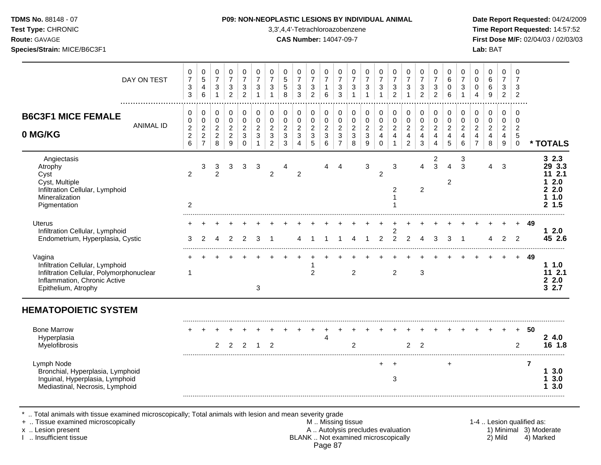### **P09: NON-NEOPLASTIC LESIONS BY INDIVIDUAL ANIMAL Date Report Requested: 04/24/2009**

**Test Type:** CHRONIC 3,3',4,4'-Tetrachloroazobenzene **Time Report Requested:** 14:57:52 **Route:** GAVAGE **CAS Number:** 14047-09-7 **First Dose M/F:** 02/04/03 / 02/03/03

|                                                                                                                                              | DAY ON TEST      | 0<br>$\boldsymbol{7}$<br>3<br>3                      | 0<br>$\,$ 5 $\,$<br>$\overline{4}$<br>6                              | 0<br>$\overline{7}$<br>$\sqrt{3}$<br>$\mathbf{1}$       | 0<br>$\overline{7}$<br>$\sqrt{3}$<br>$\overline{2}$           | 0<br>$\overline{7}$<br>3<br>2                          | 0<br>$\overline{7}$<br>3<br>$\mathbf{1}$ | 0<br>$\overline{7}$<br>3<br>$\overline{1}$                             | 0<br>$\sqrt{5}$<br>5<br>8                       | 0<br>$\overline{7}$<br>$\sqrt{3}$<br>3                                            | 0<br>$\overline{7}$<br>$\mathbf{3}$<br>$\overline{2}$          | 0<br>$\overline{7}$<br>1<br>6                         | 0<br>$\overline{7}$<br>3<br>3                                    | 0<br>$\boldsymbol{7}$<br>$\ensuremath{\mathsf{3}}$<br>$\overline{1}$ | 0<br>$\overline{7}$<br>$\ensuremath{\mathsf{3}}$<br>$\overline{1}$ | 0<br>$\overline{7}$<br>3<br>1                                     | 0<br>$\overline{7}$<br>$\ensuremath{\mathsf{3}}$<br>$\overline{2}$         | 0<br>$\overline{7}$<br>$\sqrt{3}$<br>$\mathbf{1}$                             | 0<br>$\overline{7}$<br>3<br>$\overline{2}$ | 0<br>$\overline{7}$<br>$\mathbf{3}$<br>$\overline{2}$   | 0<br>6<br>0<br>6                                        | 0<br>$\overline{7}$<br>3                         | 0<br>$\mathbf 0$<br>0<br>$\overline{4}$                      | 0<br>6<br>6<br>9                                         | 0<br>$\overline{7}$<br>$\mathbf{3}$<br>$\overline{2}$           | 0<br>$\overline{7}$<br>3<br>$\overline{2}$             |                |                                                            |
|----------------------------------------------------------------------------------------------------------------------------------------------|------------------|------------------------------------------------------|----------------------------------------------------------------------|---------------------------------------------------------|---------------------------------------------------------------|--------------------------------------------------------|------------------------------------------|------------------------------------------------------------------------|-------------------------------------------------|-----------------------------------------------------------------------------------|----------------------------------------------------------------|-------------------------------------------------------|------------------------------------------------------------------|----------------------------------------------------------------------|--------------------------------------------------------------------|-------------------------------------------------------------------|----------------------------------------------------------------------------|-------------------------------------------------------------------------------|--------------------------------------------|---------------------------------------------------------|---------------------------------------------------------|--------------------------------------------------|--------------------------------------------------------------|----------------------------------------------------------|-----------------------------------------------------------------|--------------------------------------------------------|----------------|------------------------------------------------------------|
| <b>B6C3F1 MICE FEMALE</b><br>0 MG/KG                                                                                                         | <b>ANIMAL ID</b> | 0<br>0<br>$\begin{array}{c} 2 \\ 2 \\ 6 \end{array}$ | $\pmb{0}$<br>$\pmb{0}$<br>$\sqrt{2}$<br>$\sqrt{2}$<br>$\overline{7}$ | 0<br>$\pmb{0}$<br>$\overline{c}$<br>$\overline{2}$<br>8 | 0<br>$\mathsf{O}\xspace$<br>$\sqrt{2}$<br>$\overline{c}$<br>9 | 0<br>$\mathbf 0$<br>$\overline{2}$<br>3<br>$\mathbf 0$ | 0<br>0<br>$\overline{c}$<br>3            | $\mathbf 0$<br>$\pmb{0}$<br>$\sqrt{2}$<br>$\sqrt{3}$<br>$\overline{2}$ | 0<br>0<br>$\boldsymbol{2}$<br>$\mathbf{3}$<br>3 | 0<br>$\pmb{0}$<br>$\boldsymbol{2}$<br>$\ensuremath{\mathsf{3}}$<br>$\overline{4}$ | 0<br>$\pmb{0}$<br>$\overline{c}$<br>$\mathbf{3}$<br>$\sqrt{5}$ | 0<br>$\pmb{0}$<br>$\boldsymbol{2}$<br>$\sqrt{3}$<br>6 | 0<br>$\pmb{0}$<br>$\overline{2}$<br>$\sqrt{3}$<br>$\overline{7}$ | 0<br>$\pmb{0}$<br>$\overline{2}$<br>$\ensuremath{\mathsf{3}}$<br>8   | 0<br>$\pmb{0}$<br>$\sqrt{2}$<br>$\sqrt{3}$<br>9                    | 0<br>$\pmb{0}$<br>$\overline{a}$<br>$\overline{4}$<br>$\mathbf 0$ | $\pmb{0}$<br>$\pmb{0}$<br>$\overline{2}$<br>$\overline{4}$<br>$\mathbf{1}$ | 0<br>$\pmb{0}$<br>$\overline{c}$<br>$\overline{\mathbf{4}}$<br>$\overline{2}$ | 0<br>$\pmb{0}$<br>$\overline{2}$<br>4<br>3 | 0<br>$\pmb{0}$<br>$\overline{2}$<br>4<br>$\overline{4}$ | 0<br>$\pmb{0}$<br>$\overline{2}$<br>$\overline{4}$<br>5 | 0<br>0<br>$\overline{c}$<br>4<br>$6\phantom{1}6$ | 0<br>0<br>$\overline{a}$<br>$\overline{4}$<br>$\overline{7}$ | 0<br>0<br>$\overline{c}$<br>$\overline{\mathbf{4}}$<br>8 | $\mathbf 0$<br>$\mathbf 0$<br>$\sqrt{2}$<br>$\overline{4}$<br>9 | 0<br>$\mathbf 0$<br>$\overline{2}$<br>5<br>$\mathbf 0$ |                | * TOTALS                                                   |
| Angiectasis<br>Atrophy<br>Cyst<br>Cyst, Multiple<br>Infiltration Cellular, Lymphoid<br>Mineralization<br>Pigmentation                        |                  | $\overline{2}$<br>2                                  | 3                                                                    | 3<br>$\overline{2}$                                     | 3                                                             | 3                                                      | 3                                        | $\overline{c}$                                                         | 4                                               | $\overline{2}$                                                                    |                                                                |                                                       | Δ                                                                |                                                                      | 3                                                                  | $\overline{c}$                                                    | 3<br>2                                                                     |                                                                               | 4<br>$\overline{c}$                        | 2<br>3                                                  | 4<br>$\overline{2}$                                     | 3<br>3                                           |                                                              | 4                                                        | 3                                                               |                                                        |                | 32.3<br>29 3.3<br>11 2.1<br>2.0<br>2.2.0<br>11.0<br>2, 1.5 |
| <b>Uterus</b><br>Infiltration Cellular, Lymphoid<br>Endometrium, Hyperplasia, Cystic                                                         |                  | 3                                                    | 2                                                                    |                                                         |                                                               |                                                        |                                          |                                                                        |                                                 |                                                                                   |                                                                |                                                       |                                                                  |                                                                      | -1                                                                 | 2                                                                 | 2<br>2                                                                     | 2                                                                             |                                            | 3                                                       | 3                                                       |                                                  |                                                              |                                                          | 2                                                               | 2                                                      | 49             | 12.0<br>45 2.6                                             |
| Vagina<br>Infiltration Cellular, Lymphoid<br>Infiltration Cellular, Polymorphonuclear<br>Inflammation, Chronic Active<br>Epithelium, Atrophy |                  | 1                                                    |                                                                      |                                                         |                                                               |                                                        | 3                                        |                                                                        |                                                 |                                                                                   | $\overline{2}$                                                 |                                                       |                                                                  | 2                                                                    |                                                                    |                                                                   | $\overline{2}$                                                             |                                                                               | 3                                          |                                                         |                                                         |                                                  |                                                              |                                                          |                                                                 | $+$                                                    | 49             | 11.0<br>112.1<br>2.2.0<br>32.7                             |
| <b>HEMATOPOIETIC SYSTEM</b>                                                                                                                  |                  |                                                      |                                                                      |                                                         |                                                               |                                                        |                                          |                                                                        |                                                 |                                                                                   |                                                                |                                                       |                                                                  |                                                                      |                                                                    |                                                                   |                                                                            |                                                                               |                                            |                                                         |                                                         |                                                  |                                                              |                                                          |                                                                 |                                                        |                |                                                            |
| <b>Bone Marrow</b><br>Hyperplasia<br>Myelofibrosis                                                                                           |                  |                                                      |                                                                      | $\overline{2}$                                          | 2                                                             | 2                                                      | -1                                       | $\overline{2}$                                                         |                                                 |                                                                                   |                                                                | $\overline{4}$                                        |                                                                  | $\overline{2}$                                                       |                                                                    |                                                                   |                                                                            | $\overline{2}$                                                                | $\overline{2}$                             |                                                         |                                                         |                                                  |                                                              |                                                          |                                                                 | $+$<br>2                                               | 50             | 24.0<br>16 1.8                                             |
| Lymph Node<br>Bronchial, Hyperplasia, Lymphoid<br>Inguinal, Hyperplasia, Lymphoid<br>Mediastinal, Necrosis, Lymphoid                         |                  |                                                      |                                                                      |                                                         |                                                               |                                                        |                                          |                                                                        |                                                 |                                                                                   |                                                                |                                                       |                                                                  |                                                                      |                                                                    | $\div$                                                            | 3                                                                          |                                                                               |                                            |                                                         | +                                                       |                                                  |                                                              |                                                          |                                                                 |                                                        | $\overline{7}$ | 13.0<br>13.0<br>3.0                                        |

\* .. Total animals with tissue examined microscopically; Total animals with lesion and mean severity grade

- + .. Tissue examined microscopically M .. Missing tissue 1-4 .. Lesion qualified as: x .. Lesion present **A .. Autolysis precludes evaluation** A .. Autolysis precludes evaluation 1) Minimal 3) Moderate I .. Insufficient tissue BLANK .. Not examined microscopically 2) Mild 4) Marked Page 87
-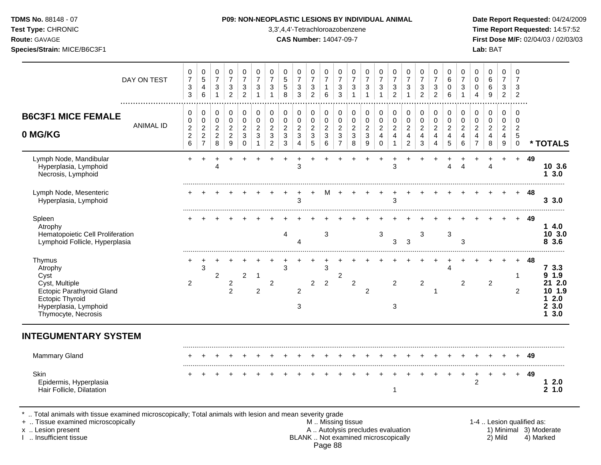**Test Type:** CHRONIC 3,3',4,4'-Tetrachloroazobenzene **Time Report Requested:** 14:57:52 **Route:** GAVAGE **CAS Number:** 14047-09-7 **First Dose M/F:** 02/04/03 / 02/03/03

|                                                                                                                                                    | DAY ON TEST      | 0<br>$\overline{7}$<br>$\ensuremath{\mathsf{3}}$<br>3   | 0<br>5<br>$\overline{\mathbf{4}}$<br>6                             | 0<br>$\boldsymbol{7}$<br>$\ensuremath{\mathsf{3}}$<br>$\mathbf{1}$ | 0<br>$\overline{7}$<br>$\ensuremath{\mathsf{3}}$<br>$\overline{2}$ | 0<br>$\overline{7}$<br>$\ensuremath{\mathsf{3}}$<br>$\overline{c}$ | 0<br>$\overline{7}$<br>3<br>$\overline{1}$         | 0<br>$\overline{7}$<br>3                                                          | 0<br>$\sqrt{5}$<br>$\sqrt{5}$<br>8                                              | $\pmb{0}$<br>$\overline{7}$<br>$\sqrt{3}$<br>3                              | 0<br>$\overline{7}$<br>$\ensuremath{\mathsf{3}}$<br>$\overline{2}$ | 0<br>$\overline{7}$<br>$\mathbf{1}$<br>$\,6\,$      | 0<br>$\overline{7}$<br>3<br>3                                      | 0<br>$\overline{7}$<br>$\ensuremath{\mathsf{3}}$<br>$\mathbf{1}$           | 0<br>$\overline{7}$<br>$\sqrt{3}$<br>1                               | 0<br>$\overline{7}$<br>$\ensuremath{\mathsf{3}}$                  | 0<br>$\overline{7}$<br>$\ensuremath{\mathsf{3}}$<br>$\overline{2}$ | 0<br>$\overline{7}$<br>$\ensuremath{\mathsf{3}}$<br>$\mathbf{1}$     | 0<br>$\overline{7}$<br>$\sqrt{3}$<br>$\overline{2}$       | 0<br>$\overline{7}$<br>$\sqrt{3}$<br>$\overline{2}$ | 0<br>6<br>$\mathbf 0$<br>6                   | 0<br>$\overline{7}$<br>3                         | $\mathbf 0$<br>$\mathbf 0$<br>$\mathbf 0$<br>4                              | 0<br>6<br>$\,6$<br>9                                                         | 0<br>$\overline{7}$<br>3<br>$\overline{2}$                | $\mathbf 0$<br>$\overline{7}$<br>3<br>$\overline{c}$           |                           |                                                             |
|----------------------------------------------------------------------------------------------------------------------------------------------------|------------------|---------------------------------------------------------|--------------------------------------------------------------------|--------------------------------------------------------------------|--------------------------------------------------------------------|--------------------------------------------------------------------|----------------------------------------------------|-----------------------------------------------------------------------------------|---------------------------------------------------------------------------------|-----------------------------------------------------------------------------|--------------------------------------------------------------------|-----------------------------------------------------|--------------------------------------------------------------------|----------------------------------------------------------------------------|----------------------------------------------------------------------|-------------------------------------------------------------------|--------------------------------------------------------------------|----------------------------------------------------------------------|-----------------------------------------------------------|-----------------------------------------------------|----------------------------------------------|--------------------------------------------------|-----------------------------------------------------------------------------|------------------------------------------------------------------------------|-----------------------------------------------------------|----------------------------------------------------------------|---------------------------|-------------------------------------------------------------|
| <b>B6C3F1 MICE FEMALE</b><br>0 MG/KG                                                                                                               | <b>ANIMAL ID</b> | 0<br>$\pmb{0}$<br>$\sqrt{2}$<br>$\overline{2}$<br>$\,6$ | 0<br>$\mathsf 0$<br>$\sqrt{2}$<br>$\overline{2}$<br>$\overline{7}$ | 0<br>$\pmb{0}$<br>$\overline{c}$<br>$\overline{c}$<br>8            | 0<br>$\pmb{0}$<br>$\overline{c}$<br>$\sqrt{2}$<br>$\boldsymbol{9}$ | 0<br>$\pmb{0}$<br>$\boldsymbol{2}$<br>$\mathbf{3}$<br>$\pmb{0}$    | 0<br>$\mathbf 0$<br>$\overline{c}$<br>$\mathbf{3}$ | 0<br>$\mathbf 0$<br>$\overline{c}$<br>$\ensuremath{\mathsf{3}}$<br>$\overline{c}$ | 0<br>$\pmb{0}$<br>$\overline{c}$<br>$\ensuremath{\mathsf{3}}$<br>$\mathfrak{S}$ | 0<br>$\pmb{0}$<br>$\sqrt{2}$<br>$\ensuremath{\mathsf{3}}$<br>$\overline{4}$ | 0<br>$\pmb{0}$<br>$\boldsymbol{2}$<br>3<br>$\sqrt{5}$              | 0<br>$\pmb{0}$<br>$\sqrt{2}$<br>$\mathfrak{S}$<br>6 | 0<br>$\pmb{0}$<br>$\overline{2}$<br>$\mathbf{3}$<br>$\overline{7}$ | 0<br>$\mathsf 0$<br>$\overline{2}$<br>$\ensuremath{\mathsf{3}}$<br>$\,8\,$ | 0<br>$\pmb{0}$<br>$\boldsymbol{2}$<br>$\sqrt{3}$<br>$\boldsymbol{9}$ | 0<br>$\pmb{0}$<br>$\overline{c}$<br>$\overline{4}$<br>$\mathbf 0$ | 0<br>$\pmb{0}$<br>$\overline{c}$<br>4<br>$\mathbf{1}$              | 0<br>$\pmb{0}$<br>$\overline{c}$<br>$\overline{4}$<br>$\overline{c}$ | 0<br>$\pmb{0}$<br>$\boldsymbol{2}$<br>$\overline{4}$<br>3 | 0<br>$\pmb{0}$<br>$\overline{2}$<br>4<br>4          | 0<br>$\pmb{0}$<br>$\boldsymbol{2}$<br>4<br>5 | 0<br>$\pmb{0}$<br>$\overline{c}$<br>4<br>$\,6\,$ | $\mathbf 0$<br>$\mathsf{O}\xspace$<br>$\overline{2}$<br>4<br>$\overline{7}$ | $\mathbf 0$<br>$\mathbf 0$<br>$\overline{c}$<br>$\overline{\mathbf{4}}$<br>8 | 0<br>$\pmb{0}$<br>$\overline{c}$<br>4<br>$\boldsymbol{9}$ | $\mathbf 0$<br>$\mathbf 0$<br>$\overline{2}$<br>5<br>$\pmb{0}$ |                           | * TOTALS                                                    |
| Lymph Node, Mandibular<br>Hyperplasia, Lymphoid<br>Necrosis, Lymphoid                                                                              |                  | +                                                       |                                                                    | Δ                                                                  |                                                                    |                                                                    |                                                    |                                                                                   |                                                                                 | 3                                                                           |                                                                    |                                                     |                                                                    |                                                                            |                                                                      |                                                                   | $\ddot{}$<br>3                                                     |                                                                      | +                                                         |                                                     | Δ                                            | $\Delta$                                         |                                                                             | 4                                                                            | $\ddot{}$                                                 | $\ddot{}$                                                      | 49                        | 10 3.6<br>13.0                                              |
| Lymph Node, Mesenteric<br>Hyperplasia, Lymphoid                                                                                                    |                  |                                                         |                                                                    |                                                                    |                                                                    |                                                                    |                                                    |                                                                                   |                                                                                 | 3                                                                           |                                                                    | м                                                   |                                                                    |                                                                            |                                                                      |                                                                   | 3                                                                  |                                                                      |                                                           |                                                     |                                              |                                                  |                                                                             |                                                                              |                                                           | $+$                                                            | -48                       | 3.3.0                                                       |
| Spleen<br>Atrophy<br>Hematopoietic Cell Proliferation<br>Lymphoid Follicle, Hyperplasia                                                            |                  |                                                         |                                                                    |                                                                    |                                                                    |                                                                    |                                                    |                                                                                   | $\overline{4}$                                                                  | 4                                                                           |                                                                    | 3                                                   |                                                                    |                                                                            |                                                                      | 3                                                                 | 3                                                                  | $\sqrt{3}$                                                           | 3                                                         |                                                     | 3                                            | 3                                                |                                                                             |                                                                              |                                                           |                                                                | 49                        | 14.0<br>10 3.0<br>8 3.6                                     |
| Thymus<br>Atrophy<br>Cyst<br>Cyst, Multiple<br>Ectopic Parathyroid Gland<br><b>Ectopic Thyroid</b><br>Hyperplasia, Lymphoid<br>Thymocyte, Necrosis |                  | $\overline{2}$                                          | 3                                                                  | 2                                                                  | $\overline{c}$<br>$\overline{2}$                                   | $\overline{c}$                                                     | $\mathbf{1}$<br>$\overline{c}$                     | $\boldsymbol{2}$                                                                  | 3                                                                               | 2<br>3                                                                      | $\overline{2}$                                                     | 3<br>$\overline{2}$                                 | $\overline{c}$                                                     | $\overline{a}$                                                             | 2                                                                    |                                                                   | $\overline{2}$<br>3                                                |                                                                      | $\overline{c}$                                            | 1                                                   | 4                                            | $\overline{c}$                                   |                                                                             | 2                                                                            |                                                           | 1<br>$\overline{2}$                                            | -48                       | 73.3<br>9 1.9<br>21 2.0<br>10 1.9<br>$12.0$<br>23.0<br>13.0 |
| <b>INTEGUMENTARY SYSTEM</b>                                                                                                                        |                  |                                                         |                                                                    |                                                                    |                                                                    |                                                                    |                                                    |                                                                                   |                                                                                 |                                                                             |                                                                    |                                                     |                                                                    |                                                                            |                                                                      |                                                                   |                                                                    |                                                                      |                                                           |                                                     |                                              |                                                  |                                                                             |                                                                              |                                                           |                                                                |                           |                                                             |
| <b>Mammary Gland</b>                                                                                                                               |                  |                                                         |                                                                    |                                                                    |                                                                    |                                                                    |                                                    |                                                                                   |                                                                                 |                                                                             |                                                                    |                                                     |                                                                    |                                                                            |                                                                      |                                                                   |                                                                    |                                                                      |                                                           |                                                     |                                              |                                                  |                                                                             |                                                                              |                                                           |                                                                | 49                        |                                                             |
| Skin<br>Epidermis, Hyperplasia<br>Hair Follicle, Dilatation                                                                                        |                  |                                                         |                                                                    |                                                                    |                                                                    |                                                                    |                                                    |                                                                                   |                                                                                 |                                                                             |                                                                    |                                                     |                                                                    |                                                                            |                                                                      |                                                                   | 1                                                                  |                                                                      |                                                           |                                                     |                                              |                                                  | +<br>$\overline{c}$                                                         |                                                                              | $\ddot{}$                                                 | $+$                                                            | 49                        | 12.0<br>21.0                                                |
| Total animals with tissue examined microscopically; Total animals with lesion and mean severity grade<br>+  Tissue examined microscopically        |                  |                                                         |                                                                    |                                                                    |                                                                    |                                                                    |                                                    |                                                                                   |                                                                                 |                                                                             |                                                                    |                                                     | M  Missing tissue                                                  |                                                                            |                                                                      |                                                                   |                                                                    |                                                                      |                                                           |                                                     |                                              |                                                  |                                                                             |                                                                              |                                                           |                                                                | 1-4  Lesion qualified as: |                                                             |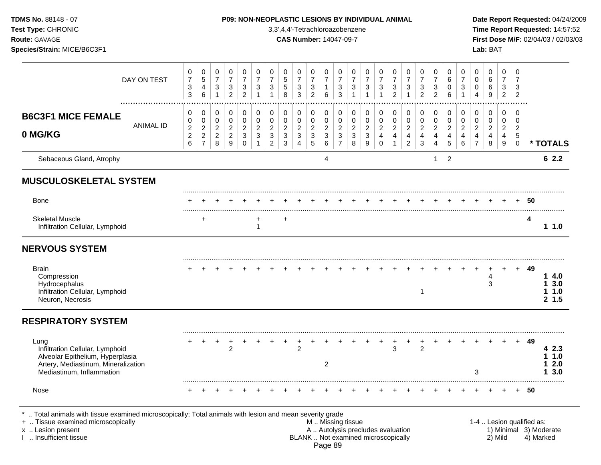Sebaceous Gland, Atrophy **6 2.2 6 2.2 6 2.2 MUSCULOSKELETAL SYSTEM** ......................................................................................................................................................................................................... Bone + + + + + + + + + + + + + + + + + + + + + + + + + **50** ......................................................................................................................................................................................................... Skeletal Muscle + + + **4** Infiltration Cellular, Lymphoid 1 **1 1.0 NERVOUS SYSTEM** ......................................................................................................................................................................................................... Brain + + + + + + + + + + + + + + + + + + + + + + + + + **49** Compression 4 **1 4.0** Hydrocephalus 3 **1 3.0** Infiltration Cellular, Lymphoid 1 **1 1.0** Neuron, Necrosis **2 1.5 RESPIRATORY SYSTEM** ......................................................................................................................................................................................................... Lung + + + + + + + + + + + + + + + + + + + + + + + + + **49** Infiltration Cellular, Lymphoid 2 2 3 2 **4 2.3** Alveolar Epithelium, Hyperplasia **1 1.0** Artery, Mediastinum, Mineralization Mediastinum, Inflammation 3 **1 3.0** ......................................................................................................................................................................................................... Nose + + + + + + + + + + + + + + + + + + + + + + + + + **50 TDMS No.** 88148 - 07 **P09: NON-NEOPLASTIC LESIONS BY INDIVIDUAL ANIMAL Date Report Requested:** 04/24/2009 **Test Type:** CHRONIC 3,3',4,4'-Tetrachloroazobenzene **Time Report Requested:** 14:57:52 **Route:** GAVAGE **CAS Number:** 14047-09-7 **First Dose M/F:** 02/04/03 / 02/03/03 **Species/Strain:** MICE/B6C3F1 **Lab:** BAT DAY ON TEST  $\overline{7}$   $\overline{7}$   $\Omega$  ................................................................................................................................................................. **B6C3F1 MICE FEMALE** ANIMAL ID **0 MG/KG**  $\Omega$  **\* TOTALS** .. Total animals with tissue examined microscopically; Total animals with lesion and mean severity grade + .. Tissue examined microscopically examined microscopically and the state of the state of the M .. Missing tissue the M .. Missing tissue the matrix of the M .. Missing tissue the matrix of the M .. Lesion qualified as:

x .. Lesion present 1) Minimal 3) Moderate<br>A .. Autolysis precludes evaluation 1 and 1) Minimal 3) Moderate<br>BLANK .. Not examined microscopically 1 and 1) Minimal 3) Marked BLANK .. Not examined microscopically Page 89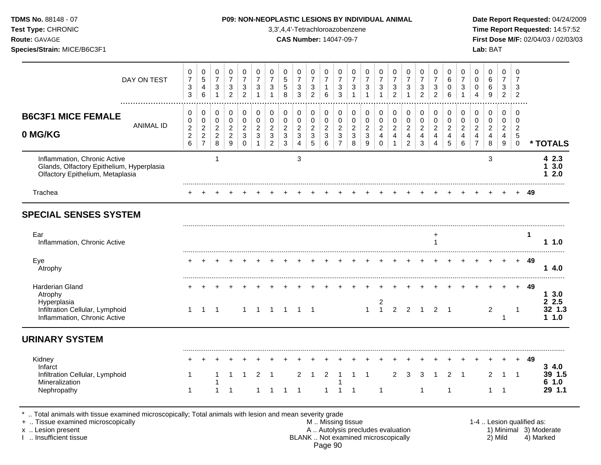| Test Type: CHRONIC<br>Route: GAVAGE<br>Species/Strain: MICE/B6C3F1                                                      |                  |                                                           |                                                                             |                                                     |                                                         |                                                        |                                   |                                                                                 | <b>CAS Number: 14047-09-7</b>                                  |                                             |                                                      |                                                                      |                                                                             | 3,3',4,4'-Tetrachloroazobenzene                   |                                            |                                           |                                                       |                                                                        |                                                                        |                                                                                 |                                                                                 |                                          |                                                                               | Lab: BAT                                   |                                    |                                                       |           | Time Report Requested: 14:57:52<br>First Dose M/F: 02/04/03 / 02/03/03 |
|-------------------------------------------------------------------------------------------------------------------------|------------------|-----------------------------------------------------------|-----------------------------------------------------------------------------|-----------------------------------------------------|---------------------------------------------------------|--------------------------------------------------------|-----------------------------------|---------------------------------------------------------------------------------|----------------------------------------------------------------|---------------------------------------------|------------------------------------------------------|----------------------------------------------------------------------|-----------------------------------------------------------------------------|---------------------------------------------------|--------------------------------------------|-------------------------------------------|-------------------------------------------------------|------------------------------------------------------------------------|------------------------------------------------------------------------|---------------------------------------------------------------------------------|---------------------------------------------------------------------------------|------------------------------------------|-------------------------------------------------------------------------------|--------------------------------------------|------------------------------------|-------------------------------------------------------|-----------|------------------------------------------------------------------------|
|                                                                                                                         | DAY ON TEST      | 0<br>$\overline{7}$<br>3<br>3                             | 0<br>$\sqrt{5}$<br>4<br>6                                                   | 0<br>$\boldsymbol{7}$<br>$\sqrt{3}$<br>$\mathbf{1}$ | 0<br>$\overline{7}$<br>3<br>$\overline{c}$              | 0<br>$\overline{7}$<br>3<br>$\overline{2}$             | 0<br>$\overline{7}$<br>$\sqrt{3}$ | 0<br>$\boldsymbol{7}$<br>3<br>$\mathbf{1}$                                      | 0<br>$\sqrt{5}$<br>5<br>8                                      | 0<br>$\overline{7}$<br>3<br>3               | 0<br>$\overline{7}$<br>3<br>$\overline{c}$           | 0<br>$\overline{7}$<br>$\mathbf{1}$<br>6                             | 0<br>$\boldsymbol{7}$<br>3<br>$\mathbf{3}$                                  | 0<br>$\overline{7}$<br>$\sqrt{3}$<br>$\mathbf{1}$ | 0<br>$\overline{7}$<br>3                   | 0<br>$\overline{7}$<br>3                  | 0<br>7<br>$\ensuremath{\mathsf{3}}$<br>$\overline{2}$ | 0<br>$\overline{7}$<br>3<br>$\overline{1}$                             | 0<br>$\overline{7}$<br>3<br>$\overline{2}$                             | 0<br>$\overline{7}$<br>$\mathbf{3}$<br>$\overline{2}$                           | 0<br>6<br>0<br>6                                                                | 0<br>$\overline{7}$<br>3                 | 0<br>$\pmb{0}$<br>0<br>$\overline{4}$                                         | 0<br>$\,6$<br>6<br>9                       | 0<br>7<br>3<br>$\overline{2}$      | 0<br>$\overline{7}$<br>3<br>$\overline{2}$            |           |                                                                        |
| <b>B6C3F1 MICE FEMALE</b><br>0 MG/KG                                                                                    | <b>ANIMAL ID</b> | 0<br>0<br>$\boldsymbol{2}$<br>$\boldsymbol{2}$<br>$\,6\,$ | 0<br>$\boldsymbol{0}$<br>$\overline{c}$<br>$\overline{c}$<br>$\overline{7}$ | 0<br>0<br>$\overline{a}$<br>$\sqrt{2}$<br>8         | 0<br>$\,0\,$<br>$\overline{c}$<br>$\boldsymbol{2}$<br>9 | 0<br>$\mathbf 0$<br>$\overline{c}$<br>3<br>$\mathbf 0$ | 0<br>0<br>$\overline{2}$<br>3     | 0<br>$\pmb{0}$<br>$\overline{c}$<br>$\ensuremath{\mathsf{3}}$<br>$\overline{2}$ | 0<br>$\pmb{0}$<br>$\overline{c}$<br>$\sqrt{3}$<br>$\mathbf{3}$ | 0<br>0<br>$\overline{\mathbf{c}}$<br>3<br>4 | 0<br>0<br>$\overline{\mathbf{c}}$<br>$\sqrt{3}$<br>5 | 0<br>$\pmb{0}$<br>$\sqrt{2}$<br>$\ensuremath{\mathsf{3}}$<br>$\,6\,$ | 0<br>$\pmb{0}$<br>$\sqrt{2}$<br>$\ensuremath{\mathsf{3}}$<br>$\overline{7}$ | 0<br>$\pmb{0}$<br>$\sqrt{2}$<br>3<br>8            | 0<br>$\pmb{0}$<br>$\overline{2}$<br>3<br>9 | 0<br>0<br>$\overline{c}$<br>4<br>$\Omega$ | 0<br>$\pmb{0}$<br>$\overline{c}$<br>$\overline{4}$    | 0<br>$\mathbf 0$<br>$\overline{a}$<br>$\overline{4}$<br>$\overline{2}$ | 0<br>$\mathbf 0$<br>$\boldsymbol{2}$<br>$\overline{4}$<br>$\mathbf{3}$ | 0<br>$\mathbf 0$<br>$\overline{c}$<br>$\overline{\mathbf{4}}$<br>$\overline{4}$ | 0<br>$\mathbf 0$<br>$\overline{c}$<br>$\overline{\mathbf{4}}$<br>$\overline{5}$ | 0<br>0<br>$\overline{c}$<br>4<br>$\,6\,$ | 0<br>$\pmb{0}$<br>$\overline{2}$<br>$\overline{\mathbf{4}}$<br>$\overline{7}$ | 0<br>$\pmb{0}$<br>$\overline{c}$<br>4<br>8 | 0<br>0<br>$\overline{c}$<br>4<br>9 | 0<br>0<br>$\overline{c}$<br>$\sqrt{5}$<br>$\mathbf 0$ |           | * TOTALS                                                               |
| Inflammation, Chronic Active<br>Glands, Olfactory Epithelium, Hyperplasia<br>Olfactory Epithelium, Metaplasia           |                  |                                                           |                                                                             |                                                     |                                                         |                                                        |                                   |                                                                                 |                                                                | 3                                           |                                                      |                                                                      |                                                                             |                                                   |                                            |                                           |                                                       |                                                                        |                                                                        |                                                                                 |                                                                                 |                                          |                                                                               | 3                                          |                                    |                                                       |           | 42.3<br>3.0<br>2.0                                                     |
|                                                                                                                         |                  |                                                           |                                                                             |                                                     |                                                         |                                                        |                                   |                                                                                 |                                                                |                                             |                                                      |                                                                      |                                                                             |                                                   |                                            |                                           |                                                       |                                                                        |                                                                        |                                                                                 |                                                                                 |                                          |                                                                               |                                            |                                    |                                                       | -49       |                                                                        |
| Trachea<br><b>SPECIAL SENSES SYSTEM</b>                                                                                 |                  |                                                           |                                                                             |                                                     |                                                         |                                                        |                                   |                                                                                 |                                                                |                                             |                                                      |                                                                      |                                                                             |                                                   |                                            |                                           |                                                       |                                                                        |                                                                        |                                                                                 |                                                                                 |                                          |                                                                               |                                            |                                    |                                                       |           |                                                                        |
| Ear<br>Inflammation, Chronic Active<br>Eye                                                                              |                  |                                                           |                                                                             |                                                     |                                                         |                                                        |                                   |                                                                                 |                                                                |                                             |                                                      |                                                                      |                                                                             |                                                   |                                            |                                           |                                                       |                                                                        |                                                                        | +<br>1                                                                          |                                                                                 |                                          |                                                                               |                                            |                                    | $\pm$                                                 | -1<br>-49 | 11.0<br>14.0                                                           |
| Atrophy<br>Harderian Gland<br>Atrophy<br>Hyperplasia<br>Infiltration Cellular, Lymphoid<br>Inflammation, Chronic Active |                  | $\mathbf{1}$                                              | $\overline{1}$                                                              | $\overline{\phantom{1}}$                            |                                                         | $\mathbf{1}$                                           | 1 1 1 1 1                         |                                                                                 |                                                                |                                             |                                                      |                                                                      |                                                                             |                                                   | $\mathbf{1}$                               | $\begin{array}{c} 2 \\ 1 \end{array}$     | $2 \quad 2$                                           |                                                                        | $\overline{1}$                                                         | $2 \quad 1$                                                                     |                                                                                 |                                          |                                                                               | $\overline{2}$                             | -1                                 | $\mathbf 1$                                           | - 49      | 13.0<br>2.5<br>32 1.3<br>11.0                                          |
| <b>URINARY SYSTEM</b>                                                                                                   |                  |                                                           |                                                                             |                                                     |                                                         |                                                        |                                   |                                                                                 |                                                                |                                             |                                                      |                                                                      |                                                                             |                                                   |                                            |                                           |                                                       |                                                                        |                                                                        |                                                                                 |                                                                                 |                                          |                                                                               |                                            |                                    |                                                       |           |                                                                        |
| Kidney<br>Infarct<br>Infiltration Cellular, Lymphoid<br>Mineralization                                                  |                  | 1                                                         |                                                                             |                                                     |                                                         |                                                        |                                   |                                                                                 |                                                                | 2                                           |                                                      | $\overline{2}$                                                       | $+$                                                                         |                                                   |                                            |                                           | 2                                                     | 3                                                                      | 3                                                                      |                                                                                 | $\overline{2}$                                                                  | $+$                                      |                                                                               | 2                                          | $+$                                | 1 1                                                   | + 49      | 34.0<br>39 1.5<br>61.0                                                 |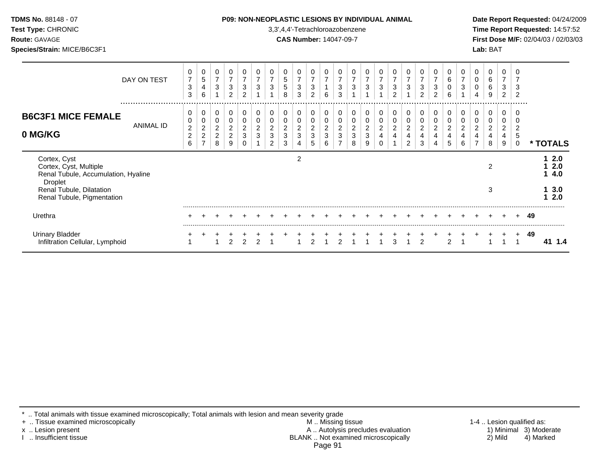| <b>TDMS No. 88148 - 07</b>                                                                      |                  |                                                                  |                                                                      |                                                |                                                         |                                                               |                                                  |                                                                        |                                                    | <b>P09: NON-NEOPLASTIC LESIONS BY INDIVIDUAL ANIMAL</b> |                                                                    |                                              |                                        |                          |                     |                                 |                                                     |                          |                                       |                                            |                          |                                   |                                 |                            |                                            |                                             |    | Date Report Requested: 04/24/2009   |
|-------------------------------------------------------------------------------------------------|------------------|------------------------------------------------------------------|----------------------------------------------------------------------|------------------------------------------------|---------------------------------------------------------|---------------------------------------------------------------|--------------------------------------------------|------------------------------------------------------------------------|----------------------------------------------------|---------------------------------------------------------|--------------------------------------------------------------------|----------------------------------------------|----------------------------------------|--------------------------|---------------------|---------------------------------|-----------------------------------------------------|--------------------------|---------------------------------------|--------------------------------------------|--------------------------|-----------------------------------|---------------------------------|----------------------------|--------------------------------------------|---------------------------------------------|----|-------------------------------------|
| Test Type: CHRONIC                                                                              |                  | 3,3',4,4'-Tetrachloroazobenzene<br><b>CAS Number: 14047-09-7</b> |                                                                      |                                                |                                                         |                                                               |                                                  |                                                                        |                                                    |                                                         |                                                                    |                                              |                                        |                          |                     |                                 |                                                     |                          |                                       |                                            |                          |                                   | Time Report Requested: 14:57:52 |                            |                                            |                                             |    |                                     |
| <b>Route: GAVAGE</b><br>Species/Strain: MICE/B6C3F1                                             |                  |                                                                  |                                                                      |                                                |                                                         |                                                               |                                                  |                                                                        |                                                    |                                                         |                                                                    |                                              |                                        |                          |                     |                                 |                                                     |                          |                                       |                                            |                          |                                   |                                 | Lab: BAT                   |                                            |                                             |    | First Dose M/F: 02/04/03 / 02/03/03 |
|                                                                                                 | DAY ON TEST      | 0<br>$\overline{7}$<br>3<br>3                                    | 0<br>5<br>4<br>6                                                     | 0<br>$\overline{\mathbf{7}}$<br>3              | 0<br>$\overline{7}$<br>3<br>$\overline{c}$              | $\overline{7}$<br>$\ensuremath{\mathsf{3}}$<br>$\overline{2}$ | 0<br>$\overline{7}$<br>$\ensuremath{\mathsf{3}}$ | 0<br>$\overline{7}$<br>$\sqrt{3}$                                      | 0<br>$\mathbf 5$<br>$\,$ 5 $\,$<br>8               | 0<br>$\overline{7}$<br>3<br>$\mathbf{3}$                | 0<br>$\overline{7}$<br>$\ensuremath{\mathsf{3}}$<br>$\overline{2}$ | 0<br>$\overline{7}$<br>$\mathbf{1}$<br>6     | 0<br>$\overline{7}$<br>$\sqrt{3}$<br>3 | 0<br>$\overline{7}$<br>3 | $\overline{7}$<br>3 | 0<br>$\overline{7}$<br>3        | 0<br>$\overline{7}$<br>$\sqrt{3}$<br>$\overline{2}$ | 0<br>$\overline{7}$<br>3 | $\overline{7}$<br>3<br>$\overline{2}$ | 0<br>$\overline{7}$<br>3<br>$\overline{2}$ | 0<br>6<br>0<br>6         | 0<br>$\overline{7}$<br>$\sqrt{3}$ | 0<br>0<br>0<br>4                | 0<br>$\,6\,$<br>6<br>9     | 0<br>$\overline{7}$<br>3<br>$\overline{2}$ | 3<br>$\overline{2}$                         |    |                                     |
| <b>B6C3F1 MICE FEMALE</b>                                                                       | <b>ANIMAL ID</b> | 0<br>0                                                           | 0<br>0                                                               | 0<br>$\mathbf 0$                               | 0<br>0                                                  | 0                                                             | 0<br>0                                           | 0<br>0                                                                 | 0<br>0                                             | 0<br>$\mathbf 0$                                        | 0<br>$\mathbf 0$                                                   | 0<br>0                                       | 0<br>$\pmb{0}$                         | 0<br>0                   | 0<br>$\Omega$       | 0<br>0                          | 0<br>0                                              | 0<br>0                   | 0                                     | 0<br>0                                     | 0<br>0                   | 0<br>0                            | 0<br>0                          | 0<br>0                     | 0<br>0                                     |                                             |    |                                     |
| 0 MG/KG                                                                                         |                  | $\overline{c}$<br>$\overline{c}$<br>6                            | $\overline{\mathbf{c}}$<br>$\overline{\mathbf{c}}$<br>$\overline{ }$ | $\overline{\mathbf{c}}$<br>$\overline{c}$<br>8 | $\overline{\mathbf{c}}$<br>$\overline{\mathbf{c}}$<br>9 | 2<br>3<br>0                                                   | $\overline{c}$<br>$\ensuremath{\mathsf{3}}$      | $\overline{\mathbf{c}}$<br>$\ensuremath{\mathsf{3}}$<br>$\overline{2}$ | $\boldsymbol{2}$<br>$\ensuremath{\mathsf{3}}$<br>3 | $\overline{c}$<br>3                                     | $\sqrt{2}$<br>$\mathbf{3}$<br>5                                    | $\sqrt{2}$<br>$\ensuremath{\mathsf{3}}$<br>6 | $\overline{c}$<br>3                    | 2<br>3<br>8              | 2<br>9              | $\overline{c}$<br>4<br>$\Omega$ | $\overline{\mathbf{c}}$<br>4                        | $\overline{c}$<br>4<br>2 | $\overline{\mathbf{c}}$<br>4<br>3     | $\overline{2}$<br>4<br>4                   | $\overline{c}$<br>4<br>5 | $\boldsymbol{2}$<br>4<br>6        | $\overline{c}$                  | $\boldsymbol{2}$<br>4<br>8 | $\overline{c}$<br>4<br>9                   | $\overline{\mathbf{c}}$<br>5<br>$\mathbf 0$ |    | * TOTALS                            |
| Cortex, Cyst<br>Cortex, Cyst, Multiple<br>Renal Tubule, Accumulation, Hyaline<br><b>Droplet</b> |                  |                                                                  |                                                                      |                                                |                                                         |                                                               |                                                  |                                                                        |                                                    | $\overline{c}$                                          |                                                                    |                                              |                                        |                          |                     |                                 |                                                     |                          |                                       |                                            |                          |                                   |                                 | $\overline{2}$             |                                            |                                             |    | $12.0$<br>2.0<br>14.0               |
| Renal Tubule, Dilatation<br>Renal Tubule, Pigmentation                                          |                  |                                                                  |                                                                      |                                                |                                                         |                                                               |                                                  |                                                                        |                                                    |                                                         |                                                                    |                                              |                                        |                          |                     |                                 |                                                     |                          |                                       |                                            |                          |                                   |                                 | 3                          |                                            |                                             |    | 13.0<br>12.0                        |
| Urethra                                                                                         |                  |                                                                  |                                                                      |                                                |                                                         |                                                               |                                                  |                                                                        |                                                    |                                                         |                                                                    |                                              |                                        |                          |                     |                                 |                                                     |                          |                                       |                                            |                          |                                   |                                 |                            |                                            |                                             | 49 |                                     |
| <b>Urinary Bladder</b><br>Infiltration Cellular, Lymphoid                                       |                  |                                                                  |                                                                      |                                                | $\mathfrak{p}$                                          |                                                               | $\mathcal{P}$                                    |                                                                        |                                                    |                                                         |                                                                    |                                              |                                        |                          |                     |                                 | 3                                                   |                          | $\overline{2}$                        |                                            | $\mathcal{P}$            |                                   |                                 |                            |                                            |                                             | 49 | 41 1.4                              |

\* .. Total animals with tissue examined microscopically; Total animals with lesion and mean severity grade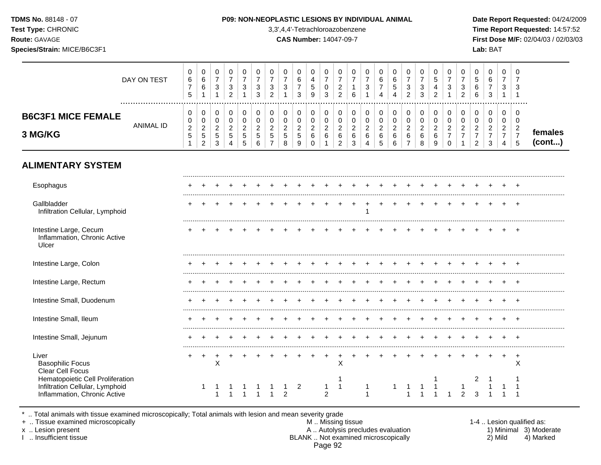### **TDMS No.** 88148 - 07 **P09: NON-NEOPLASTIC LESIONS BY INDIVIDUAL ANIMAL Date Report Requested:** 04/24/2009

**Test Type:** CHRONIC 3,3',4,4'-Tetrachloroazobenzene **Time Report Requested:** 14:57:52 **Route:** GAVAGE **CAS Number:** 14047-09-7 **First Dose M/F:** 02/04/03 / 02/03/03

|                                                                                                     | DAY ON TEST      | $\pmb{0}$<br>$\,6$<br>$\overline{7}$<br>5 | 0<br>$\,6\,$<br>$\,6\,$<br>$\mathbf{1}$   | $\pmb{0}$<br>$\overline{7}$<br>$\sqrt{3}$<br>$\mathbf{1}$          | $\pmb{0}$<br>$\overline{7}$<br>$\sqrt{3}$<br>$\overline{2}$ | $\mathbf 0$<br>$\overline{7}$<br>$\sqrt{3}$     | 0<br>$\overline{7}$<br>3<br>3                | 0<br>$\overline{7}$<br>3<br>$\overline{2}$                      | 0<br>$\overline{7}$<br>$\ensuremath{\mathsf{3}}$      | $\pmb{0}$<br>6<br>$\overline{7}$<br>3        | $\pmb{0}$<br>$\overline{4}$<br>$\sqrt{5}$<br>9          | $\mathbf 0$<br>$\overline{7}$<br>$\mathbf 0$<br>$\mathbf{3}$  | $\pmb{0}$<br>$\overline{7}$<br>$\boldsymbol{2}$<br>$\overline{2}$ | 0<br>$\overline{7}$<br>$\mathbf{1}$<br>6           | 0<br>$\overline{7}$<br>$\ensuremath{\mathsf{3}}$              | $\pmb{0}$<br>$\,6\,$<br>$\overline{7}$                 | $\pmb{0}$<br>6<br>5                              | $\pmb{0}$<br>$\overline{7}$<br>$\ensuremath{\mathsf{3}}$<br>$\overline{2}$ | $\pmb{0}$<br>$\overline{7}$<br>$\sqrt{3}$<br>3 | $\pmb{0}$<br>$\overline{5}$<br>4<br>$\overline{2}$ | 0<br>$\overline{7}$<br>$\mathbf{3}$<br>1                         | $\pmb{0}$<br>$\overline{7}$<br>$\ensuremath{\mathsf{3}}$<br>$\overline{2}$ | $\mathsf{O}\xspace$<br>$\sqrt{5}$<br>6<br>6                            | 0<br>$\,6\,$<br>$\overline{7}$<br>3                       | $\mathsf 0$<br>$\overline{7}$<br>3<br>1                                | $\mathbf 0$<br>$\overline{7}$<br>3<br>$\overline{1}$                |                   |
|-----------------------------------------------------------------------------------------------------|------------------|-------------------------------------------|-------------------------------------------|--------------------------------------------------------------------|-------------------------------------------------------------|-------------------------------------------------|----------------------------------------------|-----------------------------------------------------------------|-------------------------------------------------------|----------------------------------------------|---------------------------------------------------------|---------------------------------------------------------------|-------------------------------------------------------------------|----------------------------------------------------|---------------------------------------------------------------|--------------------------------------------------------|--------------------------------------------------|----------------------------------------------------------------------------|------------------------------------------------|----------------------------------------------------|------------------------------------------------------------------|----------------------------------------------------------------------------|------------------------------------------------------------------------|-----------------------------------------------------------|------------------------------------------------------------------------|---------------------------------------------------------------------|-------------------|
| <b>B6C3F1 MICE FEMALE</b><br>3 MG/KG                                                                | <b>ANIMAL ID</b> | 0<br>0<br>$\sqrt{2}$<br>5<br>$\mathbf{1}$ | 0<br>0<br>$\frac{2}{5}$<br>$\overline{2}$ | $\pmb{0}$<br>$\pmb{0}$<br>$\sqrt{2}$<br>$\sqrt{5}$<br>$\mathbf{3}$ | 0<br>0<br>$\overline{c}$<br>$\sqrt{5}$<br>$\overline{4}$    | $\pmb{0}$<br>0<br>$\sqrt{2}$<br>$\sqrt{5}$<br>5 | 0<br>$\mathbf 0$<br>$\overline{2}$<br>5<br>6 | $\pmb{0}$<br>$\pmb{0}$<br>$\overline{2}$<br>5<br>$\overline{7}$ | 0<br>$\mathbf 0$<br>$\overline{c}$<br>$\sqrt{5}$<br>8 | $\pmb{0}$<br>$\pmb{0}$<br>$\frac{2}{5}$<br>9 | 0<br>$\pmb{0}$<br>$\overline{c}$<br>$\,6\,$<br>$\Omega$ | 0<br>$\mathbf 0$<br>$\overline{a}$<br>$\,6\,$<br>$\mathbf{1}$ | 0<br>$\mathbf 0$<br>$\overline{c}$<br>6<br>$\overline{2}$         | 0<br>$\mathbf 0$<br>$\overline{2}$<br>$\,6\,$<br>3 | 0<br>$\pmb{0}$<br>$\overline{a}$<br>$\,6\,$<br>$\overline{4}$ | $\pmb{0}$<br>$\mathbf 0$<br>$\sqrt{2}$<br>$\,6\,$<br>5 | $\,0\,$<br>$\pmb{0}$<br>$\overline{c}$<br>6<br>6 | $\mathbf 0$<br>$\pmb{0}$<br>$\overline{c}$<br>$\,6\,$<br>$\overline{7}$    | 0<br>$\mathbf 0$<br>$\overline{a}$<br>6<br>8   | $\,0\,$<br>$\pmb{0}$<br>$\sqrt{2}$<br>6<br>9       | 0<br>$\mathbf 0$<br>$\overline{2}$<br>$\overline{7}$<br>$\Omega$ | 0<br>$\boldsymbol{0}$<br>$\overline{c}$<br>$\overline{7}$<br>$\mathbf{1}$  | 0<br>$\mathbf 0$<br>$\overline{c}$<br>$\overline{7}$<br>$\overline{2}$ | 0<br>$\mathbf 0$<br>$\overline{c}$<br>$\overline{7}$<br>3 | 0<br>$\mathbf 0$<br>$\overline{c}$<br>$\overline{7}$<br>$\overline{4}$ | $\mathbf 0$<br>$\mathbf 0$<br>$\overline{c}$<br>$\overline{7}$<br>5 | females<br>(cont) |
| <b>ALIMENTARY SYSTEM</b>                                                                            |                  |                                           |                                           |                                                                    |                                                             |                                                 |                                              |                                                                 |                                                       |                                              |                                                         |                                                               |                                                                   |                                                    |                                                               |                                                        |                                                  |                                                                            |                                                |                                                    |                                                                  |                                                                            |                                                                        |                                                           |                                                                        |                                                                     |                   |
| Esophagus                                                                                           |                  |                                           |                                           |                                                                    |                                                             |                                                 |                                              |                                                                 |                                                       |                                              |                                                         |                                                               |                                                                   |                                                    |                                                               |                                                        |                                                  |                                                                            |                                                |                                                    |                                                                  |                                                                            |                                                                        |                                                           |                                                                        |                                                                     |                   |
| Gallbladder<br>Infiltration Cellular, Lymphoid                                                      |                  |                                           |                                           |                                                                    |                                                             |                                                 |                                              |                                                                 |                                                       |                                              |                                                         |                                                               |                                                                   |                                                    |                                                               |                                                        |                                                  |                                                                            |                                                |                                                    |                                                                  |                                                                            |                                                                        |                                                           |                                                                        | $+$                                                                 |                   |
| Intestine Large, Cecum<br>Inflammation, Chronic Active<br>Ulcer                                     |                  |                                           |                                           |                                                                    |                                                             |                                                 |                                              |                                                                 |                                                       |                                              |                                                         |                                                               |                                                                   |                                                    |                                                               |                                                        |                                                  |                                                                            |                                                |                                                    |                                                                  |                                                                            |                                                                        |                                                           |                                                                        | $\overline{ }$                                                      |                   |
| Intestine Large, Colon                                                                              |                  |                                           |                                           |                                                                    |                                                             |                                                 |                                              |                                                                 |                                                       |                                              |                                                         |                                                               |                                                                   |                                                    |                                                               |                                                        |                                                  |                                                                            |                                                |                                                    |                                                                  |                                                                            |                                                                        |                                                           |                                                                        |                                                                     |                   |
| Intestine Large, Rectum                                                                             |                  |                                           |                                           |                                                                    |                                                             |                                                 |                                              |                                                                 |                                                       |                                              |                                                         |                                                               |                                                                   |                                                    |                                                               |                                                        |                                                  |                                                                            |                                                |                                                    |                                                                  |                                                                            |                                                                        |                                                           |                                                                        | $\overline{+}$                                                      |                   |
| Intestine Small, Duodenum                                                                           |                  |                                           |                                           |                                                                    |                                                             |                                                 |                                              |                                                                 |                                                       |                                              |                                                         |                                                               |                                                                   |                                                    |                                                               |                                                        |                                                  |                                                                            |                                                |                                                    |                                                                  |                                                                            |                                                                        |                                                           |                                                                        | $\div$                                                              |                   |
| Intestine Small, Ileum                                                                              |                  |                                           |                                           |                                                                    |                                                             |                                                 |                                              |                                                                 |                                                       |                                              |                                                         |                                                               |                                                                   |                                                    |                                                               |                                                        |                                                  |                                                                            |                                                |                                                    |                                                                  |                                                                            |                                                                        |                                                           |                                                                        |                                                                     |                   |
| Intestine Small, Jejunum                                                                            |                  |                                           |                                           |                                                                    |                                                             |                                                 |                                              |                                                                 |                                                       |                                              |                                                         |                                                               |                                                                   |                                                    |                                                               |                                                        |                                                  |                                                                            |                                                |                                                    |                                                                  |                                                                            |                                                                        |                                                           |                                                                        |                                                                     |                   |
| Liver<br><b>Basophilic Focus</b><br><b>Clear Cell Focus</b>                                         |                  |                                           | $\overline{ }$                            | X                                                                  |                                                             |                                                 |                                              |                                                                 |                                                       |                                              |                                                         |                                                               | $\mathsf X$                                                       |                                                    |                                                               |                                                        |                                                  |                                                                            |                                                |                                                    |                                                                  |                                                                            |                                                                        |                                                           | $\ddot{}$                                                              | $+$<br>$\times$                                                     |                   |
| Hematopoietic Cell Proliferation<br>Infiltration Cellular, Lymphoid<br>Inflammation, Chronic Active |                  |                                           | 1                                         |                                                                    |                                                             |                                                 |                                              |                                                                 | $\overline{2}$                                        | $\overline{2}$                               |                                                         | 1<br>$\overline{2}$                                           | $\overline{\mathbf{1}}$                                           |                                                    | 1<br>$\overline{1}$                                           |                                                        | 1                                                |                                                                            |                                                |                                                    |                                                                  | $\mathcal{P}$                                                              | 3                                                                      |                                                           |                                                                        |                                                                     |                   |

\* .. Total animals with tissue examined microscopically; Total animals with lesion and mean severity grade

+ .. Tissue examined microscopically M .. Missing tissue 1-4 .. Lesion qualified as: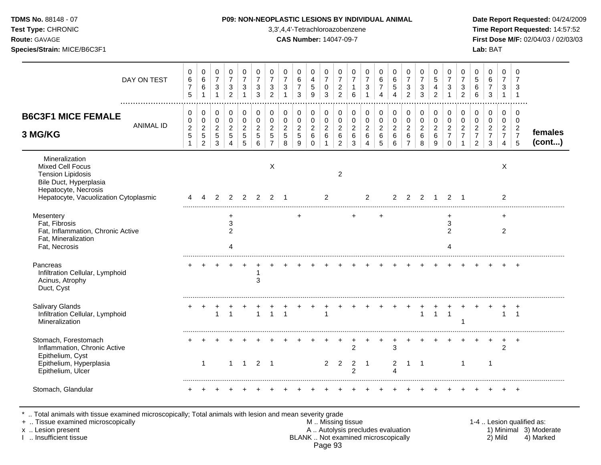| <b>TDMS No. 88148 - 07</b> |  |
|----------------------------|--|
| <b>Test Type: CHRONIC</b>  |  |

### **P09: NON-NEOPLASTIC LESIONS BY INDIVIDUAL ANIMAL Date Report Requested: 04/24/2009**

Type: CHRONIC **3,3',4,4'-Tetrachloroazobenzene** 3,3',4,4'-Tetrachloroazobenzene **Time Report Requested:** 14:57:52 **Route:** GAVAGE **CAS Number:** 14047-09-7 **First Dose M/F:** 02/04/03 / 02/03/03 **Species/Strain:** MICE/B6C3F1 **Lab:** BAT

| DAY ON TEST                                                                                                                                               | 0<br>$\,6$<br>$\overline{7}$<br>5           | 0<br>$\,6\,$<br>$\,6$<br>$\mathbf 1$                                     | 0<br>$\overline{7}$<br>$\mathbf{3}$<br>$\mathbf{1}$ | 0<br>$\overline{7}$<br>$\sqrt{3}$<br>$\overline{c}$  | 0<br>$\overline{7}$<br>$\mathbf{3}$<br>1               | 0<br>$\overline{7}$<br>$\sqrt{3}$<br>3 | 0<br>$\overline{7}$<br>$\ensuremath{\mathsf{3}}$<br>$\overline{2}$  | 0<br>$\overline{7}$<br>$\mathbf{3}$          | 0<br>6<br>$\overline{7}$<br>3                | 0<br>$\overline{4}$<br>$\sqrt{5}$<br>9                           | 0<br>$\overline{7}$<br>$\mathbf 0$<br>$\sqrt{3}$  | 0<br>$\overline{7}$<br>$\sqrt{2}$<br>$\overline{a}$ | 0<br>$\overline{7}$<br>$\mathbf{1}$<br>6           | 0<br>$\overline{7}$<br>$\mathbf{3}$                               | 0<br>$\,6\,$<br>$\overline{7}$<br>$\boldsymbol{\Lambda}$  | 0<br>$\,6\,$<br>$\sqrt{5}$<br>$\boldsymbol{\Lambda}$   | 0<br>$\overline{7}$<br>$\mathbf{3}$<br>$\overline{2}$               | 0<br>$\overline{7}$<br>$\sqrt{3}$<br>3       | 0<br>5<br>4<br>2                             | 0<br>$\overline{7}$<br>3                                         | 0<br>$\overline{7}$<br>3<br>$\overline{c}$           | 0<br>5<br>$\,6$<br>6                                                             | 0<br>$\,6\,$<br>$\overline{7}$<br>3             | 0<br>$\overline{7}$<br>3<br>$\mathbf{1}$                     | 0<br>$\overline{7}$<br>3<br>-1                                         |                   |
|-----------------------------------------------------------------------------------------------------------------------------------------------------------|---------------------------------------------|--------------------------------------------------------------------------|-----------------------------------------------------|------------------------------------------------------|--------------------------------------------------------|----------------------------------------|---------------------------------------------------------------------|----------------------------------------------|----------------------------------------------|------------------------------------------------------------------|---------------------------------------------------|-----------------------------------------------------|----------------------------------------------------|-------------------------------------------------------------------|-----------------------------------------------------------|--------------------------------------------------------|---------------------------------------------------------------------|----------------------------------------------|----------------------------------------------|------------------------------------------------------------------|------------------------------------------------------|----------------------------------------------------------------------------------|-------------------------------------------------|--------------------------------------------------------------|------------------------------------------------------------------------|-------------------|
| <b>B6C3F1 MICE FEMALE</b><br><b>ANIMAL ID</b><br>3 MG/KG                                                                                                  | 0<br>0<br>$\overline{c}$<br>$\sqrt{5}$<br>1 | $\mathbf 0$<br>$\boldsymbol{0}$<br>$\overline{c}$<br>5<br>$\overline{2}$ | $\mathbf 0$<br>0<br>$\overline{2}$<br>5<br>3        | $\mathbf 0$<br>$\pmb{0}$<br>$\overline{c}$<br>5<br>4 | $\mathbf 0$<br>$\mathbf 0$<br>$\overline{2}$<br>5<br>5 | 0<br>0<br>$\overline{2}$<br>5<br>6     | $\mathbf 0$<br>$\mathbf 0$<br>$\overline{c}$<br>5<br>$\overline{7}$ | $\mathbf 0$<br>0<br>$\overline{2}$<br>5<br>8 | 0<br>$\mathbf 0$<br>$\overline{2}$<br>5<br>9 | $\mathbf 0$<br>$\mathbf 0$<br>$\overline{2}$<br>6<br>$\mathbf 0$ | $\mathbf 0$<br>$\mathbf 0$<br>$\overline{2}$<br>6 | 0<br>0<br>$\overline{2}$<br>6<br>$\overline{2}$     | 0<br>0<br>$\overline{2}$<br>6<br>3                 | $\pmb{0}$<br>$\mathbf 0$<br>$\overline{c}$<br>6<br>$\overline{4}$ | 0<br>$\pmb{0}$<br>$\boldsymbol{2}$<br>$6\phantom{1}$<br>5 | $\mathbf 0$<br>$\mathbf 0$<br>$\overline{2}$<br>6<br>6 | $\mathbf 0$<br>$\mathbf 0$<br>$\overline{2}$<br>6<br>$\overline{7}$ | 0<br>$\mathbf 0$<br>$\overline{2}$<br>6<br>8 | 0<br>$\mathbf 0$<br>$\overline{2}$<br>6<br>9 | 0<br>$\mathbf 0$<br>$\overline{2}$<br>$\overline{7}$<br>$\Omega$ | 0<br>$\mathbf 0$<br>$\overline{2}$<br>$\overline{7}$ | $\mathbf 0$<br>$\mathbf 0$<br>$\overline{2}$<br>$\overline{7}$<br>$\overline{2}$ | 0<br>0<br>$\overline{2}$<br>$\overline{7}$<br>3 | 0<br>0<br>$\overline{2}$<br>$\overline{7}$<br>$\overline{4}$ | $\mathbf 0$<br>0<br>$\overline{2}$<br>$\overline{7}$<br>$\overline{5}$ | females<br>(cont) |
| Mineralization<br>Mixed Cell Focus<br><b>Tension Lipidosis</b><br>Bile Duct, Hyperplasia<br>Hepatocyte, Necrosis<br>Hepatocyte, Vacuolization Cytoplasmic |                                             |                                                                          | 2                                                   | 2                                                    | 2                                                      | 2                                      | X<br>2                                                              | - 1                                          |                                              |                                                                  | 2                                                 | 2                                                   |                                                    | 2                                                                 |                                                           | 2                                                      | 2                                                                   | 2                                            |                                              | 2                                                                | -1                                                   |                                                                                  |                                                 | X<br>2                                                       |                                                                        |                   |
| Mesentery<br>Fat, Fibrosis<br>Fat, Inflammation, Chronic Active<br>Fat, Mineralization<br>Fat, Necrosis                                                   |                                             |                                                                          |                                                     | $\ddot{}$<br>3<br>2<br>4                             |                                                        |                                        |                                                                     |                                              | +                                            |                                                                  |                                                   |                                                     | +                                                  |                                                                   | $\ddot{}$                                                 |                                                        |                                                                     |                                              |                                              | $\ddot{}$<br>3<br>$\overline{2}$                                 |                                                      |                                                                                  |                                                 | $\ddot{}$<br>2                                               |                                                                        |                   |
| Pancreas<br>Infiltration Cellular, Lymphoid<br>Acinus, Atrophy<br>Duct, Cyst                                                                              |                                             |                                                                          |                                                     |                                                      |                                                        | 3                                      |                                                                     |                                              |                                              |                                                                  |                                                   |                                                     |                                                    |                                                                   |                                                           |                                                        |                                                                     |                                              |                                              |                                                                  |                                                      |                                                                                  |                                                 |                                                              | $\overline{+}$                                                         |                   |
| <b>Salivary Glands</b><br>Infiltration Cellular, Lymphoid<br>Mineralization                                                                               |                                             | $\ddot{}$                                                                | 1                                                   | $\overline{1}$                                       |                                                        |                                        |                                                                     | $\mathbf{1}$                                 |                                              |                                                                  | $\overline{1}$                                    |                                                     |                                                    |                                                                   |                                                           |                                                        | $\ddot{}$                                                           | $\overline{1}$                               | $\mathbf{1}$                                 |                                                                  |                                                      |                                                                                  |                                                 | $\mathbf{1}$                                                 | $\overline{ }$<br>$\overline{1}$                                       |                   |
| Stomach, Forestomach<br>Inflammation, Chronic Active<br>Epithelium, Cyst<br>Epithelium, Hyperplasia<br>Epithelium, Ulcer                                  |                                             | 1                                                                        |                                                     | $\mathbf 1$                                          | $\mathbf{1}$                                           | $\overline{2}$                         | $\overline{\phantom{0}}$ 1                                          |                                              |                                              |                                                                  | $\overline{2}$                                    | $\overline{2}$                                      | $\overline{2}$<br>$\overline{2}$<br>$\overline{2}$ | -1                                                                |                                                           | 3<br>2<br>4                                            |                                                                     | -1                                           |                                              |                                                                  | 1                                                    |                                                                                  | $\mathbf{1}$                                    | +<br>$\overline{2}$                                          | $\overline{ }$                                                         |                   |
| Stomach, Glandular                                                                                                                                        |                                             |                                                                          |                                                     |                                                      |                                                        |                                        |                                                                     |                                              |                                              |                                                                  |                                                   |                                                     |                                                    |                                                                   |                                                           |                                                        |                                                                     |                                              |                                              |                                                                  |                                                      |                                                                                  |                                                 |                                                              | $\overline{+}$                                                         |                   |

\* .. Total animals with tissue examined microscopically; Total animals with lesion and mean severity grade

- + .. Tissue examined microscopically M .. Missing tissue 1-4 .. Lesion qualified as: x .. Lesion present **A .. Autolysis precludes evaluation** A .. Autolysis precludes evaluation 1) Minimal 3) Moderate I .. Insufficient tissue BLANK .. Not examined microscopically 2) Mild 4) Marked Page 93
-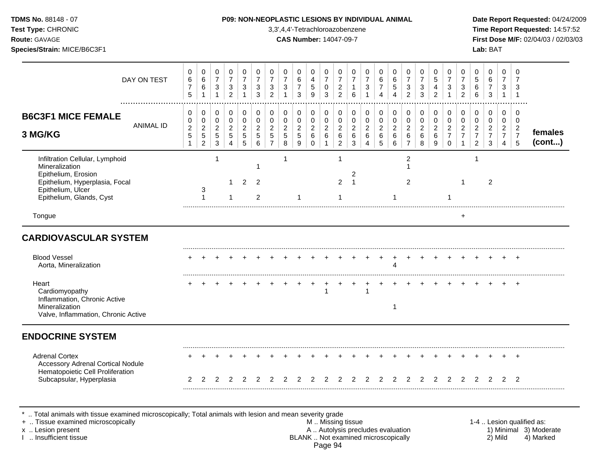**Test Type:** CHRONIC 3,3',4,4'-Tetrachloroazobenzene **Time Report Requested:** 14:57:52 **Route:** GAVAGE **CAS Number:** 14047-09-7 **First Dose M/F:** 02/04/03 / 02/03/03 **Species/Strain:** MICE/B6C3F1 **Lab:** BAT

| DAY ON TEST                                                                                                                                                 |                  | 0<br>$\,6$<br>$\overline{7}$<br>5           | 0<br>$\,6$<br>$\,6\,$<br>$\mathbf{1}$                              | 0<br>$\overline{7}$<br>3<br>$\mathbf{1}$ | 0<br>$\overline{7}$<br>3<br>$\overline{2}$                      | 0<br>$\overline{7}$<br>3<br>$\mathbf{1}$     | 0<br>$\overline{7}$<br>3<br>3                          | 0<br>$\overline{7}$<br>$\sqrt{3}$<br>2                          | 0<br>$\overline{7}$<br>$\sqrt{3}$<br>$\mathbf{1}$      | 0<br>6<br>$\overline{7}$<br>3                         | 0<br>$\overline{4}$<br>$\sqrt{5}$<br>9                                   | 0<br>$\overline{7}$<br>0<br>3                       | 0<br>$\overline{7}$<br>$\overline{2}$<br>$\overline{2}$           | 0<br>$\overline{7}$<br>$\mathbf{1}$<br>6 | 0<br>$\overline{7}$<br>3                                                | 0<br>6<br>$\overline{7}$<br>4                             | 0<br>$\,6$<br>5<br>$\overline{4}$                    | 0<br>$\overline{7}$<br>$\mathbf{3}$<br>2                            | 0<br>$\overline{7}$<br>3<br>3            | $\mathbf 0$<br>5<br>4<br>2                             | 0<br>$\overline{7}$<br>3                                            | 0<br>$\overline{7}$<br>$\ensuremath{\mathsf{3}}$<br>2          | 0<br>$\sqrt{5}$<br>$\,6$<br>6                                                    | 0<br>6<br>$\overline{7}$<br>3                   | 0<br>$\overline{7}$<br>3<br>$\mathbf{1}$                                         | 0<br>-7<br>3<br>$\mathbf{1}$                                        |                           |
|-------------------------------------------------------------------------------------------------------------------------------------------------------------|------------------|---------------------------------------------|--------------------------------------------------------------------|------------------------------------------|-----------------------------------------------------------------|----------------------------------------------|--------------------------------------------------------|-----------------------------------------------------------------|--------------------------------------------------------|-------------------------------------------------------|--------------------------------------------------------------------------|-----------------------------------------------------|-------------------------------------------------------------------|------------------------------------------|-------------------------------------------------------------------------|-----------------------------------------------------------|------------------------------------------------------|---------------------------------------------------------------------|------------------------------------------|--------------------------------------------------------|---------------------------------------------------------------------|----------------------------------------------------------------|----------------------------------------------------------------------------------|-------------------------------------------------|----------------------------------------------------------------------------------|---------------------------------------------------------------------|---------------------------|
| <b>B6C3F1 MICE FEMALE</b><br>3 MG/KG                                                                                                                        | <b>ANIMAL ID</b> | 0<br>$\pmb{0}$<br>$\mathbf 2$<br>$\sqrt{5}$ | 0<br>$\pmb{0}$<br>$\boldsymbol{2}$<br>$\sqrt{5}$<br>$\overline{2}$ | 0<br>0<br>$\overline{2}$<br>$5\,$<br>3   | $\mathbf 0$<br>$\mathbf 0$<br>$\overline{2}$<br>$\sqrt{5}$<br>4 | 0<br>$\mathbf 0$<br>$\overline{c}$<br>5<br>5 | $\mathbf 0$<br>$\mathbf 0$<br>$\overline{c}$<br>5<br>6 | $\pmb{0}$<br>$\pmb{0}$<br>$\overline{c}$<br>5<br>$\overline{7}$ | 0<br>$\mathbf 0$<br>$\overline{2}$<br>$5\,$<br>$\,8\,$ | 0<br>$\mathbf 0$<br>$\overline{c}$<br>$\sqrt{5}$<br>9 | $\mathbf 0$<br>$\mathbf 0$<br>$\boldsymbol{2}$<br>$\,6\,$<br>$\mathbf 0$ | $\mathbf 0$<br>$\mathbf 0$<br>$\boldsymbol{2}$<br>6 | $\pmb{0}$<br>$\mathbf 0$<br>$\overline{2}$<br>6<br>$\overline{a}$ | 0<br>0<br>$\overline{2}$<br>6<br>3       | $\mathbf 0$<br>$\mathsf{O}\xspace$<br>$\sqrt{2}$<br>6<br>$\overline{A}$ | 0<br>$\pmb{0}$<br>$\overline{2}$<br>$\,6\,$<br>$\sqrt{5}$ | $\mathbf 0$<br>$\pmb{0}$<br>$\overline{c}$<br>6<br>6 | $\mathbf 0$<br>$\mathbf 0$<br>$\overline{2}$<br>6<br>$\overline{7}$ | 0<br>$\mathbf 0$<br>$\sqrt{2}$<br>6<br>8 | $\mathbf 0$<br>$\mathbf 0$<br>$\overline{c}$<br>6<br>9 | 0<br>$\mathbf 0$<br>$\overline{c}$<br>$\overline{7}$<br>$\mathbf 0$ | $\mathbf 0$<br>$\pmb{0}$<br>$\boldsymbol{2}$<br>$\overline{7}$ | $\pmb{0}$<br>$\mathbf 0$<br>$\boldsymbol{2}$<br>$\overline{7}$<br>$\overline{c}$ | 0<br>0<br>$\overline{a}$<br>$\overline{7}$<br>3 | $\mathbf 0$<br>$\mathbf 0$<br>$\overline{2}$<br>$\overline{7}$<br>$\overline{4}$ | $\mathbf 0$<br>$\mathbf 0$<br>$\overline{2}$<br>$\overline{7}$<br>5 | females<br>(cont)         |
| Infiltration Cellular, Lymphoid<br>Mineralization<br>Epithelium, Erosion<br>Epithelium, Hyperplasia, Focal<br>Epithelium, Ulcer<br>Epithelium, Glands, Cyst |                  |                                             | 3<br>1                                                             |                                          | $\mathbf{1}$                                                    | 2                                            | 2<br>$\overline{c}$                                    |                                                                 | $\mathbf{1}$                                           | 1                                                     |                                                                          |                                                     | $\mathbf{1}$<br>$\overline{2}$<br>1                               | $\overline{c}$<br>$\overline{1}$         |                                                                         |                                                           |                                                      | $\overline{c}$<br>1<br>2                                            |                                          |                                                        |                                                                     | -1                                                             | 1                                                                                | $\overline{2}$                                  |                                                                                  |                                                                     |                           |
| Tongue                                                                                                                                                      |                  |                                             |                                                                    |                                          |                                                                 |                                              |                                                        |                                                                 |                                                        |                                                       |                                                                          |                                                     |                                                                   |                                          |                                                                         |                                                           |                                                      |                                                                     |                                          |                                                        |                                                                     | $\ddot{}$                                                      |                                                                                  |                                                 |                                                                                  |                                                                     |                           |
| <b>CARDIOVASCULAR SYSTEM</b><br><b>Blood Vessel</b>                                                                                                         |                  |                                             |                                                                    |                                          |                                                                 |                                              |                                                        |                                                                 |                                                        |                                                       |                                                                          |                                                     |                                                                   |                                          |                                                                         |                                                           |                                                      |                                                                     |                                          |                                                        |                                                                     |                                                                |                                                                                  |                                                 |                                                                                  | $\ddot{}$                                                           |                           |
| Aorta, Mineralization<br>Heart<br>Cardiomyopathy<br>Inflammation, Chronic Active<br>Mineralization<br>Valve, Inflammation, Chronic Active                   |                  |                                             |                                                                    |                                          |                                                                 |                                              |                                                        |                                                                 |                                                        |                                                       |                                                                          |                                                     |                                                                   |                                          |                                                                         |                                                           | 4<br>-1                                              |                                                                     |                                          |                                                        |                                                                     |                                                                |                                                                                  |                                                 |                                                                                  |                                                                     |                           |
| <b>ENDOCRINE SYSTEM</b>                                                                                                                                     |                  |                                             |                                                                    |                                          |                                                                 |                                              |                                                        |                                                                 |                                                        |                                                       |                                                                          |                                                     |                                                                   |                                          |                                                                         |                                                           |                                                      |                                                                     |                                          |                                                        |                                                                     |                                                                |                                                                                  |                                                 |                                                                                  |                                                                     |                           |
| <b>Adrenal Cortex</b><br>Accessory Adrenal Cortical Nodule<br>Hematopoietic Cell Proliferation<br>Subcapsular, Hyperplasia                                  |                  | 2                                           |                                                                    |                                          |                                                                 |                                              |                                                        |                                                                 |                                                        |                                                       |                                                                          |                                                     |                                                                   |                                          |                                                                         |                                                           |                                                      |                                                                     |                                          |                                                        |                                                                     |                                                                |                                                                                  |                                                 |                                                                                  | 2                                                                   |                           |
| Total animals with tissue examined microscopically; Total animals with lesion and mean severity grade<br>+  Tissue examined microscopically                 |                  |                                             |                                                                    |                                          |                                                                 |                                              |                                                        |                                                                 |                                                        |                                                       |                                                                          | M  Missing tissue                                   |                                                                   |                                          |                                                                         |                                                           |                                                      |                                                                     |                                          |                                                        |                                                                     |                                                                |                                                                                  |                                                 |                                                                                  |                                                                     | 1-4  Lesion qualified as: |

I .. Insufficient tissue BLANK .. Not examined microscopically 2) Mild 4) Marked Page 94

x .. Lesion present **A .. Autolysis precludes evaluation** A .. Autolysis precludes evaluation 1) Minimal 3) Moderate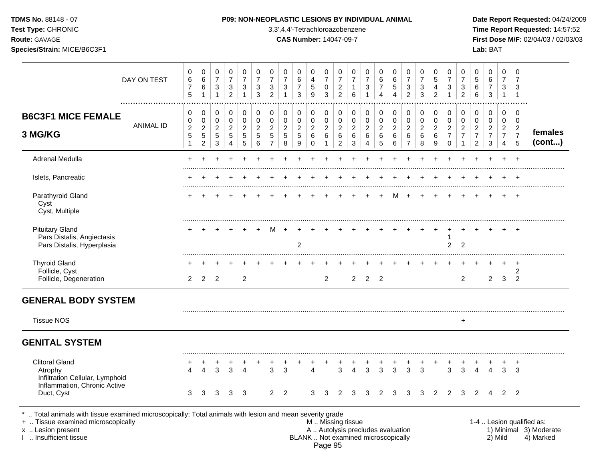**Test Type:** CHRONIC 3,3',4,4'-Tetrachloroazobenzene **Time Report Requested:** 14:57:52 **Route:** GAVAGE **CAS Number:** 14047-09-7 **First Dose M/F:** 02/04/03 / 02/03/03 **Species/Strain:** MICE/B6C3F1 **Lab:** BAT

|                                                                                                                                                                                            | DAY ON TEST      | 0<br>$\,6$<br>$\overline{7}$<br>5                                    | 0<br>$\,6\,$<br>$\,6\,$<br>$\mathbf{1}$                            | 0<br>$\overline{7}$<br>$\mathbf{3}$<br>$\mathbf{1}$                   | 0<br>$\overline{7}$<br>$\sqrt{3}$<br>$\overline{2}$          | 0<br>$\overline{7}$<br>3<br>$\mathbf{1}$         | $\mathbf 0$<br>$\overline{7}$<br>3<br>3                             | $\mathbf 0$<br>$\overline{7}$<br>3<br>$\overline{2}$               | 0<br>$\overline{7}$<br>$\mathbf{3}$<br>$\overline{1}$             | 0<br>6<br>$\overline{7}$<br>3               | 0<br>4<br>$\sqrt{5}$<br>9                | $\mathbf 0$<br>$\overline{7}$<br>$\mathbf 0$<br>3             | 0<br>$\overline{7}$<br>$\overline{c}$<br>$\overline{2}$ | 0<br>$\overline{7}$<br>1<br>$\,6\,$                       | $\mathbf 0$<br>$\overline{7}$<br>$\mathbf{3}$<br>$\mathbf{1}$ | 0<br>$\,6\,$<br>$\overline{7}$<br>$\overline{4}$                         | 0<br>$\,6\,$<br>$\sqrt{5}$<br>$\overline{4}$   | 0<br>$\overline{7}$<br>$\mathbf{3}$<br>$\overline{2}$                          | $\mathbf 0$<br>$\overline{7}$<br>$\mathbf{3}$<br>3       | 0<br>5<br>4<br>$\overline{2}$                                     | 0<br>$\overline{7}$<br>3<br>$\overline{1}$              | $\mathbf 0$<br>$\overline{7}$<br>$\sqrt{3}$<br>$\overline{2}$ | 0<br>$5\,$<br>$\,6\,$<br>$\,6\,$                             | 0<br>6<br>$\overline{7}$<br>$\mathbf{3}$                            | 0<br>$\overline{7}$<br>3<br>$\mathbf{1}$                  | 0<br>$\overline{7}$<br>3<br>$\mathbf{1}$                  |                                                                  |
|--------------------------------------------------------------------------------------------------------------------------------------------------------------------------------------------|------------------|----------------------------------------------------------------------|--------------------------------------------------------------------|-----------------------------------------------------------------------|--------------------------------------------------------------|--------------------------------------------------|---------------------------------------------------------------------|--------------------------------------------------------------------|-------------------------------------------------------------------|---------------------------------------------|------------------------------------------|---------------------------------------------------------------|---------------------------------------------------------|-----------------------------------------------------------|---------------------------------------------------------------|--------------------------------------------------------------------------|------------------------------------------------|--------------------------------------------------------------------------------|----------------------------------------------------------|-------------------------------------------------------------------|---------------------------------------------------------|---------------------------------------------------------------|--------------------------------------------------------------|---------------------------------------------------------------------|-----------------------------------------------------------|-----------------------------------------------------------|------------------------------------------------------------------|
| <b>B6C3F1 MICE FEMALE</b><br>3 MG/KG                                                                                                                                                       | <b>ANIMAL ID</b> | 0<br>$\pmb{0}$<br>$\boldsymbol{2}$<br>$\overline{5}$<br>$\mathbf{1}$ | 0<br>$\mathbf 0$<br>$\overline{2}$<br>$\sqrt{5}$<br>$\overline{a}$ | $\boldsymbol{0}$<br>0<br>$\overline{2}$<br>$\sqrt{5}$<br>$\mathbf{3}$ | 0<br>0<br>$\overline{2}$<br>$\overline{5}$<br>$\overline{4}$ | $\mathbf 0$<br>0<br>$\overline{2}$<br>$5\,$<br>5 | $\mathbf 0$<br>$\mathbf 0$<br>$\overline{2}$<br>$\sqrt{5}$<br>$\,6$ | 0<br>$\mathbf 0$<br>$\overline{c}$<br>$\sqrt{5}$<br>$\overline{7}$ | $\mathbf 0$<br>$\mathsf 0$<br>$\boldsymbol{2}$<br>$\sqrt{5}$<br>8 | 0<br>0<br>$\overline{2}$<br>$\sqrt{5}$<br>9 | 0<br>0<br>$\overline{2}$<br>$\,6\,$<br>0 | 0<br>$\mathbf 0$<br>$\overline{2}$<br>$\,6\,$<br>$\mathbf{1}$ | 0<br>0<br>$\overline{c}$<br>$\,6\,$<br>$\overline{c}$   | $\pmb{0}$<br>0<br>$\overline{c}$<br>$\,6\,$<br>$\sqrt{3}$ | $\pmb{0}$<br>$\mathbf 0$<br>$\overline{2}$<br>$\,6\,$<br>4    | $\pmb{0}$<br>$\pmb{0}$<br>$\overline{a}$<br>$\,6\,$<br>$\overline{5}$    | 0<br>0<br>$\overline{2}$<br>$\,6\,$<br>$\,6\,$ | $\boldsymbol{0}$<br>$\mathbf 0$<br>$\overline{2}$<br>$\,6\,$<br>$\overline{7}$ | $\pmb{0}$<br>$\pmb{0}$<br>$\overline{2}$<br>$\,6\,$<br>8 | 0<br>$\mathbf 0$<br>$\overline{c}$<br>$\,6\,$<br>$\boldsymbol{9}$ | 0<br>0<br>$\overline{2}$<br>$\overline{7}$<br>$\pmb{0}$ | 0<br>0<br>$\overline{2}$<br>$\overline{7}$<br>$\mathbf 1$     | 0<br>0<br>$\overline{2}$<br>$\overline{7}$<br>$\overline{c}$ | $\mathbf 0$<br>$\mathbf 0$<br>$\overline{2}$<br>$\overline{7}$<br>3 | 0<br>$\mathbf 0$<br>$\overline{2}$<br>$\overline{7}$<br>4 | 0<br>$\mathbf 0$<br>$\overline{2}$<br>$\overline{7}$<br>5 | females<br>(cont)                                                |
| Adrenal Medulla                                                                                                                                                                            |                  |                                                                      |                                                                    |                                                                       |                                                              |                                                  |                                                                     |                                                                    |                                                                   |                                             |                                          |                                                               |                                                         |                                                           |                                                               |                                                                          |                                                |                                                                                |                                                          |                                                                   |                                                         |                                                               |                                                              |                                                                     |                                                           |                                                           |                                                                  |
| Islets, Pancreatic                                                                                                                                                                         |                  |                                                                      |                                                                    |                                                                       |                                                              |                                                  |                                                                     |                                                                    |                                                                   |                                             |                                          |                                                               |                                                         |                                                           |                                                               |                                                                          |                                                |                                                                                |                                                          |                                                                   |                                                         |                                                               |                                                              |                                                                     |                                                           |                                                           |                                                                  |
| Parathyroid Gland<br>Cyst<br>Cyst, Multiple                                                                                                                                                |                  |                                                                      |                                                                    |                                                                       |                                                              |                                                  |                                                                     |                                                                    |                                                                   |                                             |                                          |                                                               |                                                         |                                                           |                                                               |                                                                          |                                                |                                                                                |                                                          |                                                                   |                                                         |                                                               |                                                              |                                                                     |                                                           | $\ddot{}$                                                 |                                                                  |
| <b>Pituitary Gland</b><br>Pars Distalis, Angiectasis<br>Pars Distalis, Hyperplasia                                                                                                         |                  |                                                                      |                                                                    |                                                                       |                                                              |                                                  |                                                                     | м                                                                  |                                                                   | $\overline{2}$                              |                                          |                                                               |                                                         |                                                           |                                                               |                                                                          |                                                |                                                                                |                                                          |                                                                   | ٠<br>$\overline{2}$                                     | $\overline{2}$                                                |                                                              |                                                                     |                                                           |                                                           |                                                                  |
| <b>Thyroid Gland</b><br>Follicle, Cyst<br>Follicle, Degeneration                                                                                                                           |                  | 2                                                                    | $\overline{2}$                                                     | $\overline{2}$                                                        |                                                              | $\overline{2}$                                   |                                                                     |                                                                    |                                                                   |                                             |                                          | 2                                                             |                                                         | 2                                                         |                                                               | 2 <sub>2</sub>                                                           |                                                |                                                                                |                                                          |                                                                   |                                                         | $\overline{2}$                                                |                                                              | $\overline{2}$                                                      | 3                                                         | $\ddot{}$<br>$\overline{c}$<br>2                          |                                                                  |
| <b>GENERAL BODY SYSTEM</b>                                                                                                                                                                 |                  |                                                                      |                                                                    |                                                                       |                                                              |                                                  |                                                                     |                                                                    |                                                                   |                                             |                                          |                                                               |                                                         |                                                           |                                                               |                                                                          |                                                |                                                                                |                                                          |                                                                   |                                                         |                                                               |                                                              |                                                                     |                                                           |                                                           |                                                                  |
| <b>Tissue NOS</b>                                                                                                                                                                          |                  |                                                                      |                                                                    |                                                                       |                                                              |                                                  |                                                                     |                                                                    |                                                                   |                                             |                                          |                                                               |                                                         |                                                           |                                                               |                                                                          |                                                |                                                                                |                                                          |                                                                   |                                                         | $\ddot{}$                                                     |                                                              |                                                                     |                                                           |                                                           |                                                                  |
| <b>GENITAL SYSTEM</b>                                                                                                                                                                      |                  |                                                                      |                                                                    |                                                                       |                                                              |                                                  |                                                                     |                                                                    |                                                                   |                                             |                                          |                                                               |                                                         |                                                           |                                                               |                                                                          |                                                |                                                                                |                                                          |                                                                   |                                                         |                                                               |                                                              |                                                                     |                                                           |                                                           |                                                                  |
| <b>Clitoral Gland</b><br>Atrophy<br>Infiltration Cellular, Lymphoid                                                                                                                        |                  | 4                                                                    | $\boldsymbol{\Lambda}$                                             | 3                                                                     | 3                                                            | $\boldsymbol{\Lambda}$                           |                                                                     | 3                                                                  | 3                                                                 |                                             | $\overline{A}$                           |                                                               | 3                                                       | 4                                                         | 3                                                             | 3                                                                        | 3                                              | 3                                                                              | 3                                                        |                                                                   | 3                                                       | 3                                                             | $\overline{4}$                                               | $\overline{4}$                                                      | 3                                                         | $\ddot{}$<br>3                                            |                                                                  |
| Inflammation, Chronic Active<br>Duct, Cyst                                                                                                                                                 |                  | 3                                                                    | 3                                                                  | 3                                                                     | 3                                                            | 3                                                |                                                                     | 2                                                                  | $\overline{2}$                                                    |                                             | 3                                        | 3                                                             |                                                         |                                                           |                                                               | 2                                                                        | 3                                              | 3                                                                              | 3                                                        |                                                                   |                                                         | 3                                                             | 2                                                            |                                                                     | 2                                                         | $\overline{2}$                                            |                                                                  |
| Total animals with tissue examined microscopically; Total animals with lesion and mean severity grade<br>+  Tissue examined microscopically<br>x  Lesion present<br>I  Insufficient tissue |                  |                                                                      |                                                                    |                                                                       |                                                              |                                                  |                                                                     |                                                                    |                                                                   |                                             |                                          |                                                               | M. Missing tissue                                       |                                                           |                                                               | A  Autolysis precludes evaluation<br>BLANK  Not examined microscopically |                                                |                                                                                |                                                          |                                                                   |                                                         |                                                               |                                                              |                                                                     | 2) Mild                                                   |                                                           | 1-4  Lesion qualified as:<br>1) Minimal 3) Moderate<br>4) Marked |

Page 95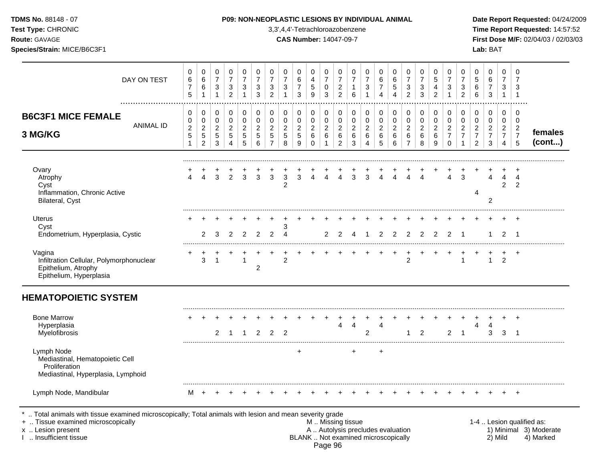|  | <b>TDMS No. 88148 - 07</b> |  |
|--|----------------------------|--|
|  |                            |  |

## **P09: NON-NEOPLASTIC LESIONS BY INDIVIDUAL ANIMAL Date Report Requested:** 04/24/2009

**Test Type:** CHRONIC 3,3',4,4'-Tetrachloroazobenzene **Time Report Requested:** 14:57:52 **Route:** GAVAGE **CAS Number:** 14047-09-7 **First Dose M/F:** 02/04/03 / 02/03/03

| DAY ON TEST                                                                                          | 0<br>$\,6$<br>$\overline{7}$<br>5               | 0<br>6<br>6<br>1                                           | 0<br>$\overline{7}$<br>$\sqrt{3}$<br>$\mathbf{1}$                | 0<br>$\overline{7}$<br>$\sqrt{3}$<br>$\overline{2}$ | 0<br>$\overline{7}$<br>3           | 0<br>$\overline{7}$<br>3<br>3      | 0<br>$\overline{7}$<br>$\mathbf{3}$<br>$\overline{2}$     | 0<br>$\overline{7}$<br>$\mathbf{3}$                | 0<br>6<br>$\overline{7}$<br>3                 | 0<br>4<br>$5\,$<br>9                         | 0<br>$\overline{7}$<br>$\mathbf 0$<br>3   | 0<br>$\overline{7}$<br>$\boldsymbol{2}$<br>$\overline{2}$ | 0<br>$\overline{7}$<br>6           | 0<br>$\overline{7}$<br>3                     | 0<br>$\,6\,$<br>$\overline{7}$<br>$\boldsymbol{\Lambda}$ | 0<br>$\,6\,$<br>$\,$ 5 $\,$<br>$\boldsymbol{\Lambda}$ | 0<br>$\overline{7}$<br>$\ensuremath{\mathsf{3}}$<br>$\overline{2}$      | 0<br>$\overline{7}$<br>$\sqrt{3}$<br>3 | 0<br>5<br>4<br>$\overline{2}$                | 0<br>$\overline{7}$<br>3                                  | 0<br>$\overline{7}$<br>3<br>$\overline{2}$                | 0<br>5<br>6<br>6                                             | 0<br>$\,6\,$<br>$\boldsymbol{7}$<br>3                     | 0<br>$\overline{7}$<br>3<br>$\mathbf 1$                   | 0<br>$\overline{7}$<br>3<br>$\overline{1}$                |                   |
|------------------------------------------------------------------------------------------------------|-------------------------------------------------|------------------------------------------------------------|------------------------------------------------------------------|-----------------------------------------------------|------------------------------------|------------------------------------|-----------------------------------------------------------|----------------------------------------------------|-----------------------------------------------|----------------------------------------------|-------------------------------------------|-----------------------------------------------------------|------------------------------------|----------------------------------------------|----------------------------------------------------------|-------------------------------------------------------|-------------------------------------------------------------------------|----------------------------------------|----------------------------------------------|-----------------------------------------------------------|-----------------------------------------------------------|--------------------------------------------------------------|-----------------------------------------------------------|-----------------------------------------------------------|-----------------------------------------------------------|-------------------|
| <b>B6C3F1 MICE FEMALE</b><br><b>ANIMAL ID</b><br>3 MG/KG                                             | 0<br>$\mathbf 0$<br>$\boldsymbol{2}$<br>5<br>-1 | 0<br>0<br>$\boldsymbol{2}$<br>$\sqrt{5}$<br>$\overline{c}$ | 0<br>$\pmb{0}$<br>$\boldsymbol{2}$<br>$\sqrt{5}$<br>$\mathbf{3}$ | 0<br>$\mathbf 0$<br>$\sqrt{2}$<br>5<br>4            | 0<br>0<br>$\overline{2}$<br>5<br>5 | 0<br>0<br>$\overline{c}$<br>5<br>6 | 0<br>$\mathbf 0$<br>$\overline{2}$<br>5<br>$\overline{7}$ | $\pmb{0}$<br>$\pmb{0}$<br>$\overline{c}$<br>5<br>8 | 0<br>0<br>$\boldsymbol{2}$<br>$\sqrt{5}$<br>9 | 0<br>$\mathbf 0$<br>$\overline{2}$<br>6<br>0 | 0<br>$\mathbf 0$<br>$\sqrt{2}$<br>6<br>-1 | 0<br>0<br>$\overline{c}$<br>6<br>$\overline{2}$           | 0<br>0<br>$\overline{2}$<br>6<br>3 | 0<br>$\mathbf 0$<br>$\overline{2}$<br>6<br>4 | $\pmb{0}$<br>$\pmb{0}$<br>$\overline{2}$<br>6<br>5       | 0<br>$\mathbf 0$<br>$\boldsymbol{2}$<br>6<br>$\,6\,$  | 0<br>$\mathbf 0$<br>$\overline{c}$<br>$6\phantom{1}6$<br>$\overline{7}$ | 0<br>0<br>$\overline{c}$<br>6<br>8     | 0<br>$\mathbf 0$<br>$\overline{c}$<br>6<br>9 | 0<br>0<br>$\overline{c}$<br>$\overline{7}$<br>$\mathbf 0$ | 0<br>$\mathbf 0$<br>$\overline{2}$<br>$\overline{7}$<br>1 | 0<br>0<br>$\overline{c}$<br>$\overline{7}$<br>$\overline{c}$ | 0<br>$\mathbf 0$<br>$\overline{c}$<br>$\overline{7}$<br>3 | $\mathbf 0$<br>0<br>$\overline{2}$<br>$\overline{7}$<br>4 | 0<br>$\mathbf 0$<br>$\overline{c}$<br>$\overline{7}$<br>5 | females<br>(cont) |
| Ovary<br>Atrophy<br>Cyst<br>Inflammation, Chronic Active<br>Bilateral, Cyst                          | $\Delta$                                        | $\overline{4}$                                             | $\mathbf{3}$                                                     | 2                                                   | $\overline{3}$                     | 3                                  | $\mathbf{3}$                                              | $\sqrt{3}$<br>$\overline{2}$                       | 3                                             | $\overline{4}$                               | $\overline{4}$                            | $\overline{4}$                                            | $\overline{3}$                     | 3                                            | $\overline{4}$                                           | $\overline{4}$                                        | $\Delta$                                                                | $\overline{A}$                         |                                              | 4                                                         | 3                                                         | 4                                                            | 4<br>$\overline{2}$                                       | 4<br>$\overline{2}$                                       | $\overline{4}$<br>2                                       |                   |
| Uterus<br>Cyst<br>Endometrium, Hyperplasia, Cystic                                                   |                                                 | 2                                                          | 3                                                                | 2                                                   | $\overline{2}$                     | $\overline{2}$                     | $\overline{2}$                                            | 3<br>$\boldsymbol{\varDelta}$                      |                                               |                                              |                                           | 2                                                         | Δ                                  |                                              | 2                                                        | $\mathfrak{p}$                                        | $\mathcal{P}$                                                           | $\mathcal{P}$                          | 2                                            | $\mathcal{P}$                                             |                                                           |                                                              |                                                           | 2                                                         | $\overline{\mathbf{1}}$                                   |                   |
| Vagina<br>Infiltration Cellular, Polymorphonuclear<br>Epithelium, Atrophy<br>Epithelium, Hyperplasia |                                                 | 3                                                          | 1                                                                |                                                     | $\mathbf 1$                        | $\overline{c}$                     |                                                           | $\overline{2}$                                     |                                               |                                              |                                           |                                                           |                                    |                                              |                                                          |                                                       | $\overline{2}$                                                          |                                        |                                              |                                                           |                                                           |                                                              | $\mathbf{1}$                                              | $\overline{2}$                                            | $\cdot$                                                   |                   |
| <b>HEMATOPOIETIC SYSTEM</b>                                                                          |                                                 |                                                            |                                                                  |                                                     |                                    |                                    |                                                           |                                                    |                                               |                                              |                                           |                                                           |                                    |                                              |                                                          |                                                       |                                                                         |                                        |                                              |                                                           |                                                           |                                                              |                                                           |                                                           |                                                           |                   |
| <b>Bone Marrow</b><br>Hyperplasia<br>Myelofibrosis                                                   |                                                 |                                                            | $\overline{2}$                                                   |                                                     |                                    | 2                                  | $\overline{2}$                                            | $\overline{2}$                                     |                                               |                                              |                                           | 4                                                         | $\overline{4}$                     | $\overline{2}$                               | $\overline{4}$                                           |                                                       |                                                                         | $\mathcal{P}$                          |                                              | $\overline{c}$                                            |                                                           | $\overline{4}$                                               | 4<br>3                                                    | 3                                                         | $\div$<br>-1                                              |                   |
| Lymph Node<br>Mediastinal, Hematopoietic Cell<br>Proliferation<br>Mediastinal, Hyperplasia, Lymphoid |                                                 |                                                            |                                                                  |                                                     |                                    |                                    |                                                           |                                                    | +                                             |                                              |                                           |                                                           | +                                  |                                              | $\ddot{}$                                                |                                                       |                                                                         |                                        |                                              |                                                           |                                                           |                                                              |                                                           |                                                           |                                                           |                   |
| Lymph Node, Mandibular                                                                               | M                                               | $+$                                                        |                                                                  |                                                     |                                    |                                    |                                                           |                                                    |                                               |                                              |                                           |                                                           |                                    |                                              |                                                          |                                                       |                                                                         |                                        |                                              |                                                           |                                                           |                                                              |                                                           |                                                           | $\pm$                                                     |                   |

\* .. Total animals with tissue examined microscopically; Total animals with lesion and mean severity grade

+ .. Tissue examined microscopically M .. Missing tissue 1-4 .. Lesion qualified as: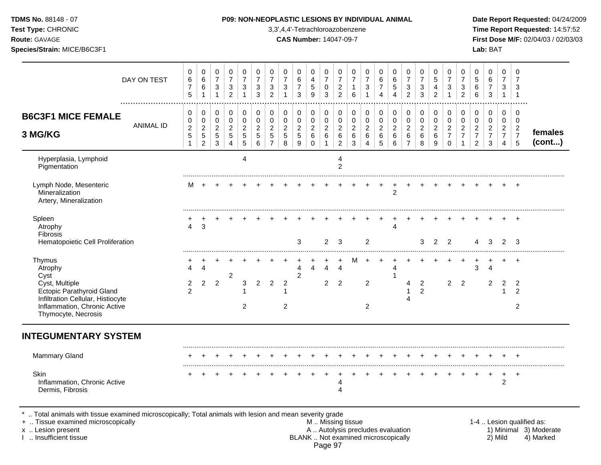**Test Type:** CHRONIC 3,3',4,4'-Tetrachloroazobenzene **Time Report Requested:** 14:57:52 **Route:** GAVAGE **CAS Number:** 14047-09-7 **First Dose M/F:** 02/04/03 / 02/03/03 **Species/Strain:** MICE/B6C3F1 **Lab:** BAT

|                                                                                                                                                                  | DAY ON TEST<br>. <b>.</b> . | 0<br>6<br>$\overline{7}$<br>5 | 0<br>$\,6\,$<br>$\,6\,$<br>$\mathbf{1}$ | 0<br>$\overline{7}$<br>$\mathbf{3}$<br>$\mathbf{1}$ | $\pmb{0}$<br>$\overline{7}$<br>$\sqrt{3}$<br>$\overline{2}$ | 0<br>$\overline{7}$<br>3<br>$\mathbf{1}$ | 0<br>$\overline{7}$<br>3<br>3      | $\mathbf 0$<br>$\overline{7}$<br>$\mathbf{3}$<br>$\overline{2}$ | 0<br>$\overline{7}$<br>$\sqrt{3}$<br>$\mathbf{1}$ | 0<br>6<br>$\overline{7}$<br>3 | $\mathbf 0$<br>$\overline{4}$<br>$\sqrt{5}$<br>9 | 0<br>$\overline{7}$<br>0<br>3  | $\mathbf 0$<br>$\overline{7}$<br>$\overline{\mathbf{c}}$<br>$\overline{2}$ | 0<br>$\overline{7}$<br>1<br>6                          | 0<br>$\overline{7}$<br>3           | 0<br>6<br>$\overline{7}$<br>4    | 0<br>$\,6\,$<br>5<br>$\overline{4}$ | $\mathbf 0$<br>$\overline{7}$<br>$\sqrt{3}$<br>$\overline{2}$ | 0<br>$\overline{7}$<br>3<br>3      | 0<br>$\sqrt{5}$<br>4<br>$\overline{2}$ | 0<br>$\overline{7}$<br>3<br>$\mathbf{1}$ | 0<br>$\overline{7}$<br>$\sqrt{3}$<br>$\overline{2}$ | 0<br>$\sqrt{5}$<br>$\,6\,$<br>$6\phantom{a}$ | 0<br>6<br>$\boldsymbol{7}$<br>3    | $\mathbf 0$<br>$\overline{7}$<br>3<br>$\mathbf{1}$ | 0<br>7<br>3<br>$\overline{1}$    |                                                     |
|------------------------------------------------------------------------------------------------------------------------------------------------------------------|-----------------------------|-------------------------------|-----------------------------------------|-----------------------------------------------------|-------------------------------------------------------------|------------------------------------------|------------------------------------|-----------------------------------------------------------------|---------------------------------------------------|-------------------------------|--------------------------------------------------|--------------------------------|----------------------------------------------------------------------------|--------------------------------------------------------|------------------------------------|----------------------------------|-------------------------------------|---------------------------------------------------------------|------------------------------------|----------------------------------------|------------------------------------------|-----------------------------------------------------|----------------------------------------------|------------------------------------|----------------------------------------------------|----------------------------------|-----------------------------------------------------|
| <b>B6C3F1 MICE FEMALE</b>                                                                                                                                        | <b>ANIMAL ID</b>            | 0<br>0<br>$\overline{c}$      | 0<br>$\mathbf 0$<br>$\overline{c}$      | 0<br>$\mathbf 0$<br>$\overline{c}$                  | 0<br>$\mathbf 0$<br>$\overline{c}$                          | 0<br>$\mathbf 0$<br>$\overline{c}$       | 0<br>$\mathbf 0$<br>$\overline{c}$ | 0<br>$\mathbf 0$<br>$\overline{c}$                              | 0<br>$\mathbf 0$<br>$\overline{a}$                | 0<br>0<br>$\overline{c}$      | 0<br>$\mathbf 0$<br>$\overline{c}$               | 0<br>$\mathbf 0$<br>$\sqrt{2}$ | 0<br>$\mathbf 0$<br>$\overline{c}$                                         | 0<br>$\mathbf 0$<br>$\overline{2}$                     | 0<br>$\mathbf 0$<br>$\overline{2}$ | 0<br>$\pmb{0}$<br>$\overline{c}$ | 0<br>0<br>$\overline{a}$            | 0<br>$\mathbf 0$<br>$\sqrt{2}$                                | 0<br>$\mathbf 0$<br>$\overline{c}$ | 0<br>$\mathbf 0$<br>$\overline{c}$     | 0<br>$\mathbf 0$<br>$\overline{c}$       | 0<br>$\pmb{0}$<br>$\overline{c}$                    | 0<br>$\mathbf 0$<br>$\sqrt{2}$               | 0<br>$\mathbf 0$<br>$\overline{2}$ | 0<br>$\mathbf 0$<br>$\overline{2}$                 | 0<br>$\Omega$<br>$\overline{2}$  |                                                     |
| 3 MG/KG                                                                                                                                                          |                             | $\sqrt{5}$<br>$\mathbf{1}$    | $\,$ 5 $\,$<br>$\overline{2}$           | $\sqrt{5}$<br>3                                     | 5<br>$\overline{4}$                                         | $\sqrt{5}$<br>5                          | 5<br>$6\phantom{a}$                | $\overline{5}$<br>$\overline{7}$                                | 5<br>8                                            | $\sqrt{5}$<br>9               | $\,6\,$<br>$\mathbf 0$                           | $\,6\,$<br>$\mathbf{1}$        | $\,6\,$<br>$\overline{2}$                                                  | 6<br>3                                                 | $\,6\,$<br>$\overline{4}$          | $\,6\,$<br>5                     | $\,6\,$<br>$6\phantom{1}$           | $\,6\,$<br>$\overline{7}$                                     | 6<br>8                             | $\,6\,$<br>$\boldsymbol{9}$            | $\overline{7}$<br>$\mathbf 0$            | $\overline{7}$<br>$\mathbf{1}$                      | $\overline{7}$<br>$\overline{2}$             | $\boldsymbol{7}$<br>3              | $\overline{7}$<br>4                                | $\overline{7}$<br>5              | females<br>(cont)                                   |
| Hyperplasia, Lymphoid<br>Pigmentation                                                                                                                            |                             |                               |                                         |                                                     |                                                             | 4                                        |                                    |                                                                 |                                                   |                               |                                                  |                                | 4<br>$\overline{2}$                                                        |                                                        |                                    |                                  |                                     |                                                               |                                    |                                        |                                          |                                                     |                                              |                                    |                                                    |                                  |                                                     |
| Lymph Node, Mesenteric<br>Mineralization<br>Artery, Mineralization                                                                                               |                             | м                             |                                         |                                                     |                                                             |                                          |                                    |                                                                 |                                                   |                               |                                                  |                                |                                                                            |                                                        |                                    |                                  | +<br>$\overline{c}$                 |                                                               |                                    |                                        |                                          |                                                     |                                              |                                    |                                                    |                                  |                                                     |
| Spleen<br>Atrophy<br>Fibrosis<br>Hematopoietic Cell Proliferation                                                                                                |                             | 4                             | $\sqrt{3}$                              |                                                     |                                                             |                                          |                                    |                                                                 |                                                   | 3                             |                                                  | $\overline{2}$                 | 3                                                                          |                                                        | $\overline{2}$                     |                                  | 4                                   |                                                               | 3                                  | $\overline{2}$                         | 2                                        |                                                     | Δ                                            | з                                  | 2                                                  | 3                                |                                                     |
| Thymus<br>Atrophy<br>Cyst                                                                                                                                        |                             | 4                             | 4                                       |                                                     | $\overline{2}$                                              |                                          |                                    |                                                                 |                                                   | 4<br>$\overline{2}$           | 4                                                | $\overline{\mathbf{4}}$        | 4                                                                          | м                                                      |                                    |                                  | 4                                   |                                                               |                                    |                                        |                                          |                                                     | 3                                            | $\overline{\mathbf{4}}$            |                                                    | $\overline{+}$                   |                                                     |
| Cyst, Multiple<br><b>Ectopic Parathyroid Gland</b><br>Infiltration Cellular, Histiocyte                                                                          |                             | 2<br>2                        | $\overline{c}$                          | $\overline{2}$                                      |                                                             | 3                                        | $\overline{2}$                     | $\overline{2}$                                                  | $\overline{2}$                                    |                               |                                                  | $\overline{2}$                 | $\overline{2}$                                                             |                                                        | $\overline{2}$                     |                                  |                                     | 4<br>4                                                        | $\overline{c}$<br>$\overline{2}$   |                                        | $\overline{2}$                           | $\overline{2}$                                      |                                              | $\overline{2}$                     | $\overline{c}$<br>1                                | $\overline{2}$<br>$\overline{2}$ |                                                     |
| Inflammation, Chronic Active<br>Thymocyte, Necrosis                                                                                                              |                             |                               |                                         |                                                     |                                                             | 2                                        |                                    |                                                                 | $\overline{2}$                                    |                               |                                                  |                                |                                                                            |                                                        | $\overline{2}$                     |                                  |                                     |                                                               |                                    |                                        |                                          |                                                     |                                              |                                    |                                                    | $\overline{c}$                   |                                                     |
| <b>INTEGUMENTARY SYSTEM</b>                                                                                                                                      |                             |                               |                                         |                                                     |                                                             |                                          |                                    |                                                                 |                                                   |                               |                                                  |                                |                                                                            |                                                        |                                    |                                  |                                     |                                                               |                                    |                                        |                                          |                                                     |                                              |                                    |                                                    |                                  |                                                     |
| <b>Mammary Gland</b>                                                                                                                                             |                             |                               |                                         |                                                     |                                                             |                                          |                                    |                                                                 |                                                   |                               |                                                  |                                |                                                                            |                                                        |                                    |                                  |                                     |                                                               |                                    |                                        |                                          |                                                     |                                              |                                    |                                                    |                                  |                                                     |
| <b>Skin</b><br>Inflammation, Chronic Active<br>Dermis, Fibrosis                                                                                                  |                             |                               |                                         |                                                     |                                                             |                                          |                                    |                                                                 |                                                   |                               |                                                  |                                | 4<br>4                                                                     |                                                        |                                    |                                  |                                     |                                                               |                                    |                                        |                                          |                                                     |                                              | +                                  | $\ddot{}$<br>2                                     | $\overline{+}$                   |                                                     |
| Total animals with tissue examined microscopically; Total animals with lesion and mean severity grade<br>+  Tissue examined microscopically<br>x  Lesion present |                             |                               |                                         |                                                     |                                                             |                                          |                                    |                                                                 |                                                   |                               |                                                  |                                |                                                                            | M  Missing tissue<br>A  Autolysis precludes evaluation |                                    |                                  |                                     |                                                               |                                    |                                        |                                          |                                                     |                                              |                                    |                                                    |                                  | 1-4  Lesion qualified as:<br>1) Minimal 3) Moderate |

I .. Insufficient tissue BLANK .. Not examined microscopically 2) Mild 4) Marked Page 97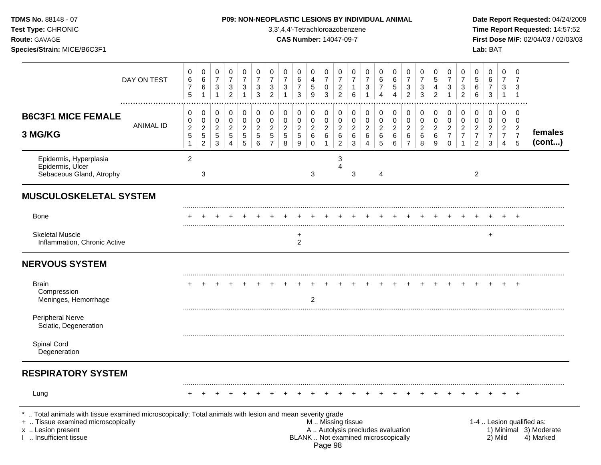**Test Type:** CHRONIC 3,3',4,4'-Tetrachloroazobenzene **Time Report Requested:** 14:57:52 **Route:** GAVAGE **CAS Number:** 14047-09-7 **First Dose M/F:** 02/04/03 / 02/03/03 **Species/Strain:** MICE/B6C3F1 **Lab:** BAT

|                                                                                                                                                                                            | DAY ON TEST           | 0<br>$\,6\,$<br>$\overline{7}$<br>5                         | 0<br>$\,6\,$<br>$\,6\,$<br>$\overline{1}$               | 0<br>$\overline{7}$<br>$\sqrt{3}$<br>$\mathbf{1}$ | 0<br>$\overline{7}$<br>$\sqrt{3}$<br>$\overline{c}$ | 0<br>$\overline{7}$<br>3<br>$\mathbf{1}$     | 0<br>$\overline{7}$<br>3<br>3                   | 0<br>$\overline{7}$<br>$\sqrt{3}$<br>$\overline{2}$                    | 0<br>$\overline{7}$<br>$\sqrt{3}$<br>$\mathbf{1}$ | 0<br>6<br>$\boldsymbol{7}$<br>3                             | 0<br>4<br>$\sqrt{5}$<br>9                                | 0<br>$\overline{7}$<br>$\pmb{0}$<br>3     | 0<br>$\overline{7}$<br>$\overline{2}$<br>$\overline{2}$                                       | 0<br>$\overline{7}$<br>$\mathbf{1}$<br>6                  | 0<br>$\overline{7}$<br>$\ensuremath{\mathsf{3}}$                    | 0<br>$\,6$<br>$\boldsymbol{7}$<br>4 | 0<br>$\,6\,$<br>$5\phantom{.0}$<br>4                   | 0<br>$\overline{7}$<br>$\ensuremath{\mathsf{3}}$<br>$\overline{c}$  | 0<br>$\overline{7}$<br>3<br>3                | 0<br>5<br>4<br>$\overline{c}$              | 0<br>$\overline{7}$<br>3<br>1                                    | 0<br>$\overline{7}$<br>$\ensuremath{\mathsf{3}}$<br>$\overline{2}$ | 0<br>5<br>$\,6$<br>6                                       | 0<br>6<br>$\overline{7}$<br>$\sqrt{3}$                                           | 0<br>$\overline{7}$<br>$\sqrt{3}$<br>$\mathbf{1}$            | 0<br>$\overline{7}$<br>3<br>$\mathbf{1}$                             |                                                                  |
|--------------------------------------------------------------------------------------------------------------------------------------------------------------------------------------------|-----------------------|-------------------------------------------------------------|---------------------------------------------------------|---------------------------------------------------|-----------------------------------------------------|----------------------------------------------|-------------------------------------------------|------------------------------------------------------------------------|---------------------------------------------------|-------------------------------------------------------------|----------------------------------------------------------|-------------------------------------------|-----------------------------------------------------------------------------------------------|-----------------------------------------------------------|---------------------------------------------------------------------|-------------------------------------|--------------------------------------------------------|---------------------------------------------------------------------|----------------------------------------------|--------------------------------------------|------------------------------------------------------------------|--------------------------------------------------------------------|------------------------------------------------------------|----------------------------------------------------------------------------------|--------------------------------------------------------------|----------------------------------------------------------------------|------------------------------------------------------------------|
| <b>B6C3F1 MICE FEMALE</b><br>3 MG/KG                                                                                                                                                       | .<br><b>ANIMAL ID</b> | 0<br>$\pmb{0}$<br>$\mathbf 2$<br>$\sqrt{5}$<br>$\mathbf{1}$ | $\pmb{0}$<br>$\mathbf 0$<br>$\sqrt{2}$<br>$\frac{5}{2}$ | 0<br>0<br>$\overline{c}$<br>5<br>$\mathbf{3}$     | $\mathbf 0$<br>$\mathsf 0$<br>$\sqrt{2}$<br>5<br>4  | 0<br>$\mathbf 0$<br>$\overline{2}$<br>5<br>5 | 0<br>0<br>$\overline{c}$<br>5<br>$6\phantom{1}$ | $\pmb{0}$<br>$\mathbf 0$<br>$\sqrt{2}$<br>$\sqrt{5}$<br>$\overline{7}$ | 0<br>0<br>$\overline{c}$<br>$\sqrt{5}$<br>8       | $\mathbf 0$<br>$\mathbf 0$<br>$\sqrt{2}$<br>$\sqrt{5}$<br>9 | 0<br>$\pmb{0}$<br>$\overline{c}$<br>$\,6$<br>$\mathbf 0$ | 0<br>0<br>$\sqrt{2}$<br>6<br>$\mathbf{1}$ | 0<br>$\mathbf 0$<br>$\overline{2}$<br>6<br>$\overline{2}$                                     | 0<br>$\mathbf 0$<br>$\boldsymbol{2}$<br>6<br>$\mathbf{3}$ | $\pmb{0}$<br>$\mathbf 0$<br>$\boldsymbol{2}$<br>6<br>$\overline{4}$ | 0<br>0<br>$\sqrt{2}$<br>$\,6$<br>5  | 0<br>$\pmb{0}$<br>$\overline{c}$<br>$\,6\,$<br>$\,6\,$ | $\mathbf 0$<br>$\mathbf 0$<br>$\overline{c}$<br>6<br>$\overline{7}$ | 0<br>$\mathbf 0$<br>$\overline{c}$<br>6<br>8 | $\pmb{0}$<br>0<br>$\overline{c}$<br>6<br>9 | 0<br>$\mathbf 0$<br>$\overline{c}$<br>$\overline{7}$<br>$\Omega$ | 0<br>0<br>$\overline{c}$<br>$\overline{7}$<br>1                    | 0<br>0<br>$\sqrt{2}$<br>$\boldsymbol{7}$<br>$\overline{2}$ | $\pmb{0}$<br>$\mathbf 0$<br>$\overline{c}$<br>$\boldsymbol{7}$<br>$\mathfrak{S}$ | 0<br>0<br>$\overline{c}$<br>$\overline{7}$<br>$\overline{4}$ | 0<br>$\mathbf 0$<br>$\overline{c}$<br>$\boldsymbol{7}$<br>$\sqrt{5}$ | females<br>(cont)                                                |
| Epidermis, Hyperplasia<br>Epidermis, Ulcer<br>Sebaceous Gland, Atrophy                                                                                                                     |                       | $\overline{2}$                                              | 3                                                       |                                                   |                                                     |                                              |                                                 |                                                                        |                                                   |                                                             | 3                                                        |                                           | 3<br>4                                                                                        | 3                                                         |                                                                     | 4                                   |                                                        |                                                                     |                                              |                                            |                                                                  |                                                                    | $\overline{2}$                                             |                                                                                  |                                                              |                                                                      |                                                                  |
| <b>MUSCULOSKELETAL SYSTEM</b>                                                                                                                                                              |                       |                                                             |                                                         |                                                   |                                                     |                                              |                                                 |                                                                        |                                                   |                                                             |                                                          |                                           |                                                                                               |                                                           |                                                                     |                                     |                                                        |                                                                     |                                              |                                            |                                                                  |                                                                    |                                                            |                                                                                  |                                                              |                                                                      |                                                                  |
| <b>Bone</b>                                                                                                                                                                                |                       |                                                             |                                                         |                                                   |                                                     |                                              |                                                 |                                                                        |                                                   |                                                             |                                                          |                                           |                                                                                               |                                                           |                                                                     |                                     |                                                        |                                                                     |                                              |                                            |                                                                  |                                                                    |                                                            |                                                                                  |                                                              |                                                                      |                                                                  |
| <b>Skeletal Muscle</b><br>Inflammation, Chronic Active                                                                                                                                     |                       |                                                             |                                                         |                                                   |                                                     |                                              |                                                 |                                                                        |                                                   | +<br>$\overline{2}$                                         |                                                          |                                           |                                                                                               |                                                           |                                                                     |                                     |                                                        |                                                                     |                                              |                                            |                                                                  |                                                                    |                                                            | ÷                                                                                |                                                              |                                                                      |                                                                  |
| <b>NERVOUS SYSTEM</b>                                                                                                                                                                      |                       |                                                             |                                                         |                                                   |                                                     |                                              |                                                 |                                                                        |                                                   |                                                             |                                                          |                                           |                                                                                               |                                                           |                                                                     |                                     |                                                        |                                                                     |                                              |                                            |                                                                  |                                                                    |                                                            |                                                                                  |                                                              |                                                                      |                                                                  |
| <b>Brain</b><br>Compression<br>Meninges, Hemorrhage                                                                                                                                        |                       |                                                             |                                                         |                                                   |                                                     |                                              |                                                 |                                                                        |                                                   |                                                             | 2                                                        |                                           |                                                                                               |                                                           |                                                                     |                                     |                                                        |                                                                     |                                              |                                            |                                                                  |                                                                    |                                                            |                                                                                  |                                                              |                                                                      |                                                                  |
| <b>Peripheral Nerve</b><br>Sciatic, Degeneration                                                                                                                                           |                       |                                                             |                                                         |                                                   |                                                     |                                              |                                                 |                                                                        |                                                   |                                                             |                                                          |                                           |                                                                                               |                                                           |                                                                     |                                     |                                                        |                                                                     |                                              |                                            |                                                                  |                                                                    |                                                            |                                                                                  |                                                              |                                                                      |                                                                  |
| Spinal Cord<br>Degeneration                                                                                                                                                                |                       |                                                             |                                                         |                                                   |                                                     |                                              |                                                 |                                                                        |                                                   |                                                             |                                                          |                                           |                                                                                               |                                                           |                                                                     |                                     |                                                        |                                                                     |                                              |                                            |                                                                  |                                                                    |                                                            |                                                                                  |                                                              |                                                                      |                                                                  |
| <b>RESPIRATORY SYSTEM</b>                                                                                                                                                                  |                       |                                                             |                                                         |                                                   |                                                     |                                              |                                                 |                                                                        |                                                   |                                                             |                                                          |                                           |                                                                                               |                                                           |                                                                     |                                     |                                                        |                                                                     |                                              |                                            |                                                                  |                                                                    |                                                            |                                                                                  |                                                              |                                                                      |                                                                  |
| Lung                                                                                                                                                                                       |                       |                                                             |                                                         |                                                   |                                                     |                                              |                                                 |                                                                        |                                                   |                                                             |                                                          |                                           |                                                                                               |                                                           |                                                                     |                                     |                                                        |                                                                     |                                              |                                            |                                                                  |                                                                    |                                                            |                                                                                  |                                                              |                                                                      |                                                                  |
| Total animals with tissue examined microscopically; Total animals with lesion and mean severity grade<br>+  Tissue examined microscopically<br>x  Lesion present<br>I  Insufficient tissue |                       |                                                             |                                                         |                                                   |                                                     |                                              |                                                 |                                                                        |                                                   |                                                             |                                                          | Page 98                                   | M  Missing tissue<br>A  Autolysis precludes evaluation<br>BLANK  Not examined microscopically |                                                           |                                                                     |                                     |                                                        |                                                                     |                                              |                                            |                                                                  |                                                                    |                                                            |                                                                                  | 2) Mild                                                      |                                                                      | 1-4  Lesion qualified as:<br>1) Minimal 3) Moderate<br>4) Marked |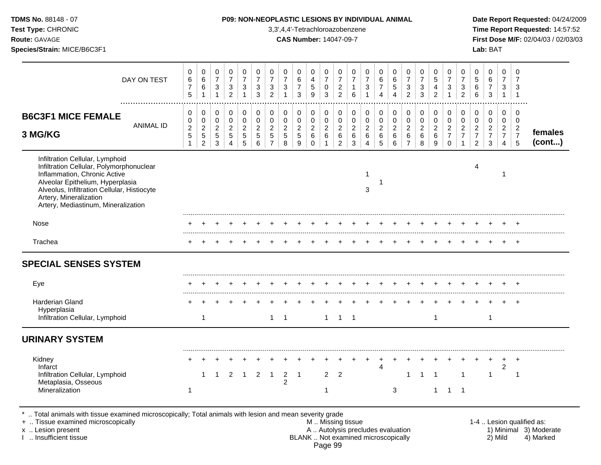| TDMS No. 88148 - 07<br>Test Type: CHRONIC<br>Route: GAVAGE<br>Species/Strain: MICE/B6C3F1                                                                                                                                                                       |                  |                                                                             |                                                                              |                                                                        |                                                                    |                                                           |                                                       |                                                                              |                                                                            | 3,3',4,4'-Tetrachloroazobenzene<br><b>CAS Number: 14047-09-7</b> |                                                                    |                                                             |                                                                         |                                                       | P09: NON-NEOPLASTIC LESIONS BY INDIVIDUAL ANIMAL                           |                                                                     |                                                          |                                                                           |                                                                                     |                                                              |                                                                               |                                                                              |                                                                        | Lab: BAT                                                              |                                                                                  |                                                                  | Date Report Requested: 04/24/2009<br>Time Report Requested: 14:57:52<br>First Dose M/F: 02/04/03 / 02/03/03 |
|-----------------------------------------------------------------------------------------------------------------------------------------------------------------------------------------------------------------------------------------------------------------|------------------|-----------------------------------------------------------------------------|------------------------------------------------------------------------------|------------------------------------------------------------------------|--------------------------------------------------------------------|-----------------------------------------------------------|-------------------------------------------------------|------------------------------------------------------------------------------|----------------------------------------------------------------------------|------------------------------------------------------------------|--------------------------------------------------------------------|-------------------------------------------------------------|-------------------------------------------------------------------------|-------------------------------------------------------|----------------------------------------------------------------------------|---------------------------------------------------------------------|----------------------------------------------------------|---------------------------------------------------------------------------|-------------------------------------------------------------------------------------|--------------------------------------------------------------|-------------------------------------------------------------------------------|------------------------------------------------------------------------------|------------------------------------------------------------------------|-----------------------------------------------------------------------|----------------------------------------------------------------------------------|------------------------------------------------------------------|-------------------------------------------------------------------------------------------------------------|
|                                                                                                                                                                                                                                                                 | DAY ON TEST<br>  | 0<br>$\,6$<br>$\overline{7}$<br>$\overline{5}$                              | 0<br>$\,6\,$<br>$\,6\,$<br>1                                                 | $\pmb{0}$<br>$\overline{7}$<br>$\sqrt{3}$<br>$\mathbf{1}$              | 0<br>$\overline{7}$<br>$\ensuremath{\mathsf{3}}$<br>$\overline{2}$ | $\mathbf 0$<br>$\overline{7}$<br>3<br>$\mathbf{1}$        | 0<br>$\overline{7}$<br>$\ensuremath{\mathsf{3}}$<br>3 | 0<br>$\overline{7}$<br>$\frac{3}{2}$                                         | $\mathbf 0$<br>$\overline{7}$<br>$\ensuremath{\mathsf{3}}$<br>$\mathbf{1}$ | $\Omega$<br>$\,6\,$<br>$\overline{7}$<br>$\mathbf{3}$            | $\mathbf 0$<br>$\overline{4}$<br>$\,$ 5 $\,$<br>$\boldsymbol{9}$   | $\pmb{0}$<br>$\overline{7}$<br>$\pmb{0}$<br>$\mathbf{3}$    | $\mathbf 0$<br>$\overline{7}$<br>$\frac{2}{2}$                          | $\Omega$<br>$\overline{7}$<br>$\mathbf{1}$<br>$\,6\,$ | $\mathbf 0$<br>$\overline{7}$<br>$\ensuremath{\mathsf{3}}$<br>$\mathbf{1}$ | $\mathbf 0$<br>$\,6\,$<br>$\overline{7}$<br>$\overline{\mathbf{4}}$ | $\Omega$<br>$\,6\,$<br>$\sqrt{5}$<br>$\overline{4}$      | $\Omega$<br>$\overline{7}$<br>$\ensuremath{\mathsf{3}}$<br>$\overline{2}$ | $\mathbf 0$<br>$\overline{\mathbf{7}}$<br>$\ensuremath{\mathsf{3}}$<br>$\mathbf{3}$ | 0<br>5<br>$\overline{\mathbf{4}}$<br>$\overline{2}$          | 0<br>$\overline{7}$<br>$\ensuremath{\mathsf{3}}$<br>$\mathbf{1}$              | $\mathbf 0$<br>$\overline{7}$<br>$\ensuremath{\mathsf{3}}$<br>$\overline{a}$ | $\Omega$<br>$\sqrt{5}$<br>$\,6$<br>$\,6\,$                             | $\Omega$<br>$\,6\,$<br>$\overline{7}$<br>$\mathbf{3}$                 | $\mathbf 0$<br>$\overline{7}$<br>$\mathsf 3$<br>$\overline{1}$                   | $\Omega$<br>$\overline{7}$<br>3<br>$\overline{1}$                |                                                                                                             |
| <b>B6C3F1 MICE FEMALE</b><br>3 MG/KG                                                                                                                                                                                                                            | <b>ANIMAL ID</b> | $\mathbf 0$<br>$\mathbf 0$<br>$\overline{c}$<br>$\mathbf 5$<br>$\mathbf{1}$ | $\mathbf 0$<br>$\pmb{0}$<br>$\boldsymbol{2}$<br>$\sqrt{5}$<br>$\overline{2}$ | $\mathbf 0$<br>$\mathbf 0$<br>$\sqrt{2}$<br>$\sqrt{5}$<br>$\mathbf{3}$ | $\mathbf 0$<br>$\pmb{0}$<br>$\overline{c}$<br>5<br>$\overline{4}$  | 0<br>$\pmb{0}$<br>$\boldsymbol{2}$<br>$\overline{5}$<br>5 | $\mathbf 0$<br>$\pmb{0}$<br>$\overline{c}$<br>5<br>6  | $\mathbf 0$<br>$\mathsf 0$<br>$\overline{c}$<br>$\sqrt{5}$<br>$\overline{7}$ | $\mathbf 0$<br>$\mathsf 0$<br>$\overline{c}$<br>$\mathbf 5$<br>8           | 0<br>$\pmb{0}$<br>$\boldsymbol{2}$<br>$\sqrt{5}$<br>9            | $\mathbf 0$<br>$\mathsf 0$<br>$\sqrt{2}$<br>$\,6\,$<br>$\mathbf 0$ | 0<br>$\pmb{0}$<br>$\overline{c}$<br>$\,6\,$<br>$\mathbf{1}$ | $\mathbf 0$<br>$\pmb{0}$<br>$\overline{2}$<br>$\,6\,$<br>$\overline{2}$ | $\mathbf 0$<br>$\pmb{0}$<br>$\overline{c}$<br>6<br>3  | $\mathbf 0$<br>$\pmb{0}$<br>$\overline{2}$<br>6<br>$\overline{4}$          | 0<br>$\mathsf 0$<br>$\overline{2}$<br>$\,6\,$<br>5                  | $\mathbf 0$<br>$\mathbf 0$<br>$\boldsymbol{2}$<br>6<br>6 | 0<br>$\pmb{0}$<br>$\overline{c}$<br>6<br>$\overline{7}$                   | 0<br>$\pmb{0}$<br>$\overline{c}$<br>6<br>8                                          | $\mathbf 0$<br>$\mathbf 0$<br>$\overline{a}$<br>$\,6\,$<br>9 | $\mathbf 0$<br>$\mathsf 0$<br>$\overline{2}$<br>$\overline{7}$<br>$\mathbf 0$ | $\mathbf 0$<br>$\pmb{0}$<br>$\overline{c}$<br>$\overline{7}$<br>$\mathbf{1}$ | 0<br>$\pmb{0}$<br>$\boldsymbol{2}$<br>$\overline{7}$<br>$\overline{2}$ | $\mathbf 0$<br>$\mathbf 0$<br>$\boldsymbol{2}$<br>$\overline{7}$<br>3 | $\mathbf 0$<br>$\mathbf 0$<br>$\overline{2}$<br>$\overline{7}$<br>$\overline{4}$ | $\Omega$<br>$\mathbf 0$<br>$\overline{2}$<br>$\overline{7}$<br>5 | females<br>(cont)                                                                                           |
| Infiltration Cellular, Lymphoid<br>Infiltration Cellular, Polymorphonuclear<br>Inflammation, Chronic Active<br>Alveolar Epithelium, Hyperplasia<br>Alveolus, Infiltration Cellular, Histiocyte<br>Artery, Mineralization<br>Artery, Mediastinum, Mineralization |                  |                                                                             |                                                                              |                                                                        |                                                                    |                                                           |                                                       |                                                                              |                                                                            |                                                                  |                                                                    |                                                             |                                                                         |                                                       | 1<br>3                                                                     | 1                                                                   |                                                          |                                                                           |                                                                                     |                                                              |                                                                               |                                                                              | 4                                                                      |                                                                       | -1                                                                               |                                                                  |                                                                                                             |
| Nose                                                                                                                                                                                                                                                            |                  |                                                                             |                                                                              |                                                                        |                                                                    |                                                           |                                                       |                                                                              |                                                                            |                                                                  |                                                                    |                                                             |                                                                         |                                                       |                                                                            |                                                                     |                                                          |                                                                           |                                                                                     |                                                              |                                                                               |                                                                              |                                                                        |                                                                       |                                                                                  |                                                                  |                                                                                                             |
| Trachea                                                                                                                                                                                                                                                         |                  |                                                                             |                                                                              |                                                                        |                                                                    |                                                           |                                                       |                                                                              |                                                                            |                                                                  |                                                                    |                                                             |                                                                         |                                                       |                                                                            |                                                                     |                                                          |                                                                           |                                                                                     |                                                              |                                                                               |                                                                              |                                                                        |                                                                       | $\pm$                                                                            | $+$                                                              |                                                                                                             |
| <b>SPECIAL SENSES SYSTEM</b>                                                                                                                                                                                                                                    |                  |                                                                             |                                                                              |                                                                        |                                                                    |                                                           |                                                       |                                                                              |                                                                            |                                                                  |                                                                    |                                                             |                                                                         |                                                       |                                                                            |                                                                     |                                                          |                                                                           |                                                                                     |                                                              |                                                                               |                                                                              |                                                                        |                                                                       |                                                                                  |                                                                  |                                                                                                             |
| Eye                                                                                                                                                                                                                                                             |                  |                                                                             |                                                                              |                                                                        |                                                                    |                                                           |                                                       |                                                                              |                                                                            |                                                                  |                                                                    |                                                             |                                                                         |                                                       |                                                                            |                                                                     |                                                          |                                                                           |                                                                                     |                                                              |                                                                               |                                                                              |                                                                        |                                                                       |                                                                                  |                                                                  |                                                                                                             |
| <b>Harderian Gland</b><br>Hyperplasia<br>Infiltration Cellular, Lymphoid                                                                                                                                                                                        |                  |                                                                             | $\mathbf{1}$                                                                 |                                                                        |                                                                    |                                                           |                                                       | $\mathbf{1}$                                                                 | $\overline{1}$                                                             |                                                                  |                                                                    |                                                             | $1 \quad 1 \quad 1$                                                     |                                                       |                                                                            |                                                                     |                                                          |                                                                           |                                                                                     | $\mathbf{1}$                                                 |                                                                               |                                                                              |                                                                        | $\overline{1}$                                                        |                                                                                  | $+$                                                              |                                                                                                             |
| <b>URINARY SYSTEM</b>                                                                                                                                                                                                                                           |                  |                                                                             |                                                                              |                                                                        |                                                                    |                                                           |                                                       |                                                                              |                                                                            |                                                                  |                                                                    |                                                             |                                                                         |                                                       |                                                                            |                                                                     |                                                          |                                                                           |                                                                                     |                                                              |                                                                               |                                                                              |                                                                        |                                                                       |                                                                                  |                                                                  |                                                                                                             |
| Kidney<br>Infarct<br>Infiltration Cellular, Lymphoid<br>Metaplasia, Osseous<br>Mineralization                                                                                                                                                                   |                  | 1                                                                           | $\mathbf{1}$                                                                 | $\overline{1}$                                                         | $\overline{2}$                                                     | $\overline{1}$                                            | $\overline{2}$                                        | $\overline{1}$                                                               | $\overline{2}$<br>2                                                        | $\overline{1}$                                                   |                                                                    | $\overline{2}$<br>-1                                        | $\overline{2}$                                                          |                                                       | $+$                                                                        | $+$<br>4                                                            | $\ddot{}$<br>3                                           | 1                                                                         | $\overline{1}$                                                                      | $\overline{1}$                                               | $1 \quad 1 \quad 1$                                                           | $\mathbf{1}$                                                                 |                                                                        | 1                                                                     | $\ddot{}$<br>$\boldsymbol{2}$                                                    | $+$<br>$\overline{1}$                                            |                                                                                                             |

\* .. Total animals with tissue examined microscopically; Total animals with lesion and mean severity grade

+ .. Tissue examined microscopically M .. Missing tissue 1-4 .. Lesion qualified as: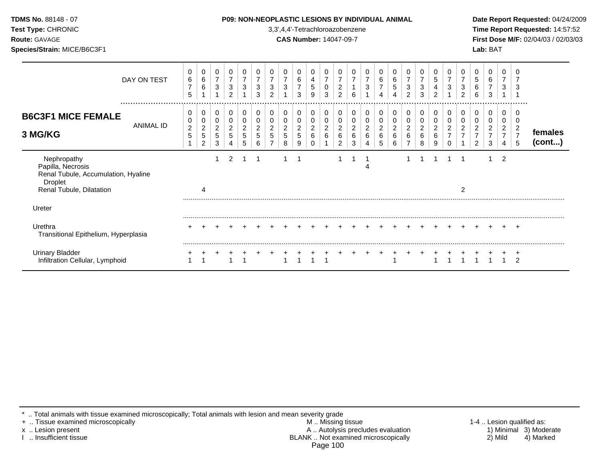| <b>TDMS No. 88148 - 07</b><br>Test Type: CHRONIC<br><b>Route: GAVAGE</b><br>Species/Strain: MICE/B6C3F1 |             |                  |             |        |                  |        |             |        |               |             |                  | <b>P09: NON-NEOPLASTIC LESIONS BY INDIVIDUAL ANIMAL</b><br>3,3',4,4'-Tetrachloroazobenzene<br><b>CAS Number: 14047-09-7</b> |             |        |        |        |                        |             |        |              |   |             |                                     | Date Rep<br><b>Time Rep</b><br><b>First Dos</b><br>Lab: BAT |  |
|---------------------------------------------------------------------------------------------------------|-------------|------------------|-------------|--------|------------------|--------|-------------|--------|---------------|-------------|------------------|-----------------------------------------------------------------------------------------------------------------------------|-------------|--------|--------|--------|------------------------|-------------|--------|--------------|---|-------------|-------------------------------------|-------------------------------------------------------------|--|
|                                                                                                         | DAY ON TEST | $\mathbf 0$<br>6 | 0<br>6<br>6 | 0<br>3 | 0<br>3<br>$\sim$ | 0<br>3 | 3<br>$\sim$ | $\sim$ | $\Omega$<br>3 | 6<br>$\sim$ | 4<br>5<br>$\sim$ | 0<br>0<br>$\sim$                                                                                                            | 0<br>$\sim$ | $\sim$ | 0<br>3 | 0<br>6 | 0<br>6<br>$\mathbf{p}$ | 3<br>$\sim$ | $\sim$ | .5<br>$\sim$ | 3 | 3<br>$\sim$ | 0<br>$5\phantom{.0}$<br>6<br>$\sim$ | 6<br>$\sim$                                                 |  |

## **OPLASTIC LESIONS BY INDIVIDUAL ANIMAL Date Report Requested:** 04/24/2009

**Time Report Requested:** 14:57:52 **Route:** GAVAGE **CAS Number:** 14047-09-7 **First Dose M/F:** 02/04/03 / 02/03/03

|                                                                                                                       | DAY ON TEST   | 0<br>6<br>$\overline{7}$<br>5 | $\mathbf 0$<br>$\,6\,$<br>6                           | $\mathbf 0$<br>$\overline{7}$<br>3 | 0<br>$\overline{ }$<br>3<br>$\overline{2}$ | 0<br>7<br>3           | 0<br>$\overline{7}$<br>3<br>3 | 0<br>$\overline{7}$<br>3<br>$\overline{2}$ | 0<br>$\overline{7}$<br>3           | 0<br>$\,6$<br>$\overline{7}$<br>3            | 0<br>4<br>5<br>9              | 0<br>$\overline{ }$<br>0<br>3 | 0<br>$\overline{7}$<br>2<br>$\overline{c}$ | 0<br>$\overline{7}$<br>6      | $\overline{7}$<br>3 | 0<br>6<br>7<br>4                            | 0<br>$\,6$<br>5<br>4                 | 0<br>$\overline{7}$<br>3<br>$\overline{2}$ | 0<br>3<br>3                        | 0<br>5<br>4<br>2      | 0<br>3 | 0<br>7<br>3<br>$\overline{2}$         | 0<br>5<br>6<br>6                                | 0<br>6<br>$\overline{7}$<br>3                   | 0<br>7<br>3                                | 0<br>3                                                   |                   |
|-----------------------------------------------------------------------------------------------------------------------|---------------|-------------------------------|-------------------------------------------------------|------------------------------------|--------------------------------------------|-----------------------|-------------------------------|--------------------------------------------|------------------------------------|----------------------------------------------|-------------------------------|-------------------------------|--------------------------------------------|-------------------------------|---------------------|---------------------------------------------|--------------------------------------|--------------------------------------------|------------------------------------|-----------------------|--------|---------------------------------------|-------------------------------------------------|-------------------------------------------------|--------------------------------------------|----------------------------------------------------------|-------------------|
| <b>B6C3F1 MICE FEMALE</b><br>3 MG/KG                                                                                  | <br>ANIMAL ID | 0<br>0<br>$\overline{c}$<br>5 | 0<br>0<br>$\sqrt{2}$<br>$\mathbf 5$<br>$\overline{c}$ | 0<br>0<br>$\overline{c}$<br>5<br>3 | 0<br>0<br>$\overline{c}$<br>5              | 0<br>0<br>2<br>5<br>5 | 0<br>2<br>5<br>6              | 0<br>2<br>5                                | 0<br>0<br>$\overline{c}$<br>5<br>8 | 0<br>0<br>$\overline{c}$<br>$\,$ 5 $\,$<br>9 | 0<br>0<br>$\overline{c}$<br>6 | 0<br>0<br>2<br>6              | 0<br>0<br>2<br>6<br>$\overline{2}$         | 0<br>$\overline{c}$<br>6<br>3 | 0<br>2<br>6         | 0<br>0<br>$\overline{\mathbf{c}}$<br>6<br>5 | 0<br>0<br>$\sqrt{2}$<br>$\,6\,$<br>6 | 0<br>0<br>$\boldsymbol{2}$<br>6            | 0<br>0<br>$\overline{2}$<br>6<br>8 | 0<br>0<br>2<br>6<br>9 | 0<br>2 | 0<br>$\overline{2}$<br>$\overline{ }$ | 0<br>0<br>2<br>$\overline{ }$<br>$\overline{2}$ | 0<br>0<br>$\overline{c}$<br>$\overline{z}$<br>3 | 0<br>0<br>$\overline{c}$<br>$\overline{ }$ | 0<br>0<br>$\overline{c}$<br>$\overline{z}$<br>$\sqrt{5}$ | females<br>(cont) |
| Nephropathy<br>Papilla, Necrosis<br>Renal Tubule, Accumulation, Hyaline<br><b>Droplet</b><br>Renal Tubule, Dilatation |               |                               | 4                                                     |                                    | 2                                          | -1                    |                               |                                            | 1                                  |                                              |                               |                               |                                            |                               |                     |                                             |                                      |                                            |                                    | -1                    |        | -1<br>2                               |                                                 |                                                 | 2                                          |                                                          |                   |
| Ureter                                                                                                                |               |                               |                                                       |                                    |                                            |                       |                               |                                            |                                    |                                              |                               |                               |                                            |                               |                     |                                             |                                      |                                            |                                    |                       |        |                                       |                                                 |                                                 |                                            |                                                          |                   |
| Urethra<br>Transitional Epithelium, Hyperplasia                                                                       |               |                               |                                                       |                                    |                                            |                       |                               |                                            |                                    |                                              |                               |                               |                                            |                               |                     |                                             |                                      |                                            |                                    |                       |        |                                       |                                                 |                                                 |                                            | $\pm$                                                    |                   |
| <b>Urinary Bladder</b><br>Infiltration Cellular, Lymphoid                                                             |               |                               |                                                       |                                    |                                            |                       |                               |                                            |                                    |                                              |                               |                               |                                            |                               |                     |                                             |                                      |                                            |                                    |                       |        |                                       |                                                 |                                                 |                                            | $\mathcal{P}$                                            |                   |

\* .. Total animals with tissue examined microscopically; Total animals with lesion and mean severity grade

+ .. Tissue examined microscopically M .. Missing tissue 1-4 .. Lesion qualified as: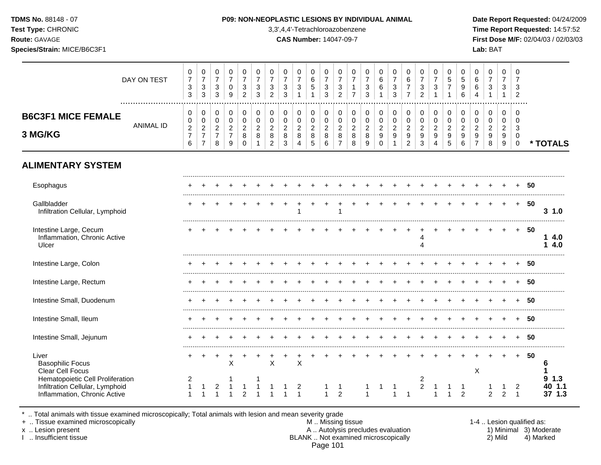**Test Type:** CHRONIC 3,3',4,4'-Tetrachloroazobenzene **Time Report Requested:** 14:57:52 **Route:** GAVAGE **CAS Number:** 14047-09-7 **First Dose M/F:** 02/04/03 / 02/03/03 **Species/Strain:** MICE/B6C3F1 **Lab:** BAT

|                                                                                          | DAY ON TEST      | 0<br>$\overline{7}$<br>$\mathbf{3}$<br>$\mathbf{3}$ | $\mathbf 0$<br>$\overline{7}$<br>$\sqrt{3}$<br>3                       | $\mathbf 0$<br>$\overline{7}$<br>$\ensuremath{\mathsf{3}}$<br>3       | $\mathbf 0$<br>$\overline{7}$<br>$\mathbf 0$<br>9         | 0<br>$\overline{7}$<br>3<br>$\overline{2}$ | $\mathbf 0$<br>$\overline{7}$<br>3<br>3            | $\mathbf 0$<br>$\overline{7}$<br>$\ensuremath{\mathsf{3}}$<br>$\overline{2}$ | $\mathbf 0$<br>$\overline{7}$<br>$\mathbf{3}$<br>3   | $\mathbf 0$<br>$\overline{7}$<br>$\sqrt{3}$<br>$\mathbf{1}$ | $\mathbf 0$<br>6<br>$\sqrt{5}$                            | 0<br>$\overline{7}$<br>$\sqrt{3}$<br>3       | 0<br>$\overline{7}$<br>$\sqrt{3}$<br>$\overline{2}$ | $\mathbf 0$<br>$\overline{7}$<br>$\mathbf{1}$<br>$\overline{7}$ | $\mathbf 0$<br>$\overline{7}$<br>$\ensuremath{\mathsf{3}}$<br>3 | $\mathbf 0$<br>6<br>$\,6\,$                                           | $\mathbf 0$<br>$\overline{7}$<br>$\sqrt{3}$<br>3                      | $\mathbf 0$<br>$\,6\,$<br>$\overline{7}$<br>$\overline{7}$           | 0<br>$\overline{7}$<br>3<br>$\overline{2}$   | 0<br>$\overline{7}$<br>$\sqrt{3}$  | $\mathbf 0$<br>$\sqrt{5}$<br>$\overline{7}$             | $\mathbf 0$<br>5<br>$\boldsymbol{9}$<br>6                   | $\mathbf 0$<br>6<br>6<br>$\overline{\mathbf{4}}$                           | $\pmb{0}$<br>$\overline{7}$<br>$\sqrt{3}$<br>$\mathbf{1}$   | $\mathbf 0$<br>$\overline{7}$<br>3                     | $\Omega$<br>7<br>3<br>$\overline{2}$             |     |                   |
|------------------------------------------------------------------------------------------|------------------|-----------------------------------------------------|------------------------------------------------------------------------|-----------------------------------------------------------------------|-----------------------------------------------------------|--------------------------------------------|----------------------------------------------------|------------------------------------------------------------------------------|------------------------------------------------------|-------------------------------------------------------------|-----------------------------------------------------------|----------------------------------------------|-----------------------------------------------------|-----------------------------------------------------------------|-----------------------------------------------------------------|-----------------------------------------------------------------------|-----------------------------------------------------------------------|----------------------------------------------------------------------|----------------------------------------------|------------------------------------|---------------------------------------------------------|-------------------------------------------------------------|----------------------------------------------------------------------------|-------------------------------------------------------------|--------------------------------------------------------|--------------------------------------------------|-----|-------------------|
| <b>B6C3F1 MICE FEMALE</b><br>3 MG/KG                                                     | <b>ANIMAL ID</b> | 0<br>0<br>$\overline{c}$<br>$\overline{7}$<br>6     | 0<br>$\mathbf 0$<br>$\overline{c}$<br>$\overline{7}$<br>$\overline{7}$ | $\mathbf 0$<br>$\mathbf 0$<br>$\boldsymbol{2}$<br>$\overline{7}$<br>8 | 0<br>$\mathbf 0$<br>$\overline{2}$<br>$\overline{7}$<br>9 | 0<br>0<br>$\overline{2}$<br>8<br>0         | 0<br>$\mathbf 0$<br>$\sqrt{2}$<br>8<br>$\mathbf 1$ | 0<br>$\mathbf 0$<br>$\overline{c}$<br>$\bf8$<br>$\overline{c}$               | 0<br>$\mathbf 0$<br>$\boldsymbol{2}$<br>$\bf 8$<br>3 | 0<br>$\mathbf 0$<br>$\overline{2}$<br>8<br>4                | 0<br>$\pmb{0}$<br>$\overline{c}$<br>$\bf 8$<br>$\sqrt{5}$ | 0<br>$\mathbf 0$<br>$\overline{2}$<br>8<br>6 | 0<br>0<br>$\overline{2}$<br>8<br>$\overline{7}$     | $\mathbf 0$<br>$\pmb{0}$<br>$\sqrt{2}$<br>8<br>8                | 0<br>$\pmb{0}$<br>$\overline{c}$<br>$\bf 8$<br>$\boldsymbol{9}$ | 0<br>$\pmb{0}$<br>$\boldsymbol{2}$<br>$\boldsymbol{9}$<br>$\mathbf 0$ | 0<br>$\mathsf 0$<br>$\overline{c}$<br>$\boldsymbol{9}$<br>$\mathbf 1$ | 0<br>$\mathbf 0$<br>$\sqrt{2}$<br>$\boldsymbol{9}$<br>$\overline{2}$ | 0<br>$\mathbf 0$<br>$\overline{2}$<br>9<br>3 | 0<br>0<br>$\overline{2}$<br>9<br>4 | 0<br>$\mathbf 0$<br>$\sqrt{2}$<br>$\boldsymbol{9}$<br>5 | 0<br>$\mathsf 0$<br>$\overline{c}$<br>$\boldsymbol{9}$<br>6 | 0<br>$\mathbf 0$<br>$\boldsymbol{2}$<br>$\boldsymbol{9}$<br>$\overline{7}$ | 0<br>$\mathbf 0$<br>$\overline{c}$<br>$\boldsymbol{9}$<br>8 | $\mathbf 0$<br>$\mathbf 0$<br>$\overline{2}$<br>9<br>9 | $\mathbf 0$<br>$\Omega$<br>3<br>0<br>$\mathbf 0$ |     | * TOTALS          |
| <b>ALIMENTARY SYSTEM</b>                                                                 |                  |                                                     |                                                                        |                                                                       |                                                           |                                            |                                                    |                                                                              |                                                      |                                                             |                                                           |                                              |                                                     |                                                                 |                                                                 |                                                                       |                                                                       |                                                                      |                                              |                                    |                                                         |                                                             |                                                                            |                                                             |                                                        |                                                  |     |                   |
| Esophagus                                                                                |                  |                                                     |                                                                        |                                                                       |                                                           |                                            |                                                    |                                                                              |                                                      |                                                             |                                                           |                                              |                                                     |                                                                 |                                                                 |                                                                       |                                                                       |                                                                      |                                              |                                    |                                                         |                                                             |                                                                            |                                                             |                                                        | $\div$                                           | 50  |                   |
| Gallbladder<br>Infiltration Cellular, Lymphoid                                           |                  | +                                                   |                                                                        |                                                                       |                                                           |                                            |                                                    |                                                                              |                                                      |                                                             |                                                           |                                              |                                                     |                                                                 |                                                                 |                                                                       |                                                                       |                                                                      |                                              |                                    |                                                         |                                                             |                                                                            |                                                             | $\div$                                                 | $+$                                              | 50  | 31.0              |
| Intestine Large, Cecum<br>Inflammation, Chronic Active<br>Ulcer                          |                  |                                                     |                                                                        |                                                                       |                                                           |                                            |                                                    |                                                                              |                                                      |                                                             |                                                           |                                              |                                                     |                                                                 |                                                                 |                                                                       |                                                                       |                                                                      | 4<br>4                                       |                                    |                                                         |                                                             |                                                                            |                                                             |                                                        | $+$                                              | -50 | 14.0<br>4.0<br>1. |
| Intestine Large, Colon                                                                   |                  |                                                     |                                                                        |                                                                       |                                                           |                                            |                                                    |                                                                              |                                                      |                                                             |                                                           |                                              |                                                     |                                                                 |                                                                 |                                                                       |                                                                       |                                                                      |                                              |                                    |                                                         |                                                             |                                                                            |                                                             |                                                        | $\div$                                           | 50  |                   |
| Intestine Large, Rectum                                                                  |                  |                                                     |                                                                        |                                                                       |                                                           |                                            |                                                    |                                                                              |                                                      |                                                             |                                                           |                                              |                                                     |                                                                 |                                                                 |                                                                       |                                                                       |                                                                      |                                              |                                    |                                                         |                                                             |                                                                            |                                                             |                                                        | $\div$                                           | 50  |                   |
| Intestine Small, Duodenum                                                                |                  |                                                     |                                                                        |                                                                       |                                                           |                                            |                                                    |                                                                              |                                                      |                                                             |                                                           |                                              |                                                     |                                                                 |                                                                 |                                                                       |                                                                       |                                                                      |                                              |                                    |                                                         |                                                             |                                                                            |                                                             |                                                        |                                                  | -50 |                   |
| Intestine Small, Ileum                                                                   |                  |                                                     |                                                                        |                                                                       |                                                           |                                            |                                                    |                                                                              |                                                      |                                                             |                                                           |                                              |                                                     |                                                                 |                                                                 |                                                                       |                                                                       |                                                                      |                                              |                                    |                                                         |                                                             |                                                                            |                                                             |                                                        |                                                  | -50 |                   |
| Intestine Small, Jejunum                                                                 |                  |                                                     |                                                                        |                                                                       |                                                           |                                            |                                                    |                                                                              |                                                      |                                                             |                                                           |                                              |                                                     |                                                                 |                                                                 |                                                                       |                                                                       |                                                                      |                                              |                                    |                                                         |                                                             |                                                                            |                                                             |                                                        |                                                  | 50  |                   |
| Liver<br><b>Basophilic Focus</b><br>Clear Cell Focus<br>Hematopoietic Cell Proliferation |                  |                                                     |                                                                        |                                                                       | $\mathsf X$                                               |                                            |                                                    | $\mathsf{X}$                                                                 |                                                      | X                                                           |                                                           |                                              |                                                     |                                                                 |                                                                 |                                                                       |                                                                       |                                                                      | $\overline{\mathbf{c}}$                      |                                    |                                                         |                                                             | X                                                                          |                                                             |                                                        |                                                  | 50  | 6<br>1.3<br>9     |
| Infiltration Cellular, Lymphoid<br>Inflammation, Chronic Active                          |                  |                                                     |                                                                        | 2                                                                     |                                                           | $\mathcal{P}$                              |                                                    |                                                                              |                                                      | 2<br>$\overline{1}$                                         |                                                           | 1                                            | $\overline{2}$                                      |                                                                 | $\mathbf{1}$                                                    |                                                                       | 1                                                                     | -1                                                                   | $\boldsymbol{2}$                             |                                    |                                                         | $\overline{2}$                                              |                                                                            | $\mathcal{P}$                                               | 2                                                      | 2<br>$\mathbf{1}$                                |     | 40 1.1<br>37 1.3  |

\* .. Total animals with tissue examined microscopically; Total animals with lesion and mean severity grade

+ .. Tissue examined microscopically M .. Missing tissue 1-4 .. Lesion qualified as: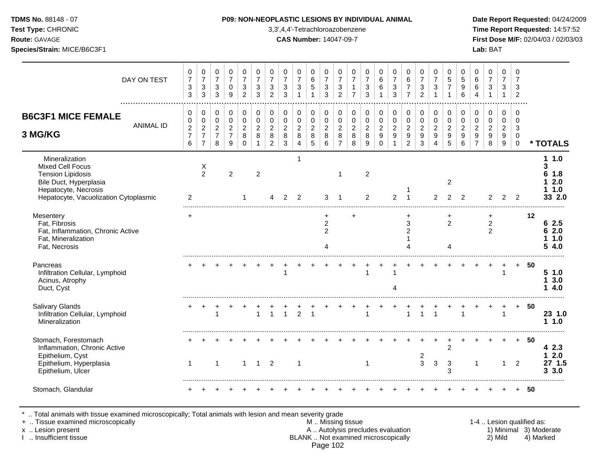### **TDMS No.** 88148 - 07 **P09: NON-NEOPLASTIC LESIONS BY INDIVIDUAL ANIMAL Date Report Requested:** 04/24/2009

**Test Type:** CHRONIC 3,3',4,4'-Tetrachloroazobenzene **Time Report Requested:** 14:57:52 **Route:** GAVAGE **CAS Number:** 14047-09-7 **First Dose M/F:** 02/04/03 / 02/03/03

| DAY ON TEST                                                                                                                                                      | 0<br>$\boldsymbol{7}$<br>$\ensuremath{\mathsf{3}}$<br>3         | 0<br>$\overline{7}$<br>$\mathbf{3}$<br>3                           | 0<br>$\overline{7}$<br>$\mathbf{3}$<br>3                | 0<br>$\overline{7}$<br>$\mathbf 0$<br>9                           | 0<br>$\overline{7}$<br>$\mathbf{3}$<br>$\overline{2}$ | 0<br>$\overline{7}$<br>$\ensuremath{\mathsf{3}}$<br>3               | 0<br>$\overline{7}$<br>$\mathbf{3}$<br>2                    | 0<br>$\overline{7}$<br>$\sqrt{3}$<br>3                   | 0<br>$\overline{7}$<br>$\sqrt{3}$<br>$\mathbf{1}$ | 0<br>6<br>5<br>1                               | 0<br>$\overline{7}$<br>$\sqrt{3}$<br>3              | 0<br>$\overline{7}$<br>$\sqrt{3}$<br>$\overline{2}$     | 0<br>$\overline{7}$<br>$\mathbf{1}$<br>$\overline{7}$  | 0<br>$\overline{7}$<br>$\,$ 3 $\,$<br>$\overline{3}$     | 0<br>$\,6\,$<br>6<br>$\overline{1}$                                        | 0<br>$\overline{7}$<br>$\sqrt{3}$<br>3                                 | 0<br>$\,6\,$<br>$\overline{7}$<br>$\overline{7}$                           | 0<br>$\overline{7}$<br>3<br>$\overline{2}$ | 0<br>$\overline{7}$<br>$\mathbf{3}$        | 0<br>$\overline{5}$<br>$\overline{7}$<br>1 | 0<br>5<br>9<br>6                                  | 0<br>$\,6\,$<br>$\,6\,$<br>$\boldsymbol{\Lambda}$                              | 0<br>$\overline{7}$<br>$\sqrt{3}$<br>$\mathbf{1}$                   | $\mathbf 0$<br>$\overline{7}$<br>3<br>$\mathbf{1}$                 | 0<br>$\overline{7}$<br>3<br>$\overline{2}$   |    |                                               |
|------------------------------------------------------------------------------------------------------------------------------------------------------------------|-----------------------------------------------------------------|--------------------------------------------------------------------|---------------------------------------------------------|-------------------------------------------------------------------|-------------------------------------------------------|---------------------------------------------------------------------|-------------------------------------------------------------|----------------------------------------------------------|---------------------------------------------------|------------------------------------------------|-----------------------------------------------------|---------------------------------------------------------|--------------------------------------------------------|----------------------------------------------------------|----------------------------------------------------------------------------|------------------------------------------------------------------------|----------------------------------------------------------------------------|--------------------------------------------|--------------------------------------------|--------------------------------------------|---------------------------------------------------|--------------------------------------------------------------------------------|---------------------------------------------------------------------|--------------------------------------------------------------------|----------------------------------------------|----|-----------------------------------------------|
| <b>B6C3F1 MICE FEMALE</b><br><b>ANIMAL ID</b><br>3 MG/KG                                                                                                         | 0<br>$\pmb{0}$<br>$\boldsymbol{2}$<br>$\overline{7}$<br>$\,6\,$ | 0<br>$\mathbf 0$<br>$\sqrt{2}$<br>$\overline{7}$<br>$\overline{7}$ | $\pmb{0}$<br>0<br>$\overline{c}$<br>$\overline{7}$<br>8 | $\pmb{0}$<br>$\mathbf 0$<br>$\overline{2}$<br>$\overline{7}$<br>9 | 0<br>0<br>$\boldsymbol{2}$<br>8<br>$\Omega$           | $\mathbf 0$<br>$\mathbf 0$<br>$\overline{2}$<br>8<br>$\overline{1}$ | 0<br>$\mathsf 0$<br>$\boldsymbol{2}$<br>8<br>$\overline{2}$ | 0<br>$\pmb{0}$<br>$\mathbf 2$<br>$\bf 8$<br>$\mathbf{3}$ | 0<br>$\mathbf 0$<br>$\sqrt{2}$<br>$\bf 8$<br>4    | 0<br>$\mathsf 0$<br>$\boldsymbol{2}$<br>8<br>5 | 0<br>$\mathbf 0$<br>$\overline{2}$<br>8<br>6        | $\pmb{0}$<br>0<br>$\overline{a}$<br>8<br>$\overline{7}$ | $\pmb{0}$<br>$\mathbf 0$<br>$\sqrt{2}$<br>$\,8\,$<br>8 | $\pmb{0}$<br>$\pmb{0}$<br>$\overline{2}$<br>$\bf 8$<br>9 | $\pmb{0}$<br>$\pmb{0}$<br>$\boldsymbol{2}$<br>$\boldsymbol{9}$<br>$\Omega$ | 0<br>$\pmb{0}$<br>$\boldsymbol{2}$<br>$\boldsymbol{9}$<br>$\mathbf{1}$ | 0<br>$\pmb{0}$<br>$\boldsymbol{2}$<br>$\boldsymbol{9}$<br>$\boldsymbol{2}$ | 0<br>$\mathbf 0$<br>$\sqrt{2}$<br>9<br>3   | $\pmb{0}$<br>0<br>$\overline{c}$<br>9<br>4 | $\pmb{0}$<br>0<br>$\overline{c}$<br>9<br>5 | 0<br>0<br>$\overline{2}$<br>$\boldsymbol{9}$<br>6 | $\mathbf 0$<br>$\mathbf 0$<br>$\sqrt{2}$<br>$\boldsymbol{9}$<br>$\overline{7}$ | $\pmb{0}$<br>$\mathbf 0$<br>$\overline{c}$<br>$\boldsymbol{9}$<br>8 | 0<br>0<br>$\boldsymbol{2}$<br>$\boldsymbol{9}$<br>$\boldsymbol{9}$ | 0<br>$\mathbf 0$<br>3<br>0<br>$\overline{0}$ |    | * TOTALS                                      |
| Mineralization<br><b>Mixed Cell Focus</b><br><b>Tension Lipidosis</b><br>Bile Duct, Hyperplasia<br>Hepatocyte, Necrosis<br>Hepatocyte, Vacuolization Cytoplasmic | 2                                                               | X<br>$\overline{2}$                                                |                                                         | $\overline{2}$                                                    |                                                       | $\overline{2}$                                                      |                                                             | 2                                                        | 1<br>2                                            |                                                | 3                                                   | $\mathbf 1$<br>-1                                       |                                                        | $\overline{c}$<br>2                                      |                                                                            | $\overline{2}$                                                         |                                                                            |                                            | $\overline{2}$                             | $\overline{c}$<br>2                        | $\overline{2}$                                    |                                                                                | 2                                                                   | 2                                                                  | $\mathcal{P}$                                |    | 11.0<br>3<br>6<br>1.8<br>2.0<br>1.0<br>33 2.0 |
| Mesentery<br>Fat, Fibrosis<br>Fat, Inflammation, Chronic Active<br>Fat, Mineralization<br>Fat, Necrosis                                                          | $\ddot{}$                                                       |                                                                    |                                                         |                                                                   |                                                       |                                                                     |                                                             |                                                          |                                                   |                                                | ٠<br>$\overline{\mathbf{c}}$<br>$\overline{2}$<br>4 |                                                         | +                                                      |                                                          |                                                                            |                                                                        | $\div$<br>$\sqrt{3}$<br>$\overline{c}$<br>$\Lambda$                        |                                            |                                            | +<br>$\overline{c}$<br>4                   |                                                   |                                                                                | ÷<br>$\overline{c}$<br>2                                            |                                                                    |                                              | 12 | 6 2.5<br>62.0<br>1.0<br>54.0                  |
| Pancreas<br>Infiltration Cellular, Lymphoid<br>Acinus, Atrophy<br>Duct, Cyst                                                                                     |                                                                 |                                                                    |                                                         |                                                                   |                                                       |                                                                     |                                                             | 1                                                        |                                                   |                                                |                                                     |                                                         |                                                        | 1                                                        |                                                                            | $\mathbf 1$                                                            |                                                                            |                                            |                                            |                                            |                                                   |                                                                                |                                                                     | $\overline{\mathbf{1}}$                                            | $+$                                          | 50 | 51.0<br>13.0<br>14.0                          |
| Salivary Glands<br>Infiltration Cellular, Lymphoid<br>Mineralization                                                                                             |                                                                 |                                                                    | 1                                                       |                                                                   |                                                       | $\overline{1}$                                                      | $\mathbf{1}$                                                | $\mathbf{1}$                                             | $\overline{2}$                                    | $\mathbf{1}$                                   |                                                     |                                                         |                                                        | $\mathbf{1}$                                             |                                                                            |                                                                        | $\overline{1}$                                                             | $\mathbf{1}$                               | 1                                          |                                            | $\mathbf{1}$                                      |                                                                                | +                                                                   | $\overline{1}$                                                     | $+$                                          | 50 | 23 1.0<br>11.0                                |
| Stomach, Forestomach<br>Inflammation, Chronic Active<br>Epithelium, Cyst<br>Epithelium, Hyperplasia<br>Epithelium, Ulcer                                         | 1                                                               |                                                                    | $\mathbf 1$                                             |                                                                   | $\mathbf{1}$                                          | $\overline{1}$                                                      | 2                                                           |                                                          | $\mathbf{1}$                                      |                                                |                                                     |                                                         |                                                        | 1                                                        |                                                                            |                                                                        |                                                                            | 2<br>3                                     | 3                                          | $\overline{2}$<br>$\mathbf{3}$<br>3        |                                                   | -1                                                                             |                                                                     | $\mathbf{1}$                                                       | $+$<br>2                                     | 50 | 4 2.3<br>2.0<br>1<br>27 1.5<br>3<br>3.0       |
| Stomach, Glandular                                                                                                                                               |                                                                 |                                                                    |                                                         |                                                                   |                                                       |                                                                     |                                                             |                                                          |                                                   |                                                |                                                     |                                                         |                                                        |                                                          |                                                                            |                                                                        |                                                                            |                                            |                                            |                                            |                                                   |                                                                                |                                                                     |                                                                    |                                              | 50 |                                               |

\* .. Total animals with tissue examined microscopically; Total animals with lesion and mean severity grade

+ .. Tissue examined microscopically M .. Missing tissue 1-4 .. Lesion qualified as:

- x .. Lesion present **A .. Autolysis precludes evaluation** A .. Autolysis precludes evaluation 1) Minimal 3) Moderate I .. Insufficient tissue BLANK .. Not examined microscopically 2) Mild 4) Marked Page 102
-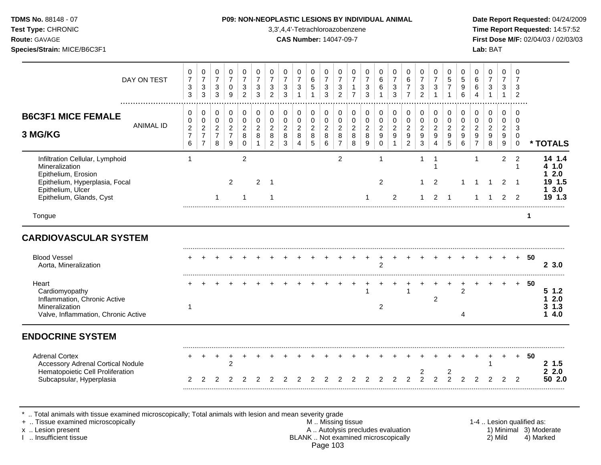**Test Type:** CHRONIC 3,3',4,4'-Tetrachloroazobenzene **Time Report Requested:** 14:57:52 **Route:** GAVAGE **CAS Number:** 14047-09-7 **First Dose M/F:** 02/04/03 / 02/03/03 **Species/Strain:** MICE/B6C3F1 **Lab:** BAT

| 0<br>$\overline{7}$<br>$\sqrt{3}$<br>3                                                                                                                                                                                       | 0<br>$\overline{7}$<br>3<br>$\mathbf{3}$                     | 0<br>$\overline{7}$<br>3<br>$\mathbf{3}$             | 0<br>$\overline{7}$<br>0<br>9              | $\mathbf 0$<br>$\overline{7}$<br>3<br>$\overline{2}$ | 0<br>$\overline{7}$<br>3<br>3           | 0<br>$\overline{7}$<br>3<br>2                   | 0<br>$\overline{7}$<br>3<br>3            | $\mathbf 0$<br>$\overline{7}$<br>$\ensuremath{\mathsf{3}}$ | 0<br>$\,6\,$<br>$\sqrt{5}$<br>$\mathbf{1}$ | 0<br>$\overline{7}$<br>$\ensuremath{\mathsf{3}}$<br>3 | $\mathbf 0$<br>$\overline{7}$<br>$\mathbf{3}$<br>$\overline{2}$ | 0<br>$\overline{7}$<br>$\mathbf 1$<br>$\overline{7}$                                                  | 0<br>$\overline{7}$<br>$\mathbf{3}$<br>3              | $\mathbf 0$<br>6<br>6                        | 0<br>$\overline{7}$<br>$\mathbf{3}$<br>$\mathbf{3}$         | 0<br>$\,6$<br>$\overline{7}$<br>$\overline{7}$ | 0<br>$\overline{7}$<br>3<br>$\overline{2}$ | $\mathbf 0$<br>$\overline{7}$<br>$\mathbf{3}$<br>$\overline{1}$ | $\Omega$<br>5<br>$\overline{7}$              | $\Omega$<br>5<br>9<br>6                                     | 0<br>6<br>6<br>4                                                         | 0<br>$\overline{7}$<br>$\mathbf{3}$<br>$\mathbf{1}$ | $\Omega$<br>$\overline{7}$<br>3<br>$\mathbf{1}$   | 0<br>$\overline{7}$<br>3<br>$\overline{2}$       |    |                                   |
|------------------------------------------------------------------------------------------------------------------------------------------------------------------------------------------------------------------------------|--------------------------------------------------------------|------------------------------------------------------|--------------------------------------------|------------------------------------------------------|-----------------------------------------|-------------------------------------------------|------------------------------------------|------------------------------------------------------------|--------------------------------------------|-------------------------------------------------------|-----------------------------------------------------------------|-------------------------------------------------------------------------------------------------------|-------------------------------------------------------|----------------------------------------------|-------------------------------------------------------------|------------------------------------------------|--------------------------------------------|-----------------------------------------------------------------|----------------------------------------------|-------------------------------------------------------------|--------------------------------------------------------------------------|-----------------------------------------------------|---------------------------------------------------|--------------------------------------------------|----|-----------------------------------|
| 0<br>$\pmb{0}$<br>$\overline{c}$<br>$\overline{7}$                                                                                                                                                                           | 0<br>0<br>$\overline{c}$<br>$\overline{7}$<br>$\overline{7}$ | 0<br>$\mathbf 0$<br>$\overline{2}$<br>$\overline{7}$ | 0<br>0<br>$\overline{2}$<br>$\overline{7}$ | 0<br>$\mathbf 0$<br>$\overline{2}$<br>8              | $\mathbf 0$<br>0<br>$\overline{2}$<br>8 | $\pmb{0}$<br>$\mathbf 0$<br>$\overline{2}$<br>8 | 0<br>0<br>$\overline{2}$<br>$\,8\,$<br>3 | 0<br>$\mathbf 0$<br>$\overline{2}$<br>$\,8\,$<br>4         | 0<br>$\mathbf 0$<br>$\overline{2}$<br>8    | 0<br>$\mathbf 0$<br>$\overline{c}$<br>8               | 0<br>$\mathbf 0$<br>$\overline{2}$<br>8<br>$\overline{7}$       | 0<br>0<br>$\overline{2}$<br>8                                                                         | $\mathbf 0$<br>$\pmb{0}$<br>$\overline{2}$<br>$\,8\,$ | 0<br>0<br>$\overline{2}$<br>$\boldsymbol{9}$ | 0<br>$\mathsf 0$<br>$\overline{2}$<br>$9\,$<br>$\mathbf{1}$ | 0<br>$\mathbf 0$<br>$\overline{2}$<br>9        | 0<br>0<br>$\overline{c}$<br>9              | 0<br>$\mathbf 0$<br>$\sqrt{2}$<br>9<br>$\overline{4}$           | 0<br>$\mathbf 0$<br>$\overline{2}$<br>9<br>5 | 0<br>$\mathbf 0$<br>$\overline{c}$<br>$\boldsymbol{9}$<br>6 | 0<br>$\mathbf 0$<br>$\overline{2}$<br>$\boldsymbol{9}$<br>$\overline{7}$ | 0<br>0<br>$\overline{2}$<br>9                       | $\mathbf 0$<br>$\mathbf 0$<br>$\overline{2}$<br>9 | 0<br>$\Omega$<br>3<br>$\mathbf 0$<br>$\mathbf 0$ |    | * TOTALS                          |
| $\mathbf 1$                                                                                                                                                                                                                  |                                                              |                                                      |                                            | $\overline{c}$                                       |                                         |                                                 |                                          |                                                            |                                            |                                                       | $\overline{c}$                                                  |                                                                                                       |                                                       | $\mathbf{1}$                                 |                                                             |                                                | $\mathbf{1}$                               | -1                                                              |                                              |                                                             | 1                                                                        |                                                     | $\overline{c}$                                    | $\overline{2}$<br>-1                             |    | 14 1.4<br>4 1.0<br>2.0            |
|                                                                                                                                                                                                                              |                                                              |                                                      | 2                                          | 1                                                    | $\overline{2}$                          | $\overline{1}$<br>1                             |                                          |                                                            |                                            |                                                       |                                                                 |                                                                                                       | 1                                                     | 2                                            | 2                                                           |                                                | 1                                          | $\overline{2}$<br>2                                             | -1                                           |                                                             |                                                                          |                                                     | 2<br>$\overline{2}$                               | $\overline{1}$<br>2                              |    | 19 1.5<br>3.0<br>19 1.3           |
|                                                                                                                                                                                                                              |                                                              |                                                      |                                            |                                                      |                                         |                                                 |                                          |                                                            |                                            |                                                       |                                                                 |                                                                                                       |                                                       |                                              |                                                             |                                                |                                            |                                                                 |                                              |                                                             |                                                                          |                                                     |                                                   |                                                  | 1  |                                   |
|                                                                                                                                                                                                                              |                                                              |                                                      |                                            |                                                      |                                         |                                                 |                                          |                                                            |                                            |                                                       |                                                                 |                                                                                                       |                                                       | $\overline{2}$                               |                                                             |                                                |                                            |                                                                 |                                              |                                                             |                                                                          |                                                     |                                                   | $+$                                              | 50 | 23.0                              |
| -1                                                                                                                                                                                                                           |                                                              |                                                      |                                            |                                                      |                                         |                                                 |                                          |                                                            |                                            |                                                       |                                                                 |                                                                                                       |                                                       | 2                                            |                                                             |                                                |                                            | $\overline{c}$                                                  |                                              | 2<br>4                                                      |                                                                          |                                                     |                                                   |                                                  | 50 | 51.2<br>12.0<br>$3 \t1.3$<br>14.0 |
|                                                                                                                                                                                                                              |                                                              |                                                      |                                            |                                                      |                                         |                                                 |                                          |                                                            |                                            |                                                       |                                                                 |                                                                                                       |                                                       |                                              |                                                             |                                                |                                            |                                                                 |                                              |                                                             |                                                                          |                                                     |                                                   |                                                  |    |                                   |
| 2                                                                                                                                                                                                                            | 2                                                            |                                                      | 2                                          |                                                      |                                         |                                                 |                                          |                                                            |                                            |                                                       |                                                                 |                                                                                                       |                                                       |                                              | 2                                                           | $\overline{2}$                                 | 2<br>$\overline{2}$                        | $\overline{2}$                                                  | 2<br>$\mathfrak{p}$                          | 2                                                           |                                                                          |                                                     |                                                   | 2                                                | 50 | 2 1.5<br>22.0<br>50 2.0           |
|                                                                                                                                                                                                                              |                                                              |                                                      |                                            |                                                      |                                         |                                                 |                                          |                                                            |                                            |                                                       |                                                                 |                                                                                                       |                                                       |                                              |                                                             |                                                |                                            |                                                                 |                                              |                                                             |                                                                          |                                                     |                                                   |                                                  |    |                                   |
| DAY ON TEST<br><b>ANIMAL ID</b><br><b>CARDIOVASCULAR SYSTEM</b><br>Valve, Inflammation, Chronic Active<br><b>Accessory Adrenal Cortical Nodule</b><br>Hematopoietic Cell Proliferation<br>+  Tissue examined microscopically | 6                                                            |                                                      | 8                                          | $\boldsymbol{9}$                                     | $\mathbf 0$                             |                                                 | $\overline{c}$                           |                                                            |                                            | 5                                                     | 6                                                               | Total animals with tissue examined microscopically; Total animals with lesion and mean severity grade | 8                                                     | $9\,$                                        | $\pmb{0}$                                                   |                                                | $\overline{c}$<br>M Missing tissue         | 3                                                               |                                              |                                                             |                                                                          |                                                     | 8                                                 | 9                                                |    | 1-4  Lesion qualified as:         |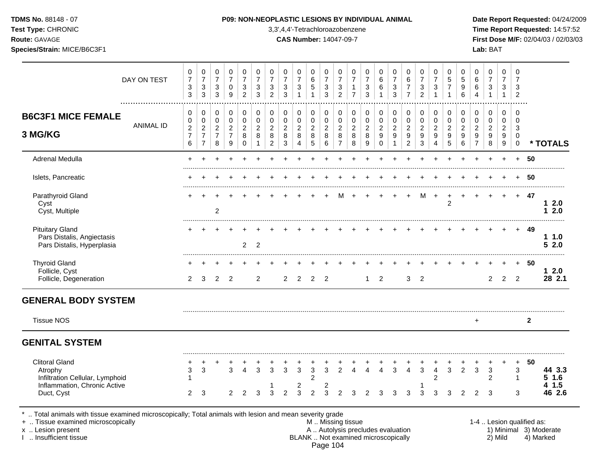## **TDMS No.** 88148 - 07 **P09: NON-NEOPLASTIC LESIONS BY INDIVIDUAL ANIMAL Date Report Requested:** 04/24/2009

**Test Type:** CHRONIC 3,3',4,4'-Tetrachloroazobenzene **Time Report Requested:** 14:57:52 **Route:** GAVAGE **CAS Number:** 14047-09-7 **First Dose M/F:** 02/04/03 / 02/03/03

|                                                                                                       | DAY ON TEST      | 0<br>$\overline{7}$       | 0<br>$\overline{7}$              | 0<br>$\overline{7}$            | 0<br>$\overline{7}$ | 0<br>$\overline{7}$    | 0<br>$\overline{7}$        | 0<br>$\overline{7}$       | 0<br>$\overline{7}$ | 0<br>$\overline{7}$       | 0<br>6                | $\mathbf 0$<br>$\overline{7}$ | 0<br>$\overline{7}$       | 0<br>$\overline{7}$    | 0<br>$\overline{7}$               | 0<br>$\,6$                      | 0<br>$\overline{7}$              | 0<br>$\,6\,$                       | $\pmb{0}$<br>$\overline{7}$      | 0<br>$\overline{7}$    | 0<br>$\overline{5}$        | 0<br>$\overline{5}$   | 0<br>$\,6$                         | 0<br>$\boldsymbol{7}$                     | $\mathbf 0$<br>$\overline{7}$ | $\mathbf 0$<br>$\overline{7}$ |                           |                        |
|-------------------------------------------------------------------------------------------------------|------------------|---------------------------|----------------------------------|--------------------------------|---------------------|------------------------|----------------------------|---------------------------|---------------------|---------------------------|-----------------------|-------------------------------|---------------------------|------------------------|-----------------------------------|---------------------------------|----------------------------------|------------------------------------|----------------------------------|------------------------|----------------------------|-----------------------|------------------------------------|-------------------------------------------|-------------------------------|-------------------------------|---------------------------|------------------------|
|                                                                                                       |                  | 3<br>$\mathbf{3}$         | 3<br>3                           | $\mathbf{3}$<br>$\mathfrak{S}$ | $\mathbf 0$<br>9    | 3<br>$\overline{c}$    | 3<br>3                     | 3<br>$\overline{c}$       | 3<br>3              | 3<br>$\mathbf{1}$         | 5<br>$\mathbf{1}$     | $\mathbf{3}$<br>3             | 3<br>$\overline{c}$       | 1<br>$\overline{7}$    | 3<br>3                            | 6                               | 3<br>$\mathbf{3}$                | $\overline{7}$<br>$\overline{7}$   | $\sqrt{3}$<br>$\overline{c}$     | 3<br>1                 | $\overline{7}$             | 9<br>6                | 6<br>$\overline{4}$                | $\ensuremath{\mathsf{3}}$<br>$\mathbf{1}$ | 3<br>$\mathbf{1}$             | 3<br>$\overline{2}$           |                           |                        |
| <b>B6C3F1 MICE FEMALE</b>                                                                             |                  | 0<br>0                    | 0<br>0                           | $\mathbf 0$<br>$\pmb{0}$       | 0<br>$\mathbf 0$    | $\pmb{0}$<br>$\pmb{0}$ | $\mathbf 0$<br>$\mathbf 0$ | $\pmb{0}$<br>$\pmb{0}$    | 0<br>$\mathbf 0$    | 0<br>$\pmb{0}$            | 0<br>$\pmb{0}$        | 0<br>$\pmb{0}$                | 0<br>$\pmb{0}$            | $\pmb{0}$<br>$\pmb{0}$ | 0<br>$\pmb{0}$                    | 0<br>$\mathsf 0$                | 0<br>$\pmb{0}$                   | 0<br>$\pmb{0}$                     | $\mathbf 0$<br>$\pmb{0}$         | $\pmb{0}$<br>$\pmb{0}$ | $\mathbf 0$<br>$\mathbf 0$ | 0<br>$\mathbf 0$      | 0<br>$\mathbf 0$                   | 0<br>$\mathbf 0$                          | $\mathbf 0$<br>0              | $\mathbf 0$<br>$\overline{0}$ |                           |                        |
|                                                                                                       | <b>ANIMAL ID</b> | $\boldsymbol{2}$          | $\overline{\mathbf{c}}$          | $\sqrt{2}$                     | $\overline{2}$      | $\overline{c}$         | $\overline{2}$             | $\overline{c}$            | 2                   | $\overline{c}$            | $\overline{c}$        | $\overline{c}$                | $\overline{2}$            | $\overline{c}$         | $\overline{c}$                    | $\overline{c}$                  | $\overline{c}$                   | $\overline{c}$                     | $\boldsymbol{2}$                 | $\overline{c}$         | $\overline{2}$             | 2                     | $\overline{2}$                     | $\overline{2}$                            | $\overline{2}$                | 3                             |                           |                        |
| 3 MG/KG                                                                                               |                  | $\boldsymbol{7}$<br>$\,6$ | $\overline{7}$<br>$\overline{7}$ | $\overline{7}$<br>$\bf8$       | $\overline{7}$<br>9 | 8<br>$\mathbf 0$       | 8<br>$\mathbf{1}$          | $\bf 8$<br>$\overline{c}$ | 8<br>$\sqrt{3}$     | $\bf 8$<br>$\overline{4}$ | $\bf 8$<br>$\sqrt{5}$ | $\bf8$<br>6                   | $\,8\,$<br>$\overline{7}$ | 8<br>8                 | $\bf 8$<br>9                      | $\boldsymbol{9}$<br>$\mathbf 0$ | $\boldsymbol{9}$<br>$\mathbf{1}$ | $\boldsymbol{9}$<br>$\overline{c}$ | $\boldsymbol{9}$<br>$\mathbf{3}$ | 9<br>4                 | 9<br>5                     | $\boldsymbol{9}$<br>6 | $\boldsymbol{9}$<br>$\overline{7}$ | $\boldsymbol{9}$<br>8                     | 9<br>$\boldsymbol{9}$         | $\overline{0}$<br>$\mathbf 0$ |                           | * TOTALS               |
| Adrenal Medulla                                                                                       |                  |                           |                                  |                                |                     |                        |                            |                           |                     |                           |                       |                               |                           |                        |                                   |                                 |                                  |                                    |                                  |                        |                            |                       |                                    |                                           |                               | $+$                           | 50                        |                        |
| Islets, Pancreatic                                                                                    |                  |                           |                                  |                                |                     |                        |                            |                           |                     |                           |                       |                               |                           |                        |                                   |                                 |                                  |                                    |                                  |                        |                            |                       |                                    |                                           |                               | $\ddot{}$                     | -50                       |                        |
| Parathyroid Gland                                                                                     |                  |                           |                                  |                                |                     |                        |                            |                           |                     |                           |                       |                               |                           |                        |                                   |                                 |                                  |                                    | М                                | $\ddot{}$              | $\overline{2}$             | $\ddot{}$             |                                    |                                           | $+$                           | $+$                           | -47                       | 12.0                   |
| Cyst<br>Cyst, Multiple                                                                                |                  |                           |                                  | $\overline{c}$                 |                     |                        |                            |                           |                     |                           |                       |                               |                           |                        |                                   |                                 |                                  |                                    |                                  |                        |                            |                       |                                    |                                           |                               |                               |                           | 12.0                   |
| <b>Pituitary Gland</b>                                                                                |                  |                           |                                  |                                |                     |                        |                            |                           |                     |                           |                       |                               |                           |                        |                                   |                                 |                                  |                                    |                                  |                        |                            |                       |                                    |                                           |                               |                               | 49                        |                        |
| Pars Distalis, Angiectasis<br>Pars Distalis, Hyperplasia                                              |                  |                           |                                  |                                |                     | 2                      | $\overline{2}$             |                           |                     |                           |                       |                               |                           |                        |                                   |                                 |                                  |                                    |                                  |                        |                            |                       |                                    |                                           |                               |                               |                           | 11.0<br>52.0           |
| <b>Thyroid Gland</b>                                                                                  |                  |                           |                                  |                                |                     |                        |                            |                           |                     |                           |                       |                               |                           |                        |                                   |                                 |                                  |                                    |                                  |                        |                            |                       |                                    |                                           |                               | $+$                           | 50                        |                        |
| Follicle, Cyst<br>Follicle, Degeneration                                                              |                  | 2                         | 3                                | 2                              | 2                   |                        | 2                          |                           | 2                   | 2                         | 2                     | 2                             |                           |                        | 1                                 | 2                               |                                  | 3                                  | $\overline{2}$                   |                        |                            |                       |                                    | $\overline{2}$                            | 2                             | $\overline{2}$                |                           | $12.0$<br>28 2.1       |
| <b>GENERAL BODY SYSTEM</b>                                                                            |                  |                           |                                  |                                |                     |                        |                            |                           |                     |                           |                       |                               |                           |                        |                                   |                                 |                                  |                                    |                                  |                        |                            |                       |                                    |                                           |                               |                               |                           |                        |
| <b>Tissue NOS</b>                                                                                     |                  |                           |                                  |                                |                     |                        |                            |                           |                     |                           |                       |                               |                           |                        |                                   |                                 |                                  |                                    |                                  |                        |                            |                       | $\ddot{}$                          |                                           |                               |                               | $\mathbf{2}$              |                        |
| <b>GENITAL SYSTEM</b>                                                                                 |                  |                           |                                  |                                |                     |                        |                            |                           |                     |                           |                       |                               |                           |                        |                                   |                                 |                                  |                                    |                                  |                        |                            |                       |                                    |                                           |                               |                               |                           |                        |
| <b>Clitoral Gland</b>                                                                                 |                  |                           |                                  |                                |                     |                        |                            |                           |                     |                           |                       |                               |                           |                        |                                   |                                 |                                  |                                    |                                  |                        |                            |                       |                                    |                                           |                               | $\ddot{}$                     | 50                        |                        |
| Atrophy                                                                                               |                  | 3                         | 3                                |                                | 3                   | $\boldsymbol{\Lambda}$ | 3                          | 3                         | 3                   | 3                         | $\mathfrak{S}$        | 3                             | 2                         | 4                      | $\overline{A}$                    | $\overline{4}$                  | 3                                | 4                                  | 3                                | $\overline{4}$         | 3                          | $\overline{2}$        | 3                                  | 3                                         |                               | 3<br>$\mathbf{1}$             |                           | 44 3.3<br>$5$ 1.6      |
| Infiltration Cellular, Lymphoid<br>Inflammation, Chronic Active                                       |                  |                           |                                  |                                |                     |                        |                            |                           |                     | $\overline{\mathbf{c}}$   | 2                     | 2                             |                           |                        |                                   |                                 |                                  |                                    |                                  | $\overline{c}$         |                            |                       |                                    | $\overline{c}$                            |                               |                               |                           | 41.5                   |
| Duct, Cyst                                                                                            |                  | $\overline{2}$            | 3                                |                                | $\overline{2}$      | 2                      | 3                          | 3                         | $\mathfrak{p}$      | 3                         | 2                     | 3                             | $\mathcal{P}$             | 3                      | $\overline{2}$                    | 3                               | 3                                | 3                                  | 3                                | 3                      | 3                          | 2                     | 2                                  | 3                                         |                               | 3                             |                           | 46 2.6                 |
| Total animals with tissue examined microscopically; Total animals with lesion and mean severity grade |                  |                           |                                  |                                |                     |                        |                            |                           |                     |                           |                       |                               |                           |                        |                                   |                                 |                                  |                                    |                                  |                        |                            |                       |                                    |                                           |                               |                               |                           |                        |
| +  Tissue examined microscopically<br>x  Lesion present                                               |                  |                           |                                  |                                |                     |                        |                            |                           |                     |                           |                       |                               | M. Missing tissue         |                        | A  Autolysis precludes evaluation |                                 |                                  |                                    |                                  |                        |                            |                       |                                    |                                           |                               |                               | 1-4  Lesion qualified as: | 1) Minimal 3) Moderate |

I .. Insufficient tissue BLANK .. Not examined microscopically 2) Mild 4) Marked Page 104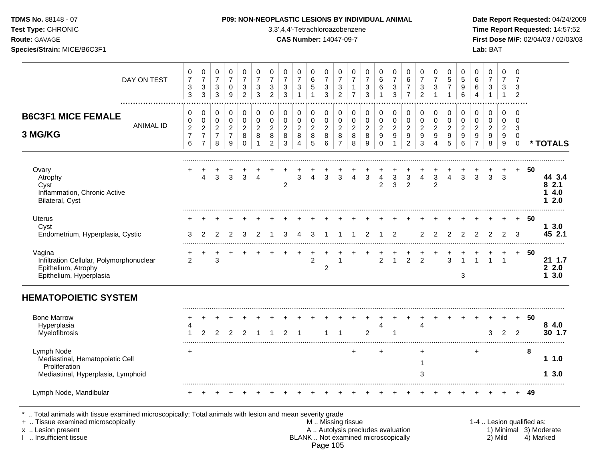| <b>TDMS No. 88148 - 07</b> |  |
|----------------------------|--|
|----------------------------|--|

## **P09: NON-NEOPLASTIC LESIONS BY INDIVIDUAL ANIMAL Date Report Requested:** 04/24/2009

**Test Type:** CHRONIC 3,3',4,4'-Tetrachloroazobenzene **Time Report Requested:** 14:57:52 **Route:** GAVAGE **CAS Number:** 14047-09-7 **First Dose M/F:** 02/04/03 / 02/03/03

| DAY ON TEST                                                                                          | 0<br>$\overline{7}$<br>3<br>3 | 0<br>$\overline{7}$<br>$\sqrt{3}$<br>3 | 0<br>$\overline{7}$<br>$\ensuremath{\mathsf{3}}$<br>3 | 0<br>$\overline{7}$<br>$\pmb{0}$<br>9 | 0<br>$\overline{7}$<br>$\ensuremath{\mathsf{3}}$<br>$\overline{2}$ | 0<br>$\overline{7}$<br>$\ensuremath{\mathsf{3}}$<br>3 | 0<br>$\overline{7}$<br>3<br>$\overline{2}$   | 0<br>$\overline{7}$<br>$\ensuremath{\mathsf{3}}$<br>3 | 0<br>$\overline{7}$<br>$\ensuremath{\mathsf{3}}$<br>$\overline{1}$ | 0<br>$\,6\,$<br>$\mathbf 5$<br>$\mathbf{1}$ | 0<br>$\overline{7}$<br>$\ensuremath{\mathsf{3}}$<br>3 | 0<br>$\overline{7}$<br>3<br>$\overline{2}$ | 0<br>$\overline{7}$<br>$\overline{7}$ | 0<br>$\overline{7}$<br>$\ensuremath{\mathsf{3}}$<br>3 | 0<br>$\,6\,$<br>$\,6$<br>$\mathbf{1}$ | 0<br>$\overline{7}$<br>$\sqrt{3}$<br>3     | 0<br>6<br>$\boldsymbol{7}$<br>$\overline{7}$ | 0<br>$\overline{7}$<br>$\ensuremath{\mathsf{3}}$<br>$\overline{2}$ | 0<br>$\overline{7}$<br>3<br>$\mathbf{1}$ | 0<br>5<br>$\overline{7}$<br>$\mathbf{1}$ | 0<br>$\sqrt{5}$<br>9<br>6                  | 0<br>$\,6$<br>$\,6$<br>$\overline{4}$ | 0<br>$\boldsymbol{7}$<br>$\ensuremath{\mathsf{3}}$<br>$\overline{1}$ | 0<br>$\overline{7}$<br>3<br>$\mathbf{1}$ | 0<br>$\overline{7}$<br>3<br>$\overline{2}$ |    |                                |
|------------------------------------------------------------------------------------------------------|-------------------------------|----------------------------------------|-------------------------------------------------------|---------------------------------------|--------------------------------------------------------------------|-------------------------------------------------------|----------------------------------------------|-------------------------------------------------------|--------------------------------------------------------------------|---------------------------------------------|-------------------------------------------------------|--------------------------------------------|---------------------------------------|-------------------------------------------------------|---------------------------------------|--------------------------------------------|----------------------------------------------|--------------------------------------------------------------------|------------------------------------------|------------------------------------------|--------------------------------------------|---------------------------------------|----------------------------------------------------------------------|------------------------------------------|--------------------------------------------|----|--------------------------------|
| <b>B6C3F1 MICE FEMALE</b><br><b>ANIMAL ID</b>                                                        | 0<br>0<br>$\overline{c}$      | 0<br>$\pmb{0}$<br>$\sqrt{2}$           | $\pmb{0}$<br>$\mathbf 0$<br>$\overline{2}$            | 0<br>$\mathbf 0$<br>$\sqrt{2}$        | 0<br>$\mathbf 0$<br>$\overline{c}$                                 | 0<br>$\mathbf 0$<br>$\overline{2}$                    | $\mathbf 0$<br>$\mathbf 0$<br>$\overline{c}$ | $\pmb{0}$<br>$\pmb{0}$<br>$\overline{c}$              | 0<br>0<br>$\boldsymbol{2}$                                         | 0<br>$\mathbf 0$<br>$\overline{c}$          | 0<br>$\mathbf 0$<br>$\boldsymbol{2}$                  | 0<br>$\mathbf 0$<br>$\overline{2}$         | $\pmb{0}$<br>0<br>$\overline{2}$      | 0<br>$\mathbf 0$<br>$\overline{c}$                    | 0<br>$\mathbf 0$<br>$\overline{2}$    | $\pmb{0}$<br>$\mathbf 0$<br>$\overline{2}$ | 0<br>$\mathbf 0$<br>$\overline{2}$           | 0<br>$\mathbf 0$<br>$\boldsymbol{2}$                               | 0<br>$\mathbf 0$<br>$\overline{2}$       | 0<br>$\mathbf 0$<br>$\overline{2}$       | $\pmb{0}$<br>$\mathbf 0$<br>$\overline{c}$ | 0<br>$\mathbf 0$<br>$\overline{c}$    | 0<br>$\mathbf 0$<br>$\overline{2}$                                   | 0<br>$\mathbf 0$<br>$\overline{2}$       | 0<br>$\Omega$<br>3                         |    |                                |
| 3 MG/KG                                                                                              | $\overline{7}$<br>6           | $\overline{7}$<br>$\overline{7}$       | $\overline{7}$<br>8                                   | $\overline{7}$<br>$\boldsymbol{9}$    | 8<br>$\mathbf 0$                                                   | 8<br>-1                                               | 8<br>$\overline{c}$                          | 8<br>3                                                | $\bf 8$<br>$\overline{4}$                                          | $\bf 8$<br>5                                | 8<br>$\,6\,$                                          | 8<br>$\overline{7}$                        | 8<br>8                                | 8<br>9                                                | $\boldsymbol{9}$<br>$\mathbf 0$       | 9<br>$\mathbf{1}$                          | $\boldsymbol{9}$<br>$\overline{c}$           | $\boldsymbol{9}$<br>$\mathbf{3}$                                   | 9<br>4                                   | 9<br>5                                   | $9\,$<br>6                                 | $\boldsymbol{9}$<br>$\overline{7}$    | $\boldsymbol{9}$<br>8                                                | 9<br>9                                   | 0<br>$\pmb{0}$                             |    | * TOTALS                       |
| Ovary<br>Atrophy<br>Cyst<br>Inflammation, Chronic Active<br>Bilateral, Cyst                          |                               | 4                                      | $\mathfrak{S}$                                        | 3                                     | 3                                                                  | 4                                                     |                                              | $\boldsymbol{2}$                                      | 3                                                                  | 4                                           | 3                                                     | 3                                          | 4                                     | $\sqrt{3}$                                            | $\overline{4}$<br>$\overline{c}$      | 3<br>3                                     | 3<br>2                                       | 4                                                                  | 3<br>$\overline{c}$                      | 4                                        | 3                                          | 3                                     | 3                                                                    | 3                                        | $\pm$                                      | 50 | 44 3.4<br>82.1<br>14.0<br>12.0 |
| <b>Uterus</b><br>Cyst<br>Endometrium, Hyperplasia, Cystic                                            | 3                             | 2                                      | 2                                                     |                                       | 3                                                                  |                                                       |                                              | 3                                                     | Δ                                                                  | З                                           |                                                       |                                            |                                       |                                                       |                                       | 2                                          |                                              | 2                                                                  | 2                                        |                                          |                                            | 2                                     | $\overline{2}$                                                       | 2                                        | 3                                          | 50 | 13.0<br>45 2.1                 |
| Vagina<br>Infiltration Cellular, Polymorphonuclear<br>Epithelium, Atrophy<br>Epithelium, Hyperplasia | $\overline{2}$                |                                        | +<br>3                                                |                                       |                                                                    |                                                       |                                              |                                                       |                                                                    | $\overline{2}$                              | 2                                                     |                                            |                                       |                                                       | $\overline{2}$                        | -1                                         | $\overline{2}$                               | $\overline{2}$                                                     |                                          | 3                                        | 3                                          |                                       |                                                                      |                                          | $\ddot{}$                                  | 50 | 21 1.7<br>22.0<br>3.0<br>1     |
| <b>HEMATOPOIETIC SYSTEM</b>                                                                          |                               |                                        |                                                       |                                       |                                                                    |                                                       |                                              |                                                       |                                                                    |                                             |                                                       |                                            |                                       |                                                       |                                       |                                            |                                              |                                                                    |                                          |                                          |                                            |                                       |                                                                      |                                          |                                            |    |                                |
| <b>Bone Marrow</b><br>Hyperplasia<br>Myelofibrosis                                                   | 4                             | 2                                      | $\overline{2}$                                        | $\overline{2}$                        | 2                                                                  |                                                       |                                              | $\mathcal{P}$                                         |                                                                    |                                             | 1                                                     | $\mathbf{1}$                               |                                       | $\overline{2}$                                        | $\overline{4}$                        |                                            |                                              | $\overline{4}$                                                     |                                          |                                          |                                            |                                       | 3                                                                    | $\overline{2}$                           | 2                                          | 50 | 84.0<br>30 1.7                 |
| Lymph Node<br>Mediastinal, Hematopoietic Cell<br>Proliferation<br>Mediastinal, Hyperplasia, Lymphoid | $\ddot{}$                     |                                        |                                                       |                                       |                                                                    |                                                       |                                              |                                                       |                                                                    |                                             |                                                       |                                            | $\ddot{}$                             |                                                       | $\ddot{}$                             |                                            |                                              | $\ddot{}$<br>-1<br>3                                               |                                          |                                          |                                            | +                                     |                                                                      |                                          |                                            | 8  | 11.0<br>13.0                   |
| Lymph Node, Mandibular                                                                               |                               |                                        |                                                       |                                       |                                                                    |                                                       |                                              |                                                       |                                                                    |                                             |                                                       |                                            |                                       |                                                       |                                       |                                            |                                              |                                                                    |                                          |                                          |                                            |                                       |                                                                      |                                          |                                            | 49 |                                |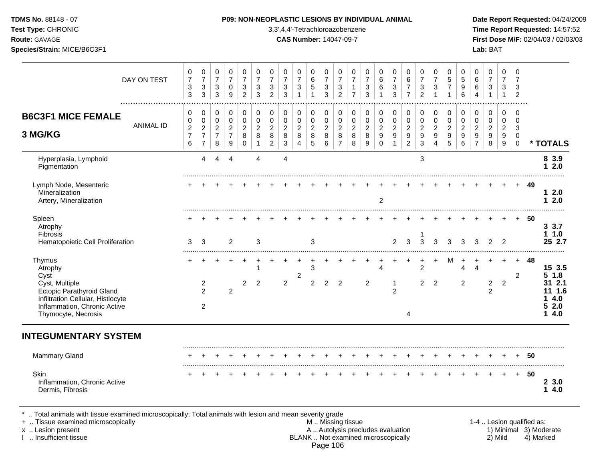### **TDMS No.** 88148 - 07 **P09: NON-NEOPLASTIC LESIONS BY INDIVIDUAL ANIMAL Date Report Requested:** 04/24/2009

**Test Type:** CHRONIC 3,3',4,4'-Tetrachloroazobenzene **Time Report Requested:** 14:57:52 **Route:** GAVAGE **CAS Number:** 14047-09-7 **First Dose M/F:** 02/04/03 / 02/03/03

| DAY ON TEST                                                                                                                                                          | 0<br>$\overline{7}$<br>$\ensuremath{\mathsf{3}}$<br>$\mathbf{3}$       | 0<br>$\overline{7}$<br>$\mathbf{3}$<br>$\mathfrak{S}$          | 0<br>$\overline{7}$<br>$\mathbf{3}$<br>$\mathfrak{S}$ | $\mathbf 0$<br>$\overline{7}$<br>0<br>$9\,$               | 0<br>$\overline{7}$<br>3<br>$\overline{c}$             | $\pmb{0}$<br>$\overline{7}$<br>3<br>3                       | $\,0\,$<br>$\overline{7}$<br>3<br>$\overline{2}$          | 0<br>$\overline{7}$<br>3<br>3      | $\pmb{0}$<br>$\overline{7}$<br>$\sqrt{3}$<br>$\overline{1}$ | 0<br>$\,6$<br>5<br>1                         | 0<br>$\overline{7}$<br>3<br>3            | 0<br>$\overline{7}$<br>3<br>$\overline{c}$                | 0<br>$\overline{7}$<br>1<br>$\overline{7}$ | $\pmb{0}$<br>$\overline{7}$<br>3<br>3                       | 0<br>$\,6$<br>$\,6$                                                   | 0<br>$\overline{7}$<br>$\sqrt{3}$<br>$\mathbf{3}$            | $\mathbf 0$<br>$6\phantom{1}6$<br>$\overline{7}$<br>$\overline{7}$       | $\pmb{0}$<br>$\overline{7}$<br>$\ensuremath{\mathsf{3}}$<br>$\overline{c}$     | 0<br>$\overline{7}$<br>3<br>$\mathbf{1}$                    | $\mathbf 0$<br>5<br>$\overline{7}$<br>$\mathbf{1}$          | $\mathbf 0$<br>$\overline{5}$<br>9<br>6           | 0<br>6<br>6<br>$\overline{4}$                                  | $\mathbf 0$<br>$\overline{7}$<br>$\sqrt{3}$<br>$\mathbf{1}$ | $\pmb{0}$<br>$\overline{7}$<br>3<br>$\mathbf{1}$            | 0<br>$\overline{7}$<br>3<br>$\overline{c}$                 |                           |                                                           |
|----------------------------------------------------------------------------------------------------------------------------------------------------------------------|------------------------------------------------------------------------|----------------------------------------------------------------|-------------------------------------------------------|-----------------------------------------------------------|--------------------------------------------------------|-------------------------------------------------------------|-----------------------------------------------------------|------------------------------------|-------------------------------------------------------------|----------------------------------------------|------------------------------------------|-----------------------------------------------------------|--------------------------------------------|-------------------------------------------------------------|-----------------------------------------------------------------------|--------------------------------------------------------------|--------------------------------------------------------------------------|--------------------------------------------------------------------------------|-------------------------------------------------------------|-------------------------------------------------------------|---------------------------------------------------|----------------------------------------------------------------|-------------------------------------------------------------|-------------------------------------------------------------|------------------------------------------------------------|---------------------------|-----------------------------------------------------------|
| <b>B6C3F1 MICE FEMALE</b><br><b>ANIMAL ID</b><br>3 MG/KG                                                                                                             | 0<br>$\mathbf 0$<br>$\overline{c}$<br>$\overline{7}$<br>$6\phantom{a}$ | 0<br>0<br>$\overline{2}$<br>$\boldsymbol{7}$<br>$\overline{7}$ | 0<br>0<br>$\overline{2}$<br>$\overline{7}$<br>8       | 0<br>$\mathbf 0$<br>$\overline{c}$<br>$\overline{7}$<br>9 | 0<br>$\mathbf 0$<br>$\overline{c}$<br>8<br>$\mathbf 0$ | $\pmb{0}$<br>0<br>$\overline{c}$<br>$\,8\,$<br>$\mathbf{1}$ | 0<br>$\mathbf 0$<br>$\overline{c}$<br>8<br>$\overline{2}$ | 0<br>0<br>$\overline{c}$<br>8<br>3 | 0<br>$\mathbf 0$<br>$\sqrt{2}$<br>$\bf 8$<br>$\overline{4}$ | $\mathbf 0$<br>0<br>$\overline{c}$<br>8<br>5 | 0<br>0<br>$\overline{c}$<br>$\,8\,$<br>6 | 0<br>$\mathbf 0$<br>$\overline{c}$<br>8<br>$\overline{7}$ | $\pmb{0}$<br>0<br>$\overline{c}$<br>8<br>8 | 0<br>$\mathbf 0$<br>$\overline{c}$<br>$\boldsymbol{8}$<br>9 | 0<br>$\mathsf 0$<br>$\overline{c}$<br>$\boldsymbol{9}$<br>$\mathbf 0$ | 0<br>0<br>$\overline{c}$<br>$\boldsymbol{9}$<br>$\mathbf{1}$ | 0<br>$\mathbf 0$<br>$\overline{2}$<br>$\boldsymbol{9}$<br>$\overline{2}$ | $\pmb{0}$<br>$\pmb{0}$<br>$\boldsymbol{2}$<br>$\boldsymbol{9}$<br>$\mathbf{3}$ | 0<br>$\mathbf 0$<br>$\overline{2}$<br>$\boldsymbol{9}$<br>4 | 0<br>$\mathbf 0$<br>$\overline{c}$<br>$\boldsymbol{9}$<br>5 | 0<br>$\mathbf{0}$<br>$\overline{2}$<br>$9\,$<br>6 | 0<br>0<br>$\overline{c}$<br>$\boldsymbol{9}$<br>$\overline{7}$ | 0<br>0<br>$\overline{c}$<br>$\boldsymbol{9}$<br>8           | 0<br>$\mathbf 0$<br>$\overline{2}$<br>$\boldsymbol{9}$<br>9 | $\Omega$<br>$\mathbf 0$<br>3<br>$\mathbf 0$<br>$\mathbf 0$ |                           | * TOTALS                                                  |
| Hyperplasia, Lymphoid<br>Pigmentation                                                                                                                                |                                                                        | $\overline{4}$                                                 | 4                                                     | $\overline{4}$                                            |                                                        | $\overline{4}$                                              |                                                           | $\overline{\mathbf{4}}$            |                                                             |                                              |                                          |                                                           |                                            |                                                             |                                                                       |                                                              |                                                                          | $\ensuremath{\mathsf{3}}$                                                      |                                                             |                                                             |                                                   |                                                                |                                                             |                                                             |                                                            |                           | 8 3.9<br>2.0<br>1                                         |
| Lymph Node, Mesenteric<br>Mineralization<br>Artery, Mineralization                                                                                                   |                                                                        |                                                                |                                                       |                                                           |                                                        |                                                             |                                                           |                                    |                                                             |                                              |                                          |                                                           |                                            |                                                             | 2                                                                     |                                                              |                                                                          |                                                                                |                                                             |                                                             |                                                   |                                                                |                                                             |                                                             |                                                            | 49                        | 12.0<br>12.0                                              |
| Spleen<br>Atrophy<br>Fibrosis<br>Hematopoietic Cell Proliferation                                                                                                    | 3                                                                      | 3                                                              |                                                       | 2                                                         |                                                        | 3                                                           |                                                           |                                    |                                                             | 3                                            |                                          |                                                           |                                            |                                                             |                                                                       | 2                                                            | 3                                                                        | 3                                                                              | 3                                                           | 3                                                           | 3                                                 | 3                                                              | 2                                                           | $\overline{2}$                                              |                                                            | 50                        | 3.3.7<br>11.0<br>25 2.7                                   |
| Thymus<br>Atrophy<br>Cyst<br>Cyst, Multiple<br>Ectopic Parathyroid Gland<br>Infiltration Cellular, Histiocyte<br>Inflammation, Chronic Active<br>Thymocyte, Necrosis |                                                                        | 2<br>$\overline{2}$<br>$\overline{2}$                          |                                                       | $\overline{2}$                                            | 2                                                      | 1<br>2                                                      |                                                           | $\overline{2}$                     | 2                                                           | 3<br>$\overline{2}$                          | 2                                        | $\overline{2}$                                            |                                            | $\overline{c}$                                              | $\overline{4}$                                                        | -1<br>$\overline{2}$                                         | 4                                                                        | $\overline{c}$<br>2                                                            | $\overline{c}$                                              |                                                             | 4<br>$\overline{2}$                               | $\overline{4}$                                                 | $\overline{a}$<br>$\overline{2}$                            | $\overline{2}$                                              | $+$<br>$\overline{2}$                                      | 48                        | 15 3.5<br>51.8<br>31 2.1<br>11 1.6<br>4.0<br>52.0<br>14.0 |
| <b>INTEGUMENTARY SYSTEM</b>                                                                                                                                          |                                                                        |                                                                |                                                       |                                                           |                                                        |                                                             |                                                           |                                    |                                                             |                                              |                                          |                                                           |                                            |                                                             |                                                                       |                                                              |                                                                          |                                                                                |                                                             |                                                             |                                                   |                                                                |                                                             |                                                             |                                                            |                           |                                                           |
| <b>Mammary Gland</b>                                                                                                                                                 |                                                                        |                                                                |                                                       |                                                           |                                                        |                                                             |                                                           |                                    |                                                             |                                              |                                          |                                                           |                                            |                                                             |                                                                       |                                                              |                                                                          |                                                                                |                                                             |                                                             |                                                   |                                                                |                                                             |                                                             |                                                            | 50                        |                                                           |
| Skin<br>Inflammation, Chronic Active<br>Dermis, Fibrosis                                                                                                             |                                                                        |                                                                |                                                       |                                                           |                                                        |                                                             |                                                           |                                    |                                                             |                                              |                                          |                                                           |                                            |                                                             |                                                                       |                                                              |                                                                          |                                                                                |                                                             |                                                             |                                                   |                                                                |                                                             |                                                             | $+$                                                        | 50                        | 23.0<br>4.0<br>1                                          |
| Total animals with tissue examined microscopically; Total animals with lesion and mean severity grade<br>+  Tissue examined microscopically                          |                                                                        |                                                                |                                                       |                                                           |                                                        |                                                             |                                                           |                                    |                                                             |                                              |                                          |                                                           | M  Missing tissue                          |                                                             |                                                                       |                                                              |                                                                          |                                                                                |                                                             |                                                             |                                                   |                                                                |                                                             |                                                             |                                                            | 1-4  Lesion qualified as: |                                                           |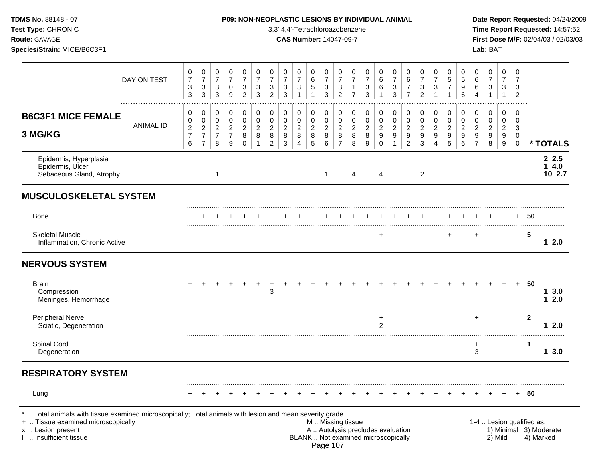| <b>TDMS No. 88148 - 07</b> |  |
|----------------------------|--|
| Test Type: CHRONIC         |  |
| <b>Route: GAVAGE</b>       |  |

## **P09: NON-NEOPLASTIC LESIONS BY INDIVIDUAL ANIMAL Date Report Requested:** 04/24/2009

**Time Report Requested:** 14:57:52 **CAS Number:** 14047-09-7 **First Dose M/F:** 02/04/03 / 02/03/03 **Species/Strain:** MICE/B6C3F1 **Lab:** BAT

|                                                                                                                                                                                            | DAY ON TEST | 0<br>$\boldsymbol{7}$<br>3<br>$\mathbf{3}$                  | $\pmb{0}$<br>$\boldsymbol{7}$<br>$\ensuremath{\mathsf{3}}$<br>$\mathbf{3}$ | 0<br>$\overline{7}$<br>$\sqrt{3}$<br>$\mathbf{3}$             | 0<br>$\overline{7}$<br>0<br>9                           | $\mathbf 0$<br>$\overline{7}$<br>$\sqrt{3}$<br>2       | 0<br>$\overline{7}$<br>$\mathbf{3}$<br>3 | 0<br>$\overline{7}$<br>3<br>$\overline{2}$              | $\mathbf 0$<br>$\overline{7}$<br>$\sqrt{3}$<br>3 | 0<br>$\overline{7}$<br>$\sqrt{3}$<br>$\mathbf{1}$       | 0<br>$\,6\,$<br>$\,$ 5 $\,$<br>$\mathbf{1}$      | $\mathbf 0$<br>$\overline{7}$<br>$\ensuremath{\mathsf{3}}$<br>$\mathbf{3}$ | $\pmb{0}$<br>$\overline{7}$<br>$\ensuremath{\mathsf{3}}$<br>$\overline{c}$ | 0<br>$\overline{7}$<br>$\mathbf{1}$<br>$\overline{7}$                                         | 0<br>$\overline{7}$<br>$\ensuremath{\mathsf{3}}$<br>3 | 0<br>$\,6$<br>6                                                    | 0<br>$\overline{7}$<br>$\sqrt{3}$<br>3                               | 0<br>6<br>$\boldsymbol{7}$<br>$\overline{7}$                           | $\mathbf 0$<br>$\overline{7}$<br>$\ensuremath{\mathsf{3}}$<br>$\overline{c}$ | $\pmb{0}$<br>$\overline{7}$<br>$\ensuremath{\mathsf{3}}$<br>$\mathbf{1}$ | 0<br>$\overline{5}$<br>$\overline{7}$<br>1   | 0<br>5<br>9<br>6                               | 0<br>6<br>6<br>$\Delta$                                                | 0<br>$\overline{7}$<br>$\mathbf{3}$<br>$\mathbf{1}$       | 0<br>$\overline{7}$<br>3<br>$\mathbf{1}$                    | $\mathbf 0$<br>7<br>3<br>$\overline{2}$                   |                           |                                     |
|--------------------------------------------------------------------------------------------------------------------------------------------------------------------------------------------|-------------|-------------------------------------------------------------|----------------------------------------------------------------------------|---------------------------------------------------------------|---------------------------------------------------------|--------------------------------------------------------|------------------------------------------|---------------------------------------------------------|--------------------------------------------------|---------------------------------------------------------|--------------------------------------------------|----------------------------------------------------------------------------|----------------------------------------------------------------------------|-----------------------------------------------------------------------------------------------|-------------------------------------------------------|--------------------------------------------------------------------|----------------------------------------------------------------------|------------------------------------------------------------------------|------------------------------------------------------------------------------|--------------------------------------------------------------------------|----------------------------------------------|------------------------------------------------|------------------------------------------------------------------------|-----------------------------------------------------------|-------------------------------------------------------------|-----------------------------------------------------------|---------------------------|-------------------------------------|
| <b>B6C3F1 MICE FEMALE</b><br>3 MG/KG                                                                                                                                                       | ANIMAL ID   | 0<br>$\pmb{0}$<br>$\boldsymbol{2}$<br>$\boldsymbol{7}$<br>6 | $\,0\,$<br>$\pmb{0}$<br>$\overline{a}$<br>$\overline{7}$<br>$\overline{7}$ | 0<br>$\pmb{0}$<br>$\overline{c}$<br>$\overline{7}$<br>$\bf 8$ | 0<br>$\pmb{0}$<br>$\overline{2}$<br>$\overline{7}$<br>9 | 0<br>$\pmb{0}$<br>$\boldsymbol{2}$<br>8<br>$\mathbf 0$ | 0<br>$\pmb{0}$<br>$\sqrt{2}$<br>8        | 0<br>$\pmb{0}$<br>$\overline{2}$<br>8<br>$\overline{c}$ | 0<br>$\pmb{0}$<br>$\sqrt{2}$<br>8<br>3           | 0<br>$\pmb{0}$<br>$\overline{c}$<br>8<br>$\overline{4}$ | 0<br>$\pmb{0}$<br>$\overline{c}$<br>$\bf 8$<br>5 | 0<br>$\boldsymbol{0}$<br>$\overline{c}$<br>$\,8\,$<br>6                    | 0<br>$\pmb{0}$<br>$\overline{c}$<br>8<br>$\overline{7}$                    | 0<br>$\pmb{0}$<br>$\overline{c}$<br>8<br>8                                                    | 0<br>$\pmb{0}$<br>$\overline{c}$<br>8<br>9            | 0<br>$\pmb{0}$<br>$\boldsymbol{2}$<br>$\boldsymbol{9}$<br>$\Omega$ | 0<br>$\pmb{0}$<br>$\overline{2}$<br>$\boldsymbol{9}$<br>$\mathbf{1}$ | 0<br>$\pmb{0}$<br>$\overline{c}$<br>$\boldsymbol{9}$<br>$\overline{2}$ | 0<br>$\pmb{0}$<br>$\boldsymbol{2}$<br>9<br>$\sqrt{3}$                        | 0<br>$\mathbf 0$<br>$\overline{2}$<br>9<br>4                             | 0<br>$\mathbf 0$<br>$\overline{2}$<br>9<br>5 | 0<br>$\mathbf 0$<br>$\boldsymbol{2}$<br>9<br>6 | 0<br>$\pmb{0}$<br>$\overline{c}$<br>$\boldsymbol{9}$<br>$\overline{7}$ | 0<br>$\pmb{0}$<br>$\overline{2}$<br>$\boldsymbol{9}$<br>8 | 0<br>$\mathsf 0$<br>$\overline{2}$<br>9<br>$\boldsymbol{9}$ | $\mathbf 0$<br>$\Omega$<br>$\mathbf{3}$<br>0<br>$\pmb{0}$ |                           | * TOTALS                            |
| Epidermis, Hyperplasia<br>Epidermis, Ulcer<br>Sebaceous Gland, Atrophy                                                                                                                     |             |                                                             |                                                                            | $\mathbf{1}$                                                  |                                                         |                                                        |                                          |                                                         |                                                  |                                                         |                                                  | 1                                                                          |                                                                            | 4                                                                                             |                                                       | 4                                                                  |                                                                      |                                                                        | $\overline{2}$                                                               |                                                                          |                                              |                                                |                                                                        |                                                           |                                                             |                                                           |                           | 2.5<br>14.0<br>102.7                |
| <b>MUSCULOSKELETAL SYSTEM</b>                                                                                                                                                              |             |                                                             |                                                                            |                                                               |                                                         |                                                        |                                          |                                                         |                                                  |                                                         |                                                  |                                                                            |                                                                            |                                                                                               |                                                       |                                                                    |                                                                      |                                                                        |                                                                              |                                                                          |                                              |                                                |                                                                        |                                                           |                                                             |                                                           |                           |                                     |
| <b>Bone</b>                                                                                                                                                                                |             |                                                             |                                                                            |                                                               |                                                         |                                                        |                                          |                                                         |                                                  |                                                         |                                                  |                                                                            |                                                                            |                                                                                               |                                                       |                                                                    |                                                                      |                                                                        |                                                                              |                                                                          |                                              |                                                |                                                                        |                                                           |                                                             |                                                           | 50                        |                                     |
| <b>Skeletal Muscle</b><br>Inflammation, Chronic Active                                                                                                                                     |             |                                                             |                                                                            |                                                               |                                                         |                                                        |                                          |                                                         |                                                  |                                                         |                                                  |                                                                            |                                                                            |                                                                                               |                                                       | ÷                                                                  |                                                                      |                                                                        |                                                                              |                                                                          |                                              |                                                |                                                                        |                                                           |                                                             |                                                           | 5                         | 12.0                                |
| <b>NERVOUS SYSTEM</b>                                                                                                                                                                      |             |                                                             |                                                                            |                                                               |                                                         |                                                        |                                          |                                                         |                                                  |                                                         |                                                  |                                                                            |                                                                            |                                                                                               |                                                       |                                                                    |                                                                      |                                                                        |                                                                              |                                                                          |                                              |                                                |                                                                        |                                                           |                                                             |                                                           |                           |                                     |
| <b>Brain</b><br>Compression<br>Meninges, Hemorrhage                                                                                                                                        |             |                                                             |                                                                            |                                                               |                                                         |                                                        |                                          | 3                                                       |                                                  |                                                         |                                                  |                                                                            |                                                                            |                                                                                               |                                                       |                                                                    |                                                                      |                                                                        |                                                                              |                                                                          |                                              |                                                |                                                                        |                                                           |                                                             | $+$                                                       | 50                        | 13.0<br>12.0                        |
| Peripheral Nerve<br>Sciatic, Degeneration                                                                                                                                                  |             |                                                             |                                                                            |                                                               |                                                         |                                                        |                                          |                                                         |                                                  |                                                         |                                                  |                                                                            |                                                                            |                                                                                               |                                                       | +<br>2                                                             |                                                                      |                                                                        |                                                                              |                                                                          |                                              |                                                |                                                                        |                                                           |                                                             |                                                           | $\mathbf{2}$              | 12.0                                |
| Spinal Cord<br>Degeneration                                                                                                                                                                |             |                                                             |                                                                            |                                                               |                                                         |                                                        |                                          |                                                         |                                                  |                                                         |                                                  |                                                                            |                                                                            |                                                                                               |                                                       |                                                                    |                                                                      |                                                                        |                                                                              |                                                                          |                                              |                                                | +<br>3                                                                 |                                                           |                                                             |                                                           | $\mathbf 1$               | 13.0                                |
| <b>RESPIRATORY SYSTEM</b>                                                                                                                                                                  |             |                                                             |                                                                            |                                                               |                                                         |                                                        |                                          |                                                         |                                                  |                                                         |                                                  |                                                                            |                                                                            |                                                                                               |                                                       |                                                                    |                                                                      |                                                                        |                                                                              |                                                                          |                                              |                                                |                                                                        |                                                           |                                                             |                                                           |                           |                                     |
| Lung                                                                                                                                                                                       |             |                                                             |                                                                            |                                                               |                                                         |                                                        |                                          |                                                         |                                                  |                                                         |                                                  |                                                                            |                                                                            |                                                                                               |                                                       |                                                                    |                                                                      |                                                                        |                                                                              |                                                                          |                                              |                                                |                                                                        |                                                           |                                                             |                                                           | 50                        |                                     |
| Total animals with tissue examined microscopically; Total animals with lesion and mean severity grade<br>+  Tissue examined microscopically<br>x  Lesion present<br>I  Insufficient tissue |             |                                                             |                                                                            |                                                               |                                                         |                                                        |                                          |                                                         |                                                  |                                                         |                                                  | Page 107                                                                   |                                                                            | M  Missing tissue<br>A  Autolysis precludes evaluation<br>BLANK  Not examined microscopically |                                                       |                                                                    |                                                                      |                                                                        |                                                                              |                                                                          |                                              |                                                |                                                                        |                                                           | 2) Mild                                                     |                                                           | 1-4  Lesion qualified as: | 1) Minimal 3) Moderate<br>4) Marked |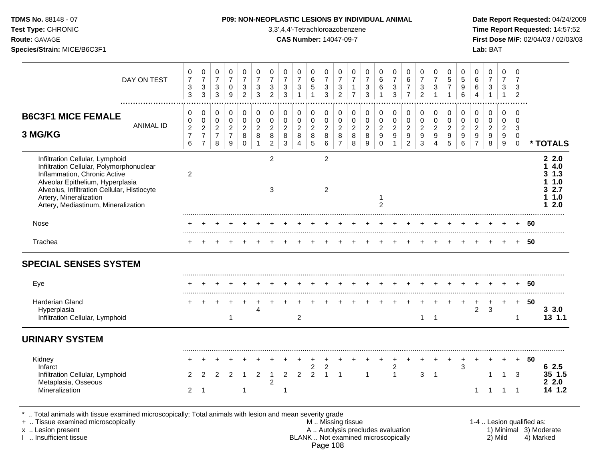**Test Type:** CHRONIC 3,3',4,4'-Tetrachloroazobenzene **Time Report Requested:** 14:57:52 **Route:** GAVAGE **CAS Number:** 14047-09-7 **First Dose M/F:** 02/04/03 / 02/03/03 **Species/Strain:** MICE/B6C3F1 **Lab:** BAT

| DAY ON TEST                                                                                                                                                                                                                                                     | 0<br>$\overline{7}$<br>$\sqrt{3}$<br>$\mathfrak{Z}$ | 0<br>$\overline{7}$<br>$\mathbf{3}$<br>$\mathsf 3$                   | 0<br>$\overline{7}$<br>3<br>3                             | 0<br>$\overline{7}$<br>0<br>9                                                 | 0<br>$\overline{7}$<br>$\sqrt{3}$<br>$\overline{2}$        | $\mathbf 0$<br>$\overline{7}$<br>$\mathbf{3}$<br>$\mathfrak{Z}$ | $\mathbf 0$<br>$\overline{7}$<br>3<br>$\overline{c}$             | 0<br>$\overline{7}$<br>$\sqrt{3}$<br>3           | 0<br>$\overline{7}$<br>3<br>$\mathbf{1}$                   | 0<br>6<br>$\sqrt{5}$<br>$\mathbf{1}$                               | $\mathbf 0$<br>$\overline{7}$<br>$\sqrt{3}$<br>$\mathfrak{Z}$ | 0<br>$\overline{7}$<br>$\sqrt{3}$<br>$\overline{2}$              | 0<br>$\overline{7}$<br>$\overline{7}$        | 0<br>$\overline{7}$<br>$\sqrt{3}$<br>$\mathbf{3}$ | 0<br>$\,6\,$<br>6                                      | 0<br>$\overline{7}$<br>$\sqrt{3}$<br>3                            | 0<br>$\,6\,$<br>$\overline{7}$<br>$\overline{7}$                            | 0<br>$\overline{7}$<br>$\ensuremath{\mathsf{3}}$<br>$\overline{2}$ | 0<br>$\overline{7}$<br>3<br>1                             | 0<br>5<br>$\overline{7}$<br>$\mathbf{1}$               | 0<br>$\sqrt{5}$<br>$9\,$<br>6                                    | 0<br>$6\phantom{a}$<br>6                                              | 0<br>$\overline{7}$<br>$\mathbf{3}$                         | $\mathbf 0$<br>$\overline{7}$<br>3<br>1             | 0<br>$\overline{7}$<br>3<br>$\overline{c}$                          |      |                                                   |
|-----------------------------------------------------------------------------------------------------------------------------------------------------------------------------------------------------------------------------------------------------------------|-----------------------------------------------------|----------------------------------------------------------------------|-----------------------------------------------------------|-------------------------------------------------------------------------------|------------------------------------------------------------|-----------------------------------------------------------------|------------------------------------------------------------------|--------------------------------------------------|------------------------------------------------------------|--------------------------------------------------------------------|---------------------------------------------------------------|------------------------------------------------------------------|----------------------------------------------|---------------------------------------------------|--------------------------------------------------------|-------------------------------------------------------------------|-----------------------------------------------------------------------------|--------------------------------------------------------------------|-----------------------------------------------------------|--------------------------------------------------------|------------------------------------------------------------------|-----------------------------------------------------------------------|-------------------------------------------------------------|-----------------------------------------------------|---------------------------------------------------------------------|------|---------------------------------------------------|
| <b>B6C3F1 MICE FEMALE</b><br><b>ANIMAL ID</b><br>3 MG/KG                                                                                                                                                                                                        | 0<br>0<br>$\boldsymbol{2}$<br>$\overline{7}$<br>6   | 0<br>$\pmb{0}$<br>$\overline{2}$<br>$\overline{7}$<br>$\overline{7}$ | $\mathbf 0$<br>0<br>$\overline{2}$<br>$\overline{7}$<br>8 | $\Omega$<br>$\pmb{0}$<br>$\overline{2}$<br>$\overline{7}$<br>$\boldsymbol{9}$ | $\Omega$<br>$\mathbf 0$<br>$\overline{2}$<br>8<br>$\Omega$ | $\mathbf 0$<br>$\mathbf 0$<br>$\overline{2}$<br>8               | $\Omega$<br>$\mathbf 0$<br>$\overline{2}$<br>8<br>$\overline{2}$ | 0<br>$\pmb{0}$<br>$\overline{2}$<br>$\bf 8$<br>3 | 0<br>$\mathsf{O}$<br>$\overline{2}$<br>8<br>$\overline{4}$ | $\mathbf 0$<br>$\pmb{0}$<br>$\overline{2}$<br>8<br>$5\phantom{.0}$ | $\Omega$<br>$\mathbf 0$<br>$\sqrt{2}$<br>8<br>$\,6\,$         | $\Omega$<br>$\mathbf 0$<br>$\overline{2}$<br>8<br>$\overline{7}$ | 0<br>$\mathbf 0$<br>$\overline{2}$<br>8<br>8 | 0<br>$\pmb{0}$<br>$\overline{c}$<br>8<br>9        | 0<br>$\mathsf 0$<br>$\overline{2}$<br>9<br>$\mathbf 0$ | 0<br>$\mathsf{O}\xspace$<br>$\overline{2}$<br>9<br>$\overline{1}$ | $\Omega$<br>$\pmb{0}$<br>$\overline{2}$<br>$\overline{9}$<br>$\overline{c}$ | $\Omega$<br>$\pmb{0}$<br>$\overline{2}$<br>9<br>$\mathbf{3}$       | 0<br>$\mathbf 0$<br>$\overline{2}$<br>9<br>$\overline{4}$ | $\mathbf 0$<br>$\mathbf 0$<br>$\overline{c}$<br>9<br>5 | $\Omega$<br>$\mathbf 0$<br>$\overline{2}$<br>$\overline{9}$<br>6 | $\Omega$<br>0<br>$\overline{2}$<br>$\boldsymbol{9}$<br>$\overline{7}$ | 0<br>$\mathbf 0$<br>$\overline{a}$<br>$\boldsymbol{9}$<br>8 | $\Omega$<br>$\mathbf 0$<br>$\overline{2}$<br>9<br>9 | $\Omega$<br>$\mathbf 0$<br>$\mathbf{3}$<br>$\mathbf 0$<br>$\pmb{0}$ |      | * TOTALS                                          |
| Infiltration Cellular, Lymphoid<br>Infiltration Cellular, Polymorphonuclear<br>Inflammation, Chronic Active<br>Alveolar Epithelium, Hyperplasia<br>Alveolus, Infiltration Cellular, Histiocyte<br>Artery, Mineralization<br>Artery, Mediastinum, Mineralization | $\overline{c}$                                      |                                                                      |                                                           |                                                                               |                                                            |                                                                 | $\overline{2}$<br>3                                              |                                                  |                                                            |                                                                    | 2<br>2                                                        |                                                                  |                                              |                                                   | 1<br>$\overline{2}$                                    |                                                                   |                                                                             |                                                                    |                                                           |                                                        |                                                                  |                                                                       |                                                             |                                                     |                                                                     |      | 22.0<br>4.0<br>3, 1.3<br>1.0<br>2.7<br>1.0<br>2.0 |
| Nose                                                                                                                                                                                                                                                            |                                                     |                                                                      |                                                           |                                                                               |                                                            |                                                                 |                                                                  |                                                  |                                                            |                                                                    |                                                               |                                                                  |                                              |                                                   |                                                        |                                                                   |                                                                             |                                                                    |                                                           |                                                        |                                                                  |                                                                       |                                                             |                                                     |                                                                     | 50   |                                                   |
| Trachea                                                                                                                                                                                                                                                         |                                                     |                                                                      |                                                           |                                                                               |                                                            |                                                                 |                                                                  |                                                  |                                                            |                                                                    |                                                               |                                                                  |                                              |                                                   |                                                        |                                                                   |                                                                             |                                                                    |                                                           |                                                        |                                                                  |                                                                       |                                                             |                                                     | $\ddot{}$                                                           | 50   |                                                   |
| <b>SPECIAL SENSES SYSTEM</b>                                                                                                                                                                                                                                    |                                                     |                                                                      |                                                           |                                                                               |                                                            |                                                                 |                                                                  |                                                  |                                                            |                                                                    |                                                               |                                                                  |                                              |                                                   |                                                        |                                                                   |                                                                             |                                                                    |                                                           |                                                        |                                                                  |                                                                       |                                                             |                                                     |                                                                     |      |                                                   |
| Eye                                                                                                                                                                                                                                                             |                                                     |                                                                      |                                                           |                                                                               |                                                            |                                                                 |                                                                  |                                                  |                                                            |                                                                    |                                                               |                                                                  |                                              |                                                   |                                                        |                                                                   |                                                                             |                                                                    |                                                           |                                                        |                                                                  |                                                                       |                                                             |                                                     |                                                                     | 50   |                                                   |
| <b>Harderian Gland</b><br>Hyperplasia<br>Infiltration Cellular, Lymphoid                                                                                                                                                                                        |                                                     |                                                                      |                                                           | $\mathbf 1$                                                                   |                                                            | 4                                                               |                                                                  |                                                  | $\overline{c}$                                             |                                                                    |                                                               |                                                                  |                                              |                                                   |                                                        |                                                                   |                                                                             | $\mathbf{1}$                                                       | $\overline{1}$                                            |                                                        |                                                                  | $\ddot{}$<br>$\overline{c}$                                           | 3                                                           |                                                     | $+$<br>$\mathbf 1$                                                  | - 50 | 33.0<br>13 1.1                                    |
| <b>URINARY SYSTEM</b>                                                                                                                                                                                                                                           |                                                     |                                                                      |                                                           |                                                                               |                                                            |                                                                 |                                                                  |                                                  |                                                            |                                                                    |                                                               |                                                                  |                                              |                                                   |                                                        |                                                                   |                                                                             |                                                                    |                                                           |                                                        |                                                                  |                                                                       |                                                             |                                                     |                                                                     |      |                                                   |
| Kidney<br>Infarct<br>Infiltration Cellular, Lymphoid<br>Metaplasia, Osseous<br>Mineralization                                                                                                                                                                   | 2<br>$\overline{2}$                                 | 2<br>-1                                                              | 2                                                         | $\overline{2}$                                                                | -1                                                         | 2                                                               | 1<br>$\overline{c}$                                              | $\overline{2}$<br>-1                             | $\overline{2}$                                             | 2<br>$\overline{2}$                                                | $\overline{2}$<br>$\overline{1}$                              | $\overline{1}$                                                   |                                              | 1                                                 |                                                        | 2<br>$\overline{1}$                                               |                                                                             | 3                                                                  | $\overline{1}$                                            |                                                        | 3                                                                | 1                                                                     | 1                                                           | $\mathbf{1}$<br>1                                   | $\ddot{}$<br>3<br>$\overline{1}$                                    | 50   | 62.5<br>35 1.5<br>22.0<br>14 1.2                  |

\* .. Total animals with tissue examined microscopically; Total animals with lesion and mean severity grade<br>+ .. Tissue examined microscopically

- + .. Tissue examined microscopically examined microscopically the state of the state of the state of the state M .. Missing tissue M .. Missing tissue M .. Missing tissue and the state of the state M .. Autolysis precludes x .. Lesion present **A .. Autolysis precludes evaluation** A .. Autolysis precludes evaluation 1) Minimal 3) Moderate I .. Insufficient tissue BLANK .. Not examined microscopically 2) Mild 4) Marked Page 108
	-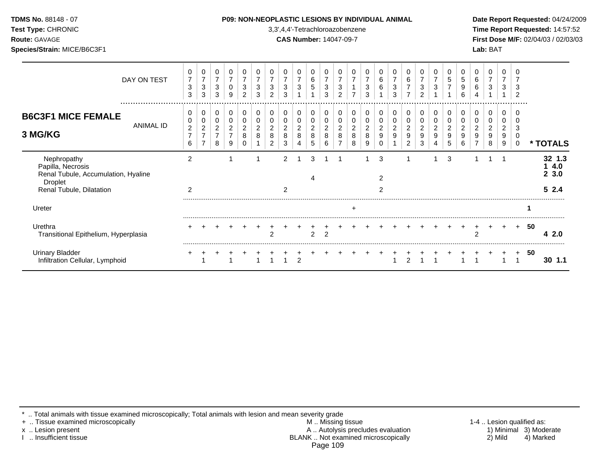### **P09: NON-NEOPLASTIC LESIONS BY INDIVIDUAL ANIMAL Date Report Requested: 04/24/2009**

**Test Type:** CHRONIC 3,3',4,4'-Tetrachloroazobenzene **Time Report Requested:** 14:57:52 **Route:** GAVAGE **CAS Number:** 14047-09-7 **First Dose M/F:** 02/04/03 / 02/03/03

|                                                                                           | DAY ON TEST<br> | 0<br>$\overline{7}$<br>3<br>3 | 0<br>$\overline{7}$<br>3<br>3                               | $\mathbf 0$<br>$\overline{7}$<br>3<br>3 | 0<br>$\overline{ }$<br>0<br>9         | 0<br>3<br>$\overline{2}$ | 0<br>3<br>3         | 3<br>$\overline{2}$      | 0<br>$\overline{7}$<br>3<br>3           | 0<br>$\overline{7}$<br>3          | 0<br>6<br>5                       | 0<br>$\overline{z}$<br>3<br>3 | 0<br>$\overline{ }$<br>3<br>2 | 0<br>$\overline{ }$        | 7<br>3<br>3                       | 0<br>6<br>6                                    | 0<br>7<br>3<br>3    | $\mathbf{0}$<br>6<br>$\overline{7}$<br>$\overline{ }$ | 0<br>$\overline{7}$<br>3<br>$\overline{2}$ | 0<br>7<br>3 | 0<br>5      | 0<br>5<br>9<br>6 | 0<br>6<br>6<br>4    | 0<br>$\overline{7}$<br>3          | $\mathbf 0$<br>$\overline{7}$<br>3 | 3<br>റ<br>. |    |                       |
|-------------------------------------------------------------------------------------------|-----------------|-------------------------------|-------------------------------------------------------------|-----------------------------------------|---------------------------------------|--------------------------|---------------------|--------------------------|-----------------------------------------|-----------------------------------|-----------------------------------|-------------------------------|-------------------------------|----------------------------|-----------------------------------|------------------------------------------------|---------------------|-------------------------------------------------------|--------------------------------------------|-------------|-------------|------------------|---------------------|-----------------------------------|------------------------------------|-------------|----|-----------------------|
| <b>B6C3F1 MICE FEMALE</b>                                                                 | ANIMAL ID       | 0<br>0                        | 0<br>0                                                      | 0<br>0                                  | 0<br>0                                | 0<br>0                   | 0<br>0              |                          | 0<br>0                                  | 0<br>0                            | 0                                 | 0                             | 0<br>0                        | 0<br>0                     |                                   | 0<br>0                                         | 0<br>0              | 0<br>0                                                | 0                                          | 0<br>0      | 0<br>0      |                  | 0<br>0              | 0<br>0                            | 0                                  |             |    |                       |
| 3 MG/KG                                                                                   |                 | $\overline{c}$<br>7<br>6      | $\overline{\mathbf{c}}$<br>$\overline{ }$<br>$\overline{ }$ | $\overline{c}$<br>8                     | $\overline{c}$<br>$\overline{ }$<br>9 | $\overline{c}$<br>8      | $\overline{c}$<br>8 | 2<br>8<br>$\overline{2}$ | $\overline{\mathbf{c}}$<br>$\bf 8$<br>3 | $\overline{\mathbf{c}}$<br>8<br>4 | $\overline{\mathbf{c}}$<br>8<br>5 | $\overline{c}$<br>8<br>6      | $\overline{c}$<br>8           | $\boldsymbol{2}$<br>8<br>8 | $\overline{\mathbf{c}}$<br>8<br>9 | $\overline{2}$<br>$\boldsymbol{9}$<br>$\Omega$ | $\overline{2}$<br>9 | $\overline{c}$<br>9<br>$\overline{2}$                 | $\overline{2}$<br>9<br>3                   | 2<br>9      | 2<br>9<br>5 | 2<br>9<br>6      | $\overline{c}$<br>9 | $\overline{\mathbf{c}}$<br>9<br>8 | $\overline{\mathbf{c}}$<br>9<br>9  | 3<br>0      |    | * TOTALS              |
| Nephropathy<br>Papilla, Necrosis<br>Renal Tubule, Accumulation, Hyaline<br><b>Droplet</b> |                 | $\overline{2}$                |                                                             |                                         |                                       |                          |                     |                          | $\mathfrak{p}$                          |                                   | 3                                 |                               |                               |                            |                                   | 3<br>$\overline{2}$                            |                     |                                                       |                                            |             | 3           |                  |                     |                                   |                                    |             |    | 32 1.3<br>4.0<br>23.0 |
| Renal Tubule, Dilatation                                                                  |                 | $\overline{2}$                |                                                             |                                         |                                       |                          |                     |                          | 2                                       |                                   |                                   |                               |                               |                            |                                   | 2                                              |                     |                                                       |                                            |             |             |                  |                     |                                   |                                    |             |    | 52.4                  |
| Ureter                                                                                    |                 |                               |                                                             |                                         |                                       |                          |                     |                          |                                         |                                   |                                   |                               |                               | $\ddot{}$                  |                                   |                                                |                     |                                                       |                                            |             |             |                  |                     |                                   |                                    |             |    |                       |
| Urethra<br>Transitional Epithelium, Hyperplasia                                           |                 |                               |                                                             |                                         |                                       |                          |                     |                          |                                         |                                   | $\mathcal{P}$                     | $\overline{2}$                |                               |                            |                                   |                                                |                     |                                                       |                                            |             |             |                  | 2                   |                                   |                                    | $\ddot{}$   | 50 | 2.0<br>4              |
| <b>Urinary Bladder</b><br>Infiltration Cellular, Lymphoid                                 |                 |                               |                                                             |                                         |                                       |                          |                     |                          |                                         | $\mathfrak{p}$                    |                                   |                               |                               |                            |                                   |                                                |                     |                                                       |                                            |             |             |                  |                     |                                   |                                    |             | 50 | $30 \t1.1$            |

\* .. Total animals with tissue examined microscopically; Total animals with lesion and mean severity grade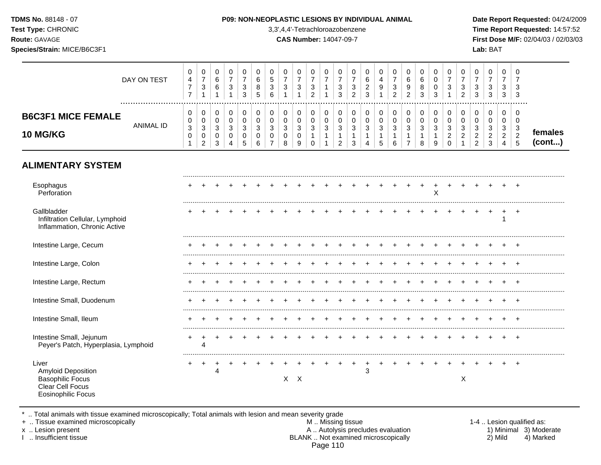| Test Type: CHRONIC<br>Route: GAVAGE<br>Species/Strain: MICE/B6C3F1                                             |                  |                                                                            |                                                                         |                                            |                                                                  |                                                     |                                                        |                                                                   |                                                                  | 3,3',4,4'-Tetrachloroazobenzene<br><b>CAS Number: 14047-09-7</b> |                                                                    |                                                                         |                                                                           |                                                               |                                                    |                                                       |                                                                    |                                                                   |                                                              |                                                                              |                                                                        |                                                                                |                                                                          | Lab: BAT                                                         |                                                                                |                                                                              | Time Report Requested: 14:57:52<br>First Dose M/F: 02/04/03 / 02/03/03 |
|----------------------------------------------------------------------------------------------------------------|------------------|----------------------------------------------------------------------------|-------------------------------------------------------------------------|--------------------------------------------|------------------------------------------------------------------|-----------------------------------------------------|--------------------------------------------------------|-------------------------------------------------------------------|------------------------------------------------------------------|------------------------------------------------------------------|--------------------------------------------------------------------|-------------------------------------------------------------------------|---------------------------------------------------------------------------|---------------------------------------------------------------|----------------------------------------------------|-------------------------------------------------------|--------------------------------------------------------------------|-------------------------------------------------------------------|--------------------------------------------------------------|------------------------------------------------------------------------------|------------------------------------------------------------------------|--------------------------------------------------------------------------------|--------------------------------------------------------------------------|------------------------------------------------------------------|--------------------------------------------------------------------------------|------------------------------------------------------------------------------|------------------------------------------------------------------------|
|                                                                                                                | DAY ON TEST      | 0<br>4<br>$\overline{7}$<br>$\overline{7}$                                 | 0<br>$\overline{7}$<br>$\ensuremath{\mathsf{3}}$<br>$\mathbf{1}$        | 0<br>$\,6\,$<br>6<br>$\mathbf{1}$          | 0<br>$\overline{7}$<br>$\ensuremath{\mathsf{3}}$<br>$\mathbf{1}$ | 0<br>$\overline{7}$<br>$\mathbf{3}$<br>$\mathbf{3}$ | 0<br>$\,6\,$<br>8<br>5                                 | 0<br>5<br>$\sqrt{3}$<br>$6\phantom{1}6$                           | 0<br>$\overline{7}$<br>$\ensuremath{\mathsf{3}}$<br>$\mathbf{1}$ | 0<br>$\overline{7}$<br>3<br>$\mathbf{1}$                         | 0<br>$\overline{7}$<br>$\ensuremath{\mathsf{3}}$<br>$\overline{c}$ | $\pmb{0}$<br>$\overline{7}$<br>$\mathbf{1}$<br>$\mathbf{1}$             | 0<br>$\overline{7}$<br>$\sqrt{3}$<br>$\mathbf{3}$                         | $\mathbf 0$<br>$\overline{7}$<br>$\sqrt{3}$<br>$\overline{c}$ | 0<br>6<br>$\boldsymbol{2}$<br>$\mathbf{3}$         | $\mathbf 0$<br>$\overline{4}$<br>$\boldsymbol{9}$     | 0<br>$\overline{7}$<br>$\ensuremath{\mathsf{3}}$<br>$\overline{c}$ | $\mathbf 0$<br>$\,6\,$<br>$\boldsymbol{9}$<br>$\overline{2}$      | $\mathbf 0$<br>$6\phantom{1}6$<br>8<br>$\mathbf{3}$          | $\mathbf 0$<br>$\mathbf 0$<br>$\mathbf 0$<br>$\mathbf{3}$                    | 0<br>$\overline{7}$<br>$\ensuremath{\mathsf{3}}$<br>$\mathbf{1}$       | 0<br>$\overline{7}$<br>$\mathbf{3}$<br>$\overline{a}$                          | 0<br>$\overline{7}$<br>$\mathbf{3}$<br>$\overline{3}$                    | 0<br>$\overline{7}$<br>$\ensuremath{\mathsf{3}}$<br>$\mathbf{3}$ | 0<br>$\overline{7}$<br>3<br>3                                                  | $\mathbf 0$<br>$\overline{7}$<br>$\mathbf{3}$<br>$\mathbf{3}$                |                                                                        |
| <b>B6C3F1 MICE FEMALE</b><br><b>10 MG/KG</b>                                                                   | <b>ANIMAL ID</b> | $\mathbf 0$<br>0<br>$\ensuremath{\mathsf{3}}$<br>$\pmb{0}$<br>$\mathbf{1}$ | $\mathbf 0$<br>$\pmb{0}$<br>$\mathbf{3}$<br>$\pmb{0}$<br>$\overline{c}$ | 0<br>0<br>$\mathbf{3}$<br>$\mathbf 0$<br>3 | $\pmb{0}$<br>$\pmb{0}$<br>$\mathfrak{S}$<br>$\pmb{0}$<br>4       | $\mathbf 0$<br>$\mathbf 0$<br>3<br>0<br>5           | $\mathbf 0$<br>$\mathbf 0$<br>$\mathfrak{Z}$<br>0<br>6 | 0<br>$\pmb{0}$<br>$\mathfrak{S}$<br>$\mathbf 0$<br>$\overline{7}$ | $\mathbf 0$<br>$\pmb{0}$<br>$\sqrt{3}$<br>$\mathbf 0$<br>8       | $\mathbf 0$<br>0<br>3<br>0<br>9                                  | 0<br>$\pmb{0}$<br>$\mathfrak{S}$<br>$\mathbf{1}$<br>$\pmb{0}$      | $\pmb{0}$<br>$\pmb{0}$<br>$\mathfrak{S}$<br>$\mathbf{1}$<br>$\mathbf 1$ | $\mathbf 0$<br>$\pmb{0}$<br>$\mathsf 3$<br>$\mathbf{1}$<br>$\overline{2}$ | $\mathbf 0$<br>$\pmb{0}$<br>$\sqrt{3}$<br>$\mathbf{1}$<br>3   | $\mathbf 0$<br>$\pmb{0}$<br>$\mathbf{3}$<br>1<br>4 | 0<br>$\pmb{0}$<br>$\mathfrak{Z}$<br>$\mathbf{1}$<br>5 | $\mathbf 0$<br>$\pmb{0}$<br>$\mathfrak{S}$<br>1<br>6               | $\mathbf 0$<br>$\mathbf 0$<br>3<br>$\mathbf{1}$<br>$\overline{7}$ | $\Omega$<br>$\pmb{0}$<br>$\mathfrak{Z}$<br>$\mathbf{1}$<br>8 | $\mathbf 0$<br>$\mathbf 0$<br>$\mathbf{3}$<br>$\mathbf{1}$<br>$\overline{9}$ | $\pmb{0}$<br>$\mathbf 0$<br>$\sqrt{3}$<br>$\sqrt{2}$<br>$\overline{0}$ | $\mathbf 0$<br>$\mathbf 0$<br>$\mathfrak{S}$<br>$\overline{a}$<br>$\mathbf{1}$ | $\mathbf 0$<br>$\pmb{0}$<br>$\mathbf{3}$<br>$\sqrt{2}$<br>$\overline{2}$ | $\pmb{0}$<br>$\pmb{0}$<br>$\mathfrak{S}$<br>$\sqrt{2}$<br>3      | $\mathbf 0$<br>$\mathbf 0$<br>$\mathbf{3}$<br>$\overline{a}$<br>$\overline{4}$ | $\mathbf 0$<br>$\mathbf 0$<br>$\sqrt{3}$<br>$\overline{c}$<br>$5\phantom{1}$ | females<br>(cont)                                                      |
| <b>ALIMENTARY SYSTEM</b>                                                                                       |                  |                                                                            |                                                                         |                                            |                                                                  |                                                     |                                                        |                                                                   |                                                                  |                                                                  |                                                                    |                                                                         |                                                                           |                                                               |                                                    |                                                       |                                                                    |                                                                   |                                                              |                                                                              |                                                                        |                                                                                |                                                                          |                                                                  |                                                                                |                                                                              |                                                                        |
| Esophagus<br>Perforation                                                                                       |                  |                                                                            |                                                                         |                                            |                                                                  |                                                     |                                                        |                                                                   |                                                                  |                                                                  |                                                                    |                                                                         |                                                                           |                                                               |                                                    |                                                       |                                                                    |                                                                   |                                                              | X                                                                            |                                                                        |                                                                                |                                                                          |                                                                  |                                                                                |                                                                              |                                                                        |
| Gallbladder<br>Infiltration Cellular, Lymphoid<br>Inflammation, Chronic Active                                 |                  |                                                                            |                                                                         |                                            |                                                                  |                                                     |                                                        |                                                                   |                                                                  |                                                                  |                                                                    |                                                                         |                                                                           |                                                               |                                                    |                                                       |                                                                    |                                                                   |                                                              |                                                                              |                                                                        |                                                                                |                                                                          |                                                                  | 1                                                                              | $+$                                                                          |                                                                        |
| Intestine Large, Cecum                                                                                         |                  |                                                                            |                                                                         |                                            |                                                                  |                                                     |                                                        |                                                                   |                                                                  |                                                                  |                                                                    |                                                                         | $\pm$                                                                     |                                                               | $+$                                                | $+$                                                   | $+$                                                                |                                                                   |                                                              |                                                                              |                                                                        |                                                                                |                                                                          |                                                                  |                                                                                |                                                                              |                                                                        |
| Intestine Large, Colon                                                                                         |                  |                                                                            |                                                                         |                                            |                                                                  |                                                     |                                                        |                                                                   |                                                                  |                                                                  |                                                                    |                                                                         |                                                                           |                                                               |                                                    |                                                       |                                                                    |                                                                   |                                                              |                                                                              |                                                                        |                                                                                |                                                                          |                                                                  |                                                                                |                                                                              |                                                                        |
| Intestine Large, Rectum                                                                                        |                  |                                                                            |                                                                         |                                            |                                                                  |                                                     |                                                        |                                                                   |                                                                  |                                                                  |                                                                    |                                                                         |                                                                           |                                                               |                                                    |                                                       |                                                                    |                                                                   |                                                              |                                                                              |                                                                        |                                                                                |                                                                          |                                                                  |                                                                                |                                                                              |                                                                        |
| Intestine Small, Duodenum                                                                                      |                  |                                                                            |                                                                         |                                            |                                                                  |                                                     |                                                        |                                                                   |                                                                  |                                                                  |                                                                    |                                                                         |                                                                           |                                                               |                                                    |                                                       |                                                                    |                                                                   |                                                              |                                                                              |                                                                        |                                                                                |                                                                          |                                                                  |                                                                                |                                                                              |                                                                        |
| Intestine Small, Ileum                                                                                         |                  |                                                                            |                                                                         |                                            |                                                                  |                                                     |                                                        |                                                                   |                                                                  |                                                                  |                                                                    |                                                                         |                                                                           |                                                               |                                                    |                                                       |                                                                    | $+$                                                               |                                                              |                                                                              |                                                                        |                                                                                | $+$                                                                      |                                                                  |                                                                                |                                                                              |                                                                        |
| Intestine Small, Jejunum<br>Peyer's Patch, Hyperplasia, Lymphoid                                               |                  |                                                                            | $\overline{\mathbf{4}}$                                                 |                                            |                                                                  |                                                     |                                                        |                                                                   |                                                                  |                                                                  |                                                                    |                                                                         |                                                                           |                                                               |                                                    |                                                       |                                                                    |                                                                   |                                                              |                                                                              |                                                                        |                                                                                |                                                                          |                                                                  | $+$                                                                            | $+$                                                                          |                                                                        |
| Liver<br><b>Amyloid Deposition</b><br><b>Basophilic Focus</b><br>Clear Cell Focus<br><b>Eosinophilic Focus</b> |                  | $+$                                                                        | $+$                                                                     | $^{+}$<br>4                                | $\ddot{}$                                                        |                                                     | $+$                                                    | $+$                                                               |                                                                  | $+$<br>$X$ $X$                                                   |                                                                    |                                                                         | $+ + + +$                                                                 |                                                               | $+$<br>3                                           | $+$ $+$                                               |                                                                    | $+$                                                               | $+$                                                          |                                                                              |                                                                        | $+$<br>X                                                                       |                                                                          |                                                                  |                                                                                |                                                                              |                                                                        |

\* .. Total animals with tissue examined microscopically; Total animals with lesion and mean severity grade

+ .. Tissue examined microscopically M .. Missing tissue 1-4 .. Lesion qualified as: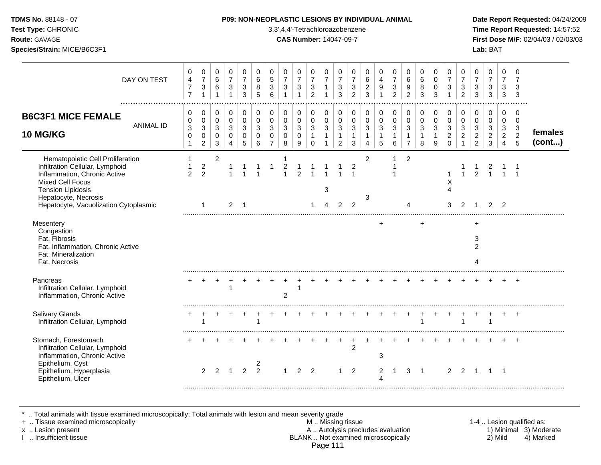### **TDMS No.** 88148 - 07 **P09: NON-NEOPLASTIC LESIONS BY INDIVIDUAL ANIMAL Date Report Requested:** 04/24/2009

**Test Type:** CHRONIC 3,3',4,4'-Tetrachloroazobenzene **Time Report Requested:** 14:57:52 **Route:** GAVAGE **CAS Number:** 14047-09-7 **First Dose M/F:** 02/04/03 / 02/03/03

| DAY ON TEST                                                                                                                                                                                                          | 0<br>$\overline{\mathbf{4}}$<br>$\overline{7}$<br>$\overline{7}$ | 0<br>$\overline{7}$<br>$\sqrt{3}$<br>$\overline{1}$        | 0<br>6<br>6<br>1                                            | 0<br>$\overline{7}$<br>$\mathbf{3}$                                         | 0<br>$\overline{7}$<br>$\sqrt{3}$<br>3        | 0<br>6<br>8<br>5                       | 0<br>5<br>$\sqrt{3}$<br>6         | 0<br>$\overline{7}$<br>$\mathbf{3}$                          | 0<br>$\overline{7}$<br>3                             | 0<br>$\overline{7}$<br>$\sqrt{3}$<br>$\overline{2}$             | 0<br>$\overline{7}$                                      | 0<br>$\overline{7}$<br>$\sqrt{3}$<br>3                                       | 0<br>$\overline{7}$<br>3<br>$\overline{2}$ | 0<br>$6\phantom{a}$<br>$\sqrt{2}$<br>3                                           | 0<br>$\overline{4}$<br>9                            | 0<br>$\overline{7}$<br>$\sqrt{3}$<br>$\overline{2}$ | 0<br>6<br>$\boldsymbol{9}$<br>$\overline{2}$                       | 0<br>6<br>8<br>3                           | 0<br>$\mathbf 0$<br>$\mathbf 0$<br>3       | 0<br>$\overline{7}$<br>$\ensuremath{\mathsf{3}}$             | $\Omega$<br>$\overline{7}$<br>$\mathbf{3}$<br>$\overline{2}$ | 0<br>$\overline{7}$<br>3<br>3                                    | 0<br>$\overline{7}$<br>$\mathbf{3}$<br>$\mathbf{3}$              | 0<br>$\overline{7}$<br>3<br>3                                    | 0<br>$\overline{7}$<br>3<br>$\sqrt{3}$                           |                   |
|----------------------------------------------------------------------------------------------------------------------------------------------------------------------------------------------------------------------|------------------------------------------------------------------|------------------------------------------------------------|-------------------------------------------------------------|-----------------------------------------------------------------------------|-----------------------------------------------|----------------------------------------|-----------------------------------|--------------------------------------------------------------|------------------------------------------------------|-----------------------------------------------------------------|----------------------------------------------------------|------------------------------------------------------------------------------|--------------------------------------------|----------------------------------------------------------------------------------|-----------------------------------------------------|-----------------------------------------------------|--------------------------------------------------------------------|--------------------------------------------|--------------------------------------------|--------------------------------------------------------------|--------------------------------------------------------------|------------------------------------------------------------------|------------------------------------------------------------------|------------------------------------------------------------------|------------------------------------------------------------------|-------------------|
| <b>B6C3F1 MICE FEMALE</b><br><b>ANIMAL ID</b><br><b>10 MG/KG</b>                                                                                                                                                     | 0<br>$\pmb{0}$<br>$\sqrt{3}$<br>$\pmb{0}$<br>$\mathbf{1}$        | 0<br>$\pmb{0}$<br>$\mathsf 3$<br>$\mathbf 0$<br>$\sqrt{2}$ | $\mathbf 0$<br>$\mathbf 0$<br>3<br>$\Omega$<br>$\mathbf{3}$ | $\mathbf 0$<br>$\mathbf 0$<br>$\mathbf{3}$<br>$\mathbf 0$<br>$\overline{4}$ | $\mathbf 0$<br>$\Omega$<br>3<br>$\Omega$<br>5 | 0<br>$\mathbf 0$<br>3<br>$\Omega$<br>6 | 0<br>$\mathbf 0$<br>3<br>$\Omega$ | 0<br>$\mathsf{O}\xspace$<br>$\mathbf{3}$<br>$\mathbf 0$<br>8 | $\mathbf 0$<br>0<br>$\mathbf{3}$<br>$\mathbf 0$<br>9 | 0<br>$\mathsf 0$<br>$\mathbf{3}$<br>$\mathbf{1}$<br>$\mathbf 0$ | $\mathbf 0$<br>$\pmb{0}$<br>$\mathbf{3}$<br>$\mathbf{1}$ | $\mathbf 0$<br>$\mathbf 0$<br>$\mathbf{3}$<br>$\mathbf{1}$<br>$\overline{a}$ | 0<br>0<br>3<br>$\mathbf{1}$<br>3           | $\mathbf 0$<br>$\pmb{0}$<br>$\sqrt{3}$<br>$\mathbf{1}$<br>$\boldsymbol{\Lambda}$ | 0<br>$\pmb{0}$<br>$\mathbf{3}$<br>$\mathbf{1}$<br>5 | 0<br>$\pmb{0}$<br>3<br>$\mathbf{1}$<br>$\,6\,$      | 0<br>$\mathbf 0$<br>$\mathbf{3}$<br>$\mathbf{1}$<br>$\overline{7}$ | 0<br>$\mathbf 0$<br>3<br>$\mathbf{1}$<br>8 | 0<br>$\mathbf 0$<br>3<br>$\mathbf{1}$<br>9 | 0<br>$\pmb{0}$<br>$\mathbf{3}$<br>$\overline{2}$<br>$\Omega$ | $\mathbf 0$<br>$\mathbf 0$<br>3<br>2                         | 0<br>$\pmb{0}$<br>$\sqrt{3}$<br>$\overline{2}$<br>$\overline{2}$ | 0<br>$\pmb{0}$<br>$\mathbf{3}$<br>$\overline{c}$<br>$\mathbf{3}$ | $\Omega$<br>$\mathbf 0$<br>3<br>$\overline{2}$<br>$\overline{4}$ | 0<br>$\mathbf 0$<br>$\mathbf{3}$<br>$\overline{2}$<br>$\sqrt{5}$ | females<br>(cont) |
| Hematopoietic Cell Proliferation<br>Infiltration Cellular, Lymphoid<br>Inflammation, Chronic Active<br>Mixed Cell Focus<br><b>Tension Lipidosis</b><br>Hepatocyte, Necrosis<br>Hepatocyte, Vacuolization Cytoplasmic | 1<br>2                                                           | $\overline{c}$<br>2<br>-1                                  | $\overline{2}$                                              | $\overline{2}$                                                              |                                               |                                        |                                   |                                                              | $\mathcal{P}$                                        |                                                                 | 3                                                        | $\overline{2}$                                                               | $\overline{2}$<br>2                        | 2<br>3                                                                           |                                                     |                                                     | 2                                                                  |                                            |                                            | X<br>$\lambda$<br>3                                          | $\overline{ }$<br>$\overline{2}$                             | $\mathfrak{p}$                                                   | $\overline{2}$                                                   | $\overline{2}$                                                   |                                                                  |                   |
| Mesentery<br>Congestion<br>Fat, Fibrosis<br>Fat, Inflammation, Chronic Active<br>Fat, Mineralization<br>Fat, Necrosis                                                                                                |                                                                  |                                                            |                                                             |                                                                             |                                               |                                        |                                   |                                                              |                                                      |                                                                 |                                                          |                                                                              |                                            |                                                                                  | $\ddot{}$                                           |                                                     |                                                                    | ÷.                                         |                                            |                                                              |                                                              | $\ddot{}$<br>3<br>$\overline{2}$<br>Δ                            |                                                                  |                                                                  |                                                                  |                   |
| Pancreas<br>Infiltration Cellular, Lymphoid<br>Inflammation, Chronic Active                                                                                                                                          |                                                                  |                                                            |                                                             |                                                                             |                                               |                                        |                                   | $\overline{2}$                                               |                                                      |                                                                 |                                                          |                                                                              |                                            |                                                                                  |                                                     |                                                     |                                                                    |                                            |                                            |                                                              |                                                              |                                                                  |                                                                  |                                                                  | $\overline{ }$                                                   |                   |
| Salivary Glands<br>Infiltration Cellular, Lymphoid                                                                                                                                                                   |                                                                  |                                                            |                                                             |                                                                             |                                               |                                        |                                   |                                                              |                                                      |                                                                 |                                                          |                                                                              |                                            |                                                                                  |                                                     |                                                     |                                                                    |                                            |                                            |                                                              |                                                              |                                                                  |                                                                  |                                                                  |                                                                  |                   |
| Stomach, Forestomach<br>Infiltration Cellular, Lymphoid<br>Inflammation, Chronic Active<br>Epithelium, Cyst<br>Epithelium, Hyperplasia<br>Epithelium, Ulcer                                                          |                                                                  | $\mathcal{P}$                                              | $\mathcal{P}$                                               | $\mathbf 1$                                                                 | $\mathfrak{D}$                                | 2<br>$\mathfrak{p}$                    |                                   |                                                              | $\mathcal{P}$                                        | $\mathcal{P}$                                                   |                                                          | 1                                                                            | $\overline{c}$<br>2                        |                                                                                  | 3<br>2                                              | -1                                                  | 3                                                                  | $\overline{1}$                             |                                            | 2                                                            | $\mathcal{P}$                                                | $\overline{1}$                                                   | -1                                                               | $\overline{\phantom{1}}$                                         |                                                                  |                   |

\* .. Total animals with tissue examined microscopically; Total animals with lesion and mean severity grade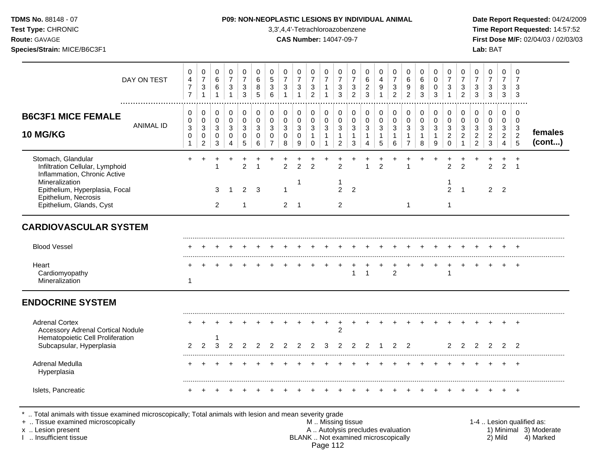### **TDMS No.** 88148 - 07 **P09: NON-NEOPLASTIC LESIONS BY INDIVIDUAL ANIMAL Date Report Requested:** 04/24/2009

**Test Type:** CHRONIC 3,3',4,4'-Tetrachloroazobenzene **Time Report Requested:** 14:57:52 **Route:** GAVAGE **CAS Number:** 14047-09-7 **First Dose M/F:** 02/04/03 / 02/03/03

|                                                                                                                                                                                               | DAY ON TEST      | 0<br>$\overline{4}$<br>$\overline{7}$<br>$\overline{7}$         | 0<br>$\overline{7}$<br>$\mathbf{3}$<br>$\mathbf{1}$            | 0<br>$\,6$<br>6<br>$\overline{1}$                                       | 0<br>$\overline{7}$<br>$\ensuremath{\mathsf{3}}$<br>$\mathbf{1}$ | 0<br>$\overline{7}$<br>3<br>3                    | 0<br>6<br>8<br>5                              | $\mathbf 0$<br>$\sqrt{5}$<br>3<br>6                           | $\pmb{0}$<br>$\overline{7}$<br>$\mathfrak{S}$      | 0<br>$\overline{7}$<br>$\mathbf{3}$<br>$\mathbf{1}$ | 0<br>$\boldsymbol{7}$<br>$\ensuremath{\mathsf{3}}$<br>$\overline{2}$ | 0<br>$\overline{7}$<br>$\mathbf{1}$                 | 0<br>$\overline{7}$<br>3<br>3                                      | 0<br>$\overline{7}$<br>3<br>$\overline{2}$          | $\mathbf 0$<br>$\,6\,$<br>$\overline{2}$<br>3                                      | 0<br>$\overline{4}$<br>9<br>1                       | 0<br>$\overline{7}$<br>$\sqrt{3}$<br>$\overline{2}$                 | $\mathbf 0$<br>$\,6\,$<br>9<br>$\overline{c}$                   | 0<br>6<br>8<br>3                                      | 0<br>$\mathbf 0$<br>$\Omega$<br>3                   | $\mathbf 0$<br>$\overline{7}$<br>3                                   | $\pmb{0}$<br>$\overline{7}$<br>$\mathfrak{S}$<br>$\overline{2}$ | 0<br>$\overline{7}$<br>$\mathbf{3}$<br>3                                   | $\mathbf 0$<br>$\overline{7}$<br>$\mathbf{3}$<br>3                 | 0<br>$\overline{7}$<br>3<br>3                                                  | $\mathbf 0$<br>$\overline{7}$<br>3<br>3                                        |                   |
|-----------------------------------------------------------------------------------------------------------------------------------------------------------------------------------------------|------------------|-----------------------------------------------------------------|----------------------------------------------------------------|-------------------------------------------------------------------------|------------------------------------------------------------------|--------------------------------------------------|-----------------------------------------------|---------------------------------------------------------------|----------------------------------------------------|-----------------------------------------------------|----------------------------------------------------------------------|-----------------------------------------------------|--------------------------------------------------------------------|-----------------------------------------------------|------------------------------------------------------------------------------------|-----------------------------------------------------|---------------------------------------------------------------------|-----------------------------------------------------------------|-------------------------------------------------------|-----------------------------------------------------|----------------------------------------------------------------------|-----------------------------------------------------------------|----------------------------------------------------------------------------|--------------------------------------------------------------------|--------------------------------------------------------------------------------|--------------------------------------------------------------------------------|-------------------|
| <b>B6C3F1 MICE FEMALE</b><br><b>10 MG/KG</b>                                                                                                                                                  | <b>ANIMAL ID</b> | $\mathbf 0$<br>0<br>$\mathbf{3}$<br>$\mathbf 0$<br>$\mathbf{1}$ | 0<br>$\pmb{0}$<br>$\mathbf 3$<br>$\mathsf 0$<br>$\overline{c}$ | $\pmb{0}$<br>$\pmb{0}$<br>$\ensuremath{\mathsf{3}}$<br>$\mathbf 0$<br>3 | 0<br>$\mathsf{O}\xspace$<br>$\mathbf{3}$<br>$\mathbf 0$<br>4     | 0<br>$\pmb{0}$<br>$\sqrt{3}$<br>$\mathbf 0$<br>5 | $\mathbf 0$<br>$\Omega$<br>3<br>$\Omega$<br>6 | $\mathbf 0$<br>$\mathbf 0$<br>3<br>$\Omega$<br>$\overline{7}$ | 0<br>$\pmb{0}$<br>$\mathbf{3}$<br>$\mathbf 0$<br>8 | 0<br>$\pmb{0}$<br>$\mathbf{3}$<br>$\mathbf 0$<br>9  | 0<br>$\pmb{0}$<br>$\mathbf 3$<br>$\mathbf{1}$<br>$\mathbf 0$         | 0<br>$\mathbf 0$<br>$\sqrt{3}$<br>$\mathbf{1}$<br>1 | 0<br>$\mathbf 0$<br>$\mathbf{3}$<br>$\mathbf{1}$<br>$\overline{a}$ | $\mathbf 0$<br>0<br>$\sqrt{3}$<br>$\mathbf{1}$<br>3 | $\mathbf 0$<br>$\mathsf{O}\xspace$<br>$\sqrt{3}$<br>$\mathbf{1}$<br>$\overline{4}$ | 0<br>$\pmb{0}$<br>$\mathbf{3}$<br>$\mathbf{1}$<br>5 | $\boldsymbol{0}$<br>$\mathsf 0$<br>$\mathsf 3$<br>$\mathbf{1}$<br>6 | 0<br>$\pmb{0}$<br>$\mathbf 3$<br>$\mathbf{1}$<br>$\overline{7}$ | 0<br>$\mathbf 0$<br>$\mathbf{3}$<br>$\mathbf{1}$<br>8 | 0<br>$\mathbf 0$<br>$\sqrt{3}$<br>$\mathbf{1}$<br>9 | $\pmb{0}$<br>$\mathbf 0$<br>$\sqrt{3}$<br>$\overline{c}$<br>$\Omega$ | 0<br>$\pmb{0}$<br>$\sqrt{3}$<br>$\overline{c}$<br>$\mathbf 1$   | $\mathbf 0$<br>$\mathbf 0$<br>$\mathbf{3}$<br>$\sqrt{2}$<br>$\overline{2}$ | 0<br>$\mathbf 0$<br>$\mathbf{3}$<br>$\overline{a}$<br>$\mathbf{3}$ | $\mathbf 0$<br>$\mathbf 0$<br>$\mathbf{3}$<br>$\overline{2}$<br>$\overline{4}$ | $\mathbf 0$<br>$\mathbf 0$<br>$\mathbf{3}$<br>$\overline{c}$<br>$5\phantom{1}$ | females<br>(cont) |
| Stomach, Glandular<br>Infiltration Cellular, Lymphoid<br>Inflammation, Chronic Active<br>Mineralization<br>Epithelium, Hyperplasia, Focal<br>Epithelium, Necrosis<br>Epithelium, Glands, Cyst |                  |                                                                 |                                                                | 3<br>2                                                                  |                                                                  | $\overline{c}$<br>$\overline{2}$<br>1            | 3                                             |                                                               | $\mathcal{P}$<br>$\mathbf{1}$<br>2                 | $\overline{2}$<br>$\overline{1}$                    | $\mathcal{P}$                                                        |                                                     | $\mathcal{P}$<br>1<br>$\overline{2}$<br>$\overline{c}$             | $\overline{2}$                                      | $\overline{ }$                                                                     | $\overline{2}$                                      |                                                                     | 1<br>-1                                                         |                                                       |                                                     | $\mathfrak{p}$<br>$\overline{2}$<br>1                                | $\overline{2}$<br>$\overline{1}$                                |                                                                            | $\mathcal{P}$<br>$\overline{2}$                                    | $\overline{2}$<br>$\overline{2}$                                               | $\overline{1}$                                                                 |                   |
| <b>CARDIOVASCULAR SYSTEM</b>                                                                                                                                                                  |                  |                                                                 |                                                                |                                                                         |                                                                  |                                                  |                                               |                                                               |                                                    |                                                     |                                                                      |                                                     |                                                                    |                                                     |                                                                                    |                                                     |                                                                     |                                                                 |                                                       |                                                     |                                                                      |                                                                 |                                                                            |                                                                    |                                                                                |                                                                                |                   |
| <b>Blood Vessel</b>                                                                                                                                                                           |                  |                                                                 |                                                                |                                                                         |                                                                  |                                                  |                                               |                                                               |                                                    |                                                     |                                                                      |                                                     |                                                                    |                                                     |                                                                                    |                                                     |                                                                     |                                                                 |                                                       |                                                     |                                                                      |                                                                 |                                                                            |                                                                    |                                                                                |                                                                                |                   |
| Heart<br>Cardiomyopathy<br>Mineralization                                                                                                                                                     |                  | $\mathbf{1}$                                                    |                                                                |                                                                         |                                                                  |                                                  |                                               |                                                               |                                                    |                                                     |                                                                      |                                                     |                                                                    | 1                                                   | $\overline{1}$                                                                     |                                                     | $\overline{2}$                                                      |                                                                 | $\ddot{}$                                             |                                                     |                                                                      | $\ddot{}$                                                       |                                                                            |                                                                    |                                                                                |                                                                                |                   |
| <b>ENDOCRINE SYSTEM</b>                                                                                                                                                                       |                  |                                                                 |                                                                |                                                                         |                                                                  |                                                  |                                               |                                                               |                                                    |                                                     |                                                                      |                                                     |                                                                    |                                                     |                                                                                    |                                                     |                                                                     |                                                                 |                                                       |                                                     |                                                                      |                                                                 |                                                                            |                                                                    |                                                                                |                                                                                |                   |
| <b>Adrenal Cortex</b><br><b>Accessory Adrenal Cortical Nodule</b><br>Hematopoietic Cell Proliferation<br>Subcapsular, Hyperplasia                                                             |                  | $\overline{2}$                                                  | $\overline{2}$                                                 | 3                                                                       |                                                                  |                                                  |                                               |                                                               |                                                    |                                                     |                                                                      |                                                     | 2                                                                  | $\overline{2}$                                      | $\overline{2}$                                                                     |                                                     | $\overline{2}$                                                      | $\overline{2}$                                                  |                                                       |                                                     | $\overline{2}$                                                       | 2                                                               | 2                                                                          | 2                                                                  | 2                                                                              | $\overline{2}$                                                                 |                   |
| Adrenal Medulla<br>Hyperplasia                                                                                                                                                                |                  |                                                                 |                                                                |                                                                         |                                                                  |                                                  |                                               |                                                               |                                                    |                                                     |                                                                      |                                                     |                                                                    |                                                     |                                                                                    |                                                     |                                                                     |                                                                 |                                                       |                                                     |                                                                      |                                                                 |                                                                            |                                                                    |                                                                                | $\ddot{}$                                                                      |                   |
| Islets, Pancreatic                                                                                                                                                                            |                  |                                                                 |                                                                |                                                                         |                                                                  |                                                  |                                               |                                                               |                                                    |                                                     |                                                                      |                                                     |                                                                    |                                                     |                                                                                    |                                                     |                                                                     |                                                                 |                                                       |                                                     |                                                                      |                                                                 |                                                                            |                                                                    |                                                                                |                                                                                |                   |

\* .. Total animals with tissue examined microscopically; Total animals with lesion and mean severity grade<br>+ .. Tissue examined microscopically

+ .. Tissue examined microscopically the state of the state of the M .. Missing tissue 1-4 .. Lesion qualified as: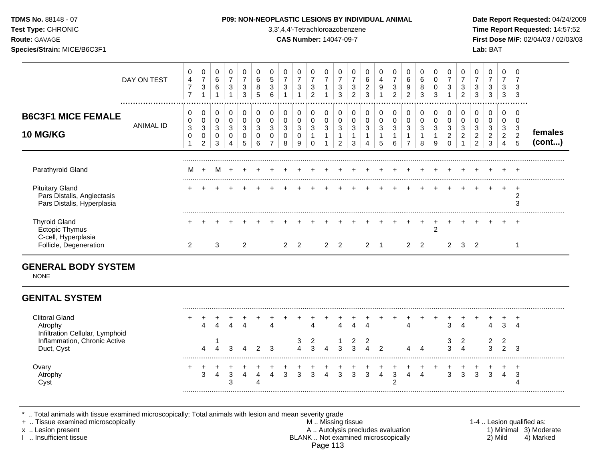| TDMS No. 88148 - 07<br>Test Type: CHRONIC<br>Route: GAVAGE<br>Species/Strain: MICE/B6C3F1 |                  |                                                         |                                                                      |                                                       |                                                     |                                                                    |                                                |                                                    |                                          | P09: NON-NEOPLASTIC LESIONS BY INDIVIDUAL ANIMAL<br>3,3',4,4'-Tetrachloroazobenzene<br><b>CAS Number: 14047-09-7</b> |                                                                       |                                                  |                                                                  |                                                     |                                                     |                                   |                                                                      |                                              |                                            |                                    |                                                                    |                                                                           |                                                 | Lab: BAT                                              |                                                 |                               | Date Report Requested: 04/24/2009<br>Time Report Requested: 14:57:52<br>First Dose M/F: 02/04/03 / 02/03/03 |
|-------------------------------------------------------------------------------------------|------------------|---------------------------------------------------------|----------------------------------------------------------------------|-------------------------------------------------------|-----------------------------------------------------|--------------------------------------------------------------------|------------------------------------------------|----------------------------------------------------|------------------------------------------|----------------------------------------------------------------------------------------------------------------------|-----------------------------------------------------------------------|--------------------------------------------------|------------------------------------------------------------------|-----------------------------------------------------|-----------------------------------------------------|-----------------------------------|----------------------------------------------------------------------|----------------------------------------------|--------------------------------------------|------------------------------------|--------------------------------------------------------------------|---------------------------------------------------------------------------|-------------------------------------------------|-------------------------------------------------------|-------------------------------------------------|-------------------------------|-------------------------------------------------------------------------------------------------------------|
|                                                                                           | DAY ON TEST<br>  | 0<br>$\overline{4}$<br>$\overline{7}$<br>$\overline{7}$ | 0<br>$\boldsymbol{7}$<br>$\ensuremath{\mathsf{3}}$<br>$\overline{1}$ | 0<br>$\,6$<br>$\,6\,$                                 | 0<br>$\overline{7}$<br>$\sqrt{3}$<br>$\overline{1}$ | 0<br>$\overline{7}$<br>$\ensuremath{\mathsf{3}}$<br>$\overline{3}$ | 0<br>$\,6$<br>$\bf 8$<br>5                     | 0<br>$\,$ 5 $\,$<br>$\ensuremath{\mathsf{3}}$<br>6 | 0<br>$\overline{7}$<br>3                 | 0<br>$\overline{7}$<br>3                                                                                             | 0<br>$\overline{7}$<br>$\ensuremath{\mathsf{3}}$<br>$\overline{2}$    | 0<br>$\boldsymbol{7}$<br>$\mathbf{1}$            | 0<br>$\overline{7}$<br>$\sqrt{3}$<br>3                           | 0<br>$\overline{7}$<br>$\sqrt{3}$<br>$\overline{2}$ | 0<br>$\,6\,$<br>$\sqrt{2}$<br>3                     | 0<br>4<br>$9\,$<br>$\overline{1}$ | 0<br>$\boldsymbol{7}$<br>$\ensuremath{\mathsf{3}}$<br>$\overline{2}$ | 0<br>6<br>$\boldsymbol{9}$<br>$\overline{2}$ | 0<br>6<br>8<br>3                           | 0<br>$\pmb{0}$<br>$\pmb{0}$<br>3   | 0<br>$\overline{7}$<br>$\ensuremath{\mathsf{3}}$<br>$\overline{1}$ | $\Omega$<br>$\overline{7}$<br>$\ensuremath{\mathsf{3}}$<br>$\overline{2}$ | 0<br>$\overline{7}$<br>3<br>3                   | 0<br>$\overline{7}$<br>$\ensuremath{\mathsf{3}}$<br>3 | 0<br>$\overline{7}$<br>$\mathbf{3}$<br>3        | 3                             |                                                                                                             |
| <b>B6C3F1 MICE FEMALE</b><br><b>10 MG/KG</b>                                              | <b>ANIMAL ID</b> | 0<br>0<br>$\ensuremath{\mathsf{3}}$<br>$\mathbf 0$      | 0<br>0<br>$\ensuremath{\mathsf{3}}$<br>$\mathbf 0$<br>$\overline{c}$ | 0<br>$\pmb{0}$<br>$\ensuremath{\mathsf{3}}$<br>0<br>3 | $\mathbf 0$<br>$\pmb{0}$<br>$\mathbf{3}$<br>0<br>4  | 0<br>$\mathsf 0$<br>$\sqrt{3}$<br>$\mathbf 0$<br>5                 | 0<br>$\pmb{0}$<br>$\sqrt{3}$<br>$\pmb{0}$<br>6 | 0<br>$\mathbf 0$<br>3<br>0<br>$\overline{7}$       | 0<br>$\pmb{0}$<br>$\mathbf{3}$<br>0<br>8 | 0<br>0<br>$\ensuremath{\mathsf{3}}$<br>$\mathbf 0$<br>9                                                              | $\pmb{0}$<br>$\pmb{0}$<br>$\mathbf{3}$<br>$\mathbf{1}$<br>$\mathbf 0$ | 0<br>$\mathbf 0$<br>$\mathbf{3}$<br>$\mathbf{1}$ | 0<br>$\pmb{0}$<br>$\sqrt{3}$<br>$\overline{1}$<br>$\overline{2}$ | 0<br>$\mathbf 0$<br>3<br>-1<br>3                    | 0<br>$\pmb{0}$<br>$\mathbf{3}$<br>$\mathbf{1}$<br>4 | 0<br>$\mathbf 0$<br>3<br>5        | 0<br>$\mathbf 0$<br>$\mathbf{3}$<br>$\mathbf{1}$<br>6                | 0<br>0<br>3<br>1<br>$\overline{7}$           | 0<br>0<br>$\mathsf 3$<br>$\mathbf{1}$<br>8 | 0<br>$\pmb{0}$<br>$\mathsf 3$<br>9 | 0<br>$\mathbf 0$<br>$\mathbf{3}$<br>$\sqrt{2}$<br>$\Omega$         | 0<br>$\mathbf 0$<br>$\sqrt{3}$<br>$\boldsymbol{2}$                        | 0<br>0<br>3<br>$\overline{c}$<br>$\overline{2}$ | 0<br>0<br>$\mathbf{3}$<br>$\overline{2}$<br>3         | 0<br>0<br>3<br>$\overline{2}$<br>$\overline{4}$ | 0<br>3<br>$\overline{2}$<br>5 | females<br>(cont)                                                                                           |
| Parathyroid Gland                                                                         |                  | м                                                       |                                                                      |                                                       |                                                     |                                                                    |                                                |                                                    |                                          |                                                                                                                      |                                                                       |                                                  |                                                                  |                                                     |                                                     |                                   |                                                                      |                                              |                                            |                                    |                                                                    |                                                                           |                                                 |                                                       |                                                 |                               |                                                                                                             |
| <b>Pituitary Gland</b><br>Pars Distalis, Angiectasis<br>Pars Distalis, Hyperplasia        |                  |                                                         |                                                                      |                                                       |                                                     |                                                                    |                                                |                                                    |                                          |                                                                                                                      |                                                                       |                                                  |                                                                  |                                                     |                                                     |                                   |                                                                      |                                              |                                            |                                    |                                                                    |                                                                           |                                                 |                                                       |                                                 | $\ddot{}$<br>2<br>3           |                                                                                                             |
| <b>Thyroid Gland</b><br><b>Ectopic Thymus</b><br>C-cell, Hyperplasia                      |                  |                                                         |                                                                      |                                                       |                                                     |                                                                    |                                                |                                                    |                                          |                                                                                                                      |                                                                       |                                                  |                                                                  |                                                     |                                                     |                                   |                                                                      |                                              |                                            | $\overline{2}$                     |                                                                    |                                                                           |                                                 |                                                       |                                                 | $\div$                        |                                                                                                             |
| Follicle, Degeneration                                                                    |                  | $\overline{2}$                                          |                                                                      | 3                                                     |                                                     | $\overline{2}$                                                     |                                                |                                                    | $\overline{2}$                           | $\overline{2}$                                                                                                       |                                                                       |                                                  | $2 \quad 2$                                                      |                                                     | $2 \quad 1$                                         |                                   |                                                                      | $\overline{2}$                               | $\overline{2}$                             |                                    | $\overline{2}$                                                     | 3                                                                         | $\overline{2}$                                  |                                                       |                                                 |                               |                                                                                                             |
| <b>GENERAL BODY SYSTEM</b><br><b>NONE</b>                                                 |                  |                                                         |                                                                      |                                                       |                                                     |                                                                    |                                                |                                                    |                                          |                                                                                                                      |                                                                       |                                                  |                                                                  |                                                     |                                                     |                                   |                                                                      |                                              |                                            |                                    |                                                                    |                                                                           |                                                 |                                                       |                                                 |                               |                                                                                                             |
| <b>GENITAL SYSTEM</b>                                                                     |                  |                                                         |                                                                      |                                                       |                                                     |                                                                    |                                                |                                                    |                                          |                                                                                                                      |                                                                       |                                                  |                                                                  |                                                     |                                                     |                                   |                                                                      |                                              |                                            |                                    |                                                                    |                                                                           |                                                 |                                                       |                                                 |                               |                                                                                                             |

| <b>Clitoral Gland</b><br>Atrophy<br>Infiltration Cellular, Lymphoid |  |  |  |  |   |  | $\Delta$ |  |  | ⌒ | $\overline{a}$ | Δ | -4 |
|---------------------------------------------------------------------|--|--|--|--|---|--|----------|--|--|---|----------------|---|----|
| Inflammation, Chronic Active<br>Duct, Cyst                          |  |  |  |  | 3 |  |          |  |  |   | 4              |   |    |
| Ovary<br>Atrophy<br>Cvst                                            |  |  |  |  |   |  |          |  |  |   |                |   |    |

\* .. Total animals with tissue examined microscopically; Total animals with lesion and mean severity grade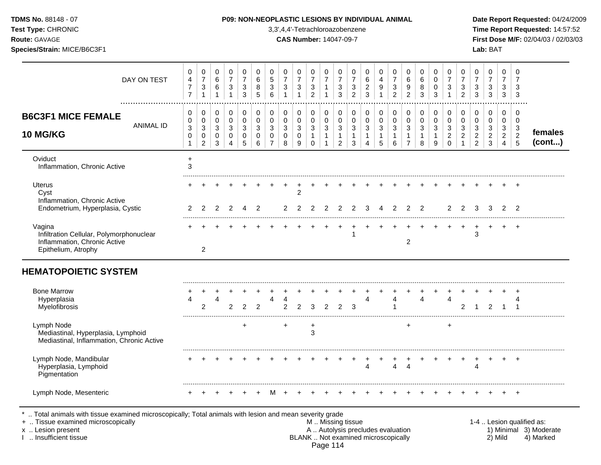|  | <b>TDMS No. 88148 - 07</b> |  |
|--|----------------------------|--|
|  |                            |  |

**Test Type:** CHRONIC 3,3',4,4'-Tetrachloroazobenzene **Time Report Requested:** 14:57:52 **Route:** GAVAGE **CAS Number:** 14047-09-7 **First Dose M/F:** 02/04/03 / 02/03/03 **Species/Strain:** MICE/B6C3F1 **Lab:** BAT

| DAY ON TEST                                                                                                                                                                                | 0<br>4<br>$\boldsymbol{7}$<br>$\overline{7}$ | 0<br>$\overline{7}$<br>3<br>$\mathbf{1}$   | 0<br>$\,6$<br>6<br>$\mathbf{1}$            | 0<br>$\overline{7}$<br>$\ensuremath{\mathsf{3}}$<br>$\mathbf{1}$ | 0<br>$\overline{7}$<br>3<br>3             | 0<br>$\,6\,$<br>$\,8\,$<br>$\overline{5}$ | 0<br>5<br>3<br>6                                                 | 0<br>$\overline{7}$<br>3<br>$\mathbf{1}$            | 0<br>$\overline{7}$<br>$\ensuremath{\mathsf{3}}$<br>$\mathbf{1}$ | 0<br>$\overline{7}$<br>$\ensuremath{\mathsf{3}}$<br>$\overline{2}$ | 0<br>$\overline{7}$<br>1<br>$\mathbf{1}$   | 0<br>$\boldsymbol{7}$<br>3<br>3                                       | 0<br>$\overline{7}$<br>3<br>$\overline{2}$                       | 0<br>$\,6\,$<br>$\overline{c}$<br>3        | 0<br>$\overline{4}$<br>9                                                 | 0<br>$\overline{7}$<br>$\ensuremath{\mathsf{3}}$<br>$\overline{2}$ | 0<br>$\,6\,$<br>9<br>$\overline{2}$                      | 0<br>$\,6\,$<br>$\bf 8$<br>$\mathbf{3}$               | 0<br>$\Omega$<br>$\pmb{0}$<br>3                      | $\mathbf 0$<br>$\overline{7}$<br>3<br>$\overline{1}$      | 0<br>$\overline{7}$<br>$\ensuremath{\mathsf{3}}$<br>$\overline{2}$ | 0<br>$\overline{7}$<br>$\sqrt{3}$<br>3                    | 0<br>$\overline{7}$<br>$\ensuremath{\mathsf{3}}$<br>$\mathbf{3}$   | $\mathbf 0$<br>$\overline{7}$<br>3<br>$\mathbf{3}$        | $\mathbf 0$<br>$\overline{7}$<br>3<br>3                         |                                                                  |
|--------------------------------------------------------------------------------------------------------------------------------------------------------------------------------------------|----------------------------------------------|--------------------------------------------|--------------------------------------------|------------------------------------------------------------------|-------------------------------------------|-------------------------------------------|------------------------------------------------------------------|-----------------------------------------------------|------------------------------------------------------------------|--------------------------------------------------------------------|--------------------------------------------|-----------------------------------------------------------------------|------------------------------------------------------------------|--------------------------------------------|--------------------------------------------------------------------------|--------------------------------------------------------------------|----------------------------------------------------------|-------------------------------------------------------|------------------------------------------------------|-----------------------------------------------------------|--------------------------------------------------------------------|-----------------------------------------------------------|--------------------------------------------------------------------|-----------------------------------------------------------|-----------------------------------------------------------------|------------------------------------------------------------------|
| <b>B6C3F1 MICE FEMALE</b><br><b>ANIMAL ID</b><br><b>10 MG/KG</b>                                                                                                                           | 0<br>0<br>$\mathbf{3}$<br>0<br>1             | 0<br>0<br>3<br>$\pmb{0}$<br>$\overline{c}$ | 0<br>0<br>3<br>$\mathbf 0$<br>$\mathbf{3}$ | 0<br>$\mathbf 0$<br>3<br>$\mathbf 0$<br>4                        | $\mathbf 0$<br>0<br>3<br>$\mathbf 0$<br>5 | $\mathbf 0$<br>$\mathbf 0$<br>3<br>0<br>6 | $\mathbf 0$<br>$\mathbf 0$<br>3<br>$\mathbf 0$<br>$\overline{7}$ | $\mathbf 0$<br>$\mathbf 0$<br>3<br>$\mathbf 0$<br>8 | 0<br>$\pmb{0}$<br>3<br>$\mathbf 0$<br>9                          | 0<br>0<br>3<br>$\mathbf{1}$<br>0                                   | 0<br>$\mathbf 0$<br>3<br>$\mathbf{1}$<br>1 | 0<br>0<br>$\ensuremath{\mathsf{3}}$<br>$\mathbf{1}$<br>$\overline{2}$ | 0<br>$\mathbf 0$<br>$\sqrt{3}$<br>$\mathbf{1}$<br>$\mathfrak{S}$ | 0<br>$\mathsf 0$<br>3<br>$\mathbf{1}$<br>4 | 0<br>$\mathsf 0$<br>$\mathbf{3}$<br>$\mathbf{1}$<br>5                    | 0<br>$\mathsf 0$<br>3<br>$\mathbf{1}$<br>6                         | 0<br>0<br>$\mathbf{3}$<br>$\mathbf{1}$<br>$\overline{7}$ | 0<br>$\mathbf 0$<br>$\mathbf{3}$<br>$\mathbf{1}$<br>8 | 0<br>$\mathbf 0$<br>3<br>$\mathbf{1}$<br>$\mathsf g$ | 0<br>$\mathbf 0$<br>$\mathbf{3}$<br>$\boldsymbol{2}$<br>0 | 0<br>$\mathbf 0$<br>3<br>$\sqrt{2}$<br>$\overline{1}$              | 0<br>$\mathbf 0$<br>3<br>$\overline{a}$<br>$\overline{c}$ | 0<br>$\mathbf 0$<br>$\mathbf{3}$<br>$\overline{c}$<br>$\mathbf{3}$ | 0<br>$\mathbf 0$<br>3<br>$\overline{2}$<br>$\overline{4}$ | $\mathbf 0$<br>$\mathbf 0$<br>3<br>$\sqrt{2}$<br>$\overline{5}$ | females<br>(cont)                                                |
| Oviduct<br>Inflammation, Chronic Active                                                                                                                                                    | $\ddot{}$<br>3                               |                                            |                                            |                                                                  |                                           |                                           |                                                                  |                                                     |                                                                  |                                                                    |                                            |                                                                       |                                                                  |                                            |                                                                          |                                                                    |                                                          |                                                       |                                                      |                                                           |                                                                    |                                                           |                                                                    |                                                           |                                                                 |                                                                  |
| <b>Uterus</b><br>Cyst<br>Inflammation, Chronic Active                                                                                                                                      |                                              |                                            |                                            |                                                                  |                                           |                                           |                                                                  |                                                     | $\overline{2}$                                                   |                                                                    |                                            |                                                                       |                                                                  |                                            |                                                                          |                                                                    |                                                          |                                                       |                                                      |                                                           |                                                                    |                                                           |                                                                    |                                                           | $\div$                                                          |                                                                  |
| Endometrium, Hyperplasia, Cystic                                                                                                                                                           | 2                                            |                                            | 2                                          |                                                                  |                                           | 2                                         |                                                                  | 2                                                   | 2                                                                | 2                                                                  |                                            |                                                                       | $\overline{2}$                                                   | 3                                          |                                                                          | $\overline{2}$                                                     | 2                                                        | $\overline{2}$                                        |                                                      | $\overline{2}$                                            | $\mathcal{P}$                                                      | 3                                                         | 3                                                                  | 2                                                         | $\mathcal{P}$                                                   |                                                                  |
| Vagina<br>Infiltration Cellular, Polymorphonuclear<br>Inflammation, Chronic Active<br>Epithelium, Atrophy                                                                                  |                                              | 2                                          |                                            |                                                                  |                                           |                                           |                                                                  |                                                     |                                                                  |                                                                    |                                            |                                                                       | 1                                                                |                                            |                                                                          |                                                                    | $\overline{c}$                                           |                                                       |                                                      |                                                           |                                                                    | 3                                                         |                                                                    |                                                           |                                                                 |                                                                  |
| <b>HEMATOPOIETIC SYSTEM</b>                                                                                                                                                                |                                              |                                            |                                            |                                                                  |                                           |                                           |                                                                  |                                                     |                                                                  |                                                                    |                                            |                                                                       |                                                                  |                                            |                                                                          |                                                                    |                                                          |                                                       |                                                      |                                                           |                                                                    |                                                           |                                                                    |                                                           |                                                                 |                                                                  |
| <b>Bone Marrow</b><br>Hyperplasia<br>Myelofibrosis                                                                                                                                         | Δ                                            | $\overline{2}$                             | 4                                          | 2                                                                | $\overline{2}$                            | 2                                         | 4                                                                | 4<br>2                                              | $\overline{2}$                                                   | 3                                                                  | 2                                          | $\overline{2}$                                                        | 3                                                                |                                            |                                                                          | 4<br>1                                                             |                                                          | 4                                                     |                                                      | 4                                                         | 2                                                                  |                                                           | $\overline{2}$                                                     | -1                                                        | 4<br>-1                                                         |                                                                  |
| Lymph Node<br>Mediastinal, Hyperplasia, Lymphoid<br>Mediastinal, Inflammation, Chronic Active                                                                                              |                                              |                                            |                                            |                                                                  | $\ddot{}$                                 |                                           |                                                                  | $\ddot{}$                                           |                                                                  | +<br>3                                                             |                                            |                                                                       |                                                                  |                                            |                                                                          |                                                                    | $+$                                                      |                                                       |                                                      | $\ddot{}$                                                 |                                                                    |                                                           |                                                                    |                                                           |                                                                 |                                                                  |
| Lymph Node, Mandibular<br>Hyperplasia, Lymphoid<br>Pigmentation                                                                                                                            |                                              |                                            |                                            |                                                                  |                                           |                                           |                                                                  |                                                     |                                                                  |                                                                    |                                            |                                                                       |                                                                  | 4                                          |                                                                          | 4                                                                  | $\overline{4}$                                           |                                                       |                                                      |                                                           |                                                                    | $\overline{4}$                                            |                                                                    |                                                           | $\pm$                                                           |                                                                  |
| Lymph Node, Mesenteric                                                                                                                                                                     |                                              |                                            |                                            |                                                                  |                                           |                                           |                                                                  |                                                     |                                                                  |                                                                    |                                            |                                                                       |                                                                  |                                            |                                                                          |                                                                    |                                                          |                                                       |                                                      |                                                           |                                                                    |                                                           |                                                                    |                                                           |                                                                 |                                                                  |
| Total animals with tissue examined microscopically; Total animals with lesion and mean severity grade<br>+  Tissue examined microscopically<br>x  Lesion present<br>1  Insufficient tissue |                                              |                                            |                                            |                                                                  |                                           |                                           |                                                                  |                                                     |                                                                  |                                                                    |                                            | M. Missing tissue                                                     |                                                                  |                                            | A  Autolysis precludes evaluation<br>BLANK  Not examined microscopically |                                                                    |                                                          |                                                       |                                                      |                                                           |                                                                    |                                                           |                                                                    | 2) Mild                                                   |                                                                 | 1-4  Lesion qualified as:<br>1) Minimal 3) Moderate<br>4) Marked |

Page 114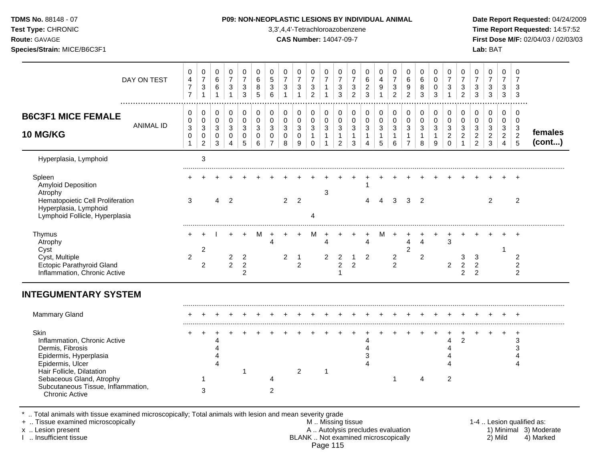**Test Type:** CHRONIC 3,3',4,4'-Tetrachloroazobenzene **Time Report Requested:** 14:57:52 **Route:** GAVAGE **CAS Number:** 14047-09-7 **First Dose M/F:** 02/04/03 / 02/03/03 **Species/Strain:** MICE/B6C3F1 **Lab:** BAT

| DAY ON TEST                                                                                                                                                                                                                    | 0<br>$\overline{\mathbf{4}}$<br>$\overline{7}$<br>$\overline{7}$ | 0<br>$\overline{7}$<br>3<br>$\mathbf{1}$   | 0<br>$\,6\,$<br>$\,6$<br>1      | 0<br>$\overline{7}$<br>$\mathbf{3}$<br>$\mathbf{1}$ | 0<br>$\boldsymbol{7}$<br>$\sqrt{3}$<br>$\mathbf{3}$ | 0<br>$\,6\,$<br>8<br>$\sqrt{5}$        | 0<br>$5\,$<br>$\mathbf{3}$<br>6           | 0<br>$\overline{7}$<br>$\mathbf{3}$<br>1 | 0<br>$\overline{7}$<br>3<br>$\mathbf{1}$   | 0<br>$\boldsymbol{7}$<br>$\sqrt{3}$<br>$\overline{2}$ | 0<br>$\boldsymbol{7}$<br>$\mathbf{1}$<br>$\mathbf{1}$               | 0<br>$\boldsymbol{7}$<br>$\mathbf{3}$<br>$\mathbf{3}$              | 0<br>$\overline{7}$<br>3<br>$\overline{2}$ | 0<br>6<br>$\overline{a}$<br>3               | 0<br>4<br>9                                          | 0<br>$\overline{7}$<br>3<br>$\overline{c}$                 | 0<br>$\,6\,$<br>9<br>$\overline{2}$                              | 0<br>$\,6\,$<br>8<br>$\mathbf{3}$                     | 0<br>0<br>0<br>$\sqrt{3}$                  | 0<br>$\overline{7}$<br>3                               | 0<br>$\overline{7}$<br>3<br>$\overline{2}$ | 0<br>$\overline{7}$<br>3<br>3                           | 0<br>$\overline{7}$<br>3<br>3                            | 0<br>$\overline{7}$<br>$\mathbf{3}$<br>3                   | 0<br>3<br>3                                                          |                   |
|--------------------------------------------------------------------------------------------------------------------------------------------------------------------------------------------------------------------------------|------------------------------------------------------------------|--------------------------------------------|---------------------------------|-----------------------------------------------------|-----------------------------------------------------|----------------------------------------|-------------------------------------------|------------------------------------------|--------------------------------------------|-------------------------------------------------------|---------------------------------------------------------------------|--------------------------------------------------------------------|--------------------------------------------|---------------------------------------------|------------------------------------------------------|------------------------------------------------------------|------------------------------------------------------------------|-------------------------------------------------------|--------------------------------------------|--------------------------------------------------------|--------------------------------------------|---------------------------------------------------------|----------------------------------------------------------|------------------------------------------------------------|----------------------------------------------------------------------|-------------------|
| <b>B6C3F1 MICE FEMALE</b><br><b>ANIMAL ID</b><br><b>10 MG/KG</b>                                                                                                                                                               | 0<br>0<br>$\mathfrak{Z}$<br>0                                    | 0<br>$\pmb{0}$<br>3<br>0<br>$\overline{c}$ | 0<br>$\mathbf 0$<br>3<br>0<br>3 | 0<br>$\pmb{0}$<br>3<br>0<br>4                       | 0<br>$\pmb{0}$<br>3<br>0<br>5                       | 0<br>$\mathbf 0$<br>3<br>$\Omega$<br>6 | 0<br>0<br>3<br>$\Omega$<br>$\overline{7}$ | 0<br>$\mathbf 0$<br>3<br>0<br>8          | 0<br>0<br>$\mathbf{3}$<br>$\mathbf 0$<br>9 | 0<br>$\pmb{0}$<br>$\sqrt{3}$<br>1<br>$\mathbf 0$      | 0<br>$\overline{0}$<br>$\mathbf{3}$<br>$\mathbf{1}$<br>$\mathbf{1}$ | 0<br>$\mathbf 0$<br>$\mathbf{3}$<br>$\mathbf{1}$<br>$\overline{c}$ | 0<br>0<br>3<br>$\mathbf{1}$<br>3           | 0<br>0<br>$\mathbf{3}$<br>$\mathbf{1}$<br>4 | 0<br>$\mathbf 0$<br>$\mathsf 3$<br>$\mathbf{1}$<br>5 | 0<br>$\boldsymbol{0}$<br>$\mathbf{3}$<br>$\mathbf{1}$<br>6 | 0<br>$\pmb{0}$<br>$\mathbf{3}$<br>$\mathbf{1}$<br>$\overline{7}$ | 0<br>$\mathbf 0$<br>$\mathbf{3}$<br>$\mathbf{1}$<br>8 | 0<br>$\mathbf 0$<br>3<br>$\mathbf{1}$<br>9 | 0<br>$\mathbf 0$<br>3<br>$\overline{2}$<br>$\mathbf 0$ | 0<br>0<br>3<br>$\overline{2}$              | 0<br>$\mathbf 0$<br>$\mathbf{3}$<br>$\overline{c}$<br>2 | 0<br>0<br>$\mathbf{3}$<br>$\overline{2}$<br>$\mathbf{3}$ | 0<br>0<br>$\mathbf{3}$<br>$\overline{2}$<br>$\overline{4}$ | 0<br>$\mathbf 0$<br>3<br>$\overline{2}$<br>$\sqrt{5}$                | females<br>(cont) |
| Hyperplasia, Lymphoid                                                                                                                                                                                                          |                                                                  | 3                                          |                                 |                                                     |                                                     |                                        |                                           |                                          |                                            |                                                       |                                                                     |                                                                    |                                            |                                             |                                                      |                                                            |                                                                  |                                                       |                                            |                                                        |                                            |                                                         |                                                          |                                                            |                                                                      |                   |
| Spleen<br>Amyloid Deposition<br>Atrophy<br>Hematopoietic Cell Proliferation<br>Hyperplasia, Lymphoid<br>Lymphoid Follicle, Hyperplasia                                                                                         | 3                                                                |                                            | 4                               | $\overline{2}$                                      |                                                     |                                        |                                           | $\overline{2}$                           | $\overline{2}$                             | Δ                                                     | 3                                                                   |                                                                    |                                            |                                             |                                                      | 3                                                          | 3                                                                | $\overline{2}$                                        |                                            |                                                        |                                            |                                                         | $\overline{2}$                                           |                                                            | $\overline{2}$                                                       |                   |
| Thymus<br>Atrophy<br>Cyst<br>Cyst, Multiple<br><b>Ectopic Parathyroid Gland</b><br>Inflammation, Chronic Active                                                                                                                | $\overline{2}$                                                   | 2<br>$\overline{2}$                        |                                 | $\overline{2}$<br>$\overline{2}$                    | $\overline{c}$<br>$\overline{c}$<br>2               | м                                      |                                           | $\overline{2}$                           | $\overline{1}$<br>$\overline{2}$           | м                                                     | 4<br>2                                                              | $\overline{2}$<br>2                                                | 1<br>$\overline{2}$                        | 4<br>2                                      |                                                      | $\overline{c}$<br>$\overline{2}$                           | 4<br>$\overline{2}$                                              | 4<br>2                                                |                                            | 3<br>$\overline{c}$                                    | 3<br>$\overline{c}$<br>$\overline{2}$      | 3<br>$\overline{2}$<br>2                                |                                                          |                                                            | $\overline{+}$<br>$\overline{2}$<br>$\overline{2}$<br>$\overline{2}$ |                   |
| <b>INTEGUMENTARY SYSTEM</b>                                                                                                                                                                                                    |                                                                  |                                            |                                 |                                                     |                                                     |                                        |                                           |                                          |                                            |                                                       |                                                                     |                                                                    |                                            |                                             |                                                      |                                                            |                                                                  |                                                       |                                            |                                                        |                                            |                                                         |                                                          |                                                            |                                                                      |                   |
| Mammary Gland                                                                                                                                                                                                                  |                                                                  |                                            |                                 |                                                     |                                                     |                                        |                                           |                                          |                                            |                                                       |                                                                     |                                                                    |                                            |                                             |                                                      |                                                            |                                                                  |                                                       |                                            |                                                        |                                            |                                                         |                                                          |                                                            | $\pm$                                                                |                   |
| Skin<br>Inflammation, Chronic Active<br>Dermis, Fibrosis<br>Epidermis, Hyperplasia<br>Epidermis, Ulcer<br>Hair Follicle, Dilatation<br>Sebaceous Gland, Atrophy<br>Subcutaneous Tissue, Inflammation,<br><b>Chronic Active</b> |                                                                  | 3                                          | Λ                               |                                                     | -1                                                  |                                        | 2                                         |                                          | 2                                          |                                                       |                                                                     |                                                                    |                                            |                                             |                                                      |                                                            |                                                                  | 4                                                     |                                            | 4<br>Δ<br>$\overline{2}$                               | $\overline{2}$                             |                                                         |                                                          |                                                            | +<br>3<br>3                                                          |                   |

\* .. Total animals with tissue examined microscopically; Total animals with lesion and mean severity grade

+ .. Tissue examined microscopically M .. Missing tissue 1-4 .. Lesion qualified as:

- x .. Lesion present **A .. Autolysis precludes evaluation** A .. Autolysis precludes evaluation 1) Minimal 3) Moderate I .. Insufficient tissue BLANK .. Not examined microscopically 2) Mild 4) Marked Page 115
-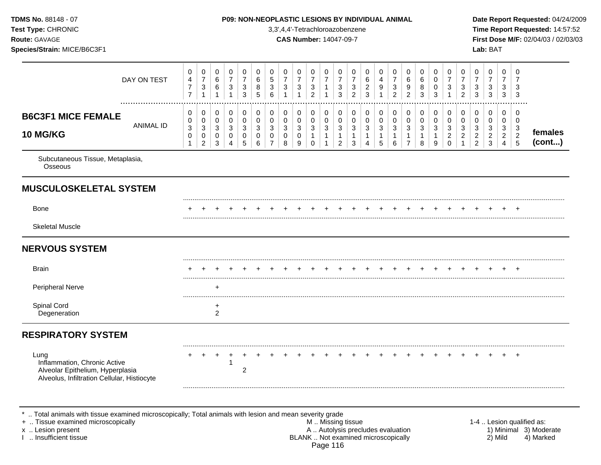Subcutaneous Tissue, Metaplasia, **Osseous MUSCULOSKELETAL SYSTEM** ......................................................................................................................................................................................................... Bone + + + + + + + + + + + + + + + + + + + + + + + + + ......................................................................................................................................................................................................... Skeletal Muscle **NERVOUS SYSTEM** ......................................................................................................................................................................................................... Brain + + + + + + + + + + + + + + + + + + + + + + + + + ......................................................................................................................................................................................................... Peripheral Nerve + ......................................................................................................................................................................................................... Spinal Cord + the spinal Cord + the spinal Cord + the spinal Cord + the spinal Cord + the spinal Cord + the spinal Cord + the spinal Cord + the spinal Cord + the spinal Cord + the spinal Cord + the spinal Cord + the spinal **Degeneration RESPIRATORY SYSTEM** ......................................................................................................................................................................................................... Lung + + + + + + + + + + + + + + + + + + + + + + + + + Inflammation, Chronic Active 1 Alveolar Epithelium, Hyperplasia 2 Alveolus, Infiltration Cellular, Histiocyte ......................................................................................................................................................................................................... **TDMS No.** 88148 - 07 **P09: NON-NEOPLASTIC LESIONS BY INDIVIDUAL ANIMAL Date Report Requested:** 04/24/2009 **Test Type:** CHRONIC 3,3',4,4'-Tetrachloroazobenzene **Time Report Requested:** 14:57:52 **Route:** GAVAGE **CAS Number:** 14047-09-7 **First Dose M/F:** 02/04/03 / 02/03/03 **Species/Strain:** MICE/B6C3F1 **Lab:** BAT DAY ON TEST  $\overline{7}$   $\overline{7}$   $\overline{7}$  ................................................................................................................................................................. **B6C3F1 MICE FEMALE** ANIMAL ID **10 MG/KG females (cont...)** .. Total animals with tissue examined microscopically; Total animals with lesion and mean severity grade + .. Tissue examined microscopically examined microscopically and the state of the state of the M .. Missing tissue the M .. Missing tissue the matrix of the M .. Missing tissue the matrix of the M .. Lesion qualified as: x .. Lesion present 1) Minimal 3) Moderate<br>A .. Autolysis precludes evaluation 1 and 1) Minimal 3) Moderate<br>BLANK .. Not examined microscopically 1 and 1) Minimal 3) Marked

BLANK .. Not examined microscopically Page 116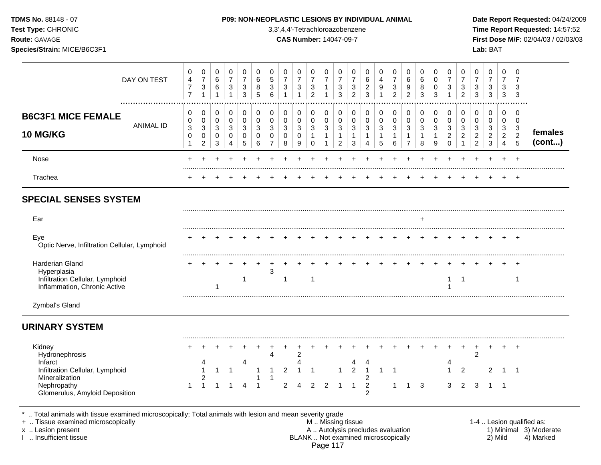**Test Type:** CHRONIC 3,3',4,4'-Tetrachloroazobenzene **Time Report Requested:** 14:57:52 **Route:** GAVAGE **CAS Number:** 14047-09-7 **First Dose M/F:** 02/04/03 / 02/03/03 **Species/Strain:** MICE/B6C3F1 **Lab:** BAT

| DAY ON TEST                                                                                                                                                                                | 0<br>$\overline{\mathbf{4}}$<br>$\overline{7}$<br>$\overline{7}$ | 0<br>$\boldsymbol{7}$<br>$\ensuremath{\mathsf{3}}$<br>$\mathbf{1}$             | 0<br>$6\phantom{1}6$<br>6<br>1            | 0<br>$\overline{7}$<br>$\ensuremath{\mathsf{3}}$<br>1           | 0<br>$\overline{7}$<br>3<br>3   | 0<br>6<br>8<br>5      | 0<br>5<br>3<br>$6\phantom{1}6$                          | 0<br>$\overline{7}$<br>3<br>$\mathbf{1}$ | 0<br>$\overline{7}$<br>$\sqrt{3}$<br>$\overline{1}$ | 0<br>$\boldsymbol{7}$<br>$\ensuremath{\mathsf{3}}$<br>$\overline{2}$       | $\Omega$<br>$\overline{7}$<br>$\mathbf{1}$<br>1 | 0<br>$\overline{7}$<br>3<br>3                                                                 | 0<br>$\overline{7}$<br>3<br>$\overline{2}$               | 0<br>6<br>$\overline{\mathbf{c}}$<br>3      | 0<br>$\overline{4}$<br>9                 | 0<br>$\overline{7}$<br>3<br>$\overline{2}$       | 0<br>$\,6\,$<br>9<br>$\overline{c}$                   | 0<br>$\,6$<br>8<br>3                                               | 0<br>0<br>0<br>3                                                   | 0<br>$\overline{7}$<br>3<br>$\mathbf{1}$ | 0<br>$\overline{7}$<br>3<br>$\overline{2}$ | 0<br>$\overline{7}$<br>$\ensuremath{\mathsf{3}}$<br>3 | 0<br>$\overline{7}$<br>$\ensuremath{\mathsf{3}}$<br>3 | 0<br>$\overline{7}$<br>3<br>3               | $\Omega$<br>$\overline{7}$<br>3<br>3         |                                                                  |
|--------------------------------------------------------------------------------------------------------------------------------------------------------------------------------------------|------------------------------------------------------------------|--------------------------------------------------------------------------------|-------------------------------------------|-----------------------------------------------------------------|---------------------------------|-----------------------|---------------------------------------------------------|------------------------------------------|-----------------------------------------------------|----------------------------------------------------------------------------|-------------------------------------------------|-----------------------------------------------------------------------------------------------|----------------------------------------------------------|---------------------------------------------|------------------------------------------|--------------------------------------------------|-------------------------------------------------------|--------------------------------------------------------------------|--------------------------------------------------------------------|------------------------------------------|--------------------------------------------|-------------------------------------------------------|-------------------------------------------------------|---------------------------------------------|----------------------------------------------|------------------------------------------------------------------|
| <b>B6C3F1 MICE FEMALE</b><br><b>ANIMAL ID</b><br><b>10 MG/KG</b>                                                                                                                           | 0<br>0<br>3<br>$\,0\,$<br>1                                      | 0<br>$\mathbf 0$<br>$\ensuremath{\mathsf{3}}$<br>$\pmb{0}$<br>$\boldsymbol{2}$ | 0<br>$\mathbf 0$<br>3<br>$\mathbf 0$<br>3 | 0<br>$\mathbf 0$<br>$\ensuremath{\mathsf{3}}$<br>$\pmb{0}$<br>4 | 0<br>0<br>3<br>$\mathbf 0$<br>5 | 0<br>0<br>3<br>0<br>6 | 0<br>0<br>$\mathbf{3}$<br>$\mathbf 0$<br>$\overline{7}$ | 0<br>0<br>3<br>0<br>8                    | 0<br>$\mathbf 0$<br>3<br>$\mathbf 0$<br>9           | 0<br>$\mathbf 0$<br>$\ensuremath{\mathsf{3}}$<br>$\mathbf{1}$<br>$\pmb{0}$ | 0<br>0<br>3<br>$\mathbf{1}$<br>$\mathbf{1}$     | 0<br>0<br>$\ensuremath{\mathsf{3}}$<br>$\mathbf{1}$<br>$\overline{c}$                         | 0<br>0<br>$\ensuremath{\mathsf{3}}$<br>$\mathbf{1}$<br>3 | 0<br>0<br>3<br>$\mathbf{1}$<br>4            | 0<br>$\mathbf 0$<br>$\sqrt{3}$<br>1<br>5 | 0<br>$\mathbf 0$<br>3<br>$\mathbf{1}$<br>$\,6\,$ | 0<br>$\pmb{0}$<br>3<br>$\mathbf{1}$<br>$\overline{7}$ | 0<br>$\mathbf 0$<br>$\ensuremath{\mathsf{3}}$<br>$\mathbf{1}$<br>8 | 0<br>$\mathbf 0$<br>$\ensuremath{\mathsf{3}}$<br>$\mathbf{1}$<br>9 | 0<br>0<br>3<br>$\sqrt{2}$<br>0           | 0<br>0<br>3<br>$\sqrt{2}$<br>$\mathbf{1}$  | 0<br>0<br>$\mathbf{3}$<br>$\sqrt{2}$<br>$\sqrt{2}$    | 0<br>$\mathbf 0$<br>3<br>$\boldsymbol{2}$<br>3        | 0<br>0<br>3<br>$\sqrt{2}$<br>$\overline{4}$ | 0<br>$\mathbf 0$<br>3<br>$\overline{c}$<br>5 | females<br>(cont)                                                |
| Nose                                                                                                                                                                                       |                                                                  |                                                                                |                                           |                                                                 |                                 |                       |                                                         |                                          |                                                     |                                                                            |                                                 |                                                                                               |                                                          |                                             |                                          |                                                  |                                                       |                                                                    |                                                                    |                                          |                                            |                                                       |                                                       |                                             | $\ddot{}$                                    |                                                                  |
| Trachea                                                                                                                                                                                    |                                                                  |                                                                                |                                           |                                                                 |                                 |                       |                                                         |                                          |                                                     |                                                                            |                                                 |                                                                                               |                                                          |                                             |                                          |                                                  |                                                       |                                                                    |                                                                    |                                          |                                            |                                                       |                                                       |                                             |                                              |                                                                  |
| <b>SPECIAL SENSES SYSTEM</b>                                                                                                                                                               |                                                                  |                                                                                |                                           |                                                                 |                                 |                       |                                                         |                                          |                                                     |                                                                            |                                                 |                                                                                               |                                                          |                                             |                                          |                                                  |                                                       |                                                                    |                                                                    |                                          |                                            |                                                       |                                                       |                                             |                                              |                                                                  |
| Ear                                                                                                                                                                                        |                                                                  |                                                                                |                                           |                                                                 |                                 |                       |                                                         |                                          |                                                     |                                                                            |                                                 |                                                                                               |                                                          |                                             |                                          |                                                  |                                                       |                                                                    |                                                                    |                                          |                                            |                                                       |                                                       |                                             |                                              |                                                                  |
| Eye<br>Optic Nerve, Infiltration Cellular, Lymphoid                                                                                                                                        |                                                                  |                                                                                |                                           |                                                                 |                                 |                       |                                                         |                                          |                                                     |                                                                            |                                                 |                                                                                               |                                                          |                                             |                                          |                                                  |                                                       |                                                                    |                                                                    |                                          |                                            |                                                       |                                                       |                                             |                                              |                                                                  |
| <b>Harderian Gland</b><br>Hyperplasia<br>Infiltration Cellular, Lymphoid<br>Inflammation, Chronic Active                                                                                   |                                                                  |                                                                                |                                           |                                                                 | 1                               |                       | 3                                                       | -1                                       |                                                     | -1                                                                         |                                                 |                                                                                               |                                                          |                                             |                                          |                                                  |                                                       |                                                                    |                                                                    | 1                                        | -1                                         |                                                       |                                                       |                                             | 1                                            |                                                                  |
| Zymbal's Gland                                                                                                                                                                             |                                                                  |                                                                                |                                           |                                                                 |                                 |                       |                                                         |                                          |                                                     |                                                                            |                                                 |                                                                                               |                                                          |                                             |                                          |                                                  |                                                       |                                                                    |                                                                    |                                          |                                            |                                                       |                                                       |                                             |                                              |                                                                  |
| <b>URINARY SYSTEM</b>                                                                                                                                                                      |                                                                  |                                                                                |                                           |                                                                 |                                 |                       |                                                         |                                          |                                                     |                                                                            |                                                 |                                                                                               |                                                          |                                             |                                          |                                                  |                                                       |                                                                    |                                                                    |                                          |                                            |                                                       |                                                       |                                             |                                              |                                                                  |
| Kidney<br>Hydronephrosis<br>Infarct<br>Infiltration Cellular, Lymphoid<br>Mineralization<br>Nephropathy<br>Glomerulus, Amyloid Deposition                                                  | 1                                                                | 2<br>$\mathbf{1}$                                                              |                                           |                                                                 | 4                               |                       | Δ                                                       | $\overline{2}$<br>$\overline{2}$         | $\overline{2}$<br>Δ<br>4                            | $\overline{2}$                                                             | $\overline{2}$                                  | 1<br>-1                                                                                       | 4<br>$\overline{c}$<br>-1                                | -1<br>2<br>$\overline{c}$<br>$\overline{2}$ | $\mathbf{1}$                             | -1<br>1                                          |                                                       | 3                                                                  |                                                                    | 4<br>1<br>3                              | $\overline{c}$<br>2                        | 2<br>3                                                | $\mathfrak{p}$<br>1                                   | -1                                          | $\ddot{}$<br>-1                              |                                                                  |
| Total animals with tissue examined microscopically; Total animals with lesion and mean severity grade<br>+  Tissue examined microscopically<br>x  Lesion present<br>I  Insufficient tissue |                                                                  |                                                                                |                                           |                                                                 |                                 |                       |                                                         |                                          |                                                     |                                                                            |                                                 | M  Missing tissue<br>A  Autolysis precludes evaluation<br>BLANK  Not examined microscopically |                                                          |                                             |                                          |                                                  |                                                       |                                                                    |                                                                    |                                          |                                            |                                                       | 2) Mild                                               |                                             |                                              | 1-4  Lesion qualified as:<br>1) Minimal 3) Moderate<br>4) Marked |

Page 117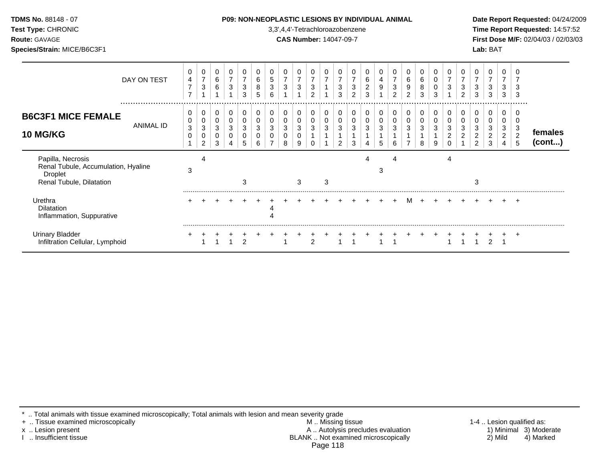| <b>ГDMS No.</b> 88148 - 07 |  |
|----------------------------|--|
| Fest Type: CHRONIC         |  |

**Test Type:** CHRONIC 3,3',4,4'-Tetrachloroazobenzene **Time Report Requested:** 14:57:52 **Route:** GAVAGE **CAS Number:** 14047-09-7 **First Dose M/F:** 02/04/03 / 02/03/03 **Species/Strain:** MICE/B6C3F1 **Lab:** BAT

| DAY ON TEST                                                                                            | 0<br>4<br>7<br>$\rightarrow$ | 0<br>$\overline{7}$<br>$\ensuremath{\mathsf{3}}$ | 0<br>$\,6\,$<br>6 | 0<br>$\overline{7}$<br>3 | 3<br>3      | 6<br>8<br>5 | 5<br>3<br>հ | 0<br>$\boldsymbol{7}$<br>$\ensuremath{\mathsf{3}}$ | 0<br>$\boldsymbol{7}$<br>3 | 7<br>3<br>$\sim$ |             | 0<br>$\overline{ }$<br>3<br>3 | $\overline{ }$<br>3<br>2 | 0<br>6<br>$\overline{2}$<br>3 | 4<br>9      | 0<br>$\overline{\mathbf{7}}$<br>3<br>$\overline{2}$ | 6<br>9<br>ົ | 0<br>$\,6$<br>8<br>3 | 0<br>0<br>3      | 3 | $\overline{\phantom{a}}$<br>3<br>$\mathfrak{p}$ | 0<br>$\overline{ }$<br>3<br>3      | 0<br>$\overline{7}$<br>3<br>3      | 0<br>$\overline{ }$<br>3<br>3             | 3<br>3                   |                         |
|--------------------------------------------------------------------------------------------------------|------------------------------|--------------------------------------------------|-------------------|--------------------------|-------------|-------------|-------------|----------------------------------------------------|----------------------------|------------------|-------------|-------------------------------|--------------------------|-------------------------------|-------------|-----------------------------------------------------|-------------|----------------------|------------------|---|-------------------------------------------------|------------------------------------|------------------------------------|-------------------------------------------|--------------------------|-------------------------|
| <br><b>B6C3F1 MICE FEMALE</b><br>ANIMAL ID<br><b>10 MG/KG</b>                                          | 0<br>0<br>3<br>0             | 0<br>0<br>3<br>0<br>2                            | 0<br>0<br>3<br>3  | 0<br>3<br>4              | 0<br>3<br>5 | 6           | 3           | 0<br>0<br>3<br>8                                   | 0<br>0<br>3<br>0<br>9      | 0<br>3           | 0<br>0<br>3 | 0<br>0<br>3<br>2              | 3<br>3                   | 3<br>4                        | 0<br>3<br>5 | 0<br>0<br>3<br>6                                    | 0<br>0<br>3 | 3<br>8               | 0<br>0<br>3<br>9 |   | 0<br>3                                          | 0<br>0<br>3<br>$\overline{c}$<br>2 | 0<br>0<br>3<br>$\overline{c}$<br>3 | $\Omega$<br>0<br>3<br>$\overline{2}$<br>4 | 3<br>$\overline{c}$<br>5 | females<br>$($ cont $)$ |
| Papilla, Necrosis<br>Renal Tubule, Accumulation, Hyaline<br><b>Droplet</b><br>Renal Tubule, Dilatation | 3                            | 4                                                |                   |                          | 3           |             |             |                                                    | 3                          |                  | 3           |                               |                          | Δ                             | З           | 4                                                   |             |                      |                  | 4 |                                                 | 3                                  |                                    |                                           |                          |                         |
| Urethra<br><b>Dilatation</b><br>Inflammation, Suppurative                                              |                              |                                                  |                   |                          |             |             |             |                                                    |                            |                  |             |                               |                          |                               |             | $+$                                                 | M           | $+$                  |                  |   |                                                 |                                    |                                    |                                           |                          |                         |
| <b>Urinary Bladder</b><br>Infiltration Cellular, Lymphoid                                              |                              |                                                  |                   |                          |             |             |             |                                                    |                            | $\mathcal{D}$    |             |                               |                          |                               |             |                                                     |             |                      |                  |   |                                                 |                                    |                                    |                                           |                          |                         |

\* .. Total animals with tissue examined microscopically; Total animals with lesion and mean severity grade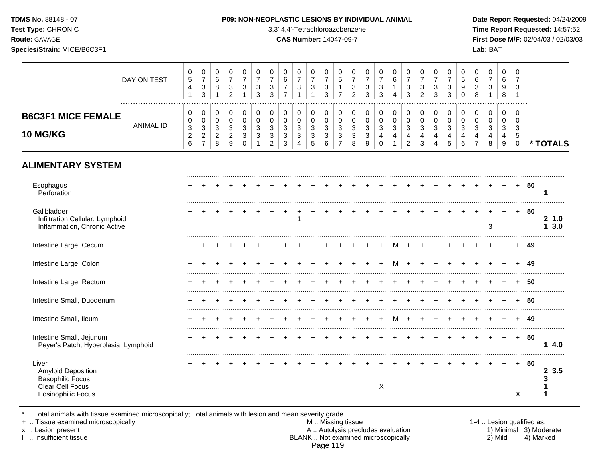| Test Type: CHRONIC<br><b>Route: GAVAGE</b><br>Species/Strain: MICE/B6C3F1                                      |                  |                                                                               |                                                                             |                                               |                                                                              |                                                             |                                                                   |                                                                          |                                                                      | 3,3',4,4'-Tetrachloroazobenzene<br><b>CAS Number: 14047-09-7</b> |                                                                        |                                                                                          |                                                                                            |                                                                            |                                                      |                                                   |                                                          |                                                                          |                                                                           |                                                                                |                                                                            |                                         |                                                               | Lab: BAT                                                            |                                            |                                                                         |        | Time Report Requested: 14:57:52<br>First Dose M/F: 02/04/03 / 02/03/03 |
|----------------------------------------------------------------------------------------------------------------|------------------|-------------------------------------------------------------------------------|-----------------------------------------------------------------------------|-----------------------------------------------|------------------------------------------------------------------------------|-------------------------------------------------------------|-------------------------------------------------------------------|--------------------------------------------------------------------------|----------------------------------------------------------------------|------------------------------------------------------------------|------------------------------------------------------------------------|------------------------------------------------------------------------------------------|--------------------------------------------------------------------------------------------|----------------------------------------------------------------------------|------------------------------------------------------|---------------------------------------------------|----------------------------------------------------------|--------------------------------------------------------------------------|---------------------------------------------------------------------------|--------------------------------------------------------------------------------|----------------------------------------------------------------------------|-----------------------------------------|---------------------------------------------------------------|---------------------------------------------------------------------|--------------------------------------------|-------------------------------------------------------------------------|--------|------------------------------------------------------------------------|
|                                                                                                                | DAY ON TEST      | $\mathbf 0$<br>$\sqrt{5}$<br>$\overline{4}$<br>$\overline{1}$                 | $\pmb{0}$<br>$\overline{7}$<br>$\ensuremath{\mathsf{3}}$<br>$\mathbf{3}$    | 0<br>6<br>$\bf 8$<br>$\mathbf{1}$             | $\mathbf 0$<br>$\overline{7}$<br>$\ensuremath{\mathsf{3}}$<br>$\overline{c}$ | $\mathbf 0$<br>$\overline{7}$<br>$\sqrt{3}$<br>$\mathbf{1}$ | $\pmb{0}$<br>$\overline{7}$<br>$\ensuremath{\mathsf{3}}$<br>3     | $\,0\,$<br>$\overline{7}$<br>$\sqrt{3}$<br>$\mathbf{3}$                  | $\mathbf 0$<br>6<br>$\overline{7}$<br>$\overline{7}$                 | 0<br>$\overline{7}$<br>3<br>$\mathbf{1}$                         | 0<br>$\overline{7}$<br>$\sqrt{3}$<br>$\mathbf{1}$                      | $\pmb{0}$<br>$\overline{7}$<br>$\ensuremath{\mathsf{3}}$<br>$\sqrt{3}$                   | $\pmb{0}$<br>$\sqrt{5}$<br>$\mathbf{1}$<br>$\overline{7}$                                  | $\pmb{0}$<br>$\overline{7}$<br>$\ensuremath{\mathsf{3}}$<br>$\overline{2}$ | $\pmb{0}$<br>$\overline{7}$<br>$\mathbf{3}$<br>3     | 0<br>$\overline{7}$<br>$\sqrt{3}$<br>3            | $\pmb{0}$<br>6<br>$\mathbf{1}$<br>$\overline{4}$         | $\pmb{0}$<br>$\overline{7}$<br>$\ensuremath{\mathsf{3}}$<br>$\mathbf{3}$ | $\mathbf 0$<br>$\overline{7}$<br>$\frac{3}{2}$                            | $\mathbf 0$<br>$\overline{7}$<br>$\ensuremath{\mathsf{3}}$<br>$\mathbf{3}$     | $\mathbf 0$<br>$\overline{7}$<br>$\ensuremath{\mathsf{3}}$<br>$\mathbf{3}$ | 0<br>5<br>$\boldsymbol{9}$<br>$\pmb{0}$ | 0<br>$\,6\,$<br>$\ensuremath{\mathsf{3}}$<br>$\,8\,$          | $\mathsf{O}\xspace$<br>$\overline{7}$<br>$\sqrt{3}$<br>$\mathbf{1}$ | $\mathbf 0$<br>6<br>9<br>8                 | $\mathbf 0$<br>$\overline{7}$<br>3<br>$\overline{1}$                    |        |                                                                        |
| <b>B6C3F1 MICE FEMALE</b><br><b>10 MG/KG</b>                                                                   | <b>ANIMAL ID</b> | $\mathbf 0$<br>$\pmb{0}$<br>$\ensuremath{\mathsf{3}}$<br>$\mathbf 2$<br>$\,6$ | $\pmb{0}$<br>$\mathsf 0$<br>$\mathsf 3$<br>$\overline{c}$<br>$\overline{7}$ | 0<br>0<br>$\mathbf{3}$<br>$\overline{c}$<br>8 | $\pmb{0}$<br>$\mathbf 0$<br>$\sqrt{3}$<br>$\overline{c}$<br>9                | $\pmb{0}$<br>$\pmb{0}$<br>3<br>3<br>$\mathbf 0$             | $\mathbf 0$<br>$\mathbf 0$<br>$\mathfrak{Z}$<br>$\mathbf{3}$<br>1 | $\mathbf 0$<br>$\pmb{0}$<br>$\mathbf{3}$<br>$\sqrt{3}$<br>$\overline{c}$ | $\mathbf 0$<br>$\pmb{0}$<br>$\sqrt{3}$<br>$\mathbf{3}$<br>$\sqrt{3}$ | $\mathbf 0$<br>0<br>3<br>3<br>4                                  | $\pmb{0}$<br>$\pmb{0}$<br>$\sqrt{3}$<br>$\ensuremath{\mathsf{3}}$<br>5 | $\pmb{0}$<br>$\mathsf{O}\xspace$<br>$\mathbf{3}$<br>$\ensuremath{\mathsf{3}}$<br>$\,6\,$ | 0<br>$\pmb{0}$<br>$\ensuremath{\mathsf{3}}$<br>$\ensuremath{\mathsf{3}}$<br>$\overline{7}$ | $\mathbf 0$<br>$\pmb{0}$<br>$\sqrt{3}$<br>$\sqrt{3}$<br>8                  | $\mathbf 0$<br>$\mathbf 0$<br>$\mathbf{3}$<br>3<br>9 | 0<br>$\pmb{0}$<br>$\mathfrak{Z}$<br>4<br>$\Omega$ | $\pmb{0}$<br>$\pmb{0}$<br>$\mathbf{3}$<br>$\overline{4}$ | $\mathbf 0$<br>$\mathbf 0$<br>3<br>$\overline{4}$<br>$\overline{2}$      | $\Omega$<br>$\pmb{0}$<br>$\mathfrak{Z}$<br>$\overline{4}$<br>$\mathbf{3}$ | $\mathbf 0$<br>$\mathbf 0$<br>$\mathbf{3}$<br>$\overline{4}$<br>$\overline{4}$ | $\mathbf 0$<br>$\mathbf 0$<br>$\sqrt{3}$<br>4<br>5                         | 0<br>$\mathbf 0$<br>3<br>4<br>$\,6\,$   | $\pmb{0}$<br>$\mathbf 0$<br>$\sqrt{3}$<br>4<br>$\overline{7}$ | $\pmb{0}$<br>$\pmb{0}$<br>$\sqrt{3}$<br>4<br>8                      | $\mathbf 0$<br>0<br>$\mathbf{3}$<br>4<br>9 | $\mathbf 0$<br>$\mathbf 0$<br>$\mathbf{3}$<br>$\sqrt{5}$<br>$\mathsf 0$ |        | * TOTALS                                                               |
| <b>ALIMENTARY SYSTEM</b>                                                                                       |                  |                                                                               |                                                                             |                                               |                                                                              |                                                             |                                                                   |                                                                          |                                                                      |                                                                  |                                                                        |                                                                                          |                                                                                            |                                                                            |                                                      |                                                   |                                                          |                                                                          |                                                                           |                                                                                |                                                                            |                                         |                                                               |                                                                     |                                            |                                                                         |        |                                                                        |
| Esophagus<br>Perforation                                                                                       |                  |                                                                               |                                                                             |                                               |                                                                              |                                                             |                                                                   |                                                                          |                                                                      |                                                                  |                                                                        |                                                                                          |                                                                                            |                                                                            |                                                      |                                                   |                                                          |                                                                          |                                                                           |                                                                                |                                                                            |                                         |                                                               | $\ddot{}$                                                           | $+$                                        |                                                                         | + 50   | 1                                                                      |
| Gallbladder<br>Infiltration Cellular, Lymphoid<br>Inflammation, Chronic Active                                 |                  |                                                                               |                                                                             |                                               |                                                                              |                                                             |                                                                   |                                                                          | $\pm$                                                                | $\ddot{}$<br>$\mathbf{1}$                                        | $+$                                                                    |                                                                                          |                                                                                            |                                                                            |                                                      |                                                   |                                                          |                                                                          |                                                                           |                                                                                |                                                                            |                                         |                                                               | 3                                                                   | $\ddot{}$                                  | $+$                                                                     | -50    | 21.0<br>13.0                                                           |
| Intestine Large, Cecum                                                                                         |                  |                                                                               |                                                                             |                                               |                                                                              |                                                             |                                                                   |                                                                          |                                                                      |                                                                  |                                                                        |                                                                                          |                                                                                            |                                                                            |                                                      |                                                   | M                                                        | $+$                                                                      |                                                                           |                                                                                |                                                                            |                                         |                                                               |                                                                     |                                            |                                                                         | + 49   |                                                                        |
| Intestine Large, Colon                                                                                         |                  |                                                                               |                                                                             |                                               |                                                                              |                                                             |                                                                   |                                                                          |                                                                      |                                                                  |                                                                        |                                                                                          |                                                                                            |                                                                            |                                                      | $+$                                               | м                                                        | $+$                                                                      |                                                                           |                                                                                |                                                                            |                                         |                                                               |                                                                     |                                            |                                                                         | - 49   |                                                                        |
| Intestine Large, Rectum                                                                                        |                  |                                                                               |                                                                             |                                               |                                                                              |                                                             |                                                                   |                                                                          |                                                                      |                                                                  |                                                                        |                                                                                          |                                                                                            |                                                                            |                                                      |                                                   |                                                          |                                                                          |                                                                           |                                                                                |                                                                            |                                         |                                                               |                                                                     |                                            |                                                                         | 50     |                                                                        |
| Intestine Small, Duodenum                                                                                      |                  |                                                                               |                                                                             |                                               |                                                                              |                                                             |                                                                   |                                                                          |                                                                      |                                                                  |                                                                        |                                                                                          |                                                                                            |                                                                            |                                                      |                                                   |                                                          | $\ddot{}$                                                                | $\ddot{}$                                                                 |                                                                                |                                                                            | $+$                                     | $+$                                                           | $\ddot{}$                                                           |                                            |                                                                         | - 50   |                                                                        |
| Intestine Small, Ileum                                                                                         |                  |                                                                               |                                                                             |                                               |                                                                              |                                                             |                                                                   |                                                                          |                                                                      |                                                                  |                                                                        |                                                                                          |                                                                                            |                                                                            |                                                      | $\ddot{}$                                         | M                                                        | $+$                                                                      | $+$                                                                       |                                                                                |                                                                            |                                         |                                                               |                                                                     |                                            |                                                                         | $+ 49$ |                                                                        |
| Intestine Small, Jejunum<br>Peyer's Patch, Hyperplasia, Lymphoid                                               |                  |                                                                               | $\overline{+}$                                                              | $+$                                           | $\ddot{}$                                                                    | $+$                                                         |                                                                   | $\ddot{}$                                                                |                                                                      | $\pm$                                                            |                                                                        |                                                                                          | $\ddot{}$                                                                                  |                                                                            | $\pm$                                                |                                                   | $\ddot{}$                                                | $+$                                                                      | $+$                                                                       | $\pm$                                                                          |                                                                            | $\overline{+}$                          | $+$                                                           | $+$                                                                 | $+$                                        |                                                                         | + 50   | 14.0                                                                   |
| Liver<br><b>Amyloid Deposition</b><br><b>Basophilic Focus</b><br>Clear Cell Focus<br><b>Eosinophilic Focus</b> |                  |                                                                               |                                                                             |                                               |                                                                              |                                                             |                                                                   |                                                                          |                                                                      |                                                                  |                                                                        |                                                                                          |                                                                                            |                                                                            |                                                      | X                                                 |                                                          |                                                                          |                                                                           |                                                                                |                                                                            |                                         |                                                               |                                                                     | $\pm$                                      | X                                                                       | $+ 50$ | 2 3.5<br>3                                                             |

\* .. Total animals with tissue examined microscopically; Total animals with lesion and mean severity grade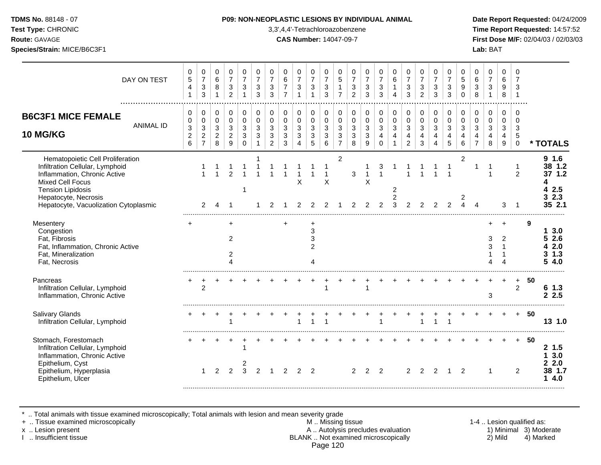### **TDMS No.** 88148 - 07 **P09: NON-NEOPLASTIC LESIONS BY INDIVIDUAL ANIMAL Date Report Requested:** 04/24/2009

**Test Type:** CHRONIC 3,3',4,4'-Tetrachloroazobenzene **Time Report Requested:** 14:57:52 **Route:** GAVAGE **CAS Number:** 14047-09-7 **First Dose M/F:** 02/04/03 / 02/03/03

| DAY ON TEST                                                                                                                                                                                                                 | 0<br>$\,$ 5 $\,$<br>4<br>$\mathbf{1}$                   | 0<br>$\boldsymbol{7}$<br>$\sqrt{3}$<br>$\sqrt{3}$              | 0<br>$\,6\,$<br>8<br>$\mathbf{1}$            | 0<br>$\overline{7}$<br>$\mathbf{3}$<br>$\overline{2}$ | 0<br>$\overline{7}$<br>3<br>$\mathbf{1}$ | 0<br>$\overline{7}$<br>3<br>3 | 0<br>$\overline{7}$<br>$\mathbf{3}$<br>3                      | $\mathbf 0$<br>$\,6\,$<br>$\overline{7}$<br>$\overline{7}$    | 0<br>$\overline{7}$<br>$\sqrt{3}$<br>-1                 | $\mathbf 0$<br>$\overline{7}$<br>$\sqrt{3}$<br>$\mathbf{1}$                           | 0<br>$\overline{7}$<br>$\ensuremath{\mathsf{3}}$<br>$\mathfrak{S}$ | 0<br>$\overline{5}$<br>$\mathbf{1}$<br>$\overline{7}$             | 0<br>$\overline{7}$<br>3<br>$\overline{c}$ | 0<br>$\overline{7}$<br>$\sqrt{3}$<br>3              | 0<br>$\overline{7}$<br>$\mathbf{3}$<br>3                     | 0<br>$\,6\,$<br>$\mathbf{1}$<br>4 | $\mathbf 0$<br>$\overline{7}$<br>$\sqrt{3}$<br>$\mathbf{3}$ | 0<br>$\overline{7}$<br>$\sqrt{3}$<br>$\overline{2}$ | 0<br>$\overline{7}$<br>3<br>3              | 0<br>$\overline{7}$<br>$\mathbf{3}$<br>3     | 0<br>$\sqrt{5}$<br>9<br>$\mathbf 0$      | 0<br>6<br>$\ensuremath{\mathsf{3}}$<br>8                | 0<br>$\overline{7}$<br>$\mathbf{3}$       | $\Omega$<br>$\,6\,$<br>$\boldsymbol{9}$<br>8 | 0<br>$\overline{7}$<br>3                      |    |                                                              |
|-----------------------------------------------------------------------------------------------------------------------------------------------------------------------------------------------------------------------------|---------------------------------------------------------|----------------------------------------------------------------|----------------------------------------------|-------------------------------------------------------|------------------------------------------|-------------------------------|---------------------------------------------------------------|---------------------------------------------------------------|---------------------------------------------------------|---------------------------------------------------------------------------------------|--------------------------------------------------------------------|-------------------------------------------------------------------|--------------------------------------------|-----------------------------------------------------|--------------------------------------------------------------|-----------------------------------|-------------------------------------------------------------|-----------------------------------------------------|--------------------------------------------|----------------------------------------------|------------------------------------------|---------------------------------------------------------|-------------------------------------------|----------------------------------------------|-----------------------------------------------|----|--------------------------------------------------------------|
| <b>B6C3F1 MICE FEMALE</b><br><b>ANIMAL ID</b><br><b>10 MG/KG</b>                                                                                                                                                            | 0<br>$\mathbf 0$<br>$\sqrt{3}$<br>$\boldsymbol{2}$<br>6 | 0<br>$\mathbf 0$<br>$\sqrt{3}$<br>$\sqrt{2}$<br>$\overline{7}$ | 0<br>$\mathbf 0$<br>3<br>$\overline{c}$<br>8 | 0<br>$\pmb{0}$<br>$\mathbf{3}$<br>$\overline{c}$<br>9 | 0<br>$\mathbf 0$<br>3<br>3<br>$\Omega$   | 0<br>0<br>$\mathfrak{Z}$<br>3 | 0<br>$\Omega$<br>$\mathbf{3}$<br>$\sqrt{3}$<br>$\overline{2}$ | $\mathbf 0$<br>$\mathbf 0$<br>$\mathbf{3}$<br>$\sqrt{3}$<br>3 | 0<br>$\mathbf 0$<br>$\mathbf{3}$<br>3<br>$\overline{4}$ | $\mathbf 0$<br>$\mathbf 0$<br>$\mathbf{3}$<br>$\ensuremath{\mathsf{3}}$<br>$\sqrt{5}$ | 0<br>$\pmb{0}$<br>$\mathbf{3}$<br>$\mathbf{3}$<br>6                | $\mathbf 0$<br>$\mathbf 0$<br>3<br>$\mathbf{3}$<br>$\overline{7}$ | 0<br>0<br>$\mathbf{3}$<br>3<br>8           | 0<br>$\mathbf 0$<br>$\mathbf{3}$<br>$\sqrt{3}$<br>9 | 0<br>$\pmb{0}$<br>$\mathbf{3}$<br>$\overline{4}$<br>$\Omega$ | 0<br>$\pmb{0}$<br>3<br>4          | 0<br>$\mathbf 0$<br>$\mathfrak{Z}$<br>4<br>$\overline{2}$   | 0<br>$\pmb{0}$<br>3<br>4<br>3                       | 0<br>$\mathbf 0$<br>$\mathbf{3}$<br>4<br>4 | 0<br>$\mathbf 0$<br>3<br>$\overline{4}$<br>5 | 0<br>$\mathbf 0$<br>$\sqrt{3}$<br>4<br>6 | 0<br>$\mathbf 0$<br>$\mathbf{3}$<br>4<br>$\overline{7}$ | $\mathbf 0$<br>$\mathbf 0$<br>3<br>4<br>8 | 0<br>$\Omega$<br>3<br>4<br>9                 | $\Omega$<br>$\Omega$<br>3<br>5<br>$\mathbf 0$ |    | * TOTALS                                                     |
| Hematopoietic Cell Proliferation<br>Infiltration Cellular, Lymphoid<br>Inflammation, Chronic Active<br><b>Mixed Cell Focus</b><br><b>Tension Lipidosis</b><br>Hepatocyte, Necrosis<br>Hepatocyte, Vacuolization Cytoplasmic |                                                         | $\overline{2}$                                                 | 4                                            | $\mathcal{P}$<br>-1                                   | 1                                        |                               | $\mathcal{P}$                                                 |                                                               | X<br>2                                                  | 2                                                                                     | 1<br>X<br>$\overline{2}$                                           | 2                                                                 | 3<br>$\overline{2}$                        | X<br>2                                              | 3<br>$\overline{2}$                                          | 2<br>$\overline{c}$<br>3          | $\overline{2}$                                              | 2                                                   | $\mathcal{P}$                              | 2                                            | 2<br>2                                   | $\boldsymbol{\Lambda}$                                  |                                           | 3                                            | 1<br>$\mathcal{P}$<br>$\overline{1}$          |    | 9 1.6<br>38 1.2<br>37 1.2<br>Δ<br>2.5<br>4<br>32.3<br>35 2.1 |
| Mesentery<br>Congestion<br>Fat, Fibrosis<br>Fat, Inflammation, Chronic Active<br>Fat, Mineralization<br>Fat, Necrosis                                                                                                       |                                                         |                                                                |                                              | $\ddot{}$<br>2<br>2                                   |                                          |                               |                                                               | +                                                             |                                                         | 3<br>$\overline{2}$<br>4                                                              |                                                                    |                                                                   |                                            |                                                     |                                                              |                                   |                                                             |                                                     |                                            |                                              |                                          |                                                         | 3<br>3                                    | $\div$<br>2<br>$\overline{1}$                |                                               | 9  | 3.0<br>1<br>2.6<br>5<br>2.0<br>4<br>3<br>1.3<br>5<br>4.0     |
| Pancreas<br>Infiltration Cellular, Lymphoid<br>Inflammation, Chronic Active                                                                                                                                                 | +                                                       | $\overline{c}$                                                 |                                              |                                                       |                                          |                               |                                                               |                                                               |                                                         |                                                                                       | $\mathbf 1$                                                        |                                                                   |                                            | -1                                                  |                                                              |                                   |                                                             |                                                     |                                            |                                              |                                          |                                                         | 3                                         |                                              | $\ddot{}$<br>$\overline{2}$                   | 50 | 6 1.3<br>2.2.5                                               |
| <b>Salivary Glands</b><br>Infiltration Cellular, Lymphoid                                                                                                                                                                   | +                                                       | $\pm$                                                          | $\ddot{}$                                    |                                                       |                                          |                               |                                                               |                                                               |                                                         |                                                                                       |                                                                    |                                                                   |                                            |                                                     | $\overline{1}$                                               |                                   |                                                             | $\overline{1}$                                      | $\mathbf{1}$                               |                                              |                                          |                                                         | $\ddot{}$                                 | $+$                                          | $+$                                           | 50 | 13 1.0                                                       |
| Stomach, Forestomach<br>Infiltration Cellular, Lymphoid<br>Inflammation, Chronic Active<br>Epithelium, Cyst<br>Epithelium, Hyperplasia<br>Epithelium, Ulcer                                                                 |                                                         | $\mathbf{1}$                                                   | 2                                            | 2                                                     | 2<br>3                                   | 2                             |                                                               | $\overline{2}$                                                | 2                                                       | $\overline{2}$                                                                        |                                                                    |                                                                   | $\overline{2}$                             | 2                                                   | $\overline{2}$                                               |                                   | $\overline{2}$                                              | 2                                                   | 2                                          |                                              | $\overline{2}$                           |                                                         |                                           |                                              | 2                                             | 50 | 2 1.5<br>3.0<br>1<br>2.0<br>2<br>38 1.7<br>4.0               |

\* .. Total animals with tissue examined microscopically; Total animals with lesion and mean severity grade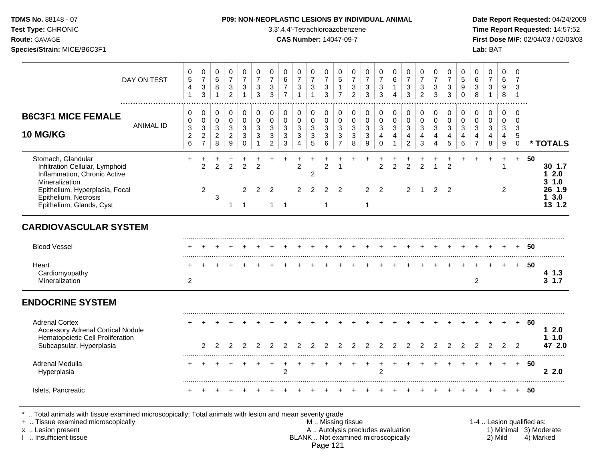### **TDMS No.** 88148 - 07 **P09: NON-NEOPLASTIC LESIONS BY INDIVIDUAL ANIMAL Date Report Requested:** 04/24/2009

**Test Type:** CHRONIC 3,3',4,4'-Tetrachloroazobenzene **Time Report Requested:** 14:57:52 **Route:** GAVAGE **CAS Number:** 14047-09-7 **First Dose M/F:** 02/04/03 / 02/03/03

| DAY ON TEST                                                                                                                                                                                   | 0<br>$\sqrt{5}$<br>4<br>$\mathbf{1}$      | 0<br>$\overline{7}$<br>$\ensuremath{\mathsf{3}}$<br>3                             | 0<br>$\,6\,$<br>8<br>$\mathbf{1}$            | 0<br>$\overline{7}$<br>$\ensuremath{\mathsf{3}}$<br>$\overline{2}$ | $\mathbf 0$<br>$\overline{7}$<br>$\ensuremath{\mathsf{3}}$<br>$\mathbf 1$ | 0<br>$\overline{7}$<br>3<br>3    | 0<br>$\overline{7}$<br>$\mathbf{3}$<br>3               | $\mathbf 0$<br>$6\phantom{1}6$<br>$\overline{7}$<br>$\overline{7}$ | 0<br>$\overline{7}$<br>3<br>$\mathbf{1}$                | 0<br>$\overline{7}$<br>$\sqrt{3}$<br>$\overline{1}$ | 0<br>$\overline{7}$<br>$\ensuremath{\mathsf{3}}$<br>3 | 0<br>$\overline{5}$<br>$\mathbf{1}$<br>$\overline{7}$   | 0<br>$\overline{7}$<br>$\sqrt{3}$<br>$\overline{2}$ | 0<br>$\overline{7}$<br>$\mathbf{3}$<br>3 | $\mathbf 0$<br>$\overline{7}$<br>3<br>3 | 0<br>$6\phantom{a}$<br>1<br>4              | 0<br>$\overline{7}$<br>$\sqrt{3}$<br>3       | $\mathbf 0$<br>$\overline{7}$<br>$\sqrt{3}$<br>$\overline{2}$ | 0<br>$\overline{7}$<br>$\mathbf{3}$<br>3 | 0<br>$\overline{7}$<br>3<br>3   | $\mathbf 0$<br>5<br>9<br>$\Omega$ | 0<br>$\,6\,$<br>3<br>8                       | 0<br>$\overline{7}$<br>$\mathbf{3}$<br>$\mathbf{1}$ | $\mathbf 0$<br>6<br>9<br>$\,8\,$                     | 0<br>$\overline{7}$<br>3<br>$\overline{1}$       |    |                                                          |
|-----------------------------------------------------------------------------------------------------------------------------------------------------------------------------------------------|-------------------------------------------|-----------------------------------------------------------------------------------|----------------------------------------------|--------------------------------------------------------------------|---------------------------------------------------------------------------|----------------------------------|--------------------------------------------------------|--------------------------------------------------------------------|---------------------------------------------------------|-----------------------------------------------------|-------------------------------------------------------|---------------------------------------------------------|-----------------------------------------------------|------------------------------------------|-----------------------------------------|--------------------------------------------|----------------------------------------------|---------------------------------------------------------------|------------------------------------------|---------------------------------|-----------------------------------|----------------------------------------------|-----------------------------------------------------|------------------------------------------------------|--------------------------------------------------|----|----------------------------------------------------------|
| <b>B6C3F1 MICE FEMALE</b><br><b>ANIMAL ID</b><br><b>10 MG/KG</b>                                                                                                                              | 0<br>$\Omega$<br>3<br>$\overline{c}$<br>6 | 0<br>$\mathbf 0$<br>$\ensuremath{\mathsf{3}}$<br>$\overline{c}$<br>$\overline{7}$ | 0<br>$\mathbf 0$<br>3<br>$\overline{2}$<br>8 | 0<br>0<br>$\mathfrak{S}$<br>$\overline{2}$<br>9                    | 0<br>$\mathbf 0$<br>3<br>3<br>$\mathbf 0$                                 | 0<br>$\Omega$<br>3<br>3          | $\mathbf 0$<br>$\mathbf 0$<br>3<br>3<br>$\overline{c}$ | 0<br>$\mathbf 0$<br>$\sqrt{3}$<br>3<br>3                           | 0<br>$\mathbf 0$<br>$\mathbf{3}$<br>3<br>$\overline{4}$ | 0<br>$\mathbf 0$<br>3<br>3<br>5                     | 0<br>$\mathbf 0$<br>3<br>3<br>6                       | 0<br>$\mathbf 0$<br>$\mathbf{3}$<br>3<br>$\overline{7}$ | 0<br>$\Omega$<br>$\mathbf{3}$<br>3<br>8             | 0<br>$\Omega$<br>3<br>3<br>9             | 0<br>$\Omega$<br>3<br>4<br>$\Omega$     | 0<br>$\mathbf 0$<br>3<br>4<br>$\mathbf{1}$ | 0<br>$\mathbf 0$<br>3<br>4<br>$\overline{2}$ | $\mathbf 0$<br>$\mathbf 0$<br>3<br>4<br>3                     | 0<br>$\Omega$<br>3<br>4<br>4             | 0<br>$\mathbf 0$<br>3<br>4<br>5 | 0<br>$\Omega$<br>3<br>4<br>6      | 0<br>$\mathbf 0$<br>3<br>4<br>$\overline{7}$ | 0<br>$\mathbf 0$<br>3<br>4<br>8                     | $\mathbf 0$<br>$\mathbf 0$<br>$\mathbf{3}$<br>4<br>9 | 0<br>$\Omega$<br>3<br>$\,$ 5 $\,$<br>$\mathbf 0$ |    | * TOTALS                                                 |
| Stomach, Glandular<br>Infiltration Cellular, Lymphoid<br>Inflammation, Chronic Active<br>Mineralization<br>Epithelium, Hyperplasia, Focal<br>Epithelium, Necrosis<br>Epithelium, Glands, Cyst | +                                         | $\overline{1}$<br>$\overline{2}$<br>$\overline{2}$                                | $\overline{2}$<br>3                          | $\overline{2}$<br>1                                                | $\overline{2}$<br>2<br>$\overline{1}$                                     | $\overline{2}$<br>$\overline{2}$ | 2<br>$\mathbf{1}$                                      | $\overline{1}$                                                     | $\overline{2}$<br>2                                     | $\overline{c}$<br>2                                 | 2<br>2<br>1                                           | -1<br>2                                                 |                                                     | $\overline{2}$<br>$\mathbf{1}$           | $\overline{2}$<br>2                     | $\overline{2}$                             | $\overline{2}$<br>$\overline{2}$             | $\overline{2}$<br>-1                                          | 1<br>2                                   | 2<br>2                          |                                   |                                              | ÷                                                   | 1<br>$\overline{2}$                                  | $+$                                              | 50 | 30 1.7<br>$12.0$<br>31.0<br>26 1.9<br>3.0<br>1<br>13 1.2 |
| <b>CARDIOVASCULAR SYSTEM</b>                                                                                                                                                                  |                                           |                                                                                   |                                              |                                                                    |                                                                           |                                  |                                                        |                                                                    |                                                         |                                                     |                                                       |                                                         |                                                     |                                          |                                         |                                            |                                              |                                                               |                                          |                                 |                                   |                                              |                                                     |                                                      |                                                  |    |                                                          |
| <b>Blood Vessel</b>                                                                                                                                                                           |                                           |                                                                                   |                                              |                                                                    |                                                                           |                                  |                                                        |                                                                    |                                                         |                                                     |                                                       |                                                         |                                                     |                                          |                                         |                                            |                                              |                                                               |                                          |                                 |                                   |                                              |                                                     |                                                      |                                                  | 50 |                                                          |
| Heart<br>Cardiomyopathy<br>Mineralization                                                                                                                                                     | $\overline{2}$                            |                                                                                   |                                              |                                                                    |                                                                           |                                  |                                                        |                                                                    |                                                         |                                                     |                                                       |                                                         |                                                     |                                          |                                         |                                            |                                              |                                                               |                                          |                                 |                                   | $\overline{2}$                               |                                                     |                                                      | $+$                                              | 50 | 41.3<br>$3 \t1.7$                                        |
| <b>ENDOCRINE SYSTEM</b>                                                                                                                                                                       |                                           |                                                                                   |                                              |                                                                    |                                                                           |                                  |                                                        |                                                                    |                                                         |                                                     |                                                       |                                                         |                                                     |                                          |                                         |                                            |                                              |                                                               |                                          |                                 |                                   |                                              |                                                     |                                                      |                                                  |    |                                                          |
| <b>Adrenal Cortex</b><br><b>Accessory Adrenal Cortical Nodule</b><br>Hematopoietic Cell Proliferation<br>Subcapsular, Hyperplasia                                                             |                                           | $\overline{2}$                                                                    | $\overline{2}$                               | 2                                                                  | 2                                                                         | 2                                | 2                                                      |                                                                    | 2                                                       |                                                     |                                                       | 2                                                       | 2                                                   |                                          | $\overline{2}$                          | $\overline{2}$                             | 2                                            | 2                                                             | 2                                        | 2                               | 2                                 | 2                                            | 2                                                   | 2                                                    | $+$<br>$\overline{2}$                            | 50 | 12.0<br>1.0<br>1<br>47 2.0                               |
| Adrenal Medulla<br>Hyperplasia                                                                                                                                                                |                                           |                                                                                   |                                              |                                                                    |                                                                           |                                  |                                                        | $\overline{c}$                                                     |                                                         |                                                     |                                                       |                                                         |                                                     |                                          | $\overline{2}$                          |                                            |                                              |                                                               |                                          |                                 |                                   |                                              |                                                     |                                                      | $+$                                              | 50 | 22.0                                                     |
| Islets, Pancreatic                                                                                                                                                                            |                                           |                                                                                   |                                              |                                                                    |                                                                           |                                  |                                                        |                                                                    |                                                         |                                                     |                                                       |                                                         |                                                     |                                          |                                         |                                            |                                              |                                                               |                                          |                                 |                                   |                                              |                                                     |                                                      |                                                  | 50 |                                                          |

\* .. Total animals with tissue examined microscopically; Total animals with lesion and mean severity grade

+ .. Tissue examined microscopically M .. Missing tissue 1-4 .. Lesion qualified as: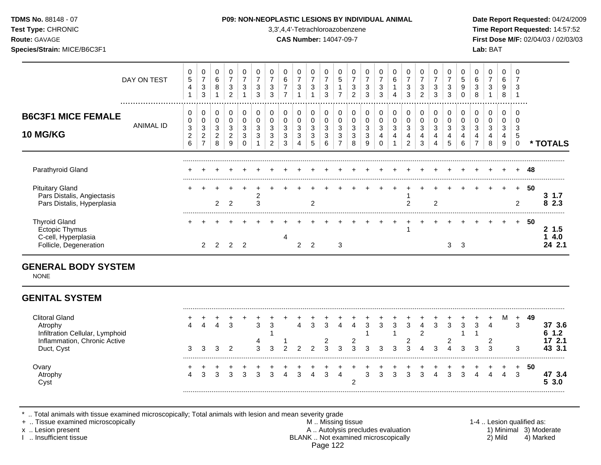| <b>TDMS No. 88148 - 07</b> |  |
|----------------------------|--|
| Tost Type: CUDONIC         |  |

**Test Type:** CHRONIC 3,3',4,4'-Tetrachloroazobenzene **Time Report Requested:** 14:57:52 **Route:** GAVAGE **CAS Number:** 14047-09-7 **First Dose M/F:** 02/04/03 / 02/03/03 **Species/Strain:** MICE/B6C3F1 **Lab:** BAT

|                                                                                                                   | DAY ON TEST      | 0<br>$\mathbf 5$<br>4<br>$\mathbf{1}$ | $\mathbf 0$<br>$\overline{7}$<br>$\sqrt{3}$<br>$\mathbf{3}$ | 0<br>6<br>8<br>$\mathbf{1}$                  | 0<br>$\overline{7}$<br>$\sqrt{3}$<br>$\overline{2}$         | 0<br>$\overline{7}$<br>3               | $\pmb{0}$<br>$\overline{7}$<br>$\mathbf{3}$<br>3 | $\pmb{0}$<br>$\overline{7}$<br>$\sqrt{3}$<br>3 | 0<br>$\,6$<br>$\overline{7}$<br>$\overline{7}$      | 0<br>$\overline{7}$<br>$\ensuremath{\mathsf{3}}$<br>$\overline{1}$ | 0<br>$\overline{7}$<br>$\sqrt{3}$<br>$\mathbf{1}$ | 0<br>$\overline{7}$<br>$\ensuremath{\mathsf{3}}$<br>3 | 0<br>$\sqrt{5}$<br>$\mathbf{1}$<br>$\overline{7}$ | 0<br>$\overline{7}$<br>$\sqrt{3}$<br>$\overline{2}$ | 0<br>$\overline{7}$<br>$\mathsf 3$<br>3             | 0<br>$\overline{7}$<br>$\ensuremath{\mathsf{3}}$<br>3           | 0<br>6<br>$\mathbf{1}$<br>$\overline{4}$ | 0<br>$\overline{7}$<br>$\sqrt{3}$<br>3     | $\pmb{0}$<br>$\overline{7}$<br>$\mathbf{3}$<br>$\overline{2}$ | 0<br>$\overline{7}$<br>$\mathbf{3}$<br>3 | 0<br>$\overline{7}$<br>3<br>3 | $\mathbf 0$<br>$\,$ 5 $\,$<br>$\boldsymbol{9}$<br>$\Omega$ | 0<br>6<br>$\mathbf{3}$<br>8                  | 0<br>$\overline{7}$<br>$\sqrt{3}$<br>1 | $\mathbf 0$<br>6<br>9<br>8                | 0<br>$\overline{7}$<br>3             |    |                                          |
|-------------------------------------------------------------------------------------------------------------------|------------------|---------------------------------------|-------------------------------------------------------------|----------------------------------------------|-------------------------------------------------------------|----------------------------------------|--------------------------------------------------|------------------------------------------------|-----------------------------------------------------|--------------------------------------------------------------------|---------------------------------------------------|-------------------------------------------------------|---------------------------------------------------|-----------------------------------------------------|-----------------------------------------------------|-----------------------------------------------------------------|------------------------------------------|--------------------------------------------|---------------------------------------------------------------|------------------------------------------|-------------------------------|------------------------------------------------------------|----------------------------------------------|----------------------------------------|-------------------------------------------|--------------------------------------|----|------------------------------------------|
| <b>B6C3F1 MICE FEMALE</b><br><b>10 MG/KG</b>                                                                      | <b>ANIMAL ID</b> | 0<br>0<br>3<br>$\boldsymbol{2}$<br>6  | 0<br>$\pmb{0}$<br>$\sqrt{3}$<br>$\frac{2}{7}$               | 0<br>$\mathbf 0$<br>3<br>$\overline{2}$<br>8 | 0<br>$\mathbf 0$<br>3<br>$\overline{2}$<br>$\boldsymbol{9}$ | 0<br>$\mathbf 0$<br>3<br>3<br>$\Omega$ | $\pmb{0}$<br>0<br>3<br>3                         | 0<br>$\mathbf 0$<br>3<br>3<br>$\overline{c}$   | 0<br>$\mathbf 0$<br>3<br>$\mathbf{3}$<br>$\sqrt{3}$ | 0<br>$\mathbf 0$<br>3<br>3<br>$\overline{4}$                       | 0<br>$\mathbf 0$<br>3<br>$\mathbf{3}$<br>5        | 0<br>$\mathbf 0$<br>3<br>$\sqrt{3}$<br>6              | 0<br>$\mathbf 0$<br>3<br>3<br>$\overline{7}$      | $\pmb{0}$<br>0<br>3<br>3<br>8                       | 0<br>$\pmb{0}$<br>$\mathbf{3}$<br>$\mathbf{3}$<br>9 | 0<br>$\pmb{0}$<br>$\mathbf{3}$<br>$\overline{4}$<br>$\mathbf 0$ | 0<br>$\pmb{0}$<br>$\sqrt{3}$<br>4        | 0<br>$\pmb{0}$<br>3<br>4<br>$\overline{c}$ | 0<br>$\pmb{0}$<br>$\mathbf{3}$<br>4<br>$\mathbf{3}$           | 0<br>$\mathbf 0$<br>3<br>4<br>4          | 0<br>0<br>3<br>4<br>5         | 0<br>$\mathbf 0$<br>3<br>4<br>6                            | 0<br>$\mathbf 0$<br>3<br>4<br>$\overline{7}$ | 0<br>$\mathbf 0$<br>3<br>4<br>8        | $\mathbf 0$<br>$\mathbf 0$<br>3<br>4<br>9 | 0<br>$\Omega$<br>3<br>5<br>$\pmb{0}$ |    | * TOTALS                                 |
| Parathyroid Gland                                                                                                 |                  |                                       |                                                             |                                              |                                                             |                                        |                                                  |                                                |                                                     |                                                                    |                                                   |                                                       |                                                   |                                                     |                                                     |                                                                 |                                          |                                            |                                                               |                                          |                               |                                                            |                                              |                                        |                                           |                                      | 48 |                                          |
| <b>Pituitary Gland</b><br>Pars Distalis, Angiectasis<br>Pars Distalis, Hyperplasia                                |                  | ÷                                     |                                                             | $\overline{2}$                               | 2                                                           |                                        | $\overline{\mathbf{c}}$<br>3                     |                                                |                                                     |                                                                    | $\overline{2}$                                    |                                                       |                                                   |                                                     |                                                     |                                                                 |                                          | $\overline{2}$                             |                                                               | $\overline{c}$                           |                               |                                                            |                                              |                                        |                                           | $+$<br>2                             | 50 | $3 \t1.7$<br>8 2.3                       |
| <b>Thyroid Gland</b><br>Ectopic Thymus<br>C-cell, Hyperplasia<br>Follicle, Degeneration                           |                  |                                       | 2                                                           | 2                                            | 2                                                           | $\overline{2}$                         |                                                  |                                                | 4                                                   | $\overline{c}$                                                     | $\overline{2}$                                    |                                                       | 3                                                 |                                                     |                                                     |                                                                 |                                          | -1                                         |                                                               |                                          | 3                             | $\overline{\mathbf{3}}$                                    |                                              |                                        |                                           | $+$                                  | 50 | 2, 1.5<br>4.0<br>1<br>24 2.1             |
| <b>GENERAL BODY SYSTEM</b><br><b>NONE</b>                                                                         |                  |                                       |                                                             |                                              |                                                             |                                        |                                                  |                                                |                                                     |                                                                    |                                                   |                                                       |                                                   |                                                     |                                                     |                                                                 |                                          |                                            |                                                               |                                          |                               |                                                            |                                              |                                        |                                           |                                      |    |                                          |
| <b>GENITAL SYSTEM</b>                                                                                             |                  |                                       |                                                             |                                              |                                                             |                                        |                                                  |                                                |                                                     |                                                                    |                                                   |                                                       |                                                   |                                                     |                                                     |                                                                 |                                          |                                            |                                                               |                                          |                               |                                                            |                                              |                                        |                                           |                                      |    |                                          |
| <b>Clitoral Gland</b><br>Atrophy<br>Infiltration Cellular, Lymphoid<br>Inflammation, Chronic Active<br>Duct, Cyst |                  | $\boldsymbol{\Lambda}$<br>3           | 4<br>3                                                      | 4<br>3                                       | 3<br>$\overline{2}$                                         |                                        | 3<br>4<br>3                                      | 3<br>1<br>3                                    | c                                                   | 4<br>2                                                             | 3<br>ົ                                            | 3<br>$\overline{c}$<br>3                              | $\overline{4}$<br>3                               | $\overline{4}$<br>2<br>3                            | 3<br>-1<br>3                                        | 3<br>3                                                          | $\mathbf{3}$<br>3                        | 3<br>2<br>3                                | $\overline{4}$<br>$\overline{2}$                              | 3<br>3                                   | 3<br>$\overline{2}$           | $\mathbf{3}$<br>1<br>3                                     | 3<br>1<br>3                                  | 4<br>2<br>3                            | м                                         | $\ddot{}$<br>3<br>3                  | 49 | 37 3.6<br>$1.2$<br>6<br>17 2.1<br>43 3.1 |
| Ovary<br>Atrophy                                                                                                  |                  | +<br>4                                | +<br>3                                                      | 3                                            | 3                                                           | 3                                      | 3                                                | 3                                              | $\boldsymbol{\Lambda}$                              | 3                                                                  |                                                   | 3                                                     | $\Delta$                                          |                                                     | 3                                                   | 3                                                               | 3                                        | 3                                          | $\mathbf{3}$                                                  | 4                                        | 3                             | 3                                                          | Δ                                            | 4                                      | 4                                         | +<br>3                               | 50 | 47 3.4                                   |

Cyst 2 **5 3.0**

\* .. Total animals with tissue examined microscopically; Total animals with lesion and mean severity grade<br>+ .. Tissue examined microscopically

+ .. Tissue examined microscopically  $M$ .. Missing tissue 1-4 .. Lesion qualified as:

x .. Lesion present **A .. Autolysis precludes evaluation** A .. Autolysis precludes evaluation 1) Minimal 3) Moderate I .. Insufficient tissue BLANK .. Not examined microscopically 2) Mild 4) Marked Page 122

.........................................................................................................................................................................................................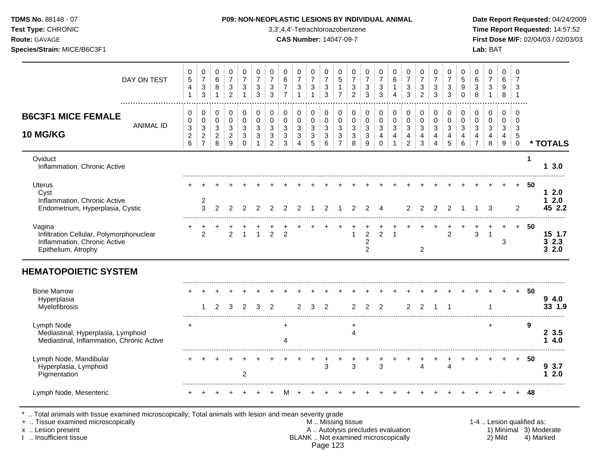| <b>TDMS No.</b> 88148 - 07 |  |
|----------------------------|--|
| Test Tyne: CHRONIC         |  |

**Test Type:** CHRONIC 3,3',4,4'-Tetrachloroazobenzene **Time Report Requested:** 14:57:52 **Route:** GAVAGE **CAS Number:** 14047-09-7 **First Dose M/F:** 02/04/03 / 02/03/03 **Species/Strain:** MICE/B6C3F1 **Lab:** BAT

| DAY ON TEST                                                                                               | 0<br>$\,$ 5 $\,$<br>$\overline{4}$<br>1    | 0<br>$\boldsymbol{7}$<br>$\ensuremath{\mathsf{3}}$<br>$\sqrt{3}$                | 0<br>$\,6\,$<br>8<br>$\mathbf{1}$                                    | $\,0\,$<br>$\overline{7}$<br>$\ensuremath{\mathsf{3}}$<br>$\overline{2}$ | 0<br>$\overline{7}$<br>$\sqrt{3}$<br>1                  | 0<br>$\boldsymbol{7}$<br>3<br>3                          | 0<br>$\overline{7}$<br>3<br>3                                   | 0<br>$\,6\,$<br>$\overline{7}$<br>$\overline{7}$   | 0<br>$\overline{7}$<br>$\ensuremath{\mathsf{3}}$          | 0<br>$\boldsymbol{7}$<br>$\ensuremath{\mathsf{3}}$<br>$\overline{1}$ | 0<br>$\overline{7}$<br>$\ensuremath{\mathsf{3}}$<br>3                 | 0<br>$\overline{5}$<br>$\mathbf 1$<br>$\overline{7}$   | 0<br>$\overline{7}$<br>3<br>$\overline{2}$ | 0<br>$\overline{7}$<br>3<br>3                           | 0<br>$\overline{7}$<br>3<br>3                                   | 0<br>$\,6\,$<br>$\mathbf{1}$<br>$\overline{4}$                           | $\mathbf 0$<br>$\overline{7}$<br>$\ensuremath{\mathsf{3}}$<br>3            | 0<br>$\overline{7}$<br>3<br>2            | 0<br>$\boldsymbol{7}$<br>$\sqrt{3}$<br>3 | 0<br>$\overline{7}$<br>3<br>3                    | 0<br>$\overline{5}$<br>$\boldsymbol{9}$<br>$\Omega$             | 0<br>$\,6\,$<br>$\ensuremath{\mathsf{3}}$<br>8                            | 0<br>$\boldsymbol{7}$<br>$\mathbf{3}$<br>$\mathbf{1}$                | 0<br>6<br>9<br>8                                         | 0<br>$\overline{7}$<br>3<br>$\mathbf 1$                |             |                            |
|-----------------------------------------------------------------------------------------------------------|--------------------------------------------|---------------------------------------------------------------------------------|----------------------------------------------------------------------|--------------------------------------------------------------------------|---------------------------------------------------------|----------------------------------------------------------|-----------------------------------------------------------------|----------------------------------------------------|-----------------------------------------------------------|----------------------------------------------------------------------|-----------------------------------------------------------------------|--------------------------------------------------------|--------------------------------------------|---------------------------------------------------------|-----------------------------------------------------------------|--------------------------------------------------------------------------|----------------------------------------------------------------------------|------------------------------------------|------------------------------------------|--------------------------------------------------|-----------------------------------------------------------------|---------------------------------------------------------------------------|----------------------------------------------------------------------|----------------------------------------------------------|--------------------------------------------------------|-------------|----------------------------|
| <b>B6C3F1 MICE FEMALE</b><br><b>ANIMAL ID</b><br>10 MG/KG                                                 | 0<br>$\pmb{0}$<br>3<br>$\overline{c}$<br>6 | 0<br>$\pmb{0}$<br>$\ensuremath{\mathsf{3}}$<br>$\overline{c}$<br>$\overline{7}$ | 0<br>$\mathbf 0$<br>$\ensuremath{\mathsf{3}}$<br>$\overline{2}$<br>8 | $\,0\,$<br>$\pmb{0}$<br>$\sqrt{3}$<br>$\overline{c}$<br>9                | $\mathbf 0$<br>$\pmb{0}$<br>$\sqrt{3}$<br>3<br>$\Omega$ | $\mathbf 0$<br>$\pmb{0}$<br>$\mathbf{3}$<br>$\mathbf{3}$ | $\mathbf 0$<br>$\pmb{0}$<br>$\mathbf{3}$<br>3<br>$\overline{2}$ | 0<br>$\pmb{0}$<br>$\mathbf 3$<br>$\mathbf{3}$<br>3 | $\pmb{0}$<br>$\pmb{0}$<br>$\sqrt{3}$<br>$\mathbf{3}$<br>4 | $\pmb{0}$<br>$\pmb{0}$<br>$\sqrt{3}$<br>$\sqrt{3}$<br>5              | $\mathbf 0$<br>$\mathsf 0$<br>$\mathfrak{Z}$<br>$\sqrt{3}$<br>$\,6\,$ | $\mathbf 0$<br>$\mathbf 0$<br>3<br>3<br>$\overline{7}$ | 0<br>$\pmb{0}$<br>3<br>3<br>8              | $\pmb{0}$<br>$\pmb{0}$<br>$\sqrt{3}$<br>$\sqrt{3}$<br>9 | 0<br>$\pmb{0}$<br>$\mathbf{3}$<br>$\overline{4}$<br>$\mathbf 0$ | 0<br>$\mathsf{O}\xspace$<br>3<br>$\overline{\mathbf{4}}$<br>$\mathbf{1}$ | $\mathbf 0$<br>$\pmb{0}$<br>$\sqrt{3}$<br>$\overline{4}$<br>$\overline{2}$ | 0<br>$\pmb{0}$<br>$\mathbf{3}$<br>4<br>3 | 0<br>$\pmb{0}$<br>$\mathbf{3}$<br>4<br>4 | $\pmb{0}$<br>$\pmb{0}$<br>$\mathbf{3}$<br>4<br>5 | $\pmb{0}$<br>$\pmb{0}$<br>$\mathfrak{Z}$<br>4<br>$6\phantom{1}$ | 0<br>$\pmb{0}$<br>$\sqrt{3}$<br>$\overline{\mathbf{4}}$<br>$\overline{7}$ | 0<br>$\mathbf 0$<br>$\ensuremath{\mathsf{3}}$<br>$\overline{4}$<br>8 | $\mathbf 0$<br>$\mathbf 0$<br>3<br>4<br>$\boldsymbol{9}$ | $\mathbf 0$<br>$\overline{0}$<br>3<br>5<br>$\mathbf 0$ |             | * TOTALS                   |
| Oviduct<br>Inflammation, Chronic Active                                                                   |                                            |                                                                                 |                                                                      |                                                                          |                                                         |                                                          |                                                                 |                                                    |                                                           |                                                                      |                                                                       |                                                        |                                            |                                                         |                                                                 |                                                                          |                                                                            |                                          |                                          |                                                  |                                                                 |                                                                           |                                                                      |                                                          |                                                        | $\mathbf 1$ | 3.0<br>1.                  |
| <b>Uterus</b><br>Cyst<br>Inflammation, Chronic Active<br>Endometrium, Hyperplasia, Cystic                 |                                            | 2<br>3                                                                          | 2                                                                    | $\mathcal{P}$                                                            | $\mathfrak{p}$                                          |                                                          |                                                                 | $\mathcal{P}$                                      |                                                           |                                                                      | $\overline{2}$                                                        |                                                        | 2                                          | 2                                                       | 4                                                               |                                                                          | 2                                                                          | $\mathfrak{p}$                           | 2                                        | 2                                                |                                                                 |                                                                           | 3                                                                    |                                                          | $\overline{2}$                                         | -50         | 12.0<br>2.0<br>1<br>45 2.2 |
| Vagina<br>Infiltration Cellular, Polymorphonuclear<br>Inflammation, Chronic Active<br>Epithelium, Atrophy |                                            | 2                                                                               |                                                                      | $\overline{2}$                                                           |                                                         |                                                          | $\mathcal{P}$                                                   | $\mathfrak{p}$                                     |                                                           |                                                                      |                                                                       |                                                        |                                            | $\overline{2}$<br>$\boldsymbol{2}$<br>$\overline{2}$    | $\overline{2}$                                                  |                                                                          |                                                                            | $\overline{2}$                           |                                          | 2                                                |                                                                 | 3                                                                         | $\overline{1}$                                                       | 3                                                        | $+$                                                    | 50          | 15 1.7<br>32.3<br>32.0     |
| <b>HEMATOPOIETIC SYSTEM</b>                                                                               |                                            |                                                                                 |                                                                      |                                                                          |                                                         |                                                          |                                                                 |                                                    |                                                           |                                                                      |                                                                       |                                                        |                                            |                                                         |                                                                 |                                                                          |                                                                            |                                          |                                          |                                                  |                                                                 |                                                                           |                                                                      |                                                          |                                                        |             |                            |
| <b>Bone Marrow</b><br>Hyperplasia<br>Myelofibrosis                                                        |                                            |                                                                                 | $\mathcal{P}$                                                        | 3                                                                        | $\mathfrak{p}$                                          | 3                                                        | $\overline{2}$                                                  |                                                    | $\overline{2}$                                            | 3                                                                    | 2                                                                     |                                                        | $\overline{2}$                             | $\overline{2}$                                          | $\overline{2}$                                                  |                                                                          | 2                                                                          | 2                                        | $\overline{1}$                           | -1                                               |                                                                 |                                                                           |                                                                      |                                                          | $\ddot{}$                                              | 50          | 94.0<br>33 1.9             |
| Lymph Node<br>Mediastinal, Hyperplasia, Lymphoid<br>Mediastinal, Inflammation, Chronic Active             | $\ddot{}$                                  |                                                                                 |                                                                      |                                                                          |                                                         |                                                          |                                                                 | $\ddot{}$<br>4                                     |                                                           |                                                                      |                                                                       |                                                        | $\ddot{}$<br>$\overline{4}$                |                                                         |                                                                 |                                                                          |                                                                            |                                          |                                          |                                                  |                                                                 |                                                                           | $+$                                                                  |                                                          |                                                        | 9           | 23.5<br>4.0<br>1.          |
| Lymph Node, Mandibular<br>Hyperplasia, Lymphoid<br>Pigmentation                                           |                                            |                                                                                 |                                                                      |                                                                          | $\overline{2}$                                          |                                                          |                                                                 |                                                    |                                                           |                                                                      | 3                                                                     |                                                        | 3                                          |                                                         | 3                                                               |                                                                          |                                                                            | 4                                        |                                          | 4                                                |                                                                 |                                                                           |                                                                      |                                                          | $+$                                                    | 50          | 9 3.7<br>2.0<br>1.         |
| Lymph Node, Mesenteric                                                                                    |                                            |                                                                                 |                                                                      |                                                                          |                                                         |                                                          |                                                                 |                                                    |                                                           |                                                                      |                                                                       |                                                        |                                            |                                                         |                                                                 |                                                                          |                                                                            |                                          |                                          |                                                  |                                                                 |                                                                           |                                                                      |                                                          |                                                        | 48          |                            |

\* .. Total animals with tissue examined microscopically; Total animals with lesion and mean severity grade<br>+ .. Tissue examined microscopically

- + .. Tissue examined microscopically examined microscopically with the state of the state of the state of the metallic metallic metallic metallic metallic metallic metallic metallic metallic metallic metallic metallic meta x .. Lesion present **A .. Autolysis precludes evaluation** A .. Autolysis precludes evaluation 1) Minimal 3) Moderate I .. Insufficient tissue BLANK .. Not examined microscopically 2) Mild 4) Marked Page 123
	-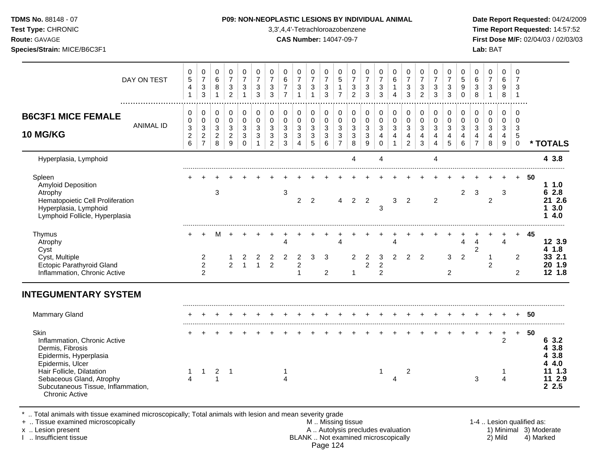**Test Type:** CHRONIC 3,3',4,4'-Tetrachloroazobenzene **Time Report Requested:** 14:57:52 **Route:** GAVAGE **CAS Number:** 14047-09-7 **First Dose M/F:** 02/04/03 / 02/03/03 **Species/Strain:** MICE/B6C3F1 **Lab:** BAT

| DAY ON TEST                                                                                                                              | 0<br>$\,$ 5 $\,$<br>$\overline{4}$<br>$\mathbf{1}$    | 0<br>$\boldsymbol{7}$<br>$\sqrt{3}$<br>$\mathbf{3}$ | 0<br>6<br>8<br>$\mathbf 1$                         | 0<br>$\overline{7}$<br>$\sqrt{3}$<br>$\overline{2}$ | 0<br>$\overline{7}$<br>3 | 0<br>$\overline{7}$<br>$\sqrt{3}$<br>3 | 0<br>$\overline{7}$<br>$\sqrt{3}$<br>3 | 0<br>$\,6\,$<br>$\overline{7}$<br>$\overline{7}$ | 0<br>$\overline{7}$<br>3                           | 0<br>$\overline{7}$<br>$\sqrt{3}$<br>$\mathbf{1}$ | 0<br>$\overline{7}$<br>$\sqrt{3}$<br>$\sqrt{3}$  | 0<br>5<br>$\mathbf{1}$<br>$\overline{7}$ | 0<br>$\overline{7}$<br>$\sqrt{3}$<br>$\overline{c}$ | 0<br>$\overline{7}$<br>$\mathbf{3}$<br>3     | 0<br>$\overline{7}$<br>$\sqrt{3}$<br>3 | 0<br>$\,6\,$<br>$\mathbf{1}$<br>4 | 0<br>$\overline{7}$<br>$\mathbf{3}$<br>3           | 0<br>$\overline{7}$<br>$\sqrt{3}$<br>$\overline{2}$ | 0<br>$\overline{7}$<br>$\mathbf{3}$<br>3 | 0<br>$\overline{7}$<br>$\mathsf 3$<br>3 | 0<br>$\overline{5}$<br>$\boldsymbol{9}$<br>$\mathbf 0$ | 0<br>6<br>$\sqrt{3}$<br>8  | 0<br>$\boldsymbol{7}$<br>$\ensuremath{\mathsf{3}}$ | 0<br>6<br>9<br>8                                  | 0<br>$\overline{7}$<br>3<br>$\mathbf{1}$ |    |                                            |
|------------------------------------------------------------------------------------------------------------------------------------------|-------------------------------------------------------|-----------------------------------------------------|----------------------------------------------------|-----------------------------------------------------|--------------------------|----------------------------------------|----------------------------------------|--------------------------------------------------|----------------------------------------------------|---------------------------------------------------|--------------------------------------------------|------------------------------------------|-----------------------------------------------------|----------------------------------------------|----------------------------------------|-----------------------------------|----------------------------------------------------|-----------------------------------------------------|------------------------------------------|-----------------------------------------|--------------------------------------------------------|----------------------------|----------------------------------------------------|---------------------------------------------------|------------------------------------------|----|--------------------------------------------|
| <b>B6C3F1 MICE FEMALE</b><br><b>ANIMAL ID</b><br><b>10 MG/KG</b>                                                                         | 0<br>0<br>$\ensuremath{\mathsf{3}}$<br>$\overline{c}$ | 0<br>$\mathbf 0$<br>$\mathsf 3$<br>$\overline{c}$   | 0<br>$\mathbf 0$<br>$\mathbf{3}$<br>$\overline{2}$ | 0<br>$\mathbf 0$<br>$\sqrt{3}$<br>$\overline{2}$    | 0<br>$\Omega$<br>3<br>3  | 0<br>$\mathbf 0$<br>3<br>3             | 0<br>$\mathbf 0$<br>$\mathbf{3}$<br>3  | 0<br>$\mathbf 0$<br>$\mathbf{3}$<br>3            | 0<br>$\mathbf 0$<br>$\ensuremath{\mathsf{3}}$<br>3 | 0<br>$\mathbf 0$<br>$\mathbf{3}$<br>3             | 0<br>$\mathbf 0$<br>$\mathbf{3}$<br>$\mathbf{3}$ | 0<br>$\mathbf 0$<br>3<br>3               | 0<br>0<br>$\mathbf{3}$<br>3                         | 0<br>$\mathbf 0$<br>$\sqrt{3}$<br>$\sqrt{3}$ | 0<br>$\mathsf 0$<br>$\mathbf{3}$<br>4  | 0<br>$\mathbf 0$<br>3<br>4        | 0<br>$\mathbf 0$<br>$\mathbf{3}$<br>$\overline{4}$ | 0<br>$\pmb{0}$<br>$\sqrt{3}$<br>4                   | 0<br>$\mathbf 0$<br>$\mathbf{3}$<br>4    | 0<br>$\mathbf 0$<br>$\mathbf{3}$<br>4   | 0<br>$\mathbf 0$<br>3<br>4                             | 0<br>$\mathbf 0$<br>3<br>4 | 0<br>$\mathbf 0$<br>$\mathbf{3}$<br>4              | $\mathbf 0$<br>$\mathbf 0$<br>3<br>$\overline{4}$ | 0<br>$\Omega$<br>3<br>$\,$ 5 $\,$        |    |                                            |
|                                                                                                                                          | $\,6$                                                 | $\overline{7}$                                      | 8                                                  | 9                                                   | $\mathbf 0$              |                                        | 2                                      | $\mathbf{3}$                                     | 4                                                  | $\sqrt{5}$                                        | 6                                                | $\overline{7}$                           | 8                                                   | 9                                            | $\mathbf 0$                            |                                   | $\overline{2}$                                     | $\mathfrak{S}$                                      | 4                                        | 5                                       | 6                                                      | $\overline{7}$             | 8                                                  | $\boldsymbol{9}$                                  | $\mathsf 0$                              |    | * TOTALS                                   |
| Hyperplasia, Lymphoid                                                                                                                    |                                                       |                                                     |                                                    |                                                     |                          |                                        |                                        |                                                  |                                                    |                                                   |                                                  |                                          | 4                                                   |                                              | 4                                      |                                   |                                                    |                                                     | 4                                        |                                         |                                                        |                            |                                                    |                                                   |                                          |    | 4 3.8                                      |
| Spleen                                                                                                                                   |                                                       |                                                     |                                                    |                                                     |                          |                                        |                                        |                                                  |                                                    |                                                   |                                                  |                                          |                                                     |                                              |                                        |                                   |                                                    |                                                     |                                          |                                         |                                                        |                            |                                                    |                                                   |                                          | 50 |                                            |
| Amyloid Deposition<br>Atrophy<br>Hematopoietic Cell Proliferation<br>Hyperplasia, Lymphoid<br>Lymphoid Follicle, Hyperplasia             |                                                       |                                                     | 3                                                  |                                                     |                          |                                        |                                        | 3                                                | $\overline{2}$                                     | 2                                                 |                                                  | 4                                        | $\overline{2}$                                      | $\overline{2}$                               | 3                                      | 3                                 | $\overline{2}$                                     |                                                     | $\overline{2}$                           |                                         | $\overline{2}$                                         | 3                          | $\overline{c}$                                     | 3                                                 |                                          |    | 11.0<br>62.8<br>21 2.6<br>3.0<br>1.<br>4.0 |
| Thymus<br>Atrophy                                                                                                                        |                                                       |                                                     |                                                    |                                                     |                          |                                        |                                        | $\boldsymbol{\Lambda}$                           |                                                    |                                                   |                                                  | 4                                        |                                                     |                                              |                                        | 4                                 |                                                    |                                                     |                                          |                                         | 4                                                      | 4                          |                                                    | $\overline{4}$                                    | $+$                                      | 45 | 12 3.9                                     |
| Cyst<br>Cyst, Multiple<br><b>Ectopic Parathyroid Gland</b><br>Inflammation, Chronic Active                                               |                                                       | $\overline{2}$<br>$\overline{c}$<br>2               |                                                    | -1<br>$\overline{2}$                                | 2<br>$\mathbf{1}$        | $\overline{2}$<br>$\mathbf{1}$         | 2<br>$\overline{2}$                    | $\overline{2}$                                   | 2<br>$\overline{\mathbf{c}}$<br>1                  | 3                                                 | 3<br>2                                           |                                          | $\overline{2}$<br>$\mathbf{1}$                      | $\overline{2}$<br>$\overline{c}$             | 3<br>$\overline{c}$<br>2               | 2                                 | 2                                                  | $\overline{2}$                                      |                                          | 3<br>$\overline{2}$                     | $\overline{2}$                                         | $\overline{2}$             | $\overline{c}$                                     |                                                   | 2<br>2                                   |    | 4 1.8<br>33 2.1<br>20 1.9<br>12 1.8        |
| <b>INTEGUMENTARY SYSTEM</b>                                                                                                              |                                                       |                                                     |                                                    |                                                     |                          |                                        |                                        |                                                  |                                                    |                                                   |                                                  |                                          |                                                     |                                              |                                        |                                   |                                                    |                                                     |                                          |                                         |                                                        |                            |                                                    |                                                   |                                          |    |                                            |
| <b>Mammary Gland</b>                                                                                                                     |                                                       |                                                     |                                                    |                                                     |                          |                                        |                                        |                                                  |                                                    |                                                   |                                                  |                                          |                                                     |                                              |                                        |                                   |                                                    |                                                     |                                          |                                         |                                                        |                            |                                                    |                                                   | $\pm$                                    | 50 |                                            |
| Skin<br>Inflammation, Chronic Active<br>Dermis, Fibrosis<br>Epidermis, Hyperplasia                                                       |                                                       |                                                     |                                                    |                                                     |                          |                                        |                                        |                                                  |                                                    |                                                   |                                                  |                                          |                                                     |                                              |                                        |                                   |                                                    |                                                     |                                          |                                         |                                                        |                            |                                                    | $\overline{2}$                                    | $+$                                      | 50 | 6 3.2<br>3.8<br>3.8                        |
| Epidermis, Ulcer<br>Hair Follicle, Dilatation<br>Sebaceous Gland, Atrophy<br>Subcutaneous Tissue, Inflammation,<br><b>Chronic Active</b> | 1<br>$\boldsymbol{\Lambda}$                           | $\mathbf{1}$                                        | $\overline{2}$                                     | - 1                                                 |                          |                                        |                                        |                                                  |                                                    |                                                   |                                                  |                                          |                                                     |                                              | $\mathbf{1}$                           |                                   | $\overline{c}$                                     |                                                     |                                          |                                         |                                                        | 3                          |                                                    | 1<br>$\overline{4}$                               |                                          |    | 4.0<br>1.3<br>11 2.9<br>2.2.5              |

\* .. Total animals with tissue examined microscopically; Total animals with lesion and mean severity grade

+ .. Tissue examined microscopically M .. Missing tissue 1-4 .. Lesion qualified as: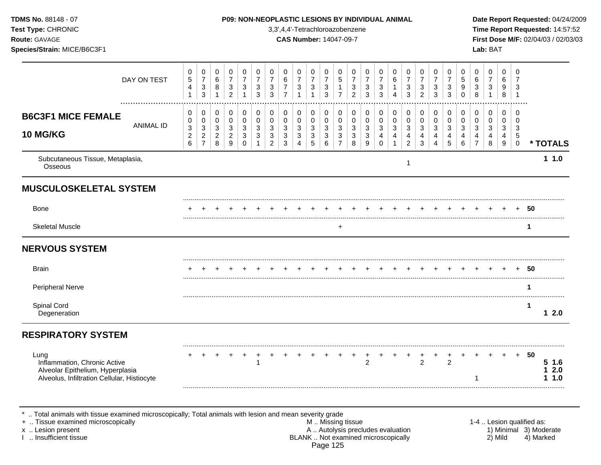Subcutaneous Tissue, Metaplasia, upcularieous Tissue, Metapiasia,<br>Osseous 1988 - 1988 - 1988 - 1988 - 1988 - 1988 - 1988 - 1988 - 1988 - 1988 - 1988 - 1988 - 1988 - 1988 - 198 **1 1.0 MUSCULOSKELETAL SYSTEM** ......................................................................................................................................................................................................... Bone + + + + + + + + + + + + + + + + + + + + + + + + + **50** ......................................................................................................................................................................................................... Skeletal Muscle + **1 NERVOUS SYSTEM** ......................................................................................................................................................................................................... Brain + + + + + + + + + + + + + + + + + + + + + + + + + **50** ......................................................................................................................................................................................................... Peripheral Nerve **1** ......................................................................................................................................................................................................... Spinal Cord **1** Degeneration **1 2.0 RESPIRATORY SYSTEM** ......................................................................................................................................................................................................... Lung + + + + + + + + + + + + + + + + + + + + + + + + + **50** Inflammation, Chronic Active 1 2 2 2 **5 1.6** Alveolar Epithelium, Hyperplasia **1 2.0** Alveolus, Infiltration Cellular, Histiocyte 1 **1.000 a.m. 1 1.000 a.m. 1 1.000 a.m. 1 1.000 a.m. 1 1.000 a.m. 1 1.000 a.m. 1 1.000 a.m. 1 1.000 a.m. 1 1.000 a.m. 1 1.000 a.m. 1 1.000 a.m. 1 1.000 a.m. 1 1.000 a.m. 1 1.000** ......................................................................................................................................................................................................... **TDMS No.** 88148 - 07 **P09: NON-NEOPLASTIC LESIONS BY INDIVIDUAL ANIMAL Date Report Requested:** 04/24/2009 **Test Type:** CHRONIC 3,3',4,4'-Tetrachloroazobenzene **Time Report Requested:** 14:57:52 **Route:** GAVAGE **CAS Number:** 14047-09-7 **First Dose M/F:** 02/04/03 / 02/03/03 **Species/Strain:** MICE/B6C3F1 **Lab:** BAT DAY ON TEST  $\overline{7}$   $\overline{7}$   $\overline{7}$   $\Omega$  ................................................................................................................................................................. **B6C3F1 MICE FEMALE** ANIMAL ID **10 MG/KG \* TOTALS** .. Total animals with tissue examined microscopically; Total animals with lesion and mean severity grade + .. Tissue examined microscopically examined microscopically and the state of the state of the M .. Missing tissue the M .. Missing tissue the matrix of the M .. Missing tissue the matrix of the M .. Lesion qualified as: x .. Lesion present 1) Minimal 3) Moderate<br>A .. Autolysis precludes evaluation 1 and 1) Minimal 3) Moderate<br>BLANK .. Not examined microscopically 1 and 1) Minimal 3) Marked BLANK .. Not examined microscopically

Page 125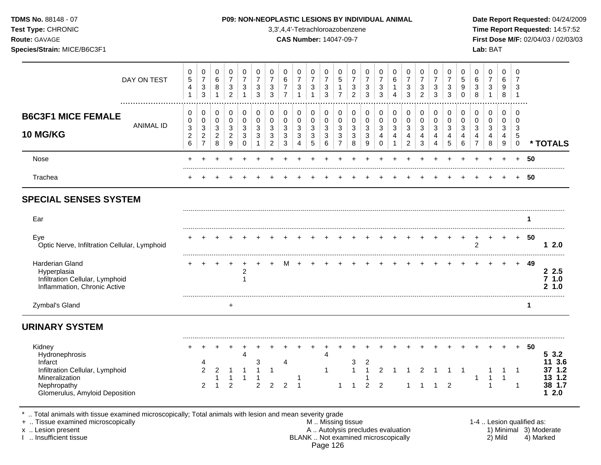**Test Type:** CHRONIC 3,3',4,4'-Tetrachloroazobenzene **Time Report Requested:** 14:57:52 **Route:** GAVAGE **CAS Number:** 14047-09-7 **First Dose M/F:** 02/04/03 / 02/03/03 **Species/Strain:** MICE/B6C3F1 **Lab:** BAT

| DAY ON TEST                                                                                                                                                      | 0<br>$\sqrt{5}$<br>4<br>$\mathbf{1}$                                      | 0<br>$\overline{7}$<br>3<br>3                        | 0<br>6<br>8<br>$\overline{1}$                 | 0<br>$\overline{7}$<br>$\mathsf 3$<br>$\overline{c}$           | 0<br>$\overline{7}$<br>$\sqrt{3}$<br>$\mathbf{1}$ | 0<br>$\overline{7}$<br>$\mathbf{3}$<br>3              | 0<br>$\overline{7}$<br>3<br>$\mathbf{3}$    | $\mathbf 0$<br>$\,6$<br>$\overline{7}$<br>$\overline{7}$ | 0<br>$\overline{7}$<br>3<br>1                          | 0<br>$\overline{7}$<br>$\sqrt{3}$<br>$\overline{1}$             | 0<br>$\overline{7}$<br>$\sqrt{3}$<br>$\mathbf{3}$       | 0<br>5<br>$\mathbf{1}$<br>$\overline{7}$             | 0<br>$\overline{7}$<br>$\sqrt{3}$<br>$\overline{c}$ | 0<br>$\overline{7}$<br>3<br>3              | 0<br>$\overline{7}$<br>$\mathbf{3}$<br>3           | 0<br>$\,6$<br>$\mathbf{1}$<br>4                       | 0<br>$\overline{7}$<br>$\sqrt{3}$<br>$\mathbf{3}$ | 0<br>$\overline{7}$<br>$\mathbf{3}$<br>$\overline{2}$ | $\mathbf 0$<br>$\overline{7}$<br>3<br>3                                           | 0<br>$\overline{7}$<br>$\mathbf{3}$<br>3   | 0<br>5<br>9<br>$\Omega$         | 0<br>6<br>$\mathbf{3}$<br>8                  | 0<br>$\overline{7}$<br>$\sqrt{3}$<br>$\mathbf{1}$ | 0<br>6<br>9<br>8                         | 0<br>$\overline{7}$<br>3<br>$\overline{1}$       |                           |                                                      |
|------------------------------------------------------------------------------------------------------------------------------------------------------------------|---------------------------------------------------------------------------|------------------------------------------------------|-----------------------------------------------|----------------------------------------------------------------|---------------------------------------------------|-------------------------------------------------------|---------------------------------------------|----------------------------------------------------------|--------------------------------------------------------|-----------------------------------------------------------------|---------------------------------------------------------|------------------------------------------------------|-----------------------------------------------------|--------------------------------------------|----------------------------------------------------|-------------------------------------------------------|---------------------------------------------------|-------------------------------------------------------|-----------------------------------------------------------------------------------|--------------------------------------------|---------------------------------|----------------------------------------------|---------------------------------------------------|------------------------------------------|--------------------------------------------------|---------------------------|------------------------------------------------------|
| .<br><b>B6C3F1 MICE FEMALE</b><br><b>ANIMAL ID</b><br><b>10 MG/KG</b>                                                                                            | 0<br>0<br>$\ensuremath{\mathsf{3}}$<br>$\boldsymbol{2}$<br>$6\phantom{1}$ | 0<br>0<br>$\sqrt{3}$<br>$\sqrt{2}$<br>$\overline{7}$ | 0<br>0<br>$\sqrt{3}$<br>$\boldsymbol{2}$<br>8 | 0<br>$\overline{0}$<br>$\sqrt{3}$<br>$\boldsymbol{2}$<br>$9\,$ | 0<br>$\pmb{0}$<br>$\sqrt{3}$<br>$\mathbf{3}$<br>0 | 0<br>$\mathbf 0$<br>$\mathbf{3}$<br>3<br>$\mathbf{1}$ | 0<br>0<br>3<br>$\sqrt{3}$<br>$\overline{2}$ | 0<br>$\mathbf 0$<br>$\sqrt{3}$<br>$\mathbf{3}$<br>3      | 0<br>0<br>$\sqrt{3}$<br>$\mathbf{3}$<br>$\overline{4}$ | 0<br>0<br>$\ensuremath{\mathsf{3}}$<br>$\sqrt{3}$<br>$\sqrt{5}$ | 0<br>$\mathbf 0$<br>$\sqrt{3}$<br>$\sqrt{3}$<br>$\,6\,$ | 0<br>0<br>$\sqrt{3}$<br>$\sqrt{3}$<br>$\overline{7}$ | 0<br>$\mathbf 0$<br>$\mathbf{3}$<br>3<br>8          | 0<br>$\mathbf 0$<br>$\mathbf{3}$<br>3<br>9 | 0<br>$\mathbf 0$<br>$\sqrt{3}$<br>4<br>$\mathbf 0$ | 0<br>$\mathbf 0$<br>$\sqrt{3}$<br>$\overline{4}$<br>1 | 0<br>0<br>$\sqrt{3}$<br>4<br>$\overline{2}$       | 0<br>$\mathbf 0$<br>$\mathbf{3}$<br>4<br>$\sqrt{3}$   | 0<br>$\mathbf 0$<br>$\ensuremath{\mathsf{3}}$<br>$\overline{4}$<br>$\overline{4}$ | 0<br>$\mathbf 0$<br>$\mathbf{3}$<br>4<br>5 | 0<br>$\mathbf 0$<br>3<br>4<br>6 | 0<br>$\mathbf 0$<br>3<br>4<br>$\overline{7}$ | 0<br>$\Omega$<br>3<br>$\overline{4}$<br>8         | 0<br>$\mathbf 0$<br>$\sqrt{3}$<br>4<br>9 | $\mathbf 0$<br>$\Omega$<br>3<br>5<br>$\mathbf 0$ |                           | * TOTALS                                             |
| Nose                                                                                                                                                             |                                                                           |                                                      |                                               |                                                                |                                                   |                                                       |                                             |                                                          |                                                        |                                                                 |                                                         |                                                      |                                                     |                                            |                                                    |                                                       |                                                   |                                                       |                                                                                   |                                            |                                 |                                              |                                                   |                                          |                                                  | 50                        |                                                      |
| Trachea                                                                                                                                                          |                                                                           |                                                      |                                               |                                                                |                                                   |                                                       |                                             |                                                          |                                                        |                                                                 |                                                         |                                                      |                                                     |                                            |                                                    |                                                       |                                                   |                                                       |                                                                                   |                                            |                                 |                                              |                                                   |                                          | $+$                                              | 50                        |                                                      |
| <b>SPECIAL SENSES SYSTEM</b>                                                                                                                                     |                                                                           |                                                      |                                               |                                                                |                                                   |                                                       |                                             |                                                          |                                                        |                                                                 |                                                         |                                                      |                                                     |                                            |                                                    |                                                       |                                                   |                                                       |                                                                                   |                                            |                                 |                                              |                                                   |                                          |                                                  |                           |                                                      |
| Ear                                                                                                                                                              |                                                                           |                                                      |                                               |                                                                |                                                   |                                                       |                                             |                                                          |                                                        |                                                                 |                                                         |                                                      |                                                     |                                            |                                                    |                                                       |                                                   |                                                       |                                                                                   |                                            |                                 |                                              |                                                   |                                          |                                                  | 1                         |                                                      |
| Eye<br>Optic Nerve, Infiltration Cellular, Lymphoid                                                                                                              |                                                                           |                                                      |                                               |                                                                |                                                   |                                                       |                                             |                                                          |                                                        |                                                                 |                                                         |                                                      |                                                     |                                            |                                                    |                                                       |                                                   |                                                       |                                                                                   |                                            |                                 | 2                                            |                                                   | $\ddot{}$                                | $+$                                              | 50                        | 12.0                                                 |
| Harderian Gland<br>Hyperplasia<br>Infiltration Cellular, Lymphoid<br>Inflammation, Chronic Active                                                                |                                                                           |                                                      |                                               |                                                                | $\overline{c}$<br>$\mathbf{1}$                    |                                                       |                                             |                                                          |                                                        |                                                                 |                                                         |                                                      |                                                     |                                            |                                                    |                                                       |                                                   |                                                       |                                                                                   |                                            |                                 |                                              |                                                   |                                          |                                                  | 49                        | 2.5<br>7 1.0<br>2, 1.0                               |
| Zymbal's Gland                                                                                                                                                   |                                                                           |                                                      |                                               | $\ddot{}$                                                      |                                                   |                                                       |                                             |                                                          |                                                        |                                                                 |                                                         |                                                      |                                                     |                                            |                                                    |                                                       |                                                   |                                                       |                                                                                   |                                            |                                 |                                              |                                                   |                                          |                                                  | 1                         |                                                      |
| <b>URINARY SYSTEM</b>                                                                                                                                            |                                                                           |                                                      |                                               |                                                                |                                                   |                                                       |                                             |                                                          |                                                        |                                                                 |                                                         |                                                      |                                                     |                                            |                                                    |                                                       |                                                   |                                                       |                                                                                   |                                            |                                 |                                              |                                                   |                                          |                                                  |                           |                                                      |
| Kidney<br>Hydronephrosis<br>Infarct<br>Infiltration Cellular, Lymphoid<br>Mineralization<br>Nephropathy<br>Glomerulus, Amyloid Deposition                        |                                                                           | 4<br>2<br>2                                          | 2                                             | 2                                                              | ٠<br>4<br>$\overline{1}$                          | 3<br>1<br>$\overline{2}$                              | 1<br>$\overline{2}$                         | 4<br>2                                                   | 1<br>$\overline{1}$                                    |                                                                 | 4                                                       | 1                                                    | 3<br>$\mathbf{1}$<br>1                              | 2<br>2                                     | 2<br>$\overline{2}$                                |                                                       |                                                   | $\overline{2}$                                        | $\mathbf{1}$                                                                      | $\overline{2}$                             |                                 | -1                                           | 1<br>1                                            | $\ddot{}$<br>$\overline{1}$              | $+$<br>$\mathbf 1$<br>$\mathbf{1}$               | 50                        | 53.2<br>11 3.6<br>37 1.2<br>13 1.2<br>38 1.7<br>12.0 |
| Total animals with tissue examined microscopically; Total animals with lesion and mean severity grade<br>+  Tissue examined microscopically<br>x  Lesion present |                                                                           |                                                      |                                               |                                                                |                                                   |                                                       |                                             |                                                          |                                                        |                                                                 |                                                         |                                                      | M  Missing tissue                                   |                                            | A  Autolysis precludes evaluation                  |                                                       |                                                   |                                                       |                                                                                   |                                            |                                 |                                              |                                                   |                                          |                                                  | 1-4  Lesion qualified as: | 1) Minimal 3) Moderate                               |

I .. Insufficient tissue BLANK .. Not examined microscopically 2) Mild 4) Marked Page 126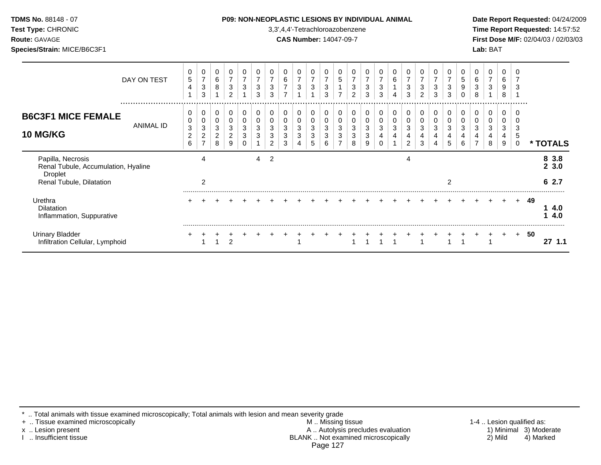| TDMS No. 88148 - 07<br>Test Type: CHRONIC<br>Route: GAVAGE<br>Species/Strain: MICE/B6C3F1       |             |                                             |                                        |                                      |                                                     |                                             |                               |                  |                          |                     | 3,3',4,4'-Tetrachloroazobenzene<br><b>CAS Number: 14047-09-7</b> |                                        |                                   |                                       | <b>P09: NON-NEOPLASTIC LESIONS BY INDIVIDUAL ANIMAL</b> |                              |             |                          |                                       |                                                   |                                                 |                                       |             | Lab: BAT |                       |                  |    |               | Date Report Requested: 04/24/2009<br>Time Report Requested: 14:57:52<br>First Dose M/F: 02/04/03 / 02/03/03 |
|-------------------------------------------------------------------------------------------------|-------------|---------------------------------------------|----------------------------------------|--------------------------------------|-----------------------------------------------------|---------------------------------------------|-------------------------------|------------------|--------------------------|---------------------|------------------------------------------------------------------|----------------------------------------|-----------------------------------|---------------------------------------|---------------------------------------------------------|------------------------------|-------------|--------------------------|---------------------------------------|---------------------------------------------------|-------------------------------------------------|---------------------------------------|-------------|----------|-----------------------|------------------|----|---------------|-------------------------------------------------------------------------------------------------------------|
|                                                                                                 | DAY ON TEST | 0<br>5<br>4                                 | 0<br>7<br>$\sqrt{3}$<br>$\mathbf{3}$   | 0<br>$\,6\,$<br>8                    | 0<br>$\overline{7}$<br>$\sqrt{3}$<br>$\overline{2}$ | $\overline{7}$<br>$\ensuremath{\mathsf{3}}$ | 0<br>$\overline{7}$<br>3<br>3 | 0<br>7<br>3<br>3 | 6<br>7<br>$\overline{ }$ | $\overline{7}$<br>3 | 0<br>$\overline{7}$<br>$\sqrt{3}$                                | 0<br>$\overline{7}$<br>$\sqrt{3}$<br>3 | 0<br>$\sqrt{5}$<br>$\overline{ }$ | $\overline{7}$<br>3<br>$\overline{2}$ | $\overline{7}$<br>3<br>3                                | 0<br>7<br>3<br>3             | 6<br>4      | $\overline{7}$<br>3<br>3 | $\overline{7}$<br>3<br>$\overline{c}$ | 0<br>$\overline{7}$<br>$\sqrt{3}$<br>$\mathbf{3}$ | 0<br>$\overline{7}$<br>$\sqrt{3}$<br>$\sqrt{3}$ | 0<br>$\sqrt{5}$<br>9<br>0             | 6<br>3<br>8 | 3        | 0<br>6<br>9<br>8      |                  |    |               |                                                                                                             |
| <b>B6C3F1 MICE FEMALE</b><br><b>10 MG/KG</b>                                                    | ANIMAL ID   | 0<br>0<br>3<br>$\overline{\mathbf{c}}$<br>6 | 0<br>0<br>3<br>$\overline{\mathbf{c}}$ | 0<br>0<br>3<br>$\boldsymbol{2}$<br>8 | 0<br>$\Omega$<br>3<br>$\overline{c}$<br>9           | 0<br>3<br>3<br>$\Omega$                     | 0<br>0<br>3<br>3              | 0<br>0<br>3<br>2 | 0<br>0<br>3<br>3         | 0<br>3<br>3         | 0<br>0<br>3<br>3<br>5                                            | 0<br>0<br>3<br>3<br>6                  | 0<br>0<br>$\mathfrak{S}$<br>3     | 0<br>0<br>3<br>3<br>8                 | 0<br>3<br>3<br>9                                        | 0<br>0<br>3<br>4<br>$\Omega$ | 0<br>0<br>3 | 0<br>0<br>3<br>2         | 0<br>3                                | 0<br>0<br>3<br>4<br>Δ                             | 0<br>0<br>$\mathbf{3}$<br>4<br>5                | 0<br>$\mathbf 0$<br>$\mathbf{3}$<br>6 | 0<br>3      | 0<br>8   | 0<br>0<br>3<br>4<br>9 | 5<br>$\mathbf 0$ |    |               | * TOTALS                                                                                                    |
| Papilla, Necrosis<br>Renal Tubule, Accumulation, Hyaline<br>Droplet<br>Renal Tubule, Dilatation |             |                                             | 4<br>2                                 |                                      |                                                     |                                             | 4                             | $\overline{2}$   |                          |                     |                                                                  |                                        |                                   |                                       |                                                         |                              |             | 4                        |                                       |                                                   | $\overline{2}$                                  |                                       |             |          |                       |                  |    | 8 3.8<br>62.7 | 23.0                                                                                                        |
| Urethra<br>Dilatation<br>Inflammation, Suppurative                                              |             |                                             |                                        |                                      |                                                     |                                             |                               |                  |                          |                     |                                                                  |                                        |                                   |                                       |                                                         |                              |             |                          |                                       |                                                   |                                                 |                                       |             |          |                       |                  | 49 |               | 4.0<br>4.0                                                                                                  |
| <b>Urinary Bladder</b><br>Infiltration Cellular, Lymphoid                                       |             |                                             |                                        |                                      | $\overline{2}$                                      |                                             |                               |                  |                          |                     |                                                                  |                                        |                                   |                                       |                                                         |                              |             |                          |                                       |                                                   |                                                 |                                       |             |          |                       | $\ddot{}$        | 50 |               | 271.1                                                                                                       |

\* .. Total animals with tissue examined microscopically; Total animals with lesion and mean severity grade

+ .. Tissue examined microscopically M .. Missing tissue 1-4 .. Lesion qualified as: x .. Lesion present **A .. Autolysis precludes evaluation** A .. Autolysis precludes evaluation 1) Minimal 3) Moderate I .. Insufficient tissue BLANK .. Not examined microscopically 2) Mild 4) Marked Page 127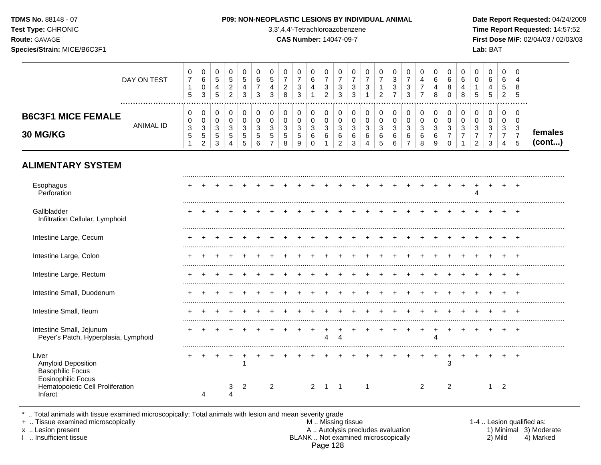| TDMS No. 88148 - 07<br>Test Type: CHRONIC<br>Route: GAVAGE<br>Species/Strain: MICE/B6C3F1 |                  |                                          |                                              |                            |                               |                            |                               |                             |                                                     |                       | <b>P09: NON-NEOPLASTIC LESIONS BY INDIVIDUAL ANIMAL</b><br>3,3',4,4'-Tetrachloroazobenzene<br><b>CAS Number: 14047-09-7</b> |                                                                    |                                               |                               |                       |                       |                                                       |                                    |                                            |                                  |                                                                             |                        |                               | Lab: BAT         |                                    |                                          | Date Report Requested: 04/24/2009<br>Time Report Requested: 14:57:52<br>First Dose M/F: 02/04/03 / 02/03/03 |
|-------------------------------------------------------------------------------------------|------------------|------------------------------------------|----------------------------------------------|----------------------------|-------------------------------|----------------------------|-------------------------------|-----------------------------|-----------------------------------------------------|-----------------------|-----------------------------------------------------------------------------------------------------------------------------|--------------------------------------------------------------------|-----------------------------------------------|-------------------------------|-----------------------|-----------------------|-------------------------------------------------------|------------------------------------|--------------------------------------------|----------------------------------|-----------------------------------------------------------------------------|------------------------|-------------------------------|------------------|------------------------------------|------------------------------------------|-------------------------------------------------------------------------------------------------------------|
|                                                                                           | DAY ON TEST<br>  | 0<br>5                                   | 0<br>$\,6\,$<br>$\mathbf 0$<br>3             | 0<br>$\,$ 5 $\,$<br>4<br>5 | 0<br>5<br>$\overline{c}$<br>2 | 0<br>$\,$ 5 $\,$<br>4<br>3 | 0<br>6<br>$\overline{7}$<br>3 | 0<br>5<br>4<br>3            | 0<br>$\overline{7}$<br>$\overline{\mathbf{c}}$<br>8 | 3<br>3                | 0<br>6<br>$\overline{4}$                                                                                                    | 0<br>$\overline{7}$<br>$\ensuremath{\mathsf{3}}$<br>$\overline{2}$ | 0<br>$\overline{7}$<br>$\sqrt{3}$<br>3        | 0<br>$\overline{7}$<br>3<br>3 | 0<br>3                | 0<br>2                | 0<br>3<br>$\ensuremath{\mathsf{3}}$<br>$\overline{7}$ | 0<br>$\overline{7}$<br>3<br>3      | 0<br>4<br>$\overline{7}$<br>$\overline{7}$ | 0<br>6<br>4<br>8                 | 0<br>6<br>8<br>$\mathbf 0$                                                  | 0<br>6<br>4<br>8       | 0<br>0<br>5                   | 0<br>6<br>5      | 0<br>6<br>5<br>2                   | 5                                        |                                                                                                             |
| <b>B6C3F1 MICE FEMALE</b><br>30 MG/KG                                                     | <b>ANIMAL ID</b> | 0<br>0<br>$\ensuremath{\mathsf{3}}$<br>5 | 0<br>0<br>3<br>$\mathbf 5$<br>$\overline{2}$ | 0<br>0<br>3<br>5<br>3      | 0<br>0<br>3<br>5<br>4         | 0<br>0<br>3<br>5<br>5      | 0<br>0<br>3<br>5<br>6         | 0<br>0<br>$\mathbf{3}$<br>5 | 0<br>0<br>3<br>5<br>8                               | 0<br>0<br>3<br>5<br>9 | 0<br>0<br>$\sqrt{3}$<br>6<br>$\mathbf 0$                                                                                    | $\pmb{0}$<br>0<br>$\mathbf{3}$<br>6                                | 0<br>0<br>$\mathbf{3}$<br>6<br>$\overline{2}$ | 0<br>0<br>3<br>6<br>3         | 0<br>0<br>3<br>6<br>4 | 0<br>0<br>3<br>6<br>5 | 0<br>0<br>$\sqrt{3}$<br>6<br>6                        | 0<br>0<br>3<br>6<br>$\overline{7}$ | 0<br>0<br>3<br>6<br>8                      | 0<br>0<br>$\mathbf{3}$<br>6<br>9 | $\mathbf 0$<br>$\mathbf 0$<br>$\mathbf{3}$<br>$\overline{7}$<br>$\mathbf 0$ | 0<br>0<br>$\mathbf{3}$ | 0<br>0<br>3<br>$\overline{2}$ | 0<br>0<br>3<br>3 | 0<br>0<br>3<br>7<br>$\overline{4}$ | 0<br>$\mathbf{3}$<br>$\overline{7}$<br>5 | females<br>(cont)                                                                                           |
| <b>ALIMENTARY SYSTEM</b>                                                                  |                  |                                          |                                              |                            |                               |                            |                               |                             |                                                     |                       |                                                                                                                             |                                                                    |                                               |                               |                       |                       |                                                       |                                    |                                            |                                  |                                                                             |                        |                               |                  |                                    |                                          |                                                                                                             |
| Esophagus<br>Perforation                                                                  |                  |                                          |                                              |                            |                               |                            |                               |                             |                                                     |                       |                                                                                                                             |                                                                    |                                               |                               |                       |                       |                                                       |                                    |                                            |                                  |                                                                             |                        | Δ                             |                  |                                    |                                          |                                                                                                             |
| Gallbladder<br>Infiltration Cellular, Lymphoid                                            |                  | ٠                                        |                                              |                            |                               |                            |                               |                             |                                                     |                       |                                                                                                                             |                                                                    |                                               |                               |                       |                       |                                                       |                                    |                                            |                                  |                                                                             |                        |                               |                  |                                    | $+$                                      |                                                                                                             |
| Intestine Large, Cecum                                                                    |                  |                                          |                                              |                            |                               |                            |                               |                             |                                                     |                       |                                                                                                                             |                                                                    |                                               |                               |                       |                       |                                                       |                                    |                                            |                                  |                                                                             |                        |                               |                  |                                    |                                          |                                                                                                             |
| Intestine Large, Colon                                                                    |                  |                                          |                                              |                            |                               |                            |                               |                             |                                                     |                       |                                                                                                                             |                                                                    |                                               |                               |                       |                       |                                                       |                                    |                                            |                                  |                                                                             |                        |                               |                  |                                    |                                          |                                                                                                             |
| Intestine Large, Rectum                                                                   |                  |                                          |                                              |                            |                               |                            |                               |                             |                                                     |                       |                                                                                                                             |                                                                    |                                               |                               |                       |                       |                                                       |                                    |                                            |                                  |                                                                             |                        |                               |                  |                                    | $\div$                                   |                                                                                                             |

| Intestine Small, Ileum                                                              |  |  |  |   |  |  |  |  |  |  |  |  |   |             |  |
|-------------------------------------------------------------------------------------|--|--|--|---|--|--|--|--|--|--|--|--|---|-------------|--|
| Intestine Small, Jejunum<br>Peyer's Patch, Hyperplasia, Lymphoid                    |  |  |  |   |  |  |  |  |  |  |  |  |   | $\mathbf +$ |  |
| ∟iver<br>Amyloid Deposition<br><b>Basophilic Focus</b><br><b>Eosinophilic Focus</b> |  |  |  |   |  |  |  |  |  |  |  |  |   | ٠           |  |
| Hematopoietic Cell Proliferation<br>Infarct                                         |  |  |  | 2 |  |  |  |  |  |  |  |  | ົ |             |  |

Intestine Small, Duodenum + + + + + + + + + + + + + + + + + + + + + + + + +

\* .. Total animals with tissue examined microscopically; Total animals with lesion and mean severity grade<br>+ .. Tissue examined microscopically

+ .. Tissue examined microscopically **All and the set of the set of the set of the set of the set of the set of the set of the set of the set of the set of the set of the set of the set of the set of the set of the set of** x .. Lesion present **A .. Autolysis precludes evaluation** A .. Autolysis precludes evaluation 1) Minimal 3) Moderate I .. Insufficient tissue BLANK .. Not examined microscopically 2) Mild 4) Marked Page 128

.........................................................................................................................................................................................................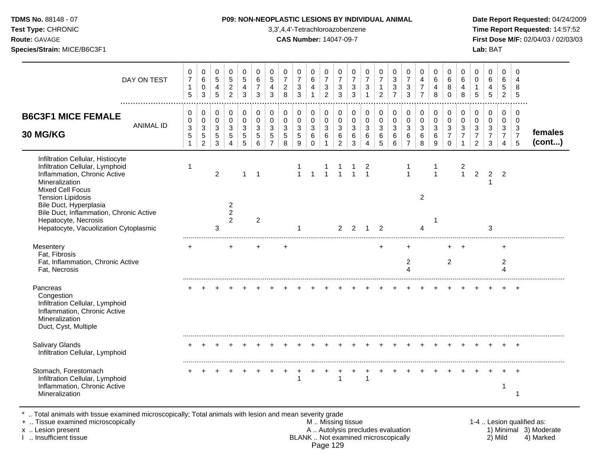| <b>TDMS No. 88148 - 07</b> |  |
|----------------------------|--|
|----------------------------|--|

**Test Type:** CHRONIC 3,3',4,4'-Tetrachloroazobenzene **Time Report Requested:** 14:57:52 **Route:** GAVAGE **CAS Number:** 14047-09-7 **First Dose M/F:** 02/04/03 / 02/03/03 **Species/Strain:** MICE/B6C3F1 **Lab:** BAT

| DAY ON TEST                                                                                                                                                                   | 0<br>$\overline{7}$<br>$\mathbf{1}$<br>5 | 0<br>$\,6\,$<br>$\mathbf 0$<br>$\mathbf{3}$                                 | $\mathbf 0$<br>$\overline{5}$<br>4<br>5    | $\mathbf 0$<br>$\sqrt{5}$<br>$\overline{2}$<br>$\overline{2}$ | 0<br>5<br>$\overline{4}$<br>3   | 0<br>6<br>$\overline{7}$<br>3 | $\mathbf 0$<br>5<br>4<br>3                   | 0<br>$\overline{7}$<br>$\overline{c}$<br>8 | 0<br>$\overline{7}$<br>$\sqrt{3}$<br>$\mathbf{3}$ | 0<br>$6\phantom{1}6$<br>4<br>$\mathbf{1}$            | 0<br>$\overline{7}$<br>$\mathbf{3}$<br>$\overline{2}$         | 0<br>$\overline{7}$<br>$\sqrt{3}$<br>3                  | 0<br>$\overline{7}$<br>$\mathbf{3}$<br>3 | $\mathbf 0$<br>$\overline{7}$<br>$\ensuremath{\mathsf{3}}$<br>$\overline{1}$ | 0<br>$\overline{7}$<br>$\mathbf{1}$<br>$\overline{2}$ | 0<br>$\mathbf{3}$<br>$\mathbf{3}$<br>$\overline{7}$ | 0<br>$\overline{7}$<br>$\mathfrak{Z}$<br>3   | 0<br>$\overline{4}$<br>$\overline{7}$<br>$\overline{7}$ | $\mathbf 0$<br>6<br>$\overline{4}$<br>8   | $\Omega$<br>6<br>8<br>$\Omega$                      | 0<br>6<br>4<br>8                | 0<br>$\mathbf 0$<br>$\mathbf{1}$<br>$\sqrt{5}$            | 0<br>$6\phantom{1}$<br>$\overline{4}$<br>5     | $\Omega$<br>6<br>$\sqrt{5}$<br>$\overline{2}$                       | $\Omega$<br>4<br>8<br>5                   |                   |
|-------------------------------------------------------------------------------------------------------------------------------------------------------------------------------|------------------------------------------|-----------------------------------------------------------------------------|--------------------------------------------|---------------------------------------------------------------|---------------------------------|-------------------------------|----------------------------------------------|--------------------------------------------|---------------------------------------------------|------------------------------------------------------|---------------------------------------------------------------|---------------------------------------------------------|------------------------------------------|------------------------------------------------------------------------------|-------------------------------------------------------|-----------------------------------------------------|----------------------------------------------|---------------------------------------------------------|-------------------------------------------|-----------------------------------------------------|---------------------------------|-----------------------------------------------------------|------------------------------------------------|---------------------------------------------------------------------|-------------------------------------------|-------------------|
| <b>B6C3F1 MICE FEMALE</b><br><b>ANIMAL ID</b><br>30 MG/KG                                                                                                                     | 0<br>0<br>3<br>5<br>$\mathbf{1}$         | $\boldsymbol{0}$<br>$\pmb{0}$<br>$\sqrt{3}$<br>$\sqrt{5}$<br>$\overline{2}$ | 0<br>$\mathbf 0$<br>$\mathbf{3}$<br>5<br>3 | $\mathbf 0$<br>$\mathbf 0$<br>$\sqrt{3}$<br>5<br>4            | 0<br>$\mathbf 0$<br>3<br>5<br>5 | 0<br>$\pmb{0}$<br>3<br>5<br>6 | 0<br>$\mathbf 0$<br>3<br>5<br>$\overline{7}$ | 0<br>$\mathbf 0$<br>$\mathbf{3}$<br>5<br>8 | 0<br>$\mathbf 0$<br>$\sqrt{3}$<br>5<br>9          | 0<br>$\mathbf 0$<br>$\mathbf{3}$<br>6<br>$\mathbf 0$ | $\pmb{0}$<br>$\mathbf 0$<br>$\mathbf{3}$<br>6<br>$\mathbf{1}$ | 0<br>$\mathbf 0$<br>$\mathbf{3}$<br>6<br>$\overline{2}$ | 0<br>$\boldsymbol{0}$<br>3<br>6<br>3     | 0<br>$\mathbf 0$<br>3<br>6<br>$\boldsymbol{\Lambda}$                         | 0<br>$\mathsf{O}\xspace$<br>3<br>6<br>5               | $\pmb{0}$<br>$\pmb{0}$<br>$\mathbf{3}$<br>6<br>6    | 0<br>$\mathbf 0$<br>3<br>6<br>$\overline{7}$ | 0<br>$\pmb{0}$<br>$\mathbf{3}$<br>6<br>8                | $\mathbf 0$<br>$\mathbf 0$<br>3<br>6<br>9 | 0<br>$\mathbf 0$<br>3<br>$\overline{7}$<br>$\Omega$ | $\mathbf 0$<br>$\mathbf 0$<br>3 | 0<br>$\mathbf 0$<br>3<br>$\overline{7}$<br>$\overline{2}$ | 0<br>$\mathbf 0$<br>3<br>$\boldsymbol{7}$<br>3 | $\mathbf 0$<br>$\mathbf 0$<br>3<br>$\overline{7}$<br>$\overline{4}$ | 0<br>$\Omega$<br>3<br>$\overline{7}$<br>5 | females<br>(cont) |
| Infiltration Cellular, Histiocyte<br>Infiltration Cellular, Lymphoid<br>Inflammation, Chronic Active<br>Mineralization<br><b>Mixed Cell Focus</b><br><b>Tension Lipidosis</b> | 1                                        |                                                                             | 2                                          |                                                               | $1 \quad 1$                     |                               |                                              |                                            | $\mathbf{1}$                                      | $\overline{1}$                                       | $\mathbf{1}$                                                  | $\overline{1}$                                          | $1 \quad 1$                              | $\overline{2}$                                                               |                                                       |                                                     | -1<br>$\overline{1}$                         | $\overline{c}$                                          | $\overline{1}$<br>$\overline{1}$          |                                                     | $\overline{c}$<br>$\mathbf{1}$  | $\overline{2}$                                            | 2                                              | $\overline{2}$                                                      |                                           |                   |
| Bile Duct, Hyperplasia<br>Bile Duct, Inflammation, Chronic Active<br>Hepatocyte, Necrosis<br>Hepatocyte, Vacuolization Cytoplasmic                                            |                                          |                                                                             | 3                                          | $\overline{c}$<br>$\mathbf 2$<br>$\overline{2}$               |                                 | 2                             |                                              |                                            |                                                   |                                                      |                                                               | 2                                                       | 2                                        | -1                                                                           | $\overline{2}$                                        |                                                     |                                              | $\boldsymbol{\Lambda}$                                  | -1                                        |                                                     |                                 |                                                           | 3                                              |                                                                     |                                           |                   |
| Mesentery<br>Fat, Fibrosis<br>Fat, Inflammation, Chronic Active<br>Fat, Necrosis                                                                                              |                                          |                                                                             |                                            |                                                               |                                 |                               |                                              |                                            |                                                   |                                                      |                                                               |                                                         |                                          |                                                                              |                                                       |                                                     | $\overline{\mathbf{c}}$<br>4                 |                                                         |                                           | $\overline{2}$                                      |                                 |                                                           |                                                | $\ddot{}$<br>$\overline{c}$<br>4                                    |                                           |                   |
| Pancreas<br>Congestion<br>Infiltration Cellular, Lymphoid<br>Inflammation, Chronic Active<br>Mineralization<br>Duct, Cyst, Multiple                                           |                                          |                                                                             |                                            |                                                               |                                 |                               |                                              |                                            |                                                   |                                                      |                                                               |                                                         |                                          |                                                                              |                                                       |                                                     |                                              |                                                         |                                           |                                                     |                                 |                                                           |                                                |                                                                     |                                           |                   |
| Salivary Glands<br>Infiltration Cellular, Lymphoid                                                                                                                            |                                          |                                                                             |                                            |                                                               |                                 |                               |                                              |                                            |                                                   |                                                      |                                                               |                                                         |                                          |                                                                              |                                                       |                                                     |                                              |                                                         |                                           |                                                     |                                 |                                                           |                                                |                                                                     |                                           |                   |
| Stomach, Forestomach<br>Infiltration Cellular, Lymphoid<br>Inflammation, Chronic Active<br>Mineralization                                                                     |                                          |                                                                             |                                            |                                                               |                                 |                               |                                              |                                            |                                                   |                                                      |                                                               | 1                                                       |                                          | 1                                                                            |                                                       |                                                     |                                              |                                                         |                                           |                                                     |                                 |                                                           |                                                | -1                                                                  | $\ddot{}$<br>$\mathbf 1$                  |                   |

\* .. Total animals with tissue examined microscopically; Total animals with lesion and mean severity grade

+ .. Tissue examined microscopically M .. Missing tissue 1-4 .. Lesion qualified as: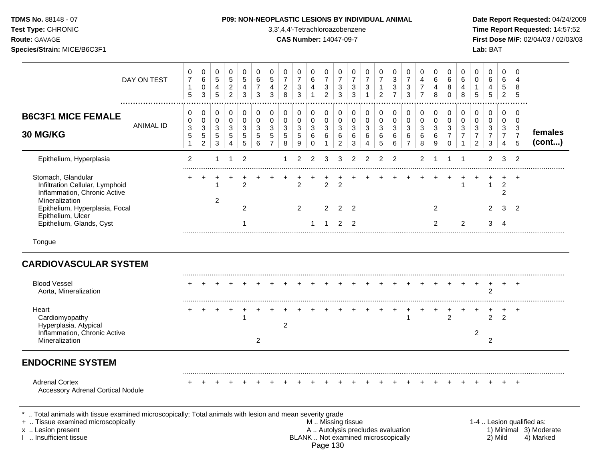|  | <b>TDMS No.</b> 88148 - 07 |  |  |
|--|----------------------------|--|--|
|  |                            |  |  |

# **P09: NON-NEOPLASTIC LESIONS BY INDIVIDUAL ANIMAL Date Report Requested:** 04/24/2009

**Test Type:** CHRONIC 3,3',4,4'-Tetrachloroazobenzene **Time Report Requested:** 14:57:52 **Route:** GAVAGE **CAS Number:** 14047-09-7 **First Dose M/F:** 02/04/03 / 02/03/03

|                                                                                                         | DAY ON TEST           | 0<br>$\overline{7}$<br>5                               | 0<br>$\,6\,$<br>0<br>3                                         | 0<br>$5\phantom{.0}$<br>$\overline{4}$<br>5   | $\mathbf 0$<br>$\sqrt{5}$<br>$\overline{2}$<br>$\overline{2}$ | 0<br>5<br>4<br>3                | 0<br>6<br>$\overline{7}$<br>3   | 0<br>$\overline{5}$<br>4<br>3                | 0<br>$\overline{7}$<br>$\overline{2}$<br>8             | 0<br>$\overline{7}$<br>$\mathbf{3}$<br>3 | 0<br>6<br>4<br>$\mathbf{1}$                       | 0<br>$\overline{7}$<br>$\ensuremath{\mathsf{3}}$<br>$\overline{2}$ | 0<br>$\overline{7}$<br>3<br>3   | 0<br>$\overline{7}$<br>$\sqrt{3}$<br>3 | 0<br>$\overline{7}$<br>3<br>1                | 0<br>$\overline{7}$<br>1<br>$\overline{c}$ | 0<br>$\mathbf{3}$<br>$\ensuremath{\mathsf{3}}$<br>$\overline{7}$ | 0<br>$\overline{7}$<br>$\ensuremath{\mathsf{3}}$<br>3   | 0<br>4<br>$\overline{7}$<br>$\overline{7}$ | 0<br>6<br>4<br>8                | 0<br>6<br>8<br>$\Omega$                          | 0<br>6<br>4<br>8                        | 0<br>$\mathbf 0$<br>1<br>5                                | 0<br>6<br>4<br>5                                           | $\Omega$<br>6<br>5<br>$\overline{2}$         | $\Omega$<br>4<br>8<br>5                         |                   |
|---------------------------------------------------------------------------------------------------------|-----------------------|--------------------------------------------------------|----------------------------------------------------------------|-----------------------------------------------|---------------------------------------------------------------|---------------------------------|---------------------------------|----------------------------------------------|--------------------------------------------------------|------------------------------------------|---------------------------------------------------|--------------------------------------------------------------------|---------------------------------|----------------------------------------|----------------------------------------------|--------------------------------------------|------------------------------------------------------------------|---------------------------------------------------------|--------------------------------------------|---------------------------------|--------------------------------------------------|-----------------------------------------|-----------------------------------------------------------|------------------------------------------------------------|----------------------------------------------|-------------------------------------------------|-------------------|
| <b>B6C3F1 MICE FEMALE</b><br>30 MG/KG                                                                   | .<br><b>ANIMAL ID</b> | 0<br>0<br>$\mathfrak{S}$<br>$\sqrt{5}$<br>$\mathbf{1}$ | 0<br>$\pmb{0}$<br>$\mathbf{3}$<br>$\sqrt{5}$<br>$\overline{2}$ | 0<br>0<br>$\ensuremath{\mathsf{3}}$<br>5<br>3 | 0<br>$\mathbf 0$<br>3<br>5<br>4                               | 0<br>$\mathbf 0$<br>3<br>5<br>5 | 0<br>$\mathbf 0$<br>3<br>5<br>6 | 0<br>$\mathbf 0$<br>3<br>5<br>$\overline{7}$ | 0<br>0<br>$\ensuremath{\mathsf{3}}$<br>$\sqrt{5}$<br>8 | 0<br>$\mathbf 0$<br>3<br>$\sqrt{5}$<br>9 | 0<br>$\mathbf 0$<br>$\mathbf{3}$<br>6<br>$\Omega$ | 0<br>$\mathbf 0$<br>3<br>6<br>1                                    | 0<br>$\mathbf 0$<br>3<br>6<br>2 | 0<br>$\mathbf 0$<br>3<br>6<br>3        | 0<br>$\mathbf 0$<br>3<br>6<br>$\overline{4}$ | 0<br>$\mathbf 0$<br>3<br>6<br>5            | 0<br>0<br>$\ensuremath{\mathsf{3}}$<br>6<br>6                    | 0<br>$\mathbf 0$<br>$\mathbf{3}$<br>6<br>$\overline{7}$ | 0<br>$\mathbf 0$<br>$\mathbf{3}$<br>6<br>8 | 0<br>$\mathbf 0$<br>3<br>6<br>9 | 0<br>$\Omega$<br>3<br>$\overline{7}$<br>$\Omega$ | 0<br>$\mathbf 0$<br>3<br>$\overline{7}$ | 0<br>$\mathbf 0$<br>3<br>$\overline{7}$<br>$\overline{2}$ | 0<br>0<br>$\ensuremath{\mathsf{3}}$<br>$\overline{7}$<br>3 | 0<br>$\mathbf 0$<br>3<br>$\overline{7}$<br>4 | 0<br>$\overline{0}$<br>3<br>$\overline{7}$<br>5 | females<br>(cont) |
| Epithelium, Hyperplasia                                                                                 |                       | 2                                                      |                                                                | 1                                             | -1                                                            | $\overline{2}$                  |                                 |                                              | 1                                                      | $\overline{2}$                           | 2                                                 | 3                                                                  | 3                               | $\overline{2}$                         | $\overline{2}$                               | $\overline{2}$                             | 2                                                                |                                                         | 2                                          |                                 |                                                  |                                         |                                                           | $\overline{2}$                                             | 3                                            | $\overline{2}$                                  |                   |
| Stomach, Glandular<br>Infiltration Cellular, Lymphoid<br>Inflammation, Chronic Active<br>Mineralization |                       |                                                        |                                                                | $\overline{2}$                                |                                                               | $\overline{2}$                  |                                 |                                              |                                                        | $\overline{2}$                           |                                                   | $\overline{c}$                                                     | $\overline{2}$                  |                                        |                                              |                                            |                                                                  |                                                         |                                            |                                 |                                                  |                                         |                                                           | 1                                                          | +<br>$\overline{2}$<br>$\overline{2}$        | $\ddot{}$                                       |                   |
| Epithelium, Hyperplasia, Focal<br>Epithelium, Ulcer<br>Epithelium, Glands, Cyst                         |                       |                                                        |                                                                |                                               |                                                               | $\overline{2}$                  |                                 |                                              |                                                        | 2                                        |                                                   | 2                                                                  | $\overline{2}$<br>2             | 2<br>2                                 |                                              |                                            |                                                                  |                                                         |                                            | 2<br>2                          |                                                  | $\overline{c}$                          |                                                           | $\overline{2}$<br>3                                        | 3<br>4                                       | $\overline{2}$                                  |                   |
| Tongue                                                                                                  |                       |                                                        |                                                                |                                               |                                                               |                                 |                                 |                                              |                                                        |                                          |                                                   |                                                                    |                                 |                                        |                                              |                                            |                                                                  |                                                         |                                            |                                 |                                                  |                                         |                                                           |                                                            |                                              |                                                 |                   |
| <b>CARDIOVASCULAR SYSTEM</b>                                                                            |                       |                                                        |                                                                |                                               |                                                               |                                 |                                 |                                              |                                                        |                                          |                                                   |                                                                    |                                 |                                        |                                              |                                            |                                                                  |                                                         |                                            |                                 |                                                  |                                         |                                                           |                                                            |                                              |                                                 |                   |
| <b>Blood Vessel</b><br>Aorta, Mineralization                                                            |                       |                                                        |                                                                |                                               |                                                               |                                 |                                 |                                              |                                                        |                                          |                                                   |                                                                    |                                 |                                        |                                              |                                            |                                                                  |                                                         |                                            |                                 |                                                  |                                         |                                                           | $\overline{2}$                                             |                                              | $\ddot{}$                                       |                   |
| Heart<br>Cardiomyopathy<br>Hyperplasia, Atypical                                                        |                       |                                                        |                                                                |                                               |                                                               |                                 |                                 |                                              | $\overline{2}$                                         |                                          |                                                   |                                                                    |                                 |                                        |                                              |                                            |                                                                  |                                                         |                                            |                                 | $\mathcal{P}$                                    |                                         |                                                           | $\overline{2}$                                             | 2                                            | $\div$                                          |                   |
| Inflammation, Chronic Active<br>Mineralization                                                          |                       |                                                        |                                                                |                                               |                                                               |                                 | $\overline{c}$                  |                                              |                                                        |                                          |                                                   |                                                                    |                                 |                                        |                                              |                                            |                                                                  |                                                         |                                            |                                 |                                                  |                                         | $\overline{c}$                                            | 2                                                          |                                              |                                                 |                   |
| <b>ENDOCRINE SYSTEM</b>                                                                                 |                       |                                                        |                                                                |                                               |                                                               |                                 |                                 |                                              |                                                        |                                          |                                                   |                                                                    |                                 |                                        |                                              |                                            |                                                                  |                                                         |                                            |                                 |                                                  |                                         |                                                           |                                                            |                                              |                                                 |                   |
| <b>Adrenal Cortex</b><br><b>Accessory Adrenal Cortical Nodule</b>                                       |                       |                                                        |                                                                |                                               |                                                               |                                 |                                 |                                              |                                                        |                                          |                                                   |                                                                    |                                 |                                        |                                              |                                            |                                                                  |                                                         |                                            |                                 |                                                  |                                         |                                                           |                                                            |                                              |                                                 |                   |
| Total animals with tissue examined microscopically; Total animals with lesion and mean severity grade   |                       |                                                        |                                                                |                                               |                                                               |                                 |                                 |                                              |                                                        |                                          |                                                   |                                                                    |                                 |                                        |                                              |                                            |                                                                  |                                                         |                                            |                                 |                                                  |                                         |                                                           |                                                            |                                              |                                                 |                   |

+ .. Tissue examined microscopically examined microscopically with the state of the state of the state of the state M .. Missing tissue M .. Missing tissue and the state of the state of the state M .. Autolysis precludes e x .. Lesion present **A .. Autolysis precludes evaluation** A .. Autolysis precludes evaluation 1) Minimal 3) Moderate I .. Insufficient tissue BLANK .. Not examined microscopically 2) Mild 4) Marked Page 130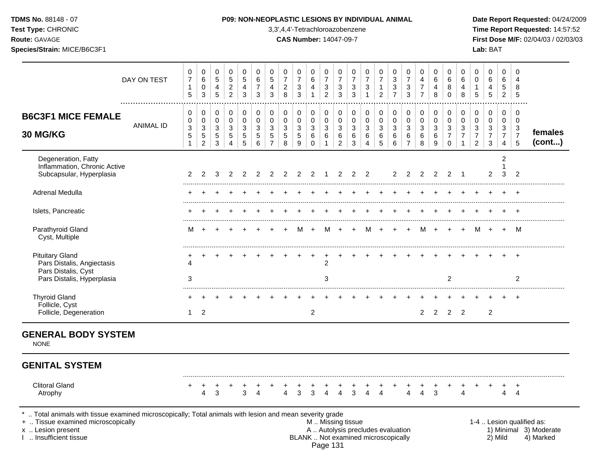| Test Type: CHRONIC<br>Route: GAVAGE<br>Species/Strain: MICE/B6C3F1                                                                                                                      |                  |                                               |                                                            |                       |                                                              |                                                   |                                          |                                                         |                                                  |                                          |                                 |                                                       | 3,3',4,4'-Tetrachloroazobenzene<br><b>CAS Number: 14047-09-7</b>                              |                                                         |                                                     |                                                       |                                        |                                              |                                                                    |                       |                                              |                                                        |                                                                        | Lab: BAT                                    |                                                           |                                              | Time Report Requested: 14:57:52<br>First Dose M/F: 02/04/03 / 02/03/03 |
|-----------------------------------------------------------------------------------------------------------------------------------------------------------------------------------------|------------------|-----------------------------------------------|------------------------------------------------------------|-----------------------|--------------------------------------------------------------|---------------------------------------------------|------------------------------------------|---------------------------------------------------------|--------------------------------------------------|------------------------------------------|---------------------------------|-------------------------------------------------------|-----------------------------------------------------------------------------------------------|---------------------------------------------------------|-----------------------------------------------------|-------------------------------------------------------|----------------------------------------|----------------------------------------------|--------------------------------------------------------------------|-----------------------|----------------------------------------------|--------------------------------------------------------|------------------------------------------------------------------------|---------------------------------------------|-----------------------------------------------------------|----------------------------------------------|------------------------------------------------------------------------|
|                                                                                                                                                                                         | DAY ON TEST      | 0<br>$\overline{7}$<br>1<br>$\sqrt{5}$        | 0<br>6<br>$\pmb{0}$<br>3                                   | 0<br>5<br>4<br>5      | 0<br>$\sqrt{5}$<br>$\overline{c}$<br>$\overline{2}$          | 0<br>$\sqrt{5}$<br>$\overline{4}$<br>$\mathbf{3}$ | $\mathbf{0}$<br>6<br>$\overline{7}$<br>3 | $\mathbf 0$<br>$\,$ 5 $\,$<br>4<br>3                    | 0<br>$\overline{7}$<br>$\overline{c}$<br>$\,8\,$ | 0<br>$\overline{7}$<br>$\mathbf{3}$<br>3 | 0<br>6<br>4<br>$\mathbf{1}$     | 0<br>$\boldsymbol{7}$<br>$\sqrt{3}$<br>$\overline{c}$ | 0<br>$\overline{7}$<br>$\sqrt{3}$<br>3                                                        | 0<br>$\boldsymbol{7}$<br>$\mathbf{3}$<br>$\mathfrak{Z}$ | 0<br>$\boldsymbol{7}$<br>$\sqrt{3}$<br>$\mathbf{1}$ | 0<br>$\overline{7}$<br>$\mathbf{1}$<br>$\overline{2}$ | 0<br>$\sqrt{3}$<br>3<br>$\overline{7}$ | 0<br>$\overline{7}$<br>3<br>3                | 0<br>$\overline{\mathbf{4}}$<br>$\boldsymbol{7}$<br>$\overline{7}$ | 0<br>6<br>4<br>8      | 0<br>6<br>8<br>$\mathbf 0$                   | 0<br>$\,6\,$<br>4<br>$\,8\,$                           | 0<br>$\mathbf 0$<br>$\mathbf{1}$<br>$\sqrt{5}$                         | 0<br>6<br>4<br>$\sqrt{5}$                   | $\mathbf 0$<br>6<br>5<br>$\overline{2}$                   | $\Omega$<br>4<br>8<br>5                      |                                                                        |
| <b>B6C3F1 MICE FEMALE</b><br>30 MG/KG                                                                                                                                                   | <b>ANIMAL ID</b> | 0<br>0<br>$\ensuremath{\mathsf{3}}$<br>5<br>1 | 0<br>0<br>$\ensuremath{\mathsf{3}}$<br>5<br>$\overline{c}$ | 0<br>0<br>3<br>5<br>3 | 0<br>$\boldsymbol{0}$<br>$\mathbf{3}$<br>5<br>$\overline{4}$ | 0<br>$\pmb{0}$<br>$\mathbf{3}$<br>$\sqrt{5}$<br>5 | 0<br>0<br>3<br>$\sqrt{5}$<br>6           | 0<br>$\mathbf 0$<br>$\mathbf{3}$<br>5<br>$\overline{7}$ | 0<br>$\pmb{0}$<br>3<br>$\sqrt{5}$<br>8           | 0<br>0<br>$\sqrt{3}$<br>$\sqrt{5}$<br>9  | 0<br>0<br>3<br>6<br>$\mathbf 0$ | 0<br>0<br>3<br>6                                      | 0<br>$\pmb{0}$<br>$\mathbf{3}$<br>6<br>$\overline{2}$                                         | 0<br>$\mathbf 0$<br>3<br>$\,6\,$<br>3                   | 0<br>$\pmb{0}$<br>$\sqrt{3}$<br>6<br>4              | 0<br>0<br>$\mathbf{3}$<br>6<br>5                      | 0<br>0<br>$\mathbf{3}$<br>6<br>6       | 0<br>$\mathbf 0$<br>3<br>6<br>$\overline{7}$ | 0<br>$\pmb{0}$<br>$\ensuremath{\mathsf{3}}$<br>6<br>8              | 0<br>0<br>3<br>6<br>9 | 0<br>0<br>3<br>$\overline{7}$<br>$\mathbf 0$ | $\pmb{0}$<br>$\pmb{0}$<br>$\sqrt{3}$<br>$\overline{7}$ | 0<br>$\mathbf 0$<br>$\mathbf{3}$<br>$\boldsymbol{7}$<br>$\overline{2}$ | 0<br>0<br>3<br>$\overline{7}$<br>$\sqrt{3}$ | 0<br>$\mathbf 0$<br>3<br>$\overline{7}$<br>$\overline{4}$ | $\mathbf 0$<br>0<br>3<br>$\overline{7}$<br>5 | females<br>(cont)                                                      |
| Degeneration, Fatty<br>Inflammation, Chronic Active<br>Subcapsular, Hyperplasia                                                                                                         |                  | 2                                             | $\mathcal{P}$                                              | 3                     | 2                                                            | 2                                                 | 2                                        | 2                                                       | 2                                                | 2                                        | 2                               |                                                       | 2                                                                                             | 2                                                       | 2                                                   |                                                       | $\mathbf{2}^{\circ}$                   | 2                                            | 2                                                                  | 2                     | 2                                            | -1                                                     |                                                                        | 2                                           | 2<br>1<br>3                                               | 2                                            |                                                                        |
| Adrenal Medulla                                                                                                                                                                         |                  |                                               |                                                            |                       |                                                              |                                                   |                                          |                                                         |                                                  |                                          |                                 |                                                       |                                                                                               |                                                         |                                                     |                                                       |                                        |                                              |                                                                    |                       |                                              |                                                        |                                                                        |                                             |                                                           |                                              |                                                                        |
| Islets, Pancreatic                                                                                                                                                                      |                  |                                               |                                                            |                       |                                                              |                                                   |                                          |                                                         |                                                  |                                          |                                 |                                                       |                                                                                               |                                                         |                                                     |                                                       |                                        |                                              |                                                                    |                       |                                              |                                                        |                                                                        |                                             |                                                           |                                              |                                                                        |
| Parathyroid Gland<br>Cyst, Multiple                                                                                                                                                     |                  | м                                             |                                                            |                       |                                                              |                                                   |                                          |                                                         |                                                  | м                                        |                                 | м                                                     |                                                                                               | $\ddot{}$                                               | м                                                   |                                                       |                                        |                                              | м                                                                  | $+$                   |                                              | $\overline{+}$                                         | M                                                                      | $+$                                         | $+$                                                       | M                                            |                                                                        |
| <b>Pituitary Gland</b><br>Pars Distalis, Angiectasis<br>Pars Distalis, Cyst<br>Pars Distalis, Hyperplasia                                                                               |                  | 4<br>3                                        |                                                            |                       |                                                              |                                                   |                                          |                                                         |                                                  |                                          |                                 | $\overline{2}$<br>3                                   |                                                                                               |                                                         |                                                     |                                                       |                                        |                                              |                                                                    |                       | $\overline{c}$                               |                                                        |                                                                        |                                             |                                                           | $\overline{2}$                               |                                                                        |
| <b>Thyroid Gland</b>                                                                                                                                                                    |                  |                                               |                                                            |                       |                                                              |                                                   |                                          |                                                         |                                                  |                                          |                                 |                                                       |                                                                                               |                                                         |                                                     |                                                       |                                        |                                              |                                                                    |                       |                                              |                                                        |                                                                        |                                             |                                                           |                                              |                                                                        |
| Follicle, Cyst<br>Follicle, Degeneration                                                                                                                                                |                  | 1                                             | $\overline{2}$                                             |                       |                                                              |                                                   |                                          |                                                         |                                                  |                                          | $\overline{2}$                  |                                                       |                                                                                               |                                                         |                                                     |                                                       |                                        |                                              | $\overline{2}$                                                     | $\overline{2}$        |                                              | $2 \quad 2$                                            |                                                                        | $\overline{2}$                              |                                                           |                                              |                                                                        |
| <b>GENERAL BODY SYSTEM</b><br><b>NONE</b>                                                                                                                                               |                  |                                               |                                                            |                       |                                                              |                                                   |                                          |                                                         |                                                  |                                          |                                 |                                                       |                                                                                               |                                                         |                                                     |                                                       |                                        |                                              |                                                                    |                       |                                              |                                                        |                                                                        |                                             |                                                           |                                              |                                                                        |
| <b>GENITAL SYSTEM</b>                                                                                                                                                                   |                  |                                               |                                                            |                       |                                                              |                                                   |                                          |                                                         |                                                  |                                          |                                 |                                                       |                                                                                               |                                                         |                                                     |                                                       |                                        |                                              |                                                                    |                       |                                              |                                                        |                                                                        |                                             |                                                           |                                              |                                                                        |
| <b>Clitoral Gland</b><br>Atrophy                                                                                                                                                        |                  |                                               | 4                                                          | 3                     |                                                              | 3                                                 | 4                                        |                                                         | $\overline{4}$                                   | 3                                        | 3                               | $\overline{4}$                                        | $\overline{4}$                                                                                | 3                                                       | $\mathbf{\Delta}$                                   | $\boldsymbol{\Lambda}$                                |                                        | $\overline{4}$                               | $\Delta$                                                           | 3                     |                                              | $\Delta$                                               |                                                                        |                                             | $\overline{4}$                                            | 4                                            |                                                                        |
| Total animals with tissue examined microscopically; Total animals with lesion and mean severity grade<br>+  Tissue examined microscopically<br>x  Lesion present<br>Insufficient tissue |                  |                                               |                                                            |                       |                                                              |                                                   |                                          |                                                         |                                                  |                                          |                                 |                                                       | M  Missing tissue<br>A  Autolysis precludes evaluation<br>BLANK  Not examined microscopically |                                                         |                                                     |                                                       |                                        |                                              |                                                                    |                       |                                              |                                                        |                                                                        |                                             | 2) Mild                                                   |                                              | 1-4  Lesion qualified as:<br>1) Minimal 3) Moderate<br>4) Marked       |

Page 131

**TDMS No.** 88148 - 07 **P09: NON-NEOPLASTIC LESIONS BY INDIVIDUAL ANIMAL Date Report Requested:** 04/24/2009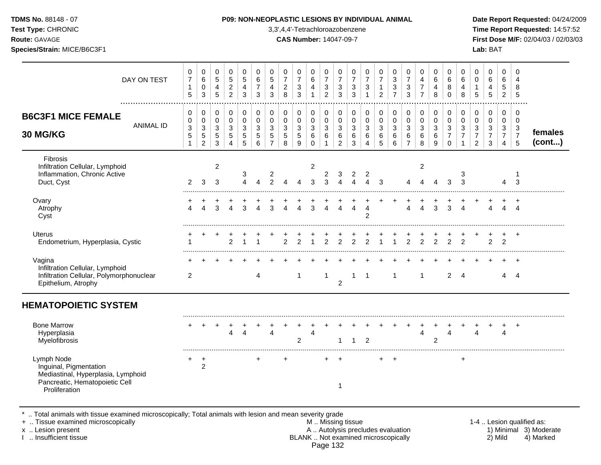|  | <b>TDMS No. 88148 - 07</b> |  |
|--|----------------------------|--|
|  |                            |  |

**Test Type:** CHRONIC 3,3',4,4'-Tetrachloroazobenzene **Time Report Requested:** 14:57:52 **Route:** GAVAGE **CAS Number:** 14047-09-7 **First Dose M/F:** 02/04/03 / 02/03/03 **Species/Strain:** MICE/B6C3F1 **Lab:** BAT

| DAY ON TEST                                                                                                                   | 0<br>$\boldsymbol{7}$<br>$\mathbf{1}$<br>5           | 0<br>$\,6\,$<br>0<br>3                      | 0<br>$\sqrt{5}$<br>4<br>5       | 0<br>5<br>$\overline{c}$<br>$\overline{2}$ | 0<br>$\sqrt{5}$<br>4<br>3     | 0<br>$\,6$<br>$\overline{7}$<br>3                  | 0<br>$\sqrt{5}$<br>$\overline{4}$<br>3               | 0<br>$\overline{7}$<br>$\sqrt{2}$<br>8         | 0<br>$\boldsymbol{7}$<br>$\mathsf 3$<br>$\mathbf{3}$ | $\mathbf 0$<br>6<br>4<br>$\mathbf{1}$ | 0<br>$\overline{7}$<br>3<br>$\overline{2}$ | 0<br>$\boldsymbol{7}$<br>$\sqrt{3}$<br>$\mathbf{3}$ | 0<br>$\overline{7}$<br>3<br>3  | 0<br>$\overline{7}$<br>$\ensuremath{\mathsf{3}}$                   | 0<br>$\overline{7}$<br>$\mathbf{1}$<br>$\overline{2}$ | 0<br>$\sqrt{3}$<br>$\sqrt{3}$<br>$\overline{7}$ | 0<br>$\overline{7}$<br>$\sqrt{3}$<br>$\mathbf{3}$     | 0<br>4<br>$\overline{7}$<br>$\overline{7}$ | 0<br>$\,6$<br>4<br>8                    | 0<br>6<br>8<br>$\Omega$                           | 0<br>$\,6\,$<br>$\overline{4}$<br>8 | 0<br>0<br>$\mathbf{1}$<br>5                                      | 0<br>$\,6\,$<br>$\overline{4}$<br>$\overline{5}$    | $\mathbf 0$<br>6<br>$\overline{5}$<br>$\overline{2}$   | $\Omega$<br>4<br>8<br>5                       |                   |
|-------------------------------------------------------------------------------------------------------------------------------|------------------------------------------------------|---------------------------------------------|---------------------------------|--------------------------------------------|-------------------------------|----------------------------------------------------|------------------------------------------------------|------------------------------------------------|------------------------------------------------------|---------------------------------------|--------------------------------------------|-----------------------------------------------------|--------------------------------|--------------------------------------------------------------------|-------------------------------------------------------|-------------------------------------------------|-------------------------------------------------------|--------------------------------------------|-----------------------------------------|---------------------------------------------------|-------------------------------------|------------------------------------------------------------------|-----------------------------------------------------|--------------------------------------------------------|-----------------------------------------------|-------------------|
| <b>B6C3F1 MICE FEMALE</b><br><b>ANIMAL ID</b><br>30 MG/KG                                                                     | 0<br>0<br>$\mathbf{3}$<br>$\sqrt{5}$<br>$\mathbf{1}$ | 0<br>0<br>3<br>$\sqrt{5}$<br>$\overline{c}$ | $\mathbf 0$<br>0<br>3<br>5<br>3 | 0<br>0<br>3<br>5<br>4                      | $\pmb{0}$<br>0<br>3<br>5<br>5 | $\,0\,$<br>$\mathbf 0$<br>3<br>$\overline{5}$<br>6 | 0<br>0<br>$\sqrt{3}$<br>$\sqrt{5}$<br>$\overline{7}$ | $\pmb{0}$<br>$\pmb{0}$<br>3<br>$\sqrt{5}$<br>8 | 0<br>$\mathbf 0$<br>3<br>5<br>9                      | 0<br>0<br>3<br>6<br>$\mathbf 0$       | 0<br>0<br>3<br>6<br>1                      | 0<br>0<br>$\mathbf{3}$<br>6<br>$\overline{c}$       | 0<br>0<br>$\sqrt{3}$<br>6<br>3 | 0<br>$\pmb{0}$<br>$\ensuremath{\mathsf{3}}$<br>6<br>$\overline{4}$ | 0<br>$\pmb{0}$<br>3<br>$\,6\,$<br>5                   | 0<br>$\pmb{0}$<br>3<br>$\,6\,$<br>6             | 0<br>$\pmb{0}$<br>$\mathbf{3}$<br>6<br>$\overline{7}$ | 0<br>$\pmb{0}$<br>$\sqrt{3}$<br>6<br>8     | $\pmb{0}$<br>$\mathbf 0$<br>3<br>6<br>9 | $\pmb{0}$<br>0<br>3<br>$\overline{7}$<br>$\Omega$ | 0<br>0<br>3<br>$\overline{7}$       | 0<br>$\pmb{0}$<br>$\sqrt{3}$<br>$\overline{7}$<br>$\overline{2}$ | 0<br>$\pmb{0}$<br>$\sqrt{3}$<br>$\overline{7}$<br>3 | $\mathbf 0$<br>$\mathbf 0$<br>3<br>$\overline{7}$<br>4 | 0<br>0<br>$\mathbf{3}$<br>$\overline{7}$<br>5 | females<br>(cont) |
| Fibrosis<br>Infiltration Cellular, Lymphoid<br>Inflammation, Chronic Active<br>Duct, Cyst                                     | $\overline{2}$                                       | 3                                           | $\overline{c}$<br>3             |                                            | 3<br>4                        | $\boldsymbol{\Lambda}$                             | $\frac{2}{2}$                                        | 4                                              |                                                      | $\overline{2}$<br>3                   | $\overline{c}$<br>3                        | 3<br>4                                              | $\overline{\mathbf{c}}$<br>4   | $\overline{c}$<br>$\boldsymbol{\Lambda}$                           | 3                                                     |                                                 |                                                       | $\overline{c}$                             |                                         | 3                                                 | 3<br>3                              |                                                                  |                                                     | 4                                                      | 3                                             |                   |
| Ovary<br>Atrophy<br>Cyst                                                                                                      | $\overline{4}$                                       | 4                                           | 3                               | 4                                          | 3                             | Δ                                                  | 3                                                    | 4                                              | $\overline{4}$                                       | 3                                     |                                            | 4                                                   | 4                              | $\overline{4}$<br>2                                                |                                                       |                                                 | 4                                                     | $\overline{4}$                             | 3                                       | 3                                                 | $\overline{A}$                      |                                                                  | $\overline{4}$                                      | $\overline{4}$                                         | $\ddot{}$<br>$\boldsymbol{\Lambda}$           |                   |
| <b>Uterus</b><br>Endometrium, Hyperplasia, Cystic                                                                             |                                                      |                                             |                                 | 2                                          |                               |                                                    |                                                      | $\overline{2}$                                 | 2                                                    | 1                                     | $\overline{2}$                             | $\overline{2}$                                      | $\mathcal{P}$                  | 2                                                                  | 1                                                     | 1                                               | $\overline{2}$                                        | $\overline{2}$                             | $\overline{2}$                          | 2                                                 | $\overline{2}$                      |                                                                  | $\overline{2}$                                      | 2                                                      | $\div$                                        |                   |
| Vagina<br>Infiltration Cellular, Lymphoid<br>Infiltration Cellular, Polymorphonuclear<br>Epithelium, Atrophy                  | $\overline{2}$                                       |                                             |                                 |                                            |                               | 4                                                  |                                                      |                                                | -1                                                   |                                       | $\mathbf{1}$                               | $\overline{2}$                                      | 1                              | -1                                                                 |                                                       | $\mathbf 1$                                     |                                                       | 1                                          |                                         | $\overline{2}$                                    | $\overline{4}$                      |                                                                  |                                                     | 4                                                      | $\ddot{}$<br>4                                |                   |
| <b>HEMATOPOIETIC SYSTEM</b>                                                                                                   |                                                      |                                             |                                 |                                            |                               |                                                    |                                                      |                                                |                                                      |                                       |                                            |                                                     |                                |                                                                    |                                                       |                                                 |                                                       |                                            |                                         |                                                   |                                     |                                                                  |                                                     |                                                        |                                               |                   |
| <b>Bone Marrow</b><br>Hyperplasia<br>Myelofibrosis                                                                            |                                                      |                                             |                                 | 4                                          | Δ                             |                                                    | $\boldsymbol{\Lambda}$                               |                                                | $\overline{c}$                                       | $\overline{4}$                        |                                            | 1                                                   | 1                              | $\overline{2}$                                                     |                                                       |                                                 |                                                       | $\overline{4}$                             | $\overline{c}$                          | Δ                                                 |                                     | 4                                                                |                                                     | 4                                                      | $\ddot{}$                                     |                   |
| Lymph Node<br>Inguinal, Pigmentation<br>Mediastinal, Hyperplasia, Lymphoid<br>Pancreatic, Hematopoietic Cell<br>Proliferation | +                                                    | $\ddot{}$<br>$\overline{c}$                 |                                 |                                            |                               | +                                                  |                                                      | $\ddot{}$                                      |                                                      |                                       | ÷                                          | $\ddot{}$<br>1                                      |                                |                                                                    | $\pm$                                                 | $\ddot{}$                                       |                                                       |                                            |                                         |                                                   | +                                   |                                                                  |                                                     |                                                        |                                               |                   |

\* .. Total animals with tissue examined microscopically; Total animals with lesion and mean severity grade

+ .. Tissue examined microscopically M .. Missing tissue 1-4 .. Lesion qualified as: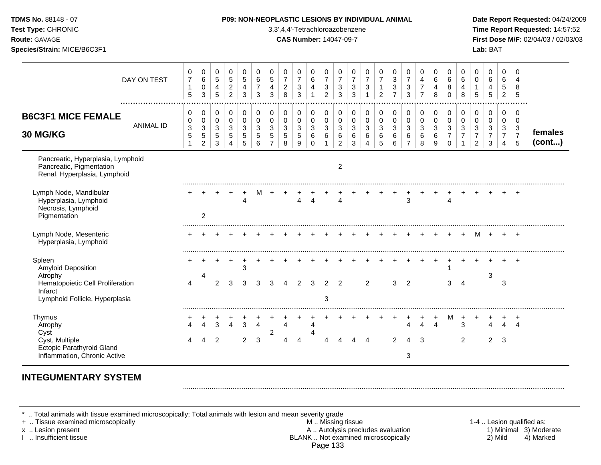| TDMS No. 88148 - 07<br>Test Type: CHRONIC<br>Route: GAVAGE<br>Species/Strain: MICE/B6C3F1                                |                  |                                                         |                                                                  |                                                     |                                                           |                                                              |                                           |                                                        |                                                     | 3,3',4,4'-Tetrachloroazobenzene<br><b>CAS Number: 14047-09-7</b> |                                                   |                                                                              |                                                                            |                                                     |                                                                   |                                                       | P09: NON-NEOPLASTIC LESIONS BY INDIVIDUAL ANIMAL                              |                                              |                                              |                                                 |                                                        |                                                                              |                                                           | Lab: BAT                                               |                                                           |                                                                   | Date Report Requested: 04/24/2009<br>Time Report Requested: 14:57:52<br>First Dose M/F: 02/04/03 / 02/03/03 |
|--------------------------------------------------------------------------------------------------------------------------|------------------|---------------------------------------------------------|------------------------------------------------------------------|-----------------------------------------------------|-----------------------------------------------------------|--------------------------------------------------------------|-------------------------------------------|--------------------------------------------------------|-----------------------------------------------------|------------------------------------------------------------------|---------------------------------------------------|------------------------------------------------------------------------------|----------------------------------------------------------------------------|-----------------------------------------------------|-------------------------------------------------------------------|-------------------------------------------------------|-------------------------------------------------------------------------------|----------------------------------------------|----------------------------------------------|-------------------------------------------------|--------------------------------------------------------|------------------------------------------------------------------------------|-----------------------------------------------------------|--------------------------------------------------------|-----------------------------------------------------------|-------------------------------------------------------------------|-------------------------------------------------------------------------------------------------------------|
|                                                                                                                          | DAY ON TEST      | $\boldsymbol{0}$<br>$\overline{7}$<br>$\mathbf{1}$<br>5 | $\mathbf 0$<br>$\,6\,$<br>$\pmb{0}$<br>$\mathfrak{Z}$            | 0<br>$\sqrt{5}$<br>$\overline{4}$<br>$\overline{5}$ | $\mathbf 0$<br>$\sqrt{5}$<br>$\sqrt{2}$<br>$\overline{2}$ | $\mathbf 0$<br>$\,$ 5 $\,$<br>$\overline{4}$<br>$\mathbf{3}$ | 0<br>6<br>$\overline{7}$<br>$\mathbf{3}$  | 0<br>$\overline{5}$<br>4<br>$\mathbf{3}$               | 0<br>$\overline{7}$<br>$\overline{\mathbf{c}}$<br>8 | 0<br>$\overline{7}$<br>$\ensuremath{\mathsf{3}}$<br>3            | 0<br>6<br>$\overline{\mathbf{4}}$                 | $\mathbf 0$<br>$\overline{7}$<br>$\ensuremath{\mathsf{3}}$<br>$\overline{2}$ | $\mathbf 0$<br>$\overline{7}$<br>$\ensuremath{\mathsf{3}}$<br>$\mathbf{3}$ | 0<br>$\overline{7}$<br>$\mathbf{3}$<br>$\mathbf{3}$ | $\mathbf 0$<br>$\overline{7}$<br>$\sqrt{3}$<br>$\mathbf{1}$       | 0<br>$\overline{7}$<br>$\mathbf{1}$<br>$\overline{c}$ | 0<br>$\ensuremath{\mathsf{3}}$<br>$\ensuremath{\mathsf{3}}$<br>$\overline{7}$ | 0<br>$\overline{7}$<br>3<br>3                | 0<br>4<br>$\boldsymbol{7}$<br>$\overline{7}$ | 0<br>$\,6$<br>$\overline{\mathbf{4}}$<br>8      | 0<br>$\,6\,$<br>8<br>$\mathsf{O}\xspace$               | $\mathbf 0$<br>$\,6\,$<br>$\overline{4}$<br>8                                | $\mathbf 0$<br>$\Omega$<br>$\mathbf{1}$<br>5              | $\mathbf 0$<br>6<br>$\overline{4}$<br>5                | 0<br>6<br>5<br>$\overline{2}$                             | $\Omega$<br>8<br>$\sqrt{5}$                                       |                                                                                                             |
| <b>B6C3F1 MICE FEMALE</b><br>30 MG/KG                                                                                    | <b>ANIMAL ID</b> | 0<br>0<br>3<br>5<br>$\mathbf{1}$                        | 0<br>$\mathbf 0$<br>$\mathbf{3}$<br>$\sqrt{5}$<br>$\overline{2}$ | $\mathbf 0$<br>$\mathbf 0$<br>3<br>$\sqrt{5}$<br>3  | $\mathbf 0$<br>$\mathbf 0$<br>3<br>$\sqrt{5}$<br>4        | $\mathbf 0$<br>$\mathbf 0$<br>3<br>$\sqrt{5}$<br>5           | $\mathbf 0$<br>$\mathbf 0$<br>3<br>5<br>6 | $\mathbf 0$<br>$\mathbf 0$<br>3<br>5<br>$\overline{7}$ | 0<br>0<br>3<br>5<br>8                               | $\mathbf 0$<br>0<br>3<br>$5\phantom{.0}$<br>9                    | 0<br>$\mathbf 0$<br>$\mathbf{3}$<br>6<br>$\Omega$ | 0<br>0<br>3<br>6                                                             | 0<br>$\mathbf 0$<br>$\mathbf{3}$<br>$\,6\,$<br>$\overline{2}$              | 0<br>$\mathbf 0$<br>3<br>6<br>3                     | $\mathbf 0$<br>$\mathbf 0$<br>$\mathbf{3}$<br>6<br>$\overline{4}$ | 0<br>$\mathbf 0$<br>3<br>6<br>5                       | 0<br>$\mathbf 0$<br>$\sqrt{3}$<br>6<br>6                                      | 0<br>$\mathbf 0$<br>3<br>6<br>$\overline{7}$ | 0<br>0<br>3<br>6<br>8                        | $\mathbf 0$<br>$\mathbf 0$<br>3<br>$\,6\,$<br>9 | 0<br>$\mathbf 0$<br>3<br>$\overline{7}$<br>$\mathbf 0$ | $\mathbf 0$<br>$\mathbf 0$<br>$\mathbf{3}$<br>$\overline{7}$<br>$\mathbf{1}$ | 0<br>$\mathbf 0$<br>3<br>$\overline{7}$<br>$\overline{2}$ | $\mathbf 0$<br>$\mathbf 0$<br>3<br>$\overline{7}$<br>3 | 0<br>$\mathbf 0$<br>3<br>$\overline{7}$<br>$\overline{4}$ | $\Omega$<br>$\mathbf 0$<br>3<br>$\overline{7}$<br>$5\phantom{.0}$ | females<br>(cont)                                                                                           |
| Pancreatic, Hyperplasia, Lymphoid<br>Pancreatic, Pigmentation<br>Renal, Hyperplasia, Lymphoid                            |                  |                                                         |                                                                  |                                                     |                                                           |                                                              |                                           |                                                        |                                                     |                                                                  |                                                   |                                                                              | $\overline{2}$                                                             |                                                     |                                                                   |                                                       |                                                                               |                                              |                                              |                                                 |                                                        |                                                                              |                                                           |                                                        |                                                           |                                                                   |                                                                                                             |
| Lymph Node, Mandibular<br>Hyperplasia, Lymphoid<br>Necrosis, Lymphoid<br>Pigmentation                                    |                  |                                                         | $\overline{2}$                                                   |                                                     | $\ddot{}$                                                 | $\ddot{}$<br>$\overline{4}$                                  |                                           | M +                                                    |                                                     | $\overline{4}$                                                   | $\ddot{}$<br>$\overline{4}$                       | $+$                                                                          | $\overline{4}$                                                             |                                                     |                                                                   |                                                       | $+$                                                                           | $\ddot{}$<br>3                               | $+$                                          | $\ddot{}$                                       | $\ddot{}$<br>4                                         | $+$                                                                          |                                                           |                                                        |                                                           |                                                                   |                                                                                                             |
| Lymph Node, Mesenteric<br>Hyperplasia, Lymphoid                                                                          |                  |                                                         |                                                                  |                                                     |                                                           |                                                              |                                           |                                                        |                                                     |                                                                  |                                                   |                                                                              |                                                                            |                                                     |                                                                   |                                                       |                                                                               |                                              |                                              | $+$                                             | $+$                                                    | $+$                                                                          |                                                           | M +                                                    | $+$                                                       | $+$                                                               |                                                                                                             |
| Spleen<br>Amyloid Deposition<br>Atrophy<br>Hematopoietic Cell Proliferation<br>Infarct<br>Lymphoid Follicle, Hyperplasia |                  | 4                                                       | 4                                                                | $\mathcal{P}$                                       | $\ddot{}$<br>3                                            | $\overline{+}$<br>3                                          | 3                                         | 3                                                      | $\Lambda$                                           | $\mathcal{P}$                                                    | 3                                                 | $\overline{2}$<br>3                                                          | $\overline{2}$                                                             |                                                     | $\overline{2}$                                                    |                                                       | 3                                                                             | $+$<br>$\overline{2}$                        | $+$                                          | $\ddot{}$                                       | $\pm$<br>3                                             | $\boldsymbol{\Lambda}$                                                       |                                                           | 3                                                      | 3                                                         |                                                                   |                                                                                                             |
| Thymus<br>Atrophy<br>Cyst<br>Cyst, Multiple<br><b>Ectopic Parathyroid Gland</b><br>Inflammation, Chronic Active          |                  |                                                         | Δ<br>4                                                           | 3<br>2                                              | 4                                                         | 3<br>$\overline{2}$                                          | $\overline{4}$<br>$\mathbf{3}$            | $\overline{\mathbf{c}}$                                | $\overline{4}$<br>4                                 | 4                                                                | 4<br>4                                            |                                                                              |                                                                            |                                                     | Δ                                                                 |                                                       | $\overline{2}$                                                                | $\overline{4}$<br>4<br>3                     | 3                                            | $\boldsymbol{\varDelta}$                        | м                                                      | 3<br>$\overline{2}$                                                          |                                                           | 4<br>$\overline{2}$                                    | $\overline{4}$<br>3                                       | $_{+}$<br>$\overline{4}$                                          |                                                                                                             |

# **INTEGUMENTARY SYSTEM**

\* .. Total animals with tissue examined microscopically; Total animals with lesion and mean severity grade

+ .. Tissue examined microscopically M .. Missing tissue 1-4 .. Lesion qualified as: x .. Lesion present **A .. Autolysis precludes evaluation** A .. Autolysis precludes evaluation 1) Minimal 3) Moderate I .. Insufficient tissue BLANK .. Not examined microscopically 2) Mild 4) Marked Page 133

.........................................................................................................................................................................................................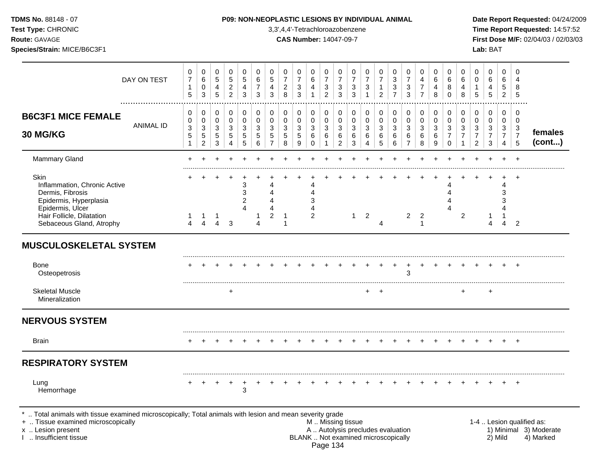|  | <b>TDMS No.</b> 88148 - 07 |  |
|--|----------------------------|--|
|  |                            |  |

# **P09: NON-NEOPLASTIC LESIONS BY INDIVIDUAL ANIMAL Date Report Requested:** 04/24/2009

**Test Type:** CHRONIC 3,3',4,4'-Tetrachloroazobenzene **Time Report Requested:** 14:57:52 **Route:** GAVAGE **CAS Number:** 14047-09-7 **First Dose M/F:** 02/04/03 / 02/03/03

|                                                                                                                                                                        | DAY ON TEST      | 0<br>$\boldsymbol{7}$<br>$\mathbf{1}$<br>5               | 0<br>6<br>0<br>3                                                     | 0<br>$\,$ 5 $\,$<br>4<br>5                          | 0<br>$\,$ 5 $\,$<br>$\overline{\mathbf{c}}$<br>$\overline{2}$ | 0<br>$\sqrt{5}$<br>4<br>3                                       | 0<br>6<br>$\overline{7}$<br>3   | 0<br>$\,$ 5 $\,$<br>4<br>3                   | 0<br>$\overline{7}$<br>$\overline{c}$<br>8 | 0<br>$\overline{7}$<br>3<br>3   | 0<br>6<br>4<br>$\mathbf{1}$     | 0<br>$\boldsymbol{7}$<br>3<br>$\overline{2}$ | 0<br>$\overline{\mathbf{7}}$<br>3<br>3                                   | 0<br>$\overline{7}$<br>3<br>3            | 0<br>$\overline{7}$<br>3<br>$\mathbf{1}$              | 0<br>$\overline{7}$<br>$\overline{2}$ | 0<br>$\sqrt{3}$<br>$\ensuremath{\mathsf{3}}$<br>$\overline{7}$ | 0<br>$\boldsymbol{7}$<br>$\ensuremath{\mathsf{3}}$<br>3 | 0<br>$\overline{4}$<br>$\overline{7}$<br>$\overline{7}$ | 0<br>6<br>4<br>8                | 0<br>6<br>8<br>$\mathbf 0$                | 0<br>6<br>4<br>8                | 0<br>$\mathbf 0$<br>5                                                | 0<br>$\,6$<br>$\overline{4}$<br>5                      | 0<br>6<br>5<br>$\overline{2}$                             | 0<br>$\overline{4}$<br>8<br>5                 |                           |
|------------------------------------------------------------------------------------------------------------------------------------------------------------------------|------------------|----------------------------------------------------------|----------------------------------------------------------------------|-----------------------------------------------------|---------------------------------------------------------------|-----------------------------------------------------------------|---------------------------------|----------------------------------------------|--------------------------------------------|---------------------------------|---------------------------------|----------------------------------------------|--------------------------------------------------------------------------|------------------------------------------|-------------------------------------------------------|---------------------------------------|----------------------------------------------------------------|---------------------------------------------------------|---------------------------------------------------------|---------------------------------|-------------------------------------------|---------------------------------|----------------------------------------------------------------------|--------------------------------------------------------|-----------------------------------------------------------|-----------------------------------------------|---------------------------|
| <b>B6C3F1 MICE FEMALE</b><br>30 MG/KG                                                                                                                                  | <b>ANIMAL ID</b> | 0<br>0<br>$\ensuremath{\mathsf{3}}$<br>5<br>$\mathbf{1}$ | 0<br>0<br>$\ensuremath{\mathsf{3}}$<br>$\mathbf 5$<br>$\overline{2}$ | 0<br>$\mathbf 0$<br>3<br>$\sqrt{5}$<br>$\mathbf{3}$ | 0<br>$\mathbf 0$<br>3<br>5<br>4                               | 0<br>$\mathbf 0$<br>$\ensuremath{\mathsf{3}}$<br>5<br>5         | 0<br>$\mathbf 0$<br>3<br>5<br>6 | 0<br>$\mathbf 0$<br>3<br>5<br>$\overline{7}$ | 0<br>$\mathbf 0$<br>3<br>5<br>8            | 0<br>$\mathbf 0$<br>3<br>5<br>9 | 0<br>0<br>3<br>6<br>$\mathbf 0$ | 0<br>$\mathbf 0$<br>3<br>6<br>$\mathbf{1}$   | 0<br>$\mathbf 0$<br>$\ensuremath{\mathsf{3}}$<br>$\,6$<br>$\overline{a}$ | 0<br>$\mathbf 0$<br>$\sqrt{3}$<br>6<br>3 | 0<br>$\mathbf 0$<br>3<br>6<br>$\overline{\mathbf{4}}$ | 0<br>0<br>$\sqrt{3}$<br>6<br>5        | 0<br>$\mathbf 0$<br>$\sqrt{3}$<br>$\,6\,$<br>$\,6\,$           | 0<br>0<br>$\mathbf{3}$<br>6<br>$\overline{7}$           | 0<br>$\mathbf 0$<br>$\sqrt{3}$<br>6<br>8                | 0<br>$\mathbf 0$<br>3<br>6<br>9 | 0<br>$\mathbf 0$<br>3<br>7<br>$\mathbf 0$ | 0<br>$\mathbf 0$<br>3<br>7<br>1 | 0<br>$\mathbf 0$<br>$\mathbf{3}$<br>$\overline{7}$<br>$\overline{2}$ | 0<br>0<br>$\sqrt{3}$<br>$\overline{7}$<br>$\mathbf{3}$ | 0<br>$\mathbf 0$<br>3<br>$\overline{7}$<br>$\overline{4}$ | 0<br>0<br>$\mathbf{3}$<br>$\overline{7}$<br>5 | females<br>(cont)         |
| <b>Mammary Gland</b>                                                                                                                                                   |                  |                                                          |                                                                      |                                                     |                                                               |                                                                 |                                 |                                              |                                            |                                 |                                 |                                              |                                                                          |                                          |                                                       |                                       |                                                                |                                                         |                                                         |                                 |                                           |                                 |                                                                      |                                                        |                                                           | $\div$                                        |                           |
| <b>Skin</b><br>Inflammation, Chronic Active<br>Dermis, Fibrosis<br>Epidermis, Hyperplasia<br>Epidermis, Ulcer<br>Hair Follicle, Dilatation<br>Sebaceous Gland, Atrophy |                  | 1<br>4                                                   | $\mathbf{1}$<br>$\overline{4}$                                       | -1<br>$\overline{4}$                                | 3                                                             | 3<br>$\ensuremath{\mathsf{3}}$<br>2<br>$\boldsymbol{\varDelta}$ | 1<br>4                          | Δ<br>$\overline{2}$                          | -1<br>$\overline{1}$                       |                                 | 4<br>3<br>$\overline{2}$        |                                              |                                                                          | $\mathbf{1}$                             | $\overline{2}$                                        | $\overline{4}$                        |                                                                | $\overline{2}$                                          | $\overline{2}$<br>$\overline{1}$                        |                                 | Δ                                         | $\overline{2}$                  |                                                                      | 1<br>4                                                 | 4<br>3<br>$\overline{4}$                                  | $\ddot{}$<br>2                                |                           |
| <b>MUSCULOSKELETAL SYSTEM</b>                                                                                                                                          |                  |                                                          |                                                                      |                                                     |                                                               |                                                                 |                                 |                                              |                                            |                                 |                                 |                                              |                                                                          |                                          |                                                       |                                       |                                                                |                                                         |                                                         |                                 |                                           |                                 |                                                                      |                                                        |                                                           |                                               |                           |
| Bone<br>Osteopetrosis                                                                                                                                                  |                  |                                                          |                                                                      |                                                     |                                                               |                                                                 |                                 |                                              |                                            |                                 |                                 |                                              |                                                                          |                                          |                                                       |                                       |                                                                | 3                                                       |                                                         |                                 |                                           |                                 |                                                                      |                                                        |                                                           | $\ddot{}$                                     |                           |
| <b>Skeletal Muscle</b><br>Mineralization                                                                                                                               |                  |                                                          |                                                                      |                                                     | $\div$                                                        |                                                                 |                                 |                                              |                                            |                                 |                                 |                                              |                                                                          |                                          |                                                       | $\overline{ }$                        |                                                                |                                                         |                                                         |                                 |                                           |                                 |                                                                      | +                                                      |                                                           |                                               |                           |
| <b>NERVOUS SYSTEM</b>                                                                                                                                                  |                  |                                                          |                                                                      |                                                     |                                                               |                                                                 |                                 |                                              |                                            |                                 |                                 |                                              |                                                                          |                                          |                                                       |                                       |                                                                |                                                         |                                                         |                                 |                                           |                                 |                                                                      |                                                        |                                                           |                                               |                           |
| Brain                                                                                                                                                                  |                  |                                                          |                                                                      |                                                     |                                                               |                                                                 |                                 |                                              |                                            |                                 |                                 |                                              |                                                                          |                                          |                                                       |                                       |                                                                |                                                         |                                                         |                                 |                                           |                                 |                                                                      |                                                        |                                                           | $\ddot{}$                                     |                           |
| <b>RESPIRATORY SYSTEM</b>                                                                                                                                              |                  |                                                          |                                                                      |                                                     |                                                               |                                                                 |                                 |                                              |                                            |                                 |                                 |                                              |                                                                          |                                          |                                                       |                                       |                                                                |                                                         |                                                         |                                 |                                           |                                 |                                                                      |                                                        |                                                           |                                               |                           |
| Lung<br>Hemorrhage                                                                                                                                                     |                  |                                                          |                                                                      |                                                     |                                                               | $\ensuremath{\mathsf{3}}$                                       |                                 |                                              |                                            |                                 |                                 |                                              |                                                                          |                                          |                                                       |                                       |                                                                |                                                         |                                                         |                                 |                                           |                                 |                                                                      |                                                        |                                                           | $\ddot{}$                                     |                           |
| $\ast$<br>Total animals with tissue examined microscopically; Total animals with lesion and mean severity grade<br>+  Tissue examined microscopically                  |                  |                                                          |                                                                      |                                                     |                                                               |                                                                 |                                 |                                              |                                            |                                 |                                 |                                              | M. Missing tissue                                                        |                                          |                                                       |                                       |                                                                |                                                         |                                                         |                                 |                                           |                                 |                                                                      |                                                        |                                                           |                                               | 1-4  Lesion qualified as: |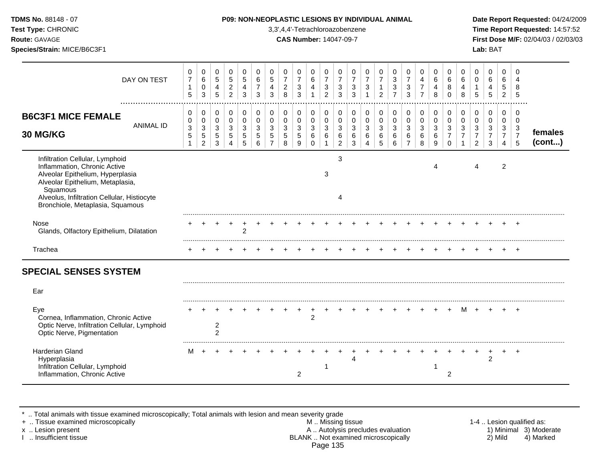| TDMS No. 88148 - 07<br>Test Type: CHRONIC<br>Route: GAVAGE<br>Species/Strain: MICE/B6C3F1                                                                                                                                              |                                           |                                                                     |                                                          |                                                     |                                                     |                                                      |                                                                     |                                                         |                                                     |                                                           | P09: NON-NEOPLASTIC LESIONS BY INDIVIDUAL ANIMAL<br>3,3',4,4'-Tetrachloroazobenzene<br><b>CAS Number: 14047-09-7</b> |                                                                       |                                 |                                                 |                                                          |                                                      |                               |                                                           |                       |                                                           |                                                                 |                                                          | Lab: BAT                                                        |                                                           |                                                                | Date Report Requested: 04/24/2009<br>Time Report Requested: 14:57:52<br>First Dose M/F: 02/04/03 / 02/03/03 |
|----------------------------------------------------------------------------------------------------------------------------------------------------------------------------------------------------------------------------------------|-------------------------------------------|---------------------------------------------------------------------|----------------------------------------------------------|-----------------------------------------------------|-----------------------------------------------------|------------------------------------------------------|---------------------------------------------------------------------|---------------------------------------------------------|-----------------------------------------------------|-----------------------------------------------------------|----------------------------------------------------------------------------------------------------------------------|-----------------------------------------------------------------------|---------------------------------|-------------------------------------------------|----------------------------------------------------------|------------------------------------------------------|-------------------------------|-----------------------------------------------------------|-----------------------|-----------------------------------------------------------|-----------------------------------------------------------------|----------------------------------------------------------|-----------------------------------------------------------------|-----------------------------------------------------------|----------------------------------------------------------------|-------------------------------------------------------------------------------------------------------------|
| DAY ON TEST                                                                                                                                                                                                                            | 0<br>$\overline{7}$<br>$\mathbf{1}$<br>5  | 0<br>6<br>$\pmb{0}$<br>3                                            | $\mathbf 0$<br>$\sqrt{5}$<br>$\overline{4}$<br>5         | 0<br>$\sqrt{5}$<br>$\overline{c}$<br>$\overline{a}$ | 0<br>5<br>$\overline{4}$<br>3                       | 0<br>$\,6$<br>$\overline{7}$<br>3                    | 0<br>$\sqrt{5}$<br>$\overline{\mathbf{4}}$<br>3                     | 0<br>$\overline{7}$<br>$\overline{c}$<br>8              | 0<br>$\overline{7}$<br>$\sqrt{3}$<br>$\mathfrak{Z}$ | $\pmb{0}$<br>$\,6$<br>$\overline{4}$                      | 0<br>$\overline{7}$<br>$\sqrt{3}$<br>$\overline{2}$                                                                  | $\mathbf 0$<br>$\overline{7}$<br>$\sqrt{3}$<br>3                      | 0<br>$\overline{7}$<br>3<br>3   | 0<br>$\overline{7}$<br>$\sqrt{3}$               | 0<br>$\overline{7}$<br>$\mathbf{1}$<br>$\overline{c}$    | 0<br>3<br>$\sqrt{3}$<br>$\overline{7}$               | 0<br>$\overline{7}$<br>3<br>3 | 0<br>$\overline{4}$<br>$\boldsymbol{7}$<br>$\overline{7}$ | 0<br>6<br>4<br>8      | 0<br>6<br>$\bf 8$<br>$\Omega$                             | 0<br>$6\phantom{1}6$<br>$\overline{\mathbf{4}}$<br>8            | 0<br>$\Omega$<br>$\mathbf{1}$<br>5                       | 0<br>$\,6\,$<br>4<br>5                                          | $\mathbf 0$<br>6<br>5<br>$\overline{2}$                   | 0<br>8<br>$\sqrt{5}$                                           |                                                                                                             |
| <b>B6C3F1 MICE FEMALE</b><br><b>ANIMAL ID</b><br><b>30 MG/KG</b>                                                                                                                                                                       | 0<br>0<br>3<br>$\sqrt{5}$<br>$\mathbf{1}$ | 0<br>0<br>$\ensuremath{\mathsf{3}}$<br>$\sqrt{5}$<br>$\overline{2}$ | 0<br>$\mathbf 0$<br>$\mathbf{3}$<br>$5\phantom{.0}$<br>3 | 0<br>$\mathbf 0$<br>$\mathbf{3}$<br>5<br>4          | 0<br>$\mathbf 0$<br>$\mathbf{3}$<br>$\sqrt{5}$<br>5 | $\mathbf 0$<br>$\mathbf 0$<br>$\mathbf{3}$<br>5<br>6 | 0<br>0<br>$\ensuremath{\mathsf{3}}$<br>$\sqrt{5}$<br>$\overline{7}$ | 0<br>$\mathbf 0$<br>$\ensuremath{\mathsf{3}}$<br>5<br>8 | $\mathbf 0$<br>0<br>$\mathbf{3}$<br>$\sqrt{5}$<br>9 | $\mathbf 0$<br>$\mathsf 0$<br>$\sqrt{3}$<br>6<br>$\Omega$ | 0<br>$\mathsf{O}\xspace$<br>$\ensuremath{\mathsf{3}}$<br>6<br>$\mathbf{1}$                                           | $\mathbf 0$<br>$\mathbf 0$<br>$\sqrt{3}$<br>$\,6\,$<br>$\overline{c}$ | 0<br>$\mathbf 0$<br>3<br>6<br>3 | $\mathbf 0$<br>$\mathbf 0$<br>$\mathbf{3}$<br>6 | $\mathbf 0$<br>$\mathbf 0$<br>$\sqrt{3}$<br>$\,6\,$<br>5 | $\mathbf 0$<br>$\mathbf 0$<br>$\mathbf{3}$<br>6<br>6 | 0<br>0<br>3<br>6              | 0<br>$\mathbf 0$<br>$\mathfrak{S}$<br>6<br>8              | 0<br>0<br>3<br>6<br>9 | 0<br>0<br>$\mathfrak{S}$<br>$\overline{7}$<br>$\mathbf 0$ | 0<br>$\mathbf 0$<br>$\ensuremath{\mathsf{3}}$<br>$\overline{7}$ | 0<br>0<br>$\sqrt{3}$<br>$\overline{7}$<br>$\overline{2}$ | $\mathbf 0$<br>$\mathbf 0$<br>$\sqrt{3}$<br>$\overline{7}$<br>3 | 0<br>$\mathbf 0$<br>3<br>$\overline{7}$<br>$\overline{4}$ | $\Omega$<br>$\mathbf 0$<br>$\mathbf{3}$<br>$\overline{7}$<br>5 | females<br>(cont)                                                                                           |
| Infiltration Cellular, Lymphoid<br>Inflammation, Chronic Active<br>Alveolar Epithelium, Hyperplasia<br>Alveolar Epithelium, Metaplasia,<br>Squamous<br>Alveolus, Infiltration Cellular, Histiocyte<br>Bronchiole, Metaplasia, Squamous |                                           |                                                                     |                                                          |                                                     |                                                     |                                                      |                                                                     |                                                         |                                                     |                                                           | 3                                                                                                                    | 3<br>$\overline{4}$                                                   |                                 |                                                 |                                                          |                                                      |                               |                                                           | 4                     |                                                           |                                                                 | 4                                                        |                                                                 | $\overline{c}$                                            |                                                                |                                                                                                             |
| Nose<br>Glands, Olfactory Epithelium, Dilatation                                                                                                                                                                                       |                                           |                                                                     |                                                          |                                                     | $^+$<br>$\overline{2}$                              | $\ddot{}$                                            |                                                                     |                                                         |                                                     |                                                           |                                                                                                                      |                                                                       |                                 |                                                 |                                                          |                                                      |                               |                                                           |                       |                                                           |                                                                 |                                                          |                                                                 |                                                           |                                                                |                                                                                                             |
| Trachea                                                                                                                                                                                                                                |                                           |                                                                     |                                                          |                                                     |                                                     |                                                      |                                                                     |                                                         |                                                     |                                                           |                                                                                                                      |                                                                       |                                 |                                                 |                                                          |                                                      |                               |                                                           |                       |                                                           |                                                                 |                                                          |                                                                 |                                                           |                                                                |                                                                                                             |
| <b>SPECIAL SENSES SYSTEM</b>                                                                                                                                                                                                           |                                           |                                                                     |                                                          |                                                     |                                                     |                                                      |                                                                     |                                                         |                                                     |                                                           |                                                                                                                      |                                                                       |                                 |                                                 |                                                          |                                                      |                               |                                                           |                       |                                                           |                                                                 |                                                          |                                                                 |                                                           |                                                                |                                                                                                             |
| Ear                                                                                                                                                                                                                                    |                                           |                                                                     |                                                          |                                                     |                                                     |                                                      |                                                                     |                                                         |                                                     |                                                           |                                                                                                                      |                                                                       |                                 |                                                 |                                                          |                                                      |                               |                                                           |                       |                                                           |                                                                 |                                                          |                                                                 |                                                           |                                                                |                                                                                                             |
| Eye<br>Cornea, Inflammation, Chronic Active<br>Optic Nerve, Infiltration Cellular, Lymphoid<br>Optic Nerve, Pigmentation                                                                                                               |                                           |                                                                     | 2<br>$\overline{c}$                                      |                                                     |                                                     |                                                      |                                                                     |                                                         |                                                     | 2                                                         |                                                                                                                      |                                                                       |                                 |                                                 |                                                          |                                                      |                               |                                                           |                       |                                                           | M                                                               |                                                          |                                                                 |                                                           |                                                                |                                                                                                             |
| <b>Harderian Gland</b><br>Hyperplasia<br>Infiltration Cellular, Lymphoid<br>Inflammation, Chronic Active                                                                                                                               |                                           | M +                                                                 |                                                          |                                                     |                                                     |                                                      |                                                                     |                                                         | $\overline{c}$                                      |                                                           |                                                                                                                      |                                                                       | 4                               |                                                 |                                                          |                                                      |                               |                                                           | -1                    | $\overline{2}$                                            |                                                                 |                                                          | 2                                                               |                                                           | $^{+}$                                                         |                                                                                                             |

\* .. Total animals with tissue examined microscopically; Total animals with lesion and mean severity grade

Inflammation, Chronic Active 2 2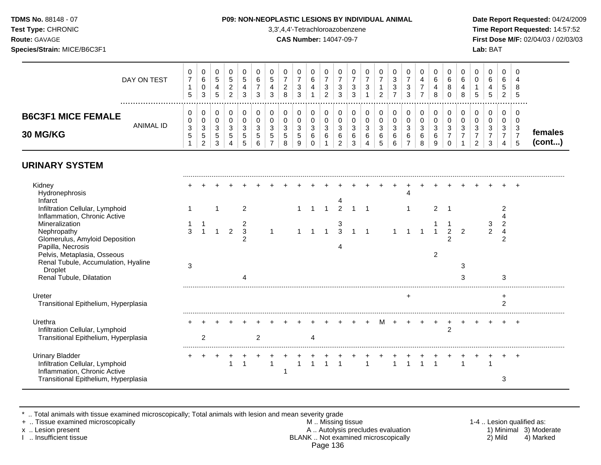**Test Type:** CHRONIC 3,3',4,4'-Tetrachloroazobenzene **Time Report Requested:** 14:57:52 **Route:** GAVAGE **CAS Number:** 14047-09-7 **First Dose M/F:** 02/04/03 / 02/03/03 **Species/Strain:** MICE/B6C3F1 **Lab:** BAT

|                                              | DAY ON TEST<br> | 0<br><sub>5</sub>           | v<br>6<br>v<br>3           | U<br>5<br>4<br>5 | υ<br>G<br>っ<br>▃                | 0<br>5<br>3                 | U<br>6<br>3       | c       | 0<br>◠<br><u>_</u><br>8 | ت<br>$\sim$                      | U<br>6<br>4 | υ<br>3            | U<br>3<br>3                     | v<br>3<br><sup>o</sup><br>ა | k. | 0<br>⌒                 | v<br><sup>o</sup><br>ີ<br>J | U<br>ີ<br>c | v                     | υ<br>6<br>8      | U<br>6<br>8 | <b>C</b> | 0<br>0<br>b.           | v<br>- 6<br>4<br>5               | 0<br>6<br><sub>5</sub><br>2 | 0<br>8<br>$\mathbf{p}$ |                   |
|----------------------------------------------|-----------------|-----------------------------|----------------------------|------------------|---------------------------------|-----------------------------|-------------------|---------|-------------------------|----------------------------------|-------------|-------------------|---------------------------------|-----------------------------|----|------------------------|-----------------------------|-------------|-----------------------|------------------|-------------|----------|------------------------|----------------------------------|-----------------------------|------------------------|-------------------|
| <b>B6C3F1 MICE FEMALE</b><br><b>30 MG/KG</b> | ANIMAL ID       | 0<br>0<br>3<br><sub>5</sub> | ◡<br>v<br>$\sim$<br>◡<br>5 | ◠<br>ບ<br>5      | $\sqrt{2}$<br>J<br><sub>5</sub> | 0<br>0<br>3<br><sub>5</sub> | ັ<br><sub>5</sub> | ັບ<br>G | ◠<br>-3<br>.5<br>8      | <sup>o</sup><br>ت<br>$\mathbf b$ | າ<br>ັ<br>6 | u<br>⌒<br>ັບ<br>6 | 0<br>υ<br>3<br>$\sim$<br>6<br>◠ | - 0<br>6                    | Ñ  | 0<br>O<br>⌒<br>-3<br>6 | $\sim$<br>ັ<br>6<br>ົ       | વ<br>ບ<br>6 | v<br>2<br>◡<br>6<br>8 | υ<br>3<br>6<br>9 | ົ<br>◡      | Ñ        | $\sqrt{2}$<br>- 3<br>ົ | υ<br><sup>o</sup><br>ັ<br>◠<br>ີ | U<br>ີ<br>ັ                 | 0<br><b>U</b><br>-3    | temales<br>(cont) |

# **URINARY SYSTEM**

| Kidney<br>Hydronephrosis                                                                  |   |  |   |  |  |  |                         |  |  |  |   |   |               |   |    |  |
|-------------------------------------------------------------------------------------------|---|--|---|--|--|--|-------------------------|--|--|--|---|---|---------------|---|----|--|
| Infarct<br>Infiltration Cellular, Lymphoid<br>Inflammation, Chronic Active                |   |  |   |  |  |  |                         |  |  |  | 2 |   |               |   |    |  |
| Mineralization                                                                            |   |  |   |  |  |  | 3                       |  |  |  |   |   |               |   |    |  |
| Nephropathy<br>Glomerulus, Amyloid Deposition<br>Papilla, Necrosis                        |   |  | 3 |  |  |  | $\overline{\mathbf{3}}$ |  |  |  |   |   | $\mathcal{P}$ | c |    |  |
| Pelvis, Metaplasia, Osseous                                                               |   |  |   |  |  |  |                         |  |  |  |   |   |               |   |    |  |
| Renal Tubule, Accumulation, Hyaline<br>Droplet                                            | 3 |  |   |  |  |  |                         |  |  |  |   |   | 3             |   |    |  |
| Renal Tubule, Dilatation                                                                  |   |  |   |  |  |  |                         |  |  |  |   |   | 3             |   | ্ব |  |
| Ureter<br>Transitional Epithelium, Hyperplasia                                            |   |  |   |  |  |  |                         |  |  |  |   |   |               |   |    |  |
| Urethra<br>Infiltration Cellular, Lymphoid<br>Transitional Epithelium, Hyperplasia        |   |  |   |  |  |  |                         |  |  |  |   | 2 |               |   |    |  |
|                                                                                           |   |  |   |  |  |  |                         |  |  |  |   |   |               |   |    |  |
| <b>Urinary Bladder</b><br>Infiltration Cellular, Lymphoid<br>Inflammation, Chronic Active |   |  |   |  |  |  |                         |  |  |  |   |   |               |   |    |  |
| Transitional Epithelium, Hyperplasia                                                      |   |  |   |  |  |  |                         |  |  |  |   |   |               |   |    |  |

\* .. Total animals with tissue examined microscopically; Total animals with lesion and mean severity grade<br>+ .. Tissue examined microscopically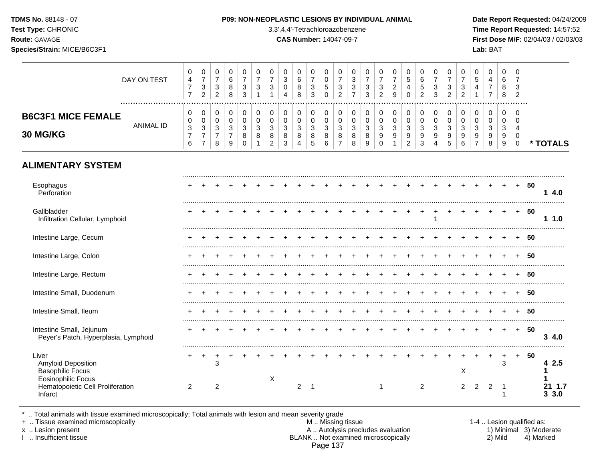### **TDMS No.** 88148 - 07 **P09: NON-NEOPLASTIC LESIONS BY INDIVIDUAL ANIMAL Date Report Requested:** 04/24/2009

**Test Type:** CHRONIC 3,3',4,4'-Tetrachloroazobenzene **Time Report Requested:** 14:57:52 **Route:** GAVAGE **CAS Number:** 14047-09-7 **First Dose M/F:** 02/04/03 / 02/03/03

|                                                                                     | DAY ON TEST      | $\,0\,$<br>$\overline{\mathbf{4}}$<br>$\overline{7}$<br>$\overline{7}$                | $\pmb{0}$<br>$\boldsymbol{7}$<br>$\sqrt{3}$<br>$\overline{2}$                     | 0<br>$\overline{7}$<br>$\mathbf{3}$<br>$\overline{c}$   | 0<br>$\,6\,$<br>8<br>8                                | $\mathbf 0$<br>$\overline{7}$<br>$\mathbf{3}$<br>3 | 0<br>$\overline{7}$<br>3           | $\mathbf 0$<br>$\overline{7}$<br>$\sqrt{3}$                   | 0<br>$\mathfrak{S}$<br>$\mathbf 0$<br>$\boldsymbol{\Lambda}$ | 0<br>6<br>$\bf8$<br>8                      | 0<br>$\overline{7}$<br>$\ensuremath{\mathsf{3}}$<br>3 | $\mathbf 0$<br>$\mathbf 0$<br>$\sqrt{5}$<br>$\mathbf 0$ | 0<br>$\overline{7}$<br>$\mathbf{3}$<br>$\overline{2}$ | 0<br>3<br>$\ensuremath{\mathsf{3}}$<br>$\overline{7}$ | $\mathbf 0$<br>$\overline{7}$<br>$\sqrt{3}$<br>$\mathbf{3}$ | 0<br>$\overline{7}$<br>$\mathbf{3}$<br>$\overline{2}$ | 0<br>$\overline{7}$<br>$\sqrt{2}$<br>$\overline{9}$                  | 0<br>$\overline{5}$<br>4<br>$\Omega$                                 | $\pmb{0}$<br>$\,6\,$<br>$\,$ 5 $\,$<br>$\overline{2}$ | 0<br>$\overline{7}$<br>$\sqrt{3}$<br>3 | 0<br>$\overline{7}$<br>$\sqrt{3}$<br>$\overline{2}$   | 0<br>$\overline{7}$<br>$\mathbf{3}$<br>$\overline{2}$ | 0<br>5<br>4                                                 | $\pmb{0}$<br>$\overline{\mathbf{4}}$<br>$\boldsymbol{7}$<br>$\overline{7}$ | $\mathbf 0$<br>6<br>8<br>8      | $\Omega$<br>$\overline{7}$<br>3<br>$\overline{c}$ |    |                 |
|-------------------------------------------------------------------------------------|------------------|---------------------------------------------------------------------------------------|-----------------------------------------------------------------------------------|---------------------------------------------------------|-------------------------------------------------------|----------------------------------------------------|------------------------------------|---------------------------------------------------------------|--------------------------------------------------------------|--------------------------------------------|-------------------------------------------------------|---------------------------------------------------------|-------------------------------------------------------|-------------------------------------------------------|-------------------------------------------------------------|-------------------------------------------------------|----------------------------------------------------------------------|----------------------------------------------------------------------|-------------------------------------------------------|----------------------------------------|-------------------------------------------------------|-------------------------------------------------------|-------------------------------------------------------------|----------------------------------------------------------------------------|---------------------------------|---------------------------------------------------|----|-----------------|
| <b>B6C3F1 MICE FEMALE</b><br><b>30 MG/KG</b>                                        | <b>ANIMAL ID</b> | $\pmb{0}$<br>$\,0\,$<br>$\ensuremath{\mathsf{3}}$<br>$\overline{7}$<br>$6\phantom{1}$ | 0<br>$\pmb{0}$<br>$\ensuremath{\mathsf{3}}$<br>$\boldsymbol{7}$<br>$\overline{7}$ | 0<br>$\mathbf 0$<br>$\mathbf{3}$<br>$\overline{7}$<br>8 | 0<br>$\mathbf 0$<br>$\sqrt{3}$<br>$\overline{7}$<br>9 | 0<br>$\mathbf 0$<br>3<br>8<br>$\Omega$             | $\pmb{0}$<br>$\mathbf 0$<br>3<br>8 | $\pmb{0}$<br>$\mathbf 0$<br>$\sqrt{3}$<br>8<br>$\overline{2}$ | 0<br>$\mathbf 0$<br>$\mathbf{3}$<br>$\bf 8$<br>$\mathbf{3}$  | 0<br>$\mathbf 0$<br>$\mathbf{3}$<br>8<br>4 | 0<br>$\mathbf 0$<br>$\sqrt{3}$<br>8<br>5              | 0<br>$\mathbf 0$<br>$\sqrt{3}$<br>$\,8\,$<br>6          | 0<br>$\mathbf 0$<br>3<br>8<br>$\overline{7}$          | 0<br>0<br>$\sqrt{3}$<br>8<br>8                        | $\pmb{0}$<br>$\mathbf 0$<br>$\sqrt{3}$<br>$\, 8$<br>9       | 0<br>$\mathsf 0$<br>$\sqrt{3}$<br>9<br>$\Omega$       | 0<br>$\mathbf 0$<br>$\sqrt{3}$<br>$\boldsymbol{9}$<br>$\overline{1}$ | 0<br>$\mathbf 0$<br>$\sqrt{3}$<br>$\boldsymbol{9}$<br>$\overline{2}$ | $\,0\,$<br>$\mathsf{O}\xspace$<br>3<br>9<br>3         | 0<br>$\mathbf 0$<br>3<br>9<br>4        | $\pmb{0}$<br>0<br>$\sqrt{3}$<br>$\boldsymbol{9}$<br>5 | 0<br>$\mathbf 0$<br>3<br>9<br>6                       | 0<br>$\mathbf 0$<br>3<br>$\boldsymbol{9}$<br>$\overline{7}$ | 0<br>0<br>$\mathbf 3$<br>9<br>8                                            | 0<br>$\mathbf 0$<br>3<br>9<br>9 | $\Omega$<br>$\Omega$<br>4<br>0<br>$\mathbf 0$     |    | * TOTALS        |
| <b>ALIMENTARY SYSTEM</b>                                                            |                  |                                                                                       |                                                                                   |                                                         |                                                       |                                                    |                                    |                                                               |                                                              |                                            |                                                       |                                                         |                                                       |                                                       |                                                             |                                                       |                                                                      |                                                                      |                                                       |                                        |                                                       |                                                       |                                                             |                                                                            |                                 |                                                   |    |                 |
| Esophagus<br>Perforation                                                            |                  |                                                                                       |                                                                                   |                                                         |                                                       |                                                    |                                    |                                                               |                                                              |                                            |                                                       |                                                         |                                                       |                                                       |                                                             |                                                       |                                                                      |                                                                      |                                                       |                                        |                                                       |                                                       |                                                             |                                                                            |                                 | $+$                                               | 50 | 14.0            |
| Gallbladder<br>Infiltration Cellular, Lymphoid                                      |                  |                                                                                       |                                                                                   |                                                         |                                                       |                                                    |                                    |                                                               |                                                              |                                            |                                                       |                                                         |                                                       |                                                       |                                                             |                                                       |                                                                      |                                                                      |                                                       |                                        |                                                       |                                                       |                                                             |                                                                            |                                 | $\ddot{}$                                         | 50 | 11.0            |
| Intestine Large, Cecum                                                              |                  |                                                                                       |                                                                                   |                                                         |                                                       |                                                    |                                    |                                                               |                                                              |                                            |                                                       |                                                         |                                                       |                                                       |                                                             |                                                       |                                                                      |                                                                      |                                                       |                                        |                                                       |                                                       |                                                             |                                                                            |                                 |                                                   | 50 |                 |
| Intestine Large, Colon                                                              |                  |                                                                                       |                                                                                   |                                                         |                                                       |                                                    |                                    |                                                               |                                                              |                                            |                                                       |                                                         |                                                       |                                                       |                                                             |                                                       |                                                                      |                                                                      |                                                       |                                        |                                                       |                                                       |                                                             |                                                                            |                                 |                                                   | 50 |                 |
| Intestine Large, Rectum                                                             |                  |                                                                                       |                                                                                   |                                                         |                                                       |                                                    |                                    |                                                               |                                                              |                                            |                                                       |                                                         |                                                       |                                                       |                                                             |                                                       |                                                                      |                                                                      |                                                       |                                        |                                                       |                                                       |                                                             |                                                                            |                                 |                                                   | 50 |                 |
| Intestine Small, Duodenum                                                           |                  |                                                                                       |                                                                                   |                                                         |                                                       |                                                    |                                    |                                                               |                                                              |                                            |                                                       |                                                         |                                                       |                                                       |                                                             |                                                       |                                                                      |                                                                      |                                                       |                                        |                                                       |                                                       |                                                             |                                                                            |                                 |                                                   | 50 |                 |
| Intestine Small, Ileum                                                              |                  |                                                                                       |                                                                                   |                                                         |                                                       |                                                    |                                    |                                                               |                                                              |                                            |                                                       |                                                         |                                                       |                                                       |                                                             |                                                       |                                                                      |                                                                      |                                                       |                                        |                                                       |                                                       |                                                             |                                                                            |                                 | $\ddot{}$                                         | 50 |                 |
| Intestine Small, Jejunum<br>Peyer's Patch, Hyperplasia, Lymphoid                    |                  |                                                                                       |                                                                                   |                                                         |                                                       |                                                    |                                    |                                                               |                                                              |                                            |                                                       |                                                         |                                                       |                                                       |                                                             |                                                       |                                                                      |                                                                      |                                                       |                                        |                                                       |                                                       |                                                             |                                                                            |                                 | $+$                                               | 50 | 34.0            |
| Liver<br>Amyloid Deposition<br><b>Basophilic Focus</b><br><b>Eosinophilic Focus</b> |                  |                                                                                       |                                                                                   | 3                                                       |                                                       |                                                    |                                    | $\boldsymbol{\mathsf{X}}$                                     |                                                              |                                            |                                                       |                                                         |                                                       |                                                       |                                                             |                                                       |                                                                      |                                                                      |                                                       |                                        |                                                       | X                                                     |                                                             |                                                                            | 3                               | $+$                                               | 50 | 4 2.5           |
| Hematopoietic Cell Proliferation<br>Infarct                                         |                  | 2                                                                                     |                                                                                   | $\overline{2}$                                          |                                                       |                                                    |                                    |                                                               |                                                              | $\overline{2}$                             | $\overline{\phantom{1}}$                              |                                                         |                                                       |                                                       |                                                             | 1                                                     |                                                                      |                                                                      | 2                                                     |                                        |                                                       | 2                                                     | 2                                                           | $\overline{c}$                                                             | -1<br>1                         |                                                   |    | 21 1.7<br>3.3.0 |

\* .. Total animals with tissue examined microscopically; Total animals with lesion and mean severity grade

+ .. Tissue examined microscopically M .. Missing tissue 1-4 .. Lesion qualified as: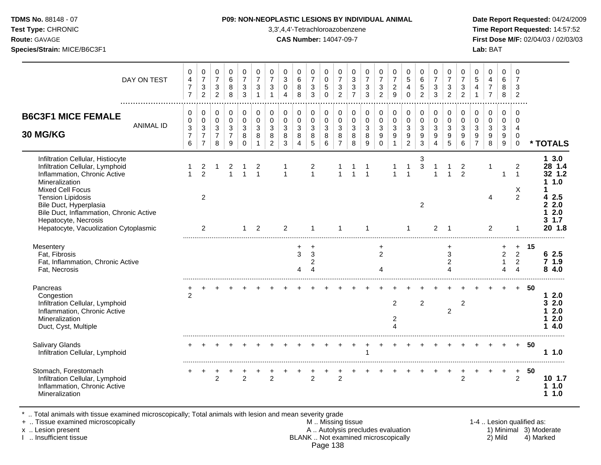### **TDMS No.** 88148 - 07 **P09: NON-NEOPLASTIC LESIONS BY INDIVIDUAL ANIMAL Date Report Requested:** 04/24/2009

**Test Type:** CHRONIC 3,3',4,4'-Tetrachloroazobenzene **Time Report Requested:** 14:57:52 **Route:** GAVAGE **CAS Number:** 14047-09-7 **First Dose M/F:** 02/04/03 / 02/03/03

| DAY ON TEST                                                                                                                                                                                                                                                                |                  | 0<br>$\overline{4}$<br>$\overline{7}$<br>$\overline{7}$    | 0<br>$\overline{7}$<br>$\mathbf{3}$<br>$\overline{2}$                      | 0<br>$\overline{7}$<br>$\mathbf{3}$<br>$\overline{2}$ | 0<br>6<br>8<br>8                   | 0<br>$\overline{7}$<br>$\mathbf{3}$<br>3                    | 0<br>$\overline{7}$<br>$\mathbf{3}$<br>$\overline{1}$ | $\mathbf 0$<br>$\overline{7}$<br>$\mathbf{3}$<br>$\overline{1}$ | 0<br>3<br>$\mathbf 0$<br>$\overline{4}$ | 0<br>$\,6\,$<br>8<br>8                                               | 0<br>$\overline{7}$<br>$\sqrt{3}$<br>3   | 0<br>$\pmb{0}$<br>$\sqrt{5}$<br>$\Omega$                      | 0<br>$\overline{7}$<br>$\sqrt{3}$<br>$\overline{2}$ | 0<br>$\ensuremath{\mathsf{3}}$<br>$\mathfrak{S}$<br>$\overline{7}$ | 0<br>$\overline{7}$<br>$\sqrt{3}$<br>3                     | 0<br>$\overline{7}$<br>$\sqrt{3}$<br>2            | 0<br>$\overline{7}$<br>$\boldsymbol{2}$<br>9                       | $\mathbf 0$<br>$\sqrt{5}$<br>4<br>$\Omega$                          | 0<br>6<br>$\sqrt{5}$<br>$\overline{2}$                          | 0<br>$\overline{7}$<br>$\mathbf{3}$<br>3 | 0<br>$\overline{7}$<br>3<br>$\overline{2}$  | 0<br>$\overline{7}$<br>3<br>$\overline{2}$ | $\mathbf 0$<br>$\sqrt{5}$<br>$\overline{4}$<br>$\mathbf{1}$ | 0<br>4<br>$\overline{7}$<br>$\overline{7}$ | $\mathbf 0$<br>6<br>8<br>8                                          | 0<br>$\overline{7}$<br>3<br>$\overline{2}$                      |    |                                                                                            |
|----------------------------------------------------------------------------------------------------------------------------------------------------------------------------------------------------------------------------------------------------------------------------|------------------|------------------------------------------------------------|----------------------------------------------------------------------------|-------------------------------------------------------|------------------------------------|-------------------------------------------------------------|-------------------------------------------------------|-----------------------------------------------------------------|-----------------------------------------|----------------------------------------------------------------------|------------------------------------------|---------------------------------------------------------------|-----------------------------------------------------|--------------------------------------------------------------------|------------------------------------------------------------|---------------------------------------------------|--------------------------------------------------------------------|---------------------------------------------------------------------|-----------------------------------------------------------------|------------------------------------------|---------------------------------------------|--------------------------------------------|-------------------------------------------------------------|--------------------------------------------|---------------------------------------------------------------------|-----------------------------------------------------------------|----|--------------------------------------------------------------------------------------------|
| <b>B6C3F1 MICE FEMALE</b><br>30 MG/KG                                                                                                                                                                                                                                      | <b>ANIMAL ID</b> | 0<br>0<br>$\ensuremath{\mathsf{3}}$<br>$\overline{7}$<br>6 | $\pmb{0}$<br>$\pmb{0}$<br>$\mathbf{3}$<br>$\overline{7}$<br>$\overline{7}$ | 0<br>0<br>$\mathbf{3}$<br>$\overline{7}$<br>8         | 0<br>0<br>3<br>$\overline{7}$<br>9 | $\mathbf 0$<br>$\mathbf 0$<br>$\mathbf{3}$<br>8<br>$\Omega$ | $\pmb{0}$<br>$\mathbf 0$<br>3<br>8<br>$\mathbf{1}$    | 0<br>0<br>3<br>8<br>$\overline{2}$                              | 0<br>0<br>3<br>8<br>$\mathfrak{Z}$      | 0<br>$\mathbf 0$<br>$\ensuremath{\mathsf{3}}$<br>8<br>$\overline{4}$ | 0<br>$\mathbf 0$<br>$\sqrt{3}$<br>8<br>5 | $\pmb{0}$<br>$\pmb{0}$<br>$\mathbf{3}$<br>8<br>$6\phantom{a}$ | 0<br>$\mathbf 0$<br>3<br>8<br>$\overline{7}$        | 0<br>$\mathbf 0$<br>3<br>8<br>8                                    | $\mathbf 0$<br>$\mathbf 0$<br>$\mathbf{3}$<br>$\,8\,$<br>9 | 0<br>$\mathsf 0$<br>$\mathbf{3}$<br>9<br>$\Omega$ | 0<br>$\pmb{0}$<br>$\ensuremath{\mathsf{3}}$<br>9<br>$\overline{1}$ | $\mathbf 0$<br>$\mathbf 0$<br>$\sqrt{3}$<br>$9\,$<br>$\overline{2}$ | $\pmb{0}$<br>$\pmb{0}$<br>$\mathbf{3}$<br>$\boldsymbol{9}$<br>3 | 0<br>0<br>3<br>9<br>4                    | 0<br>0<br>3<br>9<br>5                       | $\mathbf 0$<br>$\mathbf 0$<br>3<br>9<br>6  | 0<br>0<br>$\mathbf{3}$<br>9<br>$\overline{7}$               | 0<br>$\mathbf 0$<br>3<br>9<br>8            | $\mathbf 0$<br>$\mathbf 0$<br>$\mathbf{3}$<br>9<br>$\boldsymbol{9}$ | $\mathbf 0$<br>$\Omega$<br>4<br>$\mathbf 0$<br>$\mathbf 0$      |    | * TOTALS                                                                                   |
| Infiltration Cellular, Histiocyte<br>Infiltration Cellular, Lymphoid<br>Inflammation, Chronic Active<br>Mineralization<br><b>Mixed Cell Focus</b><br><b>Tension Lipidosis</b><br>Bile Duct, Hyperplasia<br>Bile Duct, Inflammation, Chronic Active<br>Hepatocyte, Necrosis |                  | 1                                                          | 2<br>$\overline{2}$<br>2                                                   | 1                                                     | 2<br>$\overline{1}$                | 1                                                           | 2<br>$\overline{1}$                                   |                                                                 | $\mathbf 1$                             |                                                                      | 2<br>$\mathbf{1}$                        |                                                               | $\mathbf{1}$                                        | $\overline{1}$                                                     | -1<br>$\overline{1}$                                       |                                                   | $\mathbf{1}$                                                       | $\mathbf{1}$                                                        | 3<br>$\ensuremath{\mathsf{3}}$<br>2                             | 1                                        |                                             | $\overline{c}$<br>2                        |                                                             | $\mathbf 1$<br>4                           | -1                                                                  | $\overline{2}$<br>$\mathbf{1}$<br>X<br>2                        |    | 13.0<br>28 1.4<br>32 1.2<br>1.0<br>1<br>2.5<br>4<br>2.0<br>$\mathbf{2}$<br>2.0<br>3<br>1.7 |
| Hepatocyte, Vacuolization Cytoplasmic<br>Mesentery<br>Fat, Fibrosis<br>Fat, Inflammation, Chronic Active<br>Fat, Necrosis                                                                                                                                                  |                  |                                                            | 2                                                                          |                                                       |                                    | 1                                                           | 2                                                     |                                                                 | 2                                       | +<br>3<br>4                                                          | 3<br>2<br>4                              |                                                               | 1                                                   |                                                                    | 1                                                          | +<br>2<br>4                                       |                                                                    |                                                                     |                                                                 | 2                                        | -1<br>$\ddot{}$<br>3<br>$\overline{c}$<br>4 |                                            |                                                             | 2                                          | $\overline{2}$<br>$\mathbf{1}$<br>4                                 | $\ddot{}$<br>$\overline{2}$<br>$\overline{2}$<br>$\overline{4}$ | 15 | 20 1.8<br>62.5<br>71.9<br>84.0                                                             |
| Pancreas<br>Congestion<br>Infiltration Cellular, Lymphoid<br>Inflammation, Chronic Active<br>Mineralization<br>Duct, Cyst, Multiple                                                                                                                                        |                  | $\overline{2}$                                             |                                                                            |                                                       |                                    |                                                             |                                                       |                                                                 |                                         |                                                                      |                                          |                                                               |                                                     |                                                                    |                                                            |                                                   | 2<br>2<br>4                                                        |                                                                     | 2                                                               |                                          | $\overline{c}$                              | $\overline{c}$                             |                                                             |                                            |                                                                     |                                                                 | 50 | 2.0<br>1<br>2.0<br>3<br>2.0<br>2.0<br>4.0                                                  |
| <b>Salivary Glands</b><br>Infiltration Cellular, Lymphoid                                                                                                                                                                                                                  |                  |                                                            |                                                                            |                                                       |                                    |                                                             |                                                       |                                                                 |                                         |                                                                      |                                          |                                                               |                                                     |                                                                    |                                                            |                                                   |                                                                    |                                                                     |                                                                 |                                          |                                             |                                            |                                                             |                                            |                                                                     | $+$                                                             | 50 | 11.0                                                                                       |
| Stomach, Forestomach<br>Infiltration Cellular, Lymphoid<br>Inflammation, Chronic Active<br>Mineralization                                                                                                                                                                  |                  |                                                            | $\ddot{}$                                                                  | $\mathfrak{p}$                                        |                                    | $\overline{2}$                                              |                                                       | $\mathfrak{p}$                                                  |                                         |                                                                      | $\mathfrak{p}$                           | $\ddot{}$                                                     | $\overline{2}$                                      |                                                                    |                                                            |                                                   |                                                                    |                                                                     |                                                                 |                                          | +                                           | $\cdot$<br>$\overline{2}$                  |                                                             |                                            |                                                                     | $\ddot{}$<br>2                                                  | 50 | 10 1.7<br>1.0<br>1.0<br>1                                                                  |

\* .. Total animals with tissue examined microscopically; Total animals with lesion and mean severity grade

+ .. Tissue examined microscopically M .. Missing tissue 1-4 .. Lesion qualified as: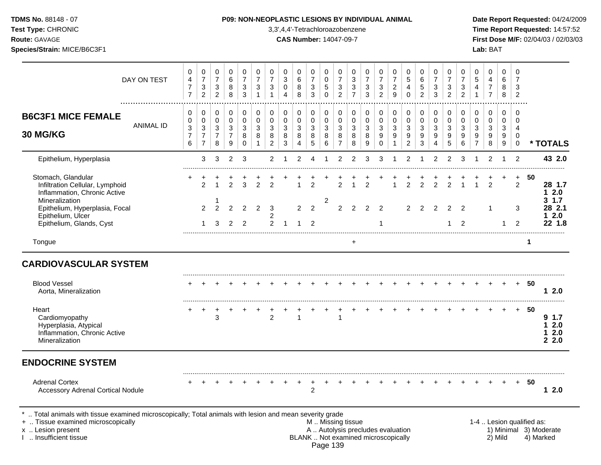# **TDMS No.** 88148 - 07 **P09: NON-NEOPLASTIC LESIONS BY INDIVIDUAL ANIMAL Date Report Requested:** 04/24/2009

**Test Type:** CHRONIC 3,3',4,4'-Tetrachloroazobenzene **Time Report Requested:** 14:57:52 **Route:** GAVAGE **CAS Number:** 14047-09-7 **First Dose M/F:** 02/04/03 / 02/03/03

|                                                                                                                                             | DAY ON TEST      | 0<br>$\overline{\mathbf{4}}$<br>$\overline{7}$<br>$\overline{7}$ | 0<br>$\overline{7}$<br>$\ensuremath{\mathsf{3}}$<br>$\overline{c}$ | 0<br>$\overline{7}$<br>$\sqrt{3}$<br>$\overline{2}$ | $\Omega$<br>6<br>8<br>$\, 8$                            | 0<br>$\overline{7}$<br>$\sqrt{3}$<br>$\mathbf{3}$ | 0<br>$\overline{7}$<br>$\ensuremath{\mathsf{3}}$<br>$\mathbf{1}$ | 0<br>$\overline{7}$<br>$\ensuremath{\mathsf{3}}$<br>$\mathbf{1}$ | 0<br>3<br>$\pmb{0}$<br>4              | 0<br>6<br>8<br>8                             | $\mathbf 0$<br>$\overline{7}$<br>$\ensuremath{\mathsf{3}}$<br>$\mathfrak{Z}$ | 0<br>$\pmb{0}$<br>$\sqrt{5}$<br>$\Omega$   | 0<br>$\overline{7}$<br>$\ensuremath{\mathsf{3}}$<br>$\overline{c}$ | 0<br>$\ensuremath{\mathsf{3}}$<br>$\ensuremath{\mathsf{3}}$<br>$\overline{7}$ | 0<br>$\overline{7}$<br>$\ensuremath{\mathsf{3}}$<br>3 | 0<br>$\overline{7}$<br>$\ensuremath{\mathsf{3}}$<br>$\overline{2}$ | 0<br>$\overline{7}$<br>$\boldsymbol{2}$<br>9 | $\Omega$<br>$\overline{5}$<br>4<br>$\Omega$           | $\Omega$<br>$\,6$<br>$\sqrt{5}$<br>$\overline{2}$ | 0<br>$\overline{7}$<br>3<br>3              | 0<br>$\overline{7}$<br>$\ensuremath{\mathsf{3}}$<br>$\overline{2}$ | 0<br>$\overline{7}$<br>$\ensuremath{\mathsf{3}}$<br>2 | 0<br>$\sqrt{5}$<br>$\overline{a}$<br>$\overline{1}$                  | $\Omega$<br>$\overline{4}$<br>$\boldsymbol{7}$<br>$\overline{7}$ | $\Omega$<br>6<br>8<br>8                              | 0<br>$\overline{7}$<br>3<br>$\overline{c}$                     |                           |                                            |
|---------------------------------------------------------------------------------------------------------------------------------------------|------------------|------------------------------------------------------------------|--------------------------------------------------------------------|-----------------------------------------------------|---------------------------------------------------------|---------------------------------------------------|------------------------------------------------------------------|------------------------------------------------------------------|---------------------------------------|----------------------------------------------|------------------------------------------------------------------------------|--------------------------------------------|--------------------------------------------------------------------|-------------------------------------------------------------------------------|-------------------------------------------------------|--------------------------------------------------------------------|----------------------------------------------|-------------------------------------------------------|---------------------------------------------------|--------------------------------------------|--------------------------------------------------------------------|-------------------------------------------------------|----------------------------------------------------------------------|------------------------------------------------------------------|------------------------------------------------------|----------------------------------------------------------------|---------------------------|--------------------------------------------|
| <b>B6C3F1 MICE FEMALE</b><br>30 MG/KG                                                                                                       | <b>ANIMAL ID</b> | 0<br>$\mathbf 0$<br>3<br>$\overline{7}$<br>6                     | 0<br>$\mathbf 0$<br>3<br>$\overline{7}$<br>$\overline{7}$          | 0<br>0<br>3<br>$\overline{7}$<br>8                  | 0<br>$\mathbf 0$<br>$\mathbf{3}$<br>$\overline{7}$<br>9 | 0<br>$\mathbf 0$<br>3<br>8<br>$\Omega$            | $\mathbf 0$<br>$\mathbf 0$<br>$\mathbf{3}$<br>8<br>$\mathbf{1}$  | 0<br>$\mathbf 0$<br>$\mathbf{3}$<br>8<br>$\overline{2}$          | 0<br>$\mathbf 0$<br>3<br>$\,8\,$<br>3 | 0<br>$\mathbf 0$<br>3<br>8<br>$\overline{4}$ | 0<br>$\mathbf 0$<br>3<br>8<br>$\sqrt{5}$                                     | 0<br>$\mathbf 0$<br>$\mathbf{3}$<br>8<br>6 | 0<br>$\mathbf 0$<br>$\sqrt{3}$<br>8<br>$\overline{7}$              | 0<br>$\mathsf 0$<br>$\mathbf{3}$<br>8<br>8                                    | 0<br>$\mathbf 0$<br>3<br>8<br>9                       | 0<br>$\mathbf 0$<br>3<br>9<br>$\Omega$                             | 0<br>0<br>$\mathbf{3}$<br>9<br>$\mathbf{1}$  | 0<br>$\mathbf 0$<br>$\sqrt{3}$<br>9<br>$\overline{c}$ | 0<br>$\mathbf 0$<br>3<br>9<br>3                   | 0<br>$\mathbf 0$<br>$\mathbf{3}$<br>9<br>4 | $\mathbf 0$<br>$\mathbf 0$<br>3<br>9<br>5                          | 0<br>$\pmb{0}$<br>$\mathbf{3}$<br>9<br>6              | 0<br>$\mathbf 0$<br>$\sqrt{3}$<br>$\boldsymbol{9}$<br>$\overline{7}$ | 0<br>$\mathbf 0$<br>3<br>9<br>8                                  | $\mathbf 0$<br>$\mathbf 0$<br>$\mathbf{3}$<br>9<br>9 | $\Omega$<br>$\Omega$<br>$\overline{4}$<br>$\Omega$<br>$\Omega$ |                           | * TOTALS                                   |
| Epithelium, Hyperplasia                                                                                                                     |                  |                                                                  | 3                                                                  | 3                                                   | $\overline{2}$                                          | 3                                                 |                                                                  | $\overline{2}$                                                   |                                       | $\overline{2}$                               | 4                                                                            |                                            | $\overline{2}$                                                     | 2                                                                             | 3                                                     | 3                                                                  |                                              | $\overline{2}$                                        |                                                   | $\overline{2}$                             | $\mathcal{P}$                                                      | 3                                                     |                                                                      | $\overline{2}$                                                   |                                                      | $\mathcal{P}$                                                  |                           | 43 2.0                                     |
| Stomach, Glandular<br>Infiltration Cellular, Lymphoid<br>Inflammation, Chronic Active                                                       |                  |                                                                  | $\mathfrak{p}$                                                     |                                                     | $\mathcal{P}$                                           | 3                                                 | $\mathcal{P}$                                                    | $\overline{2}$                                                   |                                       |                                              | $\mathfrak{p}$                                                               |                                            | 2                                                                  |                                                                               | $\mathfrak{p}$                                        |                                                                    |                                              | $\mathcal{P}$                                         | $\mathcal{P}$                                     | $\mathcal{P}$                              |                                                                    |                                                       |                                                                      | $\mathcal{P}$                                                    |                                                      | $+$<br>$\overline{2}$                                          | 50                        | 28 1.7<br>12.0                             |
| Mineralization<br>Epithelium, Hyperplasia, Focal<br>Epithelium, Ulcer<br>Epithelium, Glands, Cyst                                           |                  |                                                                  | $\overline{2}$<br>$\mathbf 1$                                      | $\overline{2}$<br>3                                 | $\mathfrak{p}$<br>2                                     | $\mathfrak{p}$<br>$\overline{2}$                  | 2                                                                | 3<br>2<br>$\mathcal{P}$                                          | $\overline{1}$                        | $\overline{2}$<br>-1                         | 2<br>$\mathcal{P}$                                                           | $\overline{c}$                             | $\overline{2}$                                                     | 2                                                                             | $\mathcal{P}$                                         | $\mathcal{P}$<br>1                                                 |                                              | $\overline{2}$                                        | $\mathcal{P}$                                     | $\mathcal{P}$                              | $\mathcal{P}$<br>1                                                 | $\mathcal{P}$<br>2                                    |                                                                      |                                                                  | $\overline{1}$                                       | 3<br>$\mathcal{P}$                                             |                           | 1.7<br>3<br>28 2.1<br>2.0<br>1.<br>22, 1.8 |
| Tongue                                                                                                                                      |                  |                                                                  |                                                                    |                                                     |                                                         |                                                   |                                                                  |                                                                  |                                       |                                              |                                                                              |                                            |                                                                    | $+$                                                                           |                                                       |                                                                    |                                              |                                                       |                                                   |                                            |                                                                    |                                                       |                                                                      |                                                                  |                                                      |                                                                | $\mathbf 1$               |                                            |
| <b>CARDIOVASCULAR SYSTEM</b>                                                                                                                |                  |                                                                  |                                                                    |                                                     |                                                         |                                                   |                                                                  |                                                                  |                                       |                                              |                                                                              |                                            |                                                                    |                                                                               |                                                       |                                                                    |                                              |                                                       |                                                   |                                            |                                                                    |                                                       |                                                                      |                                                                  |                                                      |                                                                |                           |                                            |
| <b>Blood Vessel</b><br>Aorta, Mineralization                                                                                                |                  |                                                                  |                                                                    |                                                     |                                                         |                                                   |                                                                  |                                                                  |                                       |                                              |                                                                              |                                            |                                                                    |                                                                               |                                                       |                                                                    |                                              |                                                       |                                                   |                                            |                                                                    |                                                       |                                                                      |                                                                  |                                                      | $+$                                                            | - 50                      | 12.0                                       |
| Heart<br>Cardiomyopathy<br>Hyperplasia, Atypical<br>Inflammation, Chronic Active<br>Mineralization                                          |                  |                                                                  | $\ddot{}$                                                          | $\ddot{}$<br>3                                      |                                                         |                                                   |                                                                  | 2                                                                |                                       | 1                                            |                                                                              |                                            | 1                                                                  |                                                                               |                                                       |                                                                    |                                              |                                                       |                                                   |                                            |                                                                    |                                                       |                                                                      |                                                                  |                                                      | $+$                                                            | 50                        | 91.7<br>12.0<br>2.0<br>1<br>2.2.0          |
| <b>ENDOCRINE SYSTEM</b>                                                                                                                     |                  |                                                                  |                                                                    |                                                     |                                                         |                                                   |                                                                  |                                                                  |                                       |                                              |                                                                              |                                            |                                                                    |                                                                               |                                                       |                                                                    |                                              |                                                       |                                                   |                                            |                                                                    |                                                       |                                                                      |                                                                  |                                                      |                                                                |                           |                                            |
| <b>Adrenal Cortex</b><br><b>Accessory Adrenal Cortical Nodule</b>                                                                           |                  |                                                                  |                                                                    |                                                     |                                                         |                                                   |                                                                  |                                                                  |                                       | $\ddot{}$                                    | $\ddot{}$<br>$\overline{c}$                                                  |                                            |                                                                    |                                                                               |                                                       |                                                                    |                                              |                                                       |                                                   |                                            |                                                                    |                                                       |                                                                      |                                                                  |                                                      | $+$                                                            | - 50                      | 12.0                                       |
| Total animals with tissue examined microscopically; Total animals with lesion and mean severity grade<br>+  Tissue examined microscopically |                  |                                                                  |                                                                    |                                                     |                                                         |                                                   |                                                                  |                                                                  |                                       |                                              |                                                                              | $A \cup A \cup A = I$                      | M  Missing tissue                                                  |                                                                               |                                                       | والمنافذ والمستحدث والمستلم والمستحل                               |                                              |                                                       |                                                   |                                            |                                                                    |                                                       |                                                                      |                                                                  |                                                      |                                                                | 1-4  Lesion qualified as: |                                            |

x .. Lesion present A .. Autolysis precludes evaluation 1) Minimal 3) Moderate<br>I .. Insufficient tissue BLANK .. Not examined microscopically BLANK .. Not examined microscopically Page 139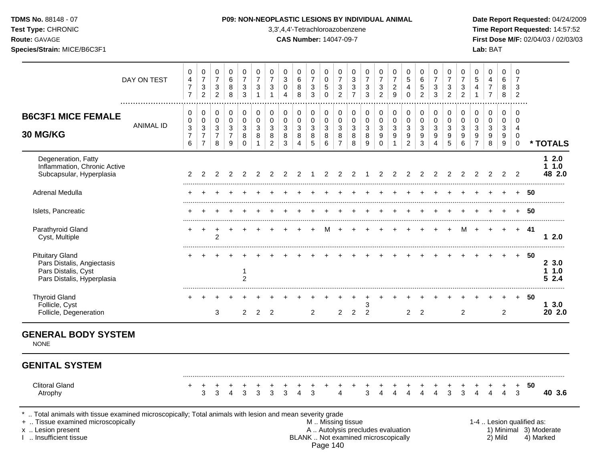| <b>TDMS No. 88148 - 07</b> |  |  |  |
|----------------------------|--|--|--|
|                            |  |  |  |

**Test Type:** CHRONIC 3,3',4,4'-Tetrachloroazobenzene **Time Report Requested:** 14:57:52 **Route:** GAVAGE **CAS Number:** 14047-09-7 **First Dose M/F:** 02/04/03 / 02/03/03 **Species/Strain:** MICE/B6C3F1 **Lab:** BAT

|                                                                                                                                                                                            | DAY ON TEST      | 0<br>$\overline{4}$<br>$\overline{7}$<br>$\overline{7}$ | 0<br>$\boldsymbol{7}$<br>$\ensuremath{\mathsf{3}}$<br>$\overline{2}$ | $\mathbf 0$<br>$\overline{7}$<br>$\sqrt{3}$<br>$\overline{2}$  | 0<br>$\,6\,$<br>$\bf8$<br>8                                                    | 0<br>$\overline{7}$<br>3<br>3           | 0<br>$\boldsymbol{7}$<br>$\ensuremath{\mathsf{3}}$<br>$\mathbf{1}$ | $\mathbf 0$<br>$\overline{7}$<br>$\ensuremath{\mathsf{3}}$<br>$\overline{1}$ | 0<br>$\,$ 3 $\,$<br>$\pmb{0}$<br>4    | 0<br>6<br>8<br>8                                            | $\mathbf 0$<br>$\overline{7}$<br>$\ensuremath{\mathsf{3}}$<br>$\mathbf{3}$ | $\mathbf 0$<br>$\mathsf{O}\xspace$<br>5<br>$\mathbf 0$       | 0<br>$\boldsymbol{7}$<br>$\ensuremath{\mathsf{3}}$<br>$\overline{2}$                          | $\mathbf 0$<br>$\sqrt{3}$<br>3<br>$\overline{7}$ | $\pmb{0}$<br>$\overline{7}$<br>$\ensuremath{\mathsf{3}}$<br>3 | 0<br>$\overline{7}$<br>$\ensuremath{\mathsf{3}}$<br>$\overline{2}$ | 0<br>$\overline{7}$<br>$\boldsymbol{2}$<br>9              | $\mathbf 0$<br>$\sqrt{5}$<br>$\overline{4}$<br>$\mathbf 0$        | 0<br>$\,6\,$<br>5<br>$\overline{2}$            | 0<br>$\boldsymbol{7}$<br>$\ensuremath{\mathsf{3}}$<br>3 | $\mathbf 0$<br>$\overline{7}$<br>$\ensuremath{\mathsf{3}}$<br>$\overline{2}$ | 0<br>$\overline{7}$<br>$\ensuremath{\mathsf{3}}$<br>$\overline{2}$ | 0<br>$\,$ 5 $\,$<br>4<br>$\overline{1}$                            | $\mathbf 0$<br>$\overline{4}$<br>$\boldsymbol{7}$<br>$\overline{7}$ | $\mathbf 0$<br>6<br>8<br>8                     | $\mathbf 0$<br>$\overline{7}$<br>3<br>$\overline{c}$                    |                           |                                     |
|--------------------------------------------------------------------------------------------------------------------------------------------------------------------------------------------|------------------|---------------------------------------------------------|----------------------------------------------------------------------|----------------------------------------------------------------|--------------------------------------------------------------------------------|-----------------------------------------|--------------------------------------------------------------------|------------------------------------------------------------------------------|---------------------------------------|-------------------------------------------------------------|----------------------------------------------------------------------------|--------------------------------------------------------------|-----------------------------------------------------------------------------------------------|--------------------------------------------------|---------------------------------------------------------------|--------------------------------------------------------------------|-----------------------------------------------------------|-------------------------------------------------------------------|------------------------------------------------|---------------------------------------------------------|------------------------------------------------------------------------------|--------------------------------------------------------------------|--------------------------------------------------------------------|---------------------------------------------------------------------|------------------------------------------------|-------------------------------------------------------------------------|---------------------------|-------------------------------------|
| <b>B6C3F1 MICE FEMALE</b><br><b>30 MG/KG</b>                                                                                                                                               | <b>ANIMAL ID</b> | 0<br>$\mathbf 0$<br>$\mathbf{3}$<br>$\overline{7}$<br>6 | 0<br>0<br>3<br>$\boldsymbol{7}$<br>$\overline{7}$                    | $\Omega$<br>$\mathbf 0$<br>$\mathbf{3}$<br>$\overline{7}$<br>8 | $\pmb{0}$<br>$\pmb{0}$<br>$\mathfrak{S}$<br>$\overline{7}$<br>$\boldsymbol{9}$ | 0<br>$\pmb{0}$<br>3<br>8<br>$\mathbf 0$ | 0<br>$\mathsf 0$<br>$\mathfrak{S}$<br>8<br>$\mathbf{1}$            | 0<br>$\mathbf 0$<br>3<br>8<br>$\overline{2}$                                 | 0<br>$\mathbf 0$<br>3<br>$\bf 8$<br>3 | $\mathbf 0$<br>$\boldsymbol{0}$<br>3<br>8<br>$\overline{4}$ | $\Omega$<br>0<br>3<br>8<br>$5\phantom{1}$                                  | $\mathbf 0$<br>$\pmb{0}$<br>$\sqrt{3}$<br>$\,8\,$<br>$\,6\,$ | 0<br>$\mathbf 0$<br>3<br>$\bf8$<br>$\overline{7}$                                             | 0<br>$\mathbf 0$<br>$\sqrt{3}$<br>$\,8\,$<br>8   | 0<br>$\pmb{0}$<br>$\mathbf{3}$<br>$\bf 8$<br>9                | 0<br>$\pmb{0}$<br>3<br>$\boldsymbol{9}$<br>$\mathbf 0$             | 0<br>$\mathbf 0$<br>$\mathbf{3}$<br>$9\,$<br>$\mathbf{1}$ | $\mathbf 0$<br>$\mathbf 0$<br>$\mathbf{3}$<br>9<br>$\overline{2}$ | 0<br>$\mathbf 0$<br>3<br>$\boldsymbol{9}$<br>3 | 0<br>$\boldsymbol{0}$<br>3<br>9<br>$\overline{4}$       | 0<br>0<br>3<br>$\boldsymbol{9}$<br>5                                         | 0<br>0<br>3<br>$\boldsymbol{9}$<br>$\,6\,$                         | $\Omega$<br>$\mathbf 0$<br>3<br>$\boldsymbol{9}$<br>$\overline{7}$ | 0<br>$\mathbf 0$<br>3<br>$\boldsymbol{9}$<br>8                      | 0<br>$\mathbf 0$<br>3<br>9<br>$\boldsymbol{9}$ | $\Omega$<br>$\mathbf 0$<br>$\overline{4}$<br>$\mathbf 0$<br>$\mathbf 0$ |                           | * TOTALS                            |
| Degeneration, Fatty<br>Inflammation, Chronic Active<br>Subcapsular, Hyperplasia                                                                                                            |                  | 2                                                       | 2                                                                    | 2                                                              | 2                                                                              | 2                                       | 2                                                                  | 2                                                                            | 2                                     | 2                                                           |                                                                            | 2                                                            | 2                                                                                             | 2                                                | -1                                                            | 2                                                                  | 2                                                         | 2                                                                 | 2                                              | 2                                                       | 2                                                                            | 2                                                                  | 2                                                                  | 2                                                                   | 2                                              | $\overline{2}$                                                          |                           | $12.0$<br>11.0<br>48 2.0            |
| Adrenal Medulla                                                                                                                                                                            |                  |                                                         |                                                                      |                                                                |                                                                                |                                         |                                                                    |                                                                              |                                       |                                                             |                                                                            |                                                              |                                                                                               |                                                  |                                                               |                                                                    |                                                           |                                                                   |                                                |                                                         |                                                                              |                                                                    |                                                                    |                                                                     |                                                | $+$                                                                     | -50                       |                                     |
| Islets, Pancreatic                                                                                                                                                                         |                  |                                                         |                                                                      |                                                                |                                                                                |                                         |                                                                    |                                                                              |                                       |                                                             |                                                                            |                                                              |                                                                                               |                                                  |                                                               |                                                                    |                                                           |                                                                   |                                                |                                                         |                                                                              |                                                                    |                                                                    |                                                                     |                                                | $+$                                                                     | 50                        |                                     |
| Parathyroid Gland<br>Cyst, Multiple                                                                                                                                                        |                  |                                                         | $\ddot{}$                                                            | $\overline{c}$                                                 |                                                                                |                                         |                                                                    |                                                                              |                                       |                                                             |                                                                            | м                                                            |                                                                                               |                                                  |                                                               |                                                                    |                                                           |                                                                   |                                                |                                                         |                                                                              | м                                                                  |                                                                    |                                                                     | $\ddot{}$                                      | $+$                                                                     | -41                       | 12.0                                |
| <b>Pituitary Gland</b><br>Pars Distalis, Angiectasis<br>Pars Distalis, Cyst<br>Pars Distalis, Hyperplasia                                                                                  |                  |                                                         |                                                                      |                                                                |                                                                                | 1<br>$\overline{c}$                     |                                                                    |                                                                              |                                       |                                                             |                                                                            |                                                              |                                                                                               |                                                  |                                                               |                                                                    |                                                           |                                                                   |                                                |                                                         |                                                                              |                                                                    |                                                                    |                                                                     |                                                | $+$                                                                     | -50                       | 23.0<br>11.0<br>52.4                |
| <b>Thyroid Gland</b><br>Follicle, Cyst<br>Follicle, Degeneration                                                                                                                           |                  |                                                         |                                                                      | 3                                                              |                                                                                | $\overline{2}$                          | 2                                                                  | $\overline{2}$                                                               |                                       |                                                             | 2                                                                          |                                                              | 2                                                                                             | $\overline{2}$                                   | 3<br>$\overline{2}$                                           |                                                                    |                                                           | $\overline{2}$                                                    | 2                                              |                                                         |                                                                              | $\overline{2}$                                                     |                                                                    |                                                                     | $\overline{2}$                                 | $+$                                                                     | -50                       | 13.0<br>20 2.0                      |
| <b>GENERAL BODY SYSTEM</b><br><b>NONE</b>                                                                                                                                                  |                  |                                                         |                                                                      |                                                                |                                                                                |                                         |                                                                    |                                                                              |                                       |                                                             |                                                                            |                                                              |                                                                                               |                                                  |                                                               |                                                                    |                                                           |                                                                   |                                                |                                                         |                                                                              |                                                                    |                                                                    |                                                                     |                                                |                                                                         |                           |                                     |
| <b>GENITAL SYSTEM</b>                                                                                                                                                                      |                  |                                                         |                                                                      |                                                                |                                                                                |                                         |                                                                    |                                                                              |                                       |                                                             |                                                                            |                                                              |                                                                                               |                                                  |                                                               |                                                                    |                                                           |                                                                   |                                                |                                                         |                                                                              |                                                                    |                                                                    |                                                                     |                                                |                                                                         |                           |                                     |
| <b>Clitoral Gland</b><br>Atrophy                                                                                                                                                           |                  | +                                                       | 3                                                                    | 3                                                              | 4                                                                              | 3                                       | 3                                                                  | 3                                                                            | 3                                     | 4                                                           | 3                                                                          |                                                              | 4                                                                                             |                                                  | 3                                                             | 4                                                                  | 4                                                         | 4                                                                 |                                                |                                                         | 3                                                                            | 3                                                                  | 4                                                                  |                                                                     | 4                                              | 3                                                                       | 50                        | 40 3.6                              |
| Total animals with tissue examined microscopically; Total animals with lesion and mean severity grade<br>+  Tissue examined microscopically<br>x  Lesion present<br>I  Insufficient tissue |                  |                                                         |                                                                      |                                                                |                                                                                |                                         |                                                                    |                                                                              |                                       |                                                             |                                                                            | Page 140                                                     | M  Missing tissue<br>A  Autolysis precludes evaluation<br>BLANK  Not examined microscopically |                                                  |                                                               |                                                                    |                                                           |                                                                   |                                                |                                                         |                                                                              |                                                                    |                                                                    |                                                                     | 2) Mild                                        |                                                                         | 1-4  Lesion qualified as: | 1) Minimal 3) Moderate<br>4) Marked |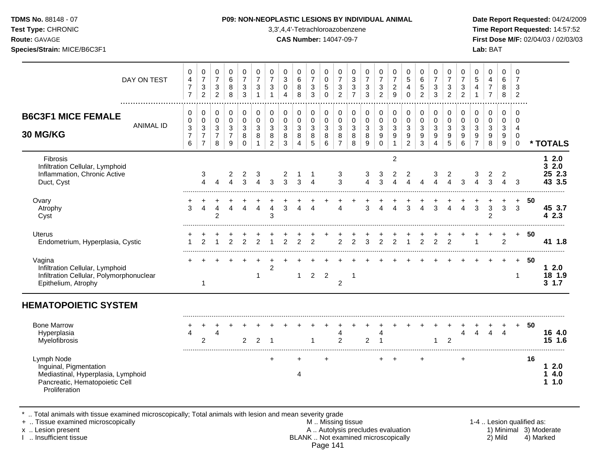| <b>TDMS No.</b> 88148 - 07 |  |
|----------------------------|--|
|----------------------------|--|

**Test Type:** CHRONIC 3,3',4,4'-Tetrachloroazobenzene **Time Report Requested:** 14:57:52 **Route:** GAVAGE **CAS Number:** 14047-09-7 **First Dose M/F:** 02/04/03 / 02/03/03

| DAY ON TEST                                                                                                                   | 0<br>$\overline{4}$<br>$\overline{7}$<br>$\overline{7}$                         | 0<br>$\overline{7}$<br>$\sqrt{3}$<br>$\overline{2}$                               | 0<br>$\overline{7}$<br>$\sqrt{3}$<br>$\overline{2}$ | $\mathbf 0$<br>$\,6\,$<br>$\,8\,$<br>8                             | 0<br>$\overline{7}$<br>$\mathbf{3}$<br>3             | 0<br>$\overline{7}$<br>3<br>$\mathbf{1}$ | $\mathbf 0$<br>$\overline{7}$<br>$\mathbf{3}$<br>$\overline{1}$   | 0<br>$\sqrt{3}$<br>$\pmb{0}$<br>4                       | 0<br>$\,6\,$<br>8<br>8                                                     | 0<br>$\overline{7}$<br>$\ensuremath{\mathsf{3}}$<br>3 | 0<br>$\pmb{0}$<br>5<br>$\Omega$                     | 0<br>$\overline{7}$<br>$\ensuremath{\mathsf{3}}$<br>$\overline{2}$ | 0<br>$\,$ 3 $\,$<br>3<br>$\overline{7}$      | 0<br>$\overline{7}$<br>$\ensuremath{\mathsf{3}}$<br>3 | 0<br>$\overline{7}$<br>$\sqrt{3}$<br>$\overline{c}$               | 0<br>$\overline{7}$<br>$\sqrt{2}$<br>9                                 | $\mathbf 0$<br>$\overline{5}$<br>4<br>$\mathbf 0$               | 0<br>$\,6\,$<br>5<br>$\overline{2}$ | 0<br>$\overline{7}$<br>$\sqrt{3}$<br>3   | 0<br>$\overline{7}$<br>3<br>$\overline{2}$ | 0<br>$\overline{7}$<br>$\ensuremath{\mathsf{3}}$<br>$\overline{2}$ | 0<br>$\sqrt{5}$<br>4<br>$\overline{1}$      | 0<br>4<br>$\boldsymbol{7}$<br>$\overline{7}$ | $\pmb{0}$<br>6<br>8<br>8                                | 0<br>$\overline{7}$<br>$\mathbf{3}$<br>$\sqrt{2}$      |     |                                  |
|-------------------------------------------------------------------------------------------------------------------------------|---------------------------------------------------------------------------------|-----------------------------------------------------------------------------------|-----------------------------------------------------|--------------------------------------------------------------------|------------------------------------------------------|------------------------------------------|-------------------------------------------------------------------|---------------------------------------------------------|----------------------------------------------------------------------------|-------------------------------------------------------|-----------------------------------------------------|--------------------------------------------------------------------|----------------------------------------------|-------------------------------------------------------|-------------------------------------------------------------------|------------------------------------------------------------------------|-----------------------------------------------------------------|-------------------------------------|------------------------------------------|--------------------------------------------|--------------------------------------------------------------------|---------------------------------------------|----------------------------------------------|---------------------------------------------------------|--------------------------------------------------------|-----|----------------------------------|
| <b>B6C3F1 MICE FEMALE</b><br><b>ANIMAL ID</b><br>30 MG/KG                                                                     | 0<br>$\pmb{0}$<br>$\ensuremath{\mathsf{3}}$<br>$\overline{7}$<br>$6\phantom{a}$ | 0<br>$\pmb{0}$<br>$\ensuremath{\mathsf{3}}$<br>$\boldsymbol{7}$<br>$\overline{7}$ | 0<br>0<br>$\mathbf{3}$<br>$\overline{7}$<br>8       | 0<br>$\pmb{0}$<br>$\sqrt{3}$<br>$\overline{7}$<br>$\boldsymbol{9}$ | 0<br>$\mathbf 0$<br>$\mathbf{3}$<br>8<br>$\mathbf 0$ | 0<br>0<br>3<br>8<br>$\mathbf{1}$         | $\mathbf 0$<br>$\mathbf 0$<br>$\mathbf{3}$<br>8<br>$\overline{2}$ | 0<br>$\pmb{0}$<br>$\sqrt{3}$<br>$\bf 8$<br>$\mathbf{3}$ | 0<br>$\mathsf 0$<br>$\ensuremath{\mathsf{3}}$<br>$\bf 8$<br>$\overline{4}$ | 0<br>$\pmb{0}$<br>$\sqrt{3}$<br>8<br>$\sqrt{5}$       | 0<br>$\pmb{0}$<br>$\mathsf 3$<br>$\bf 8$<br>$\,6\,$ | 0<br>$\mathsf{O}\xspace$<br>$\sqrt{3}$<br>8<br>$\overline{7}$      | 0<br>$\pmb{0}$<br>$\sqrt{3}$<br>$\bf 8$<br>8 | $\pmb{0}$<br>$\pmb{0}$<br>$\mathbf{3}$<br>8<br>9      | 0<br>$\pmb{0}$<br>$\mathbf{3}$<br>$\boldsymbol{9}$<br>$\mathbf 0$ | 0<br>$\mathsf 0$<br>$\ensuremath{\mathsf{3}}$<br>$9\,$<br>$\mathbf{1}$ | 0<br>$\mathsf{O}\xspace$<br>$\mathbf{3}$<br>9<br>$\overline{2}$ | 0<br>$\mathbf 0$<br>3<br>9<br>3     | 0<br>$\pmb{0}$<br>$\mathbf{3}$<br>9<br>4 | 0<br>$\pmb{0}$<br>$\sqrt{3}$<br>9<br>5     | 0<br>$\mathsf 0$<br>3<br>9<br>6                                    | 0<br>0<br>$\sqrt{3}$<br>9<br>$\overline{7}$ | 0<br>$\mathbf 0$<br>$\sqrt{3}$<br>9<br>8     | 0<br>$\pmb{0}$<br>$\mathbf{3}$<br>$\boldsymbol{9}$<br>9 | 0<br>$\mathbf 0$<br>$\overline{a}$<br>0<br>$\mathbf 0$ |     | * TOTALS                         |
| Fibrosis<br>Infiltration Cellular, Lymphoid<br>Inflammation, Chronic Active<br>Duct, Cyst                                     |                                                                                 | 3<br>4                                                                            | 4                                                   | 2<br>$\Delta$                                                      | 2<br>3                                               | 3                                        | 3                                                                 | 2<br>3                                                  | 3                                                                          | -1<br>4                                               |                                                     | 3<br>3                                                             |                                              | 3<br>$\overline{4}$                                   | 3<br>3                                                            | $\overline{2}$<br>2                                                    | 2                                                               |                                     | 3                                        | 2                                          | 3                                                                  | 3<br>4                                      | 2<br>3                                       | 2<br>$\Delta$                                           | 3                                                      |     | 12.0<br>32.0<br>25 2.3<br>43 3.5 |
| Ovary<br>Atrophy<br>Cyst                                                                                                      | +<br>3                                                                          | $\overline{4}$                                                                    | 4<br>$\overline{2}$                                 | 4                                                                  | 4                                                    | 4                                        | 4<br>3                                                            | 3                                                       | 4                                                                          | 4                                                     |                                                     | 4                                                                  |                                              | 3                                                     | 4                                                                 | 4                                                                      | 3                                                               | $\Delta$                            | 3                                        | Δ                                          | $\boldsymbol{\Lambda}$                                             | 3                                           | 3<br>$\overline{2}$                          | 3                                                       | $\ddot{}$<br>3                                         | 50  | 45 3.7<br>42.3                   |
| Uterus<br>Endometrium, Hyperplasia, Cystic                                                                                    |                                                                                 | $\mathfrak{p}$                                                                    |                                                     | 2                                                                  | 2                                                    | $\overline{2}$                           |                                                                   | $\overline{2}$                                          | $\overline{2}$                                                             | 2                                                     |                                                     | $\overline{2}$                                                     | $\overline{2}$                               | 3                                                     | $\overline{2}$                                                    | $\overline{c}$                                                         |                                                                 | $\overline{2}$                      | $\overline{2}$                           | $\overline{2}$                             |                                                                    | 1                                           |                                              | +<br>$\overline{2}$                                     | $+$                                                    | 50  | 41 1.8                           |
| Vagina<br>Infiltration Cellular, Lymphoid<br>Infiltration Cellular, Polymorphonuclear<br>Epithelium, Atrophy                  |                                                                                 | -1                                                                                |                                                     |                                                                    |                                                      | 1                                        | $\overline{c}$                                                    |                                                         | $\mathbf{1}$                                                               | $\overline{2}$                                        | $\overline{2}$                                      | $\overline{2}$                                                     | 1                                            |                                                       |                                                                   |                                                                        |                                                                 |                                     |                                          |                                            |                                                                    |                                             |                                              |                                                         | $+$<br>1                                               | -50 | 12.0<br>18 1.9<br>$3 \t1.7$      |
| <b>HEMATOPOIETIC SYSTEM</b>                                                                                                   |                                                                                 |                                                                                   |                                                     |                                                                    |                                                      |                                          |                                                                   |                                                         |                                                                            |                                                       |                                                     |                                                                    |                                              |                                                       |                                                                   |                                                                        |                                                                 |                                     |                                          |                                            |                                                                    |                                             |                                              |                                                         |                                                        |     |                                  |
| <b>Bone Marrow</b><br>Hyperplasia<br>Myelofibrosis                                                                            | Δ                                                                               | 2                                                                                 | Δ                                                   |                                                                    | 2                                                    | $\overline{2}$                           | -1                                                                |                                                         |                                                                            | 1                                                     |                                                     | 4<br>$\overline{2}$                                                |                                              | 2                                                     | 4<br>-1                                                           |                                                                        |                                                                 |                                     | 1                                        | $\overline{c}$                             | $\overline{4}$                                                     | 4                                           | 4                                            | $\overline{4}$                                          | $+$                                                    | -50 | 16 4.0<br>15 1.6                 |
| Lymph Node<br>Inguinal, Pigmentation<br>Mediastinal, Hyperplasia, Lymphoid<br>Pancreatic, Hematopoietic Cell<br>Proliferation |                                                                                 |                                                                                   |                                                     |                                                                    |                                                      |                                          | $\ddot{}$                                                         |                                                         | $\pm$<br>4                                                                 |                                                       | $\ddot{}$                                           |                                                                    |                                              |                                                       | $^+$                                                              | $\overline{+}$                                                         |                                                                 | $\ddot{}$                           |                                          |                                            | $\ddot{}$                                                          |                                             |                                              |                                                         |                                                        | 16  | 12.0<br>14.0<br>11.0             |

\* .. Total animals with tissue examined microscopically; Total animals with lesion and mean severity grade

+ .. Tissue examined microscopically M .. Missing tissue 1-4 .. Lesion qualified as:

- x .. Lesion present **A .. Autolysis precludes evaluation** A .. Autolysis precludes evaluation 1) Minimal 3) Moderate I .. Insufficient tissue BLANK .. Not examined microscopically 2) Mild 4) Marked Page 141
-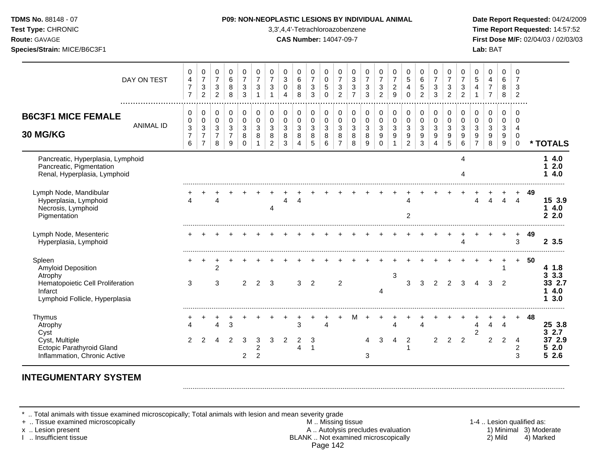| <b>DMS No.</b> 88148 - 07 |  |
|---------------------------|--|
| st Type: CHRONIC          |  |
| $-111 - 0111100$          |  |

**Test Type:** CHRONIC 3,3',4,4'-Tetrachloroazobenzene **Time Report Requested:** 14:57:52 **Route:** GAVAGE **CAS Number:** 14047-09-7 **First Dose M/F:** 02/04/03 / 02/03/03 **Species/Strain:** MICE/B6C3F1 **Lab:** BAT

|                                                                                                                                 | DAY ON TEST      | 0<br>$\overline{4}$<br>$\overline{7}$<br>$\overline{7}$ | 0<br>$\overline{7}$<br>$\ensuremath{\mathsf{3}}$<br>$\overline{2}$ | 0<br>$\overline{7}$<br>$\ensuremath{\mathsf{3}}$<br>$\overline{2}$ | 0<br>$6\phantom{1}6$<br>8<br>8               | 0<br>$\overline{7}$<br>$\ensuremath{\mathsf{3}}$<br>3 | 0<br>$\overline{7}$<br>3<br>$\mathbf 1$ | 0<br>$\overline{7}$<br>3<br>$\overline{1}$ | 0<br>$\mathbf{3}$<br>$\mathbf 0$<br>4 | 0<br>$\,6$<br>8<br>8  | 0<br>$\overline{7}$<br>$\ensuremath{\mathsf{3}}$<br>3 | 0<br>$\mathbf 0$<br>$\sqrt{5}$<br>$\Omega$ | 0<br>$\overline{7}$<br>$\ensuremath{\mathsf{3}}$<br>$\overline{2}$ | 0<br>$\mathbf{3}$<br>3<br>$\overline{7}$ | 0<br>$\overline{7}$<br>$\mathbf{3}$<br>3 | 0<br>$\overline{7}$<br>$\sqrt{3}$<br>$\overline{2}$ | 0<br>$\overline{7}$<br>$\boldsymbol{2}$<br>9 | 0<br>$\,$ 5 $\,$<br>$\overline{\mathbf{4}}$<br>$\Omega$ | 0<br>$\,6\,$<br>5<br>$\overline{2}$ | 0<br>$\overline{7}$<br>$\sqrt{3}$<br>3 | $\mathbf 0$<br>$\overline{7}$<br>3<br>$\overline{2}$ | 0<br>$\overline{7}$<br>$\ensuremath{\mathsf{3}}$<br>$\overline{2}$ | 0<br>5<br>$\overline{4}$                  | 0<br>4<br>$\overline{7}$<br>$\overline{7}$ | 0<br>6<br>8<br>8      | $\Omega$<br>$\overline{7}$<br>3<br>$\overline{2}$             |    |                                                      |
|---------------------------------------------------------------------------------------------------------------------------------|------------------|---------------------------------------------------------|--------------------------------------------------------------------|--------------------------------------------------------------------|----------------------------------------------|-------------------------------------------------------|-----------------------------------------|--------------------------------------------|---------------------------------------|-----------------------|-------------------------------------------------------|--------------------------------------------|--------------------------------------------------------------------|------------------------------------------|------------------------------------------|-----------------------------------------------------|----------------------------------------------|---------------------------------------------------------|-------------------------------------|----------------------------------------|------------------------------------------------------|--------------------------------------------------------------------|-------------------------------------------|--------------------------------------------|-----------------------|---------------------------------------------------------------|----|------------------------------------------------------|
| <b>B6C3F1 MICE FEMALE</b><br>30 MG/KG                                                                                           | <b>ANIMAL ID</b> | 0<br>0<br>$\sqrt{3}$<br>$\overline{7}$<br>6             | 0<br>$\pmb{0}$<br>3<br>$\overline{7}$<br>$\overline{7}$            | 0<br>$\pmb{0}$<br>$\mathbf{3}$<br>7<br>8                           | 0<br>$\mathbf 0$<br>3<br>$\overline{7}$<br>9 | $\,0\,$<br>$\pmb{0}$<br>3<br>8<br>$\Omega$            | 0<br>$\mathbf 0$<br>3<br>8              | 0<br>$\mathbf 0$<br>3<br>8<br>2            | 0<br>$\mathbf 0$<br>3<br>8<br>3       | 0<br>0<br>3<br>8<br>4 | 0<br>$\mathbf 0$<br>3<br>8<br>5                       | 0<br>$\mathbf 0$<br>3<br>8<br>6            | 0<br>$\pmb{0}$<br>3<br>8<br>$\overline{7}$                         | 0<br>$\mathbf 0$<br>3<br>8<br>8          | 0<br>0<br>3<br>8<br>9                    | 0<br>$\pmb{0}$<br>3<br>9<br>$\Omega$                | 0<br>$\pmb{0}$<br>3<br>9                     | 0<br>$\mathbf 0$<br>$\mathbf{3}$<br>9<br>$\overline{a}$ | 0<br>$\pmb{0}$<br>3<br>9<br>3       | 0<br>$\pmb{0}$<br>3<br>9<br>4          | 0<br>$\mathbf 0$<br>3<br>9<br>5                      | 0<br>$\mathbf 0$<br>3<br>9<br>6                                    | 0<br>$\Omega$<br>3<br>9<br>$\overline{7}$ | 0<br>0<br>3<br>9<br>8                      | 0<br>0<br>3<br>9<br>9 | 0<br>$\Omega$<br>$\overline{4}$<br>$\mathbf 0$<br>$\mathbf 0$ |    | * TOTALS                                             |
| Pancreatic, Hyperplasia, Lymphoid<br>Pancreatic, Pigmentation<br>Renal, Hyperplasia, Lymphoid                                   |                  |                                                         |                                                                    |                                                                    |                                              |                                                       |                                         |                                            |                                       |                       |                                                       |                                            |                                                                    |                                          |                                          |                                                     |                                              |                                                         |                                     |                                        |                                                      | Δ                                                                  |                                           |                                            |                       |                                                               |    | 4.0<br>2.0<br>4.0                                    |
| Lymph Node, Mandibular<br>Hyperplasia, Lymphoid<br>Necrosis, Lymphoid<br>Pigmentation                                           |                  |                                                         |                                                                    |                                                                    |                                              |                                                       |                                         |                                            | Δ                                     | 4                     |                                                       |                                            |                                                                    |                                          |                                          |                                                     |                                              | 2                                                       |                                     |                                        |                                                      |                                                                    |                                           |                                            | Λ                     | 4                                                             | 49 | 15 3.9<br>4.0<br>1<br>2.0<br>$\mathbf{2}$            |
| Lymph Node, Mesenteric<br>Hyperplasia, Lymphoid                                                                                 |                  |                                                         |                                                                    |                                                                    |                                              |                                                       |                                         |                                            |                                       |                       |                                                       |                                            |                                                                    |                                          |                                          |                                                     |                                              |                                                         |                                     |                                        |                                                      |                                                                    |                                           |                                            |                       | ٠<br>3                                                        | 49 | 23.5                                                 |
| Spleen<br><b>Amyloid Deposition</b><br>Atrophy<br>Hematopoietic Cell Proliferation<br>Infarct<br>Lymphoid Follicle, Hyperplasia |                  | 3                                                       |                                                                    | 2<br>3                                                             |                                              | 2                                                     | 2                                       | 3                                          |                                       | 3                     | 2                                                     |                                            | 2                                                                  |                                          |                                          | 4                                                   | 3                                            | 3                                                       | 3                                   | 2                                      | 2                                                    | 3                                                                  |                                           | 3                                          | 2                     | $+$                                                           | 50 | 4 1.8<br>3.3<br>3<br>33 2.7<br>4.0<br>3.0<br>1       |
| Thymus<br>Atrophy<br>Cyst<br>Cyst, Multiple<br><b>Ectopic Parathyroid Gland</b><br>Inflammation, Chronic Active                 |                  | 2                                                       | 2                                                                  | 4<br>4                                                             | 3<br>2                                       | 3<br>$\overline{2}$                                   | 3<br>$\overline{c}$<br>$\overline{c}$   | 3                                          | $\overline{2}$                        | 3<br>2<br>4           | 3                                                     | 4                                          |                                                                    | м                                        | 4<br>3                                   | 3                                                   | 4<br>4                                       | 2                                                       | 4                                   | $\overline{2}$                         | 2                                                    | 2                                                                  | 4<br>$\overline{2}$                       | 4<br>$\overline{2}$                        | 4<br>$\overline{2}$   | 4<br>$\overline{\mathbf{c}}$<br>3                             | 48 | 25 3.8<br>2.7<br>3<br>37 2.9<br>2.0<br>5<br>2.6<br>5 |

# **INTEGUMENTARY SYSTEM**

\* .. Total animals with tissue examined microscopically; Total animals with lesion and mean severity grade<br>+ .. Tissue examined microscopically

+ .. Tissue examined microscopically examined microscopically **M** .. Missing tissue M .. Missing tissue 1-4 .. Lesion qualified as:<br>A .. Autolysis precludes evaluation 1) Minimal 3) Moderate x .. Lesion present **A .. Autolysis precludes evaluation** A .. Autolysis precludes evaluation 1) Minimal 3) Moderate I .. Insufficient tissue BLANK .. Not examined microscopically 2) Mild 4) Marked Page 142

.........................................................................................................................................................................................................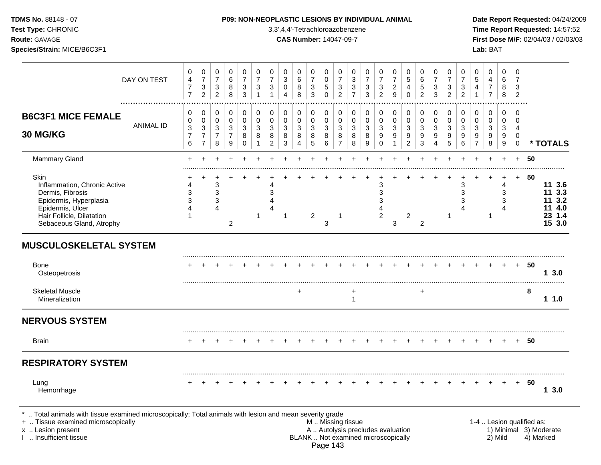# **TDMS No.** 88148 - 07 **P09: NON-NEOPLASTIC LESIONS BY INDIVIDUAL ANIMAL Date Report Requested:** 04/24/2009

**Test Type:** CHRONIC 3,3',4,4'-Tetrachloroazobenzene **Time Report Requested:** 14:57:52 **Route:** GAVAGE **CAS Number:** 14047-09-7 **First Dose M/F:** 02/04/03 / 02/03/03

|                                                                                                                                                                                               | DAY ON TEST      | 0<br>4<br>$\overline{7}$<br>$\overline{7}$    | 0<br>$\boldsymbol{7}$<br>$\ensuremath{\mathsf{3}}$<br>$\overline{2}$         | 0<br>$\boldsymbol{7}$<br>$\mathbf{3}$<br>$\overline{2}$ | 0<br>6<br>8<br>8                                                    | 0<br>$\overline{7}$<br>$\sqrt{3}$<br>$\mathbf{3}$ | 0<br>$\overline{7}$<br>3<br>$\mathbf{1}$ | 0<br>$\overline{7}$<br>$\mathbf{3}$<br>$\mathbf{1}$ | $\mathbf 0$<br>3<br>$\mathbf 0$<br>4    | 0<br>6<br>$\,8\,$<br>8 | 0<br>$\boldsymbol{7}$<br>$\mathbf{3}$<br>3 | $\mathbf 0$<br>0<br>$\sqrt{5}$<br>$\mathbf 0$ | $\mathbf 0$<br>7<br>3<br>$\overline{c}$                                                       | 0<br>3<br>$\mathbf{3}$<br>$\overline{7}$ | 0<br>$\overline{7}$<br>3<br>3            | 0<br>$\overline{7}$<br>$\mathbf{3}$<br>$\overline{2}$    | 0<br>$\overline{7}$<br>$\overline{\mathbf{c}}$<br>$\overline{9}$ | 0<br>5<br>$\overline{4}$<br>$\Omega$                    | 0<br>6<br>5<br>$\overline{c}$   | 0<br>$\overline{7}$<br>3<br>3             | 0<br>$\overline{7}$<br>3<br>$\overline{2}$ | 0<br>$\overline{7}$<br>$\sqrt{3}$<br>$\overline{2}$         | 0<br>5<br>$\overline{4}$<br>$\mathbf{1}$                             | 0<br>4<br>$\overline{7}$<br>$\overline{7}$ | $\mathbf 0$<br>6<br>8<br>8                | $\mathbf 0$<br>$\overline{7}$<br>3<br>$\overline{2}$             |                           |                                                          |
|-----------------------------------------------------------------------------------------------------------------------------------------------------------------------------------------------|------------------|-----------------------------------------------|------------------------------------------------------------------------------|---------------------------------------------------------|---------------------------------------------------------------------|---------------------------------------------------|------------------------------------------|-----------------------------------------------------|-----------------------------------------|------------------------|--------------------------------------------|-----------------------------------------------|-----------------------------------------------------------------------------------------------|------------------------------------------|------------------------------------------|----------------------------------------------------------|------------------------------------------------------------------|---------------------------------------------------------|---------------------------------|-------------------------------------------|--------------------------------------------|-------------------------------------------------------------|----------------------------------------------------------------------|--------------------------------------------|-------------------------------------------|------------------------------------------------------------------|---------------------------|----------------------------------------------------------|
| <b>B6C3F1 MICE FEMALE</b><br>30 MG/KG                                                                                                                                                         | <b>ANIMAL ID</b> | 0<br>0<br>$\mathbf{3}$<br>$\overline{7}$<br>6 | $\pmb{0}$<br>$\pmb{0}$<br>$\mathfrak{S}$<br>$\overline{7}$<br>$\overline{7}$ | 0<br>0<br>3<br>$\overline{7}$<br>$\,8\,$                | $\mathbf 0$<br>$\mathbf 0$<br>$\mathbf{3}$<br>$\boldsymbol{7}$<br>9 | 0<br>$\mathbf 0$<br>$\sqrt{3}$<br>8<br>0          | 0<br>$\mathbf 0$<br>3<br>8<br>1          | 0<br>0<br>3<br>8<br>$\overline{2}$                  | $\mathbf 0$<br>$\pmb{0}$<br>3<br>8<br>3 | 0<br>0<br>3<br>8<br>4  | 0<br>0<br>$\mathbf{3}$<br>8<br>5           | 0<br>$\mathbf 0$<br>3<br>8<br>$\,6\,$         | 0<br>$\pmb{0}$<br>$\mathbf{3}$<br>8<br>$\overline{7}$                                         | 0<br>$\mathbf 0$<br>3<br>$\,8\,$<br>8    | 0<br>$\pmb{0}$<br>$\mathbf{3}$<br>8<br>9 | 0<br>$\mathbf 0$<br>3<br>$\boldsymbol{9}$<br>$\mathbf 0$ | $\pmb{0}$<br>$\mathbf 0$<br>$\mathbf{3}$<br>9<br>$\mathbf{1}$    | 0<br>$\mathbf 0$<br>$\mathbf{3}$<br>9<br>$\overline{c}$ | 0<br>$\mathsf 0$<br>3<br>9<br>3 | $\mathbf 0$<br>$\mathbf 0$<br>3<br>9<br>4 | 0<br>$\mathbf 0$<br>$\sqrt{3}$<br>9<br>5   | 0<br>$\pmb{0}$<br>$\mathbf{3}$<br>$\boldsymbol{9}$<br>$\,6$ | 0<br>$\mathbf 0$<br>$\sqrt{3}$<br>$\boldsymbol{9}$<br>$\overline{7}$ | 0<br>$\mathbf 0$<br>$\mathbf{3}$<br>9<br>8 | $\mathbf 0$<br>$\mathbf 0$<br>3<br>9<br>9 | $\mathbf 0$<br>$\mathbf 0$<br>$\overline{4}$<br>0<br>$\mathbf 0$ |                           | * TOTALS                                                 |
| Mammary Gland                                                                                                                                                                                 |                  |                                               |                                                                              |                                                         |                                                                     |                                                   |                                          |                                                     |                                         |                        |                                            |                                               |                                                                                               |                                          |                                          |                                                          |                                                                  |                                                         |                                 |                                           |                                            |                                                             |                                                                      |                                            | $\ddot{}$                                 | $+$                                                              | 50                        |                                                          |
| Skin<br>Inflammation, Chronic Active<br>Dermis, Fibrosis<br>Epidermis, Hyperplasia<br>Epidermis, Ulcer<br>Hair Follicle, Dilatation<br>Sebaceous Gland, Atrophy                               |                  | 3                                             |                                                                              | 3<br>3<br>$\mathfrak{S}$<br>4                           | $\overline{2}$                                                      |                                                   | 1                                        | 4<br>3                                              | $\mathbf 1$                             |                        | $\overline{2}$                             | 3                                             | $\mathbf 1$                                                                                   |                                          |                                          | 3<br>3<br>3<br>2                                         | 3                                                                | 2                                                       | $\overline{2}$                  |                                           | 1                                          | 3<br>3<br>3                                                 |                                                                      | $\mathbf 1$                                | 4<br>3<br>3<br>$\boldsymbol{\Lambda}$     | $+$                                                              | 50                        | 11 3.6<br>11 3.3<br>11 3.2<br>11 4.0<br>23 1.4<br>15 3.0 |
| <b>MUSCULOSKELETAL SYSTEM</b>                                                                                                                                                                 |                  |                                               |                                                                              |                                                         |                                                                     |                                                   |                                          |                                                     |                                         |                        |                                            |                                               |                                                                                               |                                          |                                          |                                                          |                                                                  |                                                         |                                 |                                           |                                            |                                                             |                                                                      |                                            |                                           |                                                                  |                           |                                                          |
| <b>Bone</b><br>Osteopetrosis                                                                                                                                                                  |                  |                                               |                                                                              |                                                         |                                                                     |                                                   |                                          |                                                     |                                         |                        |                                            |                                               |                                                                                               |                                          |                                          |                                                          |                                                                  |                                                         |                                 |                                           |                                            |                                                             |                                                                      |                                            |                                           | $+$                                                              | -50                       | 13.0                                                     |
| <b>Skeletal Muscle</b><br>Mineralization                                                                                                                                                      |                  |                                               |                                                                              |                                                         |                                                                     |                                                   |                                          |                                                     |                                         |                        |                                            |                                               |                                                                                               | +<br>$\mathbf{1}$                        |                                          |                                                          |                                                                  |                                                         | $\div$                          |                                           |                                            |                                                             |                                                                      |                                            |                                           |                                                                  | 8                         | 11.0                                                     |
| <b>NERVOUS SYSTEM</b>                                                                                                                                                                         |                  |                                               |                                                                              |                                                         |                                                                     |                                                   |                                          |                                                     |                                         |                        |                                            |                                               |                                                                                               |                                          |                                          |                                                          |                                                                  |                                                         |                                 |                                           |                                            |                                                             |                                                                      |                                            |                                           |                                                                  |                           |                                                          |
| <b>Brain</b>                                                                                                                                                                                  |                  |                                               |                                                                              |                                                         |                                                                     |                                                   |                                          |                                                     |                                         |                        |                                            |                                               |                                                                                               |                                          |                                          |                                                          |                                                                  |                                                         |                                 |                                           |                                            |                                                             |                                                                      |                                            |                                           |                                                                  | -50                       |                                                          |
| <b>RESPIRATORY SYSTEM</b>                                                                                                                                                                     |                  |                                               |                                                                              |                                                         |                                                                     |                                                   |                                          |                                                     |                                         |                        |                                            |                                               |                                                                                               |                                          |                                          |                                                          |                                                                  |                                                         |                                 |                                           |                                            |                                                             |                                                                      |                                            |                                           |                                                                  |                           |                                                          |
| Lung<br>Hemorrhage                                                                                                                                                                            |                  |                                               |                                                                              |                                                         |                                                                     |                                                   |                                          |                                                     |                                         |                        |                                            |                                               |                                                                                               |                                          |                                          |                                                          |                                                                  |                                                         |                                 |                                           |                                            |                                                             |                                                                      |                                            |                                           | $+$                                                              | - 50                      | 13.0                                                     |
| *  Total animals with tissue examined microscopically; Total animals with lesion and mean severity grade<br>+  Tissue examined microscopically<br>x  Lesion present<br>I  Insufficient tissue |                  |                                               |                                                                              |                                                         |                                                                     |                                                   |                                          |                                                     |                                         |                        |                                            |                                               | M  Missing tissue<br>A  Autolysis precludes evaluation<br>BLANK  Not examined microscopically |                                          |                                          |                                                          |                                                                  |                                                         |                                 |                                           |                                            |                                                             |                                                                      |                                            | 2) Mild                                   |                                                                  | 1-4  Lesion qualified as: | 1) Minimal 3) Moderate<br>4) Marked                      |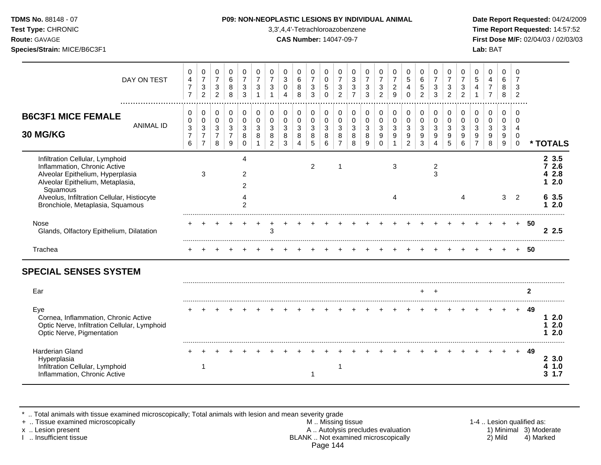| <b>TDMS No.</b> 88148 - 07 |
|----------------------------|
|                            |

**Test Type:** CHRONIC 3,3',4,4'-Tetrachloroazobenzene **Time Report Requested:** 14:57:52 **Route:** GAVAGE **CAS Number:** 14047-09-7 **First Dose M/F:** 02/04/03 / 02/03/03 **Species/Strain:** MICE/B6C3F1 **Lab:** BAT

|                                                                                                                                                     | DAY ON TEST      | 0<br>4<br>$\overline{7}$<br>$\overline{7}$ | 0<br>$\overline{7}$<br>3<br>$\boldsymbol{2}$      | 0<br>$\boldsymbol{7}$<br>3<br>$\overline{c}$ | 0<br>6<br>8<br>8                                        | 0<br>$\overline{7}$<br>3<br>3          | 0<br>7<br>3             | 0<br>7<br>3                               | 0<br>3<br>0<br>$\boldsymbol{\varDelta}$ | 0<br>6<br>8<br>8                   | 0<br>$\overline{7}$<br>$\sqrt{3}$<br>3 | 0<br>0<br>5<br>0                 | 0<br>$\overline{7}$<br>3<br>$\overline{c}$   | 0<br>3<br>3<br>$\overline{7}$ | 0<br>$\overline{7}$<br>3<br>3   | 0<br>$\overline{7}$<br>$\sqrt{3}$<br>$\overline{2}$               | 0<br>$\overline{7}$<br>$\boldsymbol{2}$<br>$\boldsymbol{9}$ | 0<br>$5\phantom{.0}$<br>4<br>$\Omega$         | 0<br>$\,6$<br>$\mathbf 5$<br>$\overline{2}$ | 0<br>7<br>3<br>3                | 0<br>$\overline{7}$<br>3<br>$\overline{c}$ | 0<br>7<br>3<br>$\overline{2}$ | 0<br>$\sqrt{5}$            | 0<br>4<br>$\overline{7}$<br>$\overline{7}$ | 0<br>6<br>8<br>8      | 0<br>3<br>$\overline{2}$                      |              |                            |
|-----------------------------------------------------------------------------------------------------------------------------------------------------|------------------|--------------------------------------------|---------------------------------------------------|----------------------------------------------|---------------------------------------------------------|----------------------------------------|-------------------------|-------------------------------------------|-----------------------------------------|------------------------------------|----------------------------------------|----------------------------------|----------------------------------------------|-------------------------------|---------------------------------|-------------------------------------------------------------------|-------------------------------------------------------------|-----------------------------------------------|---------------------------------------------|---------------------------------|--------------------------------------------|-------------------------------|----------------------------|--------------------------------------------|-----------------------|-----------------------------------------------|--------------|----------------------------|
| <b>B6C3F1 MICE FEMALE</b><br>30 MG/KG                                                                                                               | <b>ANIMAL ID</b> | 0<br>0<br>3<br>$\overline{7}$<br>6         | 0<br>0<br>3<br>$\boldsymbol{7}$<br>$\overline{7}$ | 0<br>0<br>3<br>$\overline{7}$<br>8           | 0<br>$\mathbf 0$<br>$\mathbf{3}$<br>$\overline{7}$<br>9 | 0<br>$\mathbf 0$<br>3<br>8<br>$\Omega$ | 0<br>$\Omega$<br>3<br>8 | 0<br>$\Omega$<br>3<br>8<br>$\overline{2}$ | 0<br>$\mathbf 0$<br>3<br>8<br>3         | 0<br>0<br>3<br>8<br>$\overline{4}$ | 0<br>0<br>3<br>8<br>5                  | 0<br>0<br>$\mathbf{3}$<br>8<br>6 | 0<br>$\mathbf 0$<br>3<br>8<br>$\overline{7}$ | 0<br>0<br>3<br>8<br>8         | 0<br>$\mathbf 0$<br>3<br>8<br>9 | 0<br>$\pmb{0}$<br>$\mathbf{3}$<br>$\boldsymbol{9}$<br>$\mathbf 0$ | 0<br>0<br>3<br>9<br>$\mathbf{1}$                            | 0<br>0<br>$\mathbf{3}$<br>9<br>$\overline{2}$ | 0<br>$\mathbf 0$<br>3<br>9<br>3             | 0<br>$\mathbf 0$<br>3<br>9<br>4 | 0<br>0<br>3<br>9<br>5                      | 0<br>0<br>3<br>9<br>6         | 0<br>$\mathbf 0$<br>3<br>9 | 0<br>0<br>3<br>9<br>8                      | 0<br>0<br>3<br>9<br>9 | $\Omega$<br>$\Omega$<br>4<br>0<br>$\mathbf 0$ |              | * TOTALS                   |
| Infiltration Cellular, Lymphoid<br>Inflammation, Chronic Active<br>Alveolar Epithelium, Hyperplasia<br>Alveolar Epithelium, Metaplasia,<br>Squamous |                  |                                            | 3                                                 |                                              |                                                         | 4<br>2<br>2                            |                         |                                           |                                         |                                    | $\overline{2}$                         |                                  | 1                                            |                               |                                 |                                                                   | 3                                                           |                                               |                                             | $\overline{\mathbf{c}}$<br>3    |                                            |                               |                            |                                            |                       |                                               |              | 23.5<br>72.6<br>2.8<br>2.0 |
| Alveolus, Infiltration Cellular, Histiocyte<br>Bronchiole, Metaplasia, Squamous                                                                     |                  |                                            |                                                   |                                              |                                                         | 2                                      |                         |                                           |                                         |                                    |                                        |                                  |                                              |                               |                                 |                                                                   | 4                                                           |                                               |                                             |                                 |                                            | 4                             |                            |                                            | 3                     | $\overline{2}$                                |              | 6 3.5<br>2.0               |
| Nose<br>Glands, Olfactory Epithelium, Dilatation<br>Trachea                                                                                         |                  |                                            |                                                   |                                              |                                                         |                                        |                         | 3                                         |                                         |                                    |                                        |                                  |                                              |                               |                                 |                                                                   |                                                             |                                               |                                             |                                 |                                            |                               |                            |                                            |                       | $+$                                           | 50           | 2.2.5                      |
|                                                                                                                                                     |                  |                                            |                                                   |                                              |                                                         |                                        |                         |                                           |                                         |                                    |                                        |                                  |                                              |                               |                                 |                                                                   |                                                             |                                               |                                             |                                 |                                            |                               |                            |                                            |                       |                                               | 50           |                            |
| <b>SPECIAL SENSES SYSTEM</b>                                                                                                                        |                  |                                            |                                                   |                                              |                                                         |                                        |                         |                                           |                                         |                                    |                                        |                                  |                                              |                               |                                 |                                                                   |                                                             |                                               |                                             |                                 |                                            |                               |                            |                                            |                       |                                               |              |                            |
| Ear                                                                                                                                                 |                  |                                            |                                                   |                                              |                                                         |                                        |                         |                                           |                                         |                                    |                                        |                                  |                                              |                               |                                 |                                                                   |                                                             |                                               |                                             |                                 |                                            |                               |                            |                                            |                       |                                               | $\mathbf{2}$ |                            |
| Eye<br>Cornea, Inflammation, Chronic Active<br>Optic Nerve, Infiltration Cellular, Lymphoid<br>Optic Nerve, Pigmentation                            |                  |                                            |                                                   |                                              |                                                         |                                        |                         |                                           |                                         |                                    |                                        |                                  |                                              |                               |                                 |                                                                   |                                                             |                                               |                                             |                                 |                                            |                               |                            |                                            |                       |                                               | 49           | 2.0<br>2.0<br>2.0          |
| <b>Harderian Gland</b><br>Hyperplasia<br>Infiltration Cellular, Lymphoid<br>Inflammation, Chronic Active                                            |                  |                                            |                                                   |                                              |                                                         |                                        |                         |                                           |                                         |                                    | 1                                      |                                  | 1                                            |                               |                                 |                                                                   |                                                             |                                               |                                             |                                 |                                            |                               |                            |                                            |                       |                                               | 49           | 2 3.0<br>1.0<br>1.7<br>3   |

\* .. Total animals with tissue examined microscopically; Total animals with lesion and mean severity grade<br>+ .. Tissue examined microscopically

Inflammation, Chronic Active 1 **3 1.7** 1

+ .. Tissue examined microscopically examined microscopically **M** .. Missing tissue M .. Missing tissue 1-4 .. Lesion qualified as:<br>A .. Autolysis precludes evaluation 1) Minimal 3) Moderate x .. Lesion present **A .. Autolysis precludes evaluation** A .. Autolysis precludes evaluation 1) Minimal 3) Moderate I .. Insufficient tissue BLANK .. Not examined microscopically 2) Mild 4) Marked Page 144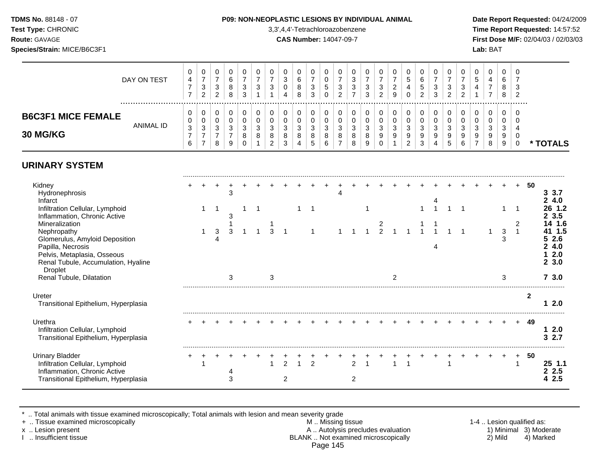## **TDMS No.** 88148 - 07 **P09: NON-NEOPLASTIC LESIONS BY INDIVIDUAL ANIMAL Date Report Requested:** 04/24/2009

**Test Type:** CHRONIC 3,3',4,4'-Tetrachloroazobenzene **Time Report Requested:** 14:57:52 **Route:** GAVAGE **CAS Number:** 14047-09-7 **First Dose M/F:** 02/04/03 / 02/03/03 **Species/Strain:** MICE/B6C3F1 **Lab:** BAT

|                                              | DAY ON TEST      | 0<br>4           | U<br>–<br>3<br>2 | 3<br>2 | U<br>6<br>8<br>8 | 0<br>ົ<br>ت<br>ີ | J<br>າ      | U<br>3                     | U                      | υ<br>6<br>o<br>o | 3<br>3 | υ<br>U<br>5<br>نٽ<br>$\cup$ | 0<br>っ<br>ັ<br>ົ           | U<br>3<br>3            | ີ<br>∼       | U<br><u>_</u><br>9    | v<br>G<br>4<br>υ | 0<br>$\sim$<br>ь<br>đ<br>ົ<br>$\sim$ | U<br>3<br>3       | ÷ | O<br>3<br>ົ      | v<br>G<br>4            | U<br>4      | U<br>6<br>8<br>8 | -2 |               |
|----------------------------------------------|------------------|------------------|------------------|--------|------------------|------------------|-------------|----------------------------|------------------------|------------------|--------|-----------------------------|----------------------------|------------------------|--------------|-----------------------|------------------|--------------------------------------|-------------------|---|------------------|------------------------|-------------|------------------|----|---------------|
| <b>B6C3F1 MICE FEMALE</b><br><b>30 MG/KG</b> | <b>ANIMAL ID</b> | 0<br>0<br>3<br>6 | U<br>U<br>3<br>- | ٠J     | 0<br>0<br>3<br>9 | ◠<br>J<br>8      | C<br>ີ<br>8 | 0<br>ν<br>ີ<br>J<br>8<br>റ | 0<br>◠<br>J.<br>8<br>◠ | 3<br>O<br>4      | ×<br>∽ | J<br>8<br>b                 | 0<br>υ<br>ີ<br>ື<br>8<br>- | 0<br>3<br>$\circ$<br>9 | <sup>o</sup> | 0<br>U<br>ີ<br>J<br>9 | ີ<br>u<br>9      | 0<br>υ<br>3<br>9<br>3                | -2<br>ت<br>9<br>4 |   | ີ<br>N<br>9<br>6 | 0<br>U<br>C.<br>ື<br>9 | u<br>9<br>8 | J<br>9<br>9      |    | <b>TOTALS</b> |

## **URINARY SYSTEM**

| Kidney<br>Hydronephrosis                                                                                                                                   |  |   | 3 |  |   |   |  |  |                |  |  |  |  |  |        | 50 | 3.7<br>3                         |
|------------------------------------------------------------------------------------------------------------------------------------------------------------|--|---|---|--|---|---|--|--|----------------|--|--|--|--|--|--------|----|----------------------------------|
| Infarct<br>Infiltration Cellular, Lymphoid                                                                                                                 |  |   |   |  |   |   |  |  |                |  |  |  |  |  |        |    | 4.0<br>$1.2$                     |
| Inflammation, Chronic Active<br>Mineralization                                                                                                             |  |   | 3 |  |   |   |  |  |                |  |  |  |  |  |        |    | 3.5<br>4 1.6                     |
| Nephropathy<br>Glomerulus, Amyloid Deposition<br>Papilla, Necrosis<br>Pelvis, Metaplasia, Osseous<br>Renal Tubule, Accumulation, Hyaline<br><b>Droplet</b> |  | 3 |   |  |   |   |  |  |                |  |  |  |  |  | 3<br>З |    | 1.5<br>2.6<br>4.0<br>2.0<br>23.0 |
| Renal Tubule, Dilatation                                                                                                                                   |  |   | 3 |  | З |   |  |  |                |  |  |  |  |  | З      |    | 73.0                             |
| Ureter<br>Transitional Epithelium, Hyperplasia                                                                                                             |  |   |   |  |   |   |  |  |                |  |  |  |  |  |        |    | 2.0                              |
| Urethra<br>Infiltration Cellular, Lymphoid<br>Transitional Epithelium, Hyperplasia                                                                         |  |   |   |  |   |   |  |  |                |  |  |  |  |  |        | 49 | 2.0<br>2.7                       |
| <b>Urinary Bladder</b><br>Infiltration Cellular, Lymphoid<br>Inflammation, Chronic Active<br>Transitional Epithelium, Hyperplasia                          |  |   |   |  |   | 2 |  |  | $\mathfrak{p}$ |  |  |  |  |  |        | 50 | $25$ 1.1<br>2.5<br>2.5           |

\* .. Total animals with tissue examined microscopically; Total animals with lesion and mean severity grade

+ .. Tissue examined microscopically M .. Missing tissue 1-4 .. Lesion qualified as:

x .. Lesion present 1) Minimal 3) Moderate A .. Autolysis precludes evaluation 1) Minimal 3) Moderate I .. Insufficient tissue BLANK .. Not examined microscopically 2) Mild 4) Marked Page 145